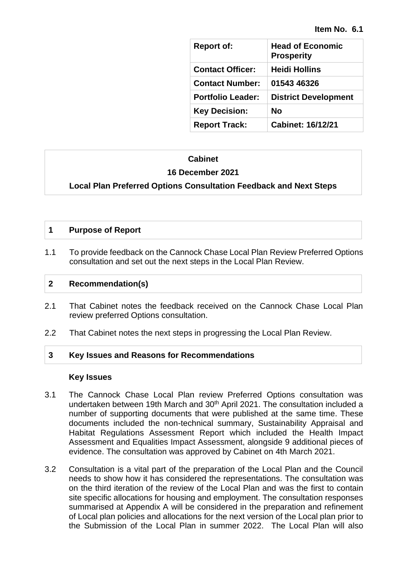| <b>Report of:</b>        | <b>Head of Economic</b><br><b>Prosperity</b> |
|--------------------------|----------------------------------------------|
| <b>Contact Officer:</b>  | <b>Heidi Hollins</b>                         |
| <b>Contact Number:</b>   | 01543 46326                                  |
| <b>Portfolio Leader:</b> | <b>District Development</b>                  |
| <b>Key Decision:</b>     | Nο                                           |
| <b>Report Track:</b>     | <b>Cabinet: 16/12/21</b>                     |

#### **Cabinet**

#### **16 December 2021**

#### **Local Plan Preferred Options Consultation Feedback and Next Steps**

#### **1 Purpose of Report**

1.1 To provide feedback on the Cannock Chase Local Plan Review Preferred Options consultation and set out the next steps in the Local Plan Review.

#### **2 Recommendation(s)**

- 2.1 That Cabinet notes the feedback received on the Cannock Chase Local Plan review preferred Options consultation.
- 2.2 That Cabinet notes the next steps in progressing the Local Plan Review.

#### **3 Key Issues and Reasons for Recommendations**

#### **Key Issues**

- 3.1 The Cannock Chase Local Plan review Preferred Options consultation was undertaken between 19th March and 30<sup>th</sup> April 2021. The consultation included a number of supporting documents that were published at the same time. These documents included the non-technical summary, Sustainability Appraisal and Habitat Regulations Assessment Report which included the Health Impact Assessment and Equalities Impact Assessment, alongside 9 additional pieces of evidence. The consultation was approved by Cabinet on 4th March 2021.
- 3.2 Consultation is a vital part of the preparation of the Local Plan and the Council needs to show how it has considered the representations. The consultation was on the third iteration of the review of the Local Plan and was the first to contain site specific allocations for housing and employment. The consultation responses summarised at Appendix A will be considered in the preparation and refinement of Local plan policies and allocations for the next version of the Local plan prior to the Submission of the Local Plan in summer 2022. The Local Plan will also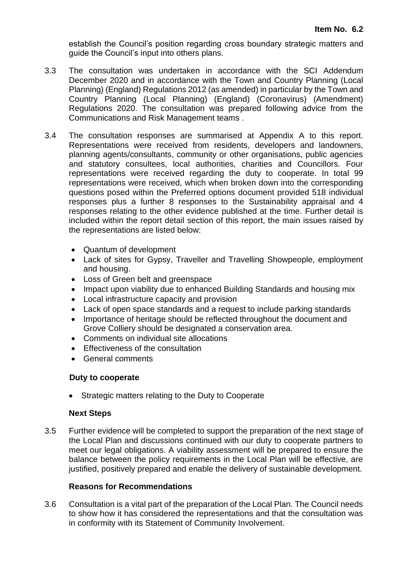establish the Council's position regarding cross boundary strategic matters and guide the Council's input into others plans.

- 3.3 The consultation was undertaken in accordance with the SCI Addendum December 2020 and in accordance with the Town and Country Planning (Local Planning) (England) Regulations 2012 (as amended) in particular by the Town and Country Planning (Local Planning) (England) (Coronavirus) (Amendment) Regulations 2020. The consultation was prepared following advice from the Communications and Risk Management teams .
- 3.4 The consultation responses are summarised at Appendix A to this report. Representations were received from residents, developers and landowners, planning agents/consultants, community or other organisations, public agencies and statutory consultees, local authorities, charities and Councillors. Four representations were received regarding the duty to cooperate. In total 99 representations were received, which when broken down into the corresponding questions posed within the Preferred options document provided 518 individual responses plus a further 8 responses to the Sustainability appraisal and 4 responses relating to the other evidence published at the time. Further detail is included within the report detail section of this report, the main issues raised by the representations are listed below:
	- Quantum of development
	- Lack of sites for Gypsy, Traveller and Travelling Showpeople, employment and housing.
	- Loss of Green belt and greenspace
	- Impact upon viability due to enhanced Building Standards and housing mix
	- Local infrastructure capacity and provision
	- Lack of open space standards and a request to include parking standards
	- Importance of heritage should be reflected throughout the document and Grove Colliery should be designated a conservation area.
	- Comments on individual site allocations
	- Effectiveness of the consultation
	- General comments

#### **Duty to cooperate**

• Strategic matters relating to the Duty to Cooperate

#### **Next Steps**

3.5 Further evidence will be completed to support the preparation of the next stage of the Local Plan and discussions continued with our duty to cooperate partners to meet our legal obligations. A viability assessment will be prepared to ensure the balance between the policy requirements in the Local Plan will be effective, are justified, positively prepared and enable the delivery of sustainable development.

#### **Reasons for Recommendations**

3.6 Consultation is a vital part of the preparation of the Local Plan. The Council needs to show how it has considered the representations and that the consultation was in conformity with its Statement of Community Involvement.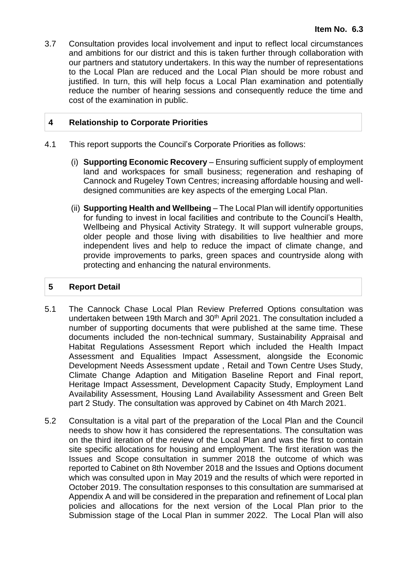3.7 Consultation provides local involvement and input to reflect local circumstances and ambitions for our district and this is taken further through collaboration with our partners and statutory undertakers. In this way the number of representations to the Local Plan are reduced and the Local Plan should be more robust and justified. In turn, this will help focus a Local Plan examination and potentially reduce the number of hearing sessions and consequently reduce the time and cost of the examination in public.

#### **4 Relationship to Corporate Priorities**

- 4.1 This report supports the Council's Corporate Priorities as follows:
	- (i) **Supporting Economic Recovery** Ensuring sufficient supply of employment land and workspaces for small business; regeneration and reshaping of Cannock and Rugeley Town Centres; increasing affordable housing and welldesigned communities are key aspects of the emerging Local Plan.
	- (ii) **Supporting Health and Wellbeing** The Local Plan will identify opportunities for funding to invest in local facilities and contribute to the Council's Health, Wellbeing and Physical Activity Strategy. It will support vulnerable groups, older people and those living with disabilities to live healthier and more independent lives and help to reduce the impact of climate change, and provide improvements to parks, green spaces and countryside along with protecting and enhancing the natural environments.

#### **5 Report Detail**

- 5.1 The Cannock Chase Local Plan Review Preferred Options consultation was undertaken between 19th March and 30th April 2021. The consultation included a number of supporting documents that were published at the same time. These documents included the non-technical summary, Sustainability Appraisal and Habitat Regulations Assessment Report which included the Health Impact Assessment and Equalities Impact Assessment, alongside the Economic Development Needs Assessment update , Retail and Town Centre Uses Study, Climate Change Adaption and Mitigation Baseline Report and Final report, Heritage Impact Assessment, Development Capacity Study, Employment Land Availability Assessment, Housing Land Availability Assessment and Green Belt part 2 Study. The consultation was approved by Cabinet on 4th March 2021.
- 5.2 Consultation is a vital part of the preparation of the Local Plan and the Council needs to show how it has considered the representations. The consultation was on the third iteration of the review of the Local Plan and was the first to contain site specific allocations for housing and employment. The first iteration was the Issues and Scope consultation in summer 2018 the outcome of which was reported to Cabinet on 8th November 2018 and the Issues and Options document which was consulted upon in May 2019 and the results of which were reported in October 2019. The consultation responses to this consultation are summarised at Appendix A and will be considered in the preparation and refinement of Local plan policies and allocations for the next version of the Local Plan prior to the Submission stage of the Local Plan in summer 2022. The Local Plan will also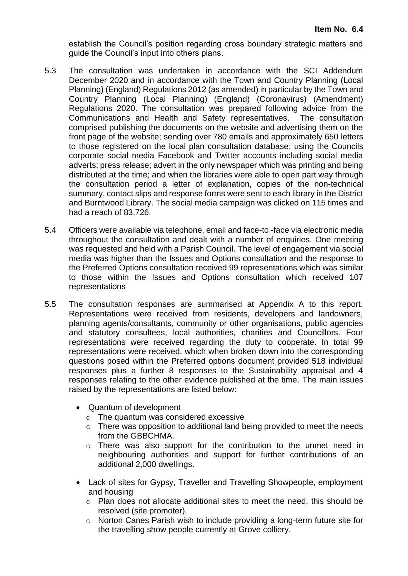establish the Council's position regarding cross boundary strategic matters and guide the Council's input into others plans.

- 5.3 The consultation was undertaken in accordance with the SCI Addendum December 2020 and in accordance with the Town and Country Planning (Local Planning) (England) Regulations 2012 (as amended) in particular by the Town and Country Planning (Local Planning) (England) (Coronavirus) (Amendment) Regulations 2020. The consultation was prepared following advice from the Communications and Health and Safety representatives. The consultation comprised publishing the documents on the website and advertising them on the front page of the website; sending over 780 emails and approximately 650 letters to those registered on the local plan consultation database; using the Councils corporate social media Facebook and Twitter accounts including social media adverts; press release; advert in the only newspaper which was printing and being distributed at the time; and when the libraries were able to open part way through the consultation period a letter of explanation, copies of the non-technical summary, contact slips and response forms were sent to each library in the District and Burntwood Library. The social media campaign was clicked on 115 times and had a reach of 83,726.
- 5.4 Officers were available via telephone, email and face-to -face via electronic media throughout the consultation and dealt with a number of enquiries. One meeting was requested and held with a Parish Council. The level of engagement via social media was higher than the Issues and Options consultation and the response to the Preferred Options consultation received 99 representations which was similar to those within the Issues and Options consultation which received 107 representations
- 5.5 The consultation responses are summarised at Appendix A to this report. Representations were received from residents, developers and landowners, planning agents/consultants, community or other organisations, public agencies and statutory consultees, local authorities, charities and Councillors. Four representations were received regarding the duty to cooperate. In total 99 representations were received, which when broken down into the corresponding questions posed within the Preferred options document provided 518 individual responses plus a further 8 responses to the Sustainability appraisal and 4 responses relating to the other evidence published at the time. The main issues raised by the representations are listed below:
	- Quantum of development
		- o The quantum was considered excessive
		- o There was opposition to additional land being provided to meet the needs from the GBBCHMA.
		- o There was also support for the contribution to the unmet need in neighbouring authorities and support for further contributions of an additional 2,000 dwellings.
	- Lack of sites for Gypsy, Traveller and Travelling Showpeople, employment and housing
		- $\circ$  Plan does not allocate additional sites to meet the need, this should be resolved (site promoter).
		- o Norton Canes Parish wish to include providing a long-term future site for the travelling show people currently at Grove colliery.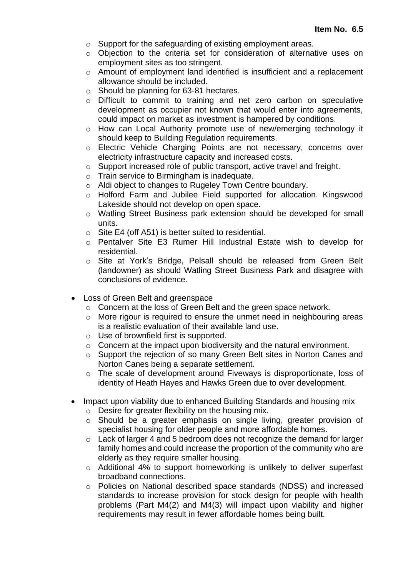- o Support for the safeguarding of existing employment areas.
- o Objection to the criteria set for consideration of alternative uses on employment sites as too stringent.
- o Amount of employment land identified is insufficient and a replacement allowance should be included.
- o Should be planning for 63-81 hectares.
- o Difficult to commit to training and net zero carbon on speculative development as occupier not known that would enter into agreements, could impact on market as investment is hampered by conditions.
- $\circ$  How can Local Authority promote use of new/emerging technology it should keep to Building Regulation requirements.
- o Electric Vehicle Charging Points are not necessary, concerns over electricity infrastructure capacity and increased costs.
- o Support increased role of public transport, active travel and freight.
- o Train service to Birmingham is inadequate.
- o Aldi object to changes to Rugeley Town Centre boundary.
- o Holford Farm and Jubilee Field supported for allocation. Kingswood Lakeside should not develop on open space.
- o Watling Street Business park extension should be developed for small units.
- o Site E4 (off A51) is better suited to residential.
- o Pentalver Site E3 Rumer Hill Industrial Estate wish to develop for residential.
- o Site at York's Bridge, Pelsall should be released from Green Belt (landowner) as should Watling Street Business Park and disagree with conclusions of evidence.
- Loss of Green Belt and greenspace
	- o Concern at the loss of Green Belt and the green space network.
	- o More rigour is required to ensure the unmet need in neighbouring areas is a realistic evaluation of their available land use.
	- o Use of brownfield first is supported.
	- o Concern at the impact upon biodiversity and the natural environment.
	- $\circ$  Support the rejection of so many Green Belt sites in Norton Canes and Norton Canes being a separate settlement.
	- o The scale of development around Fiveways is disproportionate, loss of identity of Heath Hayes and Hawks Green due to over development.
- Impact upon viability due to enhanced Building Standards and housing mix
	- $\circ$  Desire for greater flexibility on the housing mix.
	- o Should be a greater emphasis on single living, greater provision of specialist housing for older people and more affordable homes.
	- o Lack of larger 4 and 5 bedroom does not recognize the demand for larger family homes and could increase the proportion of the community who are elderly as they require smaller housing.
	- o Additional 4% to support homeworking is unlikely to deliver superfast broadband connections.
	- o Policies on National described space standards (NDSS) and increased standards to increase provision for stock design for people with health problems (Part M4(2) and M4(3) will impact upon viability and higher requirements may result in fewer affordable homes being built.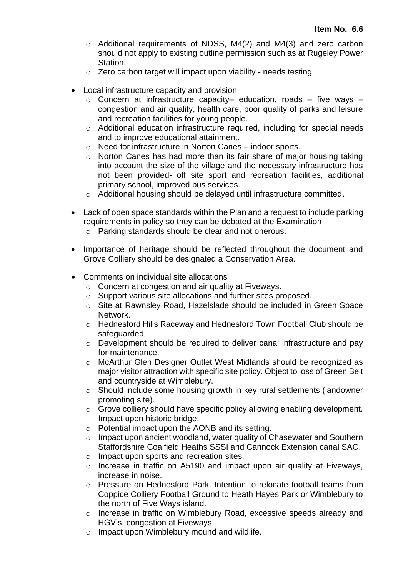- o Additional requirements of NDSS, M4(2) and M4(3) and zero carbon should not apply to existing outline permission such as at Rugeley Power Station.
- o Zero carbon target will impact upon viability needs testing.
- Local infrastructure capacity and provision
	- $\circ$  Concern at infrastructure capacity– education, roads five ways congestion and air quality, health care, poor quality of parks and leisure and recreation facilities for young people.
	- o Additional education infrastructure required, including for special needs and to improve educational attainment.
	- o Need for infrastructure in Norton Canes indoor sports.
	- o Norton Canes has had more than its fair share of major housing taking into account the size of the village and the necessary infrastructure has not been provided- off site sport and recreation facilities, additional primary school, improved bus services.
	- o Additional housing should be delayed until infrastructure committed.
- Lack of open space standards within the Plan and a request to include parking requirements in policy so they can be debated at the Examination
	- o Parking standards should be clear and not onerous.
- Importance of heritage should be reflected throughout the document and Grove Colliery should be designated a Conservation Area.
- Comments on individual site allocations
	- o Concern at congestion and air quality at Fiveways.
	- o Support various site allocations and further sites proposed.
	- o Site at Rawnsley Road, Hazelslade should be included in Green Space Network.
	- o Hednesford Hills Raceway and Hednesford Town Football Club should be safeguarded.
	- o Development should be required to deliver canal infrastructure and pay for maintenance.
	- o McArthur Glen Designer Outlet West Midlands should be recognized as major visitor attraction with specific site policy. Object to loss of Green Belt and countryside at Wimblebury.
	- o Should include some housing growth in key rural settlements (landowner promoting site).
	- o Grove colliery should have specific policy allowing enabling development. Impact upon historic bridge.
	- o Potential impact upon the AONB and its setting.
	- o Impact upon ancient woodland, water quality of Chasewater and Southern Staffordshire Coalfield Heaths SSSI and Cannock Extension canal SAC.
	- o Impact upon sports and recreation sites.
	- o Increase in traffic on A5190 and impact upon air quality at Fiveways, increase in noise.
	- o Pressure on Hednesford Park. Intention to relocate football teams from Coppice Colliery Football Ground to Heath Hayes Park or Wimblebury to the north of Five Ways island.
	- o Increase in traffic on Wimblebury Road, excessive speeds already and HGV's, congestion at Fiveways.
	- o Impact upon Wimblebury mound and wildlife.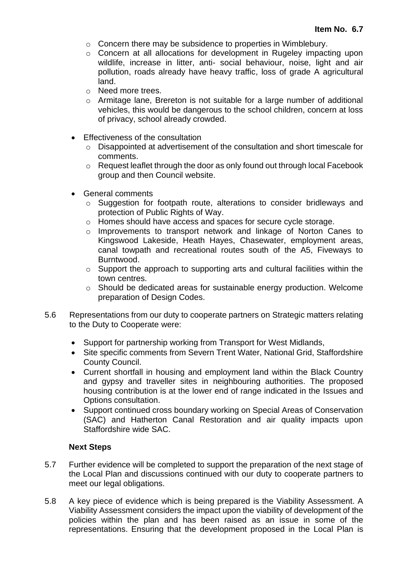- o Concern there may be subsidence to properties in Wimblebury.
- o Concern at all allocations for development in Rugeley impacting upon wildlife, increase in litter, anti- social behaviour, noise, light and air pollution, roads already have heavy traffic, loss of grade A agricultural land.
- o Need more trees.
- o Armitage lane, Brereton is not suitable for a large number of additional vehicles, this would be dangerous to the school children, concern at loss of privacy, school already crowded.
- Effectiveness of the consultation
	- o Disappointed at advertisement of the consultation and short timescale for comments.
	- o Request leaflet through the door as only found out through local Facebook group and then Council website.
- General comments
	- o Suggestion for footpath route, alterations to consider bridleways and protection of Public Rights of Way.
	- o Homes should have access and spaces for secure cycle storage.
	- o Improvements to transport network and linkage of Norton Canes to Kingswood Lakeside, Heath Hayes, Chasewater, employment areas, canal towpath and recreational routes south of the A5, Fiveways to **Burntwood.**
	- $\circ$  Support the approach to supporting arts and cultural facilities within the town centres.
	- o Should be dedicated areas for sustainable energy production. Welcome preparation of Design Codes.
- 5.6 Representations from our duty to cooperate partners on Strategic matters relating to the Duty to Cooperate were:
	- Support for partnership working from Transport for West Midlands,
	- Site specific comments from Severn Trent Water, National Grid, Staffordshire County Council.
	- Current shortfall in housing and employment land within the Black Country and gypsy and traveller sites in neighbouring authorities. The proposed housing contribution is at the lower end of range indicated in the Issues and Options consultation.
	- Support continued cross boundary working on Special Areas of Conservation (SAC) and Hatherton Canal Restoration and air quality impacts upon Staffordshire wide SAC.

#### **Next Steps**

- 5.7 Further evidence will be completed to support the preparation of the next stage of the Local Plan and discussions continued with our duty to cooperate partners to meet our legal obligations.
- 5.8 A key piece of evidence which is being prepared is the Viability Assessment. A Viability Assessment considers the impact upon the viability of development of the policies within the plan and has been raised as an issue in some of the representations. Ensuring that the development proposed in the Local Plan is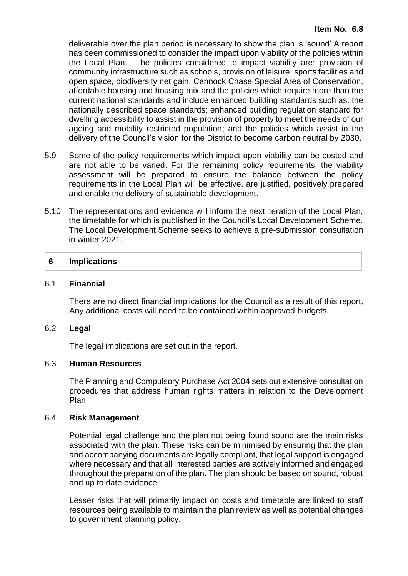deliverable over the plan period is necessary to show the plan is 'sound' A report has been commissioned to consider the impact upon viability of the policies within the Local Plan. The policies considered to impact viability are: provision of community infrastructure such as schools, provision of leisure, sports facilities and open space, biodiversity net gain, Cannock Chase Special Area of Conservation, affordable housing and housing mix and the policies which require more than the current national standards and include enhanced building standards such as: the nationally described space standards; enhanced building regulation standard for dwelling accessibility to assist in the provision of property to meet the needs of our ageing and mobility restricted population; and the policies which assist in the delivery of the Council's vision for the District to become carbon neutral by 2030.

- 5.9 Some of the policy requirements which impact upon viability can be costed and are not able to be varied. For the remaining policy requirements, the viability assessment will be prepared to ensure the balance between the policy requirements in the Local Plan will be effective, are justified, positively prepared and enable the delivery of sustainable development.
- 5.10 The representations and evidence will inform the next iteration of the Local Plan, the timetable for which is published in the Council's Local Development Scheme. The Local Development Scheme seeks to achieve a pre-submission consultation in winter 2021.

#### **6 Implications**

#### 6.1 **Financial**

There are no direct financial implications for the Council as a result of this report. Any additional costs will need to be contained within approved budgets.

#### 6.2 **Legal**

The legal implications are set out in the report.

#### 6.3 **Human Resources**

The Planning and Compulsory Purchase Act 2004 sets out extensive consultation procedures that address human rights matters in relation to the Development Plan.

#### 6.4 **Risk Management**

Potential legal challenge and the plan not being found sound are the main risks associated with the plan. These risks can be minimised by ensuring that the plan and accompanying documents are legally compliant, that legal support is engaged where necessary and that all interested parties are actively informed and engaged throughout the preparation of the plan. The plan should be based on sound, robust and up to date evidence.

Lesser risks that will primarily impact on costs and timetable are linked to staff resources being available to maintain the plan review as well as potential changes to government planning policy.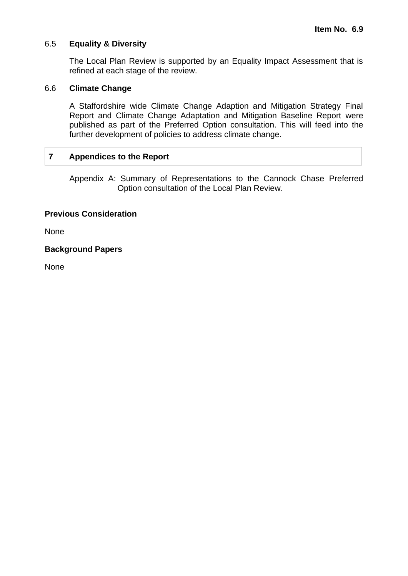#### 6.5 **Equality & Diversity**

The Local Plan Review is supported by an Equality Impact Assessment that is refined at each stage of the review.

#### 6.6 **Climate Change**

A Staffordshire wide Climate Change Adaption and Mitigation Strategy Final Report and Climate Change Adaptation and Mitigation Baseline Report were published as part of the Preferred Option consultation. This will feed into the further development of policies to address climate change.

#### **7 Appendices to the Report**

Appendix A: Summary of Representations to the Cannock Chase Preferred Option consultation of the Local Plan Review.

#### **Previous Consideration**

None

**Background Papers**

**None**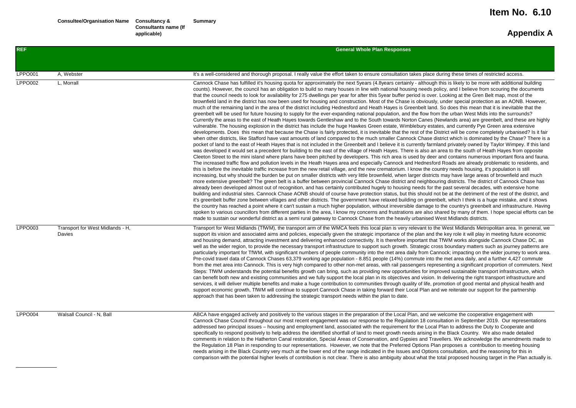| <b>REF</b>     |                                            | <b>General Whole Plan Responses</b>                                                                                                                                                                                                                                                                                                                                                                                                                                                                                                                                                                                                                                                                                                                                                                                                                                                                                                                                                                                                                                                                                                                                                                                                                                                                                                                                                                                                                                                                                                                                                                                                                                                                                                                                                                                                                                                                                                                                                                                                                                                                                                                                                                                                                                                                                                                                                                                                                                                                                                                                                                                                                                                                                                                                                                                                                                                                                                                                                                                                                                                                                                                                                                                                                                                                                                                                                                                                                                                                                                                                                                                                                                                                                                                                                                                                                            |
|----------------|--------------------------------------------|----------------------------------------------------------------------------------------------------------------------------------------------------------------------------------------------------------------------------------------------------------------------------------------------------------------------------------------------------------------------------------------------------------------------------------------------------------------------------------------------------------------------------------------------------------------------------------------------------------------------------------------------------------------------------------------------------------------------------------------------------------------------------------------------------------------------------------------------------------------------------------------------------------------------------------------------------------------------------------------------------------------------------------------------------------------------------------------------------------------------------------------------------------------------------------------------------------------------------------------------------------------------------------------------------------------------------------------------------------------------------------------------------------------------------------------------------------------------------------------------------------------------------------------------------------------------------------------------------------------------------------------------------------------------------------------------------------------------------------------------------------------------------------------------------------------------------------------------------------------------------------------------------------------------------------------------------------------------------------------------------------------------------------------------------------------------------------------------------------------------------------------------------------------------------------------------------------------------------------------------------------------------------------------------------------------------------------------------------------------------------------------------------------------------------------------------------------------------------------------------------------------------------------------------------------------------------------------------------------------------------------------------------------------------------------------------------------------------------------------------------------------------------------------------------------------------------------------------------------------------------------------------------------------------------------------------------------------------------------------------------------------------------------------------------------------------------------------------------------------------------------------------------------------------------------------------------------------------------------------------------------------------------------------------------------------------------------------------------------------------------------------------------------------------------------------------------------------------------------------------------------------------------------------------------------------------------------------------------------------------------------------------------------------------------------------------------------------------------------------------------------------------------------------------------------------------------------------------------------------|
|                |                                            |                                                                                                                                                                                                                                                                                                                                                                                                                                                                                                                                                                                                                                                                                                                                                                                                                                                                                                                                                                                                                                                                                                                                                                                                                                                                                                                                                                                                                                                                                                                                                                                                                                                                                                                                                                                                                                                                                                                                                                                                                                                                                                                                                                                                                                                                                                                                                                                                                                                                                                                                                                                                                                                                                                                                                                                                                                                                                                                                                                                                                                                                                                                                                                                                                                                                                                                                                                                                                                                                                                                                                                                                                                                                                                                                                                                                                                                                |
| <b>LPPO001</b> | A, Webster                                 | It's a well-considered and thorough proposal. I really value the effort taken to ensure consultation takes place during these times of restricted access.                                                                                                                                                                                                                                                                                                                                                                                                                                                                                                                                                                                                                                                                                                                                                                                                                                                                                                                                                                                                                                                                                                                                                                                                                                                                                                                                                                                                                                                                                                                                                                                                                                                                                                                                                                                                                                                                                                                                                                                                                                                                                                                                                                                                                                                                                                                                                                                                                                                                                                                                                                                                                                                                                                                                                                                                                                                                                                                                                                                                                                                                                                                                                                                                                                                                                                                                                                                                                                                                                                                                                                                                                                                                                                      |
| LPPO002        | L. Morrall                                 | Cannock Chase has fulfilled it's housing quota for approximately the next 5years (4.8years certainly - although this is likely to be more with additional building<br>counts). However, the council has an obligation to build so many houses in line with national housing needs policy, and I believe from scouring the documents<br>that the council needs to look for availability for 275 dwellings per year for after this 5year buffer period is over. Looking at the Gren Belt map, most of the<br>brownfield land in the district has now been used for housing and construction. Most of the Chase is obviously, under special protection as an AONB. However,<br>much of the remaining land in the area of the district including Hednesford and Heath Hayes is Greenbelt land. So does this mean that it is inevitable that the<br>greenbelt will be used for future housing to supply for the ever-expanding national population, and the flow from the urban West Mids into the surrounds?<br>Currently the areas to the east of Heath Hayes towards Gentleshaw and to the South towards Norton Canes (Newlands area) are greenbelt, and these are highly<br>vulnerable. The housing explosion in the district has include the huge Hawkes Green estate, Wimblebury estates, and currently Pye Green area extensive<br>developments. Does this mean that because the Chase is fairly protected, it is inevitable that the rest of the District will be come completely urbanised? Is it fair<br>when other districts, like Stafford have vast amounts of land compared to the much smaller Cannock Chase district which is dominated by the Chase? There is a<br>pocket of land to the east of Heath Hayes that is not included in the Greenbelt and I believe it is currently farmland privately owned by Taylor Wimpey. If this land<br>was developed it would set a precedent for building to the east of the village of Heath Hayes. There is also an area to the south of Heath Hayes from opposite<br>Cleeton Street to the mini island where plans have been pitched by developers. This rich area is used by deer and contains numerous important flora and fauna.<br>The increased traffic flow and pollution levels in the Heath Hayes area and especially Cannock and Hednesford Roads are already problematic to residents, and<br>this is before the inevitable traffic increase from the new retail village, and the new crematorium. I know the country needs housing, it's population is still<br>increasing, but why should the burden be put on smaller districts with very little brownfield, when larger districts may have large areas of brownfield and much<br>more extensive greenbelt? The green belt is a buffer between provincial Cannock Chase district and neighbouring districts. The district of Cannock Chase has<br>already been developed almost out of recognition, and has certainly contributed hugely to housing needs for the past several decades, with extensive home<br>building and industrial sites. Cannock Chase AONB should of course have protection status, but this should not be at the detriment of the rest of the district, and<br>it's greenbelt buffer zone between villages and other districts. The government have relaxed building on greenbelt, which I think is a huge mistake, and it shows<br>the country has reached a point where it can't sustain a much higher population, without irreversible damage to the country's greenbelt and infrastructure. Having<br>spoken to various councillors from different parties in the area, I know my concerns and frustrations are also shared by many of them. I hope special efforts can be<br>made to sustain our wonderful district as a semi rural gateway to Cannock Chase from the heavily urbanised West Midlands districts. |
| LPPO003        | Transport for West Midlands - H,<br>Davies | Transport for West Midlands (TfWM), the transport arm of the WMCA feels this local plan is very relevant to the West Midlands Metropolitan area. In general, we<br>support its vision and associated aims and policies, especially given the strategic importance of the plan and the key role it will play in meeting future economic<br>and housing demand, attracting investment and delivering enhanced connectivity. It is therefore important that TfWM works alongside Cannock Chase DC, as<br>well as the wider region, to provide the necessary transport infrastructure to support such growth. Strategic cross boundary matters such as journey patterns are<br>particularly important for TfWM, with significant numbers of people community into the met area daily from Cannock; impacting on the wider journey to work area.<br>Pre-covid travel data of Cannock Chases 63,379 working age population - 8.851 people (14%) commute into the met area daily, and a further 4,427 commute<br>from the met area into Cannock. This is very high compared to other non-met areas, with rail passengers representing a significant proportion of commuters. Next<br>Steps: TfWM understands the potential benefits growth can bring, such as providing new opportunities for improved sustainable transport infrastructure, which<br>can benefit both new and existing communities and we fully support the local plan in its objectives and vision. In delivering the right transport infrastructure and<br>services, it will deliver multiple benefits and make a huge contribution to communities through quality of life, promotion of good mental and physical health and<br>support economic growth, TfWM will continue to support Cannock Chase in taking forward their Local Plan and we reiterate our support for the partnership<br>approach that has been taken to addressing the strategic transport needs within the plan to date.                                                                                                                                                                                                                                                                                                                                                                                                                                                                                                                                                                                                                                                                                                                                                                                                                                                                                                                                                                                                                                                                                                                                                                                                                                                                                                                                                                                                                                                                                                                                                                                                                                                                                                                                                                                                                                                                                                      |
| LPPO004        | Walsall Council - N. Ball                  | ABCA have engaged actively and positively to the various stages in the preparation of the Local Plan, and we welcome the cooperative engagement with<br>Cannock Chase Council throughout our most recent engagement was our response to the Regulation 18 consultation in September 2019. Our representations<br>addressed two principal issues – housing and employment land, associated with the requirement for the Local Plan to address the Duty to Cooperate and<br>specifically to respond positively to help address the identified shortfall of land to meet growth needs arising in the Black Country. We also made detailed<br>comments in relation to the Hatherton Canal restoration, Special Areas of Conservation, and Gypsies and Travellers. We acknowledge the amendments made to<br>the Regulation 18 Plan in responding to our representations. However, we note that the Preferred Options Plan proposes a contribution to meeting housing<br>needs arising in the Black Country very much at the lower end of the range indicated in the Issues and Options consultation, and the reasoning for this in<br>comparison with the potential higher levels of contribution is not clear. There is also ambiguity about what the total proposed housing target in the Plan actually is.                                                                                                                                                                                                                                                                                                                                                                                                                                                                                                                                                                                                                                                                                                                                                                                                                                                                                                                                                                                                                                                                                                                                                                                                                                                                                                                                                                                                                                                                                                                                                                                                                                                                                                                                                                                                                                                                                                                                                                                                                                                                                                                                                                                                                                                                                                                                                                                                                                                                                                                                                       |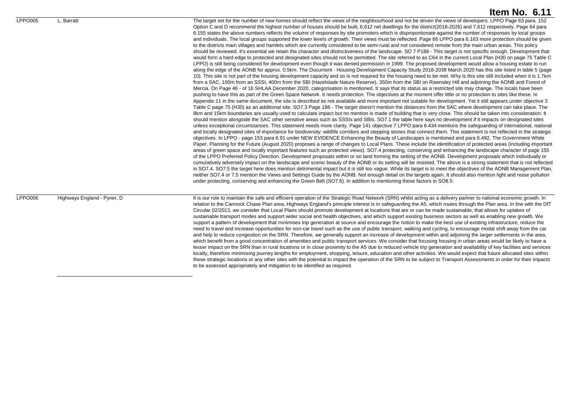LPPO005 L, Barratt Letter the target set for the number of new homes should reflect the views of the neighbourhood and not be driven the views of developers. LPPO Page 63 para. 152 Option C and D recommend the highest number of houses should be built, 6,612 net dwellings for the district(2018-2026) and 7,612 respectively. Page 64 para 6.155 states the above numbers reflects the volume of responses by site promoters which is disproportionate against the number of responses by local groups and individuals. The local groups supported the lower levels of growth. Their views must be reflected. Page 66 LPPO para 6.163 more protection should be given to the districts main villages and hamlets which are currently considered to be semi-rural and not considered remote from the main urban areas. This policy should be reviewed. It's essential we retain the character and distinctiveness of the landscape. SO 7 P188 - This target is not specific enough. Development that would form a hard edge to protected and designated sites should not be permitted. The site referred to as C64 in the current Local Plan (H30 on page 75 Table C LPPO) is still being considered for development even though it was denied permission in 1999. The proposed development would allow a housing estate to run along the edge of the AONB for approx. 0.5km. The Document - Housing Development Capacity Study 2018-2038 March 2020 has this site listed in table 5 (page 10). This site is not part of the housing development capacity and so is not required for the housing need to be met. Why is this site still included when it is 1.7km from a SAC, 100m from an SSSI, 400m from the SBI (Hazelslade Nature Reserve), 350m from the SBI on Rawnsley Hill and adjoining the AONB and Forest of Mercia. On Page 46 - of 16 SHLAA December 2020, categorisation is mentioned. It says that its status as a restricted site may change. The locals have been pushing to have this as part of the Green Space Network. It needs protection. The objectives at the moment offer little or no protection to sites like these. In Appendix 11 in the same document, the site is described as not available and more important not suitable for development. Yet it still appears under objective 3 Table C page 75 (H30) as an additional site. SO7.3 Page 188 - The target doesn't mention the distances from the SAC where development can take place. The 8km and 15km boundaries are usually used to calculate impact but no mention is made of building that is very close. This should be taken into consideration. It should mention alongside the SAC other sensitive areas such as SSSIs and SBIs. SO7.1 the table here says no development if it impacts on designated sites unless exceptional circumstances. This statement needs more clarity. Page 141 objective 7 LPPO para 6.434 mentions the safeguarding of international, national and locally designated sites of importance for biodiversity: wildlife corridors and stepping stones that connect them. This statement is not reflected in the strategic objectives. In LPPO - page 153 para 6.91 under NEW EVIDENCE Enhancing the Beauty of Landscapes is mentioned and para 6.492, The Government White Paper, Planning for the Future (August 2020) proposes a range of changes to Local Plans. These include the identification of protected areas (including important areas of green space and locally important features such as protected views). SO7.4 protecting, conserving and enhancing the landscape character of page 155 of the LPPO Preferred Policy Direction. Development proposals within or on land forming the setting of the AONB. Development proposals which individually or cumulatively adversely impact on the landscape and scenic beauty of the AONB or its setting will be resisted. The above is a strong statement that is not reflected in SO7.4. SO7.5 the target here does mention detrimental impact but it is still too vague. While its target is to meet the objectives of the AONB Management Plan neither SO7.4 or 7.5 mention the Views and Settings Guide by the AONB. Not enough detail on the targets again. It should also mention light and noise pollution under protecting, conserving and enhancing the Green Belt (SO7.6). In addition to mentioning these factors in SO8.5.

LPPO006 Highways England - Pyner, D It is our role to maintain the safe and efficient operation of the Strategic Road Network (SRN) whilst acting as a delivery partner to national economic growth. In relation to the Cannock Chase Plan area, Highways England's principle interest is in safeguarding the A5, which routes through the Plan area. In line with the DfT Circular 02/2013, we consider that Local Plans should promote development at locations that are or can be made sustainable, that allows for uptakes of sustainable transport modes and support wider social and health objectives, and which support existing business sectors as well as enabling new growth. We support a pattern of development that minimises trip generation at source and encourage the notion to make the best use of existing infrastructure, reduce the need to travel and increase opportunities for non-car travel such as the use of public transport, walking and cycling, to encourage modal shift away from the car and help to reduce congestion on the SRN. Therefore, we generally support an increase of development within and adjoining the larger settlements in the area which benefit from a good concentration of amenities and public transport services. We consider that focusing housing in urban areas would be likely to have a lesser impact on the SRN than in rural locations or in close proximity to the A5 due to reduced vehicle trip generation and availability of key facilities and services locally, therefore minimising journey lengths for employment, shopping, leisure, education and other activities. We would expect that future allocated sites within these strategic locations or any other sites with the potential to impact the operation of the SRN to be subject to Transport Assessments in order for their impacts to be assessed appropriately and mitigation to be identified as required.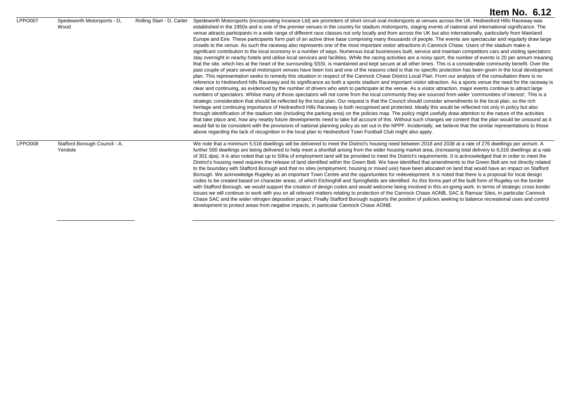|         |                                          |                           | Item No. $6.12$                                                                                                                                                                                                                                                                                                                                                                                                                                                                                                                                                                                                                                                                                                                                                                                                                                                                                                                                                                                                                                                                                                                                                                                                                                                                                                                                                                                                                                                                                                                                                                                                                                                                                                                                                                                                                                                                                                                                                                                                                                                                                                                                                                                                                                                                                                                                                                                                                                                                                                                                                                                                                                                                                                                                                                                                                                                                                                                                                                                                                                                                                                                                                                   |
|---------|------------------------------------------|---------------------------|-----------------------------------------------------------------------------------------------------------------------------------------------------------------------------------------------------------------------------------------------------------------------------------------------------------------------------------------------------------------------------------------------------------------------------------------------------------------------------------------------------------------------------------------------------------------------------------------------------------------------------------------------------------------------------------------------------------------------------------------------------------------------------------------------------------------------------------------------------------------------------------------------------------------------------------------------------------------------------------------------------------------------------------------------------------------------------------------------------------------------------------------------------------------------------------------------------------------------------------------------------------------------------------------------------------------------------------------------------------------------------------------------------------------------------------------------------------------------------------------------------------------------------------------------------------------------------------------------------------------------------------------------------------------------------------------------------------------------------------------------------------------------------------------------------------------------------------------------------------------------------------------------------------------------------------------------------------------------------------------------------------------------------------------------------------------------------------------------------------------------------------------------------------------------------------------------------------------------------------------------------------------------------------------------------------------------------------------------------------------------------------------------------------------------------------------------------------------------------------------------------------------------------------------------------------------------------------------------------------------------------------------------------------------------------------------------------------------------------------------------------------------------------------------------------------------------------------------------------------------------------------------------------------------------------------------------------------------------------------------------------------------------------------------------------------------------------------------------------------------------------------------------------------------------------------|
| LPPO007 | Spedeworth Motorsports - D.<br>Wood      | Rolling Start - D. Carter | Spedeworth Motorsports (incorporating Incarace Ltd) are promoters of short circuit oval motorsports at venues across the UK. Hednesford Hills Raceway was<br>established in the 1950s and is one of the premier venues in the country for stadium motorsports, staging events of national and international significance. The<br>venue attracts participants in a wide range of different race classes not only locally and from across the UK but also internationally, particularly from Mainland<br>Europe and Eire. These participants form part of an active drive base comprising many thousands of people. The events are spectacular and regularly draw large<br>crowds to the venue. As such the raceway also represents one of the most important visitor attractions in Cannock Chase. Users of the stadium make a<br>significant contribution to the local economy in a number of ways. Numerous local businesses built, service and maintain competitors cars and visiting spectators<br>stay overnight in nearby hotels and utilise local services and facilities. While the racing activities are a noisy sport, the number of events is 20 per annum meaning<br>that the site, which lies at the heart of the surrounding SSSI, is maintained and kept secure at all other times. This is a considerable community benefit. Over the<br>past couple of years several motorsport venues have been lost and one of the reasons cited is that no specific protection has been given in the local development<br>plan. This representation seeks to remedy this situation in respect of the Cannock Chase District Local Plan. From our analysis of the consultation there is no<br>reference to Hednesford hills Raceway and its significance as both a sports stadium and important visitor attraction. As a sports venue the need for the raceway is<br>clear and continuing, as evidenced by the number of drivers who wish to participate at the venue. As a visitor attraction, major events continue to attract large<br>numbers of spectators. Whilse many of those spectators will not come from the local community they are sourced from wider 'communities of interest'. This is a<br>strategic consideration that should be reflected by the local plan. Our request is that the Council should consider amendments to the local plan, so the rich<br>heritage and continuing importance of Hednesford Hills Raceway is both recognised and protected. Ideally this would be reflected not only in policy but also<br>through identification of the stadium site (including the parking area) on the policies map. The policy might usefully draw attention to the nature of the activities<br>that take place and, how any nearby future developments need to take full account of this. Without such changes we content that the plan would be unsound as it<br>would fail to be consistent with the provisions of national planning policy as set out in the NPPF. Incidentally, we believe that the similar representations to those<br>above regarding the lack of recognition in the local plan to Hednesford Town Football Club might also apply. |
| LPPO008 | Stafford Borough Council - A,<br>Yendole |                           | We note that a minimum 5,516 dwellings will be delivered to meet the District's housing need between 2018 and 2038 at a rate of 276 dwellings per annum. A<br>further 500 dwellings are being delivered to help meet a shortfall arising from the wider housing market area, (increasing total delivery to 6,016 dwellings at a rate<br>of 301 dpa). It is also noted that up to 50ha of employment land will be provided to meet the District's requirements. It is acknowledged that in order to meet the<br>District's housing need requires the release of land identified within the Green Belt. We have identified that amendments to the Green Belt are not directly related<br>to the boundary with Stafford Borough and that no sites (employment, housing or mixed use) have been allocated on land that would have an impact on Stafford<br>Borough. We acknowledge Rugeley as an important Town Centre and the opportunities for redevelopment. It is noted that there is a proposal for local design<br>codes to be created based on character areas, of which Etchinghill and Springfields are identified. As this forms part of the built form of Rugeley on the border<br>with Stafford Borough, we would support the creation of design codes and would welcome being involved in this on-going work. In terms of strategic cross border<br>issues we will continue to work with you on all relevant matters relating to protection of the Cannock Chase AONB, SAC & Ramsar Sites, in particular Cannock<br>Chase SAC and the wider nitrogen deposition project. Finally Stafford Borough supports the position of policies seeking to balance recreational uses and control<br>development to protect areas from negative impacts, in particular Cannock Chase AONB.                                                                                                                                                                                                                                                                                                                                                                                                                                                                                                                                                                                                                                                                                                                                                                                                                                                                                                                                                                                                                                                                                                                                                                                                                                                                                                                                                                                            |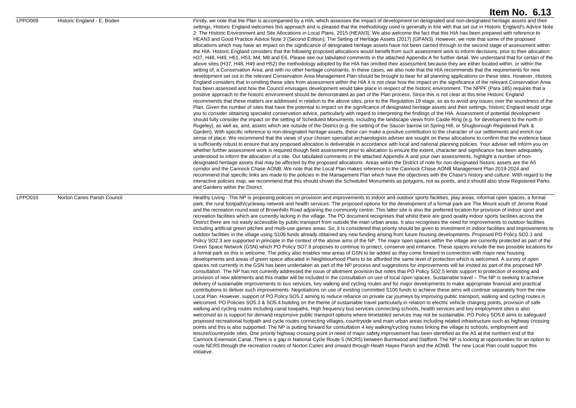settings. Historic England welcomes this approach and is pleased that the methodology used is generally in line with that set out in Historic England's Advice Note 2: The Historic Environment and Site Allocations in Local Plans, 2015 (HEAN3). We also welcome the fact that this HIA has been prepared with reference to HEAN3 and Good Practice Advice Note 3 (Second Edition): The Setting of Heritage Assets (2017) (GPAN3). However, we note that some of the proposed allocations which may have an impact on the significance of designated heritage assets have not been carried through to the second stage of assessment within the HIA. Historic England considers that the following proposed allocations would benefit from such assessment work to inform decisions, prior to their allocation: H37, H48, H49, H51, H53, M4, M8 and E6. Please see our tabulated comments in the attached Appendix A for further detail. We understand that for certain of the above sites (H37, H48, H49 and H52) the methodology adopted by the HIA has omitted their assessment because they are either located within, or within the setting of, a Conservation Area, and with no other heritage constraints. In these cases, we also note that the HIA recommends that the requirements for new development set out in the relevant Conservation Area Management Plan should be brought to bear for all planning applications on these sites. However, Historic England considers that in omitting these sites from assessment within the HIA it is not clear how the impact on the significance of the relevant Conservation Area has been assessed and how the Council envisages development would take place in respect of the historic environment. The NPPF (Para 185) requires that a positive approach to the historic environment should be demonstrated as part of the Plan process. Since this is not clear at this time Historic England recommends that these matters are addressed in relation to the above sites, prior to the Regulation 19 stage, so as to avoid any issues over the soundness of the Plan. Given the number of sites that have the potential to impact on the significance of designated heritage assets and their settings, historic England would urge you to consider obtaining specialist conservation advice, particularly with regard to interpreting the findings of the HIA. Assessment of potential development should fully consider the impact on the setting of Scheduled Monuments, including the landscape views from Castle Ring (e.g. for development to the north in Rugeley), as well as, and, assets which are outside of the District (e.g. the setting of the Saucer barrow on Spring Hill, or Shugborough Registered Park & Garden). With specific reference to non-designated heritage assets, these can make a positive contribution to the character of our settlements and enrich our sense of place. We recommend that the views of your chosen specialist archaeologists adviser are sought on these allocations to confirm that the evidence base is sufficiently robust to ensure that any proposed allocation is deliverable in accordance with local and national planning policies. Your adviser will inform you on whether further assessment work is required though field assessment prior to allocation to ensure the extent, character and significance has been adequately understood to inform the allocation of a site. Our tabulated comments in the attached Appendix A and your own assessments, highlight a number of nondesignated heritage assets that may be affected by the proposed allocations. Areas within the District of note for non-designated historic assets are the A5 corridor and the Cannock Chase AONB. We note that the Local Plan makes reference to the Cannock Chase AONB Management Plan 2019-2024 and recommend that specific links are made to the policies in the Management Plan which have the objectives with the Chase's history and culture. With regard to the interactive policies map, we recommend that this should shown the Scheduled Monuments as polygons, not as points, and it should also show Registered Parks and Gardens within the District.

LPPO010 Norton Canes Parish Council **Example 19 Healthy Living - The NP** is proposing policies on provision and improvements to indoor and outdoor sports facilities, play areas, informal open spaces, a formal park, the rural footpath/cycleway network and health services. The proposed options for the development of a formal park are The Mount south of Jerome Road and the recreation round east of Brownhills Road adjoining the community centre. This latter site is also the preferred location for provision of indoor sport and recreation facilities which are currently lacking in the village. The PO document recognises that whilst there are good quality indoor sports facilities across the District there are not easily accessible by public transport from outside the main urban areas. It also recognises the need for improvements to outdoor facilities including artificial green pitches and multi-use games areas. So, it is considered that priority should be given to investment in indoor facilities and improvements to outdoor facilities in the village using S106 funds already obtained any new funding arising from future housing developments. Proposed PO Policy SO2.1 and Policy SO2.3 are supported in principle in the context of the above aims of the NP. The major open spaces within the village are currently protected as part of the Green Space Network (GSN) which PO Policy SO7.8 proposes to continue to protect, conserve and enhance. These spaces include the two possible locations for a formal park so this is welcome. The policy also enables new areas of GSN to be added as they come forward in connection with major new housing developments and areas of green space allocated in Neighbourhood Plans to be afforded the same level of protection which is welcomed. A survey of open spaces not currently in the GSN has been undertaken as part of the NP process and suggestions for improvements will be invited as part of the proposed NP consultation. The NP has not currently addressed the issue of allotment provision but notes that PO Policy SO2.5 lends support to protection of existing and provision of new allotments and this matter will be included in the consultation on use of local open spaces. Sustainable travel – The NP is seeking to achieve delivery of sustainable improvements to bus services, key walking and cycling routes and for major developments to make appropriate financial and practical contributions to deliver such improvements. Negotiations on use of existing committed S106 funds to achieve these aims will continue separately from the new Local Plan. However, support of PO Policy SO5.2 aiming to reduce reliance on private car journeys by improving public transport, walking and cycling routes is welcomed. PO Policies SO5.3 & SO5.4 building on the theme of sustainable travel particularly in relation to electric vehicle charging points, provision of safe walking and cycling routes including canal towpaths. High frequency bus services connecting schools, health services and key employment sites is also welcomed as is support for demand responsive public transport options where timetabled services may not be sustainable. PO Policy SO5.6 aims to safeguard proposed recreational footpath and cycle routes connecting villages, countryside and main urban areas including related infrastructure such as highway crossing points and this is also supported. The NP is putting forward for consultation 4 key walking/cycling routes linking the village to schools, employment and leisure/countryside sites. One priority highway crossing point in need of major safety improvement has been identified as the A5 at the northern end of the Cannock Extension Canal. There is a gap in National Cycle Route 5 (NCR5) between Burntwood and Stafford. The NP is looking at opportunities for an option to route NCR5 through the recreation routes of Norton Canes and onward through Heath Hayes Parish and the AONB. The new Local Plan could support this initiative.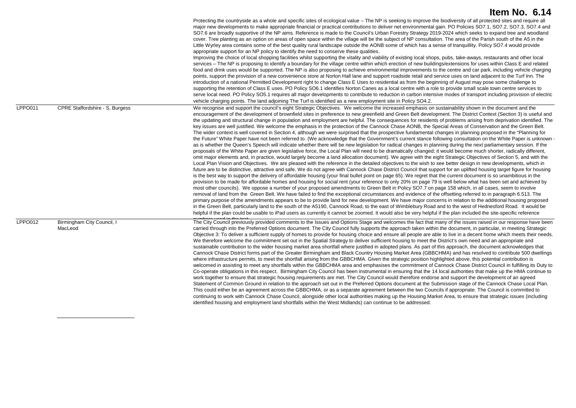|         |                                       | Protecting the countryside as a whole and specific sites of ecological value – The NP is seeking to improve the biodiversity of all protected sites and require all<br>major new developments to make appropriate financial or practical contributions to deliver net environmental gain. PO Policies SO7.1, SO7.2, SO7.3, SO7.4 and<br>SO7.6 are broadly supportive of the NP aims. Reference is made to the Council's Urban Forestry Strategy 2019-2024 which seeks to expand tree and woodland<br>cover. Tree planting as an option on areas of open space within the village will be the subject of NP consultation. The area of the Parish south of the A5 in the<br>Little Wyrley area contains some of the best quality rural landscape outside the AONB some of which has a sense of tranquillity. Policy SO7.4 would provide<br>appropriate support for an NP policy to identify the need to conserve these qualities.<br>Improving the choice of local shopping facilities whilst supporting the vitality and viability of existing local shops, pubs, take-aways, restaurants and other local<br>services – The NP is proposing to identify a boundary for the village centre within which erection of new buildings/extensions for uses within Class E and related<br>food and drink uses would be supported. The NP is also proposing to achieve environmental improvements to the centre and car park, including vehicle charging<br>points, support the provision of a new convenience store at Norton Hall lane and support roadside retail and service uses on land adjacent to the Turf Inn. The<br>introduction of a national Permitted Development right to change Class E Uses to residential as from the beginning of August may pose some challenge to<br>supporting the retention of Class E uses. PO Policy SO6.1 identifies Norton Canes as a local centre with a role to provide small scale town centre services to<br>serve local need. PO Policy SO5.1 requires all major developments to contribute to reduction in carbon intensive modes of transport including provision of electric<br>vehicle charging points. The land adjoining The Turf is identified as a new employment site in Policy SO4.2.                                                                                                                                                                                                                                                                                                                                                                                                                                                                                                                                                                                                                                                                                                                                                                             |
|---------|---------------------------------------|--------------------------------------------------------------------------------------------------------------------------------------------------------------------------------------------------------------------------------------------------------------------------------------------------------------------------------------------------------------------------------------------------------------------------------------------------------------------------------------------------------------------------------------------------------------------------------------------------------------------------------------------------------------------------------------------------------------------------------------------------------------------------------------------------------------------------------------------------------------------------------------------------------------------------------------------------------------------------------------------------------------------------------------------------------------------------------------------------------------------------------------------------------------------------------------------------------------------------------------------------------------------------------------------------------------------------------------------------------------------------------------------------------------------------------------------------------------------------------------------------------------------------------------------------------------------------------------------------------------------------------------------------------------------------------------------------------------------------------------------------------------------------------------------------------------------------------------------------------------------------------------------------------------------------------------------------------------------------------------------------------------------------------------------------------------------------------------------------------------------------------------------------------------------------------------------------------------------------------------------------------------------------------------------------------------------------------------------------------------------------------------------------------------------------------------------------------------------------------------------------------------------------------------------------------------------------------------------------------------------------------------------------------------------------------------------------------------------------------------------------------------------------------------------------------------------------------------------------------------------------------------------------------------------------------------------------------------------------------------------------------------------|
| LPPO011 | CPRE Staffordshire - S, Burgess       | We recognise and support the council's eight Strategic Objectives. We welcome the increased emphasis on sustainability shown in the document and the<br>encouragement of the development of brownfield sites in preference to new greenfield and Green Belt development. The District Context (Section 3) is useful and<br>the updating and structural change in population and employment are helpful. The consequences for residents of problems arising from deprivation identified. The<br>key issues are well justified. We welcome the emphasis in the protection of the Cannock Chase AONB, the Special Areas of Conservation and the Green Belt.<br>The wider context is well covered in Section 4, although we were surprised that the prospective fundamental changes in planning proposed in the "Planning for<br>the Future" White Paper have not been referred to. (We acknowledge that the Government's current stance following consultation on the White Paper is unknown -<br>as is whether the Queen's Speech will indicate whether there will be new legislation for radical changes in planning during the next parliamentary session. If the<br>proposals of the White Paper are given legislative force, the Local Plan will need to be dramatically changed; it would become much shorter, radically different,<br>omit major elements and, in practice, would largely become a land allocation document). We agree with the eight Strategic Objectives of Section 5, and with the<br>Local Plan Vision and Objectives. We are pleased with the reference in the detailed objectives to the wish to see better design in new developments, which in<br>future are to be distinctive, attractive and safe. We do not agree with Cannock Chase District Council that support for an uplifted housing target figure for housing<br>is the best way to support the delivery of affordable housing (your final bullet point on page 65). We regret that the current document is so unambitious in the<br>provision to be made for affordable homes and housing for social rent (your reference to only 20% on page 79 is well below what has been set and achieved by<br>most other councils). We oppose a number of your proposed amendments to Green Belt in Policy SO7.7 on page 158 which, in all cases, seem to involve<br>removal of land from the Green Belt. We have failed to find the exceptional circumstances and evidence of the offsetting referred to in paragraph 6.513. The<br>primary purpose of the amendments appears to be to provide land for new development. We have major concerns in relation to the additional housing proposed<br>in the Green Belt, particularly land to the south of the A5190, Cannock Road, to the east of Wimblebury Road and to the west of Hednesford Road. It would be<br>helpful if the plan could be usable to iPad users as currently it cannot be zoomed. It would also be very helpful if the plan included the site-specific reference |
| LPPO012 | Birmingham City Council, I<br>MacLeod | The City Council previously provided comments to the Issues and Options Stage and welcomes the fact that many of the issues raised in our response have been<br>carried through into the Preferred Options document. The City Council fully supports the approach taken within the document, in particular, in meeting Strategic<br>Objective 3: To deliver a sufficient supply of homes to provide for housing choice and ensure all people are able to live in a decent home which meets their needs.<br>We therefore welcome the commitment set out in the Spatial Strategy to deliver sufficient housing to meet the District's own need and an appropriate and<br>sustainable contribution to the wider housing market area shortfall where justified in adopted plans. As part of this approach, the document acknowledges that<br>Cannock Chase District forms part of the Greater Birmingham and Black Country Housing Market Area (GBBCHMA) and has resolved to contribute 500 dwellings<br>where infrastructure permits, to meet the shortfall arising from the GBBCHMA. Given the strategic position highlighted above, this potential contribution is<br>welcomed in assisting to meet any shortfalls within the GBBCHMA area and emphasises the commitment of Cannock Chase District Council in fulfilling its Duty to<br>Co-operate obligations in this respect. Birmingham City Council has been instrumental in ensuring that the 14 local authorities that make up the HMA continue to<br>work together to ensure that strategic housing requirements are met. The City Council would therefore endorse and support the development of an agreed<br>Statement of Common Ground in relation to the approach set out in the Preferred Options document at the Submission stage of the Cannock Chase Local Plan.<br>This could either be an agreement across the GBBCHMA, or as a separate agreement between the two Councils if appropriate. The Council is committed to<br>continuing to work with Cannock Chase Council, alongside other local authorities making up the Housing Market Area, to ensure that strategic issues (including<br>identified housing and employment land shortfalls within the West Midlands) can continue to be addressed.                                                                                                                                                                                                                                                                                                                                                                                                                                                                                                                                                                                                                                                                                                                                             |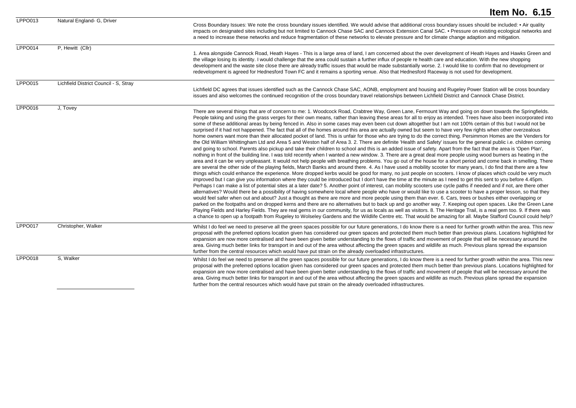|                |                                       | Item No. 6.15                                                                                                                                                                                                                                                                                                                                                                                                                                                                                                                                                                                                                                                                                                                                                                                                                                                                                                                                                                                                                                                                                                                                                                                                                                                                                                                                                                                                                                                                                                                                                                                                                                                                                                                                                                                                                                                                                                                                                                                                                                                                                                                                                                                                                                                                                                                                                                                                                                                                                                                                                                                                                                                                                                                                                                                                                                                                                                                                                                                                                                             |
|----------------|---------------------------------------|-----------------------------------------------------------------------------------------------------------------------------------------------------------------------------------------------------------------------------------------------------------------------------------------------------------------------------------------------------------------------------------------------------------------------------------------------------------------------------------------------------------------------------------------------------------------------------------------------------------------------------------------------------------------------------------------------------------------------------------------------------------------------------------------------------------------------------------------------------------------------------------------------------------------------------------------------------------------------------------------------------------------------------------------------------------------------------------------------------------------------------------------------------------------------------------------------------------------------------------------------------------------------------------------------------------------------------------------------------------------------------------------------------------------------------------------------------------------------------------------------------------------------------------------------------------------------------------------------------------------------------------------------------------------------------------------------------------------------------------------------------------------------------------------------------------------------------------------------------------------------------------------------------------------------------------------------------------------------------------------------------------------------------------------------------------------------------------------------------------------------------------------------------------------------------------------------------------------------------------------------------------------------------------------------------------------------------------------------------------------------------------------------------------------------------------------------------------------------------------------------------------------------------------------------------------------------------------------------------------------------------------------------------------------------------------------------------------------------------------------------------------------------------------------------------------------------------------------------------------------------------------------------------------------------------------------------------------------------------------------------------------------------------------------------------------|
| LPPO013        | Natural England- G, Driver            | Cross Boundary Issues: We note the cross boundary issues identified. We would advise that additional cross boundary issues should be included: • Air quality<br>impacts on designated sites including but not limited to Cannock Chase SAC and Cannock Extension Canal SAC. • Pressure on existing ecological networks and<br>a need to increase these networks and reduce fragmentation of these networks to elevate pressure and for climate change adaption and mitigation.                                                                                                                                                                                                                                                                                                                                                                                                                                                                                                                                                                                                                                                                                                                                                                                                                                                                                                                                                                                                                                                                                                                                                                                                                                                                                                                                                                                                                                                                                                                                                                                                                                                                                                                                                                                                                                                                                                                                                                                                                                                                                                                                                                                                                                                                                                                                                                                                                                                                                                                                                                            |
| LPPO014        | P, Hewitt (Cllr)                      | 1. Area alongside Cannock Road, Heath Hayes - This is a large area of land, I am concerned about the over development of Heath Hayes and Hawks Green and<br>the village losing its identity. I would challenge that the area could sustain a further influx of people re health care and education. With the new shopping<br>development and the waste site close there are already traffic issues that would be made substantially worse. 2. I would like to confirm that no development or<br>redevelopment is agreed for Hednesford Town FC and it remains a sporting venue. Also that Hednesford Raceway is not used for development.                                                                                                                                                                                                                                                                                                                                                                                                                                                                                                                                                                                                                                                                                                                                                                                                                                                                                                                                                                                                                                                                                                                                                                                                                                                                                                                                                                                                                                                                                                                                                                                                                                                                                                                                                                                                                                                                                                                                                                                                                                                                                                                                                                                                                                                                                                                                                                                                                 |
| <b>LPPO015</b> | Lichfield District Council - S, Stray | Lichfield DC agrees that issues identified such as the Cannock Chase SAC, AONB, employment and housing and Rugeley Power Station will be cross boundary<br>issues and also welcomes the continued recognition of the cross boundary travel relationships between Lichfield District and Cannock Chase District.                                                                                                                                                                                                                                                                                                                                                                                                                                                                                                                                                                                                                                                                                                                                                                                                                                                                                                                                                                                                                                                                                                                                                                                                                                                                                                                                                                                                                                                                                                                                                                                                                                                                                                                                                                                                                                                                                                                                                                                                                                                                                                                                                                                                                                                                                                                                                                                                                                                                                                                                                                                                                                                                                                                                           |
| <b>LPPO016</b> | J, Tovey                              | There are several things that are of concern to me: 1. Woodcock Road, Crabtree Way, Green Lane, Fermount Way and going on down towards the Springfields.<br>People taking and using the grass verges for their own means, rather than leaving these areas for all to enjoy as intended. Trees have also been incorporated into<br>some of these additional areas by being fenced in. Also in some cases may even been cut down altogether but I am not 100% certain of this but I would not be<br>surprised if it had not happened. The fact that all of the homes around this area are actually owned but seem to have very few rights when other overzealous<br>home owners want more than their allocated pocket of land. This is unfair for those who are trying to do the correct thing. Persimmon Homes are the Venders for<br>the Old William Whittingham Ltd and Area 5 and Weston half of Area 3. 2. There are definite 'Health and Safety' issues for the general public i.e. children coming<br>and going to school. Parents also pickup and take their children to school and this is an added issue of safety. Apart from the fact that the area is 'Open Plan',<br>nothing in front of the building line. I was told recently when I wanted a new window. 3. There are a great deal more people using wood burners as heating in the<br>area and it can be very unpleasant. It would not help people with breathing problems. You go out of the house for a short period and come back in smelling. There<br>are several the other side of the playing fields, March Banks and around there. 4. As I have used a mobility scooter for many years, I do find that there are a few<br>things which could enhance the experience. More dropped kerbs would be good for many, no just people on scooters. I know of places which could be very much<br>improved but I can give you information where they could be introduced but I don't have the time at the minute as I need to get this sent to you before 4.45pm.<br>Perhaps I can make a list of potential sites at a later date? 5. Another point of interest, can mobility scooters use cycle paths if needed and if not, are there other<br>alternatives? Would there be a possibility of having somewhere local where people who have or would like to use a scooter to have a proper lesson, so that they<br>would feel safer when out and about? Just a thought as there are more and more people using them than ever. 6. Cars, trees or bushes either overlapping or<br>parked on the footpaths and on dropped kerns and there are no alternatives but to back up and go another way. 7. Keeping out open spaces. Like the Green Lane<br>Playing Fields and Harley Fields. They are real gems in our community, for us as locals as well as visitors. 8. The Heritage Trail, is a real gem too. 9. If there was<br>a chance to open up a footpath from Rugeley to Wolseley Gardens and the Wildlife Centre etc. That would be amazing for all. Maybe Stafford Council could help? |
| LPPO017        | Christopher, Walker                   | Whilst I do feel we need to preserve all the green spaces possible for our future generations, I do know there is a need for further growth within the area. This new<br>proposal with the preferred options location given has considered our green spaces and protected them much better than previous plans. Locations highlighted for<br>expansion are now more centralised and have been given better understanding to the flows of traffic and movement of people that will be necessary around the<br>area. Giving much better links for transport in and out of the area without affecting the green spaces and wildlife as much. Previous plans spread the expansion<br>further from the central resources which would have put strain on the already overloaded infrastructures.                                                                                                                                                                                                                                                                                                                                                                                                                                                                                                                                                                                                                                                                                                                                                                                                                                                                                                                                                                                                                                                                                                                                                                                                                                                                                                                                                                                                                                                                                                                                                                                                                                                                                                                                                                                                                                                                                                                                                                                                                                                                                                                                                                                                                                                                |
| LPPO018        | S, Walker                             | Whilst I do feel we need to preserve all the green spaces possible for our future generations, I do know there is a need for further growth within the area. This new<br>proposal with the preferred options location given has considered our green spaces and protected them much better than previous plans. Locations highlighted for<br>expansion are now more centralised and have been given better understanding to the flows of traffic and movement of people that will be necessary around the<br>area. Giving much better links for transport in and out of the area without affecting the green spaces and wildlife as much. Previous plans spread the expansion<br>further from the central resources which would have put strain on the already overloaded infrastructures.                                                                                                                                                                                                                                                                                                                                                                                                                                                                                                                                                                                                                                                                                                                                                                                                                                                                                                                                                                                                                                                                                                                                                                                                                                                                                                                                                                                                                                                                                                                                                                                                                                                                                                                                                                                                                                                                                                                                                                                                                                                                                                                                                                                                                                                                |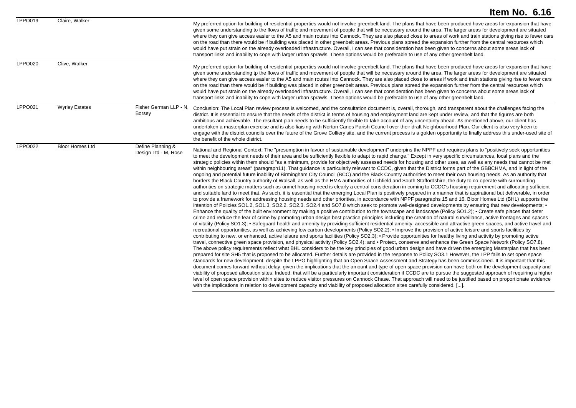| LPPO019        | Claire, Walker         |                                           | My preferred option for building of residential properties would not involve greenbelt land. The plans that have been produced have areas for expansion that have<br>given some understanding to the flows of traffic and movement of people that will be necessary around the area. The larger areas for development are situated<br>where they can give access easier to the A5 and main routes into Cannock. They are also placed close to areas of work and train stations giving rise to fewer cars<br>on the road than there would be if building was placed in other greenbelt areas. Previous plans spread the expansion further from the central resources which<br>would have put strain on the already overloaded infrastructure. Overall, I can see that consideration has been given to concerns about some areas lack of<br>transport links and inability to cope with larger urban sprawls. These options would be preferable to use of any other greenbelt land.                                                                                                                                                                                                                                                                                                                                                                                                                                                                                                                                                                                                                                                                                                                                                                                                                                                                                                                                                                                                                                                                                                                                                                                                                                                                                                                                                                                                                                                                                                                                                                                                                                                                                                                                                                                                                                                                                                                                                                                                                                                                                                                                                                                                                                                                                                                                                                                                                                                                                                                                                                                                                                                                                                                                                                                                                                                                 |
|----------------|------------------------|-------------------------------------------|--------------------------------------------------------------------------------------------------------------------------------------------------------------------------------------------------------------------------------------------------------------------------------------------------------------------------------------------------------------------------------------------------------------------------------------------------------------------------------------------------------------------------------------------------------------------------------------------------------------------------------------------------------------------------------------------------------------------------------------------------------------------------------------------------------------------------------------------------------------------------------------------------------------------------------------------------------------------------------------------------------------------------------------------------------------------------------------------------------------------------------------------------------------------------------------------------------------------------------------------------------------------------------------------------------------------------------------------------------------------------------------------------------------------------------------------------------------------------------------------------------------------------------------------------------------------------------------------------------------------------------------------------------------------------------------------------------------------------------------------------------------------------------------------------------------------------------------------------------------------------------------------------------------------------------------------------------------------------------------------------------------------------------------------------------------------------------------------------------------------------------------------------------------------------------------------------------------------------------------------------------------------------------------------------------------------------------------------------------------------------------------------------------------------------------------------------------------------------------------------------------------------------------------------------------------------------------------------------------------------------------------------------------------------------------------------------------------------------------------------------------------------------------------------------------------------------------------------------------------------------------------------------------------------------------------------------------------------------------------------------------------------------------------------------------------------------------------------------------------------------------------------------------------------------------------------------------------------------------------------------------------------------------------------------------------------------------------------------------------------------------------------------------------------------------------------------------------------------------------------------------------------------------------------------------------------------------------------------------------------------------------------------------------------------------------------------------------------------------------------------------------------------------------------------------------------------------------------------|
| <b>LPPO020</b> | Clive, Walker          |                                           | My preferred option for building of residential properties would not involve greenbelt land. The plans that have been produced have areas for expansion that have<br>given some understanding tp the flows of traffic and movement of people that will be necessary around the area. The larger areas for development are situated<br>where they can give access easier to the A5 and main routes into Cannock. They are also placed close to areas if work and train stations giving rise to fewer cars<br>on the road than there would be if building was placed in other greenbelt areas. Previous plans spread the expansion further from the central resources which<br>would have put strain on the already overloaded infrastructure. Overall, I can see that consideration has been given to concerns about some areas lack of<br>transport links and inability to cope with larger urban sprawls. These options would be preferable to use of any other greenbelt land.                                                                                                                                                                                                                                                                                                                                                                                                                                                                                                                                                                                                                                                                                                                                                                                                                                                                                                                                                                                                                                                                                                                                                                                                                                                                                                                                                                                                                                                                                                                                                                                                                                                                                                                                                                                                                                                                                                                                                                                                                                                                                                                                                                                                                                                                                                                                                                                                                                                                                                                                                                                                                                                                                                                                                                                                                                                                 |
| <b>LPPO021</b> | <b>Wyrley Estates</b>  | Fisher German LLP - N.<br><b>Borsey</b>   | Conclusion: The Local Plan review process is welcomed, and the consultation document is, overall, thorough, and transparent about the challenges facing the<br>district. It is essential to ensure that the needs of the district in terms of housing and employment land are kept under review, and that the figures are both<br>ambitious and achievable. The resultant plan needs to be sufficiently flexible to take account of any uncertainty ahead. As mentioned above, our client has<br>undertaken a masterplan exercise and is also liaising with Norton Canes Parish Council over their draft Neighbourhood Plan. Our client is also very keen to<br>engage with the district councils over the future of the Grove Colliery site, and the current process is a golden opportunity to finally address this under-used site of<br>the benefit of the whole district.                                                                                                                                                                                                                                                                                                                                                                                                                                                                                                                                                                                                                                                                                                                                                                                                                                                                                                                                                                                                                                                                                                                                                                                                                                                                                                                                                                                                                                                                                                                                                                                                                                                                                                                                                                                                                                                                                                                                                                                                                                                                                                                                                                                                                                                                                                                                                                                                                                                                                                                                                                                                                                                                                                                                                                                                                                                                                                                                                                   |
| <b>LPPO022</b> | <b>Bloor Homes Ltd</b> | Define Planning &<br>Design Ltd - M, Rose | National and Regional Context: The "presumption in favour of sustainable development" underpins the NPPF and requires plans to "positively seek opportunities<br>to meet the development needs of their area and be sufficiently flexible to adapt to rapid change." Except in very specific circumstances, local plans and the<br>strategic policies within them should "as a minimum, provide for objectively assessed needs for housing and other uses, as well as any needs that cannot be met<br>within neighbouring areas" (paragraph11). That guidance is particularly relevant to CCDC, given that the District forms part of the GBBCHMA, and in light of the<br>ongoing and potential future inability of Birmingham City Council (BCC) and the Black Country authorities to meet their own housing needs. As an authority that<br>borders the Black Country authority of Walsall, as well as the HMA authorities of Lichfield and South Staffordshire, the duty to co-operate with surrounding<br>authorities on strategic matters such as unmet housing need is clearly a central consideration in coming to CCDC's housing requirement and allocating sufficient<br>and suitable land to meet that. As such, it is essential that the emerging Local Plan is positively prepared in a manner that is aspirational but deliverable, in order<br>to provide a framework for addressing housing needs and other priorities, in accordance with NPPF paragraphs 15 and 16. Bloor Homes Ltd (BHL) supports the<br>intention of Policies SO1.2, SO1.3, SO2.2, SO2.3, SO2.4 and SO7.8 which seek to promote well-designed developments by ensuring that new developments; •<br>Enhance the quality of the built environment by making a positive contribution to the townscape and landscape (Policy SO1.2); • Create safe places that deter<br>crime and reduce the fear of crime by promoting urban design best practice principles including the creation of natural surveillance, active frontages and spaces<br>of vitality (Policy SO1.3); • Safeguard health and amenity by providing sufficient residential amenity, accessible and attractive green spaces, and active travel and<br>recreational opportunities, as well as achieving low carbon developments (Policy SO2.2); • Improve the provision of active leisure and sports facilities by<br>contributing to new, or enhanced, active leisure and sports facilities (Policy SO2.3); • Provide opportunities for healthy living and activity by promoting active<br>travel, connective green space provision, and physical activity (Policy SO2.4); and • Protect, conserve and enhance the Green Space Network (Policy SO7.8).<br>The above policy requirements reflect what BHL considers to be the key principles of good urban design and have driven the emerging Masterplan that has been<br>prepared for site SH5 that is proposed to be allocated. Further details are provided in the response to Policy SO3.1 However, the LPP fails to set open space<br>standards for new development, despite the LPPO highlighting that an Open Space Assessment and Strategy has been commissioned. It is important that this<br>document comes forward without delay, given the implications that the amount and type of open space provision can have both on the development capacity and<br>viability of proposed allocation sites. Indeed, that will be a particularly important consideration if CCDC are to pursue the suggested approach of requiring a higher<br>level of open space provision within sites to reduce visitor pressures on Cannock Chase. That approach will need to be justified based on proportionate evidence<br>with the implications in relation to development capacity and viability of proposed allocation sites carefully considered. []. |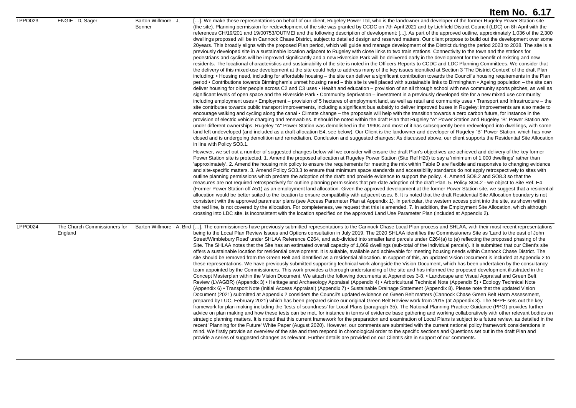|         |                                         |                                | Item No. 6.17                                                                                                                                                                                                                                                                                                                                                                                                                                                                                                                                                                                                                                                                                                                                                                                                                                                                                                                                                                                                                                                                                                                                                                                                                                                                                                                                                                                                                                                                                                                                                                                                                                                                                                                                                                                                                                                                                                                                                                                                                                                                                                                                                                                                                                                                                                                                                                                                                                                                                                                                                                                                                                                                                                                                                                                                                                                                                                                                                                                                                                                                                                                                                                                                                                                                                                                                                                                                     |
|---------|-----------------------------------------|--------------------------------|-------------------------------------------------------------------------------------------------------------------------------------------------------------------------------------------------------------------------------------------------------------------------------------------------------------------------------------------------------------------------------------------------------------------------------------------------------------------------------------------------------------------------------------------------------------------------------------------------------------------------------------------------------------------------------------------------------------------------------------------------------------------------------------------------------------------------------------------------------------------------------------------------------------------------------------------------------------------------------------------------------------------------------------------------------------------------------------------------------------------------------------------------------------------------------------------------------------------------------------------------------------------------------------------------------------------------------------------------------------------------------------------------------------------------------------------------------------------------------------------------------------------------------------------------------------------------------------------------------------------------------------------------------------------------------------------------------------------------------------------------------------------------------------------------------------------------------------------------------------------------------------------------------------------------------------------------------------------------------------------------------------------------------------------------------------------------------------------------------------------------------------------------------------------------------------------------------------------------------------------------------------------------------------------------------------------------------------------------------------------------------------------------------------------------------------------------------------------------------------------------------------------------------------------------------------------------------------------------------------------------------------------------------------------------------------------------------------------------------------------------------------------------------------------------------------------------------------------------------------------------------------------------------------------------------------------------------------------------------------------------------------------------------------------------------------------------------------------------------------------------------------------------------------------------------------------------------------------------------------------------------------------------------------------------------------------------------------------------------------------------------------------------------------------|
| LPPO023 | ENGIE - D. Sager                        | Barton Willmore - J.<br>Bonner | []. We make these representations on behalf of our client, Rugeley Power Ltd, who is the landowner and developer of the former Rugeley Power Station site<br>(the site). Planning permission for redevelopment of the site was granted by CCDC on 7th April 2021 and by Lichfield District Council (LDC) on 8h April with the<br>references CH/19/201 and 19/00753/OUTMEI and the following description of development: []. As part of the approved outline, approximately 1,036 of the 2,300<br>dwellings proposed will be in Cannock Chase District, subject to detailed design and reserved matters. Our client propose to build out the development over some<br>20years. This broadly aligns with the proposed Plan period, which will guide and manage development of the District during the period 2023 to 2038. The site is a<br>previously developed site in a sustainable location adjacent to Rugeley with close links to two train stations. Connectivity to the town and the stations for<br>pedestrians and cyclists will be improved significantly and a new Riverside Park will be delivered early in the development for the benefit of existing and new<br>residents. The locational characteristics and sustainability of the site is noted in the Officers Reports to CCDC and LDC Planning Committees. We consider that<br>the delivery of this mixed-use development at the site could help to address many of the key issues identified at Section 3 'The District Context' of the draft Plan<br>including: • Housing need, including for affordable housing – the site can deliver a significant contribution towards the Council's housing requirements in the Plan<br>period • Contributions towards Birmingham's unmet housing need – this site is well placed with sustainable links to Birmingham • Ageing population – the site can<br>deliver housing for older people across C2 and C3 uses • Health and education – provision of an all through school with new community sports pitches, as well as<br>significant levels of open space and the Riverside Park • Community deprivation – investment in a previously developed site for a new mixed use community<br>including employment uses • Employment – provision of 5 hectares of employment land, as well as retail and community uses • Transport and Infrastructure – the<br>site contributes towards public transport improvements, including a significant bus subsidy to deliver improved buses in Rugeley; improvements are also made to<br>encourage walking and cycling along the canal • Climate change – the proposals will help with the transition towards a zero carbon future, for instance in the<br>provision of electric vehicle charging and renewables. It should be noted within the draft Plan that Rugeley "A" Power Station and Rugeley "B" Power Station are<br>under different ownerships. Rugeley "A" Power Station was demolished in the 1990s and most of it has subsequently been redeveloped into dwellings, with some<br>land left undeveloped (and included as a draft allocation E4, see below). Our Client is the landowner and developer of Rugeley "B" Power Station, which has now<br>closed and is undergoing demolition and remediation. Conclusion and suggested changes: As discussed above, our client supports the Residential Site Allocation<br>in line with Policy SO3.1. |
|         |                                         |                                | However, we set out a number of suggested changes below will we consider will ensure the draft Plan's objectives are achieved and delivery of the key former<br>Power Station site is protected. 1. Amend the proposed allocation at Rugeley Power Station (Site Ref H20) to say a 'minimum of 1,000 dwellings' rather than<br>'approximately'. 2. Amend the housing mix policy to ensure the requirements for meeting the mix within Table D are flexible and responsive to changing evidence<br>and site-specific matters. 3. Amend Policy SO3.3 to ensure that minimum space standards and accessibility standards do not apply retrospectively to sites with<br>outline planning permissions which predate the adoption of the draft: and provide evidence to support the policy. 4. Amend SO8.2 and SO8.3 so that the<br>measures are not required retrospectively for outline planning permissions that pre-date adoption of the draft Plan. 5. Policy SO4.2 - we object to Site Ref. E4<br>(Former Power Station off A51) as an employment land allocation. Given the approved development at the former Power Station site, we suggest that a residential<br>allocation would be better suited to the location to ensure compatibility with adjacent uses. 6. It is noted that the draft Residential Site Allocation boundary is not<br>consistent with the approved parameter plans (see Access Parameter Plan at Appendix 1). In particular, the western access point into the site, as shown within<br>the red line, is not covered by the allocation. For completeness, we request that this is amended. 7. In addition, the Employment Site Allocation, which although<br>crossing into LDC site, is inconsistent with the location specified on the approved Land Use Parameter Plan (included at Appendix 2).                                                                                                                                                                                                                                                                                                                                                                                                                                                                                                                                                                                                                                                                                                                                                                                                                                                                                                                                                                                                                                                                                                                                                                                                                                                                                                                                                                                                                                                                                                                                                                                      |
| LPPO024 | The Church Commissioners for<br>England |                                | Barton Willmore - A, Bird []. The commissioners have previously submitted representations to the Cannock Chase Local Plan process and SHLAA, with their most recent representations<br>being to the Local Plan Review Issues and Options consultation in July 2019. The 2020 SHLAA identifies the Commissioners Site as 'Land to the east of John<br>Street/Wimblebury Road' under SHLAA Reference C264, and sub-divided into smaller land parcels under C264(a) to (e) reflecting the proposed phasing of the<br>Site. The SHLAA notes that the Site has an estimated overall capacity of 1,069 dwellings (sub-total of the individual parcels). It is submitted that our Client's site<br>offers a sustainable location for residential development. It is suitable, available and achievable for meeting housing needs within Cannock Chase District. The<br>site should be removed from the Green Belt and identified as a residential allocation. In support of this, an updated Vision Document is included at Appendix 2 to<br>these representations. We have previously submitted supporting technical work alongside the Vision Document, which has been undertaken by the consultancy<br>team appointed by the Commissioners. This work provides a thorough understanding of the site and has informed the proposed development illustrated in the<br>Concept Masterplan within the Vision Document. We attach the following documents at Appendices 3-8. • Landscape and Visual Appraisal and Green Belt<br>Review (LVAGBR) (Appendix 3) • Heritage and Archaeology Appraisal (Appendix 4) • Arboricultural Technical Note (Appendix 5) • Ecology Technical Note<br>(Appendix 6) • Transport Note (Initial Access Appraisal) (Appendix 7) • Sustainable Drainage Statement (Appendix 8). Please note that the updated Vision<br>Document (2021) submitted at Appendix 2 considers the Council's updated evidence on Green Belt matters (Cannock Chase Green Belt Harm Assessment,<br>prepared by LUC, February 2021) which has been prepared since our original Green Belt Review work from 2015 (at Appendix 3). The NPPF sets out the key<br>framework for plan-making including the 'tests of soundness' for Local Plans (paragraph 35). The National Planning Practice Guidance (PPG) provides further<br>advice on plan making and how these tests can be met, for instance in terms of evidence base gathering and working collaboratively with other relevant bodies on<br>strategic planning matters. It is noted that this current framework for the preparation and examination of Local Plans is subject to a future review, as detailed in the<br>recent 'Planning for the Future' White Paper (August 2020). However, our comments are submitted with the current national policy framework considerations in<br>mind. We firstly provide an overview of the site and then respond in chronological order to the specific sections and Questions set out in the draft Plan and<br>provide a series of suggested changes as relevant. Further details are provided on our Client's site in support of our comments.                                                                                                                                                                                                                                                                        |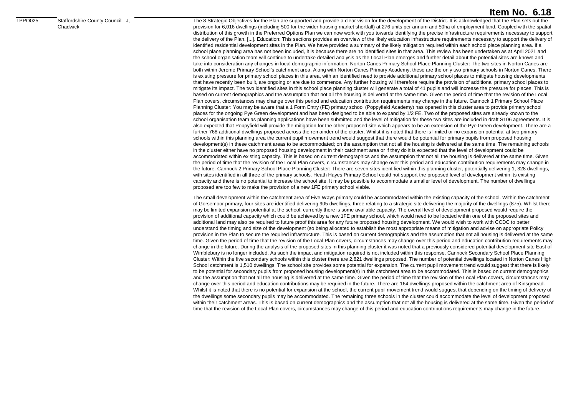LPPO025 Staffordshire County Council - J, Chadwick

### **Item No. 6.18**

The 8 Strategic Objectives for the Plan are supported and provide a clear vision for the development of the District. It is acknowledged that the Plan sets out the provision for 6,016 dwellings (including 500 for the wider housing market shortfall) at 276 units per annum and 50ha of employment land. Coupled with the spatial distribution of this growth in the Preferred Options Plan we can now work with you towards identifying the precise infrastructure requirements necessary to support the delivery of the Plan. [...]. Education: This sections provides an overview of the likely education infrastructure requirements necessary to support the delivery of identified residential development sites in the Plan. We have provided a summary of the likely mitigation required within each school place planning area. If a school place planning area has not been included, it is because there are no identified sites in that area. This review has been undertaken as at April 2021 and the school organisation team will continue to undertake detailed analysis as the Local Plan emerges and further detail about the potential sites are known and take into consideration any changes in local demographic information. Norton Canes Primary School Place Planning Cluster: The two sites in Norton Canes are both within Jerome Primary School's catchment area. Along with Norton Canes Primary Academy, these are the only two primary schools in Norton Canes. There is existing pressure for primary school places in this area, with an identified need to provide additional primary school places to mitigate housing developments that have recently been built, are ongoing or are due to commence. Any further housing will therefore require the provision of additional primary school places to mitigate its impact. The two identified sites in this school place planning cluster will generate a total of 41 pupils and will increase the pressure for places. This is based on current demographics and the assumption that not all the housing is delivered at the same time. Given the period of time that the revision of the Local Plan covers, circumstances may change over this period and education contribution requirements may change in the future. Cannock 1 Primary School Place Planning Cluster: You may be aware that a 1 Form Entry (FE) primary school (Poppyfield Academy) has opened in this cluster area to provide primary school places for the ongoing Pye Green development and has been designed to be able to expand by 1/2 FE. Two of the proposed sites are already known to the school organisation team as planning applications have been submitted and the level of mitigation for these two sites are included in draft S106 agreements. It is also expected that Poppyfield will provide the mitigation for the other proposed site which appears to be an extension of the Pye Green development. There are a further 768 additional dwellings proposed across the remainder of the cluster. Whilst it is noted that there is limited or no expansion potential at two primary schools within this planning area the current pupil movement trend would suggest that there would be potential for primary pupils from proposed housing development(s) in these catchment areas to be accommodated; on the assumption that not all the housing is delivered at the same time. The remaining schools in the cluster either have no proposed housing development in their catchment area or if they do it is expected that the level of development could be accommodated within existing capacity. This is based on current demographics and the assumption that not all the housing is delivered at the same time. Given the period of time that the revision of the Local Plan covers, circumstances may change over this period and education contribution requirements may change in the future. Cannock 2 Primary School Place Planning Cluster: There are seven sites identified within this planning cluster, potentially delivering 1, 328 dwellings, with sites identified in all three of the primary schools. Heath Hayes Primary School could not support the proposed level of development within its existing capacity and there is no potential to increase the school site. It may be possible to accommodate a smaller level of development. The number of dwellings proposed are too few to make the provision of a new 1FE primary school viable.

The small development within the catchment area of Five Ways primary could be accommodated within the existing capacity of the school. Within the catchment of Gorsemoor primary, four sites are identified delivering 905 dwellings, three relating to a strategic site delivering the majority of the dwellings (875). Whilst there may be limited expansion potential at the school, currently there is some available capacity. The overall level of development proposed would require the provision of additional capacity which could be achieved by a new 1FE primary school, which would need to be located within one of the proposed sites and additional land may also be required to future proof this area for any future proposed housing development. We would wish to work with CCDC to better understand the timing and size of the development (so being allocated to establish the most appropriate means of mitigation and advise on appropriate Policy provision in the Plan to secure the required infrastructure. This is based on current demographics and the assumption that not all housing is delivered at the same time. Given the period of time that the revision of the Local Plan covers, circumstances may change over this period and education contribution requirements may change in the future. During the analysis of the proposed sites in this planning cluster it was noted that a previously considered potential development site East of Wimblebury is no longer included. As such the impact and mitigation required is not included within this response. Cannock Secondary School Place Planning Cluster: Within the five secondary schools within this cluster there are 2,821 dwellings proposed. The number of potential dwellings located in Norton Canes High School catchment is 1,510 dwellings. The school site provides some potential for expansion. The current pupil movement trend would suggest that there is likely to be potential for secondary pupils from proposed housing development(s) in this catchment area to be accommodated. This is based on current demographics and the assumption that not all the housing is delivered at the same time. Given the period of time that the revision of the Local Plan covers, circumstances may change over this period and education contributions may be required in the future. There are 164 dwellings proposed within the catchment area of Kinsgmead. Whilst it is noted that there is no potential for expansion at the school, the current pupil movement trend would suggest that depending on the timing of delivery of the dwellings some secondary pupils may be accommodated. The remaining three schools in the cluster could accommodate the level of development proposed within their catchment areas. This is based on current demographics and the assumption that not all the housing is delivered at the same time. Given the period of time that the revision of the Local Plan covers, circumstances may change of this period and education contributions requirements may change in the future.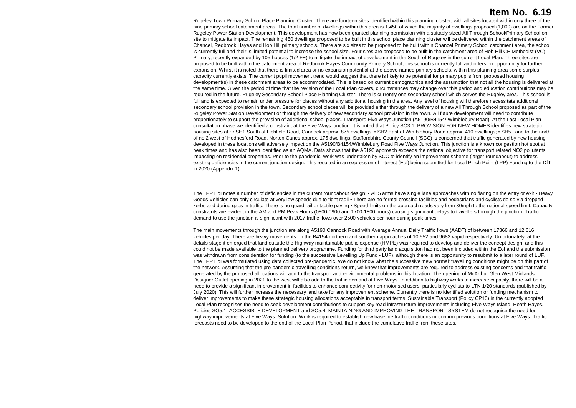Rugeley Town Primary School Place Planning Cluster: There are fourteen sites identified within this planning cluster, with all sites located within only three of the nine primary school catchment areas. The total number of dwellings within this area is 1,450 of which the majority of dwellings proposed (1,000) are on the Former Rugeley Power Station Development. This development has now been granted planning permission with a suitably sized All Through School/Primary School on site to mitigate its impact. The remaining 450 dwellings proposed to be built in this school place planning cluster will be delivered within the catchment areas of Chancel, Redbrook Hayes and Hob Hill primary schools. There are six sites to be proposed to be built within Chancel Primary School catchment area, the school is currently full and their is limited potential to increase the school size. Four sites are proposed to be built in the catchment area of Hob Hill CE Methodist (VC) Primary, recently expanded by 105 houses (1/2 FE) to mitigate the impact of development in the South of Rugeley in the current Local Plan. Three sites are proposed to be built within the catchment area of Redbrook Hayes Community Primary School, this school is currently full and offers no opportunity for further expansion. Whilst it is noted that there is limited area or no expansion potential at the above-named primary schools, within this planning area some surplus capacity currently exists. The current pupil movement trend would suggest that there is likely to be potential for primary pupils from proposed housing development(s) in these catchment areas to be accommodated. This is based on current demographics and the assumption that not all the housing is delivered at the same time. Given the period of time that the revision of the Local Plan covers, circumstances may change over this period and education contributions may be required in the future. Rugeley Secondary School Place Planning Cluster: There is currently one secondary school which serves the Rugeley area. This school is full and is expected to remain under pressure for places without any additional housing in the area. Any level of housing will therefore necessitate additional secondary school provision in the town. Secondary school places will be provided either through the delivery of a new All Through School proposed as part of the Rugeley Power Station Development or through the delivery of new secondary school provision in the town. All future development will need to contribute proportionately to support the provision of additional school places. Transport: Five Ways Junction (A5190/B4154/ Wimblebury Road): At the Last Local Plan consultation phase we identified a constraint at the Five Ways junction. It is noted that Policy SO3.1: PROVISION FOR NEW HOMES identifies new strategic housing sites at : • SH1 South of Lichfield Road, Cannock approx. 875 dwellings; • SH2 East of Wimblebury Road approx. 410 dwellings; • SH5 Land to the north of no.2 west of Hednesford Road, Norton Canes approx. 175 dwellings. Staffordshire County Council (SCC) is concerned that traffic generated by new housing developed in these locations will adversely impact on the A5190/B4154/Wimblebury Road Five Ways Junction. This junction is a known congestion hot spot at peak times and has also been identified as an AQMA. Data shows that the A5190 approach exceeds the national objective for transport related NO2 pollutants impacting on residential properties. Prior to the pandemic, work was undertaken by SCC to identify an improvement scheme (larger roundabout) to address existing deficiencies in the current junction design. This resulted in an expression of interest (EoI) being submitted for Local Pinch Point (LPP) Funding to the DfT in 2020 (Appendix 1).

The LPP EoI notes a number of deficiencies in the current roundabout design; • All 5 arms have single lane approaches with no flaring on the entry or exit • Heavy Goods Vehicles can only circulate at very low speeds due to tight radii • There are no formal crossing facilities and pedestrians and cyclists do so via dropped kerbs and during gaps in traffic. There is no quard rail or tactile paving • Speed limits on the approach roads vary from 30mph to the national speed limit. Capacity constraints are evident in the AM and PM Peak Hours (0800-0900 and 1700-1800 hours) causing significant delays to travellers through the junction. Traffic demand to use the junction is significant with 2017 traffic flows over 2500 vehicles per hour during peak times.

The main movements through the junction are along A5190 Cannock Road with Average Annual Daily Traffic flows (AADT) of between 17366 and 12,616 vehicles per day. There are heavy movements on the B4154 northern and southern approaches of 10,552 and 9682 vapid respectively. Unfortunately, at the details stage it emerged that land outside the Highway maintainable public expense (HMPE) was required to develop and deliver the concept design, and this could not be made available to the planned delivery programme. Funding for third party land acquisition had not been included within the EoI and the submission was withdrawn from consideration for funding (to the successive Levelling Up Fund - LUF), although there is an opportunity to resubmit to a later round of LUF. The LPP EoI was formulated using data collected pre-pandemic. We do not know what the successive 'new normal' travelling conditions might be on this part of the network. Assuming that the pre-pandemic travelling conditions return, we know that improvements are required to address existing concerns and that traffic generated by the proposed allocations will add to the transport and environmental problems in this location. The opening of McArthur Glen West Midlands Designer Outlet opening in 2021 to the west will also add to the traffic demand at Five Ways. In addition to highway works to increase capacity, there will be a need to provide a significant improvement in facilities to enhance connectivity for non-motorised users, particularly cyclists to LTN 1/20 standards (published by July 2020). This will further increase the necessary land take for any improvement scheme. Currently there is no identified solution or funding mechanism to deliver improvements to make these strategic housing allocations acceptable in transport terms. Sustainable Transport (Policy CP10) in the currently adopted Local Plan recognises the need to seek development contributions to support key road infrastructure improvements including Five Ways Island, Heath Hayes. Policies SO5.1: ACCESSIBLE DEVELOPMENT and SO5.4: MAINTAINING AND IMPROVING THE TRANSPORT SYSTEM do not recognise the need for highway improvements at Five Ways. Solution: Work is required to establish new baseline traffic conditions or confirm previous conditions at Five Ways. Traffic forecasts need to be developed to the end of the Local Plan Period, that include the cumulative traffic from these sites.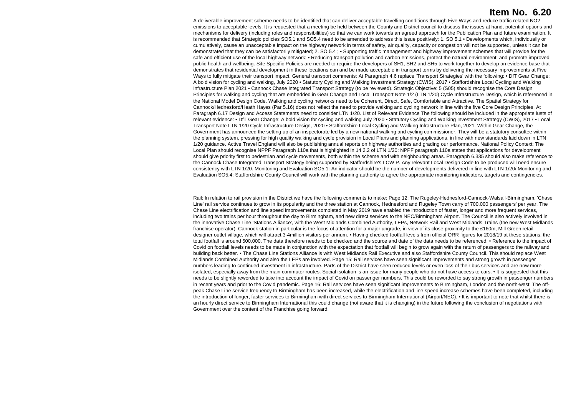A deliverable improvement scheme needs to be identified that can deliver acceptable travelling conditions through Five Ways and reduce traffic related NO2 emissions to acceptable levels. It is requested that a meeting be held between the County and District council to discuss the issues at hand, potential options and mechanisms for delivery (including roles and responsibilities) so that we can work towards an agreed approach for the Publication Plan and future examination. It is recommended that Strategic policies SO5.1 and SO5.4 need to be amended to address this issue positively: 1. SO 5.1 • Developments which, individually or cumulatively, cause an unacceptable impact on the highway network in terms of safety, air quality, capacity or congestion will not be supported, unless it can be demonstrated that they can be satisfactorily mitigated; 2. SO 5.4 ; • Supporting traffic management and highway improvement schemes that will provide for the safe and efficient use of the local highway network; • Reducing transport pollution and carbon emissions, protect the natural environment, and promote improved public health and wellbeing. Site Specific Policies are needed to require the developers of SH1, SH2 and SH5 to work together to develop an evidence base that demonstrates that residential development in these locations can and be made acceptable in transport terms by delivering the necessary improvements at Five Ways to fully mitigate their transport impact. General transport comments: At Paragraph 4.6 replace 'Transport Strategies' with the following: • DfT Gear Change: A bold vision for cycling and walking, July 2020 • Statutory Cycling and Walking Investment Strategy (CWIS), 2017 • Staffordshire Local Cycling and Walking Infrastructure Plan 2021 • Cannock Chase Integrated Transport Strategy (to be reviewed). Strategic Objective: 5 (S05) should recognise the Core Design Principles for walking and cycling that are embedded in Gear Change and Local Transport Note 1/2 (LTN 1/20) Cycle Infrastructure Design, which is referenced in the National Model Design Code. Walking and cycling networks need to be Coherent, Direct, Safe, Comfortable and Attractive. The Spatial Strategy for Cannock/Hednesford/Heath Hayes (Par 5.16) does not reflect the need to provide walking and cycling network in line with the five Core Design Principles. At Paragraph 6.17 Design and Access Statements need to consider LTN 1/20. List of Relevant Evidence The following should be included in the appropriate lusts of relevant evidence: • DfT Gear Change: A bold vision for cycling and walking July 2020 • Statutory Cycling and Walking Investment Strategy (CWIS), 2017 • Local Transport Note LTN 1/20 Cycle Infrastructure Design, 2020 • Staffordshire Local Cycling and Walking Infrastructure Plan, 2021. Within Gear Change, the Government has announced the setting up of an inspectorate led by a new national walking and cycling commissioner. They will be a statutory consultee within the planning system, pressing for high quality walking and cycle provision in Local Plans and planning applications, in line with new standards laid down in LTN 1/20 guidance. Active Travel England will also be publishing annual reports on highway authorities and grading our performance. National Policy Context: The Local Plan should recognise NPPF Paragraph 110a that is highlighted in 14.2.2 of LTN 1/20: NPPF paragraph 110a states that applications for development should give priority first to pedestrian and cycle movements, both within the scheme and with neighbouring areas. Paragraph 6.335 should also make reference to the Cannock Chase Integrated Transport Strategy being supported by Staffordshire's LCWIP. Any relevant Local Design Code to be produced will need ensure consistency with LTN 1/20. Monitoring and Evaluation SO5.1: An indicator should be the number of developments delivered in line with LTN 1/20/ Monitoring and Evaluation SO5.4: Staffordshire County Council will work with the planning authority to agree the appropriate monitoring indicators, targets and contingencies.

Rail: In relation to rail provision in the District we have the following comments to make: Page 12: The Rugeley-Hednesford-Cannock-Walsall-Birmingham, 'Chase Line' rail service continues to grow in its popularity and the three station at Cannock, Hednesford and Rugeley Town carry of 700,000 passengers' per year. The Chase Line electrification and line speed improvements completed in May 2019 have enabled the introduction of faster, longer and more frequent services, including two trains per hour throughout the day to Birmingham, and new direct services to the NEC/Birmingham Airport. The Council is also actively involved in the innovative Chase Line 'Stations Alliance', with the West Midlands Combined Authority, LEPs, Network Rail and West Midlands Trains (the new West Midlands franchise operator). Cannock station in particular is the focus of attention for a major upgrade, in view of its close proximity to the £160m, Mill Green retail designer outlet village, which will attract 3-4million visitors per annum. • Having checked footfall levels from official ORR figures for 2018/19 at these stations, the total footfall is around 500,000. The data therefore needs to be checked and the source and date of the data needs to be referenced. • Reference to the impact of Covid on footfall levels needs to be made in conjunction with the expectation that footfall will begin to grow again with the return of passengers to the railway and building back better. • The Chase Line Stations Alliance is with West Midlands Rail Executive and also Staffordshire County Council. This should replace West Midlands Combined Authority and also the LEPs are involved. Page 15: Rail services have seen significant improvements and strong growth in passenger numbers leading to continued investment in infrastructure. Parts of the District have seen reduced levels or even loss of their bus services and are now more isolated, especially away from the main commuter routes. Social isolation is an issue for many people who do not have access to cars. • It is suggested that this needs to be slightly reworded to take into account the impact of Covid on passenger numbers. This could be reworded to say strong growth in passenger numbers in recent years and prior to the Covid pandemic. Page 16: Rail services have seen significant improvements to Birmingham, London and the north-west. The offpeak Chase Line service frequency to Birmingham has been increased, while the electrification and line speed increase schemes have been completed, including the introduction of longer, faster services to Birmingham with direct services to Birmingham International (Airport/NEC). • It is important to note that whilst there is an hourly direct service to Birmingham International this could change (not aware that it is changing) in the future following the conclusion of negotiations with Government over the content of the Franchise going forward.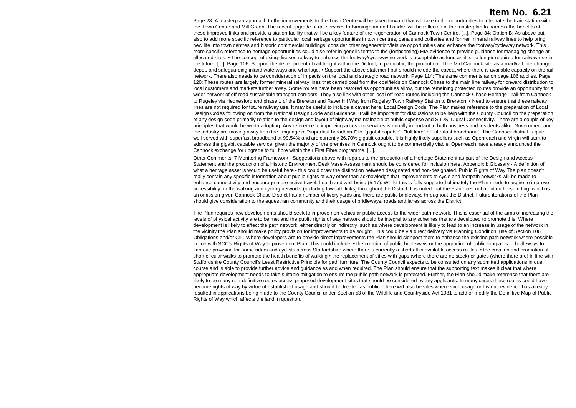Page 28: A masterplan approach to the improvements to the Town Centre will be taken forward that will take in the opportunities to integrate the train station with the Town Centre and Mill Green. The recent upgrade of rail services to Birmingham and London will be reflected in the masterplan to harness the benefits of these improved links and provide a station facility that will be a key feature of the regeneration of Cannock Town Centre. [...]. Page 34: Option B: As above but also to add more specific reference to particular local heritage opportunities in town centres, canals and collieries and former mineral railway lines to help bring new life into town centres and historic commercial buildings, consider other regeneration/leisure opportunities and enhance the footway/cycleway network. This more specific reference to heritage opportunities could also refer in generic terms to the (forthcoming) HIA evidence to provide guidance for managing change at allocated sites. • The concept of using disused railway to enhance the footway/cycleway network is acceptable as long as it is no longer required for railway use in the future. [...]. Page 106: Support the development of rail freight within the District, in particular, the promotion of the Mid-Cannock site as a road/rail interchange depot, and safeguarding inland waterways and wharfage. • Support the above statement but should include the caveat where there is available capacity on the rail network. There also needs to be consideration of impacts on the local and strategic road network. Page 114: The same comments as on page 106 applies. Page 120: These routes are largely former mineral railway lines that carried coal from the coalfields on Cannock Chase to the main line railway for onward distribution to local customers and markets further away. Some routes have been restored as opportunities allow, but the remaining protected routes provide an opportunity for a wider network of off-road sustainable transport corridors. They also link with other local off-road routes including the Cannock Chase Heritage Trail from Cannock to Rugeley via Hednesford and phase 1 of the Brereton and Ravenhill Way from Rugeley Town Railway Station to Brereton. • Need to ensure that these railway lines are not required for future railway use. It may be useful to include a caveat here. Local Design Code: The Plan makes reference to the preparation of Local Design Codes following on from the National Design Code and Guidance. It will be important for discussions to be help with the County Council on the preparation of any design code primarily relation to the design and layout of highway maintainable at public expense and SuDS. Digital Connectivity. There are a couple of key principles that would be worth adopting. Any reference to improving access to services is equally important to both business and residents alike. Government and the industry are moving away from the language of "superfast broadband" to "gigabit capable". "full fibre" or "ultrafast broadband". The Cannock district is quite well served with superfast broadband at 99.54% and are currently 26.70% gigabit capable. It is highly likely suppliers such as Openreach and Virgin will start to address the gigabit capable service, given the majority of the premises in Cannock ought to be commercially viable. Openreach have already announced the Cannock exchange for upgrade to full fibre within their First Fibre programme. [...].

Other Comments: 7 Monitoring Framework - Suggestions above with regards to the production of a Heritage Statement as part of the Design and Access Statement and the production of a Historic Environment Desk Vase Assessment should be considered for inclusion here. Appendix I: Glossary - A definition of what a heritage asset is would be useful here - this could draw the distinction between designated and non-designated. Public Rights of Way The plan doesn't really contain any specific information about public rights of way other than acknowledge that improvements to cycle and footpath networks will be made to enhance connectivity and encourage more active travel, health and well-being (5.17). Whilst this is fully supported ultimately the Plan needs to aspire to improve accessibility on the walking and cycling networks (including towpath links) throughout the District. It is noted that the Plan does not mention horse riding, which is an omission given Cannock Chase District has a number of livery yards and there are public bridleways throughout the District. Future iterations of the Plan should give consideration to the equestrian community and their usage of bridleways, roads and lanes across the District.

The Plan requires new developments should seek to improve non-vehicular public access to the wider path network. This is essential of the aims of increasing the levels of physical activity are to be met and the public rights of way network should be integral to any schemes that are developed to promote this. Where development is likely to affect the path network, either directly or indirectly, such as where development is likely to lead to an increase in usage of the network in the vicinity the Plan should make policy provision for improvements to be sought. This could be via direct delivery via Planning Condition, use of Section 106 Obligations and/or CIL. Where developers are to provide direct improvements the Plan should signpost them to enhance the existing path network where possible in line with SCC's Rights of Way Improvement Plan. This could include: • the creation of public bridleways or the upgrading of public footpaths to bridleways to improve provision for horse riders and cyclists across Staffordshire where there is currently a shortfall in available access routes. • the creation and promotion of short circular walks to promote the health benefits of walking • the replacement of stiles with gaps (where there are no stock) or gates (where there are) in line with Staffordshire County Council's Least Restrictive Principle for path furniture. The County Council expects to be consulted on any submitted applications in due course and is able to provide further advice and guidance as and when required. The Plan should ensure that the supporting text makes it clear that where appropriate development needs to take suitable mitigation to ensure the public path network is protected. Further, the Plan should make reference that there are likely to be many non-definitive routes across proposed development sites that should be considered by any applicants. In many cases these routes could have become rights of way by virtue of established usage and should be treated as public. There will also be sites where such usage or historic evidence has already resulted in applications being made to the County Council under Section 53 of the Wildlife and Countryside Act 1981 to add or modify the Definitive Map of Public Rights of Way which affects the land in question.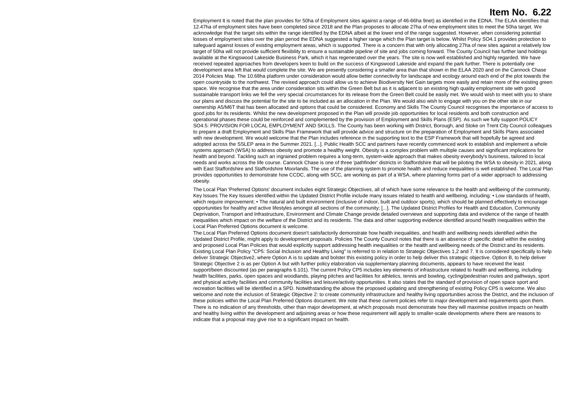Employment It is noted that the plan provides for 50ha of Employment sites against a range of 46-66ha 9net) as identified in the EDNA. The ELAA identifies that 12.47ha of employment sites have been completed since 2018 and the Plan proposes to allocate 27ha of new employment sites to meet the 50ha target. We acknowledge that the target sits within the range identified by the EDNA albeit at the lower end of the range suggested. However, when considering potential losses of employment sites over the plan period the EDNA suggested a higher range which the Plan target is below. Whilst Policy SO4.1 provides protection to safeguard against losses of existing employment areas, which is supported. There is a concern that with only allocating 27ha of new sites against a relatively low target of 50ha will not provide sufficient flexibility to ensure a sustainable pipeline of site and jobs coming forward. The County Council has further land holdings available at the Kingswood Lakeside Business Park, which it has regenerated over the years. The site is now well established and highly regarded. We have received repeated approaches from developers keen to build on the success of Kingswood Lakeside and expand the park further. There is potentially one development area left that would complete the site. We are presently considering a smaller area than that shown in the ELAA 2020 and on the Cannock Chase 2014 Policies Map. The 10.68ha platform under consideration would allow better connectivity for landscape and ecology around each end of the plot towards the open countryside to the northwest. The revised approach could allow us to achieve Biodiversity Net Gain targets more easily and retain more of the existing green space. We recognise that the area under consideration sits within the Green Belt but as it is adjacent to an existing high quality employment site with good sustainable transport links we fell the very special circumstances for its release from the Green Belt could be easily met. We would wish to meet with you to share our plans and discuss the potential for the site to be included as an allocation in the Plan. We would also wish to engage with you on the other site in our ownership A5/M6T that has been allocated and options that could be considered. Economy and Skills The County Council recognises the importance of access to good jobs for its residents. Whilst the new development proposed in the Plan will provide job opportunities for local residents and both construction and operational phases these could be reinforced and complemented by the provision of Employment and Skills Plans (ESP). As such we fully support POLICY SO4.5: PROVISION FOR LOCAL EMPLOYMENT AND SKILLS. The County has been working with District, Borough, and Stoke on Trent City Council colleagues to prepare a draft Employment and Skills Plan Framework that will provide advice and structure on the preparation of Employment and Skills Plans associated with new development. We would welcome that the Plan includes reference in the supporting text to the ESP Framework that will hopefully be agreed and adopted across the SSLEP area in the Summer 2021. [...]. Public Health SCC and partners have recently commenced work to establish and implement a whole systems approach (WSA) to address obesity and promote a healthy weight. Obesity is a complex problem with multiple causes and significant implications for health and beyond. Tackling such an ingrained problem requires a long-term, system-wide approach that makes obesity everybody's business, tailored to local needs and works across the life course. Cannock Chase is one of three 'pathfinder' districts in Staffordshire that will be piloting the WSA to obesity in 2021, along with East Staffordshire and Staffordshire Moorlands. The use of the planning system to promote health and reduce inequalities is well established. The Local Plan provides opportunities to demonstrate how CCDC, along with SCC, are working as part of a WSA, where planning forms part of a wider approach to addressing obesity.

The Local Plan 'Preferred Options' document includes eight Strategic Objectives, all of which have some relevance to the health and wellbeing of the community. Key Issues The Key Issues identified within the Updated District Profile include many issues related to health and wellbeing, including: • Low standards of health, which require improvement: • The natural and built environment (inclusive of indoor, built and outdoor sports), which should be planned effectively to encourage opportunities for healthy and active lifestyles amongst all sections of the community; [...]. The Updated District Profiles for Health and Education, Community Deprivation, Transport and Infrastructure, Environment and Climate Change provide detailed overviews and supporting data and evidence of the range of health inequalities which impact on the welfare of the District and its residents. The data and other supporting evidence identified around health inequalities within the Local Plan Preferred Options document is welcome.

The Local Plan Preferred Options document doesn't satisfactorily demonstrate how health inequalities, and health and wellbeing needs identified within the Updated District Profile, might apply to development proposals. Policies The County Council notes that there is an absence of specific detail within the existing and proposed Local Plan Policies that would explicitly support addressing health inequalities or the health and wellbeing needs of the District and its residents. Existing Local Plan Policy "CP5: Social Inclusion and Healthy Living" is referred to in relation to Strategic Objectives 1,2 and 7. It is considered specifically to help deliver Strategic Objective2, where Option A is to update and bolster this existing policy in order to help deliver this strategic objective. Option B, to help deliver Strategic Objective 2 is as per Option A but with further policy elaboration via supplementary planning documents, appears to have received the least support/been discounted (as per paragraphs 6.101). The current Policy CP5 includes key elements of infrastructure related to health and wellbeing, including health facilities, parks, open spaces and woodlands, playing pitches and facilities for athletics, tennis and bowling, cycling/pedestrian routes and pathways, sport and physical activity facilities and community facilities and leisure/activity opportunities. It also states that the standard of provision of open space sport and recreation facilities will be identified in a SPD. Notwithstanding the above the proposed updating and strengthening of existing Policy CP5 is welcome. We also welcome and note the inclusion of Strategic Objective 2: to create community infrastructure and healthy living opportunities across the District, and the inclusion of these policies within the Local Plan Preferred Options document. We note that these current policies refer to major development and requirements upon them. There is no indication of any thresholds, other than major development, at which proposals must demonstrate how they will maximise positive impacts on health and healthy living within the development and adjoining areas or how these requirement will apply to smaller-scale developments where there are reasons to indicate that a proposal may give rise to a significant impact on health.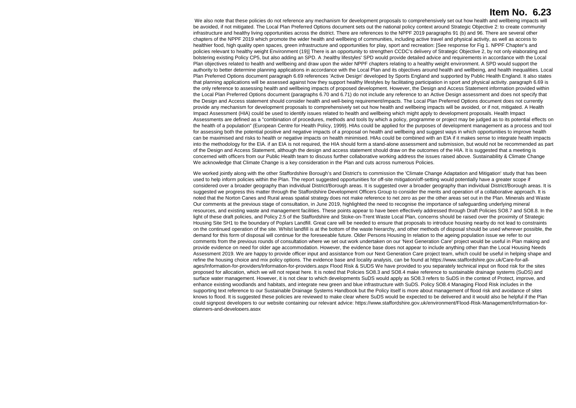We also note that these policies do not reference any mechanism for development proposals to comprehensively set out how health and wellbeing impacts will be avoided, if not mitigated. The Local Plan Preferred Options document sets out the national policy context around Strategic Objective 2: to create community infrastructure and healthy living opportunities across the district. There are references to the NPPF 2019 paragraphs 91 (b) and 96. There are several other chapters of the NPPF 2019 which promote the wider health and wellbeing of communities, including active travel and physical activity, as well as access to healthier food, high quality open spaces, green infrastructure and opportunities for play, sport and recreation: [See response for Fig 1. NPPF Chapter's and policies relevant to healthy weight Environment (19)] There is an opportunity to strengthen CCDC's delivery of Strategic Objective 2, by not only elaborating and bolstering existing Policy CP5, but also adding an SPD. A ;healthy lifestyles' SPD would provide detailed advice and requirements in accordance with the Local Plan objectives related to health and wellbeing and draw upon the wider NPPF chapters relating to a healthy weight environment. A SPD would support the authority to better determine planning applications in accordance with the Local Plan and its objectives around health and wellbeing, and health inequalities. Local Plan Preferred Options document paragraph 6.69 references 'Active Design' developed by Sports England and supported by Public Health England. It also states that planning applications will be assessed against how they support healthy lifestyles by facilitating participation in sport and physical activity. paragraph 6.69 is the only reference to assessing health and wellbeing impacts of proposed development. However, the Design and Access Statement information provided within the Local Plan Preferred Options document (paragraphs 6.70 and 6.71) do not include any reference to an Active Design assessment and does not specify that the Design and Access statement should consider health and well-being requirement/impacts. The Local Plan Preferred Options document does not currently provide any mechanism for development proposals to comprehensively set out how health and wellbeing impacts will be avoided, or if not, mitigated. A Health Impact Assessment (HIA) could be used to identify issues related to health and wellbeing which might apply to development proposals. Health Impact Assessments are defined as a "combination of procedures, methods and tools by which a policy, programme or project may be judged as to its potential effects on the health of a population" (European Centre for Health Policy, 1999). HIAs could be applied for the purposes of development management as a process and tool for assessing both the potential positive and negative impacts of a proposal on health and wellbeing and suggest ways in which opportunities to improve health can be maximised and risks to health or negative impacts on health minimised. HIAs could be combined with an EIA if it makes sense to integrate health impacts into the methodology for the EIA. if an EIA is not required, the HIA should form a stand-alone assessment and submission, but would not be recommended as part of the Design and Access Statement, although the design and access statement should draw on the outcomes of the HIA. It is suggested that a meeting is concerned with officers from our Public Health team to discuss further collaborative working address the issues raised above. Sustainability & Climate Change We acknowledge that Climate Change is a key consideration in the Plan and cuts across numerous Policies.

We worked jointly along with the other Staffordshire Borough's and District's to commission the 'Climate Change Adaptation and Mitigation' study that has been used to help inform policies within the Plan. The report suggested opportunities for off-site mitigation/off-setting would potentially have a greater scope if considered over a broader geography than individual District/Borough areas. It is suggested over a broader geography than individual District/Borough areas. It is suggested we progress this matter through the Staffordshire Development Officers Group to consider the merits and operation of a collaborative approach. It is noted that the Norton Canes and Rural areas spatial strategy does not make reference to net zero as per the other areas set out in the Plan. Minerals and Waste Our comments at the previous stage of consultation, in June 2019, highlighted the need to recognise the importance of safeguarding underlying mineral resources, and existing waste and management facilities. These points appear to have been effectively addressed through Draft Policies SO8.7 and SO8.8. In the light of these draft policies, and Policy 2.5 of the Staffordshire and Stoke-on-Trent Waste Local Plan, concerns should be raised over the proximity of Strategic Housing Site SH1 to the boundary of Poplars Landfill. Great care will be needed to ensure that proposals to introduce housing nearby do not lead to constraints on the continued operation of the site. Whilst landfill is at the bottom of the waste hierarchy, and other methods of disposal should be used wherever possible, the demand for this form of disposal will continue for the foreseeable future. Older Persons Housing In relation to the ageing population issue we refer to our comments from the previous rounds of consultation where we set out work undertaken on our 'Next Generation Care' project would be useful in Plan making and provide evidence on need for older age accommodation. However, the evidence base does not appear to include anything other than the Local Housing Needs Assessment 2019. We are happy to provide officer input and assistance from our Next Generation Care project team, which could be useful in helping shape and refine the housing choice and mix policy options. The evidence base and locality analysis, can be found at https://www.staffordshire.gov.uk/Care-for-allages/Information-for-providers/Information-for-providers.aspx Flood Risk & SUDS We have provided to you separately technical input on flood risk for the sites proposed for allocation, which we will not repeat here. It is noted that Policies SO8.3 and SO8.4 make reference to sustainable drainage systems (SuDS) and surface water management. However, it is not clear to which developments SuDS would apply as SO8.3 refers to SuDS in the context of Protect, improve, and enhance existing woodlands and habitats, and integrate new green and blue infrastructure with SuDS. Policy SO8.4 Managing Flood Risk includes in the supporting text reference to our Sustainable Drainage Systems Handbook but the Policy itself is more about management of flood risk and avoidance of sites knows to flood. It is suggested these policies are reviewed to make clear where SuDS would be expected to be delivered and it would also be helpful if the Plan could signpost developers to our website containing our relevant advice: https://www.staffordshire.gov.uk/environment/Flood-Risk-Management/Information-forplanners-and-developers.aspx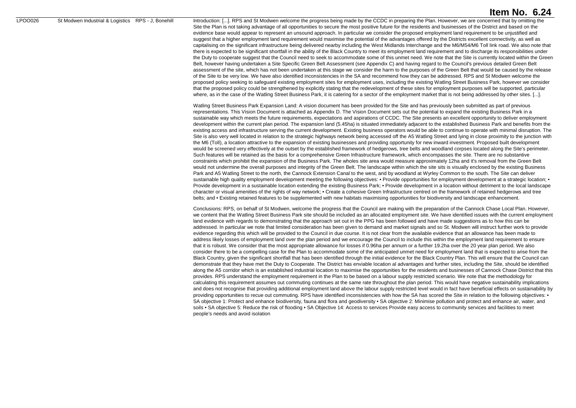LPOO026 St Modwen Industrial & Logistics RPS - J, Bonehill Introduction: [...]. RPS and St Modwen welcome the progress being made by the CCDC in preparing the Plan. However, we are concerned that by omitting the Site the Plan is not taking advantage of all opportunities to secure the most positive future for the residents and businesses of the District and based on the evidence base would appear to represent an unsound approach. In particular we consider the proposed employment land requirement to be unjustified and suggest that a higher employment land requirement would maximise the potential of the advantages offered by the Districts excellent connectivity, as well as capitalising on the significant infrastructure being delivered nearby including the West Midlands Interchange and the M6/M54/M6 Toll link road. We also note that there is expected to be significant shortfall in the ability of the Black Country to meet its employment land requirement and to discharge its responsibilities under the Duty to cooperate suggest that the Council need to seek to accommodate some of this unmet need. We note that the Site is currently located within the Green Belt, however having undertaken a Site Specific Green Belt Assessment (see Appendix C) and having regard to the Council's previous detailed Green Belt assessment of the site, which has not been undertaken at this stage we consider the harm to the purposes of the Green Belt that would be caused by the release of the Site to be very low. We have also identified inconsistencies in the SA and recommend how they can be addressed. RPS and St Modwen welcome the proposed policy seeking to safeguard existing employment sites for employment uses, including the existing Watling Street Business Park, however we consider that the proposed policy could be strengthened by explicitly stating that the redevelopment of these sites for employment purposes will be supported, particular where, as in the case of the Watling Street Business Park, it is catering for a sector of the employment market that is not being addressed by other sites. [...].

> Watling Street Business Park Expansion Land: A vision document has been provided for the Site and has previously been submitted as part of previous representations. This Vision Document is attached as Appendix D. The Vision Document sets out the potential to expand the existing Business Park in a sustainable way which meets the future requirements, expectations and aspirations of CCDC. The Site presents an excellent opportunity to deliver employment development within the current plan period. The expansion land (5.45ha) is situated immediately adjacent to the established Business Park and benefits from the existing access and infrastructure serving the current development. Existing business operators would be able to continue to operate with minimal disruption. The Site is also very well located in relation to the strategic highways network being accessed off the A5 Watling Street and lying in close proximity to the junction with the M6 (Toll), a location attractive to the expansion of existing businesses and providing opportunity for new inward investment. Proposed built development would be screened very effectively at the outset by the established framework of hedgerows, tree belts and woodland corpses located along the Site's perimeter. Such features will be retained as the basis for a comprehensive Green Infrastructure framework, which encompasses the site. There are no substantive constraints which prohibit the expansion of the Business Park. The wholes site area would measure approximately 12ha and it's removal from the Green Belt would not undermine the overall purposes and integrity of the Green Belt. The landscape within which the site sits is visually enclosed by the existing Business Park and A5 Watling Street to the north, the Cannock Extension Canal to the west, and by woodland at Wyrley Common to the south. The Site can deliver sustainable high quality employment development meeting the following objectives: • Provide opportunities for employment development at a strategic location: • Provide development in a sustainable location extending the existing Business Park: • Provide development in a location without detriment to the local landscape character or visual amenities of the rights of way network; • Create a cohesive Green Infrastructure centred on the framework of retained hedgerows and tree belts; and • Existing retained features to be supplemented with new habitats maximising opportunities for biodiversity and landscape enhancement.

> Conclusions: RPS, on behalf of St Modwen, welcome the progress that the Council are making with the preparation of the Cannock Chase Local Plan. However, we content that the Watling Street Business Park site should be included as an allocated employment site. We have identified issues with the current employment land evidence with regards to demonstrating that the approach set out in the PPG has been followed and have made suggestions as to how this can be addressed. In particular we note that limited consideration has been given to demand and market signals and so St. Modwen will instruct further work to provide evidence regarding this which will be provided to the Council in due course. It is not clear from the available evidence that an allowance has been made to address likely losses of employment land over the plan period and we encourage the Council to include this within the employment land requirement to ensure that it is robust. We consider that the most appropriate allowance for losses if 0.96ha per annum or a further 19.2ha over the 20 year plan period. We also consider there to be a compelling case for the Plan to accommodate some of the anticipated unmet need for employment land that is expected to arise from the Black Country, given the significant shortfall that has been identified through the initial evidence for the Black Country Plan. This will ensure that the Council can demonstrate that they have met the Duty to Cooperate. The District has enviable location al advantages and further sites, including the Site, should be identified along the A5 corridor which is an established industrial location to maximise the opportunities for the residents and businesses of Cannock Chase District that this provides. RPS understand the employment requirement in the Plan to be based on a labour supply restricted scenario. We note that the methodology for calculating this requirement assumes out commuting continues at the same rate throughout the plan period. This would have negative sustainability implications and does not recognise that providing additional employment land above the labour supply restricted level would in fact have beneficial effects on sustainability by providing opportunities to recue out commuting. RPS have identified inconsistencies with how the SA has scored the Site in relation to the following objectives: • SA objective 1: Protect and enhance biodiversity, fauna and flora and geodiversity • SA objective 2: Minimise pollution and protect and enhance air, water, and soils • SA objective 5: Reduce the risk of flooding • SA Objective 14: Access to services Provide easy access to community services and facilities to meet people's needs and avoid isolation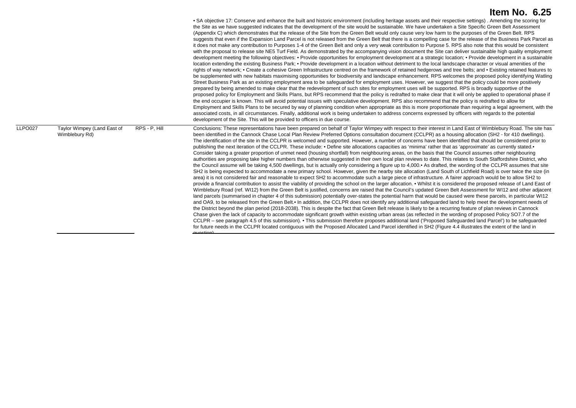|         |                                               |               | • SA objective 17: Conserve and enhance the built and historic environment (including heritage assets and their respective settings). Amending the scoring for<br>the Site as we have suggested indicates that the development of the site would be sustainable. We have undertaken a Site Specific Green Belt Assessment<br>(Appendix C) which demonstrates that the release of the Site from the Green Belt would only cause very low harm to the purposes of the Green Belt. RPS<br>suggests that even if the Expansion Land Parcel is not released from the Green Belt that there is a compelling case for the release of the Business Park Parcel as<br>it does not make any contribution to Purposes 1-4 of the Green Belt and only a very weak contribution to Purpose 5. RPS also note that this would be consistent<br>with the proposal to release site NE5 Turf Field. As demonstrated by the accompanying vision document the Site can deliver sustainable high quality employment<br>development meeting the following objectives: • Provide opportunities for employment development at a strategic location; • Provide development in a sustainable<br>location extending the existing Business Park; • Provide development in a location without detriment to the local landscape character or visual amenities of the<br>rights of way network; • Create a cohesive Green Infrastructure centred on the framework of retained hedgerows and tree belts; and • Existing retained features to<br>be supplemented with new habitats maximising opportunities for biodiversity and landscape enhancement. RPS welcomes the proposed policy identifying Watling<br>Street Business Park as an existing employment area to be safeguarded for employment uses. However, we suggest that the policy could be more positively<br>prepared by being amended to make clear that the redevelopment of such sites for employment uses will be supported. RPS is broadly supportive of the<br>proposed policy for Employment and Skills Plans, but RPS recommend that the policy is redrafted to make clear that it will only be applied to operational phase if<br>the end occupier is known. This will avoid potential issues with speculative development. RPS also recommend that the policy is redrafted to allow for<br>Employment and Skills Plans to be secured by way of planning condition when appropriate as this is more proportionate than requiring a legal agreement, with the<br>associated costs, in all circumstances. Finally, additional work is being undertaken to address concerns expressed by officers with regards to the potential<br>development of the Site. This will be provided to officers in due course.                                                                                                         |
|---------|-----------------------------------------------|---------------|---------------------------------------------------------------------------------------------------------------------------------------------------------------------------------------------------------------------------------------------------------------------------------------------------------------------------------------------------------------------------------------------------------------------------------------------------------------------------------------------------------------------------------------------------------------------------------------------------------------------------------------------------------------------------------------------------------------------------------------------------------------------------------------------------------------------------------------------------------------------------------------------------------------------------------------------------------------------------------------------------------------------------------------------------------------------------------------------------------------------------------------------------------------------------------------------------------------------------------------------------------------------------------------------------------------------------------------------------------------------------------------------------------------------------------------------------------------------------------------------------------------------------------------------------------------------------------------------------------------------------------------------------------------------------------------------------------------------------------------------------------------------------------------------------------------------------------------------------------------------------------------------------------------------------------------------------------------------------------------------------------------------------------------------------------------------------------------------------------------------------------------------------------------------------------------------------------------------------------------------------------------------------------------------------------------------------------------------------------------------------------------------------------------------------------------------------------------------------------------------------------------------------------------------------------------------------------------------------------------------------------------------------------------------------------------------------------------------------------------------------------------------------------------------------------------------------------------------------------|
| LLPO027 | Taylor Wimpey (Land East of<br>Wimblebury Rd) | RPS - P. Hill | Conclusions: These representations have been prepared on behalf of Taylor Wimpey with respect to their interest in Land East of Wimblebury Road. The site has<br>been identified in the Cannock Chase Local Plan Review Preferred Options consultation document (CCLPR) as a housing allocation (SH2 - for 410 dwellings).<br>The identification of the site in the CCLPR is welcomed and supported. However, a number of concerns have been identified that should be considered prior to<br>publishing the next iteration of the CCLPR. These include: • Define site allocations capacities as 'minima' rather that as 'approximate' as currently stated.•<br>Consider taking a greater proportion of unmet need (housing shortfall) from neighbouring areas, on the basis that the Council assumes other neighbouring<br>authorities are proposing take higher numbers than otherwise suggested in their own local plan reviews to date. This relates to South Staffordshire District, who<br>the Council assume will be taking 4,500 dwellings, but is actually only considering a figure up to 4,000. As drafted, the wording of the CCLPR assumes that site<br>SH2 is being expected to accommodate a new primary school. However, given the nearby site allocation (Land South of Lichfield Road) is over twice the size (in<br>area) it is not considered fair and reasonable to expect SH2 to accommodate such a large piece of infrastructure. A fairer approach would be to allow SH2 to<br>provide a financial contribution to assist the viability of providing the school on the larger allocation. • Whilst it is considered the proposed release of Land East of<br>Wimblebury Road (ref. WI12) from the Green Belt is justified, concerns are raised that the Council's updated Green Belt Assessment for WI12 and other adjacent<br>land parcels (summarised in chapter 4 of this submission) potentially over-states the potential harm that would be caused were these parcels, in particular WI12<br>and OA9, to be released from the Green Belt.• In addition, the CCLPR does not identify any additional safeguarded land to help meet the development needs of<br>the District beyond the plan period (2018-2038). This is despite the fact that Green Belt release is likely to be a recurring feature of plan reviews in Cannock<br>Chase given the lack of capacity to accommodate significant growth within existing urban areas (as reflected in the wording of proposed Policy SO7.7 of the<br>CCLPR – see paragraph 4.5 of this submission). • This submission therefore proposes additional land ('Proposed Safeguarded land Parcel') to be safeguarded<br>for future needs in the CCLPR located contiguous with the Proposed Allocated Land Parcel identified in SH2 (Figure 4.4 illustrates the extent of the land in |

question)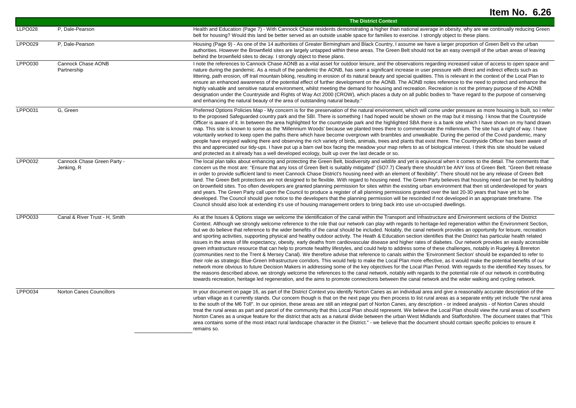|                |                                           | <b>The District Context</b>                                                                                                                                                                                                                                                                                                                                                                                                                                                                                                                                                                                                                                                                                                                                                                                                                                                                                                                                                                                                                                                                                                                                                                                                                                                                                                                                                                                                                                                                                                                                                                                                                                                                                                                                                                                                                                |
|----------------|-------------------------------------------|------------------------------------------------------------------------------------------------------------------------------------------------------------------------------------------------------------------------------------------------------------------------------------------------------------------------------------------------------------------------------------------------------------------------------------------------------------------------------------------------------------------------------------------------------------------------------------------------------------------------------------------------------------------------------------------------------------------------------------------------------------------------------------------------------------------------------------------------------------------------------------------------------------------------------------------------------------------------------------------------------------------------------------------------------------------------------------------------------------------------------------------------------------------------------------------------------------------------------------------------------------------------------------------------------------------------------------------------------------------------------------------------------------------------------------------------------------------------------------------------------------------------------------------------------------------------------------------------------------------------------------------------------------------------------------------------------------------------------------------------------------------------------------------------------------------------------------------------------------|
| <b>LLPO028</b> | P, Dale-Pearson                           | Health and Education (Page 7) - With Cannock Chase residents demonstrating a higher than national average in obesity, why are we continually reducing Green<br>belt for housing? Would this land be better served as an outside usable space for families to exercise. I strongly object to these plans.                                                                                                                                                                                                                                                                                                                                                                                                                                                                                                                                                                                                                                                                                                                                                                                                                                                                                                                                                                                                                                                                                                                                                                                                                                                                                                                                                                                                                                                                                                                                                   |
| LPPO029        | P. Dale-Pearson                           | Housing (Page 9) - As one of the 14 authorities of Greater Birmingham and Black Country, I assume we have a larger proportion of Green Belt vs the urban<br>authorities. However the Brownfield sites are largely untapped within these areas. The Green Belt should not be an easy overspill of the urban areas of leaving<br>behind the brownfield sites to decay. I strongly object to these plans.                                                                                                                                                                                                                                                                                                                                                                                                                                                                                                                                                                                                                                                                                                                                                                                                                                                                                                                                                                                                                                                                                                                                                                                                                                                                                                                                                                                                                                                     |
| LPPO030        | Cannock Chase AONB<br>Partnership         | I note the references to Cannock Chase AONB as a vital asset for outdoor leisure, and the observations regarding increased value of access to open space and<br>nature during the pandemic. As a result of the pandemic the AONB, has seen a significant increase in user pressure with direct and indirect effects such as<br>littering, path erosion, off trail mountain biking, resulting in erosion of its natural beauty and special qualities. This is relevant in the context of the Local Plan to<br>ensure an enhanced awareness of the potential effect of further development on the AONB. The AONB notes reference to the need to protect and enhance the<br>highly valuable and sensitive natural environment, whilst meeting the demand for housing and recreation. Recreation is not the primary purpose of the AONB<br>designation under the Countryside and Rights of Way Act 2000 (CROW), which places a duty on all public bodies to "have regard to the purpose of conserving<br>and enhancing the natural beauty of the area of outstanding natural beauty."                                                                                                                                                                                                                                                                                                                                                                                                                                                                                                                                                                                                                                                                                                                                                                          |
| LPPO031        | G, Green                                  | Preferred Options Policies Map - My concern is for the preservation of the natural environment, which will come under pressure as more housing is built, so I refer<br>to the proposed Safeguarded country park and the SBI. There is something I had hoped would be shown on the map but it missing. I know that the Countryside<br>Officer is aware of it. In between the area highlighted for the countryside park and the highlighted SBA there is a bank site which I have shown on my hand drawn<br>map. This site is known to some as the 'Millennium Woods' because we planted trees there to commemorate the millennium. The site has a right of way. I have<br>voluntarily worked to keep open the paths there which have become overgrown with brambles and unwalkable. During the period of the Covid pandemic, many<br>people have enjoyed walking there and observing the rich variety of birds, animals, trees and plants that exist there. The Countryside Officer has been aware of<br>this and appreciated our tidy-ups. I have put up a barn owl box facing the meadow your map refers to as of biological interest. I think this site should be valued<br>and protected as it already has a well developed ecology, built up over the last decade or so.                                                                                                                                                                                                                                                                                                                                                                                                                                                                                                                                                                               |
| LPPO032        | Cannock Chase Green Party -<br>Jenking, R | The local plan talks about enhancing and protecting the Green Belt, biodiversity and wildlife and yet is equivocal when it comes to the detail. The comments that<br>concern us the most are: "Ensure that any loss of Green Belt is suitably mitigated" (SO7.7) Clearly there shouldn't be ANY loss of Green Belt. "Green Belt release<br>in order to provide sufficient land to meet Cannock Chase District's housing need with an element of flexibility". There should not be any release of Green Belt<br>land. The Green Belt protections are not designed to be flexible. With regard to housing need. The Green Party believes that housing need can be met by building<br>on brownfield sites. Too often developers are granted planning permission for sites within the existing urban environment that then sit underdeveloped for years<br>and years. The Green Party call upon the Council to produce a register of all planning permissions granted over the last 20-30 years that have yet to be<br>developed. The Council should give notice to the developers that the planning permission will be rescinded if not developed in an appropriate timeframe. The<br>Council should also look at extending it's use of housing management orders to bring back into use un-occupied dwellings.                                                                                                                                                                                                                                                                                                                                                                                                                                                                                                                                               |
| <b>LPPO033</b> | Canal & River Trust - H, Smith            | As at the Issues & Options stage we welcome the identification of the canal within the Transport and Infrastructure and Environment sections of the District<br>Context. Although we strongly welcome reference to the role that our network can play with regards to heritage-led regeneration within the Environment Section,<br>but we do believe that reference to the wider benefits of the canal should be included. Notably, the canal network provides an opportunity for leisure, recreation<br>and sporting activities, supporting physical and healthy outdoor activity. The Heath & Education section identifies that the District has particular health related<br>issues in the areas of life expectancy, obesity, early deaths from cardiovascular disease and higher rates of diabetes. Our network provides an easily accessible<br>green infrastructure resource that can help to promote healthy lifestyles, and could help to address some of these challenges, notably in Rugeley & Brereton<br>(communities next to the Trent & Mersey Canal). We therefore advise that reference to canals within the 'Environment Section' should be expanded to refer to<br>their role as strategic Blue-Green Infrastructure corridors. This would help to make the Local Plan more effective, as it would make the potential benefits of our<br>network more obvious to future Decision Makers in addressing some of the key objectives for the Local Plan Period. With regards to the identified Key Issues, for<br>the reasons described above, we strongly welcome the references to the canal network, notably with regards to the potential role of our network in contributing<br>towards recreation, heritage led regeneration, and the aims to promote connections between the canal network and the wider walking and cycling network. |
| LPPO034        | Norton Canes Councillors                  | In your document on page 16, as part of the District Context you identify Norton Canes as an individual area and give a reasonably accurate description of the<br>urban village as it currently stands. Our concern though is that on the next page you then process to list rural areas as a separate entity yet include "the rural area<br>to the south of the M6 Toll". In our opinion, these areas are still an integral part of Norton Canes, any description - or indeed analysis - of Norton Canes should<br>treat the rural areas as part and parcel of the community that this Local Plan should represent. We believe the Local Plan should view the rural areas of southern<br>Norton Canes as a unique feature for the district that acts as a natural divide between the urban West Midlands and Staffordshire. The document states that "This<br>area contains some of the most intact rural landscape character in the District." - we believe that the document should contain specific policies to ensure it<br>remains so.                                                                                                                                                                                                                                                                                                                                                                                                                                                                                                                                                                                                                                                                                                                                                                                                               |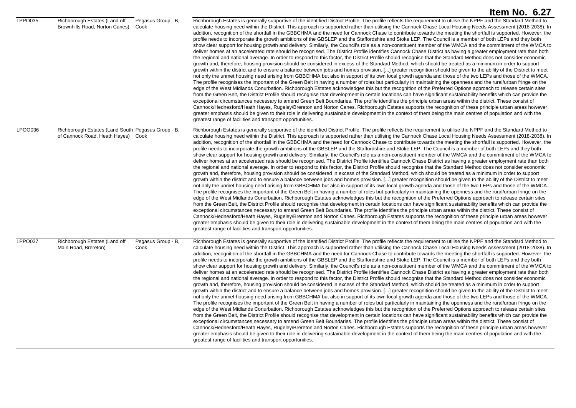|         |                                                                                          |                            | Item No. 6.27                                                                                                                                                                                                                                                                                                                                                                                                                                                                                                                                                                                                                                                                                                                                                                                                                                                                                                                                                                                                                                                                                                                                                                                                                                                                                                                                                                                                                                                                                                                                                                                                                                                                                                                                                                                                                                                                                                                                                                                                                                                                                                                                                                                                                                                                                                                                                                                                                                                                                                                                                                                                                                                                                                                           |
|---------|------------------------------------------------------------------------------------------|----------------------------|-----------------------------------------------------------------------------------------------------------------------------------------------------------------------------------------------------------------------------------------------------------------------------------------------------------------------------------------------------------------------------------------------------------------------------------------------------------------------------------------------------------------------------------------------------------------------------------------------------------------------------------------------------------------------------------------------------------------------------------------------------------------------------------------------------------------------------------------------------------------------------------------------------------------------------------------------------------------------------------------------------------------------------------------------------------------------------------------------------------------------------------------------------------------------------------------------------------------------------------------------------------------------------------------------------------------------------------------------------------------------------------------------------------------------------------------------------------------------------------------------------------------------------------------------------------------------------------------------------------------------------------------------------------------------------------------------------------------------------------------------------------------------------------------------------------------------------------------------------------------------------------------------------------------------------------------------------------------------------------------------------------------------------------------------------------------------------------------------------------------------------------------------------------------------------------------------------------------------------------------------------------------------------------------------------------------------------------------------------------------------------------------------------------------------------------------------------------------------------------------------------------------------------------------------------------------------------------------------------------------------------------------------------------------------------------------------------------------------------------------|
| LPPO035 | Richborough Estates (Land off<br>Brownhills Road, Norton Canes)                          | Pegasus Group - B.<br>Cook | Richborough Estates is generally supportive of the identified District Profile. The profile reflects the requirement to utilise the NPPF and the Standard Method to<br>calculate housing need within the District. This approach is supported rather than utilising the Cannock Chase Local Housing Needs Assessment (2018-2038). In<br>addition, recognition of the shortfall in the GBBCHMA and the need for Cannock Chase to contribute towards the meeting the shortfall is supported. However, the<br>profile needs to incorporate the growth ambitions of the GBSLEP and the Staffordshire and Stoke LEP. The Council is a member of both LEPs and they both<br>show clear support for housing growth and delivery. Similarly, the Council's role as a non-constituent member of the WMCA and the commitment of the WMCA to<br>deliver homes at an accelerated rate should be recognised. The District Profile identifies Cannock Chase District as having a greater employment rate than both<br>the regional and national average. In order to respond to this factor, the District Profile should recognise that the Standard Method does not consider economic<br>growth and, therefore, housing provision should be considered in excess of the Standard Method, which should be treated as a minimum in order to support<br>growth within the district and to ensure a balance between jobs and homes provision. [] greater recognition should be given to the ability of the District to meet<br>not only the unmet housing need arising from GBBCHMA but also in support of its own local growth agenda and those of the two LEPs and those of the WMCA.<br>The profile recognises the important of the Green Belt in having a number of roles but particularly in maintaining the openness and the rural/urban fringe on the<br>edge of the West Midlands Conurbation. Richborough Estates acknowledges this but the recognition of the Preferred Options approach to release certain sites<br>from the Green Belt, the District Profile should recognise that development in certain locations can have significant sustainability benefits which can provide the<br>exceptional circumstances necessary to amend Green Belt Boundaries. The profile identifies the principle urban areas within the district. These consist of<br>Cannock/Hednesford/Heath Hayes, Rugeley/Brereton and Norton Canes. Richborough Estates supports the recognition of these principle urban areas however<br>greater emphasis should be given to their role in delivering sustainable development in the context of them being the main centres of population and with the<br>greatest range of facilities and transport opportunities. |
| LPO0036 | Richborough Estates (Land South Pegasus Group - B,<br>of Cannock Road, Heath Hayes) Cook |                            | Richborough Estates is generally supportive of the identified District Profile. The profile reflects the requirement to utilise the NPPF and the Standard Method to<br>calculate housing need within the District. This approach is supported rather than utilising the Cannock Chase Local Housing Needs Assessment (2018-2038). In<br>addition, recognition of the shortfall in the GBBCHMA and the need for Cannock Chase to contribute towards the meeting the shortfall is supported. However, the<br>profile needs to incorporate the growth ambitions of the GBSLEP and the Staffordshire and Stoke LEP. The Council is a member of both LEPs and they both<br>show clear support for housing growth and delivery. Similarly, the Council's role as a non-constituent member of the WMCA and the commitment of the WMCA to<br>deliver homes at an accelerated rate should be recognised. The District Profile identifies Cannock Chase District as having a greater employment rate than both<br>the regional and national average. In order to respond to this factor, the District Profile should recognise that the Standard Method does not consider economic<br>growth and, therefore, housing provision should be considered in excess of the Standard Method, which should be treated as a minimum in order to support<br>growth within the district and to ensure a balance between jobs and homes provision. [] greater recognition should be given to the ability of the District to meet<br>not only the unmet housing need arising from GBBCHMA but also in support of its own local growth agenda and those of the two LEPs and those of the WMCA.<br>The profile recognises the important of the Green Belt in having a number of roles but particularly in maintaining the openness and the rural/urban fringe on the<br>edge of the West Midlands Conurbation. Richborough Estates acknowledges this but the recognition of the Preferred Options approach to release certain sites<br>from the Green Belt, the District Profile should recognise that development in certain locations can have significant sustainability benefits which can provide the<br>exceptional circumstances necessary to amend Green Belt Boundaries. The profile identifies the principle urban areas within the district. These consist of<br>Cannock/Hednesford/Heath Hayes, Rugeley/Brereton and Norton Canes. Richborough Estates supports the recognition of these principle urban areas however<br>greater emphasis should be given to their role in delivering sustainable development in the context of them being the main centres of population and with the<br>greatest range of facilities and transport opportunities. |
| LPPO037 | Richborough Estates (Land off<br>Main Road, Brereton)                                    | Pegasus Group - B,<br>Cook | Richborough Estates is generally supportive of the identified District Profile. The profile reflects the requirement to utilise the NPPF and the Standard Method to<br>calculate housing need within the District. This approach is supported rather than utilising the Cannock Chase Local Housing Needs Assessment (2018-2038). In<br>addition, recognition of the shortfall in the GBBCHMA and the need for Cannock Chase to contribute towards the meeting the shortfall is supported. However, the<br>profile needs to incorporate the growth ambitions of the GBSLEP and the Staffordshire and Stoke LEP. The Council is a member of both LEPs and they both<br>show clear support for housing growth and delivery. Similarly, the Council's role as a non-constituent member of the WMCA and the commitment of the WMCA to<br>deliver homes at an accelerated rate should be recognised. The District Profile identifies Cannock Chase District as having a greater employment rate than both<br>the regional and national average. In order to respond to this factor, the District Profile should recognise that the Standard Method does not consider economic<br>growth and, therefore, housing provision should be considered in excess of the Standard Method, which should be treated as a minimum in order to support<br>growth within the district and to ensure a balance between jobs and homes provision. [] greater recognition should be given to the ability of the District to meet<br>not only the unmet housing need arising from GBBCHMA but also in support of its own local growth agenda and those of the two LEPs and those of the WMCA.<br>The profile recognises the important of the Green Belt in having a number of roles but particularly in maintaining the openness and the rural/urban fringe on the<br>edge of the West Midlands Conurbation. Richborough Estates acknowledges this but the recognition of the Preferred Options approach to release certain sites<br>from the Green Belt, the District Profile should recognise that development in certain locations can have significant sustainability benefits which can provide the<br>exceptional circumstances necessary to amend Green Belt Boundaries. The profile identifies the principle urban areas within the district. These consist of<br>Cannock/Hednesford/Heath Hayes, Rugeley/Brereton and Norton Canes. Richborough Estates supports the recognition of these principle urban areas however<br>greater emphasis should be given to their role in delivering sustainable development in the context of them being the main centres of population and with the<br>greatest range of facilities and transport opportunities. |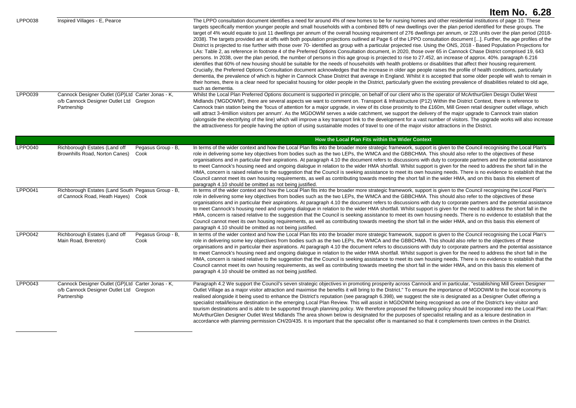|                |                                                                                                             | Item No. 6.28                                                                                                                                                                                                                                                                                                                                                                                                                                                                                                                                                                                                                                                                                                                                                                                                                                                                                                                                                                                                                                                                                                                                                                                                                                                                                                                                                                                                                                                                                                                                                                                                                                                                                                                                                                                                                                                                          |
|----------------|-------------------------------------------------------------------------------------------------------------|----------------------------------------------------------------------------------------------------------------------------------------------------------------------------------------------------------------------------------------------------------------------------------------------------------------------------------------------------------------------------------------------------------------------------------------------------------------------------------------------------------------------------------------------------------------------------------------------------------------------------------------------------------------------------------------------------------------------------------------------------------------------------------------------------------------------------------------------------------------------------------------------------------------------------------------------------------------------------------------------------------------------------------------------------------------------------------------------------------------------------------------------------------------------------------------------------------------------------------------------------------------------------------------------------------------------------------------------------------------------------------------------------------------------------------------------------------------------------------------------------------------------------------------------------------------------------------------------------------------------------------------------------------------------------------------------------------------------------------------------------------------------------------------------------------------------------------------------------------------------------------------|
| LPPO038        | Inspired Villages - E, Pearce                                                                               | The LPPO consultation document identifies a need for around 4% of new homes to be for nursing homes and other residential institutions of page 10. These<br>targets specifically mention younger people and small households with a combined 88% of new dwellings over the plan period identified for these groups. The<br>target of 4% would equate to just 11 dwellings per annum of the overall housing requirement of 276 dwellings per annum, or 228 units over the plan period (2018-<br>2038). The targets provided are at offs with both population projections outlined at Page 6 of the LPPO consultation document []. Further, the age profiles of the<br>District is projected to rise further with those over 70- identified as group with a particular projected rise. Using the ONS, 2018 - Based Population Projections for<br>LAs: Table 2, as reference in footnote 4 of the Preferred Options Consultation document, in 2020, those over 65 in Cannock Chase District comprised 19, 643<br>persons. In 2038, over the plan period, the number of persons in this age group is projected to rise to 27.452, an increase of approx. 40%, paragraph 6.216<br>identifies that 60% of new housing should be suitable for the needs of households with health problems or disabilities that affect their housing requirement.<br>Crucially, the Preferred Options Consultation document acknowledges that the increase in older age people raises the profile of health conditions, particularly<br>dementia, the prevalence of which is higher in Cannock Chase District that average in England. Whilst it is accepted that some older people will wish to remain in<br>their homes, there is a clear need for specialist housing for older people in the District, particularly given the existing prevalence of disabilities related to old age,<br>such as dementia. |
| <b>LPPO039</b> | Cannock Designer Outlet (GP)Ltd Carter Jonas - K.<br>o/b Cannock Designer Outlet Ltd Gregson<br>Partnership | Whilst the Local Plan Preferred Options document is supported in principle, on behalf of our client who is the operator of McArthurGlen Design Outlet West<br>Midlands ('MGDOWM'), there are several aspects we want to comment on. Transport & Infrastructure (P12) Within the District Context, there is reference to<br>Cannock train station being the 'focus of attention for a major upgrade, in view of its close proximity to the £160m, Mill Green retail designer outlet village, which<br>will attract 3-4million visitors per annum'. As the MGDOWM serves a wide catchment, we support the delivery of the major upgrade to Cannock train station<br>(alongside the electrifying of the line) which will improve a key transport link to the development for a vast number of visitors. The upgrade works will also increase<br>the attractiveness for people having the option of using sustainable modes of travel to one of the major visitor attractions in the District.                                                                                                                                                                                                                                                                                                                                                                                                                                                                                                                                                                                                                                                                                                                                                                                                                                                                                             |
|                |                                                                                                             | How the Local Plan Fits within the Wider Context                                                                                                                                                                                                                                                                                                                                                                                                                                                                                                                                                                                                                                                                                                                                                                                                                                                                                                                                                                                                                                                                                                                                                                                                                                                                                                                                                                                                                                                                                                                                                                                                                                                                                                                                                                                                                                       |
| LPPO040        | Richborough Estates (Land off<br>Pegasus Group - B,<br>Brownhills Road, Norton Canes)<br>Cook               | In terms of the wider context and how the Local Plan fits into the broader more strategic framework, support is given to the Council recognising the Local Plan's<br>role in delivering some key objectives from bodies such as the two LEPs, the WMCA and the GBBCHMA. This should also refer to the objectives of these<br>organisations and in particular their aspirations. At paragraph 4.10 the document refers to discussions with duty to corporate partners and the potential assistance<br>to meet Cannock's housing need and ongoing dialogue in relation to the wider HMA shortfall. Whilst support is given for the need to address the short fall in the<br>HMA, concern is raised relative to the suggestion that the Council is seeking assistance to meet its own housing needs. There is no evidence to establish that the<br>Council cannot meet its own housing requirements, as well as contributing towards meeting the short fall in the wider HMA, and on this basis this element of<br>paragraph 4.10 should be omitted as not being justified.                                                                                                                                                                                                                                                                                                                                                                                                                                                                                                                                                                                                                                                                                                                                                                                                               |
| LPPO041        | Richborough Estates (Land South Pegasus Group - B,<br>of Cannock Road, Heath Hayes) Cook                    | In terms of the wider context and how the Local Plan fits into the broader more strategic framework, support is given to the Council recognising the Local Plan's<br>role in delivering some key objectives from bodies such as the two LEPs, the WMCA and the GBBCHMA. This should also refer to the objectives of these<br>organisations and in particular their aspirations. At paragraph 4.10 the document refers to discussions with duty to corporate partners and the potential assistance<br>to meet Cannock's housing need and ongoing dialogue in relation to the wider HMA shortfall. Whilst support is given for the need to address the short fall in the<br>HMA, concern is raised relative to the suggestion that the Council is seeking assistance to meet its own housing needs. There is no evidence to establish that the<br>Council cannot meet its own housing requirements, as well as contributing towards meeting the short fall in the wider HMA, and on this basis this element of<br>paragraph 4.10 should be omitted as not being justified.                                                                                                                                                                                                                                                                                                                                                                                                                                                                                                                                                                                                                                                                                                                                                                                                               |
| LPPO042        | Richborough Estates (Land off<br>Pegasus Group - B,<br>Main Road, Brereton)<br>Cook                         | In terms of the wider context and how the Local Plan fits into the broader more strategic framework, support is given to the Council recognising the Local Plan's<br>role in delivering some key objectives from bodies such as the two LEPs, the WMCA and the GBBCHMA. This should also refer to the objectives of these<br>organisations and in particular their aspirations. At paragraph 4.10 the document refers to discussions with duty to corporate partners and the potential assistance<br>to meet Cannock's housing need and ongoing dialogue in relation to the wider HMA shortfall. Whilst support is given for the need to address the short fall in the<br>HMA, concern is raised relative to the suggestion that the Council is seeking assistance to meet its own housing needs. There is no evidence to establish that the<br>Council cannot meet its own housing requirements, as well as contributing towards meeting the short fall in the wider HMA, and on this basis this element of<br>paragraph 4.10 should be omitted as not being justified.                                                                                                                                                                                                                                                                                                                                                                                                                                                                                                                                                                                                                                                                                                                                                                                                               |
| LPPO043        | Cannock Designer Outlet (GP)Ltd Carter Jonas - K,<br>o/b Cannock Designer Outlet Ltd Gregson<br>Partnership | Paragraph 4.2 We support the Council's seven strategic objectives in promoting prosperity across Cannock and in particular, "establishing Mill Green Designer<br>Outlet Village as a major visitor attraction and maximise the benefits it will bring to the District." To ensure the importance of MGDOWM to the local economy is<br>realised alongside it being used to enhance the District's reputation (see paragraph 6.398), we suggest the site is designated as a Designer Outlet offering a<br>specialist retail/leisure destination in the emerging Local Plan Review. This will assist in MGDOWM being recognised as one of the District's key visitor and<br>tourism destinations and is able to be supported through planning policy. We therefore proposed the following policy should be incorporated into the Local Plan:<br>McArthurGlen Designer Outlet West Midlands The area shown below is designated for the purposes of specialist retailing and as a leisure destination in<br>accordance with planning permission CH/20/435. It is important that the specialist offer is maintained so that it complements town centres in the District.                                                                                                                                                                                                                                                                                                                                                                                                                                                                                                                                                                                                                                                                                                                     |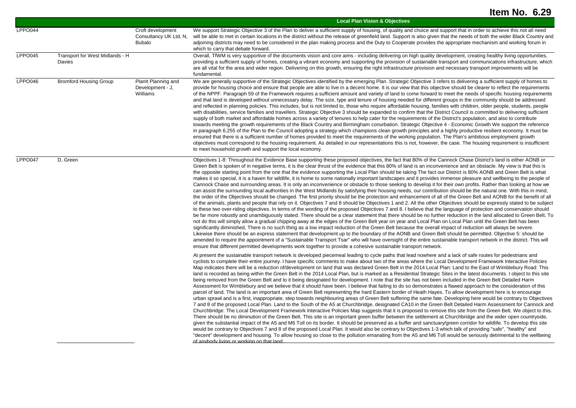|         |                                           |                                                              | <b>Local Plan Vision &amp; Objectives</b>                                                                                                                                                                                                                                                                                                                                                                                                                                                                                                                                                                                                                                                                                                                                                                                                                                                                                                                                                                                                                                                                                                                                                                                                                                                                                                                                                                                                                                                                                                                                                                                                                                                                                                                                                                                                                                                                                                                                                                                                                                                                                                                                                                                                                                                                                                                                                                                                                                                                |
|---------|-------------------------------------------|--------------------------------------------------------------|----------------------------------------------------------------------------------------------------------------------------------------------------------------------------------------------------------------------------------------------------------------------------------------------------------------------------------------------------------------------------------------------------------------------------------------------------------------------------------------------------------------------------------------------------------------------------------------------------------------------------------------------------------------------------------------------------------------------------------------------------------------------------------------------------------------------------------------------------------------------------------------------------------------------------------------------------------------------------------------------------------------------------------------------------------------------------------------------------------------------------------------------------------------------------------------------------------------------------------------------------------------------------------------------------------------------------------------------------------------------------------------------------------------------------------------------------------------------------------------------------------------------------------------------------------------------------------------------------------------------------------------------------------------------------------------------------------------------------------------------------------------------------------------------------------------------------------------------------------------------------------------------------------------------------------------------------------------------------------------------------------------------------------------------------------------------------------------------------------------------------------------------------------------------------------------------------------------------------------------------------------------------------------------------------------------------------------------------------------------------------------------------------------------------------------------------------------------------------------------------------------|
| LPPO044 |                                           | Croft development<br>Consultancy UK Ltd, N,<br><b>Bubalo</b> | We support Strategic Objective 3 of the Plan to deliver a sufficient supply of housing, of quality and choice and support that in order to achieve this not all need<br>will be able to met in certain locations in the district without the release of greenfield land. Support is also given that the needs of both the wider Black Country and<br>adjoining districts may need to be considered in the plan making process and the Duty to Cooperate provides the appropriate mechanism and working forum in<br>which to carry that debate forward.                                                                                                                                                                                                                                                                                                                                                                                                                                                                                                                                                                                                                                                                                                                                                                                                                                                                                                                                                                                                                                                                                                                                                                                                                                                                                                                                                                                                                                                                                                                                                                                                                                                                                                                                                                                                                                                                                                                                                   |
| LPPO045 | Transport for West Midlands - H<br>Davies |                                                              | Overall, TfWM is very supportive of the documents vision and core aims - including delivering on high quality development, creating healthy living opportunities,<br>providing a sufficient supply of homes, creating a vibrant economy and supporting the provision of sustainable transport and communications infrastructure, which<br>are all vital for the area and wider region. Delivering on this growth, ensuring the right infrastructure provision and necessary transport improvements will be<br>fundamental.                                                                                                                                                                                                                                                                                                                                                                                                                                                                                                                                                                                                                                                                                                                                                                                                                                                                                                                                                                                                                                                                                                                                                                                                                                                                                                                                                                                                                                                                                                                                                                                                                                                                                                                                                                                                                                                                                                                                                                               |
| LPPO046 | <b>Bromford Housing Group</b>             | Planit Planning and<br>Development - J,<br>Williams          | We are generally supportive of the Strategic Objectives identified by the emerging Plan. Strategic Objective 3 refers to delivering a sufficient supply of homes to<br>provide for housing choice and ensure that people are able to live in a decent home. It is our view that this objective should be clearer to reflect the requirements<br>of the NPPF. Paragraph 59 of the Framework requires a sufficient amount and variety of land to come forward to meet the needs of specific housing requirements<br>and that land is developed without unnecessary delay. The size, type and tenure of housing needed for different groups in the community should be addressed<br>and reflected in planning policies. This includes, but is not limited to, those who require affordable housing, families with children, older people, students, people<br>with disabilities, service families and travellers. Strategic Objective 3 should be expanded to confirm that the District Council is committed to delivering sufficient<br>supply of both market and affordable homes across a variety of tenures to help cater for the requirements of the District's population, and also to contribute<br>towards meeting the growth requirements of the Black Country and Birmingham conurbation. Strategic Objective 4 - Economic Growth We support the reference<br>in paragraph 6.255 of the Plan to the Council adopting a strategy which champions clean growth principles and a highly productive resilient economy. It must be<br>ensured that there is a sufficient number of homes provided to meet the requirements of the working population. The Plan's ambitious employment growth<br>objectives must correspond to the housing requirement. As detailed in our representations this is not, however, the case. The housing requirement is insufficient<br>to meet household growth and support the local economy.                                                                                                                                                                                                                                                                                                                                                                                                                                                                                                                                                                           |
| LPPO047 | D, Green                                  |                                                              | Objectives 1-8: Throughout the Evidence Base supporting these proposed objectives, the fact that 80% of the Cannock Chase District's land is either AONB or<br>Green Belt is spoken of in negative terms, it is the clear thrust of the evidence that this 80% of land is an inconvenience and an obstacle. My view is that this is<br>the opposite starting point from the one that the evidence supporting the Local Plan should be taking The fact our District is 80% AONB and Green Belt is what<br>makes it so special, it is a haven for wildlife, it is home to some nationally important landscapes and it provides immense pleasure and wellbeing to the people of<br>Cannock Chase and surrounding areas. It is only an inconvenience or obstacle to those seeking to develop it for their own profits. Rather than looking at how we<br>can assist the surrounding local authorities in the West Midlands by satisfying their housing needs, our contribution should be the natural one. With this in mind,<br>the order of the Objectives should be changed. The first priority should be the protection and enhancement of all of the Green Belt and AONB for the benefit of all<br>of the animals, plants and people that rely on it. Objectives 7 and 8 should be Objectives 1 and 2. All the other Objectives should be expressly stated to be subject<br>to these two over-riding objectives. In terms of the wording of the proposed Objectives 7 and 8. I believe that the language of protection and conservation should<br>be far more robustly and unambiguously stated. There should be a clear statement that there should be no further reduction in the land allocated to Green Belt. To<br>not do this will simply allow a gradual chipping away at the edges of the Green Belt year on year and Local Plan on Local Plan until the Green Belt has been<br>significantly diminished, There is no such thing as a low impact reduction of the Green Belt because the overall impact of reduction will always be severe.<br>Likewise there should be an express statement that development up to the boundary of the AONB and Green Belt should be permitted. Objective 5: should be<br>amended to require the appointment of a "Sustainable Transport Tsar" who will have oversight of the entire sustainable transport network in the district. This will<br>ensure that different permitted developments work together to provide a cohesive sustainable transport network. |
|         |                                           |                                                              | At present the sustainable transport network is developed piecemeal leading to cycle paths that lead nowhere and a lack of safe routes for pedestrians and<br>cyclists to complete their entire journey. I have specific comments to make about two of the areas where the Local Development Framework Interactive Policies<br>Map indicates there will be a reduction of/development on land that was declared Green Belt in the 2014 Local Plan: Land to the East of Wimblebury Road: This<br>land is recorded as being within the Green Belt in the 2014 Local Plan, but is marked as a Residential Strategic Sites in the latest documents. I object to this site<br>being removed from the Green Belt and to it being designated for development. I note that the site has not been included in the Green Belt Detailed Harm<br>Assessment for Wimblebury and we believe that it should have been. I believe that failing to do so demonstrates a flawed approach to the consideration of this<br>parcel of land. The land is an important area of Green Belt representing the hard Eastern border of Heath Hayes. To allow development here is to encourage<br>urban sprawl and is a first, inappropriate, step towards neighbouring areas of Green Belt suffering the same fate. Developing here would be contrary to Objectives<br>7 and 8 of the proposed Local Plan. Land to the South of the A5 at Churchbridge, designated CA10 in the Green Belt Detailed Harm Assessment for Cannock and<br>Churchbridge: The Local Development Framework Interactive Policies Map suggests that it is proposed to remove this site from the Green Belt. We object to this.<br>There should be no diminution of the Green Belt. This site is an important green buffer between the settlement at Churchbridge and the wider open countryside,<br>given the substantial impact of the A5 and M6 Toll on its border. It should be preserved as a buffer and sanctuary/green corridor for wildlife. To develop this site<br>would be contrary to Objectives 7 and 8 of the proposed Local Plan. It would also be contrary to Objectives 1-3 which talk of providing "safe", "healthy" and<br>"decent" development and housing. To allow housing so close to the pollution emanating from the A5 and M6 Toll would be seriously detrimental to the wellbeing<br>of anybody living or working on that land                                                                                                      |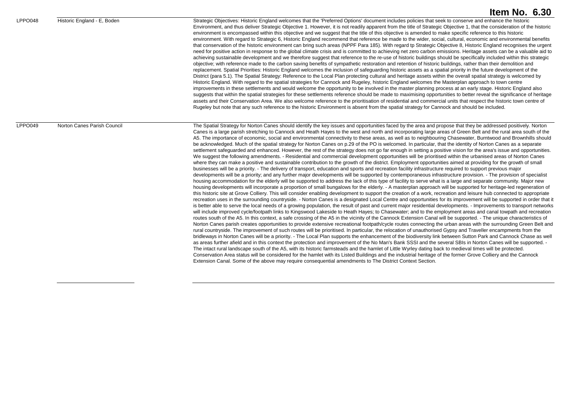LPPO048 Historic England - E, Boden Strategic Objectives: Historic England welcomes that the 'Preferred Options' document includes policies that seek to conserve and enhance the historic Environment, and thus deliver Strategic Objective 1. However, it is not readily apparent from the title of Strategic Objective 1, that the consideration of the historic environment is encompassed within this objective and we suggest that the title of this objective is amended to make specific reference to this historic environment. With regard to Strategic 6, Historic England recommend that reference be made to the wider, social, cultural, economic and environmental benefits that conservation of the historic environment can bring such areas (NPPF Para 185). With regard tp Strategic Objective 8, Historic England recognises the urgent need for positive action in response to the global climate crisis and is committed to achieving net zero carbon emissions. Heritage assets can be a valuable aid to achieving sustainable development and we therefore suggest that reference to the re-use of historic buildings should be specifically included within this strategic objective; with reference made to the carbon saving benefits of sympathetic restoration and retention of historic buildings, rather than their demolition and replacement. Spatial Priorities: Historic England welcomes the inclusion of safeguarding historic assets as a spatial priority in the future development of the District (para 5.1). The Spatial Strategy: Reference to the Local Plan protecting cultural and heritage assets within the overall spatial strategy is welcomed by Historic England. With regard to the spatial strategies for Cannock and Rugeley, historic England welcomes the Masterplan approach to town centre improvements in these settlements and would welcome the opportunity to be involved in the master planning process at an early stage. Historic England also suggests that within the spatial strategies for these settlements reference should be made to maximising opportunities to better reveal the significance of heritage assets and their Conservation Area. We also welcome reference to the prioritisation of residential and commercial units that respect the historic town centre of Rugeley but note that any such reference to the historic Environment is absent from the spatial strategy for Cannock and should be included.

LPPO049 Norton Canes Parish Council The Spatial Strategy for Norton Canes should identify the key issues and opportunities faced by the area and propose that they be addressed positively. Norton Canes is a large parish stretching to Cannock and Heath Hayes to the west and north and incorporating large areas of Green Belt and the rural area south of the A5. The importance of economic, social and environmental connectivity to these areas, as well as to neighbouring Chasewater, Burntwood and Brownhills should be acknowledged. Much of the spatial strategy for Norton Canes on p.29 of the PO is welcomed. In particular, that the identity of Norton Canes as a separate settlement safeguarded and enhanced. However, the rest of the strategy does not go far enough in setting a positive vision for the area's issue and opportunities. We suggest the following amendments. - Residential and commercial development opportunities will be prioritised within the urbanised areas of Norton Canes where they can make a positive and sustainable contribution to the growth of the district. Employment opportunities aimed at providing for the growth of small businesses will be a priority. - The delivery of transport, education and sports and recreation facility infrastructure required to support previous major developments will be a priority; and any further major developments will be supported by contemporaneous infrastructure provision. - The provision of specialist housing accommodation for the elderly will be supported to address the lack of this type of facility to serve what is a large and separate community. Major new housing developments will incorporate a proportion of small bungalows for the elderly. - A masterplan approach will be supported for heritage-led regeneration of this historic site at Grove Colliery. This will consider enabling development to support the creation of a work, recreation and leisure hub connected to appropriate recreation uses in the surrounding countryside. - Norton Canes is a designated Local Centre and opportunities for its improvement will be supported in order that it is better able to serve the local needs of a growing population, the result of past and current major residential developments. - Improvements to transport networks will include improved cycle/footpath links to Kingswood Lakeside to Heath Hayes; to Chasewater; and to the employment areas and canal towpath and recreation routes south of the A5. In this context, a safe crossing of the A5 in the vicinity of the Cannock Extension Canal will be supported. - The unique characteristics of Norton Canes parish creates opportunities to provide extensive recreational footpath/cycle routes connecting the urban areas with the surrounding Green Belt and rural countryside. The improvement of such routes will be prioritised. In particular, the relocation of unauthorised Gypsy and Traveller encampments from the bridleways in Norton Canes will be a priority. - The Local Plan supports the enhancement of the biodiversity link between Sutton Park and Cannock Chase as well as areas further afield and in this context the protection and improvement of the No Man's Bank SSSI and the several SBIs in Norton Canes will be supported. -The intact rural landscape south of the A5, with its historic farmsteads and the hamlet of Little Wyrley dating back to medieval times will be protected. Conservation Area status will be considered for the hamlet with its Listed Buildings and the industrial heritage of the former Grove Colliery and the Cannock Extension Canal. Some of the above may require consequential amendments to The District Context Section.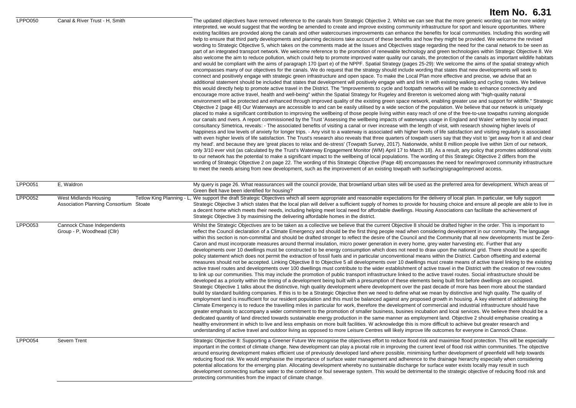|                |                                                                                              | Item No. 6.31                                                                                                                                                                                                                                                                                                                                                                                                                                                                                                                                                                                                                                                                                                                                                                                                                                                                                                                                                                                                                                                                                                                                                                                                                                                                                                                                                                                                                                                                                                                                                                                                                                                                                                                                                                                                                                                                                                                                                                                                                                                                                                                                                                                                                                                                                                                                                                                                                                                                                                                                                                                                                                                                                                                                                                                                                                                                                                                                                                                                                                                                                                                                                                                                                                                                                                                                                                                                                                                                                                                                                                                                                                                                                                                                                                                                                                                                                                                                                                                                                                                                                                                                                                                      |
|----------------|----------------------------------------------------------------------------------------------|----------------------------------------------------------------------------------------------------------------------------------------------------------------------------------------------------------------------------------------------------------------------------------------------------------------------------------------------------------------------------------------------------------------------------------------------------------------------------------------------------------------------------------------------------------------------------------------------------------------------------------------------------------------------------------------------------------------------------------------------------------------------------------------------------------------------------------------------------------------------------------------------------------------------------------------------------------------------------------------------------------------------------------------------------------------------------------------------------------------------------------------------------------------------------------------------------------------------------------------------------------------------------------------------------------------------------------------------------------------------------------------------------------------------------------------------------------------------------------------------------------------------------------------------------------------------------------------------------------------------------------------------------------------------------------------------------------------------------------------------------------------------------------------------------------------------------------------------------------------------------------------------------------------------------------------------------------------------------------------------------------------------------------------------------------------------------------------------------------------------------------------------------------------------------------------------------------------------------------------------------------------------------------------------------------------------------------------------------------------------------------------------------------------------------------------------------------------------------------------------------------------------------------------------------------------------------------------------------------------------------------------------------------------------------------------------------------------------------------------------------------------------------------------------------------------------------------------------------------------------------------------------------------------------------------------------------------------------------------------------------------------------------------------------------------------------------------------------------------------------------------------------------------------------------------------------------------------------------------------------------------------------------------------------------------------------------------------------------------------------------------------------------------------------------------------------------------------------------------------------------------------------------------------------------------------------------------------------------------------------------------------------------------------------------------------------------------------------------------------------------------------------------------------------------------------------------------------------------------------------------------------------------------------------------------------------------------------------------------------------------------------------------------------------------------------------------------------------------------------------------------------------------------------------------------------------------|
| <b>LPPO050</b> | Canal & River Trust - H, Smith                                                               | The updated objectives have removed reference to the canals from Strategic Objective 2. Whilst we can see that the more generic wording can be more widely<br>interpreted, we would suggest that the wording be amended to create and improve existing community infrastructure for sport and leisure opportunities. Where<br>existing facilities are provided along the canals and other watercourses improvements can enhance the benefits for local communities. Including this wording will<br>help to ensure that third party developments and planning decisions take account of these benefits and how they might be provided. We welcome the revised<br>wording to Strategic Objective 5, which takes on the comments made at the Issues and Objectives stage regarding the need for the canal network to be seen as<br>part of an integrated transport network. We welcome reference to the promotion of renewable technology and green technologies within Strategic Objective 8. We<br>also welcome the aim to reduce pollution, which could help to promote improved water quality our canals, the protection of the canals as important wildlife habitats<br>and would be compliant with the aims of paragraph 170 (part e) of the NPPF. Spatial Strategy (pages 25-29): We welcome the aims of the spatial strategy which<br>encompasses many of our objectives for the canals. We do request that the strategy should include wording that states that new developments will seek to<br>connect and positively engage with strategic green infrastructure and open space. To make the Local Plan more effective and precise, we advise that an<br>additional statement should be included that states that development will positively engage with and link in with existing walking and cycling routes. We believe<br>this would directly help to promote active travel in the District. The "Improvements to cycle and footpath networks will be made to enhance connectivity and<br>encourage more active travel, health and well-being" within the Spatial Strategy for Rugeley and Brereton is welcomed along with "high-quality natural<br>environment will be protected and enhanced through improved quality of the existing green space network, enabling greater use and support for wildlife." Strategic<br>Objective 2 (page 48) Our Waterways are accessible to and can be easily utilised by a wide section of the population. We believe that our network is uniquely<br>placed to make a significant contribution to improving the wellbeing of those people living within easy reach of one of the free-to-use towpaths running alongside<br>our canals and rivers. A report commissioned by the Trust 'Assessing the wellbeing impacts of waterways usage in England and Wales' written by social impact<br>consultancy Simetrica, reveals: - The associated benefits of visiting a canal or river increase with the length of visit, with research showing higher levels of<br>happiness and low levels of anxiety for longer trips. - Any visit to a waterway is associated with higher levels of life satisfaction and visiting regularly is associated<br>with even higher levels of life satisfaction. The Trust's research also reveals that three quarters of towpath users say that they visit to 'get away from it all and clear<br>my head'. and because they are 'great places to relax and de-stress' (Towpath Survey, 2017). Nationwide, whilst 8 million people live within 1km of our network,<br>only 3/10 ever visit (as calculated by the Trust's Waterway Engagement Monitor (WM) April 17 to March 18). As a result, any policy that promotes additional visits<br>to our network has the potential to make a significant impact to the wellbeing of local populations. The wording of this Strategic Objective 2 differs from the<br>wording of Strategic Objective 2 on page 22. The wording of this Strategic Objective (Page 48) encompasses the need for new/improved community infrastructure<br>to meet the needs arising from new development, such as the improvement of an existing towpath with surfacing/signage/improved access. |
| LPPO051        | E, Waldron                                                                                   | My query is page 26. What reassurances will the council provide, that brownland urban sites will be used as the preferred area for development. Which areas of<br>Green Belt have been identified for housing?                                                                                                                                                                                                                                                                                                                                                                                                                                                                                                                                                                                                                                                                                                                                                                                                                                                                                                                                                                                                                                                                                                                                                                                                                                                                                                                                                                                                                                                                                                                                                                                                                                                                                                                                                                                                                                                                                                                                                                                                                                                                                                                                                                                                                                                                                                                                                                                                                                                                                                                                                                                                                                                                                                                                                                                                                                                                                                                                                                                                                                                                                                                                                                                                                                                                                                                                                                                                                                                                                                                                                                                                                                                                                                                                                                                                                                                                                                                                                                                     |
| <b>LPPO052</b> | West Midlands Housing<br>Tetlow King Planning - L.<br>Association Planning Consortium Stoate | , We support the draft Strategic Objectives which all seem appropriate and reasonable expectations for the delivery of local plan. In particular, we fully support<br>Strategic Objective 3 which states that the local plan will deliver a sufficient supply of homes to provide for housing choice and ensure all people are able to live in<br>a decent home which meets their needs, including helping meet local need for affordable dwellings. Housing Associations can facilitate the achievement of<br>Strategic Objective 3 by maximising the delivering affordable homes in the district.                                                                                                                                                                                                                                                                                                                                                                                                                                                                                                                                                                                                                                                                                                                                                                                                                                                                                                                                                                                                                                                                                                                                                                                                                                                                                                                                                                                                                                                                                                                                                                                                                                                                                                                                                                                                                                                                                                                                                                                                                                                                                                                                                                                                                                                                                                                                                                                                                                                                                                                                                                                                                                                                                                                                                                                                                                                                                                                                                                                                                                                                                                                                                                                                                                                                                                                                                                                                                                                                                                                                                                                                |
| LPPO053        | Cannock Chase Independents<br>Group - P, Woodhead (Cllr)                                     | Whilst the Strategic Objectives are to be taken as a collective we believe that the current Objective 8 should be drafted higher in the order. This is important to<br>reflect the Council declaration of a Climate Emergency and should be the first thing people read when considering development in our community. The language<br>within this section is non-committal and should be drafted stronger to reflect the desire of the Council and the Community that all new developments must be Zero-<br>Caron and must incorporate measures around thermal insulation, micro power generation in every home, grey water harvesting etc. Further that any<br>developments over 10 dwellings must be constructed to be energy consumption which does not need to draw upon the national grid. There should be a specific<br>policy statement which does not permit the extraction of fossil fuels and in particular unconventional means within the District. Carbon offsetting and external<br>measures should not be accepted. Linking Objective 8 to Objective 5 all developments over 10 dwellings must create means of active travel linking to the existing<br>active travel routes and developments over 100 dwellings must contribute to the wider establishment of active travel in the District with the creation of new routes<br>to link up our communities. This may include the promotion of public transport infrastructure linked to the active travel routes. Social infrastructure should be<br>developed as a priority within the timing of a development being built with a presumption of these elements being built first before dwellings are occupied.<br>Strategic Objective 1 talks about the distinctive, high quality development where development over the past decade of more has been more about the standard<br>build by standard building companies. If this is to be a Strategic Objective then we need to define what we mean by distinctive and high quality. The quality of<br>employment land is insufficient for our resident population and this must be balanced against any proposed growth in housing. A key element of addressing the<br>Climate Emergency is to reduce the travelling miles in particular for work, therefore the development of commercial and industrial infrastructure should have<br>greater emphasis to accompany a wider commitment to the promotion of smaller business, busines incubation and local services. We believe there should be a<br>dedicated quantity of land directed towards sustainable energy production in the same manner as employment land. Objective 2 should emphasise creating a<br>healthy environment in which to live and less emphasis on more built facilities. W acknowledge this is more difficult to achieve but greater research and<br>understanding of active travel and outdoor living as opposed to more Leisure Centres will likely improve life outcomes for everyone in Cannock Chase.                                                                                                                                                                                                                                                                                                                                                                                                                                                                                                                                                                                                                                                                                                                                                                                                                                                                                                                                                                                                                                                                                                                                                                                             |
| LPPO054        | Severn Trent                                                                                 | Strategic Objective 8: Supporting a Greener Future We recognise the objectives effort to reduce flood risk and maximise flood protection. This will be especially<br>important in the context of climate change. New development can play a pivotal role in improving the current level of flood risk within communities. The objective<br>around ensuring development makes efficient use of previously developed land where possible, minimising further development of greenfield will help towards<br>reducing flood risk. We would emphasise the importance of surface water management and adherence to the drainage hierarchy especially when considering<br>potential allocations for the emerging plan. Allocating development whereby no sustainable discharge for surface water exists locally may result in such<br>development connecting surface water to the combined or foul sewerage system. This would be detrimental to the strategic objective of reducing flood risk and<br>protecting communities from the impact of climate change.                                                                                                                                                                                                                                                                                                                                                                                                                                                                                                                                                                                                                                                                                                                                                                                                                                                                                                                                                                                                                                                                                                                                                                                                                                                                                                                                                                                                                                                                                                                                                                                                                                                                                                                                                                                                                                                                                                                                                                                                                                                                                                                                                                                                                                                                                                                                                                                                                                                                                                                                                                                                                                                                                                                                                                                                                                                                                                                                                                                                                                                                                                                                         |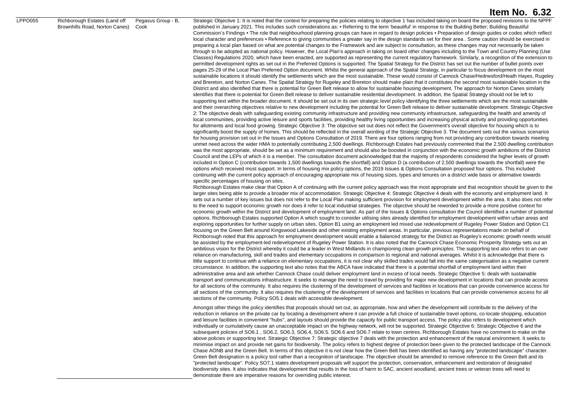Brownhills Road, Norton Canes) Cook published in January 2021. This includes such considerations as: • Referring to the term 'beautiful' in response to the Building Better; Building Beautiful Commission's Findings • The role that neighbourhood planning groups can have in regard to design policies • Preparation of design guides or codes which reflect local character and preferences • Reference to giving communities a greater say in the design standards set for their area . Some caution should be exercised in preparing a local plan based on what are potential changes to the Framework and are subject to consultation, as these changes may not necessarily be taken through to be adopted as national policy. However, the Local Plan's approach in taking on board other changes including to the Town and Country Planning (Use Classes) Regulations 2020, which have been enacted, are supported as representing the current regulatory framework. Similarly, a recognition of the extension to permitted development rights as set out in the Preferred Options is supported. The Spatial Strategy for the District has set out the number of bullet points over pages 25-29 of the Local Plan Preferred Option document. Whilst the general approach of the Spatial Strategy, in particular to focus development on the most sustainable locations it should identify the settlements which are the most sustainable. These would consist of Cannock Chase/Hednesford/Heath Hayes, Rugeley and Brereton, and Norton Canes. The Spatial Strategy for Rugeley and Brereton should make plain that it constitutes the second most sustainable location in the District and also identified that there is potential for Green Belt release to allow for sustainable housing development. The approach for Norton Canes similarly identifies that there is potential for Green Belt release to deliver sustainable residential development. In addition, the Spatial Strategy should not be left to supporting text within the broader document. It should be set out in its own strategic level policy identifying the three settlements which are the most sustainable and their overarching objectives relative to new development including the potential for Green Belt release to deliver sustainable development. Strategic Objective 2: The objective deals with safeguarding existing community infrastructure and providing new community infrastructure, safeguarding the health and amenity of local communities, providing active leisure and sports facilities, providing healthy living opportunities and increasing physical activity and providing opportunities for allotments and local food growing. Strategic Objective 3: The objective set out does not reflect the Government's overall objective for housing which is to significantly boost the supply of homes. This should be reflected in the overall wording of the Strategic Objective 3. The document sets out the various scenarios for housing provision set out in the Issues and Options Consultation of 2019. There are four options ranging from not providing any contribution towards meeting unmet need across the wider HMA to potentially contributing 2,500 dwellings. Richborough Estates had previously commented that the 2,500 dwelling contribution was the most appropriate, should be set as a minimum requirement and should also be boosted in conjunction with the economic growth ambitions of the District Council and the LEPs of which it is a member. The consultation document acknowledged that the majority of respondents considered the higher levels of growth included in Option C (contribution towards 1,500 dwellings towards the shortfall) and Option D (a contribution of 2,500 dwellings towards the shortfall) were the options which received most support. In terms of housing mix policy options, the 2019 Issues & Options Consultation proposed four options. This included continuing with the current policy approach of encouraging appropriate mix of housing sizes, types and tenures on a district wide basis or alternative towards specific percentages of housing on sites. Richborough Estates make clear that Option A of continuing with the current policy approach was the most appropriate and that recognition should be given to the larger sites being able to provide a broader mix of accommodation. Strategic Objective 4: Strategic Objective 4 deals with the economy and employment land. It sets out a number of key issues but does not refer to the Local Plan making sufficient provision for employment development within the area. It also does not refer to the need to support economic growth nor does it refer to local industrial strategies. The objective should be reworded to provide a more positive context for economic growth within the District and development of employment land. As part of the Issues & Options consultation the Council identified a number of potential options. Richborough Estates supported Option A which sought to consider utilising sites already identified for employment development within urban areas and exploring opportunities for further supply on urban sites. Option B1 using an employment led mixed use redevelopment of Rugeley Power Station and Option C1 focusing on the Green Belt around Kingswood Lakeside and other existing employment areas. In particular, previous representations made on behalf of Richborough noted that this approach for employment development would enable a balanced strategy for the District as Rugeley's economic growth needs would be assisted by the employment-led redevelopment of Rugeley Power Station. It is also noted that the Cannock Chase Economic Prosperity Strategy sets out an ambitious vision for the District whereby it could be a leader in West Midlands in championing clean growth principles. The supporting text also refers to an over reliance on manufacturing, skill and trades and elementary occupations in comparison to regional and national averages. Whilst it is acknowledge that there is little support to continue with a reliance on elementary occupations, it is not clear why skilled trades would fall into the same categorisation as a negative current circumstance. In addition, the supporting text also notes that the ABCA have indicated that there is a potential shortfall of employment land within their administrative area and ask whether Cannock Chase could deliver employment land in excess of local needs. Strategic Objective 5: deals with sustainable transport and communications infrastructure. It seeks to manage the need to travel by providing for major new development in locations that can provide access for all sections of the community. It also requires the clustering of the development of services and facilities in locations that can provide convenience access for all sections of the community. It also requires the clustering of the development of services and facilities in locations that can provide convenience access for all sections of the community. Policy SO5.1 deals with accessible development. Amongst other things the policy identifies that proposals should set out, as appropriate, how and when the development will contribute to the delivery of the reduction in reliance on the private car by locating a development where it can provide a full choice of sustainable travel options, co-locate shopping, education and leisure facilities in convenient "hubs", and layouts should provide the capacity for public transport access. The policy also refers to development which individually or cumulatively cause an unacceptable impact on the highway network, will not be supported. Strategic Objective 6: Strategic Objective 6 and the subsequent policies of SO6.1 , SO6.2, SO6.3, SO6.4, SO6.5. SO6.6 and SO6.7 relate to town centres. Richborough Estates have no comment to make on the above policies or supporting text. Strategic Objective 7: Strategic objective 7 deals with the protection and enhancement of the natural environment. It seeks to minimise impact on and provide net gains for biodiversity. The policy refers to highest degree of protection been given to the protected landscape of the Cannock

LPPO055 Richborough Estates (Land off

Pegasus Group - B,

Chase AONB and the Green Belt. In terms of this objective it is not clear how the Green Belt has been identified as having any "protected landscape" character. Green Belt designation is a policy tool rather than a recognition of landscape. The objective should be amended to remove reference to the Green Belt and its "protected landscape". Policy SO7.1 states development proposals will support the protection, conservation, enhancement and restoration of designated biodiversity sites. It also indicates that development that results in the loss of harm to SAC, ancient woodland, ancient trees or veteran trees will need to demonstrate there are imperative reasons for overriding public interest.

Strategic Objective 1: It is noted that the context for preparing the policies relating to objective 1 has included taking on board the proposed revisions to the NPPF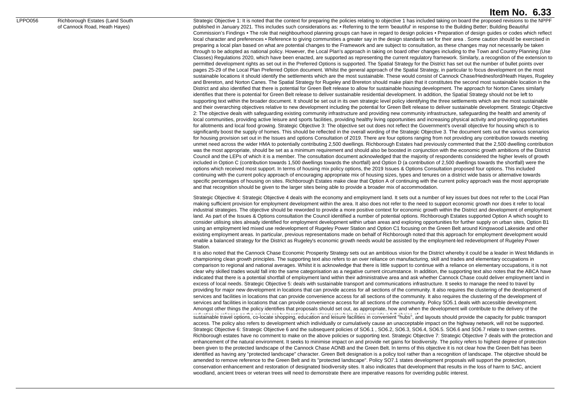#### LPPO056 Richborough Estates (Land South

of Cannock Road, Heath Hayes)

Strategic Objective 1: It is noted that the context for preparing the policies relating to objective 1 has included taking on board the proposed revisions to the NPPF published in January 2021. This includes such considerations as: • Referring to the term 'beautiful' in response to the Building Better; Building Beautiful Commission's Findings • The role that neighbourhood planning groups can have in regard to design policies • Preparation of design guides or codes which reflect local character and preferences • Reference to giving communities a greater say in the design standards set for their area . Some caution should be exercised in preparing a local plan based on what are potential changes to the Framework and are subject to consultation, as these changes may not necessarily be taken through to be adopted as national policy. However, the Local Plan's approach in taking on board other changes including to the Town and Country Planning (Use Classes) Regulations 2020, which have been enacted, are supported as representing the current regulatory framework. Similarly, a recognition of the extension to permitted development rights as set out in the Preferred Options is supported. The Spatial Strategy for the District has set out the number of bullet points over pages 25-29 of the Local Plan Preferred Option document. Whilst the general approach of the Spatial Strategy, in particular to focus development on the most sustainable locations it should identify the settlements which are the most sustainable. These would consist of Cannock Chase/Hednesford/Heath Hayes, Rugeley and Brereton, and Norton Canes. The Spatial Strategy for Rugeley and Brereton should make plain that it constitutes the second most sustainable location in the District and also identified that there is potential for Green Belt release to allow for sustainable housing development. The approach for Norton Canes similarly identifies that there is potential for Green Belt release to deliver sustainable residential development. In addition, the Spatial Strategy should not be left to supporting text within the broader document. It should be set out in its own strategic level policy identifying the three settlements which are the most sustainable and their overarching objectives relative to new development including the potential for Green Belt release to deliver sustainable development. Strategic Objective 2: The objective deals with safeguarding existing community infrastructure and providing new community infrastructure, safeguarding the health and amenity of local communities, providing active leisure and sports facilities, providing healthy living opportunities and increasing physical activity and providing opportunities for allotments and local food growing. Strategic Objective 3: The objective set out does not reflect the Government's overall objective for housing which is to significantly boost the supply of homes. This should be reflected in the overall wording of the Strategic Objective 3. The document sets out the various scenarios for housing provision set out in the Issues and options Consultation of 2019. There are four options ranging from not providing any contribution towards meeting unmet need across the wider HMA to potentially contributing 2,500 dwellings. Richborough Estates had previously commented that the 2,500 dwelling contribution was the most appropriate, should be set as a minimum requirement and should also be boosted in conjunction with the economic growth ambitions of the District Council and the LEPs of which it is a member. The consultation document acknowledged that the majority of respondents considered the higher levels of growth included in Option C (contribution towards 1,500 dwellings towards the shortfall) and Option D (a contribution of 2,500 dwellings towards the shortfall) were the options which received most support. In terms of housing mix policy options, the 2019 Issues & Options Consultation proposed four options. This included continuing with the current policy approach of encouraging appropriate mix of housing sizes, types and tenures on a district wide basis or alternative towards specific percentages of housing on sites. Richborough Estates make clear that Option A of continuing with the current policy approach was the most appropriate and that recognition should be given to the larger sites being able to provide a broader mix of accommodation.

Strategic Objective 4: Strategic Objective 4 deals with the economy and employment land. It sets out a number of key issues but does not refer to the Local Plan making sufficient provision for employment development within the area. It also does not refer to the need to support economic growth nor does it refer to local industrial strategies. The objective should be reworded to provide a more positive context for economic growth within the District and development of employment land. As part of the Issues & Options consultation the Council identified a number of potential options. Richborough Estates supported Option A which sought to consider utilising sites already identified for employment development within urban areas and exploring opportunities for further supply on urban sites, Option B1 using an employment led mixed use redevelopment of Rugeley Power Station and Option C1 focusing on the Green Belt around Kingswood Lakeside and other existing employment areas. In particular, previous representations made on behalf of Richborough noted that this approach for employment development would enable a balanced strategy for the District as Rugeley's economic growth needs would be assisted by the employment-led redevelopment of Rugeley Power Station.

It is also noted that the Cannock Chase Economic Prosperity Strategy sets out an ambitious vision for the District whereby it could be a leader in West Midlands in championing clean growth principles. The supporting text also refers to an over reliance on manufacturing, skill and trades and elementary occupations in comparison to regional and national averages. Whilst it is acknowledge that there is little support to continue with a reliance on elementary occupations, it is not clear why skilled trades would fall into the same categorisation as a negative current circumstance. In addition, the supporting text also notes that the ABCA have indicated that there is a potential shortfall of employment land within their administrative area and ask whether Cannock Chase could deliver employment land in excess of local needs. Strategic Objective 5: deals with sustainable transport and communications infrastructure. It seeks to manage the need to travel by providing for major new development in locations that can provide access for all sections of the community. It also requires the clustering of the development of services and facilities in locations that can provide convenience access for all sections of the community. It also requires the clustering of the development of services and facilities in locations that can provide convenience access for all sections of the community. Policy SO5.1 deals with accessible development. Amongst other things the policy identifies that proposals should set out, as appropriate, how and when the development will contribute to the delivery of the sustainable travel options, co-locate shopping, education and leisure facilities in convenient "hubs", and layouts should provide the capacity for public transport access. The policy also refers to development which individually or cumulatively cause an unacceptable impact on the highway network, will not be supported. Strategic Objective 6: Strategic Objective 6 and the subsequent policies of SO6.1, SO6.2, SO6.3, SO6.4, SO6.5. SO6.6 and SO6.7 relate to town centres. Richborough estates have no comment to make on the above policies or supporting text. Strategic Objective 7: Strategic Objective 7 deals with the protection and enhancement of the natural environment. It seeks to minimise impact on and provide net gains for biodiversity. The policy refers to highest degree of protection been given to the protected landscape of the Cannock Chase AONB and the Green Belt. In terms of this objective it is not clear how the Green Belt has been identified as having any "protected landscape" character. Green Belt designation is a policy tool rather than a recognition of landscape. The objective should be amended to remove reference to the Green Belt and its "protected landscape". Policy SO7.1 states development proposals will support the protection, conservation enhancement and restoration of designated biodiversity sites. It also indicates that development that results in the loss of harm to SAC, ancient woodland, ancient trees or veteran trees will need to demonstrate there are imperative reasons for overriding public interest.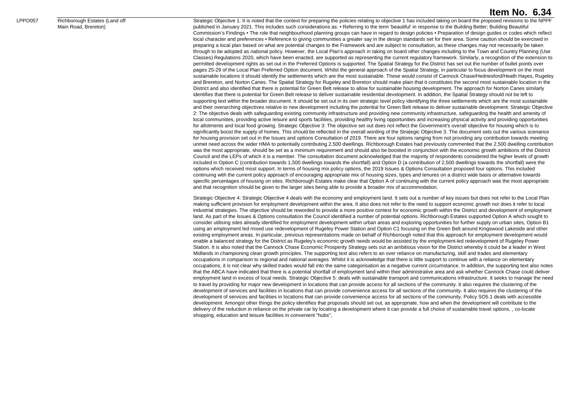#### LPPO057 Richborough Estates (Land off

Main Road, Brereton)

Strategic Objective 1: It is noted that the context for preparing the policies relating to objective 1 has included taking on board the proposed revisions to the NPPF published in January 2021. This includes such considerations as: • Referring to the term 'beautiful' in response to the Building Better; Building Beautiful Commission's Findings • The role that neighbourhood planning groups can have in regard to design policies • Preparation of design guides or codes which reflect local character and preferences • Reference to giving communities a greater say in the design standards set for their area. Some caution should be exercised in preparing a local plan based on what are potential changes to the Framework and are subject to consultation, as these changes may not necessarily be taken through to be adopted as national policy. However, the Local Plan's approach in taking on board other changes including to the Town and Country Planning (Use Classes) Regulations 2020, which have been enacted, are supported as representing the current regulatory framework. Similarly, a recognition of the extension to permitted development rights as set out in the Preferred Options is supported. The Spatial Strategy for the District has set out the number of bullet points over pages 25-29 of the Local Plan Preferred Option document. Whilst the general approach of the Spatial Strategy, in particular to focus development on the most sustainable locations it should identify the settlements which are the most sustainable. These would consist of Cannock Chase/Hednesford/Heath Hayes, Rugeley and Brereton, and Norton Canes. The Spatial Strategy for Rugeley and Brereton should make plain that it constitutes the second most sustainable location in the District and also identified that there is potential for Green Belt release to allow for sustainable housing development. The approach for Norton Canes similarly identifies that there is potential for Green Belt release to deliver sustainable residential development. In addition, the Spatial Strategy should not be left to supporting text within the broader document. It should be set out in its own strategic level policy identifying the three settlements which are the most sustainable and their overarching objectives relative to new development including the potential for Green Belt release to deliver sustainable development. Strategic Objective 2: The objective deals with safeguarding existing community infrastructure and providing new community infrastructure, safeguarding the health and amenity of local communities, providing active leisure and sports facilities, providing healthy living opportunities and increasing physical activity and providing opportunities for allotments and local food growing. Strategic Objective 3: The objective set out does not reflect the Government's overall objective for housing which is to significantly boost the supply of homes. This should be reflected in the overall wording of the Strategic Objective 3. The document sets out the various scenarios for housing provision set out in the Issues and options Consultation of 2019. There are four options ranging from not providing any contribution towards meeting unmet need across the wider HMA to potentially contributing 2,500 dwellings. Richborough Estates had previously commented that the 2,500 dwelling contribution was the most appropriate, should be set as a minimum requirement and should also be boosted in conjunction with the economic growth ambitions of the District Council and the LEPs of which it is a member. The consultation document acknowledged that the majority of respondents considered the higher levels of growth included in Option C (contribution towards 1,500 dwellings towards the shortfall) and Option D (a contribution of 2,500 dwellings towards the shortfall) were the options which received most support. In terms of housing mix policy options, the 2019 Issues & Options Consultation proposed four options. This included continuing with the current policy approach of encouraging appropriate mix of housing sizes, types and tenures on a district wide basis or alternative towards specific percentages of housing on sites. Richborough Estates make clear that Option A of continuing with the current policy approach was the most appropriate and that recognition should be given to the larger sites being able to provide a broader mix of accommodation.

Strategic Objective 4: Strategic Objective 4 deals with the economy and employment land. It sets out a number of key issues but does not refer to the Local Plan making sufficient provision for employment development within the area. It also does not refer to the need to support economic growth nor does it refer to local industrial strategies. The objective should be reworded to provide a more positive context for economic growth within the District and development of employment land. As part of the Issues & Options consultation the Council identified a number of potential options. Richborough Estates supported Option A which sought to consider utilising sites already identified for employment development within urban areas and exploring opportunities for further supply on urban sites, Option B1 using an employment led mixed use redevelopment of Rugeley Power Station and Option C1 focusing on the Green Belt around Kingswood Lakeside and other existing employment areas. In particular, previous representations made on behalf of Richborough noted that this approach for employment development would enable a balanced strategy for the District as Rugeley's economic growth needs would be assisted by the employment-led redevelopment of Rugeley Power Station. It is also noted that the Cannock Chase Economic Prosperity Strategy sets out an ambitious vision for the District whereby it could be a leader in West Midlands in championing clean growth principles. The supporting text also refers to an over reliance on manufacturing, skill and trades and elementary occupations in comparison to regional and national averages. Whilst it is acknowledge that there is little support to continue with a reliance on elementary occupations, it is not clear why skilled trades would fall into the same categorisation as a negative current circumstance. In addition, the supporting text also notes that the ABCA have indicated that there is a potential shortfall of employment land within their administrative area and ask whether Cannock Chase could deliver employment land in excess of local needs. Strategic Objective 5: deals with sustainable transport and communications infrastructure. It seeks to manage the need to travel by providing for major new development in locations that can provide access for all sections of the community. It also requires the clustering of the development of services and facilities in locations that can provide convenience access for all sections of the community. It also requires the clustering of the development of services and facilities in locations that can provide convenience access for all sections of the community. Policy SO5.1 deals with accessible development. Amongst other things the policy identifies that proposals should set out, as appropriate, how and when the development will contribute to the delivery of the reduction in reliance on the private car by locating a development where it can provide a full choice of sustainable travel options, , co-locate shopping, education and leisure facilities in convenient "hubs",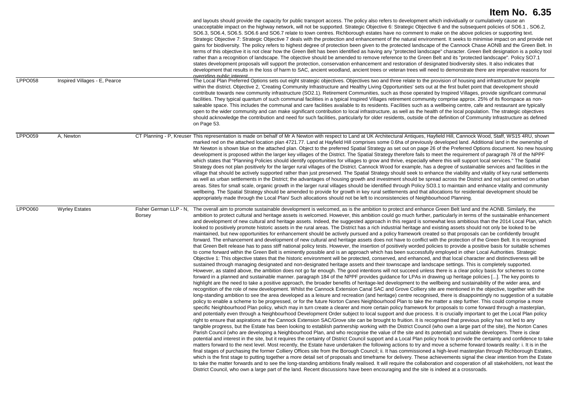| <b>LPPO058</b> | Inspired Villages - E, Pearce |                                  | and layouts should provide the capacity for public transport access. The policy also refers to development which individually or cumulatively cause an<br>unacceptable impact on the highway network, will not be supported. Strategic Objective 6: Strategic Objective 6 and the subsequent policies of SO6.1, SO6.2,<br>SO6.3, SO6.4, SO6.5. SO6.6 and SO6.7 relate to town centres. Richborough estates have no comment to make on the above policies or supporting text.<br>Strategic Objective 7: Strategic Objective 7 deals with the protection and enhancement of the natural environment. It seeks to minimise impact on and provide net<br>gains for biodiversity. The policy refers to highest degree of protection been given to the protected landscape of the Cannock Chase AONB and the Green Belt. In<br>terms of this objective it is not clear how the Green Belt has been identified as having any "protected landscape" character. Green Belt designation is a policy tool<br>rather than a recognition of landscape. The objective should be amended to remove reference to the Green Belt and its "protected landscape". Policy SO7.1<br>states development proposals will support the protection, conservation enhancement and restoration of designated biodiversity sites. It also indicates that<br>development that results in the loss of harm to SAC, ancient woodland, ancient trees or veteran trees will need to demonstrate there are imperative reasons for<br>overriding public interest<br>The Local Plan Preferred Options sets out eight strategic objectives. Objectives two and three relate to the provision of housing and infrastructure for people                                                                                                                                                                                                                                                                                                                                                                                                                                                                                                                                                                                                                                                                                                                                                                                                                                                                                                                                                                                                                                                                                                                                                                                                                                                                                                                                                                                                                                                                                                                                                                                                                                                                                                                                                                                                                                                                                                                                                                                                                                                                                                                                                                                                                                                                                                                                                                                                                                                                                                                                                                                                                                                                                                                                                                                                                                         |
|----------------|-------------------------------|----------------------------------|----------------------------------------------------------------------------------------------------------------------------------------------------------------------------------------------------------------------------------------------------------------------------------------------------------------------------------------------------------------------------------------------------------------------------------------------------------------------------------------------------------------------------------------------------------------------------------------------------------------------------------------------------------------------------------------------------------------------------------------------------------------------------------------------------------------------------------------------------------------------------------------------------------------------------------------------------------------------------------------------------------------------------------------------------------------------------------------------------------------------------------------------------------------------------------------------------------------------------------------------------------------------------------------------------------------------------------------------------------------------------------------------------------------------------------------------------------------------------------------------------------------------------------------------------------------------------------------------------------------------------------------------------------------------------------------------------------------------------------------------------------------------------------------------------------------------------------------------------------------------------------------------------------------------------------------------------------------------------------------------------------------------------------------------------------------------------------------------------------------------------------------------------------------------------------------------------------------------------------------------------------------------------------------------------------------------------------------------------------------------------------------------------------------------------------------------------------------------------------------------------------------------------------------------------------------------------------------------------------------------------------------------------------------------------------------------------------------------------------------------------------------------------------------------------------------------------------------------------------------------------------------------------------------------------------------------------------------------------------------------------------------------------------------------------------------------------------------------------------------------------------------------------------------------------------------------------------------------------------------------------------------------------------------------------------------------------------------------------------------------------------------------------------------------------------------------------------------------------------------------------------------------------------------------------------------------------------------------------------------------------------------------------------------------------------------------------------------------------------------------------------------------------------------------------------------------------------------------------------------------------------------------------------------------------------------------------------------------------------------------------------------------------------------------------------------------------------------------------------------------------------------------------------------------------------------------------------------------------------------------------------------------------------------------------------------------------------------------------------------------------------------------------------------------------------------------------------------------------------------------------------------------------------------|
|                |                               |                                  | within the district. Objective 2, 'Creating Community Infrastructure and Healthy Living Opportunities' sets out at the first bullet point that development should<br>contribute towards new community infrastructure (SO2.1). Retirement Communities, such as those operated by Inspired Villages, provide significant communal<br>facilities. They typical quantum of such communal facilities in a typical Inspired Villages retirement community comprise approx. 25% of its floorspace as non-<br>saleable space. This includes the communal and care facilities available to its residents. Facilities such as a wellbeing centre, cafe and restaurant are typically<br>open to the wider community and can make significant contribution to local infrastructure, as well as the health of the local population. The strategic objectives<br>should acknowledge the contribution and need for such facilities, particularly for older residents, outside of the definition of Community Infrastructure as defined<br>on Page 53.                                                                                                                                                                                                                                                                                                                                                                                                                                                                                                                                                                                                                                                                                                                                                                                                                                                                                                                                                                                                                                                                                                                                                                                                                                                                                                                                                                                                                                                                                                                                                                                                                                                                                                                                                                                                                                                                                                                                                                                                                                                                                                                                                                                                                                                                                                                                                                                                                                                                                                                                                                                                                                                                                                                                                                                                                                                                                                                                                                                                                                                                                                                                                                                                                                                                                                                                                                                                                                                                                                 |
| <b>LPPO059</b> | A, Newton                     |                                  | CT Planning - P, Kreuser This representation is made on behalf of Mr A Newton with respect to Land at UK Architectural Antiques, Hayfield Hill, Cannock Wood, Staff, WS15 4RU, shown<br>marked red on the attached location plan 4721.77. Land at Hayfield Hill comprises some 0.6ha of previously developed land. Additional land in the ownership of<br>Mr Newton is shown blue on the attached plan. Object to the preferred Spatial Strategy as set out on page 26 of the Preferred Options document. No new housing<br>development is proposed within the larger key villages of the District. The Spatial Strategy therefore fails to meet the requirement of paragraph 78 of the NPPF<br>which states that "Planning Policies should identify opportunities for villages to grow and thrive, especially where this will support local services." The Spatial<br>Strategy does not plan positively for the larger rural villages of the District. Cannock Wood for example, has a degree of sustainable services and facilities in the<br>village that should be actively supported rather than just preserved. The Spatial Strategy should seek to enhance the viability and vitality of key rural settlements<br>as well as urban settlements in the District; the advantages of housing growth and investment should be spread across the District and not just centred on urban<br>areas. Sites for small scale, organic growth in the larger rural villages should be identified through Policy SO3.1 to maintain and enhance vitality and community<br>wellbeing. The Spatial Strategy should be amended to provide for growth in key rural settlements and that allocations for residential development should be<br>appropriately made through the Local Plan/ Such allocations should not be left to inconsistencies of Neighbourhood Planning.                                                                                                                                                                                                                                                                                                                                                                                                                                                                                                                                                                                                                                                                                                                                                                                                                                                                                                                                                                                                                                                                                                                                                                                                                                                                                                                                                                                                                                                                                                                                                                                                                                                                                                                                                                                                                                                                                                                                                                                                                                                                                                                                                                                                                                                                                                                                                                                                                                                                                                                                                                                                                                                                         |
| <b>LPPO060</b> | <b>Wyrley Estates</b>         | Fisher German LLP - N.<br>Borsey | The overall aim to promote sustainable development is welcomed, as is the ambition to protect and enhance Green Belt land and the AONB. Similarly, the<br>ambition to protect cultural and heritage assets is welcomed. However, this ambition could go much further, particularly in terms of the sustainable enhancement<br>and development of new cultural and heritage assets. Indeed, the suggested approach in this regard is somewhat less ambitious than the 2014 Local Plan, which<br>looked to positively promote historic assets in the rural areas. The District has a rich industrial heritage and existing assets should not only be looked to be<br>maintained, but new opportunities for enhancement should be actively pursued and a policy framework created so that proposals can be confidently brought<br>forward. The enhancement and development of new cultural and heritage assets does not have to conflict with the protection of the Green Belt. It is recognised<br>that Green Belt release has to pass stiff national policy tests. However, the insertion of positively worded policies to provide a positive basis for suitable schemes<br>to come forward within the Green Belt is eminently possible and is an approach which has been successfully employed in other Local Authorities. Strategic<br>Objective 1: This objective states that the historic environment will be protected, conserved, and enhanced, and that local character and distinctiveness will be<br>sustained through managing designated and non-designated heritage assets and their townscape and landscape settings. This is completely supported.<br>However, as stated above, the ambition does not go far enough. The good intentions will not succeed unless there is a clear policy basis for schemes to come<br>forward in a planned and sustainable manner, paragraph 184 of the NPPF provides guidance for LPAs in drawing up heritage policies []. The key points to<br>highlight are the need to take a positive approach, the broader benefits of heritage-led development to the wellbeing and sustainability of the wider area, and<br>recognition of the role of new development. Whilst the Cannock Extension Canal SAC and Grove Colliery site are mentioned in the objective, together with the<br>long-standing ambition to see the area developed as a leisure and recreation (and heritage) centre recognised, there is disappointingly no suggestion of a suitable<br>policy to enable a scheme to be progressed, or for the future Norton Canes Neighbourhood Plan to take the matter a step further. This could comprise a more<br>specific Neighbourhood Plan policy, which may in turn create a clearer and more certain policy framework for proposals to come forward through a masterplan,<br>and potentially even through a Neighbourhood Development Order subject to local support and due process. It is crucially important to get the Local Plan policy<br>right to ensure that aspirations at the Cannock Extension SAC/Grove site can be brought to fruition. It is recognised that previous policy has not led to any<br>tangible progress, but the Estate has been looking to establish partnership working with the District Council (who own a large part of the site), the Norton Canes<br>Parish Council (who are developing a Neighbourhood Plan, and who recognise the value of the site and its potential) and suitable developers. There is clear<br>potential and interest in the site, but it requires the certainty of District Council support and a Local Plan policy hook to provide the certainty and confidence to take<br>matters forward to the next level. Most recently, the Estate have undertaken the following actions to try and move a scheme forward towards reality: i. It is in the<br>final stages of purchasing the former Colliery Offices site from the Borough Council; ii. It has commissioned a high-level masterplan through Richborough Estates,<br>which is the first stage to putting together a more detail set of proposals and timeframe for delivery. These achievements signal the clear intention from the Estate<br>to take the matter forwards and to see the long-standing ambitions finally realised. It will require the collaboration and cooperation of all stakeholders, not least the<br>District Council, who own a large part of the land. Recent discussions have been encouraging and the site is indeed at a crossroads. |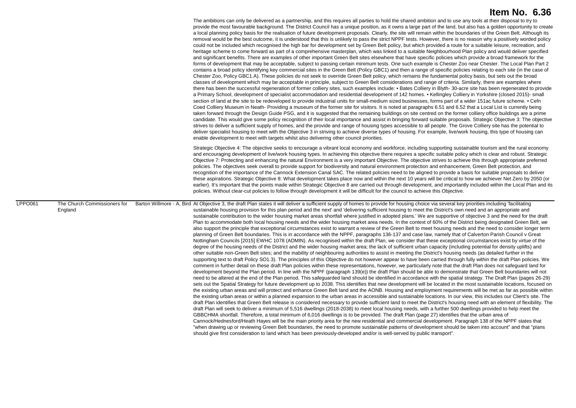|                                                    | The ambitions can only be delivered as a partnership, and this requires all parties to hold the shared ambition and to use any tools at their disposal to try to<br>provide the most favourable background. The District Council has a unique position, as it owns a large part of the land, but also has a golden opportunity to create<br>a local planning policy basis for the realisation of future development proposals. Clearly, the site will remain within the boundaries of the Green Belt. Although its<br>removal would be the best outcome, it is understood that this is unlikely to pass the strict NPPF tests. However, there is no reason why a positively worded policy<br>could not be included which recognised the high bar for development set by Green Belt policy, but which provided a route for a suitable leisure, recreation, and<br>heritage scheme to come forward as part of a comprehensive masterplan, which was linked to a suitable Neighbourhood Plan policy and would deliver specified<br>and significant benefits. There are examples of other important Green Belt sites elsewhere that have specific policies which provide a broad framework for the<br>forms of development that may be acceptable, subject to passing certain minimum tests. One such example is Chester Zoo near Chester. The Local Plan Part 2<br>contains a broad policy identifying key commercial sites in the Green Belt (Policy GBC1) and then a range of specific policies relating to each site (in the case of<br>Chester Zoo, Policy GBC1.A). These policies do not seek to override Green Belt policy, which remains the fundamental policy basis, but sets out the broad<br>classes of development which may be acceptable in principle, subject to Green Belt considerations and range of criteria. Similarly, there are examples where<br>there has been the successful regeneration of former colliery sites, such examples include: • Bates Colliery in Blyth-30-acre site has been regenerated to provide<br>a Primary School, development of specialist accommodation and residential development of 142 homes. • Kellingley Colliery in Yorkshire (closed 2015)- small<br>section of land at the site to be redeveloped to provide industrial units for small-medium sized businesses, forms part of a wider 151ac future scheme. • Cefn<br>Coed Colliery Museum in Neath-Providing a museum of the former site for visitors. It is noted at paragraphs 6.51 and 6.52 that a Local List is currently being<br>taken forward through the Design Guide PSG, and it is suggested that the remaining buildings on site centred on the former colliery office buildings are a prime<br>candidate. This would give some policy recognition of their local importance and assist in bringing forward suitable proposals. Strategic Objective 3: The objective<br>strives to deliver a sufficient supply of homes, and the provide and range of housing types accessible to all people. The Grove Colliery site has the potential to<br>deliver specialist housing to meet with the Objective 3 in striving to achieve diverse types of housing. For example, live/work housing, this type of housing can<br>enable development to meet with targets whilst also delivering other council priorities.<br>Strategic Objective 4: The objective seeks to encourage a vibrant local economy and workforce, including supporting sustainable tourism and the rural economy<br>and encouraging development of live/work housing types. In achieving this objective there requires a specific suitable policy which is clear and robust. Strategic<br>Objective 7: Protecting and enhancing the natural Environment is a very important Objective. The objective strives to achieve this through appropriate preferred<br>policies. The objectives seek overall to provide support for biodiversity and natural environment protection and enhancement, Green Belt protection, and<br>recognition of the importance of the Cannock Extension Canal SAC. The related policies need to be aligned to provide a basis for suitable proposals to deliver<br>these aspirations. Strategic Objective 8: What development takes place now and within the next 10 years will be critical to how we achiever Net Zero by 2050 (or<br>earlier). It's important that the points made within Strategic Objective 8 are carried out through development, and importantly included within the Local Plan and its<br>policies. Without clear-cut policies to follow through development it will be difficult for the council to achieve this Objective. |
|----------------------------------------------------|------------------------------------------------------------------------------------------------------------------------------------------------------------------------------------------------------------------------------------------------------------------------------------------------------------------------------------------------------------------------------------------------------------------------------------------------------------------------------------------------------------------------------------------------------------------------------------------------------------------------------------------------------------------------------------------------------------------------------------------------------------------------------------------------------------------------------------------------------------------------------------------------------------------------------------------------------------------------------------------------------------------------------------------------------------------------------------------------------------------------------------------------------------------------------------------------------------------------------------------------------------------------------------------------------------------------------------------------------------------------------------------------------------------------------------------------------------------------------------------------------------------------------------------------------------------------------------------------------------------------------------------------------------------------------------------------------------------------------------------------------------------------------------------------------------------------------------------------------------------------------------------------------------------------------------------------------------------------------------------------------------------------------------------------------------------------------------------------------------------------------------------------------------------------------------------------------------------------------------------------------------------------------------------------------------------------------------------------------------------------------------------------------------------------------------------------------------------------------------------------------------------------------------------------------------------------------------------------------------------------------------------------------------------------------------------------------------------------------------------------------------------------------------------------------------------------------------------------------------------------------------------------------------------------------------------------------------------------------------------------------------------------------------------------------------------------------------------------------------------------------------------------------------------------------------------------------------------------------------------------------------------------------------------------------------------------------------------------------------------------------------------------------------------------------------------------------------------------------------------------------------------------------------------------------------------------------------------------------------------------------------------------------------------------------------------------------------------------------------------------------------------------------------------------------------------------------------------------------------------------------------------------------------------------------------------------------------------------------------------------------------------------------------------------------------------------------------------------------------------------------------------------------------------------------------------------------------------------------------------------------------------------------------------------------------------------------------------------------------------------------------------------------------------------------------------------------------------------------------------------------------------------------------------------------------------------------------------------------------------------------------------------------------|
| LPPO061<br>The Church Commissioners for<br>England | Barton Willmore - A, Bird At Objective 3, the draft Plan states it will deliver a sufficient supply of homes to provide for housing choice via several key priorities including 'facilitating<br>sustainable housing provision for this plan period and the next' and 'delivering sufficient housing to meet the District's own need and an appropriate and<br>sustainable contribution to the wider housing market areas shortfall where justified in adopted plans. We are supportive of objective 3 and the need for the draft<br>Plan to accommodate both local housing needs and the wider housing market area needs. In the context of 60% of the District being designated Green Belt, we<br>also support the principle that exceptional circumstances exist to warrant a review of the Green Belt to meet housing needs and the need to consider longer term<br>planning of Green Belt boundaries. This is in accordance with the NPPF, paragraphs 136-137 and case law, namely that of Calverton Parish Council v Great<br>Nottingham Councils [2015] EWHC 1078 (ADMIN). As recognised within the draft Plan, we consider that these exceptional circumstances exist by virtue of the<br>degree of the housing needs of the District and the wider housing market area; the lack of sufficient urban capacity (including potential for density uplifts) and<br>other suitable non-Green Belt sites; and the inability of neighbouring authorities to assist in meeting the District's housing needs (as detailed further in the<br>supporting text to draft Policy SO1.3). The principles of this Objective do not however appear to have been carried through fully within the draft Plan policies. We<br>comment in further detail on these draft Plan policies within these representations, however, we particularly note that the draft Plan does not safeguard land for<br>development beyond the Plan period. In line with the NPPF (paragraph 139(e)) the draft Plan should be able to demonstrate that Green Belt boundaries will not<br>need to be altered at the end of the Plan period. This safeguarded land should be identified in accordance with the spatial strategy. The Draft Plan (pages 26-29)<br>sets out the Spatial Strategy for future development up to 2038. This identifies that new development will be located in the most sustainable locations, focused on<br>the existing urban areas and will protect and enhance Green Belt land and the AONB. Housing and employment requirements will be met as far as possible within<br>the existing urban areas or within a planned expansion to the urban areas in accessible and sustainable locations. In our view, this includes our Client's site. The<br>draft Plan identifies that Green Belt release is considered necessary to provide sufficient land to meet the District's housing need with an element of flexibility. The<br>draft Plan will seek to deliver a minimum of 5,516 dwellings (2018-2038) to meet local housing needs, with a further 500 dwellings provided to help meet the<br>GBBCHMA shortfall. Therefore, a total minimum of 6,016 dwellings is to be provided. The draft Plan (page 27) identifies that the urban area of<br>Cannock/Hednesford/Heath Hayes will be the main priority area for the new residential and commercial development. Paragraph 138 of the NPPF states that<br>"when drawing up or reviewing Green Belt boundaries, the need to promote sustainable patterns of development should be taken into account" and that "plans<br>should give first consideration to land which has been previously-developed and/or is well-served by public transport".                                                                                                                                                                                                                                                                                                                                                                                                                                                                                                                                                                                                                                                                                                                                                                                                                                                                                                                                                            |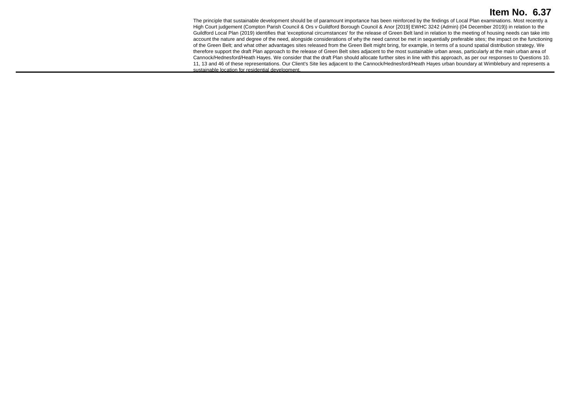The principle that sustainable development should be of paramount importance has been reinforced by the findings of Local Plan examinations. Most recently a High Court judgement (Compton Parish Council & Ors v Guildford Borough Council & Anor [2019] EWHC 3242 (Admin) (04 December 2019)) in relation to the Guildford Local Plan (2019) identifies that 'exceptional circumstances' for the release of Green Belt land in relation to the meeting of housing needs can take into account the nature and degree of the need, alongside considerations of why the need cannot be met in sequentially preferable sites; the impact on the functioning of the Green Belt; and what other advantages sites released from the Green Belt might bring, for example, in terms of a sound spatial distribution strategy. We therefore support the draft Plan approach to the release of Green Belt sites adjacent to the most sustainable urban areas, particularly at the main urban area of Cannock/Hednesford/Heath Hayes. We consider that the draft Plan should allocate further sites in line with this approach, as per our responses to Questions 10. 11, 13 and 46 of these representations. Our Client's Site lies adjacent to the Cannock/Hednesford/Heath Hayes urban boundary at Wimblebury and represents a sustainable location for residential development.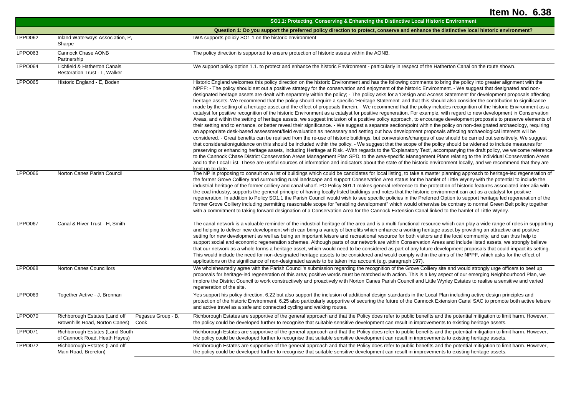|                |                                                                                               | SO1.1: Protecting, Conserving & Enhancing the Distinctive Local Historic Environment                                                                                                                                                                                                                                                                                                                                                                                                                                                                                                                                                                                                                                                                                                                                                                                                                                                                                                                                                                                                                                                                                                                                                                                                                                                                                                                                                                                                                                                                                                                                                                                                                                                                                                                                                                                                                                                                                                                                                                                                                                                                                                                                                                                                                                                                                                    |
|----------------|-----------------------------------------------------------------------------------------------|-----------------------------------------------------------------------------------------------------------------------------------------------------------------------------------------------------------------------------------------------------------------------------------------------------------------------------------------------------------------------------------------------------------------------------------------------------------------------------------------------------------------------------------------------------------------------------------------------------------------------------------------------------------------------------------------------------------------------------------------------------------------------------------------------------------------------------------------------------------------------------------------------------------------------------------------------------------------------------------------------------------------------------------------------------------------------------------------------------------------------------------------------------------------------------------------------------------------------------------------------------------------------------------------------------------------------------------------------------------------------------------------------------------------------------------------------------------------------------------------------------------------------------------------------------------------------------------------------------------------------------------------------------------------------------------------------------------------------------------------------------------------------------------------------------------------------------------------------------------------------------------------------------------------------------------------------------------------------------------------------------------------------------------------------------------------------------------------------------------------------------------------------------------------------------------------------------------------------------------------------------------------------------------------------------------------------------------------------------------------------------------------|
|                |                                                                                               | Question 1: Do you support the preferred policy direction to protect, conserve and enhance the distinctive local historic environment?                                                                                                                                                                                                                                                                                                                                                                                                                                                                                                                                                                                                                                                                                                                                                                                                                                                                                                                                                                                                                                                                                                                                                                                                                                                                                                                                                                                                                                                                                                                                                                                                                                                                                                                                                                                                                                                                                                                                                                                                                                                                                                                                                                                                                                                  |
| <b>LPPO062</b> | Inland Waterways Association, P,<br>Sharpe                                                    | IWA supports policiy SO1.1 on the historic environment                                                                                                                                                                                                                                                                                                                                                                                                                                                                                                                                                                                                                                                                                                                                                                                                                                                                                                                                                                                                                                                                                                                                                                                                                                                                                                                                                                                                                                                                                                                                                                                                                                                                                                                                                                                                                                                                                                                                                                                                                                                                                                                                                                                                                                                                                                                                  |
| LPPO063        | Cannock Chase AONB<br>Partnership                                                             | The policy direction is supported to ensure protection of historic assets within the AONB.                                                                                                                                                                                                                                                                                                                                                                                                                                                                                                                                                                                                                                                                                                                                                                                                                                                                                                                                                                                                                                                                                                                                                                                                                                                                                                                                                                                                                                                                                                                                                                                                                                                                                                                                                                                                                                                                                                                                                                                                                                                                                                                                                                                                                                                                                              |
| LPPO064        | Lichfield & Hatherton Canals<br>Restoration Trust - L, Walker                                 | We support policy option 1.1. to protect and enhance the historic Environment - particularly in respect of the Hatherton Canal on the route shown.                                                                                                                                                                                                                                                                                                                                                                                                                                                                                                                                                                                                                                                                                                                                                                                                                                                                                                                                                                                                                                                                                                                                                                                                                                                                                                                                                                                                                                                                                                                                                                                                                                                                                                                                                                                                                                                                                                                                                                                                                                                                                                                                                                                                                                      |
| <b>LPPO065</b> | Historic England - E, Boden                                                                   | Historic England welcomes this policy direction on the historic Environment and has the following comments to bring the policy into greater alignment with the<br>NPPF: - The policy should set out a positive strategy for the conservation and enjoyment of the historic Environment. - We suggest that designated and non-<br>designated heritage assets are dealt with separately within the policy; - The policy asks for a 'Design and Access Statement' for development proposals affecting<br>heritage assets. We recommend that the policy should require a specific 'Heritage Statement' and that this should also consider the contribution to significance<br>made by the setting of a heritage asset and the effect of proposals therein. - We recommend that the policy includes recognition of the historic Environment as a<br>catalyst for positive recognition of the historic Environment as a catalyst for positive regeneration. For example. with regard to new development in Conservation<br>Areas, and within the setting of heritage assets, we suggest inclusion of a positive policy approach, to encourage development proposals to preserve elements of<br>their setting and to enhance, or better reveal their significance. - We suggest a separate section/point within the policy on non-designated archaeology, requiring<br>an appropriate desk-based assessment/field evaluation as necessary and setting out how development proposals affecting archaeological interests will be<br>considered. - Great benefits can be realised from the re-use of historic buildings, but conversions/changes of use should be carried out sensitively. We suggest<br>that consideration/guidance on this should be included within the policy. - We suggest that the scope of the policy should be widened to include measures for<br>preserving or enhancing heritage assets, including Heritage at Risk. -With regards to the 'Explanatory Text', accompanying the draft policy, we welcome reference<br>to the Cannock Chase District Conservation Areas Management Plan SPD, to the area-specific Management Plans relating to the individual Conservation Areas<br>and to the Local List. These are useful sources of information and indicators about the state of the historic environment locally, and we recommend that they are<br>kent un-to date. |
| <b>LPPO066</b> | Norton Canes Parish Council                                                                   | The NP is proposing to consult on a list of buildings which could be candidates for local listing, to take a master planning approach to heritage-led regeneration of<br>the former Grove Colliery and surrounding rural landscape and support Conservation Area status for the hamlet of Little Wyrley with the potential to include the<br>industrial heritage of the former colliery and canal wharf. PO Policy S01.1 makes general reference to the protection of historic features associated inter alia with<br>the coal industry, supports the general principle of having locally listed buildings and notes that the historic environment can act as a catalyst for positive<br>regeneration. In addition to Policy SO1.1 the Parish Council would wish to see specific policies in the Preferred Option to support heritage led regeneration of the<br>former Grove Colliery including permitting reasonable scope for "enabling development" which would otherwise be contrary to normal Green Belt policy together<br>with a commitment to taking forward designation of a Conservation Area for the Cannock Extension Canal linked to the hamlet of Little Wyrley.                                                                                                                                                                                                                                                                                                                                                                                                                                                                                                                                                                                                                                                                                                                                                                                                                                                                                                                                                                                                                                                                                                                                                                                                         |
| <b>LPPO067</b> | Canal & River Trust - H, Smith                                                                | The canal network is a valuable reminder of the industrial heritage of the area and is a multi-functional resource which can play a wide range of roles in supporting<br>and helping to deliver new development which can bring a variety of benefits which enhance a working heritage asset by providing an attractive and positive<br>setting for new development as well as being an important leisure and recreational resource for both visitors and the local community, and can thus help to<br>support social and economic regeneration schemes. Although parts of our network are within Conservation Areas and include listed assets, we strongly believe<br>that our network as a whole forms a heritage asset, which would need to be considered as part of any future development proposals that could impact its setting.<br>This would include the need for non-designated heritage assets to be considered and would comply within the aims of the NPPF, which asks for the effect of<br>applications on the significance of non-designated assets to be taken into account (e.g. paragraph 197).                                                                                                                                                                                                                                                                                                                                                                                                                                                                                                                                                                                                                                                                                                                                                                                                                                                                                                                                                                                                                                                                                                                                                                                                                                                                       |
| <b>LPPO068</b> | <b>Norton Canes Councillors</b>                                                               | We wholeheartedly agree with the Parish Council's submission regarding the recognition of the Grove Colliery site and would strongly urge officers to beef up<br>proposals for heritage-led regeneration of this area; positive words must be matched with action. This is a key aspect of our emerging Neighbourhood Plan, we<br>implore the District Council to work constructively and proactively with Norton Canes Parish Council and Little Wyrley Estates to realise a sensitive and varied<br>regeneration of the site.                                                                                                                                                                                                                                                                                                                                                                                                                                                                                                                                                                                                                                                                                                                                                                                                                                                                                                                                                                                                                                                                                                                                                                                                                                                                                                                                                                                                                                                                                                                                                                                                                                                                                                                                                                                                                                                         |
| <b>LPPO069</b> | Together Active - J, Brennan                                                                  | Yes support his policy direction. 6.22 but also support the inclusion of additional design standards in the Local Plan including active design principles and<br>protection of the historic Environment. 6.25 also particularly supportive of securing the future of the Cannock Extension Canal SAC to promote both active leisure<br>and active travel as a safe and connected cycling and walking routes.                                                                                                                                                                                                                                                                                                                                                                                                                                                                                                                                                                                                                                                                                                                                                                                                                                                                                                                                                                                                                                                                                                                                                                                                                                                                                                                                                                                                                                                                                                                                                                                                                                                                                                                                                                                                                                                                                                                                                                            |
| LPPO070        | Richborough Estates (Land off<br>Pegasus Group - B,<br>Brownhills Road, Norton Canes)<br>Cook | Richborough Estates are supportive of the general approach and that the Policy does refer to public benefits and the potential mitigation to limit harm. However,<br>the policy could be developed further to recognise that suitable sensitive development can result in improvements to existing heritage assets.                                                                                                                                                                                                                                                                                                                                                                                                                                                                                                                                                                                                                                                                                                                                                                                                                                                                                                                                                                                                                                                                                                                                                                                                                                                                                                                                                                                                                                                                                                                                                                                                                                                                                                                                                                                                                                                                                                                                                                                                                                                                     |
| <b>LPPO071</b> | Richborough Estates (Land South<br>of Cannock Road, Heath Hayes)                              | Richborough Estates are supportive of the general approach and that the Policy does refer to public benefits and the potential mitigation to limit harm. However,<br>the policy could be developed further to recognise that suitable sensitive development can result in improvements to existing heritage assets.                                                                                                                                                                                                                                                                                                                                                                                                                                                                                                                                                                                                                                                                                                                                                                                                                                                                                                                                                                                                                                                                                                                                                                                                                                                                                                                                                                                                                                                                                                                                                                                                                                                                                                                                                                                                                                                                                                                                                                                                                                                                     |
| <b>LPPO072</b> | Richborough Estates (Land off<br>Main Road, Brereton)                                         | Richborough Estates are supportive of the general approach and that the Policy does refer to public benefits and the potential mitigation to limit harm. However,<br>the policy could be developed further to recognise that suitable sensitive development can result in improvements to existing heritage assets.                                                                                                                                                                                                                                                                                                                                                                                                                                                                                                                                                                                                                                                                                                                                                                                                                                                                                                                                                                                                                                                                                                                                                                                                                                                                                                                                                                                                                                                                                                                                                                                                                                                                                                                                                                                                                                                                                                                                                                                                                                                                     |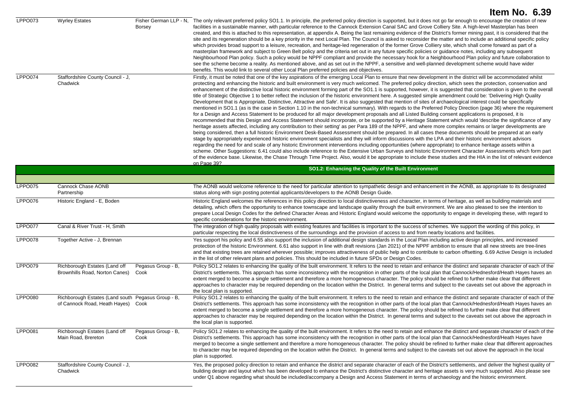|         |                                                                                          |                                         | Item No. 6.39                                                                                                                                                                                                                                                                                                                                                                                                                                                                                                                                                                                                                                                                                                                                                                                                                                                                                                                                                                                                                                                                                                                                                                                                                                                                                                                                                                                                                                                                                                                                                                                                                                                                                                                                                                                                                                                                                                                                                                                                                                                                                                                                                                                                                                                                                                                                            |
|---------|------------------------------------------------------------------------------------------|-----------------------------------------|----------------------------------------------------------------------------------------------------------------------------------------------------------------------------------------------------------------------------------------------------------------------------------------------------------------------------------------------------------------------------------------------------------------------------------------------------------------------------------------------------------------------------------------------------------------------------------------------------------------------------------------------------------------------------------------------------------------------------------------------------------------------------------------------------------------------------------------------------------------------------------------------------------------------------------------------------------------------------------------------------------------------------------------------------------------------------------------------------------------------------------------------------------------------------------------------------------------------------------------------------------------------------------------------------------------------------------------------------------------------------------------------------------------------------------------------------------------------------------------------------------------------------------------------------------------------------------------------------------------------------------------------------------------------------------------------------------------------------------------------------------------------------------------------------------------------------------------------------------------------------------------------------------------------------------------------------------------------------------------------------------------------------------------------------------------------------------------------------------------------------------------------------------------------------------------------------------------------------------------------------------------------------------------------------------------------------------------------------------|
| LPPO073 | <b>Wyrley Estates</b>                                                                    | Fisher German LLP - N.<br><b>Borsey</b> | The only relevant preferred policy SO1.1. In principle, the preferred policy direction is supported, but it does not go far enough to encourage the creation of new<br>facilities in a sustainable manner, with particular reference to the Cannock Extension Canal SAC and Grove Colliery Site. A high-level Masterplan has been<br>created, and this is attached to this representation, at appendix A. Being the last remaining evidence of the District's former mining past, it is considered that the<br>site and its regeneration should be a key priority in the next Local Plan. The Council is asked to reconsider the matter and to include an additional specific policy<br>which provides broad support to a leisure, recreation, and heritage-led regeneration of the former Grove Colliery site, which shall come forward as part of a<br>masterplan framework and subject to Green Belt policy and the criteria set out in any future specific policies or guidance notes, including any subsequent<br>Neighbourhood Plan policy. Such a policy would be NPPF compliant and provide the necessary hook for a Neighbourhood Plan policy and future collaboration to<br>see the scheme become a reality. As mentioned above, and as set out in the NPPF, a sensitive and well-planned development scheme would have wider<br>benefits. This would link to several other Local Plan preferred policies and objectives.                                                                                                                                                                                                                                                                                                                                                                                                                                                                                                                                                                                                                                                                                                                                                                                                                                                                                                                      |
| LPPO074 | Staffordshire County Council - J.<br>Chadwick                                            |                                         | Firstly, it must be noted that one of the key aspirations of the emerging Local Plan to ensure that new development in the district will be accommodated whilst<br>protecting and enhancing the historic and built environment is very much welcomed. The preferred policy direction, which sees the protection, conservation and<br>enhancement of the distinctive local historic environment forming part of the SO1.1 is supported, however, it is suggested that consideration is given to the overall<br>title of Strategic Objective 1 to better reflect the inclusion of the historic environment here. A suggested simple amendment could be: 'Delivering High Quality<br>Development that is Appropriate, Distinctive, Attractive and Safe'. It is also suggested that mention of sites of archaeological interest could be specifically<br>mentioned in SO1.1 (as is the case in Section 1.10 in the non-technical summary). With regards to the Preferred Policy Direction (page 36) where the requirement<br>for a Design and Access Statement to be produced for all major development proposals and all Listed Building consent applications is proposed, it is<br>recommended that this Design and Access Statement should incorporate, or be supported by a Heritage Statement which would 'describe the significance of any<br>heritage assets affected, including any contribution to their setting' as per Para 189 of the NPPF, and where more complex remains or larger developments are<br>being considered, then a full historic Environment Desk-Based Assessment should be prepared. In all cases these documents should be prepared at an early<br>stage by appropriately experienced historic environment specialists and they will inform discussions with the LPA and their historic environment advisors<br>regarding the need for and scale of any historic Environment interventions including opportunities (where appropriate) to enhance heritage assets within a<br>scheme. Other Suggestions: 6.41 could also include reference to the Extensive Urban Surveys and historic Environment Character Assessments which form part<br>of the evidence base. Likewise, the Chase Through Time Project. Also, would it be appropriate to include these studies and the HIA in the list of relevant evidence<br>on Page 39? |
|         |                                                                                          |                                         | SO1.2: Enhancing the Quality of the Built Environment                                                                                                                                                                                                                                                                                                                                                                                                                                                                                                                                                                                                                                                                                                                                                                                                                                                                                                                                                                                                                                                                                                                                                                                                                                                                                                                                                                                                                                                                                                                                                                                                                                                                                                                                                                                                                                                                                                                                                                                                                                                                                                                                                                                                                                                                                                    |
| LPPO075 | Cannock Chase AONB<br>Partnership                                                        |                                         | The AONB would welcome reference to the need for particular attention to sympathetic design and enhancement in the AONB, as appropriate to its designated<br>status along with sign posting potential applicants/developers to the AONB Design Guide.                                                                                                                                                                                                                                                                                                                                                                                                                                                                                                                                                                                                                                                                                                                                                                                                                                                                                                                                                                                                                                                                                                                                                                                                                                                                                                                                                                                                                                                                                                                                                                                                                                                                                                                                                                                                                                                                                                                                                                                                                                                                                                    |
| LPPO076 | Historic England - E, Boden                                                              |                                         | Historic England welcomes the references in this policy direction to local distinctiveness and character, in terms of heritage, as well as building materials and<br>detailing, which offers the opportunity to enhance townscape and landscape quality through the built environment. We are also pleased to see the intention to<br>prepare Local Design Codes for the defined Character Areas and Historic England would welcome the opportunity to engage in developing these, with regard to<br>specific considerations for the historic environment.                                                                                                                                                                                                                                                                                                                                                                                                                                                                                                                                                                                                                                                                                                                                                                                                                                                                                                                                                                                                                                                                                                                                                                                                                                                                                                                                                                                                                                                                                                                                                                                                                                                                                                                                                                                               |
| LPPO077 | Canal & River Trust - H, Smith                                                           |                                         | The integration of high quality proposals with existing features and facilities is important to the success of schemes. We support the wording of this policy, in<br>particular respecting the local distinctiveness of the surroundings and the provision of access to and from nearby locations and facilities.                                                                                                                                                                                                                                                                                                                                                                                                                                                                                                                                                                                                                                                                                                                                                                                                                                                                                                                                                                                                                                                                                                                                                                                                                                                                                                                                                                                                                                                                                                                                                                                                                                                                                                                                                                                                                                                                                                                                                                                                                                        |
| LPPO078 | Together Active - J, Brennan                                                             |                                         | Yes support his policy and 6.55 also support the inclusion of additional design standards in the Local Plan including active design principles, and increased<br>protection of the historic Environment. 6.61 also support in line with draft revisions (Jan 2021) of the NPPF ambition to ensure that all new streets are tree-lines<br>and that existing trees are retained wherever possible; improves attractiveness of public help and to contribute to carbon offsetting. 6.69 Active Design is included<br>in the list of other relevant plans and policies. This should be included in future SPDs or Design Codes.                                                                                                                                                                                                                                                                                                                                                                                                                                                                                                                                                                                                                                                                                                                                                                                                                                                                                                                                                                                                                                                                                                                                                                                                                                                                                                                                                                                                                                                                                                                                                                                                                                                                                                                              |
| LPPO079 | Richborough Estates (Land off<br>Brownhills Road, Norton Canes)                          | Pegasus Group - B,<br>Cook              | Policy SO1.2 relates to enhancing the quality of the built environment. It refers to the need to retain and enhance the distinct and separate character of each of the<br>District's settlements. This approach has some inconsistency with the recognition in other parts of the local plan that Cannock/Hednesford/Heath Hayes haves an<br>extent merged to become a single settlement and therefore a more homogeneous character. The policy should be refined to further make clear that different<br>approaches to character may be required depending on the location within the District. In general terms and subject to the caveats set out above the approach in<br>the local plan is supported.                                                                                                                                                                                                                                                                                                                                                                                                                                                                                                                                                                                                                                                                                                                                                                                                                                                                                                                                                                                                                                                                                                                                                                                                                                                                                                                                                                                                                                                                                                                                                                                                                                               |
| LPPO080 | Richborough Estates (Land south Pegasus Group - B,<br>of Cannock Road, Heath Hayes) Cook |                                         | Policy SO1.2 relates to enhancing the quality of the built environment. It refers to the need to retain and enhance the distinct and separate character of each of the<br>District's settlements. This approach has some inconsistency with the recognition in other parts of the local plan that Cannock/Hednesford/Heath Hayes haves an<br>extent merged to become a single settlement and therefore a more homogeneous character. The policy should be refined to further make clear that different<br>approaches to character may be required depending on the location within the District. In general terms and subject to the caveats set out above the approach in<br>the local plan is supported.                                                                                                                                                                                                                                                                                                                                                                                                                                                                                                                                                                                                                                                                                                                                                                                                                                                                                                                                                                                                                                                                                                                                                                                                                                                                                                                                                                                                                                                                                                                                                                                                                                               |
| LPPO081 | Richborough Estates (Land off<br>Main Road, Brereton                                     | Pegasus Group - B,<br>Cook              | Policy SO1.2 relates to enhancing the quality of the built environment. It refers to the need to retain and enhance the distinct and separate character of each of the<br>District's settlements. This approach has some inconsistency with the recognition in other parts of the local plan that Cannock/Hednesford/Heath Hayes have<br>merged to become a single settlement and therefore a more homogeneous character. The policy should be refined to further make clear that different approaches<br>to character may be required depending on the location within the District. In general terms and subject to the caveats set out above the approach in the local<br>plan is supported.                                                                                                                                                                                                                                                                                                                                                                                                                                                                                                                                                                                                                                                                                                                                                                                                                                                                                                                                                                                                                                                                                                                                                                                                                                                                                                                                                                                                                                                                                                                                                                                                                                                          |
| LPPO082 | Staffordshire County Council - J,<br>Chadwick                                            |                                         | Yes, the proposed policy direction to retain and enhance the district and separate character of each of the District's settlements, and deliver the highest quality of<br>building design and layout which has been developed to enhance the District's distinctive character and heritage assets is very much supported. Also please see<br>under Q1 above regarding what should be included/accompany a Design and Access Statement in terms of archaeology and the historic environment.                                                                                                                                                                                                                                                                                                                                                                                                                                                                                                                                                                                                                                                                                                                                                                                                                                                                                                                                                                                                                                                                                                                                                                                                                                                                                                                                                                                                                                                                                                                                                                                                                                                                                                                                                                                                                                                              |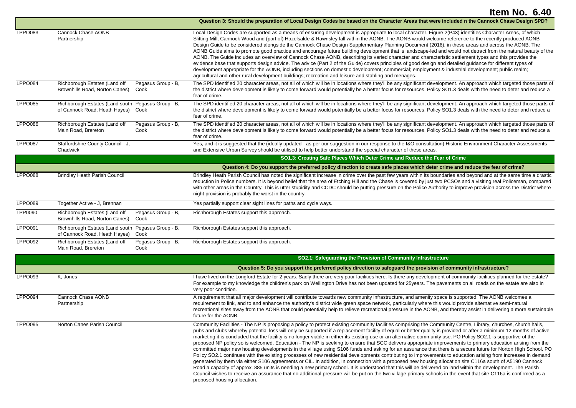|                |                                                                                     |                            | Question 3: Should the preparation of Local Design Codes be based on the Character Areas that were included n the Cannock Chase Design SPD?                                                                                                                                                                                                                                                                                                                                                                                                                                                                                                                                                                                                                                                                                                                                                                                                                                                                                                                                                                                                                                                                                                                                                                                                                                                                                                                                                                                                  |
|----------------|-------------------------------------------------------------------------------------|----------------------------|----------------------------------------------------------------------------------------------------------------------------------------------------------------------------------------------------------------------------------------------------------------------------------------------------------------------------------------------------------------------------------------------------------------------------------------------------------------------------------------------------------------------------------------------------------------------------------------------------------------------------------------------------------------------------------------------------------------------------------------------------------------------------------------------------------------------------------------------------------------------------------------------------------------------------------------------------------------------------------------------------------------------------------------------------------------------------------------------------------------------------------------------------------------------------------------------------------------------------------------------------------------------------------------------------------------------------------------------------------------------------------------------------------------------------------------------------------------------------------------------------------------------------------------------|
| LPPO083        | Cannock Chase AONB<br>Partnership                                                   |                            | Local Design Codes are supported as a means of ensuring development is appropriate to local character. Figure 2(P43) identifies Character Areas, of which<br>Slitting Mill, Cannock Wood and (part of) Hazelsalde & Rawnsley fall within the AONB. The AONB would welcome reference to the recently produced AONB<br>Design Guide to be considered alongside the Cannock Chase Design Supplementary Planning Document (2016), in these areas and across the AONB. The<br>AONB Guide aims to promote good practice and encourage future building development that is landscape-led and would not detract from the natural beauty of the<br>AONB. The Guide includes an overview of Cannock Chase AONB, describing its varied character and characteristic settlement types and this provides the<br>evidence base that supports design advice. The advice (Part 2 of the Guide) covers principles of good design and detailed guidance for different types of<br>development appropriate for the AONB, including sections on domestic development; commercial; employment & industrial development; public realm;<br>agricultural and other rural development buildings; recreation and leisure and stabling and menages.                                                                                                                                                                                                                                                                                                                     |
| LPPO084        | Richborough Estates (Land off<br>Brownhills Road, Norton Canes)                     | Pegasus Group - B,<br>Cook | The SPD identified 20 character areas, not all of which will be in locations where they'll be any significant development. An approach which targeted those parts of<br>the district where development is likely to come forward would potentially be a better focus for resources. Policy SO1.3 deals with the need to deter and reduce a<br>fear of crime.                                                                                                                                                                                                                                                                                                                                                                                                                                                                                                                                                                                                                                                                                                                                                                                                                                                                                                                                                                                                                                                                                                                                                                                 |
| LPPO085        | Richborough Estates (Land south Pegasus Group - B,<br>of Cannock Road, Heath Hayes) | Cook                       | The SPD identified 20 character areas, not all of which will be in locations where they'll be any significant development. An approach which targeted those parts of<br>the district where development is likely to come forward would potentially be a better focus for resources. Policy SO1.3 deals with the need to deter and reduce a<br>fear of crime.                                                                                                                                                                                                                                                                                                                                                                                                                                                                                                                                                                                                                                                                                                                                                                                                                                                                                                                                                                                                                                                                                                                                                                                 |
| <b>LPPO086</b> | Richborough Estates (Land off<br>Main Road, Brereton                                | Pegasus Group - B,<br>Cook | The SPD identified 20 character areas, not all of which will be in locations where they'll be any significant development. An approach which targeted those parts of<br>the district where development is likely to come forward would potentially be a better focus for resources. Policy SO1.3 deals with the need to deter and reduce a<br>fear of crime.                                                                                                                                                                                                                                                                                                                                                                                                                                                                                                                                                                                                                                                                                                                                                                                                                                                                                                                                                                                                                                                                                                                                                                                 |
| LPPO087        | Staffordshire County Council - J,<br>Chadwick                                       |                            | Yes, and it is suggested that the (ideally updated - as per our suggestion in our response to the I&O consultation) Historic Environment Character Assessments<br>and Extensive Urban Survey should be utilised to help better understand the special character of these areas.                                                                                                                                                                                                                                                                                                                                                                                                                                                                                                                                                                                                                                                                                                                                                                                                                                                                                                                                                                                                                                                                                                                                                                                                                                                              |
|                |                                                                                     |                            | SO1.3: Creating Safe Places Which Deter Crime and Reduce the Fear of Crime                                                                                                                                                                                                                                                                                                                                                                                                                                                                                                                                                                                                                                                                                                                                                                                                                                                                                                                                                                                                                                                                                                                                                                                                                                                                                                                                                                                                                                                                   |
|                |                                                                                     |                            | Question 4: Do you support the preferred policy direction to create safe places which deter crime and reduce the fear of crime?                                                                                                                                                                                                                                                                                                                                                                                                                                                                                                                                                                                                                                                                                                                                                                                                                                                                                                                                                                                                                                                                                                                                                                                                                                                                                                                                                                                                              |
| <b>LPPO088</b> | <b>Brindley Heath Parish Council</b>                                                |                            | Brindley Heath Parish Council has noted the significant increase in crime over the past few years within its boundaries and beyond and at the same time a drastic<br>reduction in Police numbers. It is beyond belief that the area of Etching Hill and the Chase is covered by just two PCSOs and a visiting real Policeman, compared<br>with other areas in the Country. This is utter stupidity and CCDC should be putting pressure on the Police Authority to improve provision across the District where<br>night provision is probably the worst in the country.                                                                                                                                                                                                                                                                                                                                                                                                                                                                                                                                                                                                                                                                                                                                                                                                                                                                                                                                                                       |
| LPPO089        | Together Active - J, Brennan                                                        |                            | Yes partially support clear sight lines for paths and cycle ways.                                                                                                                                                                                                                                                                                                                                                                                                                                                                                                                                                                                                                                                                                                                                                                                                                                                                                                                                                                                                                                                                                                                                                                                                                                                                                                                                                                                                                                                                            |
| <b>LPP0090</b> | Richborough Estates (Land off<br>Brownhills Road, Norton Canes)                     | Pegasus Group - B,<br>Cook | Richborough Estates support this approach.                                                                                                                                                                                                                                                                                                                                                                                                                                                                                                                                                                                                                                                                                                                                                                                                                                                                                                                                                                                                                                                                                                                                                                                                                                                                                                                                                                                                                                                                                                   |
| <b>LPPO091</b> | Richborough Estates (Land south Pegasus Group - B,<br>of Cannock Road, Heath Hayes) | Cook                       | Richborough Estates support this approach.                                                                                                                                                                                                                                                                                                                                                                                                                                                                                                                                                                                                                                                                                                                                                                                                                                                                                                                                                                                                                                                                                                                                                                                                                                                                                                                                                                                                                                                                                                   |
| LPPO092        | Richborough Estates (Land off<br>Main Road, Brereton                                | Pegasus Group - B,<br>Cook | Richborough Estates support this approach.                                                                                                                                                                                                                                                                                                                                                                                                                                                                                                                                                                                                                                                                                                                                                                                                                                                                                                                                                                                                                                                                                                                                                                                                                                                                                                                                                                                                                                                                                                   |
|                |                                                                                     |                            | SO2.1: Safeguarding the Provision of Community Infrastructure                                                                                                                                                                                                                                                                                                                                                                                                                                                                                                                                                                                                                                                                                                                                                                                                                                                                                                                                                                                                                                                                                                                                                                                                                                                                                                                                                                                                                                                                                |
|                |                                                                                     |                            | Question 5: Do you support the preferred policy direction to safeguard the provision of community infrastructure?                                                                                                                                                                                                                                                                                                                                                                                                                                                                                                                                                                                                                                                                                                                                                                                                                                                                                                                                                                                                                                                                                                                                                                                                                                                                                                                                                                                                                            |
| <b>LPPO093</b> | K, Jones                                                                            |                            | I have lived on the Longford Estate for 2 years. Sadly there are very poor facilities here. Is there any development of community facilities planned for the estate?<br>For example to my knowledge the children's park on Wellington Drive has not been updated for 25years. The pavements on all roads on the estate are also in<br>very poor condition.                                                                                                                                                                                                                                                                                                                                                                                                                                                                                                                                                                                                                                                                                                                                                                                                                                                                                                                                                                                                                                                                                                                                                                                   |
| LPPO094        | Cannock Chase AONB<br>Partnership                                                   |                            | A requirement that all major development will contribute towards new community infrastructure, and amenity space is supported. The AONB welcomes a<br>requirement to link, and to and enhance the authority's district wide green space network, particularly where this would provide alternative semi-natural<br>recreational sites away from the AONB that could potentially help to relieve recreational pressure in the AONB, and thereby assist in delivering a more sustainable<br>future for the AONB.                                                                                                                                                                                                                                                                                                                                                                                                                                                                                                                                                                                                                                                                                                                                                                                                                                                                                                                                                                                                                               |
| <b>LPPO095</b> | Norton Canes Parish Council                                                         |                            | Community Facilities - The NP is proposing a policy to protect existing community facilities comprising the Community Centre, Library, churches, church halls,<br>pubs and clubs whereby potential loss will only be supported if a replacement facility of equal or better quality is provided or after a minimum 12 months of active<br>marketing it is concluded that the facility is no longer viable in either its existing use or an alternative community use. PO Policy SO2.1 is supportive of the<br>proposed NP policy so is welcomed. Education - The NP is seeking to ensure that SCC delivers appropriate improvements to primary education arising from the<br>committed major new housing developments in the village using S106 funds and asking for an assurance that there is a secure future for Norton High School. PO<br>Policy SO2.1 continues with the existing processes of new residential developments contributing to improvements to education arising from increases in demand<br>generated by them via either S106 agreements or CIL. In addition, in connection with a proposed new housing allocation site C116a south of A5190 Cannock<br>Road a capacity of approx. 885 units is needing a new primary school. It is understood that this will be delivered on land within the development. The Parish<br>Council wishes to receive an assurance that no additional pressure will be put on the two village primary schools in the event that site C116a is confirmed as a<br>proposed housing allocation. |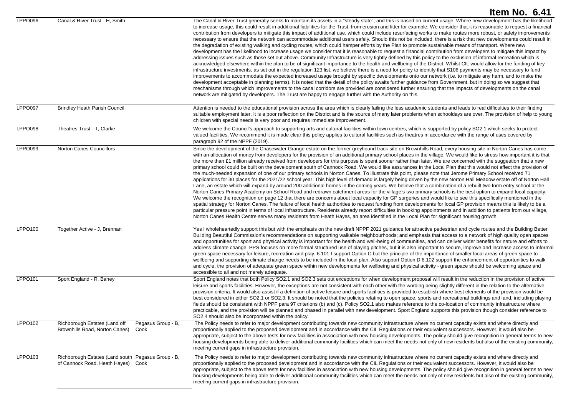|                |                                                                                               | Item No. 6.41                                                                                                                                                                                                                                                                                                                                                                                                                                                                                                                                                                                                                                                                                                                                                                                                                                                                                                                                                                                                                                                                                                                                                                                                                                                                                                                                                                                                                                                                                                                                                                                                                                                                                                                                                                                                                                                                                                                                                                                                                                                                                                                   |
|----------------|-----------------------------------------------------------------------------------------------|---------------------------------------------------------------------------------------------------------------------------------------------------------------------------------------------------------------------------------------------------------------------------------------------------------------------------------------------------------------------------------------------------------------------------------------------------------------------------------------------------------------------------------------------------------------------------------------------------------------------------------------------------------------------------------------------------------------------------------------------------------------------------------------------------------------------------------------------------------------------------------------------------------------------------------------------------------------------------------------------------------------------------------------------------------------------------------------------------------------------------------------------------------------------------------------------------------------------------------------------------------------------------------------------------------------------------------------------------------------------------------------------------------------------------------------------------------------------------------------------------------------------------------------------------------------------------------------------------------------------------------------------------------------------------------------------------------------------------------------------------------------------------------------------------------------------------------------------------------------------------------------------------------------------------------------------------------------------------------------------------------------------------------------------------------------------------------------------------------------------------------|
| LPPO096        | Canal & River Trust - H, Smith                                                                | The Canal & River Trust generally seeks to maintain its assets in a "steady state", and this is based on current usage. Where new development has the likelihood<br>to increase usage, this could result in additional liabilities for the Trust, from erosion and litter for example. We consider that it is reasonable to request a financial<br>contribution from developers to mitigate this impact of additional use, which could include resurfacing works to make routes more robust, or safety improvements<br>necessary to ensure that the network can accommodate additional users safely. Should this not be included, there is a risk that new developments could result in<br>the degradation of existing walking and cycling routes, which could hamper efforts by the Plan to promote sustainable means of transport. Where new<br>development has the likelihood to increase usage we consider that it is reasonable to request a financial contribution from developers to mitigate this impact by<br>addressing issues such as those set out above. Community Infrastructure is very tightly defined by this policy to the exclusion of informal recreation which is<br>acknowledged elsewhere within the plan to be of significant importance to the health and wellbeing of the District. Whilst CIL would allow for the funding of key<br>infrastructure investments, as set out in the regulation 123 list, we believe there is a need for policy to identify that S106 payments may be necessary to fund<br>improvements to accommodate the expected increased usage brought by specific developments onto our network (i.e. to mitigate any harm, and to make the<br>development acceptable in planning terms). It is noted that the detail of the policy awaits further guidance from Government, but in doing so we suggest that<br>mechanisms through which improvements to the canal corridors are provided are considered further ensuring that the impacts of developments on the canal<br>network are mitigated by developers. The Trust are happy to engage further with the Authority on this. |
| LPPO097        | <b>Brindley Heath Parish Council</b>                                                          | Attention is needed to the educational provision across the area which is clearly failing the less academic students and leads to real difficulties to their finding<br>suitable employment later. It is a poor reflection on the District and is the source of many later problems when schooldays are over. The provision of help to young<br>children with special needs is very poor and requires immediate improvement.                                                                                                                                                                                                                                                                                                                                                                                                                                                                                                                                                                                                                                                                                                                                                                                                                                                                                                                                                                                                                                                                                                                                                                                                                                                                                                                                                                                                                                                                                                                                                                                                                                                                                                    |
| LPPO098        | Theatres Trust - T, Clarke                                                                    | We welcome the Council's approach to supporting arts and cultural facilities within town centres, which is supported by policy SO2.1 which seeks to protect<br>valued facilities. We recommend it is made clear this policy applies to cultural facilities such as theatres in accordance with the range of uses covered by<br>paragraph 92 of the NPPF (2019).                                                                                                                                                                                                                                                                                                                                                                                                                                                                                                                                                                                                                                                                                                                                                                                                                                                                                                                                                                                                                                                                                                                                                                                                                                                                                                                                                                                                                                                                                                                                                                                                                                                                                                                                                                 |
| LPPO099        | <b>Norton Canes Councillors</b>                                                               | Since the development of the Chasewater Grange estate on the former greyhound track site on Brownhills Road, every housing site in Norton Canes has come<br>with an allocation of money from developers for the provision of an additional primary school places in the village. We would like to stress how important it is that<br>the more than £1 million already received from developers for this purpose is spent sooner rather than later. We are concerned with the suggestion that a new<br>primary school could be built on the development south of Cannock Road. We would like assurances in the Local Plan that this would not affect the provision of<br>the much-needed expansion of one of our primary schools in Norton Canes. To illustrate this point, please note that Jerome Primary School received 71<br>applications for 30 places for the 2021/22 school year. This high level of demand is largely being driven by the new Norton Hall Meadow estate off of Norton Hall<br>Lane, an estate which will expand by around 200 additional homes in the coming years. We believe that a combination of a rebuilt two form entry school at the<br>Norton Canes Primary Academy on School Road and redrawn catchment areas for the village's two primary schools is the best option to expand local capacity.<br>We welcome the recognition on page 12 that there are concerns about local capacity for GP surgeries and would like to see this specifically mentioned in the<br>spatial strategy for Norton Canes. The failure of local health authorities to request funding from developments for local GP provision means this is likely to be a<br>particular pressure point in terms of local infrastructure. Residents already report difficulties in booking appointments and in addition to patients from our village,<br>Norton Canes Health Centre serves many residents from Heath Hayes, an area identified in the Local Plan for significant housing growth.                                                                                                                                  |
| <b>LPPO100</b> | Together Active - J, Brennan                                                                  | Yes I wholeheartedly support this but with the emphasis on the new draft NPPF 2021 guidance for attractive pedestrian and cycle routes and the Building Better<br>Building Beautiful Commission's recommendations on supporting walkable neighbourhoods; and emphasis that access to a network of high quality open spaces<br>and opportunities for sport and physical activity is important for the health and well-being of communities, and can deliver wider benefits for nature and efforts to<br>address climate change. PPS focuses on more formal structured use of playing pitches, but it is also important to secure, improve and increase access to informal<br>green space necessary for leisure, recreation and play. 6.101 I support Option C but the principle of the importance of smaller local areas of green space to<br>wellbeing and supporting climate change needs to be included in the local plan. Also support Option D 6.102 support the enhancement of opportunities to walk<br>and cycle, the provision of adequate green space within new developments for wellbeing and physical activity - green space should be welcoming space and<br>accessible to all and not merely adequate.                                                                                                                                                                                                                                                                                                                                                                                                                                                                                                                                                                                                                                                                                                                                                                                                                                                                                                             |
| LPPO101        | Sport England - R, Bahey                                                                      | Sport England notes that both Policy SO2.1 and SO2.3 sets out exceptions for when development proposal will result in the reduction in the provision of active<br>leisure and sports facilities. However, the exceptions are not consistent with each other with the wording being slightly different in the relation to the alternative<br>provision criteria. It would also assist if a definition of active leisure and sports facilities is provided to establish where best elements of the provision would be<br>best considered in either SO2.1 or SO2.3. It should be noted that the policies relating to open space, sports and recreational buildings and land, including playing<br>fields should be consistent with NPPF para 97 criterions (b) and (c). Policy SO2.1 also makes reference to the co-location of community infrastructure where<br>practicable, and the provision will be planned and phased in parallel with new development. Sport England supports this provision though consider reference to<br>SO2.4 should also be incorporated within the policy.                                                                                                                                                                                                                                                                                                                                                                                                                                                                                                                                                                                                                                                                                                                                                                                                                                                                                                                                                                                                                                           |
| LPPO102        | Richborough Estates (Land off<br>Pegasus Group - B,<br>Brownhills Road, Norton Canes)<br>Cook | The Policy needs to refer to major development contributing towards new community infrastructure where no current capacity exists and where directly and<br>proportionally applied to the proposed development and in accordance with the CIL Regulations or their equivalent successors. However, it would also be<br>appropriate, subject to the above tests for new facilities in association with new housing developments. The policy should give recognition in general terms to new<br>housing developments being able to deliver additional community facilities which can meet the needs not only of new residents but also of the existing community,<br>meeting current gaps in infrastructure provision.                                                                                                                                                                                                                                                                                                                                                                                                                                                                                                                                                                                                                                                                                                                                                                                                                                                                                                                                                                                                                                                                                                                                                                                                                                                                                                                                                                                                            |
| LPPO103        | Richborough Estates (Land south Pegasus Group - B,<br>of Cannock Road, Heath Hayes) Cook      | The Policy needs to refer to major development contributing towards new community infrastructure where no current capacity exists and where directly and<br>proportionally applied to the proposed development and in accordance with the CIL Regulations or their equivalent successors. However, it would also be<br>appropriate, subject to the above tests for new facilities in association with new housing developments. The policy should give recognition in general terms to new<br>housing developments being able to deliver additional community facilities which can meet the needs not only of new residents but also of the existing community,<br>meeting current gaps in infrastructure provision.                                                                                                                                                                                                                                                                                                                                                                                                                                                                                                                                                                                                                                                                                                                                                                                                                                                                                                                                                                                                                                                                                                                                                                                                                                                                                                                                                                                                            |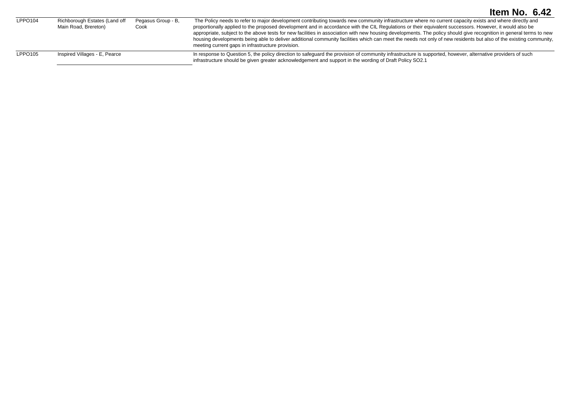| LPPO104 | Richborough Estates (Land off<br>Main Road, Brereton) | Pegasus Group - B.<br>Cook | The Policy needs to refer to major development contributing towards new community infrastructure where no current capacity exists and where directly and<br>proportionally applied to the proposed development and in accordance with the CIL Regulations or their equivalent successors. However, it would also be<br>appropriate, subject to the above tests for new facilities in association with new housing developments. The policy should give recognition in general terms to new<br>housing developments being able to deliver additional community facilities which can meet the needs not only of new residents but also of the existing community,<br>meeting current gaps in infrastructure provision. |
|---------|-------------------------------------------------------|----------------------------|----------------------------------------------------------------------------------------------------------------------------------------------------------------------------------------------------------------------------------------------------------------------------------------------------------------------------------------------------------------------------------------------------------------------------------------------------------------------------------------------------------------------------------------------------------------------------------------------------------------------------------------------------------------------------------------------------------------------|
| LPPO105 | Inspired Villages - E, Pearce                         |                            | In response to Question 5, the policy direction to safeguard the provision of community infrastructure is supported, however, alternative providers of such<br>infrastructure should be given greater acknowledgement and support in the wording of Draft Policy SO2.1                                                                                                                                                                                                                                                                                                                                                                                                                                               |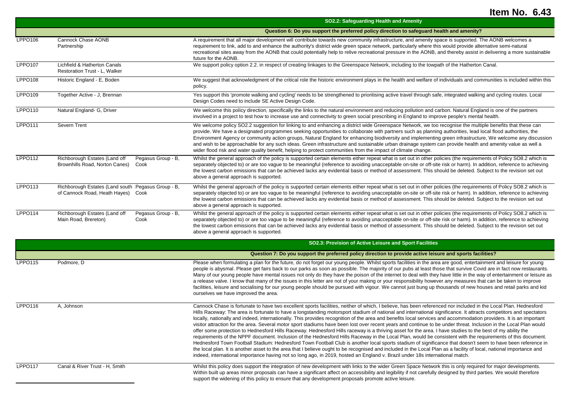|                |                                                                                             |                    | SO2.2: Safeguarding Health and Amenity                                                                                                                                                                                                                                                                                                                                                                                                                                                                                                                                                                                                                                                                                                                               |
|----------------|---------------------------------------------------------------------------------------------|--------------------|----------------------------------------------------------------------------------------------------------------------------------------------------------------------------------------------------------------------------------------------------------------------------------------------------------------------------------------------------------------------------------------------------------------------------------------------------------------------------------------------------------------------------------------------------------------------------------------------------------------------------------------------------------------------------------------------------------------------------------------------------------------------|
|                |                                                                                             |                    | Question 6: Do you support the preferred policy direction to safeguard health and amenity?                                                                                                                                                                                                                                                                                                                                                                                                                                                                                                                                                                                                                                                                           |
| LPPO106        | Cannock Chase AONB<br>Partnership                                                           |                    | A requirement that all major development will contribute towards new community infrastructure, and amenity space is supported. The AONB welcomes a<br>requirement to link, add to and enhance the authority's district wide green space network, particularly where this would provide alternative semi-natural<br>recreational sites away from the AONB that could potentially help to relive recreational pressure in the AONB, and thereby assist in delivering a more sustainable<br>future for the AONB.                                                                                                                                                                                                                                                        |
| LPPO107        | Lichfield & Hatherton Canals<br>Restoration Trust - L. Walker                               |                    | We support policy option 2.2. in respect of creating linkages to the Greenspace Network, including to the towpath of the Hatherton Canal.                                                                                                                                                                                                                                                                                                                                                                                                                                                                                                                                                                                                                            |
| LPPO108        | Historic England - E, Boden                                                                 |                    | We suggest that acknowledgment of the critical role the historic environment plays in the health and welfare of individuals and communities is included within this<br>policy.                                                                                                                                                                                                                                                                                                                                                                                                                                                                                                                                                                                       |
| LPPO109        | Together Active - J. Brennan                                                                |                    | Yes support this 'promote walking and cycling' needs to be strengthened to prioritising active travel through safe, integrated walking and cycling routes. Local<br>Design Codes need to include SE Active Design Code.                                                                                                                                                                                                                                                                                                                                                                                                                                                                                                                                              |
| LPPO110        | Natural England- G, Driver                                                                  |                    | We welcome this policy direction, specifically the links to the natural environment and reducing pollution and carbon. Natural England is one of the partners<br>involved in a project to test how to increase use and connectivity to green social prescribing in England to improve people's mental health.                                                                                                                                                                                                                                                                                                                                                                                                                                                        |
| <b>LPPO111</b> | Severn Trent                                                                                |                    | We welcome policy SO2.2 suggestion for linking to and enhancing a district wide Greenspace Network, we too recognise the multiple benefits that these can<br>provide. We have a designated programmes seeking opportunities to collaborate with partners such as planning authorities, lead local flood authorities, the<br>Environment Agency or community action groups, Natural England for enhancing biodiversity and implementing green infrastructure, We welcome any discussion<br>and wish to be approachable for any such ideas. Green infrastructure and sustainable urban drainage system can provide health and amenity value as well a<br>wider flood risk and water quality benefit, helping to protect communities from the impact of climate change. |
| <b>LPPO112</b> | Richborough Estates (Land off<br>Brownhills Road, Norton Canes)<br>Cook                     | Pegasus Group - B, | Whilst the general approach of the policy is supported certain elements either repeat what is set out in other policies (the requirements of Policy SO8.2 which is<br>separately objected to) or are too vague to be meaningful (reference to avoiding unacceptable on-site or off-site risk or harm). In addition, reference to achieving<br>the lowest carbon emissions that can be achieved lacks any evidential basis or method of assessment. This should be deleted. Subject to the revision set out<br>above a general approach is supported.                                                                                                                                                                                                                 |
| LPPO113        | Richborough Estates (Land south Pegasus Group - B,<br>of Cannock Road, Heath Hayes)<br>Cook |                    | Whilst the general approach of the policy is supported certain elements either repeat what is set out in other policies (the requirements of Policy SO8.2 which is<br>separately objected to) or are too vaque to be meaningful (reference to avoiding unacceptable on-site or off-site risk or harm). In addition, reference to achieving<br>the lowest carbon emissions that can be achieved lacks any evidential basis or method of assessment. This should be deleted. Subject to the revision set out<br>above a general approach is supported.                                                                                                                                                                                                                 |
| <b>LPPO114</b> | Richborough Estates (Land off<br>Main Road, Brereton)<br>Cook                               | Pegasus Group - B, | Whilst the general approach of the policy is supported certain elements either repeat what is set out in other policies (the requirements of Policy SO8.2 which is<br>separately objected to) or are too vaque to be meaningful (reference to avoiding unacceptable on-site or off-site risk or harm). In addition, reference to achieving<br>the lowest carbon emissions that can be achieved lacks any evidential basis or method of assessment. This should be deleted. Subject to the revision set out<br>above a general approach is supported.                                                                                                                                                                                                                 |

|                |                                | SO2.3: Provision of Active Leisure and Sport Facilities                                                                                                                                                                                                                                                                                                                                                                                                                                                                                                                                                                                                                                                                                                                                                                                                                                                                                                                                                                                                                                                                                                                                                                                                                                                                                                                                                                                                                             |
|----------------|--------------------------------|-------------------------------------------------------------------------------------------------------------------------------------------------------------------------------------------------------------------------------------------------------------------------------------------------------------------------------------------------------------------------------------------------------------------------------------------------------------------------------------------------------------------------------------------------------------------------------------------------------------------------------------------------------------------------------------------------------------------------------------------------------------------------------------------------------------------------------------------------------------------------------------------------------------------------------------------------------------------------------------------------------------------------------------------------------------------------------------------------------------------------------------------------------------------------------------------------------------------------------------------------------------------------------------------------------------------------------------------------------------------------------------------------------------------------------------------------------------------------------------|
|                |                                | Question 7: Do you support the preferred policy direction to provide active leisure and sports facilities?                                                                                                                                                                                                                                                                                                                                                                                                                                                                                                                                                                                                                                                                                                                                                                                                                                                                                                                                                                                                                                                                                                                                                                                                                                                                                                                                                                          |
| <b>LPPO115</b> | Podmore, D                     | Please when formulating a plan for the future, do not forget our young people. Whilst sports facilities in the area are good, entertainment and leisure for young<br>people is abysmal. Please get fairs back to our parks as soon as possible. The majority of our pubs at least those that survive Covid are in fact now restaurants.<br>Many of our young people have mental issues not only do they have the poison of the internet to deal with they have little in the way of entertainment or leisure as<br>a release valve. I know that many of the issues in this letter are not of your making or your responsibility however any measures that can be taken to improve<br>facilities, leisure and socialising for our young people should be pursued with vigour. We cannot just bung up thousands of new houses and retail parks and kid<br>ourselves we have improved the area.                                                                                                                                                                                                                                                                                                                                                                                                                                                                                                                                                                                        |
| LPPO116        | A, Johnson                     | Cannock Chase is fortunate to have two excellent sports facilities, neither of which, I believe, has been referenced nor included in the Local Plan. Hednesford<br>Hills Raceway: The area is fortunate to have a longstanding motorsport stadium of national and international significance. It attracts competitors and spectators<br>locally, nationally and indeed, internationally. This provides recognition of the area and benefits local services and accommodation providers. It is an important<br>visitor attraction for the area. Several motor sport stadiums have been lost over recent years and continue to be under threat. Inclusion in the Local Plan would<br>offer some protection to Hednesford Hills Raceway. Hednesford Hills raceway is a thriving asset for the area. I have studies to the best of my ability the<br>requirements of the NPPF document. Inclusion of the Hednesford Hills Raceway in the Local Plan, would be consistent with the requirements of this document.<br>Hednesford Town Football Stadium: Hednesford Town Football Club is another local sports stadium of significance that doesn't seem to have been reference in<br>the local plan. It is another asset to the area that I believe ought to be recognised and included in the Local Plan as a facility of local, national importance and<br>indeed, international importance having not so long ago, in 2019, hosted an England v. Brazil under 18s international match. |
| <b>LPPO117</b> | Canal & River Trust - H. Smith | Whilst this policy does support the integration of new development with links to the wider Green Space Network this is only required for major developments.<br>Within built up areas minor proposals can have a significant affect on accessibility and legibility if not carefully designed by third parties. We would therefore<br>support the widening of this policy to ensure that any development proposals promote active leisure.                                                                                                                                                                                                                                                                                                                                                                                                                                                                                                                                                                                                                                                                                                                                                                                                                                                                                                                                                                                                                                          |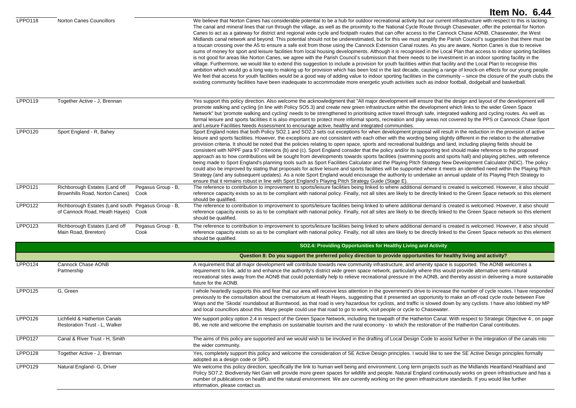|                |                                                                                          |                            | Item No. 6.44                                                                                                                                                                                                                                                                                                                                                                                                                                                                                                                                                                                                                                                                                                                                                                                                                                                                                                                                                                                                                                                                                                                                                                                                                                                                                                                                                                                                                                                                                                                                                                                                                                                                                                                                                                                                                                                 |
|----------------|------------------------------------------------------------------------------------------|----------------------------|---------------------------------------------------------------------------------------------------------------------------------------------------------------------------------------------------------------------------------------------------------------------------------------------------------------------------------------------------------------------------------------------------------------------------------------------------------------------------------------------------------------------------------------------------------------------------------------------------------------------------------------------------------------------------------------------------------------------------------------------------------------------------------------------------------------------------------------------------------------------------------------------------------------------------------------------------------------------------------------------------------------------------------------------------------------------------------------------------------------------------------------------------------------------------------------------------------------------------------------------------------------------------------------------------------------------------------------------------------------------------------------------------------------------------------------------------------------------------------------------------------------------------------------------------------------------------------------------------------------------------------------------------------------------------------------------------------------------------------------------------------------------------------------------------------------------------------------------------------------|
| LPPO118        | <b>Norton Canes Councillors</b>                                                          |                            | We believe that Norton Canes has considerable potential to be a hub for outdoor recreational activity but our current infrastructure with respect to this is lacking.<br>The canal and mineral lines that run through the village, as well as the proximity to the National Cycle Route through Chasewater, offer the potential for Norton<br>Canes to act as a gateway for district and regional wide cycle and footpath routes that can offer access to the Cannock Chase AONB, Chasewater, the West<br>Midlands canal network and beyond. This potential should not be underestimated, but for this we must amplify the Parish Council's suggestion that there must be<br>a toucan crossing over the A5 to ensure a safe exit from those using the Cannock Extension Canal routes. As you are aware, Norton Canes is due to receive<br>sums of money for sport and leisure facilities from local housing developments. Although it is recognised in the Local Plan that access to indoor sporting facilities<br>is not good for areas like Norton Canes, we agree with the Parish Council's submission that there needs to be investment in an indoor sporting facility in the<br>village. Furthermore, we would like to extend this suggestion to include a provision for youth facilities within that facility and the Local Plan to recognise this<br>ambition which would go a long way to making up for provision which has been lost in the last decade, causing a range of knock-on effects for our young people.<br>We feel that access for youth facilities would be a good way of adding value to indoor sporting facilities in the community – since the closure of the youth clubs the<br>existing community facilities have been inadequate to accommodate more energetic youth activities such as indoor football, dodgeball and basketball. |
| <b>LPPO119</b> | Together Active - J, Brennan                                                             |                            | Yes support this policy direction. Also welcome the acknowledgment that "All major development will ensure that the design and layout of the development will<br>promote walking and cycling (in line with Policy SO5.3) and create new green infrastructure within the development which links to the wider Green Space<br>Network" but 'promote walking and cycling' needs to be strengthened to prioritising active travel through safe, integrated walking and cycling routes. As well as<br>formal leisure and sports facilities it is also important to protect more informal sports, recreation and play areas not covered by the PPS or Cannock Chase Sport<br>and Leisure Facilities Needs Assessment to encourage active, healthy and integrated communities.                                                                                                                                                                                                                                                                                                                                                                                                                                                                                                                                                                                                                                                                                                                                                                                                                                                                                                                                                                                                                                                                                       |
| <b>LPPO120</b> | Sport England - R, Bahey                                                                 |                            | Sport England notes that both Policy SO2.1 and SO2.3 sets out exceptions for when development proposal will result in the reduction in the provision of active<br>leisure and sports facilities. However, the exceptions are not consistent with each other with the wording being slightly different in the relation to the alternative<br>provision criteria. It should be noted that the policies relating to open space, sports and recreational buildings and land, including playing fields should be<br>consistent with NPPF para 97 criterions (b) and (c). Sport England consider that the policy and/or its supporting text should make reference to the proposed<br>approach as to how contributions will be sought from developments towards sports facilities (swimming pools and sports hall) and playing pitches, with reference<br>being made to Sport England's planning tools such as Sport Facilities Calculator and the Playing Pitch Strategy New Development Calculator (NDC). The policy<br>could also be improved by stating that proposals for active leisure and sports facilities will be supported where it meets an identified need within the Playing Pitch<br>Strategy (and any subsequent updates). As a note Sport England would encourage the authority to undertake an annual update of its Playing Pitch Strategy to<br>ensure that it remains robust in line with Sport England's Playing Pitch Strategy Guide (Stage E).                                                                                                                                                                                                                                                                                                                                                                                                |
| <b>LPPO121</b> | Richborough Estates (Land off<br>Brownhills Road, Norton Canes)<br>Cook                  | Pegasus Group - B,         | The reference to contribution to improvement to sports/leisure facilities being linked to where additional demand is created is welcomed. However, it also should<br>reference capacity exists so as to be compliant with national policy. Finally, not all sites are likely to be directly linked to the Green Space network so this element<br>should be qualified.                                                                                                                                                                                                                                                                                                                                                                                                                                                                                                                                                                                                                                                                                                                                                                                                                                                                                                                                                                                                                                                                                                                                                                                                                                                                                                                                                                                                                                                                                         |
| <b>LPPO122</b> | Richborough Estates (Land south Pegasus Group - B,<br>of Cannock Road, Heath Hayes) Cook |                            | The reference to contribution to improvement to sports/leisure facilities being linked to where additional demand is created is welcomed. However, it also should<br>reference capacity exists so as to be compliant with national policy. Finally, not all sites are likely to be directly linked to the Green Space network so this element<br>should be qualified.                                                                                                                                                                                                                                                                                                                                                                                                                                                                                                                                                                                                                                                                                                                                                                                                                                                                                                                                                                                                                                                                                                                                                                                                                                                                                                                                                                                                                                                                                         |
| LPPO123        | Richborough Estates (Land off<br>Main Road, Brereton)                                    | Pegasus Group - B,<br>Cook | The reference to contribution to improvement to sports/leisure facilities being linked to where additional demand is created is welcomed. However, it also should<br>reference capacity exists so as to be compliant with national policy. Finally, not all sites are likely to be directly linked to the Green Space network so this element<br>should be qualified.                                                                                                                                                                                                                                                                                                                                                                                                                                                                                                                                                                                                                                                                                                                                                                                                                                                                                                                                                                                                                                                                                                                                                                                                                                                                                                                                                                                                                                                                                         |
|                |                                                                                          |                            | SO2.4: Providing Opportunities for Healthy Living and Activity                                                                                                                                                                                                                                                                                                                                                                                                                                                                                                                                                                                                                                                                                                                                                                                                                                                                                                                                                                                                                                                                                                                                                                                                                                                                                                                                                                                                                                                                                                                                                                                                                                                                                                                                                                                                |
|                |                                                                                          |                            | Question 8: Do you support the preferred policy direction to provide opportunities for healthy living and activity?                                                                                                                                                                                                                                                                                                                                                                                                                                                                                                                                                                                                                                                                                                                                                                                                                                                                                                                                                                                                                                                                                                                                                                                                                                                                                                                                                                                                                                                                                                                                                                                                                                                                                                                                           |
| <b>LPPO124</b> | Cannock Chase AONB<br>Partnership                                                        |                            | A requirement that all major development will contribute towards new community infrastructure, and amenity space is supported. The AONB welcomes a<br>requirement to link, add to and enhance the authority's district wide green space network, particularly where this would provide alternative semi-natural<br>recreational sites away from the AONB that could potentially help to relieve recreational pressure in the AONB, and thereby assist in delivering a more sustainable<br>future for the AONB.                                                                                                                                                                                                                                                                                                                                                                                                                                                                                                                                                                                                                                                                                                                                                                                                                                                                                                                                                                                                                                                                                                                                                                                                                                                                                                                                                |
| <b>LPPO125</b> | G, Green                                                                                 |                            | I whole heartedly supports this and fear that our area will receive less attention in the government's drive to increase the number of cycle routes. I have responded<br>previously to the consultation about the crematorium at Heath Hayes, suggesting that it presented an opportunity to make an off-road cycle route between Five<br>Ways and the 'Skoda' roundabout at Burntwood, as that road is very hazardous for cyclists, and traffic is slowed down by any cyclists. I have also lobbied my MP<br>and local councillors about this. Many people could use that road to go to work, visit people or cycle to Chasewater.                                                                                                                                                                                                                                                                                                                                                                                                                                                                                                                                                                                                                                                                                                                                                                                                                                                                                                                                                                                                                                                                                                                                                                                                                           |
| LPPO126        | Lichfield & Hatherton Canals<br>Restoration Trust - L, Walker                            |                            | We support policy option 2.4 in respect of the Green Space Network, including the towpath of the Hatherton Canal. With respect to Strategic Objective 4, on page<br>86, we note and welcome the emphasis on sustainable tourism and the rural economy - to which the restoration of the Hatherton Canal contributes.                                                                                                                                                                                                                                                                                                                                                                                                                                                                                                                                                                                                                                                                                                                                                                                                                                                                                                                                                                                                                                                                                                                                                                                                                                                                                                                                                                                                                                                                                                                                          |
| LPPO127        | Canal & River Trust - H, Smith                                                           |                            | The aims of this policy are supported and we would wish to be involved in the drafting of Local Design Code to assist further in the integration of the canals into<br>the wider community.                                                                                                                                                                                                                                                                                                                                                                                                                                                                                                                                                                                                                                                                                                                                                                                                                                                                                                                                                                                                                                                                                                                                                                                                                                                                                                                                                                                                                                                                                                                                                                                                                                                                   |
| <b>LPPO128</b> | Together Active - J, Brennan                                                             |                            | Yes, completely support this policy and welcome the consideration of SE Active Design principles. I would like to see the SE Active Design principles formally<br>adopted as a design code or SPD.                                                                                                                                                                                                                                                                                                                                                                                                                                                                                                                                                                                                                                                                                                                                                                                                                                                                                                                                                                                                                                                                                                                                                                                                                                                                                                                                                                                                                                                                                                                                                                                                                                                            |
| <b>LPPO129</b> | Natural England- G, Driver                                                               |                            | We welcome this policy direction, specifically the link to human well being and environment. Long term projects such as the Midlands Heartland Heathland and<br>Policy SO7.2: Biodiversity Net Gain will provide more green spaces for wildlife and people. Natural England continuously works on green infrastructure and has a<br>number of publications on health and the natural environment. We are currently working on the green infrastructure standards. If you would like further<br>information, please contact us.                                                                                                                                                                                                                                                                                                                                                                                                                                                                                                                                                                                                                                                                                                                                                                                                                                                                                                                                                                                                                                                                                                                                                                                                                                                                                                                                |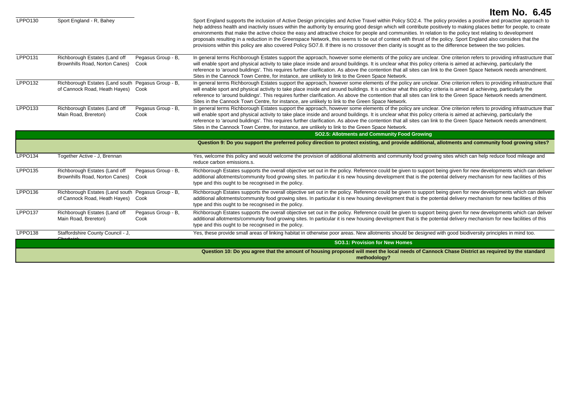|                     |                                                                                          |                            | Item No. 6.45                                                                                                                                                                                                                                                                                                                                                                                                                                                                                                                                                                                                                                                                                                                                                                                                                            |
|---------------------|------------------------------------------------------------------------------------------|----------------------------|------------------------------------------------------------------------------------------------------------------------------------------------------------------------------------------------------------------------------------------------------------------------------------------------------------------------------------------------------------------------------------------------------------------------------------------------------------------------------------------------------------------------------------------------------------------------------------------------------------------------------------------------------------------------------------------------------------------------------------------------------------------------------------------------------------------------------------------|
| LPPO130             | Sport England - R, Bahey                                                                 |                            | Sport England supports the inclusion of Active Design principles and Active Travel within Policy SO2.4. The policy provides a positive and proactive approach to<br>help address health and inactivity issues within the authority by ensuring good design which will contribute positively to making places better for people, to create<br>environments that make the active choice the easy and attractive choice for people and communities. In relation to the policy text relating to development<br>proposals resulting in a reduction in the Greenspace Network, this seems to be out of context with thrust of the policy. Sport England also considers that the<br>provisions within this policy are also covered Policy SO7.8. If there is no crossover then clarity is sought as to the difference between the two policies. |
| LPPO131             | Richborough Estates (Land off<br>Brownhills Road, Norton Canes)                          | Pegasus Group - B,<br>Cook | In general terms Richborough Estates support the approach, however some elements of the policy are unclear. One criterion refers to providing infrastructure that<br>will enable sport and physical activity to take place inside and around buildings. It is unclear what this policy criteria is aimed at achieving, particularly the<br>reference to 'around buildings'. This requires further clarification. As above the contention that all sites can link to the Green Space Network needs amendment.<br>Sites in the Cannock Town Centre, for instance, are unlikely to link to the Green Space Network.                                                                                                                                                                                                                         |
| LPPO132             | Richborough Estates (Land south Pegasus Group - B,<br>of Cannock Road, Heath Hayes) Cook |                            | In general terms Richborough Estates support the approach, however some elements of the policy are unclear. One criterion refers to providing infrastructure that<br>will enable sport and physical activity to take place inside and around buildings. It is unclear what this policy criteria is aimed at achieving, particularly the<br>reference to 'around buildings'. This requires further clarification. As above the contention that all sites can link to the Green Space Network needs amendment.<br>Sites in the Cannock Town Centre, for instance, are unlikely to link to the Green Space Network.                                                                                                                                                                                                                         |
| LPPO133             | Richborough Estates (Land off<br>Main Road, Brereton)                                    | Pegasus Group - B,<br>Cook | In general terms Richborough Estates support the approach, however some elements of the policy are unclear. One criterion refers to providing infrastructure that<br>will enable sport and physical activity to take place inside and around buildings. It is unclear what this policy criteria is aimed at achieving, particularly the<br>reference to 'around buildings'. This requires further clarification. As above the contention that all sites can link to the Green Space Network needs amendment.<br>Sites in the Cannock Town Centre, for instance, are unlikely to link to the Green Space Network.                                                                                                                                                                                                                         |
|                     |                                                                                          |                            | SO2.5: Allotments and Community Food Growing                                                                                                                                                                                                                                                                                                                                                                                                                                                                                                                                                                                                                                                                                                                                                                                             |
|                     |                                                                                          |                            | Question 9: Do you support the preferred policy direction to protect existing, and provide additional, allotments and community food growing sites?                                                                                                                                                                                                                                                                                                                                                                                                                                                                                                                                                                                                                                                                                      |
| LPPO134             | Together Active - J, Brennan                                                             |                            | Yes, welcome this policy and would welcome the provision of additional allotments and community food growing sites which can help reduce food mileage and<br>reduce carbon emissions.s.                                                                                                                                                                                                                                                                                                                                                                                                                                                                                                                                                                                                                                                  |
| <b>LPPO135</b>      | Richborough Estates (Land off<br>Brownhills Road, Norton Canes)                          | Pegasus Group - B,<br>Cook | Richborough Estates supports the overall objective set out in the policy. Reference could be given to support being given for new developments which can deliver<br>additional allotments/community food growing sites. In particular it is new housing development that is the potential delivery mechanism for new facilities of this<br>type and this ought to be recognised in the policy.                                                                                                                                                                                                                                                                                                                                                                                                                                           |
| LPPO136             | Richborough Estates (Land south Pegasus Group - B,<br>of Cannock Road, Heath Hayes)      | Cook                       | Richborough Estates supports the overall objective set out in the policy. Reference could be given to support being given for new developments which can deliver<br>additional allotments/community food growing sites. In particular it is new housing development that is the potential delivery mechanism for new facilities of this<br>type and this ought to be recognised in the policy.                                                                                                                                                                                                                                                                                                                                                                                                                                           |
| LPPO <sub>137</sub> | Richborough Estates (Land off<br>Main Road, Brereton)                                    | Pegasus Group - B,<br>Cook | Richborough Estates supports the overall objective set out in the policy. Reference could be given to support being given for new developments which can deliver<br>additional allotments/community food growing sites. In particular it is new housing development that is the potential delivery mechanism for new facilities of this<br>type and this ought to be recognised in the policy.                                                                                                                                                                                                                                                                                                                                                                                                                                           |
| <b>LPPO138</b>      | Staffordshire County Council - J,                                                        |                            | Yes, these provide small areas of linking habitat in otherwise poor areas. New allotments should be designed with good biodiversity principles in mind too.                                                                                                                                                                                                                                                                                                                                                                                                                                                                                                                                                                                                                                                                              |
|                     |                                                                                          |                            | <b>SO3.1: Provision for New Homes</b>                                                                                                                                                                                                                                                                                                                                                                                                                                                                                                                                                                                                                                                                                                                                                                                                    |
|                     |                                                                                          |                            | Question 10: Do you agree that the amount of housing proposed will meet the local needs of Cannock Chase District as required by the standard<br>methodology?                                                                                                                                                                                                                                                                                                                                                                                                                                                                                                                                                                                                                                                                            |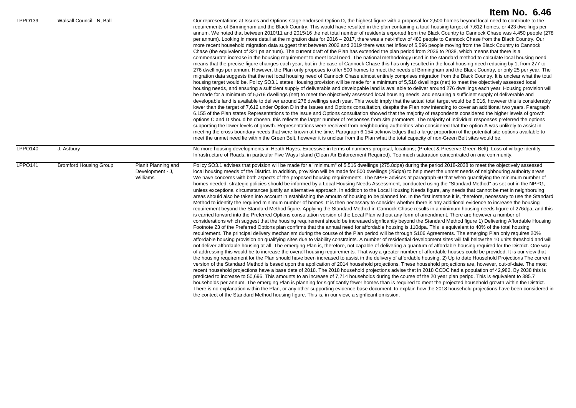| LPPO <sub>139</sub> | Walsall Council - N, Ball     |                                                     | Our representations at Issues and Options stage endorsed Option D, the highest figure with a proposal for 2,500 homes beyond local need to contribute to the<br>requirements of Birmingham and the Black Country. This would have resulted in the plan containing a total housing target of 7,612 homes, or 423 dwellings per<br>annum. We noted that between 2010/11 and 2015/16 the net total number of residents exported from the Black Country to Cannock Chase was 4,450 people (278<br>per annum). Looking in more detail at the migration data for 2016 - 2017, there was a net-inflow of 480 people to Cannock Chase from the Black Country. Our<br>more recent household migration data suggest that between 2002 and 2019 there was net inflow of 5,596 people moving from the Black Country to Cannock<br>Chase (the equivalent of 321 pa annum). The current draft of the Plan has extended the plan period from 2036 to 2038, which means that there is a<br>commensurate increase in the housing requirement to meet local need. The national methodology used in the standard method to calculate local housing need<br>means that the precise figure changes each year, but in the case of Cannock Chase this has only resulted in the local housing need reducing by 1, from 277 to<br>276 dwellings per annum. However, the Plan only proposes to offer 500 homes to meet the needs of Birmingham and the Black Country, or only 25 per year. The<br>migration data suggests that the net local housing need of Cannock Chase almost entirely comprises migration from the Black Country. It is unclear what the total<br>housing target would be. Policy SO3.1 states Housing provision will be made for a minimum of 5,516 dwellings (net) to meet the objectively assessed local<br>housing needs, and ensuring a sufficient supply of deliverable and developable land is available to deliver around 276 dwellings each year. Housing provision will<br>be made for a minimum of 5,516 dwellings (net) to meet the objectively assessed local housing needs, and ensuring a sufficient supply of deliverable and<br>developable land is available to deliver around 276 dwellings each year. This would imply that the actual total target would be 6,016, however this is considerably<br>lower than the target of 7,612 under Option D in the Issues and Options consultation, despite the Plan now intending to cover an additional two years. Paragraph<br>6.155 of the Plan states Representations to the Issue and Options consultation showed that the majority of respondents considered the higher levels of growth<br>options C and D should be chosen, this reflects the larger number of responses from site promoters. The majority of individual responses preferred the options<br>supporting the lower levels of growth. Representations were received from neighbouring authorities who considered that the option A was unlikely to assist in<br>meeting the cross boundary needs that were known at the time. Paragraph 6.154 acknowledges that a large proportion of the potential site options available to<br>meet the unmet need lie within the Green Belt, however it is unclear from the Plan what the total capacity of non-Green Belt sites would be.                                                                                                                                                                                                                                                                                          |
|---------------------|-------------------------------|-----------------------------------------------------|---------------------------------------------------------------------------------------------------------------------------------------------------------------------------------------------------------------------------------------------------------------------------------------------------------------------------------------------------------------------------------------------------------------------------------------------------------------------------------------------------------------------------------------------------------------------------------------------------------------------------------------------------------------------------------------------------------------------------------------------------------------------------------------------------------------------------------------------------------------------------------------------------------------------------------------------------------------------------------------------------------------------------------------------------------------------------------------------------------------------------------------------------------------------------------------------------------------------------------------------------------------------------------------------------------------------------------------------------------------------------------------------------------------------------------------------------------------------------------------------------------------------------------------------------------------------------------------------------------------------------------------------------------------------------------------------------------------------------------------------------------------------------------------------------------------------------------------------------------------------------------------------------------------------------------------------------------------------------------------------------------------------------------------------------------------------------------------------------------------------------------------------------------------------------------------------------------------------------------------------------------------------------------------------------------------------------------------------------------------------------------------------------------------------------------------------------------------------------------------------------------------------------------------------------------------------------------------------------------------------------------------------------------------------------------------------------------------------------------------------------------------------------------------------------------------------------------------------------------------------------------------------------------------------------------------------------------------------------------------------------------------------------------------------------------------------------------------------------------------------------------------------------------------------------------------------------------------------------------------------------------------------------------------------------------------------------------------------------------------------------------------------------------------------------------------------------------------------------------------------------------------------------------------------------------------------------------------------------|
| <b>LPPO140</b>      | J, Astbury                    |                                                     | No more housing developments in Heath Hayes. Excessive in terms of numbers proposal, locations; (Protect & Preserve Green Belt). Loss of village identity.<br>Infrastructure of Roads, in particular Five Ways Island (Clean Air Enforcement Required). Too much saturation concentrated on one community.                                                                                                                                                                                                                                                                                                                                                                                                                                                                                                                                                                                                                                                                                                                                                                                                                                                                                                                                                                                                                                                                                                                                                                                                                                                                                                                                                                                                                                                                                                                                                                                                                                                                                                                                                                                                                                                                                                                                                                                                                                                                                                                                                                                                                                                                                                                                                                                                                                                                                                                                                                                                                                                                                                                                                                                                                                                                                                                                                                                                                                                                                                                                                                                                                                                                                        |
| <b>LPPO141</b>      | <b>Bromford Housing Group</b> | Planit Planning and<br>Development - J,<br>Williams | Policy SO3.1 advises that povision will be made for a "minimum" of 5,516 dwellings (275.8dpa) during the period 2018-2038 to meet the objectively assessed<br>local housing meeds of the District. In addition, provision will be made for 500 dwellings (25dpa) to help meet the unmet needs of neighbouring authoirty areas.<br>We have concerns with both aspects of the proposed housing requirements. The NPPF advises at paragraph 60 that when quantifying the minimum number of<br>homes needed, strategic policies should be informed by a Local Housing Needs Assessment, conducted using the "Standard Method" as set out in the NPPG,<br>unless exceptional circumstances justify an alternative approach. In addition to the Local Housing Needs figure, any needs that cannot be met in neighboruing<br>areas should also be taken into account in establishing the amoutn of housing to be planned for. In the first instance it is, therefore, necessary to use the Standard<br>Method to identify the required minimum number of homes. It is then necessary to consider whether there is any additional evidence to increase the housing<br>requirement beyond the Standard Method figure. Applying the Standard Method in Cannock Chase results in a minimum housing needs figure of 276dpa, and this<br>is carried forward into the Preferred Options consultation version of the Local Plan without any form of amendment. There are however a number of<br>considerations which suggest that the housing requirement should be increased signficantly beyond the Standard Method figure 1) Delivering Affordable Housing<br>Footnote 23 of the Preferred Options plan confirms that the annual need for affordable housing is 110dpa. This is equivalent to 40% of the total housing<br>requirement. The principal delivery mechanism during the course of the Plan period will be through S106 Agreements. The emerging Plan only requires 20%<br>affordable housing provision on qualifying sites due to viability constraints. A number of residential development sites will fall below the 10 units threshold and will<br>not deliver affordable housing at all. The emerging Plan is, therefore, not capable of delivering a quantum of affordable housing required for the District. One way<br>of addressing this would be to increase the overall housing requirements. That way a greater number of affordable houses could be provided. It is our view that<br>the housing requirement for the Plan should have been increased to assist in the delivery of affordable housing. 2) Up to date Household Projections The current<br>version of the Standard Method is based upon the application of 2014 household projections. These household projections are, however, out-of-date. The most<br>recent household projections have a base date of 2018. The 2018 household projections advise that in 2018 CCDC had a population of 42,982. By 2038 this is<br>predicted to increase to 50,696. This amounts to an increase of 7,714 households during the course of the 20 year plan peripd. This is equivalent to 385.7<br>households per annum. The emerging Plan is planning for signficantly fewer homes than is required to meet the projected household growth within the District.<br>There is no explanation within the Plan, or any other supporting evidence base document, to explain how the 2018 household projections have been considered in<br>the contect of the Standard Method housing figure. This is, in our view, a signficant omission. |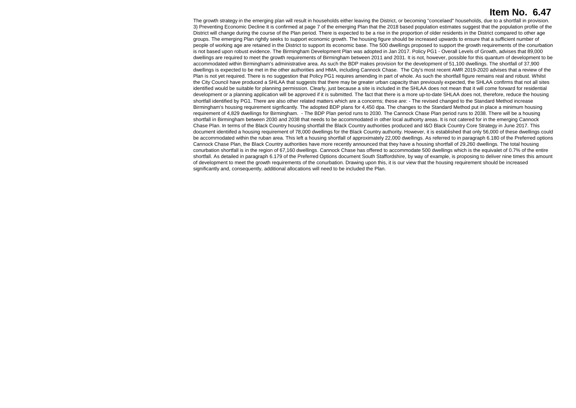The growth strategy in the emerging plan will result in households either leaving the District, or becoming "concelaed" households, due to a shortfall in provision. 3) Preventing Economic Decline It is confirmed at page 7 of the emerging Plan that the 2018 based population estimates suggest that the population profile of the District will change during the course of the Plan period. There is expected to be a rise in the proportion of older residents in the District compared to other age groups. The emerging Plan rightly seeks to support economic growth. The housing figure should be increased upwards to ensure that a sufficient number of people of working age are retained in the District to support its economic base. The 500 dwellings proposed to support the growth requirements of the conurbation is not based upon robust evidence. The Birmingham Development Plan was adopted in Jan 2017. Policy PG1 - Overall Levels of Growth, advises that 89,000 dwellings are required to meet the growth requirements of Birmingham between 2011 and 2031. It is not, however, possible for this quantum of development to be accommodated within Birmingham's administrative area. As such the BDP makes provision for the development of 51,100 dwellings. The shortfall of 37,900 dwellings is expected to be met in the other authorities and HMA, including Cannock Chase. The City's most recent AMR 2019-2020 advises that a review of the Plan is not vet required. There is no suggestion that Policy PG1 requires amending in part of whole. As such the shortfall figure remains real and robust. Whilst the City Council have produced a SHLAA that suggests that there may be greater urban capacity than previously expected, the SHLAA confirms that not all sites identified would be suitable for planning permission. Clearly, just because a site is included in the SHLAA does not mean that it will come forward for residential development or a planning application will be approved if it is submitted. The fact that there is a more up-to-date SHLAA does not, therefore, reduce the housing shortfall identified by PG1. There are also other related matters which are a concerns; these are: - The revised changed to the Standard Method increase Birmingham's housing requirement signficantly. The adopted BDP plans for 4,450 dpa. The changes to the Standard Method put in place a minimum housing requirement of 4,829 dwellings for Birmingham. - The BDP Plan period runs to 2030. The Cannock Chase Plan period runs to 2038. There will be a housing shortfall in Birmingham between 2030 and 2038 that needs to be accommodated in other local authoirty areas. It is not catered for in the emerging Cannock Chase Plan. In terms of the Black Country housing shortfall the Black Country authorities produced and I&O Black Country Core Strategy in June 2017. This document identiifed a housing requirement of 78,000 dwellings for the Black Country authority. However, it is established that only 56,000 of these dwellings could be accommodated within the ruban area. This left a housing shortfall of approximately 22,000 dwellings. As referred to in paragraph 6.180 of the Preferred options Cannock Chase Plan, the Black Country authorities have more recently announced that they have a housing shortfall of 29,260 dwellings. The total housing conurbation shortfall is in the region of 67,160 dwellings. Cannock Chase has offered to accommodate 500 dwellings which is the equivalet of 0.7% of the entire shortfall. As detailed in paragraph 6.179 of the Preferred Options document South Staffordshire, by way of example, is proposing to deliver nine times this amount of development to meet the growth requirements of the conurbation. Drawing upon this, it is our view that the housing requirement should be increased significantly and, consequently, additional allocations will need to be included the Plan.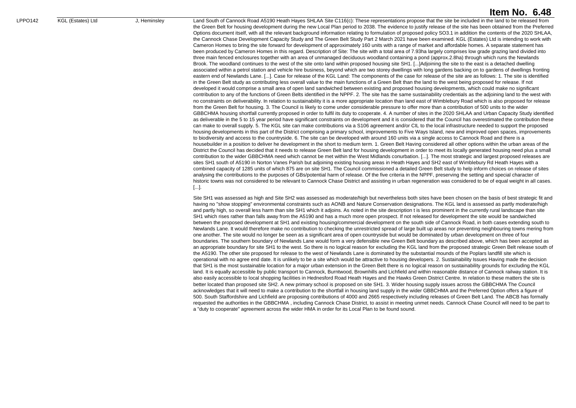LPPO142 KGL (Estates) Ltd J, Heminsley Land South of Cannock Road A5190 Heath Hayes SHLAA Site C116(c): These representations propose that the site be included in the land to be released from the Green Belt for housing development during the new Local Plan period to 2038. The evidence to justify release of the site has been obtained from the Preferred Options document itself, with all the relevant background information relating to formulation of proposed policy SO3.1 in addition the contents of the 2020 SHLAA, the Cannock Chase Development Capacity Study and The Green Belt Study Part 2 March 2021 have been examined. KGL (Estates) Ltd is intending to work with Cameron Homes to bring the site forward for development of approximately 160 units with a range of market and affordable homes. A separate statement has been produced by Cameron Homes in this regard. Description of Site: The site with a total area of 7.93ha largely comprises low grade grazing land divided into three main fenced enclosures together with an area of unmanaged deciduous woodland containing a pond (approx.2.8ha) through which runs the Newlands Brook. The woodland continues to the west of the site onto land within proposed housing site SH1. [...]Adjoining the site to the east is a detached dwelling associated within a petrol station and vehicle hire business, beyond which are two storey dwellings with long gardens backing on to gardens of dwellings fronting eastern end of Newlands Lane. [...]. Case for release of the KGL Land: The components of the case for release of the site are as follows: 1. The site is identified in the Green Belt study as contributing less overall value to the main functions of a Green Belt than the land to the west being proposed for release. If not developed it would comprise a small area of open land sandwiched between existing and proposed housing developments, which could make no significant contribution to any of the functions of Green Belts identified in the NPPF. 2. The site has the same sustainability credentials as the adjoining land to the west with no constraints on deliverability. In relation to sustainability it is a more appropriate location than land east of Wimblebury Road which is also proposed for release from the Green Belt for housing. 3. The Council is likely to come under considerable pressure to offer more than a contribution of 500 units to the wider GBBCHMA housing shortfall currently proposed in order to fulfil its duty to cooperate. 4. A number of sites in the 2020 SHLAA and Urban Capacity Study identified as deliverable in the 5 to 15 year period have significant constraints on development and it is considered that the Council has overestimated the contribution these can make to overall supply. 5. The KGL site can make contributions via a S106 agreement and/or CIL to the local infrastructure needed to support the proposed housing developments in this part of the District comprising a primary school, improvements to Five Ways Island, new and improved open spaces, improvements to biodiversity and access to the countryside. 6. The site can be developed with around 160 units via a single access to Cannock Road and there is a housebuilder in a position to deliver he development in the short to medium term. 1. Green Belt Having considered all other options within the urban areas of the District the Council has decided that it needs to release Green Belt land for housing development in order to meet its locally generated housing need plus a small contribution to the wider GBBCHMA need which cannot be met within the West Midlands conurbation. [...]. The most strategic and largest proposed releases are sites SH1 south of A5190 in Norton Vanes Parish but adjoining existing housing areas in Heath Hayes and SH2 east of Wimblebury Rd Heath Hayes with a combined capacity of 1285 units of which 875 are on site SH1. The Council commissioned a detailed Green Belt study to help inform choices on release of sites analysing the contributions to the purposes of GBs/potential harm of release. Of the five criteria in the NPPF, preserving the setting and special character of historic towns was not considered to be relevant to Cannock Chase District and assisting in urban regeneration was considered to be of equal weight in all cases. [...].

> Site SH1 was assessed as high and Site SH2 was assessed as moderate/high but nevertheless both sites have been chosen on the basis of best strategic fit and having no "show stopping" environmental constraints such as AONB and Nature Conservation designations. The KGL land is assessed as partly moderate/high and partly high, so overall less harm than site SH1 which it adjoins. As noted in the site description t is less prominent in the currently rural landscape than site SH1 which rises rather than falls away from the A5190 and has a much more open prospect. If not released for development the site would be sandwiched between the proposed development at SH1 and existing housing/commercial development on the south side of Cannock Road, in both cases extending south to Newlands Lane. It would therefore make no contribution to checking the unrestricted spread of large built up areas nor preventing neighbouring towns mering from one another. The site would no longer be seen as a significant area of open countryside but would be dominated by urban development on three of four boundaries. The southern boundary of Newlands Lane would form a very defensible new Green Belt boundary as described above, which has been accepted as an appropriate boundary for site SH1 to the west. So there is no logical reason for excluding the KGL land from the proposed strategic Green Belt release south of the A5190. The other site proposed for release to the west of Newlands Lane is dominated by the substantial mounds of the Poplars landfill site which is operational with no agree end date. It is unlikely to be a site which would be attractive to housing developers. 2. Sustainability Issues Having made the decision that SH1 is the most sustainable location for a major urban extension in the Green Belt there is no logical reason on sustainability grounds for excluding the KGL land. It is equally accessible by public transport to Cannock, Burntwood, Brownhills and Lichfield and within reasonable distance of Cannock railway station. It is also easily accessible to local shopping facilities in Hednesford Road Heath Hayes and the Hawks Green District Centre. In relation to these matters the site is better located than proposed site SH2. A new primary school is proposed on site SH1. 3. Wider housing supply issues across the GBBCHMA The Council acknowledges that it will need to make a contribution to the shortfall in housing land supply in the wider GBBCHMA and the Preferred Option offers a figure of 500. South Staffordshire and Lichfield are proposing contributions of 4000 and 2665 respectively including releases of Green Belt Land. The ABCB has formally requested the authorities in the GBBCHMA , including Cannock Chase District, to assist in meeting unmet needs. Cannock Chase Council will need to be part to a "duty to cooperate" agreement across the wider HMA in order for its Local Plan to be found sound.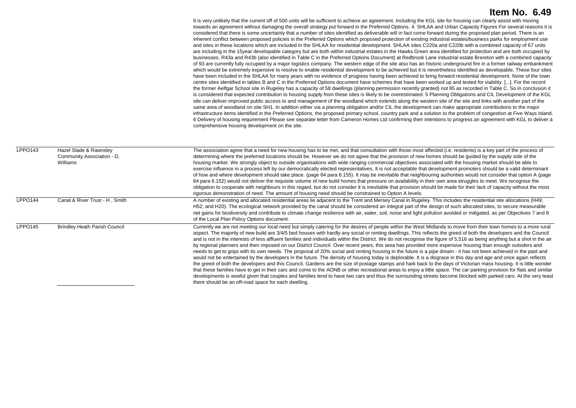It is very unlikely that the current off of 500 units will be sufficient to achieve an agreement. Including the KGL site for housing can clearly assist with moving towards an agreement without damaging the overall strategy put forward in the Preferred Options. 4. SHLAA and Urban Capacity Figures For several reasons it is considered that there is some uncertainly that a number of sites identified as deliverable will in fact come forward during the proposed plan period. There is an inherent conflict between proposed policies in the Preferred Options which proposed protection of existing industrial estates/business parks for employment use and sites in these locations which are included in the SHLAA for residential development. SHLAA sites C220a and C220b with a combined capacity of 67 units are including in the 15year developable category but are both within industrial estates in the Hawks Green area identified for protection and are both occupied by businesses. R43a and R43b (also identified in Table C in the Preferred Options Document) at Redbrook Lane industrial estate Brereton with a combined capacity of 93 are currently fully occupied by a major logistics company. The western edge of the site also has an historic underground fire in a former railway embankment which would be extremely expensive to resolve to enable residential development to be achieved but it is nevertheless identified as developable. These four sites have been included in the SHLAA for many years with no evidence of progress having been achieved to bring forward residential development. None of the town centre sites identified in tables B and C in the Preferred Options document have schemes that have been worked up and tested for viability. [...]. For the record the former Aelfgar School site in Rugeley has a capacity of 58 dwellings (planning permission recently granted) not 85 as recorded in Table C. So in conclusion it is considered that expected contribution to housing supply from these sites is likely to be overestimated. 5 Planning Obligations and CIL Development of the KGL site can deliver improved public access to and management of the woodland which extends along the western site of the site and links with another part of the same area of woodland on site SH1. In addition either via a planning obligation and/or CIL the development can make appropriate contributions to the major infrastructure items identified in the Preferred Options, the proposed primary school, country park and a solution to the problem of congestion at Five Ways Island. 6 Delivery of housing requirement Please see separate letter from Cameron Homes Ltd confirming their intentions to progress an agreement with KGL to deliver a comprehensive housing development on the site.

| LPPO143 | Hazel Slade & Rawnsley<br>Community Association - D.<br>Williams | The association agree that a need for new housing has to be met, and that consultation with those most affected (i.e. residents) is a key part of the process of<br>determining where the preferred locations should be. However we do not agree that the provision of new homes should be guided by the supply side of the<br>housing market. We strongly object to outside organisations with wide ranging commercial objectives associated with the housing market should be able to<br>exercise influence in a process left by our democratically elected representatives. It is not acceptable that development promoters should be a valid determinant<br>of how and where development should take place. (page 64 para 6.155). It may be inevitable that neighbouring authorities would not consider that option A (page<br>64 para 6.152) would not deliver the requisite volume of new build homes that pressure on availability in their own area struggles to meet. We recognise the<br>obligation to cooperate with neighbours in this regard, but do not consider it is inevitable that provision should be made for their lack of capacity without the most<br>rigorous demonstration of need. The amount of housing need should be constrained to Option A levels.                                                                                                                                                                                                                                                                                                                         |
|---------|------------------------------------------------------------------|-----------------------------------------------------------------------------------------------------------------------------------------------------------------------------------------------------------------------------------------------------------------------------------------------------------------------------------------------------------------------------------------------------------------------------------------------------------------------------------------------------------------------------------------------------------------------------------------------------------------------------------------------------------------------------------------------------------------------------------------------------------------------------------------------------------------------------------------------------------------------------------------------------------------------------------------------------------------------------------------------------------------------------------------------------------------------------------------------------------------------------------------------------------------------------------------------------------------------------------------------------------------------------------------------------------------------------------------------------------------------------------------------------------------------------------------------------------------------------------------------------------------------------------------------------------------------------------------------------------|
| LPPO144 | Canal & River Trust - H. Smith                                   | A number of existing and allocated residential areas lie adiacent to the Trent and Mersey Canal in Rugeley. This includes the residential site allocations (H49;<br>H52; and H20). The ecological network provided by the canal should be considered an integral part of the design of such allocated sites, to secure measurable<br>net gains for biodiversity and contribute to climate change resilience with air, water, soil, noise and light pollution avoided or mitigated, as per Objectives 7 and 8<br>of the Local Plan Policy Options document.                                                                                                                                                                                                                                                                                                                                                                                                                                                                                                                                                                                                                                                                                                                                                                                                                                                                                                                                                                                                                                                |
| LPPO145 | <b>Brindley Heath Parish Council</b>                             | Currently we are not meeting our local need but simply catering for the desires of people within the West Midlands to move from their town homes to a more rural<br>aspect. The majority of new build are 3/4/5 bed houses with hardly any social or renting dwellings. This reflects the greed of both the developers and the Council<br>and is not in the interests of less affluent families and individuals within the District. We do not recognise the figure of 5,516 as being anything but a shot in the air<br>by regional planners and then imposed on our District Council. Over recent years, this area has provided more expensive housing than enough outsiders and<br>needs to get to grips with its own needs. The proposal of 20% social and renting housing in the future is a pipe dream - it has not been achieved in the past and<br>would not be entertained by the developers in the future. The density of housing today is deplorable. It is a disgrace in this day and age and once again reflects<br>the greed of both the developers and this Council. Gardens are the size of postage stamps and hark back to the days of Victorian mass housing. It is little wonder<br>that these families have to get in their cars and come to the AONB or other recreational areas to enjoy a little space. The car parking provision for flats and similar<br>developments is woeful given that couples and families tend to have two cars and thus the surrounding streets become blocked with parked cars. At the very least<br>there should be an off-road space for each dwelling. |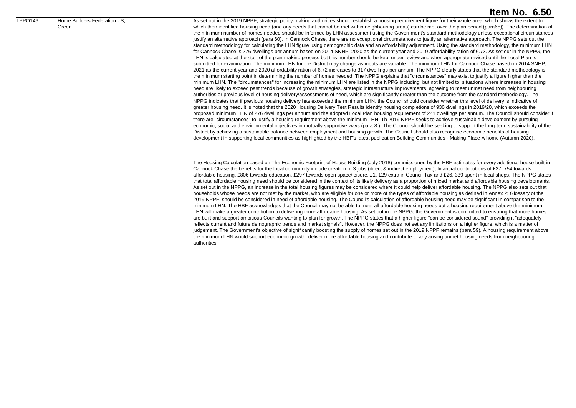#### LPPO146 Home Builders Federation - S, Green

#### **Item No. 6.50**

As set out in the 2019 NPPF, strategic policy-making authorities should establish a housing requirement figure for their whole area, which shows the extent to which their identified housing need (and any needs that cannot be met within neighbouring areas) can be met over the plan period (para65)). The determination of the minimum number of homes needed should be informed by LHN assessment using the Government's standard methodology unless exceptional circumstances justify an alternative approach (para 60). In Cannock Chase, there are no exceptional circumstances to justify an alternative approach. The NPPG sets out the standard methodology for calculating the LHN figure using demographic data and an affordability adjustment. Using the standard methodology, the minimum LHN for Cannock Chase is 276 dwellings per annum based on 2014 SNHP, 2020 as the current year and 2019 affordability ration of 6.73. As set out in the NPPG, the LHN is calculated at the start of the plan-making process but this number should be kept under review and when appropriate revised until the Local Plan is submitted for examination. The minimum LHN for the District may change as inputs are variable. The minimum LHN for Cannock Chase based on 2014 SNHP, 2021 as the current year and 2020 affordability ration of 6.72 increases to 317 dwellings per annum. The NPPG clearly states that the standard methodology is the minimum starting point in determining the number of homes needed. The NPPG explains that "circumstances" may exist to justify a figure higher than the minimum LHN. The "circumstances" for increasing the minimum LHN are listed in the NPPG including, but not limited to, situations where increases in housing need are likely to exceed past trends because of growth strategies, strategic infrastructure improvements, agreeing to meet unmet need from neighbouring authorities or previous level of housing delivery/assessments of need, which are significantly greater than the outcome from the standard methodology. The NPPG indicates that if previous housing delivery has exceeded the minimum LHN, the Council should consider whether this level of delivery is indicative of greater housing need. It is noted that the 2020 Housing Delivery Test Results identify housing completions of 930 dwellings in 2019/20, which exceeds the proposed minimum LHN of 276 dwellings per annum and the adopted Local Plan housing requirement of 241 dwellings per annum. The Council should consider if there are "circumstances" to justify a housing requirement above the minimum LHN. Th 2019 NPPF seeks to achieve sustainable development by pursuing economic, social and environmental objectives in mutually supportive ways (para 8.). The Council should be seeking to support the long-term sustainability of the District by achieving a sustainable balance between employment and housing growth. The Council should also recognise economic benefits of housing development in supporting local communities as highlighted by the HBF's latest publication Building Communities - Making Place A home (Autumn 2020).

The Housing Calculation based on The Economic Footprint of House Building (July 2018) commissioned by the HBF estimates for every additional house built in Cannock Chase the benefits for the local community include creation of 3 jobs (direct & indirect employment), financial contributions of £27, 754 towards affordable housing, £806 towards education, £297 towards open space/leisure, £1, 129 extra in Council Tax and £26, 339 spent in local shops. The NPPG states that total affordable housing need should be considered in the context of its likely delivery as a proportion of mixed market and affordable housing developments. As set out in the NPPG, an increase in the total housing figures may be considered where it could help deliver affordable housing. The NPPG also sets out that households whose needs are not met by the market, who are eligible for one or more of the types of affordable housing as defined in Annex 2: Glossary of the 2019 NPPF, should be considered in need of affordable housing. The Council's calculation of affordable housing need may be significant in comparison to the minimum LHN. The HBF acknowledges that the Council may not be able to meet all affordable housing needs but a housing requirement above the minimum LHN will make a greater contribution to delivering more affordable housing. As set out in the NPPG, the Government is committed to ensuring that more homes are built and support ambitious Councils wanting to plan for growth. The NPPG states that a higher figure "can be considered sound" providing it "adequately reflects current and future demographic trends and market signals". However, the NPPG does not set any limitations on a higher figure, which is a matter of judgement. The Government's objective of significantly boosting the supply of homes set out in the 2019 NPPF remains (para 59). A housing requirement above the minimum LHN would support economic growth, deliver more affordable housing and contribute to any arising unmet housing needs from neighbouring authorities.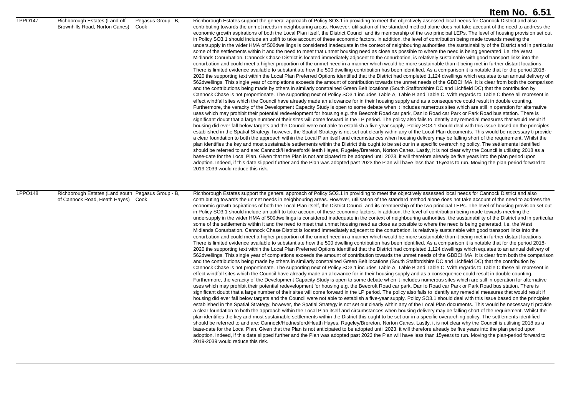|         |                                                                                          |                            | Item No. 6.51                                                                                                                                                                                                                                                                                                                                                                                                                                                                                                                                                                                                                                                                                                                                                                                                                                                                                                                                                                                                                                                                                                                                                                                                                                                                                                                                                                                                                                                                                                                                                                                                                                                                                                                                                                                                                                                                                                                                                                                                                                                                                                                                                                                                                                                                                                                                                                                                                                                                                                                                                                                                                                                                                                                                                                                                                                                                                                                                                                                                                                                                                                                                                                                                                                                                                                                                                                                                                                                                                                                                                                                                                                                                                                                                                                                                                                                                                                                                                                                                                                                                                   |
|---------|------------------------------------------------------------------------------------------|----------------------------|-------------------------------------------------------------------------------------------------------------------------------------------------------------------------------------------------------------------------------------------------------------------------------------------------------------------------------------------------------------------------------------------------------------------------------------------------------------------------------------------------------------------------------------------------------------------------------------------------------------------------------------------------------------------------------------------------------------------------------------------------------------------------------------------------------------------------------------------------------------------------------------------------------------------------------------------------------------------------------------------------------------------------------------------------------------------------------------------------------------------------------------------------------------------------------------------------------------------------------------------------------------------------------------------------------------------------------------------------------------------------------------------------------------------------------------------------------------------------------------------------------------------------------------------------------------------------------------------------------------------------------------------------------------------------------------------------------------------------------------------------------------------------------------------------------------------------------------------------------------------------------------------------------------------------------------------------------------------------------------------------------------------------------------------------------------------------------------------------------------------------------------------------------------------------------------------------------------------------------------------------------------------------------------------------------------------------------------------------------------------------------------------------------------------------------------------------------------------------------------------------------------------------------------------------------------------------------------------------------------------------------------------------------------------------------------------------------------------------------------------------------------------------------------------------------------------------------------------------------------------------------------------------------------------------------------------------------------------------------------------------------------------------------------------------------------------------------------------------------------------------------------------------------------------------------------------------------------------------------------------------------------------------------------------------------------------------------------------------------------------------------------------------------------------------------------------------------------------------------------------------------------------------------------------------------------------------------------------------------------------------------------------------------------------------------------------------------------------------------------------------------------------------------------------------------------------------------------------------------------------------------------------------------------------------------------------------------------------------------------------------------------------------------------------------------------------------------------------------|
| LPPO147 | Richborough Estates (Land off<br>Brownhills Road, Norton Canes)                          | Pegasus Group - B.<br>Cook | Richborough Estates support the general approach of Policy SO3.1 in providing to meet the objectively assessed local needs for Cannock District and also<br>contributing towards the unmet needs in neighbouring areas. However, utilisation of the standard method alone does not take account of the need to address the<br>economic growth aspirations of both the Local Plan itself, the District Council and its membership of the two principal LEPs. The level of housing provision set out<br>in Policy SO3.1 should include an uplift to take account of these economic factors. In addition, the level of contribution being made towards meeting the<br>undersupply in the wider HMA of 500dwellings is considered inadequate in the context of neighbouring authorities, the sustainability of the District and in particular<br>some of the settlements within it and the need to meet that unmet housing need as close as possible to where the need is being generated, i.e. the West<br>Midlands Conurbation. Cannock Chase District is located immediately adjacent to the conurbation, is relatively sustainable with good transport links into the<br>conurbation and could meet a higher proportion of the unmet need in a manner which would be more sustainable than it being met in further distant locations.<br>There is limited evidence available to substantiate how the 500 dwelling contribution has been identified. As a comparison it is notable that for the period 2018-<br>2020 the supporting text within the Local Plan Preferred Options identified that the District had completed 1,124 dwellings which equates to an annual delivery of<br>562dwellings. This single year of completions exceeds the amount of contribution towards the unmet needs of the GBBCHMA. It is clear from both the comparison<br>and the contributions being made by others in similarly constrained Green Belt locations (South Staffordshire DC and Lichfield DC) that the contribution by<br>Cannock Chase is not proportionate. The supporting next of Policy SO3.1 includes Table A, Table B and Table C. With regards to Table C these all represent in<br>effect windfall sites which the Council have already made an allowance for in their housing supply and as a consequence could result in double counting.<br>Furthermore, the veracity of the Development Capacity Study is open to some debate when it includes numerous sites which are still in operation for alternative<br>uses which may prohibit their potential redevelopment for housing e.g. the Beecroft Road car park, Danilo Road car Park or Park Road bus station. There is<br>significant doubt that a large number of their sites will come forward in the LP period. The policy also fails to identify any remedial measures that would result if<br>housing did ever fall below targets and the Council were not able to establish a five-year supply. Policy SO3.1 should deal with this issue based on the principles<br>established in the Spatial Strategy, however, the Spatial Strategy is not set out clearly within any of the Local Plan documents. This would be necessary ti provide<br>a clear foundation to both the approach within the Local Plan itself and circumstances when housing delivery may be falling short of the requirement. Whilst the<br>plan identifies the key and most sustainable settlements within the District this ought to be set our in a specific overarching policy. The settlements identified<br>should be referred to and are: Cannock/Hednesford/Heath Hayes, Rugeley/Brereton, Norton Canes. Lastly, it is not clear why the Council is utilising 2018 as a<br>base-date for the Local Plan. Given that the Plan is not anticipated to be adopted until 2023, it will therefore already be five years into the plan period upon<br>adoption. Indeed, if this date slipped further and the Plan was adopted past 2023 the Plan will have less than 15years to run. Moving the plan-period forward to<br>2019-2039 would reduce this risk. |
| LPPO148 | Richborough Estates (Land south Pegasus Group - B,<br>of Cannock Road, Heath Hayes) Cook |                            | Richborough Estates support the general approach of Policy SO3.1 in providing to meet the objectively assessed local needs for Cannock District and also<br>contributing towards the unmet needs in neighbouring areas. However, utilisation of the standard method alone does not take account of the need to address the<br>economic growth aspirations of both the Local Plan itself, the District Council and its membership of the two principal LEPs. The level of housing provision set out<br>in Policy SO3.1 should include an uplift to take account of these economic factors. In addition, the level of contribution being made towards meeting the<br>undersupply in the wider HMA of 500dwellings is considered inadequate in the context of neighbouring authorities, the sustainability of the District and in particular<br>some of the settlements within it and the need to meet that unmet housing need as close as possible to where the need is being generated, i.e. the West<br>Midlands Conurbation. Cannock Chase District is located immediately adjacent to the conurbation, is relatively sustainable with good transport links into the<br>conurbation and could meet a higher proportion of the unmet need in a manner which would be more sustainable than it being met in further distant locations.<br>There is limited evidence available to substantiate how the 500 dwelling contribution has been identified. As a comparison it is notable that for the period 2018-<br>2020 the supporting text within the Local Plan Preferred Options identified that the District had completed 1,124 dwellings which equates to an annual delivery of<br>562dwellings. This single year of completions exceeds the amount of contribution towards the unmet needs of the GBBCHMA. It is clear from both the comparison<br>and the contributions being made by others in similarly constrained Green Belt locations (South Staffordshire DC and Lichfield DC) that the contribution by<br>Cannock Chase is not proportionate. The supporting next of Policy SO3.1 includes Table A, Table B and Table C. With regards to Table C these all represent in<br>effect windfall sites which the Council have already made an allowance for in their housing supply and as a consequence could result in double counting.<br>Furthermore, the veracity of the Development Capacity Study is open to some debate when it includes numerous sites which are still in operation for alternative<br>uses which may prohibit their potential redevelopment for housing e.g. the Beecroft Road car park, Danilo Road car Park or Park Road bus station. There is<br>significant doubt that a large number of their sites will come forward in the LP period. The policy also fails to identify any remedial measures that would result if<br>housing did ever fall below targets and the Council were not able to establish a five-year supply. Policy SO3.1 should deal with this issue based on the principles<br>established in the Spatial Strategy, however, the Spatial Strategy is not set out clearly within any of the Local Plan documents. This would be necessary ti provide<br>a clear foundation to both the approach within the Local Plan itself and circumstances when housing delivery may be falling short of the requirement. Whilst the<br>plan identifies the key and most sustainable settlements within the District this ought to be set our in a specific overarching policy. The settlements identified<br>should be referred to and are: Cannock/Hednesford/Heath Hayes, Rugeley/Brereton, Norton Canes. Lastly, it is not clear why the Council is utilising 2018 as a<br>base-date for the Local Plan. Given that the Plan is not anticipated to be adopted until 2023, it will therefore already be five years into the plan period upon<br>adoption. Indeed, if this date slipped further and the Plan was adopted past 2023 the Plan will have less than 15years to run. Moving the plan-period forward to<br>2019-2039 would reduce this risk. |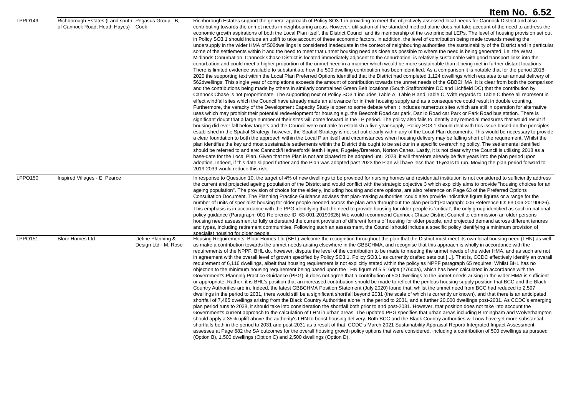|                |                                                                                          |                                           | Item No. 6.52                                                                                                                                                                                                                                                                                                                                                                                                                                                                                                                                                                                                                                                                                                                                                                                                                                                                                                                                                                                                                                                                                                                                                                                                                                                                                                                                                                                                                                                                                                                                                                                                                                                                                                                                                                                                                                                                                                                                                                                                                                                                                                                                                                                                                                                                                                                                                                                                                                                                                                                                                                                                                                                                                                                                                                                                                                                                                                                                                                                                                                                                                                                                                                                                                                                                                                                                                                                                                                                                                                                                                                                                                                                                                                                                                                                                                                                                                                                                                                                                                                                                                    |
|----------------|------------------------------------------------------------------------------------------|-------------------------------------------|--------------------------------------------------------------------------------------------------------------------------------------------------------------------------------------------------------------------------------------------------------------------------------------------------------------------------------------------------------------------------------------------------------------------------------------------------------------------------------------------------------------------------------------------------------------------------------------------------------------------------------------------------------------------------------------------------------------------------------------------------------------------------------------------------------------------------------------------------------------------------------------------------------------------------------------------------------------------------------------------------------------------------------------------------------------------------------------------------------------------------------------------------------------------------------------------------------------------------------------------------------------------------------------------------------------------------------------------------------------------------------------------------------------------------------------------------------------------------------------------------------------------------------------------------------------------------------------------------------------------------------------------------------------------------------------------------------------------------------------------------------------------------------------------------------------------------------------------------------------------------------------------------------------------------------------------------------------------------------------------------------------------------------------------------------------------------------------------------------------------------------------------------------------------------------------------------------------------------------------------------------------------------------------------------------------------------------------------------------------------------------------------------------------------------------------------------------------------------------------------------------------------------------------------------------------------------------------------------------------------------------------------------------------------------------------------------------------------------------------------------------------------------------------------------------------------------------------------------------------------------------------------------------------------------------------------------------------------------------------------------------------------------------------------------------------------------------------------------------------------------------------------------------------------------------------------------------------------------------------------------------------------------------------------------------------------------------------------------------------------------------------------------------------------------------------------------------------------------------------------------------------------------------------------------------------------------------------------------------------------------------------------------------------------------------------------------------------------------------------------------------------------------------------------------------------------------------------------------------------------------------------------------------------------------------------------------------------------------------------------------------------------------------------------------------------------------------------------------|
| LPPO149        | Richborough Estates (Land south Pegasus Group - B,<br>of Cannock Road, Heath Hayes) Cook |                                           | Richborough Estates support the general approach of Policy SO3.1 in providing to meet the objectively assessed local needs for Cannock District and also<br>contributing towards the unmet needs in neighbouring areas. However, utilisation of the standard method alone does not take account of the need to address the<br>economic growth aspirations of both the Local Plan itself, the District Council and its membership of the two principal LEPs. The level of housing provision set out<br>in Policy SO3.1 should include an uplift to take account of these economic factors. In addition, the level of contribution being made towards meeting the<br>undersupply in the wider HMA of 500dwellings is considered inadequate in the context of neighbouring authorities, the sustainability of the District and in particular<br>some of the settlements within it and the need to meet that unmet housing need as close as possible to where the need is being generated, i.e. the West<br>Midlands Conurbation. Cannock Chase District is located immediately adjacent to the conurbation, is relatively sustainable with good transport links into the<br>conurbation and could meet a higher proportion of the unmet need in a manner which would be more sustainable than it being met in further distant locations.<br>There is limited evidence available to substantiate how the 500 dwelling contribution has been identified. As a comparison it is notable that for the period 2018-<br>2020 the supporting text within the Local Plan Preferred Options identified that the District had completed 1,124 dwellings which equates to an annual delivery of<br>562dwellings. This single year of completions exceeds the amount of contribution towards the unmet needs of the GBBCHMA. It is clear from both the comparison<br>and the contributions being made by others in similarly constrained Green Belt locations (South Staffordshire DC and Lichfield DC) that the contribution by<br>Cannock Chase is not proportionate. The supporting next of Policy SO3.1 includes Table A, Table B and Table C. With regards to Table C these all represent in<br>effect windfall sites which the Council have already made an allowance for in their housing supply and as a consequence could result in double counting.<br>Furthermore, the veracity of the Development Capacity Study is open to some debate when it includes numerous sites which are still in operation for alternative<br>uses which may prohibit their potential redevelopment for housing e.g. the Beecroft Road car park, Danilo Road car Park or Park Road bus station. There is<br>significant doubt that a large number of their sites will come forward in the LP period. The policy also fails to identify any remedial measures that would result if<br>housing did ever fall below targets and the Council were not able to establish a five-year supply. Policy SO3.1 should deal with this issue based on the principles<br>established in the Spatial Strategy, however, the Spatial Strategy is not set out clearly within any of the Local Plan documents. This would be necessary to provide<br>a clear foundation to both the approach within the Local Plan itself and circumstances when housing delivery may be falling short of the requirement. Whilst the<br>plan identifies the key and most sustainable settlements within the District this ought to be set our in a specific overarching policy. The settlements identified<br>should be referred to and are: Cannock/Hednesford/Heath Hayes, Rugeley/Brereton, Norton Canes. Lastly, it is not clear why the Council is utilising 2018 as a<br>base-date for the Local Plan. Given that the Plan is not anticipated to be adopted until 2023, it will therefore already be five years into the plan period upon<br>adoption. Indeed, if this date slipped further and the Plan was adopted past 2023 the Plan will have less than 15 years to run. Moving the plan-period forward to<br>2019-2039 would reduce this risk. |
| LPPO150        | Inspired Villages - E, Pearce                                                            |                                           | In response to Question 10, the target of 4% of new dwellings to be provided for nursing homes and residential institution is not considered to sufficiently address<br>the current and projected ageing population of the District and would conflict with the strategic objective 3 which explicitly aims to provide "housing choices for an<br>ageing population". The provision of choice for the elderly, including housing and care options, are also reference on Page 63 of the Preferred Options<br>Consultation Document. The Planning Practice Guidance advises that plan-making authorities "could also provide indicative figure figures or a range for the<br>number of units of specialist housing for older people needed across the plan area throughout the plan period"(Paragraph: 006 Reference ID: 63-006-20190626).<br>This emphasis is in accordance with the PPG identifying that the need to provide housing for older people is 'critical', the only group identified as such in national<br>policy guidance (Paragraph: 001 Reference ID: 63-001-20190626).We would recommend Cannock Chase District Council to commission an older persons<br>housing need assessment to fully understand the current provision of different forms of housing for older people, and projected demand across different tenures<br>and types, including retirement communities. Following such an assessment, the Council should include a specific policy identifying a minimum provision of                                                                                                                                                                                                                                                                                                                                                                                                                                                                                                                                                                                                                                                                                                                                                                                                                                                                                                                                                                                                                                                                                                                                                                                                                                                                                                                                                                                                                                                                                                                                                                                                                                                                                                                                                                                                                                                                                                                                                                                                                                                                                                                                                                                                                                                                                                                                                                                                                                                                                                                                                                                          |
| <b>LPPO151</b> | <b>Bloor Homes Ltd</b>                                                                   | Define Planning &<br>Design Ltd - M, Rose | specialist housing for older people.<br>Housing Requirements: Bloor Homes Ltd (BHL) welcome the recognition throughout the plan that the District must meet its own local housing need (LHN) as well<br>as make a contribution towards the unmet needs arising elsewhere in the GBBCHMA, and recognise that this approach is wholly in accordance with the<br>requirements of the NPPF. BHL do, however, dispute the level of the contribution to be made to meeting the unmet needs of the wider HMA, and as such are not<br>in agreement with the overall level of growth specified by Policy SO3.1. Policy SO3.1 as currently drafted sets out []. That is, CCDC effectively identify an overall<br>requirement of 6,116 dwellings, albeit that housing requirement is not explicitly stated within the policy as NPPF paragraph 65 requires. Whilst BHL has no<br>objection to the minimum housing requirement being based upon the LHN figure of 5,516dpa (276dpa), which has been calculated in accordance with the<br>Government's Planning Practice Guidance (PPG), it does not agree that a contribution of 500 dwellings to the unmet needs arising in the wider HMA is sufficient<br>or appropriate. Rather, it is BHL's position that an increased contribution should be made to reflect the perilous housing supply position that BCC and the Black<br>Country Authorities are in. Indeed, the latest GBBCHMA Position Statement (July 2020) found that, whilst the unmet need from BCC had reduced to 2,597<br>dwellings in the period to 2031, there would still be a significant shortfall beyond 2031 (the scale of which is currently unknown), and that there is an anticipated<br>shortfall of 7,485 dwellings arising from the Black Country Authorities alone in the period to 2031, and a further 20,000 dwellings post-2031. As CCDC's emerging<br>plan period runs to 2038, it should take into consideration the shortfall both prior to and post-2031. However, that position does not take into account the<br>Government's current approach to the calculation of LHN in urban areas. The updated PPG specifies that urban areas including Birmingham and Wolverhampton<br>should apply a 35% uplift above the authority's LHN to boost housing delivery. Both BCC and the Black Country authorities will now have yet more substantial<br>shortfalls both in the period to 2031 and post-2031 as a result of that. CCDC's March 2021 Sustainability Appraisal Report/ Integrated Impact Assessment<br>assesses at Page 682 the SA outcomes for the overall housing growth policy options that were considered, including a contribution of 500 dwellings as pursued<br>(Option B), 1,500 dwellings (Option C) and 2,500 dwellings (Option D).                                                                                                                                                                                                                                                                                                                                                                                                                                                                                                                                                                                                                                                                                                                                                                                                                                                                                                                                                                                                                                                                                                                                                                                                                                                                                                                     |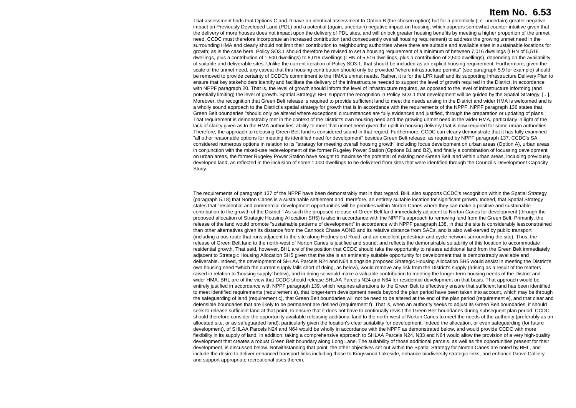That assessment finds that Options C and D have an identical assessment to Option B (the chosen option) but for a potentially (i.e. uncertain) greater negative impact on Previously Developed Land (PDL) and a potential (again, uncertain) negative impact on housing; which appears somewhat counter-intuitive given that the delivery of more houses does not impact upon the delivery of PDL sites, and will unlock greater housing benefits by meeting a higher proportion of the unmet need. CCDC must therefore incorporate an increased contribution (and consequently overall housing requirement) to address the growing unmet need in the surrounding HMA and clearly should not limit their contribution to neighbouring authorities where there are suitable and available sites in sustainable locations for growth; as is the case here. Policy SO3.1 should therefore be revised to set a housing requirement of a minimum of between 7,016 dwellings (LHN of 5,516 dwellings, plus a contribution of 1,500 dwellings) to 8,016 dwellings (LHN of 5,516 dwellings, plus a contribution of 2,500 dwellings), depending on the availability of suitable and deliverable sites. Unlike the current iteration of Policy SO3.1, that should be included as an explicit housing requirement. Furthermore, given the scale of the unmet need, any caveat that this housing contribution should only be provided "where infrastructure permits" (see paragraph 5.9 for example) should be removed to provide certainty of CCDC's commitment to the HMA's unmet needs. Rather, it is for the LPR itself and its supporting Infrastructure Delivery Plan to ensure that key stakeholders identify and facilitate the delivery of the infrastructure needed to support the level of growth required in the District, in accordance with NPPF paragraph 20. That is, the level of growth should inform the level of infrastructure required, as opposed to the level of infrastructure informing (and potentially limiting) the level of growth. Spatial Strategy: BHL support the recognition in Policy SO3.1 that development will be guided by the Spatial Strategy, [...]. Moreover, the recognition that Green Belt release is required to provide sufficient land to meet the needs arising in the District and wider HMA is welcomed and is a wholly sound approach to the District's spatial strategy for growth that is in accordance with the requirements of the NPPF. NPPF paragraph 136 states that Green Belt boundaries "should only be altered where exceptional circumstances are fully evidenced and justified, through the preparation or updating of plans." That requirement is demonstrably met in the context of the District's own housing need and the growing unmet need in the wider HMA, particularly in light of the lack of clarity given as to the HMA authorities' ability to meet that unmet need given the uplift in housing delivery that is now required for some urban authorities. Therefore, the approach to releasing Green Belt land is considered sound in that regard. Furthermore, CCDC can clearly demonstrate that it has fully examined "all other reasonable options for meeting its identified need for development" besides Green Belt release, as required by NPPF paragraph 137. CCDC's SA considered numerous options in relation to its "strategy for meeting overall housing growth" including focus development on urban areas (Option A), urban areas in conjunction with the mixed-use redevelopment of the former Rugeley Power Station (Options B1 and B2), and finally a combination of focussing development on urban areas, the former Rugeley Power Station have sought to maximise the potential of existing non-Green Belt land within urban areas, including previously developed land, as reflected in the inclusion of some 1,000 dwellings to be delivered from sites that were identified through the Council's Development Capacity Study.

The requirements of paragraph 137 of the NPPF have been demonstrably met in that regard. BHL also supports CCDC's recognition within the Spatial Strategy (paragraph 5.18) that Norton Canes is a sustainable settlement and, therefore, an entirely suitable location for significant growth. Indeed, that Spatial Strategy states that "residential and commercial development opportunities will be priorities within Norton Canes where they can make a positive and sustainable contribution to the growth of the District." As such the proposed release of Green Belt land immediately adjacent to Norton Canes for development (through the proposed allocation of Strategic Housing Allocation SH5) is also in accordance with the NPPF's approach to removing land from the Green Belt. Primarily, the release of the land would promote "sustainable patterns of development" in accordance with NPPF paragraph 138, in that the site is considerably lessconstrained than other alternatives given its distance from the Cannock Chase AONB and its relative distance from SACs, and is also well-served by public transport (including a bus route that runs adjacent to the site along Hednesford Road, and an excellent pedestrian and cycle network surrounding the site). Thus, the release of Green Belt land to the north-west of Norton Canes is justified and sound, and reflects the demonstrable suitability of this location to accommodate residential growth. That said, however, BHL are of the position that CCDC should take the opportunity to release additional land from the Green Belt immediately adiacent to Strategic Housing Allocation SH5 given that the site is an eminently suitable opportunity for development that is demonstrably available and deliverable. Indeed, the development of SHLAA Parcels N24 and N64 alongside proposed Strategic Housing Allocation SH5 would assist in meeting the District's own housing need \*which the current supply falls short of doing, as below), would remove any risk from the District's supply (arising as a result of the matters raised in relation to 'housing supply' below), and in doing so would make a valuable contribution to meeting the longer-term housing needs of the District and wider HMA. BHL are of the view that CCDC should release SHLAA Parcels N24 and N64 for residential development on that basis. That approach would be entirely justified in accordance with NPPF paragraph 139, which requires alterations to the Green Belt to effectively ensure that sufficient land has been identified to meet identified requirements (requirement a), that longer-term development needs beyond the plan period have been taken into account, which may be through the safeguarding of land (requirement c), that Green Belt boundaries will not be need to be altered at the end of the plan period (requirement e), and that clear and defensible boundaries that are likely to be permanent are defined (requirement f). That is, when an authority seeks to adjust its Green Belt boundaries, it should seek to release sufficient land at that point, to ensure that it does not have to continually revisit the Green Belt boundaries during subsequent plan period. CCDC should therefore consider the opportunity available releasing additional land to the north-west of Norton Canes to meet the needs of the authority (preferably as an allocated site, or as safeguarded land); particularly given the location's clear suitability for development. Indeed the allocation, or even safeguarding (for future development), of SHLAA Parcels N24 and N64 would be wholly in accordance with the NPPF as demonstrated below, and would provide CCDC with more flexibility in its supply of land. In addition, taking a comprehensive approach to SHLAA Parcels N24, N33 and N64 would allow the provision of a very high-quality development that creates a robust Green Belt boundary along Long Lane. The suitability of those additional parcels, as well as the opportunities present for their development, is discussed below. Notwithstanding that point, the other objectives set out within the Spatial Strategy for Norton Canes are noted by BHL, and include the desire to deliver enhanced transport links including those to Kingswood Lakeside, enhance biodiversity strategic links, and enhance Grove Colliery and support appropriate recreational uses therein.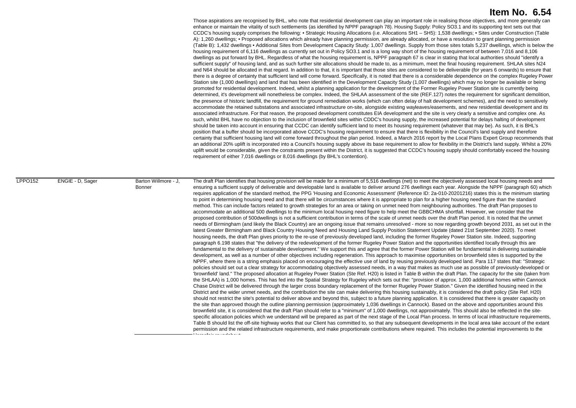Those aspirations are recognised by BHL, who note that residential development can play an important role in realising those objectives, and more generally can enhance or maintain the vitality of such settlements (as identified by NPPF paragraph 78). Housing Supply: Policy SO3.1 and its supporting text sets out that CCDC's housing supply comprises the following: • Strategic Housing Allocations (i.e. Allocations SH1 – SH5): 1,538 dwellings; • Sites under Construction (Table A): 1,260 dwellings; • Proposed allocations which already have planning permission, are already allocated, or have a resolution to grant planning permission (Table B): 1,432 dwellings • Additional Sites from Development Capacity Study: 1,007 dwellings. Supply from those sites totals 5,237 dwellings, which is below th e housing requirement of 6,116 dwellings as currently set out in Policy SO3.1 and is a long way short of the housing requirement of between 7,016 and 8,106 dwellings as put forward by BHL. Regardless of what the housing requirement is, NPPF paragraph 67 is clear in stating that local authorities should "identify a sufficient supply" of housing land, and as such further site allocations should be made to, as a minimum, meet the final housing requirement. SHLAA sites N24 and N64 should be allocated in that regard. In addition to that, it is important that those sites are considered to be deliverable (for years 6 onwards) to ensure that r there is a degree of certainty that sufficient land will come forward. Specifically, it is noted that there is a considerable dependence on the complex Rugeley Powe , determined, it's development will nonetheless be complex. Indeed, the SHLAA assessment of the site (REF.127) notes the requirement for significant demolition certainty that sufficient housing land will come forward throughout the plan period. Indeed, a March 2016 report by the Local Plans Expert Group recommends that Station site (1,000 dwellings) and land that has been identified in the Development Capacity Study (1,007 dwellings) which may no longer be available or being promoted for residential development. Indeed, whilst a planning application for the development of the Former Rugeley Power Station site is currently being the presence of historic landfill, the requirement for ground remediation works (which can often delay of halt development schemes), and the need to sensitively accommodate the retained substations and associated infrastructure on-site, alongside existing wayleaves/easements, and new residential development and its associated infrastructure. For that reason, the proposed development constitutes EIA development and the site is very clearly a sensitive and complex one. As such, whilst BHL have no objection to the inclusion of brownfield sites within CDDC's housing supply, the increased potential for delays halting of development should be taken into account in ensuring that CCDC can identify sufficient land to meet its housing requirement (whatever that may be). As such, it is BHL's position that a buffer should be incorporated above CCDC's housing requirement to ensure that there is flexibility in the Council's land supply and therefore an additional 20% uplift is incorporated into a Council's housing supply above its base requirement to allow for flexibility in the District's land supply. Whilst a 20% uplift would be considerable, given the constraints present within the District, it is suggested that CCDC's housing supply should comfortably exceed the housing requirement of either 7,016 dwellings or 8,016 dwellings (by BHL's contention).

LPPO152 ENGIE - D, Sager Barton Willmore - J, Bonner The draft Plan identifies that housing provision will be made for a minimum of 5,516 dwellings (net) to meet the objectively assessed local housing needs and ensuring a sufficient supply of deliverable and developable land is available to deliver around 276 dwellings each year. Alongside the NPPF (paragraph 60) which requires application of the standard method, the PPG 'Housing and Economic Assessment' (Reference ID: 2a-010-20201216) states this is the minimum starting to point in determining housing need and that there will be circumstances where it is appropriate to plan for a higher housing need figure than the standard method. This can include factors related to growth strategies for an area or taking on unmet need from neighbouring authorities. The draft Plan proposes to accommodate an additional 500 dwellings to the minimum local housing need figure to help meet the GBBCHMA shortfall. However, we consider that the proposed contribution of 500dwellings is not a sufficient contribution in terms of the scale of unmet needs over the draft Plan period. It is noted that the unmet needs of Birmingham (and likely the Black Country) are an ongoing issue that remains unresolved - more so now regarding growth beyond 2031, as set out in the latest Greater Birmingham and Black Country Housing Need and Housing Land Supply Position Statement Update (dated 21st September 2020). To meet housing needs, the draft Plan gives priority to the re-use of previously developed land, including the former Rugeley Power Station site. Indeed, supporting paragraph 6.198 states that "the delivery of the redevelopment of the former Rugeley Power Station and the opportunities identified locally through this are fundamental to the delivery of sustainable development." We support this and agree that the former Power Station will be fundamental in delivering sustainable development, as well as a number of other objectives including regeneration. This approach to maximise opportunities on brownfield sites is supported by the NPPF, where there is a string emphasis placed on encouraging the effective use of land by reusing previously developed land. Para 117 states that: "Strategic policies should set out a clear strategy for accommodating objectively assessed needs, in a way that makes as much use as possible of previously-developed or 'brownfield' land." The proposed allocation at Rugeley Power Station (Ste Ref. H20) is listed in Table B within the draft Plan. The capacity for the site (taken from the SHLAA) is 1,000 homes. This has fed into the Spatial Strategy for Rugeley which sets out the: "provision of approx. 1,000 additional homes within Cannock Chase District will be delivered through the larger cross boundary replacement of the former Rugeley Power Station." Given the identified housing need in the District and the wider unmet needs, and the contribution the site can make delivering this housing sustainably, it is considered the draft policy (Site Ref. H20) should not restrict the site's potential to deliver above and beyond this, subject to a future planning application. It is considered that there is greater capacity on the site than approved though the outline planning permission (approximately 1,036 dwellings in Cannock). Based on the above and opportunities around this brownfield site, it is considered that the draft Plan should refer to a "minimum" of 1,000 dwellings, not approximately. This should also be reflected in the sitespecific allocation policies which we understand will be prepared as part of the next stage of the Local Plan process. In terms of local infrastructure requirements, Table B should list the off-site highway works that our Client has committed to, so that any subsequent developments in the local area take account of the extant permission and the related infrastructure requirements, and make proportionate contributions where required. This includes the potential improvements to the

Horsefair roundabout.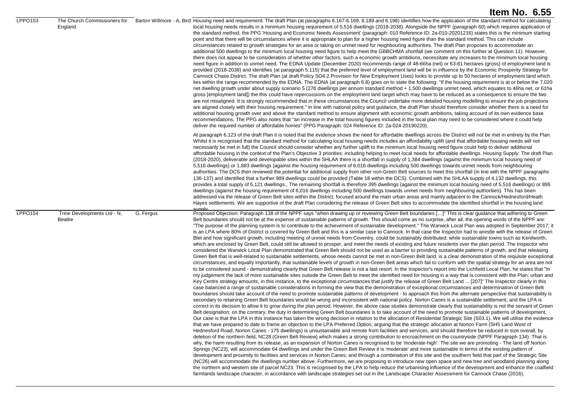|                |                                         |           | Item No. 6.55                                                                                                                                                                                                                                                                                                                                                                                                                                                                                                                                                                                                                                                                                                                                                                                                                                                                                                                                                                                                                                                                                                                                                                                                                                                                                                                                                                                                                                                                                                                                                                                                                                                                                                                                                                                                                                                                                                                                                                                                                                                                                                                                                                                                                                                                                                                                                                                                                                                                                                                                                                                                                                                                                                                                                                                                                                                                                                                                                                                                                                                                                                                                                                                                                                                                                                                                                                                                                                                                                                                                                                                                                                                                                                                                                                                                                                                                                                                                                                                                                                                                                                                                                                                                                                                                                                                                                                                                                                                                                                                                                 |
|----------------|-----------------------------------------|-----------|---------------------------------------------------------------------------------------------------------------------------------------------------------------------------------------------------------------------------------------------------------------------------------------------------------------------------------------------------------------------------------------------------------------------------------------------------------------------------------------------------------------------------------------------------------------------------------------------------------------------------------------------------------------------------------------------------------------------------------------------------------------------------------------------------------------------------------------------------------------------------------------------------------------------------------------------------------------------------------------------------------------------------------------------------------------------------------------------------------------------------------------------------------------------------------------------------------------------------------------------------------------------------------------------------------------------------------------------------------------------------------------------------------------------------------------------------------------------------------------------------------------------------------------------------------------------------------------------------------------------------------------------------------------------------------------------------------------------------------------------------------------------------------------------------------------------------------------------------------------------------------------------------------------------------------------------------------------------------------------------------------------------------------------------------------------------------------------------------------------------------------------------------------------------------------------------------------------------------------------------------------------------------------------------------------------------------------------------------------------------------------------------------------------------------------------------------------------------------------------------------------------------------------------------------------------------------------------------------------------------------------------------------------------------------------------------------------------------------------------------------------------------------------------------------------------------------------------------------------------------------------------------------------------------------------------------------------------------------------------------------------------------------------------------------------------------------------------------------------------------------------------------------------------------------------------------------------------------------------------------------------------------------------------------------------------------------------------------------------------------------------------------------------------------------------------------------------------------------------------------------------------------------------------------------------------------------------------------------------------------------------------------------------------------------------------------------------------------------------------------------------------------------------------------------------------------------------------------------------------------------------------------------------------------------------------------------------------------------------------------------------------------------------------------------------------------------------------------------------------------------------------------------------------------------------------------------------------------------------------------------------------------------------------------------------------------------------------------------------------------------------------------------------------------------------------------------------------------------------------------------------------------------------------------------------------|
| LPPO153        | The Church Commissioners for<br>England |           | Barton Willmore - A, Bird Housing need and requirement: The draft Plan (at paragraphs 6.167-6.169, 6.189 and 6.196) identifies how the application of the standard method for calculating<br>local housing needs results in a minimum housing requirement of 5,516 dwellings (2018-2038). Alongside the NPPF (paragraph 60) which requires application of<br>the standard method, the PPG 'Housing and Economic Needs Assessment' (paragraph: 010 Reference ID: 2a-010-20201216) states this is the minimum starting<br>point and that there will be circumstances where it is appropriate to plan for a higher housing need figure than the standard method. This can include<br>circumstances related to growth strategies for an area or taking on unmet need for neighbouring authorities. The draft Plan proposes to accommodate an<br>additional 500 dwellings to the minimum local housing need figure to help meet the GBBCHMA shortfall (we comment on this further at Question 11). However,<br>there does not appear to be consideration of whether other factors, such a economic growth ambitions, necessitate any increases to the minimum local housing<br>need figure in addition to unmet need. The EDNA Update (December 2020) recommends range of 48-66ha (net) or 63-81 hectares (gross) of employment land is<br>provided (2018-2038) and identifies (at paragraph 5.115) that the preferred level of employment land will be in influence by the Economic Prosperity Strategy for<br>Cannock Chase District. The draft Plan (at draft Policy SO4.2 Provision for New Employment Uses) looks to provide up to 50 hectares of employment land which<br>lies within the range recommended by the EDNA. The EDNA (at paragraph 6.8) goes on to state the following: "If the housing requirement is at or below the 7,020<br>net dwelling growth under about supply scenario 5 (276 dwellings per annum standard method + 1,500 dwellings unmet need, which equates to 46ha net, or 61ha<br>gross [employment land]) the this could have repercussions on the employment land target which may have to be reduced as a consequence to ensure the two<br>are not misaligned. It is strongly recommended that in these circumstances the Council undertake more detailed housing modelling to ensure the job projections<br>are aligned closely with their housing requirement." In line with national policy and guidance, the draft Plan should therefore consider whether there is a need for<br>additional housing growth over and above the standard method to ensure alignment with economic growth ambitions, taking account of its own evidence base<br>recommendations. The PPG also notes that "an increase in the total housing figures included in the local plan may need to be considered where it could help<br>deliver the required number of affordable homes" (PPG Paragraph: 024 Reference ID: 2a-024-20190220).                                                                                                                                                                                                                                                                                                                                                                                                                                                                                                                                                                                                                                                                                                                                                                                                                                                                                                                                                                                                                                                                                                                                                                                                                                                                                                                                                                                                                                                                                                                                                                                                            |
|                |                                         |           | At paragraph 6.123 of the draft Plan it is noted that the evidence shows the need for affordable dwellings across the District will not be met in entirety by the Plan.<br>Whilst it is recognised that the standard method for calculating local housing needs includes an affordability uplift (and that affordable housing needs will not<br>necessarily be met in full) the Council should consider whether any further uplift to the minimum local housing need figure could help to deliver additional<br>affordable housing in the context of the Plan's Objective 3 priorities; including helping to meet local needs for affordable dwellings. Housing Supply: The draft Plan<br>(2018-2020), deliverable and developable sites within the SHLAA there is a shortfall in supply of 1,384 dwellings (against the minimum local housing need of<br>5,516 dwellings) or 1,883 dwellings (against the housing requirement of 6,016 dwellings including 500 dwellings towards unmet needs from neighbouring<br>authorities. The DCS then reviewed the potential for additional supply from other non-Green Belt sources to meet this shortfall (in line with the NPPF paragraphs<br>136-137) and identified that a further 989 dwellings could be provided (Table 18 within the DCS). Combined with the SHLAA supply of 4,132 dwellings, this<br>provides a total supply of 5,121 dwellings., The remaining shortfall is therefore 395 dwellings (against the minimum local housing need of 5,516 dwellings) or 895<br>dwellings (against the housing requirement of 6,016 dwellings including 500 dwellings towards unmet needs from neighbouring authorities). This has been<br>addressed via the release of Green Belt sites within the District, focused around the main urban areas and mainly adjacent to the Cannock/Hednesford/Heath<br>Hayes settlements. We are supportive of the draft Plan considering the release of Green Belt sites to accommodate the identified shortfall in the housing land<br>sunnly                                                                                                                                                                                                                                                                                                                                                                                                                                                                                                                                                                                                                                                                                                                                                                                                                                                                                                                                                                                                                                                                                                                                                                                                                                                                                                                                                                                                                                                                                                                                                                                                                                                                                                                                                                                                                                                                                                                                                                                                                                                                                                                                                                                                                                                                                                                                                                                                                                                                                                                                  |
| <b>LPPO154</b> | Trine Developments Ltd - N,<br>Beattie  | G, Fergus | Proposed Objection: Paragraph 138 of the NPPF says "when drawing up or reviewing Green Belt boundaries []" This is clear guidance that adhering to Green<br>Belt boundaries should not be at the expense of sustainable patterns of growth. This should come as no surprise, after all, the opening words of the NPPF are:<br>"The purpose of the planning system is to contribute to the achievement of sustainable development." The Warwick Local Plan was adopted in September 2017; it<br>is an LPA where 80% of District is covered by Green Belt and this is a similar case to Cannock. In that case the Inspector had to wrestle with the release of Green<br>Blet and how significant growth, including meeting of unmet needs from Coventry, could be sustainably distributed; while sustainable towns such as Kenilworth,<br>which are enclosed by Green Belt, could still be allowed to prosper, and meet the needs of existing and future residents over the plan period. The Inspector who<br>considered the Warwick Local Plan demonstrated that Green Belt should not be used as a barrier to providing sustainable patterns of growth, and that releasing<br>Green Belt that is well-related to sustainable settlements, whose needs cannot be met in non-Green Belt land, is a clear demonstration of the requisite exceptional<br>circumstances; and equally importantly, that sustainable levels of growth in non-Green Belt areas which fail to conform with the spatial strategy for an area are not<br>to be considered sound - demonstrating clearly that Green Belt release is not a last resort. In the Inspector's report into the Lichfield Local Plan, he states that "In<br>my judgement the lack of more sustainable sites outside the Green Belt to meet the identified need for housing in a way that is consistent with the Plan; urban and<br>Key Centre strategy amounts, in this instance, to the exceptional circumstances that justify the release of Green Belt Land  [207]" The Inspector clearly in this<br>case balanced a range of sustainable considerations in forming the view that the demonstration of exceptional circumstances and determination of Green Belt<br>boundaries should take account of the need to promote sustainable patterns of development - to approach this from the alternate perspective that sustainability is<br>secondary to retaining Green Belt boundaries would be wrong and inconsistent with national policy. Norton Canes is a sustainable settlement, and the LPA is<br>correct in its decision to allow it to grow during the plan period. However, the above case studies demonstrate clearly that sustainability is not the servant of Green<br>Belt designation; on the contrary, the duty in determining Green Belt boundaries is to take account of the need to promote sustainable patterns of development<br>Our case is that the LPA in this instance has taken the wrong decision in relation to the allocation of Residential Strategic Site (S03.1). We will utilise the evidence<br>that we have prepared to date to frame an objection to the LPA Preferred Option, arguing that the strategic allocation at Norton Farm (SH5 Land West of<br>Hednesford Road, Norton Canes - 175 dwellings) is unsustainable and remote from facilities and services, and should therefore be reduced in size overall, by<br>deletion of the northern field, NC28 (Green Belt Review) which makes a strong contribution to encroachment on the countryside (NPPF Paragraph 134). That is<br>why, the harm resulting from its release, as an expansion of Norton Canes is recognised to be 'moderate-high'. The site we are promoting - The land off Norton<br>Springs (NC23), will accommodate 64 dwellings and under the Green Belt Review it is 'moderate' and more sustainable in terms of the existing pattern of<br>development and proximity to facilities and services in Norton Canes; and through a combination of this site and the southern field that part of the Strategic Site<br>(NC26) will accommodate the dwellings number above. Furthermore, we are proposing to introduce new open space and new tree and woodland planning along<br>the northern and western site of parcel NC23. This is recognised by the LPA to help reduce the urbanising influence of the development and enhance the coalfield<br>farmlands landscape character, in accordance with landscape strategies set out in the Landscape Character Assessment for Cannock Chase (2016). |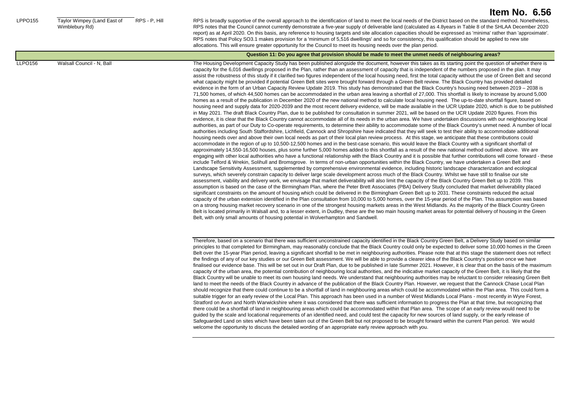LPPO155 Taylor Wimpey (Land East of Wimblebury Rd)

RPS - P. Hill RPS is broadly supportive of the overall approach to the identification of land to meet the local needs of the District based on the standard method. Nonetheless, RPS notes that the Council cannot currently demonstrate a five-year supply of deliverable land (calculated as 4.8years in Table 8 of the SHLAA December 2020 report) as at April 2020. On this basis, any reference to housing targets and site allocation capacities should be expressed as 'minima' rather than 'approximate'. RPS notes that Policy SO3.1 makes provision for a 'minimum of 5,516 dwellings' and so for consistency, this qualification should be applied to new site allocations. This will ensure greater opportunity for the Council to meet its housing needs over the plan period.

#### **Question 11: Do you agree that provision should be made to meet the unmet needs of neighbouring areas?** LLPO156 Walsall Council - N, Ball **The Housing Development Capacity Study** has been published alongside the document, however this takes as its starting point the question of whether there is capacity for the 6,016 dwellings proposed in the Plan, rather than an assessment of capacity that is independent of the numbers proposed in the plan. It may assist the robustness of this study if it clarified two figures independent of the local housing need, first the total capacity without the use of Green Belt and second

what capacity might be provided if potential Green Belt sites were brought forward through a Green Belt review. The Black Country has provided detailed evidence in the form of an Urban Capacity Review Update 2019. This study has demonstrated that the Black Country's housing need between 2019 – 2038 is 71,500 homes, of which 44,500 homes can be accommodated in the urban area leaving a shortfall of 27,000. This shortfall is likely to increase by around 5,000 homes as a result of the publication in December 2020 of the new national method to calculate local housing need. The up-to-date shortfall figure, based on housing need and supply data for 2020-2039 and the most recent delivery evidence, will be made available in the UCR Update 2020, which is due to be published in May 2021. The draft Black Country Plan, due to be published for consultation in summer 2021, will be based on the UCR Update 2020 figures. From this evidence, it is clear that the Black Country cannot accommodate all of its needs in the urban area. We have undertaken discussions with our neighbouring local authorities, as part of our Duty to Co-operate requirements, to determine their ability to accommodate some of the Black Country's unmet need. A number of local authorities including South Staffordshire, Lichfield, Cannock and Shropshire have indicated that they will seek to test their ability to accommodate additional housing needs over and above their own local needs as part of their local plan review process. At this stage, we anticipate that these contributions could accommodate in the region of up to 10,500-12,500 homes and in the best-case scenario, this would leave the Black Country with a significant shortfall of approximately 14,550-16,500 houses, plus some further 5,000 homes added to this shortfall as a result of the new national method outlined above. We are engaging with other local authorities who have a functional relationship with the Black Country and it is possible that further contributions will come forward - these include Telford & Wrekin, Solihull and Bromsgrove. In terms of non-urban opportunities within the Black Country, we have undertaken a Green Belt and Landscape Sensitivity Assessment, supplemented by comprehensive environmental evidence, including historic landscape characterization and ecological surveys, which severely constrain capacity to deliver large scale development across much of the Black Country. Whilst we have still to finalise our site assessment, viability and delivery work, we envisage that market deliverability will also limit the capacity of the Black Country Green Belt up to 2039. This assumption is based on the case of the Birmingham Plan, where the Peter Brett Associates (PBA) Delivery Study concluded that market deliverability placed significant constraints on the amount of housing which could be delivered in the Birmingham Green Belt up to 2031. These constraints reduced the actual capacity of the urban extension identified in the Plan consultation from 10,000 to 5,000 homes, over the 15-year period of the Plan. This assumption was based on a strong housing market recovery scenario in one of the strongest housing markets areas in the West Midlands. As the majority of the Black Country Green Belt is located primarily in Walsall and, to a lesser extent, in Dudley, these are the two main housing market areas for potential delivery of housing in the Green Belt, with only small amounts of housing potential in Wolverhampton and Sandwell.

Therefore, based on a scenario that there was sufficient unconstrained capacity identified in the Black Country Green Belt, a Delivery Study based on similar principles to that completed for Birmingham, may reasonably conclude that the Black Country could only be expected to deliver some 10,000 homes in the Green Belt over the 15-year Plan period, leaving a significant shortfall to be met in neighbouring authorities. Please note that at this stage the statement does not reflect the findings of any of our key studies or our Green Belt assessment. We will be able to provide a clearer idea of the Black Country's position once we have finalised our evidence base. This will be set out in our Draft Plan, due to be published in late Summer 2021. However, it is clear that on the basis of the maximum capacity of the urban area, the potential contribution of neighbouring local authorities, and the indicative market capacity of the Green Belt, it is likely that the Black Country will be unable to meet its own housing land needs. We understand that neighbouring authorities may be reluctant to consider releasing Green Belt land to meet the needs of the Black Country in advance of the publication of the Black Country Plan. However, we request that the Cannock Chase Local Plan should recognize that there could continue to be a shortfall of land in neighbouring areas which could be accommodated within the Plan area. This could form a suitable trigger for an early review of the Local Plan. This approach has been used in a number of West Midlands Local Plans - most recently in Wyre Forest. Stratford on Avon and North Warwickshire where it was considered that there was sufficient information to progress the Plan at that time, but recognizing that there could be a shortfall of land in neighbouring areas which could be accommodated within that Plan area. The scope of an early review would need to be guided by the scale and locational requirements of an identified need, and could test the capacity for new sources of land supply, or the early release of Safeguarded Land on sites which have been taken out of the Green Belt but not proposed to be brought forward within the current Plan period. We would welcome the opportunity to discuss the detailed wording of an appropriate early review approach with you.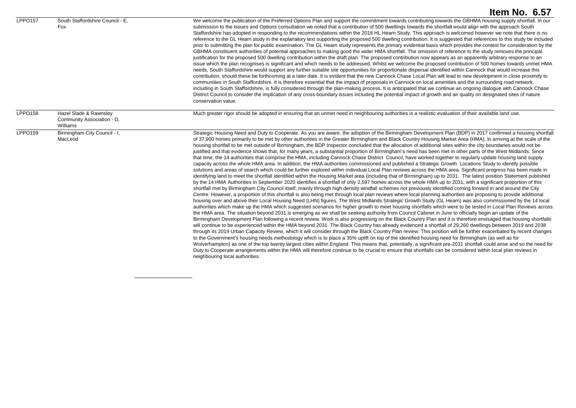|                |                                                                  | Item No. 6.57                                                                                                                                                                                                                                                                                                                                                                                                                                                                                                                                                                                                                                                                                                                                                                                                                                                                                                                                                                                                                                                                                                                                                                                                                                                                                                                                                                                                                                                                                                                                                                                                                                                                                                                                                                                                                                                                                                                                                                                                                                                                                                                                                                                                                                                                                                                                                                                                                                                                                                                                                                                                                                                                                                                                                                                                                                                                                                                                                                                                                                                                                                                                                                                                                                                                                                                                                           |
|----------------|------------------------------------------------------------------|-------------------------------------------------------------------------------------------------------------------------------------------------------------------------------------------------------------------------------------------------------------------------------------------------------------------------------------------------------------------------------------------------------------------------------------------------------------------------------------------------------------------------------------------------------------------------------------------------------------------------------------------------------------------------------------------------------------------------------------------------------------------------------------------------------------------------------------------------------------------------------------------------------------------------------------------------------------------------------------------------------------------------------------------------------------------------------------------------------------------------------------------------------------------------------------------------------------------------------------------------------------------------------------------------------------------------------------------------------------------------------------------------------------------------------------------------------------------------------------------------------------------------------------------------------------------------------------------------------------------------------------------------------------------------------------------------------------------------------------------------------------------------------------------------------------------------------------------------------------------------------------------------------------------------------------------------------------------------------------------------------------------------------------------------------------------------------------------------------------------------------------------------------------------------------------------------------------------------------------------------------------------------------------------------------------------------------------------------------------------------------------------------------------------------------------------------------------------------------------------------------------------------------------------------------------------------------------------------------------------------------------------------------------------------------------------------------------------------------------------------------------------------------------------------------------------------------------------------------------------------------------------------------------------------------------------------------------------------------------------------------------------------------------------------------------------------------------------------------------------------------------------------------------------------------------------------------------------------------------------------------------------------------------------------------------------------------------------------------------------------|
| <b>LPPO157</b> | South Staffordshire Council - E.<br>Fox                          | We welcome the publication of the Preferred Options Plan and support the commitment towards contributing towards the GBHMA housing supply shortfall. In our<br>submission to the Issues and Options consultation we noted that a contribution of 500 dwellings towards the shortfall would align with the approach South<br>Staffordshire has adopted in responding to the recommendations within the 2018 HL Hearn Study. This approach is welcomed however we note that there is no<br>reference to the GL Hearn study in the explanatory text supporting the proposed 500 dwelling contribution. It is suggested that references to this study be included<br>prior to submitting the plan for public examination. The GL Hearn study represents the primary evidential basis which provides the context for consideration by the<br>GBHMA constituent authorities of potential approaches to making good the wider HMA shortfall. The omission of reference to the study removes the principal<br>justification for the proposed 500 dwelling contribution within the draft plan. The proposed contribution now appears as an apparently arbitrary response to an<br>issue which the plan recognises is significant and which needs to be addressed. Whilst we welcome the proposed contribution of 500 homes towards unmet HMA<br>needs, South Staffordshire would support any further suitable site opportunities for proportionate dispersal identified within Cannock that would increase this<br>contribution, should these be forthcoming at a later date. It is evident that the new Cannock Chase Local Plan will lead to new development in close proximity to<br>communities in South Staffordshire. It is therefore essential that the impact of proposals in Cannock on local amenities and the surrounding road network,<br>including in South Staffordshire, is fully considered through the plan-making process. It is anticipated that we continue an ongoing dialogue with Cannock Chase<br>District Council to consider the implication of any cross-boundary issues including the potential impact of growth and air quality on designated sites of nature<br>conservation value.                                                                                                                                                                                                                                                                                                                                                                                                                                                                                                                                                                                                                                                                                                                                                                                                                                                                                                                                                                                                                                                                                                                                                                |
| <b>LPPO158</b> | Hazel Slade & Rawnsley<br>Community Association - D,<br>Williams | Much greater rigor should be adopted in ensuring that an unmet need in neighbouring authorities is a realistic evaluation of their available land use.                                                                                                                                                                                                                                                                                                                                                                                                                                                                                                                                                                                                                                                                                                                                                                                                                                                                                                                                                                                                                                                                                                                                                                                                                                                                                                                                                                                                                                                                                                                                                                                                                                                                                                                                                                                                                                                                                                                                                                                                                                                                                                                                                                                                                                                                                                                                                                                                                                                                                                                                                                                                                                                                                                                                                                                                                                                                                                                                                                                                                                                                                                                                                                                                                  |
| <b>LPPO159</b> | Birmingham City Council - I,<br>MacLeod                          | Strategic Housing Need and Duty to Cooperate. As you are aware, the adoption of the Birmingham Development Plan (BDP) in 2017 confirmed a housing shortfall<br>of 37,900 homes primarily to be met by other authorities in the Greater Birmingham and Black Country Housing Market Area (HMA). In arriving at the scale of the<br>housing shortfall to be met outside of Birmingham, the BDP Inspector concluded that the allocation of additional sites within the city boundaries would not be<br>justified and that evidence shows that, for many years, a substantial proportion of Birmingham's need has been met in other parts of the West Midlands. Since<br>that time, the 14 authorities that comprise the HMA, including Cannock Chase District Council, have worked together to regularly update housing land supply<br>capacity across the whole HMA area. In addition, the HMA authorities commissioned and published a Strategic Growth Locations Study to identify possible<br>solutions and areas of search which could be further explored within individual Local Plan reviews across the HMA area. Significant progress has been made in<br>identifying land to meet the shortfall identified within the Housing Market area (including that of Birmingham) up to 2031. The latest position Statement published<br>by the 14 HMA Authorities in September 2020 identifies a shortfall of only 2,597 homes across the whole HMA up to 2031, with a significant proportion of this<br>shortfall met by Birmingham City Council itself, mainly through high density windfall schemes not previously identified coming forward in and around the City<br>Centre. However, a proportion of this shortfall is also being met through local plan reviews where local planning authorities are proposing to provide additional<br>housing over and above their Local Housing Need (LHN) figures. The West Midlands Strategic Growth Study (GL Hearn) was also commissioned by the 14 local<br>authorities which make up the HMA which suggested scenarios for higher growth to meet housing shortfalls which were to be tested in Local Plan Reviews across<br>the HMA area. The situation beyond 2031 is emerging as we shall be seeking authority from Council Cabinet in June to officially begin an update of the<br>Birmingham Development Plan following a recent review. Work is also progressing on the Black Country Plan and it is therefore envisaged that housing shortfalls<br>will continue to be experienced within the HMA beyond 2031. The Black Country has already evidenced a shortfall of 29,260 dwellings between 2019 and 2038<br>through its 2019 Urban Capacity Review, which it will consider through the Black Country Plan review. This position will be further exacerbated by recent changes<br>to the Government's housing needs methodology which is to place a 35% uplift on top of the identified housing need for Birmingham (as well as for<br>Wolverhampton) as one of the top twenty largest cities within England. This means that, potentially, a significant pre-2031 shortfall could arise and so the need for<br>Duty to Cooperate arrangements within the HMA will therefore continue to be crucial to ensure that shortfalls can be considered within local plan reviews in<br>neighbouring local authorities. |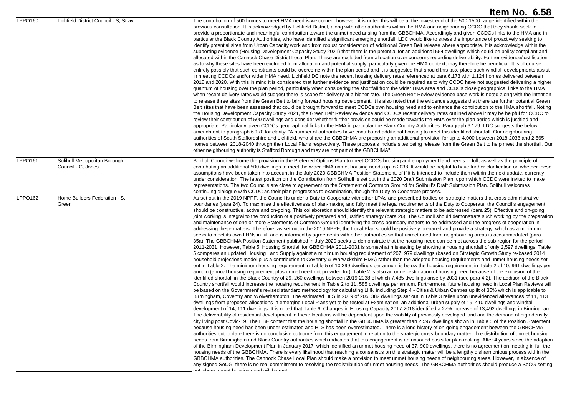|         |                                                     | Item No. 6.58                                                                                                                                                                                                                                                                                                                                                                                                                                                                                                                                                                                                                                                                                                                                                                                                                                                                                                                                                                                                                                                                                                                                                                                                                                                                                                                                                                                                                                                                                                                                                                                                                                                                                                                                                                                                                                                                                                                                                                                                                                                                                                                                                                                                                                                                                                                                                                                                                                                                                                                                                                                                                                                                                                                                                                                                                                                                                                                                                                                                                                                                                                                                                                                                                                                                                                                                                                                                                                                                                                                                                                                                                                                                                                                                                                                                                                                                                                                                                                                                                                                                                                                                                                                                                                                                                                                                                                                                                                                                                                                                                                                                                                                             |
|---------|-----------------------------------------------------|---------------------------------------------------------------------------------------------------------------------------------------------------------------------------------------------------------------------------------------------------------------------------------------------------------------------------------------------------------------------------------------------------------------------------------------------------------------------------------------------------------------------------------------------------------------------------------------------------------------------------------------------------------------------------------------------------------------------------------------------------------------------------------------------------------------------------------------------------------------------------------------------------------------------------------------------------------------------------------------------------------------------------------------------------------------------------------------------------------------------------------------------------------------------------------------------------------------------------------------------------------------------------------------------------------------------------------------------------------------------------------------------------------------------------------------------------------------------------------------------------------------------------------------------------------------------------------------------------------------------------------------------------------------------------------------------------------------------------------------------------------------------------------------------------------------------------------------------------------------------------------------------------------------------------------------------------------------------------------------------------------------------------------------------------------------------------------------------------------------------------------------------------------------------------------------------------------------------------------------------------------------------------------------------------------------------------------------------------------------------------------------------------------------------------------------------------------------------------------------------------------------------------------------------------------------------------------------------------------------------------------------------------------------------------------------------------------------------------------------------------------------------------------------------------------------------------------------------------------------------------------------------------------------------------------------------------------------------------------------------------------------------------------------------------------------------------------------------------------------------------------------------------------------------------------------------------------------------------------------------------------------------------------------------------------------------------------------------------------------------------------------------------------------------------------------------------------------------------------------------------------------------------------------------------------------------------------------------------------------------------------------------------------------------------------------------------------------------------------------------------------------------------------------------------------------------------------------------------------------------------------------------------------------------------------------------------------------------------------------------------------------------------------------------------------------------------------------------------------------------------------------------------------------------------------------------------------------------------------------------------------------------------------------------------------------------------------------------------------------------------------------------------------------------------------------------------------------------------------------------------------------------------------------------------------------------------------------------------------------------------------------------------------------------------|
| LPPO160 | Lichfield District Council - S, Stray               | The contribution of 500 homes to meet HMA need is welcomed; however, it is noted this will be at the lowest end of the 500-1500 range identified within the<br>previous consultation. It is acknowledged by Lichfield District, along with other authorities within the HMA and neighbouring CCDC that they should seek to<br>provide a proportionate and meaningful contribution toward the unmet need arising from the GBBCHMA. Accordingly and given CCDCs links to the HMA and in<br>particular the Black Country Authorities, who have identified a significant emerging shortfall, LDC would like to stress the importance of proactively seeking to<br>identify potential sites from Urban Capacity work and from robust consideration of additional Green Belt release where appropriate. It is acknowledge within the<br>supporting evidence (Housing Development Capacity Study 2021) that there is the potential for an additional 554 dwellings which could be policy compliant and<br>allocated within the Cannock Chase District Local Plan. These are excluded from allocation over concerns regarding deliverability. Further evidence/justification<br>as to why these sites have been excluded from allocation and potential supply, particularly given the HMA context, may therefore be beneficial. It is of course<br>entirely possibly that such constraints could be overcome within the plan period and it is suggested that should this take place such windfall developments assist<br>in meeting CCDCs and/or wider HMA need. Lichfield DC note the recent housing delivery rates referenced at para 6.173 with 1,124 homes delivered between<br>2018 and 2020. With this in mind it is considered that further evidence and justification could be required as to why CCDC have not suggested delivering a higher<br>quantum of housing over the plan period, particularly when considering the shortfall from the wider HMA area and CCDCs close geographical links to the HMA<br>when recent delivery rates would suggest there is scope for delivery at a higher rate. The Green Belt Review evidence base work is noted along with the intention<br>to release three sites from the Green Belt to bring forward housing development. It is also noted that the evidence suggests that there are further potential Green<br>Belt sites that have been assessed that could be brought forward to meet CCDCs own housing need and to enhance the contribution to the HMA shortfall. Noting<br>the Housing Development Capacity Study 2021, the Green Belt Review evidence and CCDCs recent delivery rates outlined above it may be helpful for CCDC to<br>review their contribution of 500 dwellings and consider whether further provision could be made towards the HMA over the plan period which is justified and<br>appropriate. Particularly given CCDCs geographical links to the HMA in particular the Black Country Authorities. Paragraph 6.179: LDC suggests the below<br>amendment to paragraph 6.170 for clarity: "A number of authorities have contributed additional housing to meet this identified shortfall. Our neighbouring<br>authorities of South Staffordshire and Lichfield, who share the GBBCHMA are proposing an additional provision for up to 4,000 between 2018-2038 and 2,665<br>homes between 2018-2040 through their Local Plans respectively. These proposals include sites being release from the Green Belt to help meet the shortfall. Our<br>other neighbouring authority is Stafford Borough and they are not part of the GBBCHMA".                                                                                                                                                                                                                                                                                                                                                                                                                                                                                                                                                                                                                                                                                                                                                                                                                                                                                                                                                                                                                                                                   |
| LPPO161 | Solihull Metropolitan Borough<br>Council - C, Jones | Solihull Council welcome the provision in the Preferred Options Plan to meet CCDCs housing and employment land needs in full, as well as the principle of<br>contributing an additional 500 dwellings to meet the wider HMA unmet housing needs up to 2038. It would be helpful to have further clarification on whether these<br>assumptions have been taken into account in the July 2020 GBBCHMA Position Statement, of if it is intended to include them within the next update, currently<br>under consideration. The latest position on the Contribution from Solihull is set out in the 2020 Draft Submission Plan, upon which CCDC were invited to make<br>representations. The two Councils are close to agreement on the Statement of Common Ground for Solihull's Draft Submission Plan. Solihull welcomes<br>continuing dialogue with CCDC as their plan progresses to examination, though the Duty-to-Cooperate process.                                                                                                                                                                                                                                                                                                                                                                                                                                                                                                                                                                                                                                                                                                                                                                                                                                                                                                                                                                                                                                                                                                                                                                                                                                                                                                                                                                                                                                                                                                                                                                                                                                                                                                                                                                                                                                                                                                                                                                                                                                                                                                                                                                                                                                                                                                                                                                                                                                                                                                                                                                                                                                                                                                                                                                                                                                                                                                                                                                                                                                                                                                                                                                                                                                                                                                                                                                                                                                                                                                                                                                                                                                                                                                                                     |
| LPPO162 | Home Builders Federation - S,<br>Green              | As set out in the 2019 NPPF, the Council is under a Duty to Cooperate with other LPAs and prescribed bodies on strategic matters that cross administrative<br>boundaries (para 24). To maximise the effectiveness of plan-making and fully meet the legal requirements of the Duty to Cooperate, the Council's engagement<br>should be constructive, active and on-going. This collaboration should identify the relevant strategic matters to be addressed (para 25). Effective and on-going<br>joint working is integral to the production of a positively prepared and justified strategy (para 26). The Council should demonstrate such working by the preparation<br>and maintenance of one or more Statements of Common Ground identifying the cross-boundary matters to be addressed and the progress of cooperation in<br>addressing these matters. Therefore, as set out in the 2019 NPPF, the Local Plan should be positively prepared and provide a strategy, which as a minimum<br>seeks to meet its own LHNs in full and is informed by agreements with other authorities so that unmet need form neighbouring areas is accommodated (para<br>35a). The GBBCHMA Position Statement published in July 2020 seeks to demonstrate that the housing need can be met across the sub-region for the period<br>2011-2031. However, Table 5: Housing Shortfall for GBBCHMA 2011-2031 is somewhat misleading by showing a housing shortfall of only 2,597 dwellings. Table<br>5 compares an updated Housing Land Supply against a minimum housing requirement of 207, 979 dwellings (based on Strategic Growth Study re-based 2014<br>household projections model plus a contribution to Coventry & Warwickshire HMA) rather than the adopted housing requirements and unmet housing needs set<br>out in Table 2. The minimum housing requirement in Table 5 of 10,399 dwellings per annum is below the housing requirement in Table 2 of 10, 961 dwellings per<br>annum (annual housing requirement plus unmet need not provided for). Table 2 is also an under-estimation of housing need because of the exclusion of the<br>identified shortfall in the Black Country of 29, 260 dwellings between 2019-2038 of which 7,485 dwellings arise by 2031 (see para 4.2). The addition of the Black<br>Country shortfall would increase the housing requirement in Table 2 to 11, 585 dwellings per annum. Furthermore, future housing need in Local Plan Reviews will<br>be based on the Government's revised standard methodology for calculating LHN including Step 4 - Cities & Urban Centres uplift of 35% which is applicable to<br>Birmingham, Coventry and Wolverhampton. The estimated HLS in 2019 of 205, 382 dwellings set out in Table 3 relies upon unevidenced allowances of 11, 413<br>dwellings from proposed allocations in emerging Local Plans yet to be tested at Examination, an additional urban supply of 19, 410 dwellings and windfall<br>development of 14, 111 dwellings. It is noted that Table 6: Changes in Housing Capacity 2017-2018 identified a 27% increase of 13,492 dwellings in Birmingham.<br>The deliverability of residential development in these locations will be dependent upon the viability of previously developed land and the demand of high density<br>city living post Covid-19. The HBF content that the housing shortfall in the GBBCHMA is greater than 2,597 dwellings shown in Table 5 of the Position Statement<br>because housing need has been under-estimated and HLS has been overestimated. There is a long history of on-going engagement between the GBBCHMA<br>authorities but to date there is no conclusive outcome from this engagement in relation to the strategic cross-boundary matter of re-distribution of unmet housing<br>needs from Birmingham and Black Country authorities which indicates that this engagement is an unsound basis for plan-making. After 4 years since the adoption<br>of the Birmingham Development Plan in January 2017, which identified an unmet housing need of 37, 900 dwellings, there is no agreement on meeting in full the<br>housing needs of the GBBCHMA. There is every likelihood that reaching a consensus on this strategic matter will be a lengthy disharmonious process within the<br>GBBCHMA authorities. The Cannock Chase Local Plan should make a provision to meet unmet housing needs of neighbouring areas. However, in absence of<br>any signed SoCG, there is no real commitment to resolving the redistribution of unmet housing needs. The GBBCHMA authorities should produce a SoCG setting<br>out where unmet housing need will be met |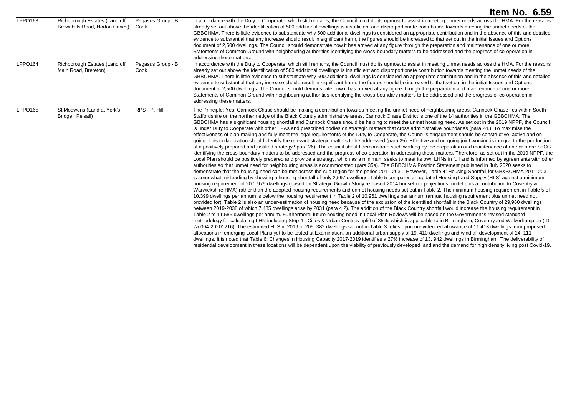|                |                                                                 |                            | Item No. 6.59                                                                                                                                                                                                                                                                                                                                                                                                                                                                                                                                                                                                                                                                                                                                                                                                                                                                                                                                                                                                                                                                                                                                                                                                                                                                                                                                                                                                                                                                                                                                                                                                                                                                                                                                                                                                                                                                                                                                                                                                                                                                                                                                                                                                                                                                                                                                                                                                                                                                                                                                                                                                                                                                                                                                                                                                                                                                                                                                                                                                                                                                                                                                                                                                                                                                                                                                                                                                                                                                                                                                                                                                                                                                                                                                                          |
|----------------|-----------------------------------------------------------------|----------------------------|------------------------------------------------------------------------------------------------------------------------------------------------------------------------------------------------------------------------------------------------------------------------------------------------------------------------------------------------------------------------------------------------------------------------------------------------------------------------------------------------------------------------------------------------------------------------------------------------------------------------------------------------------------------------------------------------------------------------------------------------------------------------------------------------------------------------------------------------------------------------------------------------------------------------------------------------------------------------------------------------------------------------------------------------------------------------------------------------------------------------------------------------------------------------------------------------------------------------------------------------------------------------------------------------------------------------------------------------------------------------------------------------------------------------------------------------------------------------------------------------------------------------------------------------------------------------------------------------------------------------------------------------------------------------------------------------------------------------------------------------------------------------------------------------------------------------------------------------------------------------------------------------------------------------------------------------------------------------------------------------------------------------------------------------------------------------------------------------------------------------------------------------------------------------------------------------------------------------------------------------------------------------------------------------------------------------------------------------------------------------------------------------------------------------------------------------------------------------------------------------------------------------------------------------------------------------------------------------------------------------------------------------------------------------------------------------------------------------------------------------------------------------------------------------------------------------------------------------------------------------------------------------------------------------------------------------------------------------------------------------------------------------------------------------------------------------------------------------------------------------------------------------------------------------------------------------------------------------------------------------------------------------------------------------------------------------------------------------------------------------------------------------------------------------------------------------------------------------------------------------------------------------------------------------------------------------------------------------------------------------------------------------------------------------------------------------------------------------------------------------------------------------|
| LPPO163        | Richborough Estates (Land off<br>Brownhills Road, Norton Canes) | Pegasus Group - B,<br>Cook | In accordance with the Duty to Cooperate, which still remains, the Council must do its upmost to assist in meeting unmet needs across the HMA. For the reasons<br>already set out above the identification of 500 additional dwellings is insufficient and disproportionate contribution towards meeting the unmet needs of the<br>GBBCHMA. There is little evidence to substantiate why 500 additional dwellings is considered an appropriate contribution and in the absence of this and detailed<br>evidence to substantial that any increase should result in significant harm, the figures should be increased to that set out in the initial Issues and Options<br>document of 2,500 dwellings. The Council should demonstrate how it has arrived at any figure through the preparation and maintenance of one or more<br>Statements of Common Ground with neighbouring authorities identifying the cross-boundary matters to be addressed and the progress of co-operation in<br>addressing these matters.                                                                                                                                                                                                                                                                                                                                                                                                                                                                                                                                                                                                                                                                                                                                                                                                                                                                                                                                                                                                                                                                                                                                                                                                                                                                                                                                                                                                                                                                                                                                                                                                                                                                                                                                                                                                                                                                                                                                                                                                                                                                                                                                                                                                                                                                                                                                                                                                                                                                                                                                                                                                                                                                                                                                                      |
| LPPO164        | Richborough Estates (Land off<br>Main Road, Brereton)           | Pegasus Group - B,<br>Cook | In accordance with the Duty to Cooperate, which still remains, the Council must do its upmost to assist in meeting unmet needs across the HMA. For the reasons<br>already set out above the identification of 500 additional dwellings is insufficient and disproportionate contribution towards meeting the unmet needs of the<br>GBBCHMA. There is little evidence to substantiate why 500 additional dwellings is considered an appropriate contribution and in the absence of this and detailed<br>evidence to substantial that any increase should result in significant harm, the figures should be increased to that set out in the initial Issues and Options<br>document of 2,500 dwellings. The Council should demonstrate how it has arrived at any figure through the preparation and maintenance of one or more<br>Statements of Common Ground with neighbouring authorities identifying the cross-boundary matters to be addressed and the progress of co-operation in<br>addressing these matters.                                                                                                                                                                                                                                                                                                                                                                                                                                                                                                                                                                                                                                                                                                                                                                                                                                                                                                                                                                                                                                                                                                                                                                                                                                                                                                                                                                                                                                                                                                                                                                                                                                                                                                                                                                                                                                                                                                                                                                                                                                                                                                                                                                                                                                                                                                                                                                                                                                                                                                                                                                                                                                                                                                                                                      |
| <b>LPPO165</b> | St Modwens (Land at York's<br>Bridge, Pelsall)                  | RPS - P, Hill              | The Principle: Yes, Cannock Chase should be making a contribution towards meeting the unmet need of neighbouring areas. Cannock Chase lies within South<br>Staffordshire on the northern edge of the Black Country administrative areas. Cannock Chase District is one of the 14 authorities in the GBBCHMA. The<br>GBBCHMA has a significant housing shortfall and Cannock Chase should be helping to meet the unmet housing need. As set out in the 2019 NPPF, the Council<br>is under Duty to Cooperate with other LPAs and prescribed bodies on strategic matters that cross administrative boundaries (para 24.). To maximise the<br>effectiveness of plan-making and fully meet the legal requirements of the Duty to Cooperate, the Council's engagement should be constructive, active and on-<br>going. This collaboration should identify the relevant strategic matters to be addressed (para 25). Effective and on-going joint working is integral to the production<br>of a positively prepared and justified strategy 9para 26). The council should demonstrate such working by the preparation and maintenance of one or more SoCG<br>identifying the cross-boundary matters to be addressed and the progress of co-operation in addressing these matters. Therefore, as set out in the 2019 NPPF, the<br>Local Plan should be positively prepared and provide a strategy, which as a minimum seeks to meet its own LHNs in full and is informed by agreements with other<br>authorities so that unmet need for neighbouring areas is accommodated (para 35a). The GBBCHMA Position Statement published in July 2020 seeks to<br>demonstrate that the housing need can be met across the sub-region for the period 2011-2031. However, Table 4: Housing Shortfall for GB&BCHMA 2011-2031<br>is somewhat misleading by showing a housing shortfall of only 2,597 dwellings. Table 5 compares an updated Housing Land Supply (HLS) against a minimum<br>housing requirement of 207, 979 dwellings (based on Strategic Growth Study re-based 2014 household projections model plus a contribution to Coventry &<br>Warwickshire HMA) rather than the adopted housing requirements and unmet housing needs set out in Table 2. The minimum housing requirement in Table 5 of<br>10,399 dwellings per annum is below the housing requirement in Table 2 of 10,961 dwellings per annum (annual housing requirement plus unmet need not<br>provided for). Table 2 is also an under-estimation of housing need because of the exclusion of the identified shortfall in the Black Country of 29,960 dwellings<br>between 2019-2038 of which 7,485 dwellings arise by 2031 (para 4.2). The addition of the Black Country shortfall would increase the housing requirement in<br>Table 2 to 11,585 dwellings per annum. Furthermore, future housing need in Local Plan Reviews will be based on the Government's revised standard<br>methodology for calculating LHN including Step 4 - Cities & Urban Centres uplift of 35%, which is applicable to in Birmingham, Coventry and Wolverhampton (ID<br>2a-004-20201216). The estimated HLS in 2019 of 205, 382 dwellings set out in Table 3 relies upon unevidenced allowance of 11,413 dwellings from proposed<br>allocations in emerging Local Plans yet to be tested at Examination, an additional urban supply of 19, 410 dwellings and windfall development of 14, 111<br>dwellings. It is noted that Table 6: Changes in Housing Capacity 2017-2019 identifies a 27% increase of 13, 942 dwellings in Birmingham. The deliverability of<br>residential development in these locations will be dependent upon the viability of previously developed land and the demand for high density living post Covid-19. |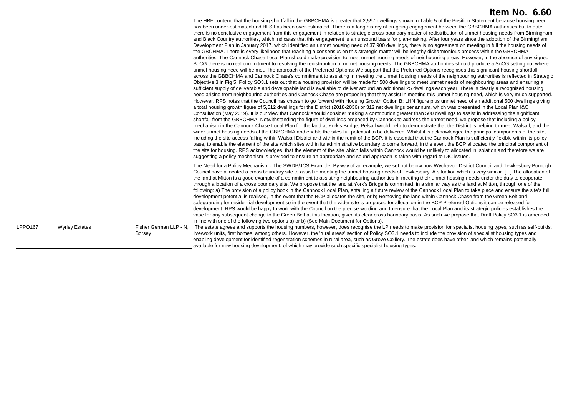|         |                       |                                         | The HBF contend that the housing shortfall in the GBBCHMA is greater that 2,597 dwellings shown in Table 5 of the Position Statement because housing need<br>has been under-estimated and HLS has been over-estimated. There is a long history of on-going engagement between the GBBCHMA authorities but to date<br>there is no conclusive engagement from this engagement in relation to strategic cross-boundary matter of redistribution of unmet housing needs from Birmingham<br>and Black Country authorities, which indicates that this engagement is an unsound basis for plan-making. After four years since the adoption of the Birmingham<br>Development Plan in January 2017, which identified an unmet housing need of 37,900 dwellings, there is no agreement on meeting in full the housing needs of<br>the GBCHMA. There is every likelihood that reaching a consensus on this strategic matter will be lengthy disharmonious process within the GBBCHMA<br>authorities. The Cannock Chase Local Plan should make provision to meet unmet housing needs of neighbouring areas. However, in the absence of any signed<br>SoCG there is no real commitment to resolving the redistribution of unmet housing needs. The GBBCHMA authorities should produce a SoCG setting out where<br>unmet housing need will be met. The approach of the Preferred Options: We support that the Preferred Options recognises this significant housing shortfall<br>across the GBBCHMA and Cannock Chase's commitment to assisting in meeting the unmet housing needs of the neighbouring authorities is reflected in Strategic<br>Objective 3 in Fig 5. Policy SO3.1 sets out that a housing provision will be made for 500 dwellings to meet unmet needs of neighbouring areas and ensuring a<br>sufficient supply of deliverable and developable land is available to deliver around an additional 25 dwellings each year. There is clearly a recognised housing<br>need arising from neighbouring authorities and Cannock Chase are proposing that they assist in meeting this unmet housing need, which is very much supported.<br>However, RPS notes that the Council has chosen to go forward with Housing Growth Option B: LHN figure plus unmet need of an additional 500 dwellings giving<br>a total housing growth figure of 5,612 dwellings for the District (2018-2036) or 312 net dwellings per annum, which was presented in the Local Plan I&O<br>Consultation (May 2019). It is our view that Cannock should consider making a contribution greater than 500 dwellings to assist in addressing the significant<br>shortfall from the GBBCHMA. Notwithstanding the figure of dwellings proposed by Cannock to address the unmet need, we propose that including a policy<br>mechanism in the Cannock Chase Local Plan for the land at York's Bridge, Pelsall would help to demonstrate that the District is helping to meet Walsall, and the<br>wider unmet housing needs of the GBBCHMA and enable the sites full potential to be delivered. Whilst it is acknowledged the principal components of the site,<br>including the site access falling within Walsall District and within the remit of the BCP, it is essential that the Cannock Plan is sufficiently flexible within its policy<br>base, to enable the element of the site which sites within its administrative boundary to come forward, in the event the BCP allocated the principal component of<br>the site for housing. RPS acknowledges, that the element of the site which falls within Cannock would be unlikely to allocated in isolation and therefore we are<br>suggesting a policy mechanism is provided to ensure an appropriate and sound approach is taken with regard to DtC issues. |
|---------|-----------------------|-----------------------------------------|-----------------------------------------------------------------------------------------------------------------------------------------------------------------------------------------------------------------------------------------------------------------------------------------------------------------------------------------------------------------------------------------------------------------------------------------------------------------------------------------------------------------------------------------------------------------------------------------------------------------------------------------------------------------------------------------------------------------------------------------------------------------------------------------------------------------------------------------------------------------------------------------------------------------------------------------------------------------------------------------------------------------------------------------------------------------------------------------------------------------------------------------------------------------------------------------------------------------------------------------------------------------------------------------------------------------------------------------------------------------------------------------------------------------------------------------------------------------------------------------------------------------------------------------------------------------------------------------------------------------------------------------------------------------------------------------------------------------------------------------------------------------------------------------------------------------------------------------------------------------------------------------------------------------------------------------------------------------------------------------------------------------------------------------------------------------------------------------------------------------------------------------------------------------------------------------------------------------------------------------------------------------------------------------------------------------------------------------------------------------------------------------------------------------------------------------------------------------------------------------------------------------------------------------------------------------------------------------------------------------------------------------------------------------------------------------------------------------------------------------------------------------------------------------------------------------------------------------------------------------------------------------------------------------------------------------------------------------------------------------------------------------------------------------------------------------------------------------------------------------------------------------------------------------------------------------------------------------------------------------------------------------------------------------------------------------------------------------------------------------------------------------------------------------------------------------------------------------------------------------------------------------------------------------------------------------------------------------------------------------------------------------------------------------------------------------------------------------------------------------------------------------------------------|
|         |                       |                                         | The Need for a Policy Mechanism - The SWDP/JCS Example: By way of an example, we set out below how Wychavon District Council and Tewkesbury Borough<br>Council have allocated a cross boundary site to assist in meeting the unmet housing needs of Tewkesbury. A situation which is very similar. [] The allocation of<br>the land at Mitton is a good example of a commitment to assisting neighbouring authorities in meeting their unmet housing needs under the duty to cooperate<br>through allocation of a cross boundary site. We propose that the land at York's Bridge is committed, in a similar way as the land at Mitton, through one of the<br>following: a) The provision of a policy hook in the Cannock Local Plan, entailing a future review of the Cannock Local Plan to take place and ensure the site's full<br>development potential is realised, in the event that the BCP allocates the site, or b) Removing the land within Cannock Chase from the Green Belt and<br>safeguarding for residential development so in the event that the wider site is proposed for allocation in the BCP Preferred Options it can be released for<br>development. RPS would be happy to work with the Council on the precise wording and to ensure that the Local Plan and its strategic policies establishes the<br>vase for any subsequent change to the Green Belt at this location, given its clear cross boundary basis. As such we propose that Draft Policy SO3.1 is amended<br>in line with one of the following two options a) or b) (See Main Document for Options).                                                                                                                                                                                                                                                                                                                                                                                                                                                                                                                                                                                                                                                                                                                                                                                                                                                                                                                                                                                                                                                                                                                                                                                                                                                                                                                                                                                                                                                                                                                                                                                                                                                                                                                                                                                                                                                                                                                                                                                                                                                                                                                                                                                            |
| LPPO167 | <b>Wyrley Estates</b> | Fisher German LLP - N,<br><b>Borsey</b> | The estate agrees and supports the housing numbers, however, does recognise the LP needs to make provision for specialist housing types, such as self-builds,<br>live/work units, first homes, among others. However, the 'rural areas' section of Policy SO3.1 needs to include the provision of specialist housing types and<br>enabling development for identified regeneration schemes in rural area, such as Grove Colliery. The estate does have other land which remains potentially<br>available for new housing development, of which may provide such specific specialist housing types.                                                                                                                                                                                                                                                                                                                                                                                                                                                                                                                                                                                                                                                                                                                                                                                                                                                                                                                                                                                                                                                                                                                                                                                                                                                                                                                                                                                                                                                                                                                                                                                                                                                                                                                                                                                                                                                                                                                                                                                                                                                                                                                                                                                                                                                                                                                                                                                                                                                                                                                                                                                                                                                                                                                                                                                                                                                                                                                                                                                                                                                                                                                                                                                |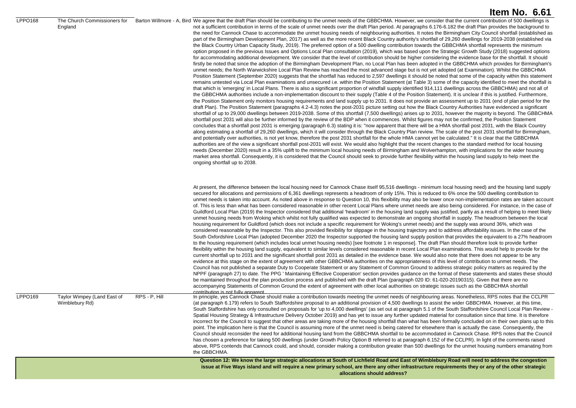#### LPPO168 The Church Commissioners for

England

Barton Willmore - A, Bird We agree that the draft Plan should be contributing to the unmet needs of the GBBCHMA. However, we consider that the current contribution of 500 dwellings is not a sufficient contribution in terms of the scale of unmet needs over the draft Plan period. At paragraphs 6.176-6.182 the draft Plan provides the background to the need for Cannock Chase to accommodate the unmet housing needs of neighbouring authorities. It notes the Birmingham City Council shortfall (established as part of the Birmingham Development Plan, 2017) as well as the more recent Black Country authority's shortfall of 29,260 dwellings for 2019-2038 (established via the Black Country Urban Capacity Study, 2019). The preferred option of a 500 dwelling contribution towards the GBBCHMA shortfall represents the minimum option proposed in the previous Issues and Options Local Plan consultation (2019), which was based upon the Strategic Growth Study (2018) suggested options for accommodating additional development. We consider that the level of contribution should be higher considering the evidence base for the shortfall. It should firstly be noted that since the adoption of the Birmingham Development Plan, no Local Plan has been adopted in the GBBCHMA which provides for Birmingham's unmet needs; the North Warwickshire Local Plan Review has reached the most advanced stage but is not yet adopted (at Examination). Whilst the GBBCHMA Position Statement (September 2020) suggests that the shortfall has reduced to 2.597 dwellings it should be noted that some of the capacity within this statement remains untested via Local Plan examinations and unsecured i.e. within the Position Statement (at Table 3) some of the capacity identified to meet the shortfall is that which is 'emerging' in Local Plans. There is also a significant proportion of windfall supply identified 914,111 dwellings across the GBBCHMA) and not all of the GBBCHMA authorities include a non-implementation discount to their supply (Table 4 of the Position Statement). It is unclear if this is justified. Furthermore, the Position Statement only monitors housing requirements and land supply up to 2031. It does not provide an assessment up to 2031 (end of plan period for the draft Plan). The Position Statement (paragraphs 4.2-4.3) notes the post-2031 picture setting out how the Black Country Authorities have evidenced a significant shortfall of up to 29,000 dwellings between 2019-2038. Some of this shortfall (7,500 dwellings) arises up to 2031, however the majority is beyond. The GBBCHMA shortfall post 2031 will also be further informed by the review of the BDP when it commences. Whilst figures may not be confirmed, the Position Statement concludes that a shortfall post 2031 is emerging (paragraph 6.3) stating it is: "now apparent that there will be a HMA shortfall post 2031, with the Black Country along estimating a shortfall of 29,260 dwellings, which it will consider through the Black Country Plan review. The scale of the post 2031 shortfall for Birmingham, and potentially over authorities, is not yet know, therefore the post 2031 shortfall for the whole HMA cannot yet be calculated." It is clear that the GBBCHMA authorities are of the view a significant shortfall post-2031 will exist. We would also highlight that the recent changes to the standard method for local housing needs (December 2020) result in a 35% uplift to the minimum local housing needs of Birmingham and Wolverhampton, with implications for the wider housing market area shortfall. Consequently, it is considered that the Council should seek to provide further flexibility within the housing land supply to help meet the ongoing shortfall up to 2038.

|         |                                               |               | Question 12: We know the large strategic allocations at South of Lichfield Road and East of Wimblebury Road will need to address the congestion<br>issue at Five Ways island and will require a new primary school, are there any other infrastructure requirements they or any of the other strategic<br>allocations should address?                                                                                                                                                                                                                                                                                                                                                                                                                                                                                                                                                                                                                                                                                                                                                                                                                                                                                                                                                                                                                                                                                                                                                                                                                                                                                                                                                                                                                                                                                                                                                                                                                                                                                                                                                                                                                                                                                                                                                                                                        |
|---------|-----------------------------------------------|---------------|----------------------------------------------------------------------------------------------------------------------------------------------------------------------------------------------------------------------------------------------------------------------------------------------------------------------------------------------------------------------------------------------------------------------------------------------------------------------------------------------------------------------------------------------------------------------------------------------------------------------------------------------------------------------------------------------------------------------------------------------------------------------------------------------------------------------------------------------------------------------------------------------------------------------------------------------------------------------------------------------------------------------------------------------------------------------------------------------------------------------------------------------------------------------------------------------------------------------------------------------------------------------------------------------------------------------------------------------------------------------------------------------------------------------------------------------------------------------------------------------------------------------------------------------------------------------------------------------------------------------------------------------------------------------------------------------------------------------------------------------------------------------------------------------------------------------------------------------------------------------------------------------------------------------------------------------------------------------------------------------------------------------------------------------------------------------------------------------------------------------------------------------------------------------------------------------------------------------------------------------------------------------------------------------------------------------------------------------|
| LPPO169 | Taylor Wimpey (Land East of<br>Wimblebury Rd) | RPS - P. Hill | NPPF (paragraph 27) to date. The PPG 'Maintaining Effective Cooperation' section provides guidance on the format of these statements and states these should<br>be maintained throughout the plan production process and published with the draft Plan (paragraph 020 ID: 61-020-20190315). Given that there are no<br>accompanying Statements of Common Ground the extent of agreement with other local authorities on strategic issues such as the GBBCHMA shortfall<br>contribution is not fully apparent<br>In principle, yes Cannock Chase should make a contribution towards meeting the unmet needs of neighbouring areas. Nonetheless, RPS notes that the CCLPR<br>(at paragraph 6.179) refers to South Staffordshire proposal to an additional provision of 4,500 dwellings to assist the wider GBBCHMA. However, at this time,<br>South Staffordshire has only consulted on proposals for 'up to 4,000 dwellings' (as set out at paragraph 5.1 of the South Staffordshire Council Local Plan Review -<br>Spatial Housing Strategy & Infrastructure Delivery October 2019) and has yet to issue any further updated material for consultation since that time. It is therefore<br>incorrect for the Council to suggest that other areas are taking more of the housing shortfall than what has been formally concluded on in their own plans up to this<br>point. The implication here is that the Council is assuming more of the unmet need is being catered for elsewhere than is actually the case. Consequently, the<br>Council should reconsider the need for additional housing land from the GBBCHMA shortfall to be accommodated in Cannock Chase. RPS notes that the Council<br>has chosen a preference for taking 500 dwellings (under Growth Policy Option B referred to at paragraph 6.152 of the CCLPR). In light of the comments raised<br>above, RPS contends that Cannock could, and should, consider making a contribution greater than 500 dwellings for the unmet housing numbers emanating from<br>the GBBCHMA.                                                                                                                                                                                                                                                                                                |
|         |                                               |               | At present, the difference between the local housing need for Cannock Chase itself 95,516 dwellings - minimum local housing need) and the housing land supply<br>secured for allocations and permissions of 6,361 dwellings represents a headroom of only 15%. This is reduced to 6% once the 500 dwelling contribution to<br>unmet needs is taken into account. As noted above in response to Question 10, this flexibility may also be lower once non-implementation rates are taken account<br>of. This is less than what has been considered reasonable in other recent Local Plans where unmet needs are also being considered. For instance, in the case of<br>Guildford Local Plan (2019) the Inspector considered that additional 'headroom' in the housing land supply was justified, partly as a result of helping to meet likely<br>unmet housing needs from Woking which whilst not fully qualified was expected to demonstrate an ongoing shortfall in supply. The headroom between the local<br>housing requirement for Guildford (which does not include a specific requirement for Woking's unmet needs) and the supply was around 36%, which was<br>considered reasonable by the Inspector. This also provided flexibility for slippage in the housing trajectory and to address affordability issues. In the case of the<br>South Oxfordshire Local Plan (adopted December 2020 the Inspector supported the housing land supply position that provides the equivalent to a 27% headroom<br>to the housing requirement (which includes local unmet housing needs) [see footnote 1 in response]. The draft Plan should therefore look to provide further<br>flexibility within the housing land supply, equivalent to similar levels considered reasonable in recent Local Plan examinations. This would help to provide for the<br>current shortfall up to 2031 and the significant shortfall post 2031 as detailed in the evidence base. We would also note that there does not appear to be any<br>evidence at this stage on the extent of agreement with other GBBCHMA authorities on the appropriateness of this level of contribution to unmet needs. The<br>Council has not published a separate Duty to Cooperate Statement or any Statement of Common Ground to address strategic policy matters as required by the |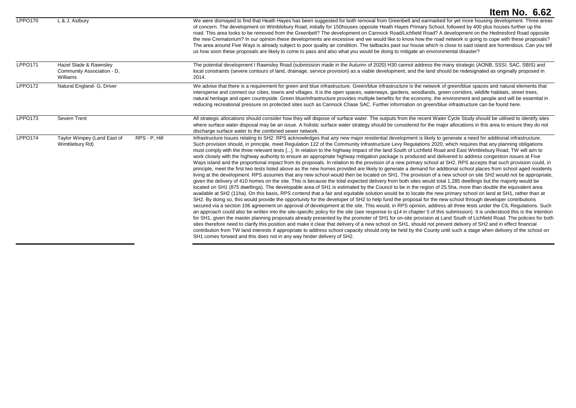|                |                                                                  | <b>Item No. 6.62</b>                                                                                                                                                                                                                                                                                                                                                                                                                                                                                                                                                                                                                                                                                                                                                                                                                                                                                                                                                                                                                                                                                                                                                                                                                                                                                                                                                                                                                                                                                                                                                                                                                                                                                                                                                                                                                                                                                                                                                                                                                                                                                                                                                                                                                                                                                                                                                                                                                                                                                                                                                                                                                                                                                                                                                                 |
|----------------|------------------------------------------------------------------|--------------------------------------------------------------------------------------------------------------------------------------------------------------------------------------------------------------------------------------------------------------------------------------------------------------------------------------------------------------------------------------------------------------------------------------------------------------------------------------------------------------------------------------------------------------------------------------------------------------------------------------------------------------------------------------------------------------------------------------------------------------------------------------------------------------------------------------------------------------------------------------------------------------------------------------------------------------------------------------------------------------------------------------------------------------------------------------------------------------------------------------------------------------------------------------------------------------------------------------------------------------------------------------------------------------------------------------------------------------------------------------------------------------------------------------------------------------------------------------------------------------------------------------------------------------------------------------------------------------------------------------------------------------------------------------------------------------------------------------------------------------------------------------------------------------------------------------------------------------------------------------------------------------------------------------------------------------------------------------------------------------------------------------------------------------------------------------------------------------------------------------------------------------------------------------------------------------------------------------------------------------------------------------------------------------------------------------------------------------------------------------------------------------------------------------------------------------------------------------------------------------------------------------------------------------------------------------------------------------------------------------------------------------------------------------------------------------------------------------------------------------------------------------|
| <b>LPPO170</b> | L & J, Astbury                                                   | We were dismayed to find that Heath Hayes has been suggested for both removal from Greenbelt and earmarked for yet more housing development. Three areas<br>of concern. The development on Wimblebury Road, initially for 150houses opposite Heath Hayes Primary School, followed by 400 plus houses further up the<br>road. This area looks to be removed from the Greenbelt? The development on Cannock Road/Lichfield Road? A development on the Hednesford Road opposite<br>the new Crematorium? In our opinion these developments are excessive and we would like to know how the road network is going to cope with these proposals?<br>The area around Five Ways is already subject to poor quality air condition. The tailbacks past our house which is close to said island are horrendous. Can you tell<br>us how soon these proposals are likely to come to pass and also what you would be doing to mitigate an environmental disaster?                                                                                                                                                                                                                                                                                                                                                                                                                                                                                                                                                                                                                                                                                                                                                                                                                                                                                                                                                                                                                                                                                                                                                                                                                                                                                                                                                                                                                                                                                                                                                                                                                                                                                                                                                                                                                                  |
| <b>LPPO171</b> | Hazel Slade & Rawnsley<br>Community Association - D.<br>Williams | The potential development I Rawnsley Road (submission made in the Autumn of 2020) H30 cannot address the many strategic (AONB, SSSI, SAC, SBIS) and<br>local constraints (severe contours of land, drainage, service provision) as a viable development, and the land should be redesignated as originally proposed in<br>2014.                                                                                                                                                                                                                                                                                                                                                                                                                                                                                                                                                                                                                                                                                                                                                                                                                                                                                                                                                                                                                                                                                                                                                                                                                                                                                                                                                                                                                                                                                                                                                                                                                                                                                                                                                                                                                                                                                                                                                                                                                                                                                                                                                                                                                                                                                                                                                                                                                                                      |
| LPPO172        | Natural England- G, Driver                                       | We advise that there is a requirement for green and blue infrastructure. Green/blue infrastructure is the network of green/blue spaces and natural elements that<br>intersperse and connect our cities, towns and villages. It is the open spaces, waterways, gardens, woodlands, green corridors, wildlife habitats, street trees,<br>natural heritage and open countryside. Green blue/infrastructure provides multiple benefits for the economy, the environment and people and will be essential in<br>reducing recreational pressure on protected sites such as Cannock Chase SAC. Further information on green/blue infrastructure can be found here.                                                                                                                                                                                                                                                                                                                                                                                                                                                                                                                                                                                                                                                                                                                                                                                                                                                                                                                                                                                                                                                                                                                                                                                                                                                                                                                                                                                                                                                                                                                                                                                                                                                                                                                                                                                                                                                                                                                                                                                                                                                                                                                          |
| <b>LPPO173</b> | Severn Trent                                                     | All strategic allocations should consider how they will dispose of surface water. The outputs from the recent Water Cycle Study should be utilised to identify sites<br>where surface water disposal may be an issue. A holistic surface water strategy should be considered for the major allocations in this area to ensure they do not<br>discharge surface water to the combined sewer network.                                                                                                                                                                                                                                                                                                                                                                                                                                                                                                                                                                                                                                                                                                                                                                                                                                                                                                                                                                                                                                                                                                                                                                                                                                                                                                                                                                                                                                                                                                                                                                                                                                                                                                                                                                                                                                                                                                                                                                                                                                                                                                                                                                                                                                                                                                                                                                                  |
| LPPO174        | Taylor Wimpey (Land East of<br>RPS - P, Hill<br>Wimblebury Rd)   | Infrastructure Issues relating to SH2: RPS acknowledges that any new major residential development is likely to generate a need for additional infrastructure.<br>Such provision should, in principle, meet Regulation 122 of the Community Infrastructure Levy Regulations 2020, which requires that any planning obligations<br>must comply with the three relevant tests []. In relation to the highway impact of the land South of Lichfield Road and East Wimblebury Road, TW will aim to<br>work closely with the highway authority to ensure an appropriate highway mitigation package is produced and delivered to address congestion issues at Five<br>Ways island and the proportional impact from its proposals. In relation to the provision of a new primary school at SH2, RPS accepts that such provision could, in<br>principle, meet the first two tests listed above as the new homes provided are likely to generate a demand for additional school places from school aged residents<br>living at the development. RPS assumes that any new school would then be located on SH1. The provision of a new school on site SH2 would not be appropriate,<br>given the delivery of 410 homes on the site. This is because the total expected delivery from both sites would total 1,285 dwellings but the majority would be<br>located on SH1 (875 dwellings). The developable area of SH1 is estimated by the Council to be in the region of 25.5ha, more than double the equivalent area<br>available at SH2 (11ha). On this basis, RPS contend that a fair and equitable solution would be to locate the new primary school on land at SH1, rather than at<br>SH2. By doing so, this would provide the opportunity for the developer of SH2 to help fund the proposal for the new school through developer contributions<br>secured via a section 106 agreement on approval of development at the site. This would, in RPS opinion, address all three tests under the CIL Regulations. Such<br>an approach could also be written into the site-specific policy for the site (see response to q14 in chapter 5 of this submission). It is understood this is the intention<br>for SH1, given the master planning proposals already presented by the promoter of SH1 for on-site provision at Land South of Lichfield Road. The policies for both<br>sites therefore need to clarify this position and make it clear that delivery of a new school on SH1, should not prevent delivery of SH2 and in effect financial<br>contribution from TW land interests if appropriate to address school capacity should only be held by the County until such a stage when delivery of the school on<br>SH1 comes forward and this does not in any way hinder delivery of SH2. |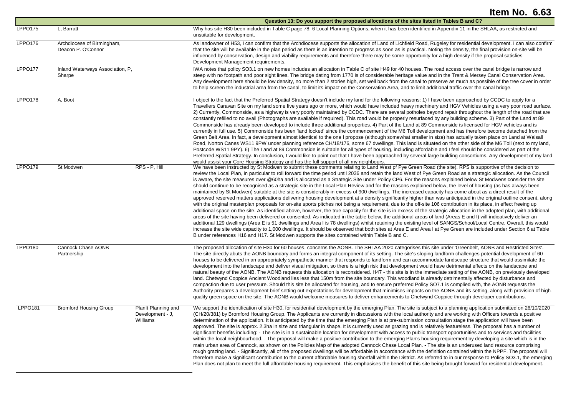|                |                                                  |                                                     | Question 13: Do you support the proposed allocations of the sites listed in Tables B and C?                                                                                                                                                                                                                                                                                                                                                                                                                                                                                                                                                                                                                                                                                                                                                                                                                                                                                                                                                                                                                                                                                                                                                                                                                                                                                                                                                                                                                                                                                                                                                                                                                                                                                                                                                                                                                                                                      |
|----------------|--------------------------------------------------|-----------------------------------------------------|------------------------------------------------------------------------------------------------------------------------------------------------------------------------------------------------------------------------------------------------------------------------------------------------------------------------------------------------------------------------------------------------------------------------------------------------------------------------------------------------------------------------------------------------------------------------------------------------------------------------------------------------------------------------------------------------------------------------------------------------------------------------------------------------------------------------------------------------------------------------------------------------------------------------------------------------------------------------------------------------------------------------------------------------------------------------------------------------------------------------------------------------------------------------------------------------------------------------------------------------------------------------------------------------------------------------------------------------------------------------------------------------------------------------------------------------------------------------------------------------------------------------------------------------------------------------------------------------------------------------------------------------------------------------------------------------------------------------------------------------------------------------------------------------------------------------------------------------------------------------------------------------------------------------------------------------------------------|
| <b>LPPO175</b> | L, Barratt                                       |                                                     | Why has site H30 been included in Table C page 78, 6 Local Planning Options, when it has been identified in Appendix 11 in the SHLAA, as restricted and<br>unsuitable for development.                                                                                                                                                                                                                                                                                                                                                                                                                                                                                                                                                                                                                                                                                                                                                                                                                                                                                                                                                                                                                                                                                                                                                                                                                                                                                                                                                                                                                                                                                                                                                                                                                                                                                                                                                                           |
| LPPO176        | Archdiocese of Birmingham,<br>Deacon P. O'Connor |                                                     | As landowner of H53, I can confirm that the Archdiocese supports the allocation of Land of Lichfield Road, Rugeley for residential development. I can also confirm<br>that the site will be available in the plan period as there is an intention to progress as soon as is practical. Noting the density, the final provision on-site will be<br>influenced by conservation, design and viability requirements and therefore there may be some opportunity for a high density if the proposal satisfies<br>Development Management requirements.                                                                                                                                                                                                                                                                                                                                                                                                                                                                                                                                                                                                                                                                                                                                                                                                                                                                                                                                                                                                                                                                                                                                                                                                                                                                                                                                                                                                                 |
| <b>LPPO177</b> | Inland Waterways Association, P.<br>Sharpe       |                                                     | IWA notes that policy SO3.1 on new homes includes an allocation in Table C of site H49 for 40 houses. The road access over the canal bridge is narrow and<br>steep with no footpath and poor sight lines. The bridge dating from 1770 is of considerable heritage value and in the Trent & Mersey Canal Conservation Area.<br>Any development here should be low density, no more than 2 stories high, set well back from the canal to preserve as much as possible of the tree cover in order<br>to help screen the industrial area from the canal, to limit its impact on the Conservation Area, and to limit additional traffic over the canal bridge.                                                                                                                                                                                                                                                                                                                                                                                                                                                                                                                                                                                                                                                                                                                                                                                                                                                                                                                                                                                                                                                                                                                                                                                                                                                                                                        |
| LPPO178        | A, Boot                                          |                                                     | I object to the fact that the Preferred Spatial Strategy doesn't include my land for the following reasons: 1) I have been approached by CCDC to apply for a<br>Travellers Caravan Site on my land some five years ago or more, which would have included heavy machinery and HGV Vehicles using a very poor road surface.<br>2) Currently, Commonside, as a highway is very poorly maintained by CCDC. There are several potholes beyond repair throughout the length of the road that are<br>constantly refilled to no avail (Photographs are available if required). This road would be properly resurfaced by any building scheme. 3) Part of the Land at 89<br>Commonside has already been developed to include three additional properties. 4) Part of the Land at 89 Commonside is licensed for HGV vehicles and is<br>currently in full use. 5) Commonside has been 'land locked' since the commencement of the M6 Toll development and has therefore become detached from the<br>Green Belt Area. In fact, a development almost identical to the one I propose (although somewhat smaller in size) has actually taken place on Land at Walsall<br>Road, Norton Canes WS11 9PW under planning reference CH/18/176, some 67 dwellings. This land is situated on the other side of the M6 Toll (next to my land,<br>Postcode WS11 9PY). 6) The Land at 89 Commonside is suitable for all types of housing, including affordable and I feel should be considered as part of the<br>Preferred Spatial Strategy. In conclusion, I would like to point out that I have been approached by several large building consortiums. Any development of my land<br>would assist your Core Housing Strategy and has the full support of all my neighbours.                                                                                                                                                                                                             |
| LPPO179        | St Modwen                                        | RPS - P, Hill                                       | We have been instructed by St Modwen to submit these comments relating to Land West pf Pye Green Road (the site). RPS is supportive of the decision to<br>review the Local Plan, in particular to roll forward the time period until 2036 and retain the land West of Pye Green Road as a strategic allocation. As the Council<br>is aware, the site measures over @60ha and is allocated as a Strategic Site under Policy CP6. For the reasons explained below St Modwens consider the site<br>should continue to be recognised as a strategic site in the Local Plan Review and for the reasons explained below, the level of housing (as has always been<br>maintained by St Modwen) suitable at the site is considerably in excess of 900 dwellings. The increased capacity has come about as a direct result of the<br>approved reserved matters applications delivering housing development at a density significantly higher than was anticipated in the original outline consent, along<br>with the original masterplan proposals for on-site sports pitches not being a requirement, due to the off-site 106 contribution in its place, in effect freeing up<br>additional space on the site. As identified above, however, the true capacity for the site is in excess of the strategic allocation in the adopted plan, with additional<br>areas of the site having been delivered or consented. As indicated in the table below, the additional areas of land (Areas E and I) will indicatively deliver an<br>additional 129 dwellings (Area E is 51 dwellings and Area I is 78 dwellings) whilst retaining the existing level of SANGS/School/Local Centre. Overall, this would<br>increase the site wide capacity to 1,000 dwellings. It should be observed that both sites at Area E and Area I at Pye Green are included under Section 6 at Table<br>B under references H16 and H17. St Modwen supports the sites contained within Table B and C. |
| LPPO180        | Cannock Chase AONB<br>Partnership                |                                                     | The proposed allocation of site H30 for 60 houses, concerns the AONB. The SHLAA 2020 categorises this site under 'Greenbelt, AONB and Restricted Sites'.<br>The site directly abuts the AONB boundary and forms an integral component of its setting. The site's sloping landform challenges potential development of 60<br>houses to be delivered in an appropriately sympathetic manner that responds to landform and can accommodate landscape structure that would assimilate the<br>development into the landscape and deliver visual mitigation, so there is a high risk that development would have detrimental effects on the landscape and<br>natural beauty of the AONB. The AONB requests this allocation is reconsidered. H47 - this site is in the immediate setting of the AONB, on previously developed<br>land. Chetwynd Coppice Ancient Woodland lies less that 150m from the site boundary. This woodland is already detrimentally affected by disturbance and<br>compaction due to user pressure. Should this site be allocated for housing, and to ensure preferred Policy SO7.1 is complied with, the AONB requests the<br>Authority prepares a development brief setting out expectations for development that minimises impacts on the AONB and its setting, along with provision of high-<br>quality green space on the site. The AONB would welcome measures to deliver enhancements to Chetwynd Coppice through developer contributions.                                                                                                                                                                                                                                                                                                                                                                                                                                                                                               |
| <b>LPPO181</b> | <b>Bromford Housing Group</b>                    | Planit Planning and<br>Development - J,<br>Williams | We support the identification of site H30, for residential development by the emerging Plan. The site is subject to a planning application submitted on 26/10/2020<br>(CH/20/381) by Bromford Housing Group. The Applicants are currently in discussions with the local authority and are working with Officers towards a positive<br>determination of the application. It is anticipated by the time that the emerging Plan is at pre-submission consultation stage the application will have been<br>approved. The site is approx. 2.3ha in size and triangular in shape. It is currently used as grazing and is relatively featureless. The proposal has a number of<br>significant benefits including: - The site is in a sustainable location for development with access to public transport opportunities and to services and facilities<br>within the local neighbourhood. - The proposal will make a positive contribution to the emerging Plan's housing requirement by developing a site which is in the<br>main urban area of Cannock, as shown on the Policies Map of the adopted Cannock Chase Local Plan. - The site is an underused land resource comprising<br>rough grazing land. - Significantly, all of the proposed dwellings will be affordable in accordance with the definition contained within the NPPF. The proposal will<br>therefore make a significant contribution to the current affordable housing shortfall within the District. As referred to in our response to Policy SO3.1, the emerging<br>Plan does not plan to meet the full affordable housing requirement. This emphasises the benefit of this site being brought forward for residential development.                                                                                                                                                                                                                                                               |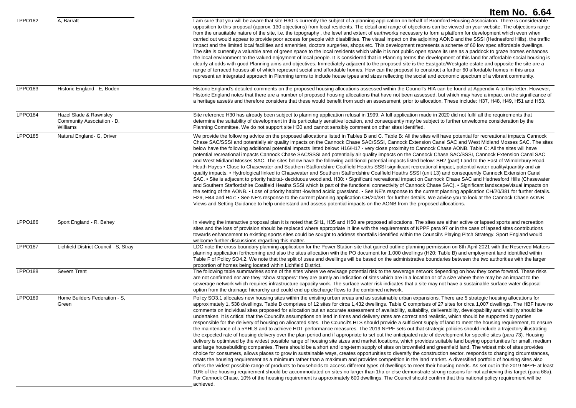|                |                                                                  | Item No. 6.64                                                                                                                                                                                                                                                                                                                                                                                                                                                                                                                                                                                                                                                                                                                                                                                                                                                                                                                                                                                                                                                                                                                                                                                                                                                                                                                                                                                                                                                                                                                                                                                                                                                                                                                                                                                                                                                                                                                                                                                                                                                                                                                                                                                                                                                                                                                                                                       |
|----------------|------------------------------------------------------------------|-------------------------------------------------------------------------------------------------------------------------------------------------------------------------------------------------------------------------------------------------------------------------------------------------------------------------------------------------------------------------------------------------------------------------------------------------------------------------------------------------------------------------------------------------------------------------------------------------------------------------------------------------------------------------------------------------------------------------------------------------------------------------------------------------------------------------------------------------------------------------------------------------------------------------------------------------------------------------------------------------------------------------------------------------------------------------------------------------------------------------------------------------------------------------------------------------------------------------------------------------------------------------------------------------------------------------------------------------------------------------------------------------------------------------------------------------------------------------------------------------------------------------------------------------------------------------------------------------------------------------------------------------------------------------------------------------------------------------------------------------------------------------------------------------------------------------------------------------------------------------------------------------------------------------------------------------------------------------------------------------------------------------------------------------------------------------------------------------------------------------------------------------------------------------------------------------------------------------------------------------------------------------------------------------------------------------------------------------------------------------------------|
| LPPO182        | A, Barratt                                                       | I am sure that you will be aware that site H30 is currently the subject of a planning application on behalf of Bromford Housing Association. There is considerable<br>opposition to this proposal (approx. 130 objections) from local residents. The detail and range of objections can be viewed on your website. The objections range<br>from the unsuitable nature of the site, i.e. the topography, the level and extent of earthworks necessary to form a platform for development which even when<br>carried out would appear to provide poor access for people with disabilities. The visual impact on the adjoining AONB and the SSSI (Hednesford Hills), the traffic<br>impact and the limited local facilities and amenities, doctors surgeries, shops etc. This development represents a scheme of 60 low spec affordable dwellings.<br>The site is currently a valuable area of green space to the local residents which while it is not public open space its use as a paddock to graze horses enhances<br>the local environment to the valued enjoyment of local people. It is considered that in Planning terms the development of this land for affordable social housing is<br>clearly at odds with good Planning aims and objectives. Immediately adjacent to the proposed site is the Eastgate/Westgate estate and opposite the site are a<br>range of terraced houses all of which represent social and affordable homes. How can the proposal to construct a further 60 affordable homes in this area<br>represent an integrated approach in Planning terms to include house types and sizes reflecting the social and economic spectrum of a vibrant community.                                                                                                                                                                                                                                                                                                                                                                                                                                                                                                                                                                                                                                                                                               |
| LPPO183        | Historic England - E, Boden                                      | Historic England's detailed comments on the proposed housing allocations assessed within the Council's HIA can be found at Appendix A to this letter. However,<br>Historic England notes that there are a number of proposed housing allocations that have not been assessed, but which may have a impact on the significance of<br>a heritage asset/s and therefore considers that these would benefit from such an assessment, prior to allocation. These include: H37, H48, H49, H51 and H53.                                                                                                                                                                                                                                                                                                                                                                                                                                                                                                                                                                                                                                                                                                                                                                                                                                                                                                                                                                                                                                                                                                                                                                                                                                                                                                                                                                                                                                                                                                                                                                                                                                                                                                                                                                                                                                                                                    |
| <b>LPPO184</b> | Hazel Slade & Rawnsley<br>Community Association - D,<br>Williams | Site reference H30 has already been subject to planning application refusal in 1999. A full application made in 2020 did not fulfil all the requirements that<br>determine the suitability of development in this particularly sensitive location, and consequently may be subject to further unwelcome consideration by the<br>Planning Committee. We do not support site H30 and cannot sensibly comment on other sites identified.                                                                                                                                                                                                                                                                                                                                                                                                                                                                                                                                                                                                                                                                                                                                                                                                                                                                                                                                                                                                                                                                                                                                                                                                                                                                                                                                                                                                                                                                                                                                                                                                                                                                                                                                                                                                                                                                                                                                               |
| <b>LPPO185</b> | Natural England- G, Driver                                       | We provide the following advice on the proposed allocations listed in Tables B and C. Table B: All the sites will have potential for recreational impacts Cannock<br>Chase SAC/SSSI and potentially air quality impacts on the Cannock Chase SAC/SSSI, Cannock Extension Canal SAC and West Midland Mosses SAC. The sites<br>below have the following additional potential impacts listed below: H16/H17 - very close proximity to Cannock Chase AONB. Table C: All the sites will have<br>potential recreational impacts Cannock Chase SAC/SSSI and potentially air quality impacts on the Cannock Chase SAC/SSSI, Cannock Extension Canal SAC<br>and West Midland Mosses SAC. The sites below have the following additional potential impacts listed below: SH2 (part) Land to the East of Wimblebury Road,<br>Heath Hayes • Close to Chasewater and Southern Staffordshire Coalfield Heaths SSSI-significant recreational impact, potential water quality/quantity and air<br>quality impacts. • Hydrological linked to Chasewater and Southern Staffordshire Coalfield Heaths SSSI (unit 13) and consequently Cannock Extension Canal<br>SAC. • Site is adjacent to priority habitat- deciduous woodland. H30: • Significant recreational impact on Cannock Chase SAC and Hednesford Hills (Chasewater<br>and Southern Staffordshire Coalfield Heaths SSSI which is part of the functional connectivity of Cannock Chase SAC). • Significant landscape/visual impacts on<br>the setting of the AONB. • Loss of priority habitat -lowland acidic grassland. • See NE's response to the current planning application CH/20/381 for further details.<br>H29, H44 and H47: • See NE's response to the current planning application CH/20/381 for further details. We advise you to look at the Cannock Chase AONB<br>Views and Setting Guidance to help understand and assess potential impacts on the AONB from the proposed allocations.                                                                                                                                                                                                                                                                                                                                                                                                                                          |
| LPPO186        | Sport England - R, Bahey                                         | In viewing the interactive proposal plan it is noted that SH1, H35 and H50 are proposed allocations. The sites are either active or lapsed sports and recreation<br>sites and the loss of provision should be replaced where appropriate in line with the requirements of NPPF para 97 or in the case of lapsed sites contributions<br>towards enhancement to existing sports sites could be sought to address shortfalls identified within the Council's Playing Pitch Strategy. Sport England would<br>welcome further discussions regarding this matter.                                                                                                                                                                                                                                                                                                                                                                                                                                                                                                                                                                                                                                                                                                                                                                                                                                                                                                                                                                                                                                                                                                                                                                                                                                                                                                                                                                                                                                                                                                                                                                                                                                                                                                                                                                                                                         |
| <b>LPPO187</b> | Lichfield District Council - S, Stray                            | LDC note the cross boundary planning application for the Power Station site that gained outline planning permission on 8th April 2021 with the Reserved Matters<br>planning application forthcoming and also the sites allocation with the PO document for 1,000 dwellings (H20: Table B) and employment land identified within<br>Table F of Policy SO4.2. We note that the split of uses and dwellings will be based on the administrative boundaries between the two authorities with the larger<br>proportion of homes being located within Lichfield District.                                                                                                                                                                                                                                                                                                                                                                                                                                                                                                                                                                                                                                                                                                                                                                                                                                                                                                                                                                                                                                                                                                                                                                                                                                                                                                                                                                                                                                                                                                                                                                                                                                                                                                                                                                                                                 |
| LPPO188        | Severn Trent                                                     | The following table summarises some of the sites where we envisage potential risk to the sewerage network depending on how they come forward. These risks<br>are not confirmed nor are they "show stoppers" they are purely an indication of sites which are in a location or of a size where there may be an impact to the<br>sewerage network which requires infrastructure capacity work. The surface water risk indicates that a site may not have a sustainable surface water disposal<br>option from the drainage hierarchy and could end up discharge flows to the combined network.                                                                                                                                                                                                                                                                                                                                                                                                                                                                                                                                                                                                                                                                                                                                                                                                                                                                                                                                                                                                                                                                                                                                                                                                                                                                                                                                                                                                                                                                                                                                                                                                                                                                                                                                                                                         |
| LPPO189        | Home Builders Federation - S,<br>Green                           | Policy SO3.1 allocates new housing sites within the existing urban areas and as sustainable urban expansions. There are 5 strategic housing allocations for<br>approximately 1, 538 dwellings. Table B comprises of 12 sites for circa 1,432 dwellings. Table C comprises of 27 sites for circa 1,007 dwellings. The HBF have no<br>comments on individual sites proposed for allocation but an accurate assessment of availability, suitability, deliverability, developability and viability should be<br>undertaken. It is critical that the Council's assumptions on lead in times and delivery rates are correct and realistic, which should be supported by parties<br>responsible for the delivery of housing on allocated sites. The Council's HLS should provide a sufficient supply of land to meet the housing requirement, to ensure<br>the maintenance of a 5YHLS and to achieve HDT performance measures. The 2019 NPPF sets out that strategic policies should include a trajectory illustrating<br>the expected rate of housing delivery over the plan period and if appropriate to set out the anticipated rate of development for specific sites (para 73). Housing<br>delivery is optimised by the widest possible range of housing site sizes and market locations, which provides suitable land buying opportunities for small, medium<br>and large housebuilding companies. There should be a short and long-term supply of sites on brownfield and greenfield land. The widest mix of sites provides<br>choice for consumers, allows places to grow in sustainable ways, creates opportunities to diversify the construction sector, responds to changing circumstances,<br>treats the housing requirement as a minimum rather than a maximum and provides competition in the land market. A diversified portfolio of housing sites also<br>offers the widest possible range of products to households to access different types of dwellings to meet their housing needs. As set out in the 2019 NPPF at least<br>10% of the housing requirement should be accommodated on sites no larger than 1ha or else demonstrate strong reasons for not achieving this target (para 68a).<br>For Cannock Chase, 10% of the housing requirement is approximately 600 dwellings. The Council should confirm that this national policy requirement will be<br>achieved. |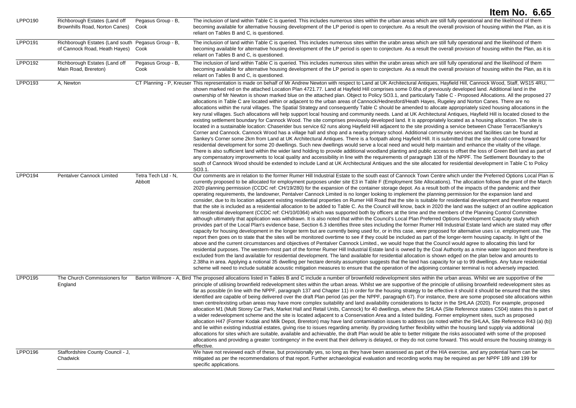| LPPO <sub>190</sub> | Richborough Estates (Land off<br>Brownhills Road, Norton Canes)                          | Pegasus Group - B,<br>Cook    | The inclusion of land within Table C is queried. This includes numerous sites within the urban areas which are still fully operational and the likelihood of them<br>becoming available for alternative housing development of the LP period is open to conjecture. As a result the overall provision of housing within the Plan, as it is<br>reliant on Tables B and C, is questioned.                                                                                                                                                                                                                                                                                                                                                                                                                                                                                                                                                                                                                                                                                                                                                                                                                                                                                                                                                                                                                                                                                                                                                                                                                                                                                                                                                                                                                                                                                                                                                                                                                                                                                                                                                                                                                                                                                                                                                                                                                                                                                                                                                                                                                                                                                                                |
|---------------------|------------------------------------------------------------------------------------------|-------------------------------|--------------------------------------------------------------------------------------------------------------------------------------------------------------------------------------------------------------------------------------------------------------------------------------------------------------------------------------------------------------------------------------------------------------------------------------------------------------------------------------------------------------------------------------------------------------------------------------------------------------------------------------------------------------------------------------------------------------------------------------------------------------------------------------------------------------------------------------------------------------------------------------------------------------------------------------------------------------------------------------------------------------------------------------------------------------------------------------------------------------------------------------------------------------------------------------------------------------------------------------------------------------------------------------------------------------------------------------------------------------------------------------------------------------------------------------------------------------------------------------------------------------------------------------------------------------------------------------------------------------------------------------------------------------------------------------------------------------------------------------------------------------------------------------------------------------------------------------------------------------------------------------------------------------------------------------------------------------------------------------------------------------------------------------------------------------------------------------------------------------------------------------------------------------------------------------------------------------------------------------------------------------------------------------------------------------------------------------------------------------------------------------------------------------------------------------------------------------------------------------------------------------------------------------------------------------------------------------------------------------------------------------------------------------------------------------------------------|
| LPPO191             | Richborough Estates (Land south Pegasus Group - B,<br>of Cannock Road, Heath Hayes) Cook |                               | The inclusion of land within Table C is queried. This includes numerous sites within the urabn areas which are still fully operational and the likelihood of them<br>becoming available for alternative housing development of the LP period is open to conjecture. As a result the overall provision of housing within the Plan, as it is<br>reliant on Tables B and C, is questioned.                                                                                                                                                                                                                                                                                                                                                                                                                                                                                                                                                                                                                                                                                                                                                                                                                                                                                                                                                                                                                                                                                                                                                                                                                                                                                                                                                                                                                                                                                                                                                                                                                                                                                                                                                                                                                                                                                                                                                                                                                                                                                                                                                                                                                                                                                                                |
| LPPO192             | Richborough Estates (Land off<br>Main Road, Brereton)                                    | Pegasus Group - B.<br>Cook    | The inclusion of land within Table C is queried. This includes numerous sites within the urabn areas which are still fully operational and the likelihood of them<br>becoming available for alternative housing development of the LP period is open to conjecture. As a result the overall provision of housing within the Plan, as it is<br>reliant on Tables B and C, is questioned.                                                                                                                                                                                                                                                                                                                                                                                                                                                                                                                                                                                                                                                                                                                                                                                                                                                                                                                                                                                                                                                                                                                                                                                                                                                                                                                                                                                                                                                                                                                                                                                                                                                                                                                                                                                                                                                                                                                                                                                                                                                                                                                                                                                                                                                                                                                |
| LPPO193             | A, Newton                                                                                |                               | CT Planning - P, Kreuser This representation is made on behalf of Mr Andrew Newton with respect to Land at UK Architectural Antiques, Hayfield Hill, Cannock Wood, Staff, WS15 4RU,<br>shown marked red on the attached Location Plan 4721.77. Land at Hayfield Hill comprises some 0.6ha of previously developed land. Additional land in the<br>ownership of Mr Newton is shown marked blue on the attached plan. Object to Policy SO3.1, and particularly Table C - Proposed Allocations. All the proposed 27<br>allocations in Table C are located within or adjacent to the urban areas of Cannock/Hednesford/Heath Hayes, Rugeley and Norton Canes. There are no<br>allocations within the rural villages. The Spatial Strategy and consequently Table C should be amended to allocate appropriately sized housing allocations in the<br>key rural villages. Such allocations will help support local housing and community needs. Land at UK Architectural Antiques, Hayfield Hill is located closed to the<br>existing settlement boundary for Cannock Wood. The site comprises previously developed land. It is appropriately located as a housing allocation. The site is<br>located in a sustainable location: Chaserider bus service 62 runs along Hayfield Hill adjacent to the site providing a service between Chase Terrace/Sankey's<br>Corner and Cannock. Cannock Wood has a village hall and shop and a nearby primary school. Additional community services and facilities can be found at<br>Sankey's Corner some 2km from Land at UK Architectural Antiques. There is a footpath along Hayfield Hill. It is submitted that the site should come forward for<br>residential development for some 20 dwellings. Such new dwellings would serve a local need and would help maintain and enhance the vitality of the village.<br>There is also sufficient land within the wider land holding to provide additional woodland planting and public access to offset the loss of Green Belt land as part of<br>any compensatory improvements to local quality and accessibility in line with the requirements of paragraph 138 of the NPPF. The Settlement Boundary to the<br>south of Cannock Wood should be extended to include Land at UK Architectural Antiques and the site allocated for residential development in Table C to Policy<br>SO3.1.                                                                                                                                                                                                                                                                                                                                   |
| <b>LPPO194</b>      | Pentalver Cannock Limited                                                                | Tetra Tech Ltd - N,<br>Abbott | Our comments are in relation to the former Rumer Hill Industrial Estate to the south east of Cannock Town Centre which under the Preferred Options Local Plan is<br>currently proposed to be allocated for employment purposes under site E3 in Table F (Employment Site Allocations). The allocation follows the grant of the March<br>2020 planning permission (CCDC ref: CH/19/280) for the expansion of the container storage depot. As a result both of the impacts of the pandemic and their<br>operating requirements, the landowner, Pentalver Cannock Limited is no longer looking to implement the planning permission for the expansion land and<br>consider, due to its location adjacent existing residential properties on Rumer Hill Road that the site is suitable for residential development and therefore request<br>that the site is included as a residential allocation to be added to Table C. As the Council will know, back in 2020 the land was the subject of an outline application<br>for residential development (CCDC ref: CH/10/0364) which was supported both by officers at the time and the members of the Planning Control Committee<br>although ultimately that application was withdrawn. It is also noted that within the Council's Local Plan Preferred Options Development Capacity study which<br>provides part of the Local Plan's evidence base, Section 6.3 identifies three sites including the former Rumer Hill Industrial Estate land which are stated may offer<br>capacity for housing development in the longer term but are currently being used for, or in this case, were proposed for alternative uses i.e. employment use. The<br>report then goes on to state that the sites will be monitored overtime to see if they could be included as part of the longer-term housing capacity. In light of the<br>above and the current circumstances and objectives of Pentalver Cannock Limited., we would hope that the Council would agree to allocating this land for<br>residential purposes. The western-most part of the former Rumer Hill Industrial Estate land is owned by the Coal Authority as a mine water lagoon and therefore is<br>excluded from the land available for residential development. The land available for residential allocation is shown edged on the plan below and amounts to<br>2.38ha in area. Applying a notional 35 dwelling per hectare density assumption suggests that the land has capacity for up to 99 dwellings. Any future residential<br>scheme will need to include suitable acoustic mitigation measures to ensure that the operation of the adjoining container terminal is not adversely impacted. |
| <b>LPPO195</b>      | The Church Commissioners for<br>England                                                  |                               | Barton Willmore - A, Bird The proposed allocations listed in Tables B and C include a number of brownfield redevelopment sites within the urban areas. Whilst we are supportive of the<br>principle of utilising brownfield redevelopment sites within the urban areas. Whilst we are supportive of the principle of utilising brownfield redevelopment sites as<br>far as possible (in line with the NPPF, paragraph 137 and Chapter 11) in order for the housing strategy to be effective it should it should be ensured that the sites<br>identified are capable of being delivered over the draft Plan period (as per the NPPF, paragraph 67). For instance, there are some proposed site allocations within<br>town centre/existing urban areas may have more complex suitability and land availability considerations to factor in the SHLAA (2020). For example, proposed<br>allocation M1 (Multi Storey Car Park, Market Hall and Retail Units, Cannock) for 40 dwellings, where the SHLAA (Site Reference states C504) states this is part of<br>a wider redevelopment scheme and the site is located adjacent to a Conservation Area and a listed building. Former employment sites, such as proposed<br>allocation H47 (Former Kodak and Milk Depot, Brereton) may have land contamination issues to address (as noted within the SHLAA, Site Reference R43 (a) (b))<br>and lie within existing industrial estates, giving rise to issues regarding amenity. By providing further flexibility within the housing land supply via additional<br>allocations for sites which are suitable, available and achievable, the draft Plan would be able to better mitigate the risks associated with some of the proposed<br>allocations and providing a greater 'contingency' in the event that their delivery is delayed, or they do not come forward. This would ensure the housing strategy is<br>effective.                                                                                                                                                                                                                                                                                                                                                                                                                                                                                                                                                                                                                                                                                                                                                                                    |
| <b>LPPO196</b>      | Staffordshire County Council - J,<br>Chadwick                                            |                               | We have not reviewed each of these, but provisionally yes, so long as they have been assessed as part of the HIA exercise, and any potential harm can be<br>mitigated as per the recommendations of that report. Further archaeological evaluation and recording works may be required as per NPPF 189 and 199 for<br>specific applications.                                                                                                                                                                                                                                                                                                                                                                                                                                                                                                                                                                                                                                                                                                                                                                                                                                                                                                                                                                                                                                                                                                                                                                                                                                                                                                                                                                                                                                                                                                                                                                                                                                                                                                                                                                                                                                                                                                                                                                                                                                                                                                                                                                                                                                                                                                                                                           |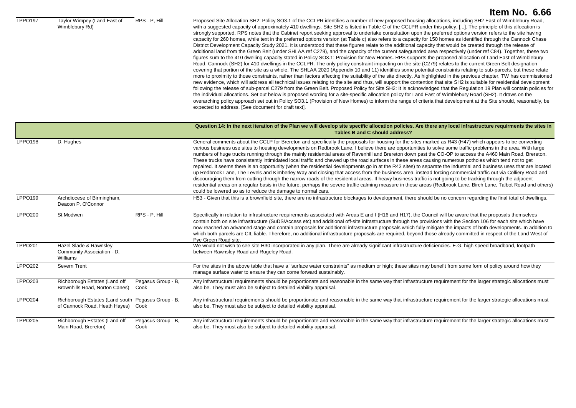LPPO197 Taylor Wimpey (Land East of Wimblebury Rd) RPS - P, Hill Proposed Site Allocation SH2: Policy SO3.1 of the CCLPR identifies a number of new proposed housing allocations, including SH2 East of Wimblebury Road, with a suggested capacity of approximately 410 dwellings. Site SH2 is listed in Table C of the CCLPR under this policy. [...]. The principle of this allocation is strongly supported. RPS notes that the Cabinet report seeking approval to undertake consultation upon the preferred options version refers to the site having capacity for 260 homes, while text in the preferred options version (at Table c) also refers to a capacity for 150 homes as identified through the Cannock Chase District Development Capacity Study 2021. It is understood that these figures relate to the additional capacity that would be created through the release of additional land from the Green Belt (under SHLAA ref C279), and the capacity of the current safeguarded area respectively (under ref C84). Together, these two figures sum to the 410 dwelling capacity stated in Policy SO3.1: Provision for New Homes. RPS supports the proposed allocation of Land East of Wimblebury Road, Cannock (SH2) for 410 dwellings in the CCLPR. The only policy constraint impacting on the site (C279) relates to the current Green Belt designation covering that portion of the site as a whole. The SHLAA 2020 (Appendix 10 and 11) identifies some potential constraints relating to sub-parcels, but these relate more to proximity to those constraints, rather than factors affecting the suitability of the site directly. As highlighted in the previous chapter, TW has commissioned new evidence, which will address all technical issues relating to the site and thus, will support the contention that site SH2 is suitable for residential development following the release of sub-parcel C279 from the Green Belt. Proposed Policy for Site SH2: It is acknowledged that the Regulation 19 Plan will contain policies for the individual allocations. Set out below is proposed wording for a site-specific allocation policy for Land East of Wimblebury Road (SH2). It draws on the overarching policy approach set out in Policy SO3.1 (Provision of New Homes) to inform the range of criteria that development at the Site should, reasonably, be expected to address. [See document for draft text].

|                |                                                                                     |                            | Question 14: In the next iteration of the Plan we will develop site specific allocation policies. Are there any local infrastructure requirments the sites in<br>Tables B and C should address?                                                                                                                                                                                                                                                                                                                                                                                                                                                                                                                                                                                                                                                                                                                                                                                                                                                                                                                                                                                                                                                                                                                                                                                             |
|----------------|-------------------------------------------------------------------------------------|----------------------------|---------------------------------------------------------------------------------------------------------------------------------------------------------------------------------------------------------------------------------------------------------------------------------------------------------------------------------------------------------------------------------------------------------------------------------------------------------------------------------------------------------------------------------------------------------------------------------------------------------------------------------------------------------------------------------------------------------------------------------------------------------------------------------------------------------------------------------------------------------------------------------------------------------------------------------------------------------------------------------------------------------------------------------------------------------------------------------------------------------------------------------------------------------------------------------------------------------------------------------------------------------------------------------------------------------------------------------------------------------------------------------------------|
| <b>LPPO198</b> | D, Hughes                                                                           |                            | General comments about the CCLP for Brereton and specifically the proposals for housing for the sites marked as R43 (H47) which appears to be converting<br>various business use sites to housing developments on Redbrook Lane. I believe there are opportunities to solve some traffic problems in the area. With large<br>numbers of huge trucks running through the mainly residential areas of Ravenhill and Brereton down past the CO-OP to access the A460 Main Road, Brereton.<br>These trucks have consistently intimidated local traffic and chewed up the road surfaces in these areas causing numerous potholes which tend not to get<br>repaired. It seems there is an opportunity (when the residential developments go in at the R43 sites) to separate the industrial and business uses that are located<br>up Redbrook Lane, The Levels and Kimberley Way and closing that access from the business area. instead forcing commercial traffic out via Colliery Road and<br>discouraging them from cutting through the narrow roads of the residential areas. If heavy business traffic is not going to be tracking through the adjacent<br>residential areas on a regular basis in the future, perhaps the severe traffic calming measure in these areas (Redbrook Lane, Birch Lane, Talbot Road and others)<br>could be lowered so as to reduce the damage to normal cars. |
| LPPO199        | Archdiocese of Birmingham,<br>Deacon P. O'Connor                                    |                            | H53 - Given that this is a brownfield site, there are no infrastructure blockages to development, there should be no concern regarding the final total of dwellings.                                                                                                                                                                                                                                                                                                                                                                                                                                                                                                                                                                                                                                                                                                                                                                                                                                                                                                                                                                                                                                                                                                                                                                                                                        |
| <b>LPPO200</b> | St Modwen                                                                           | RPS - P. Hill              | Specifically in relation to infrastructure requirements associated with Areas E and I (H16 and H17), the Council will be aware that the proposals themselves<br>contain both on site infrastructure (SuDS/Access etc) and additional off-site infrastructure through the provisions with the Section 106 for each site which have<br>now reached an advanced stage and contain proposals for additional infrastructure proposals which fully mitigate the impacts of both developments. In addition to<br>which both parcels are CIL liable. Therefore, no additional infrastructure proposals are required, beyond those already committed in respect of the Land West of<br>Pye Green Road site.                                                                                                                                                                                                                                                                                                                                                                                                                                                                                                                                                                                                                                                                                          |
| LPPO201        | Hazel Slade & Rawnsley<br>Community Association - D,<br>Williams                    |                            | We would not wish to see site H30 incorporated in any plan. There are already significant infrastructure deficiencies. E.G. high speed broadband, footpath<br>between Rawnsley Road and Rugeley Road.                                                                                                                                                                                                                                                                                                                                                                                                                                                                                                                                                                                                                                                                                                                                                                                                                                                                                                                                                                                                                                                                                                                                                                                       |
| <b>LPPO202</b> | Severn Trent                                                                        |                            | For the sites in the above table that have a "surface water constraints" as medium or high; these sites may benefit from some form of policy around how they<br>manage surface water to ensure they can come forward sustainably.                                                                                                                                                                                                                                                                                                                                                                                                                                                                                                                                                                                                                                                                                                                                                                                                                                                                                                                                                                                                                                                                                                                                                           |
| <b>LPPO203</b> | Richborough Estates (Land off<br>Brownhills Road, Norton Canes)                     | Pegasus Group - B,<br>Cook | Any infrastructural requirements should be proportionate and reasonable in the same way that infrastructure requirement for the larger strategic allocations must<br>also be. They must also be subject to detailed viability appraisal.                                                                                                                                                                                                                                                                                                                                                                                                                                                                                                                                                                                                                                                                                                                                                                                                                                                                                                                                                                                                                                                                                                                                                    |
| <b>LPPO204</b> | Richborough Estates (Land south Pegasus Group - B,<br>of Cannock Road, Heath Hayes) | Cook                       | Any infrastructural requirements should be proportionate and reasonable in the same way that infrastructure requirement for the larger strategic allocations must<br>also be. They must also be subject to detailed viability appraisal.                                                                                                                                                                                                                                                                                                                                                                                                                                                                                                                                                                                                                                                                                                                                                                                                                                                                                                                                                                                                                                                                                                                                                    |
| <b>LPPO205</b> | Richborough Estates (Land off<br>Main Road, Brereton)                               | Pegasus Group - B,<br>Cook | Any infrastructural requirements should be proportionate and reasonable in the same way that infrastructure requirement for the larger strategic allocations must<br>also be. They must also be subject to detailed viability appraisal.                                                                                                                                                                                                                                                                                                                                                                                                                                                                                                                                                                                                                                                                                                                                                                                                                                                                                                                                                                                                                                                                                                                                                    |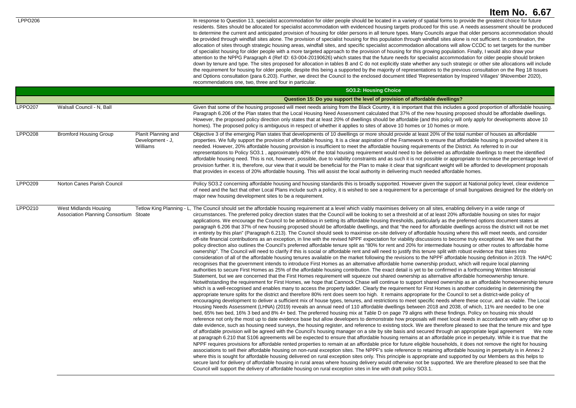LPPO206 **In response to Question 13**, specialist accommodation for older people should be located in a variety of spatial forms to provide the greatest choice for future residents. Sites should be allocated for specialist accommodation with evidenced housing targets produced for this use. A needs assessment should be produced to determine the current and anticipated provision of housing for older persons in all tenure types. Many Councils argue that older persons accommodation should be provided through windfall sites alone. The provision of specialist housing for this population through windfall sites alone is not sufficient. In combination, the allocation of sites through strategic housing areas, windfall sites, and specific specialist accommodation allocations will allow CCDC to set targets for the number of specialist housing for older people with a more targeted approach to the provision of housing for this growing population. Finally, I would also draw your attention to the NPPG Paragraph 4 (Ref ID: 63-004-20190626) which states that the future needs for specialist accommodation for older people should broken down by tenure and type. The sites proposed for allocation in tables B and C do not explicitly state whether any such strategic or other site allocations will include the requirement for housing for older people, despite this being a supported by the majority of representations to the previous consultation on the Reg 18 Issues and Options consultation (para 6.203). Further, we direct the Council to the enclosed document titled 'Representation by Inspired Villages' 9November 2020), recommendations one, two, three and four in particular.

|                |                                                                 |                                                     | <b>SO3.2: Housing Choice</b>                                                                                                                                                                                                                                                                                                                                                                                                                                                                                                                                                                                                                                                                                                                                                                                                                                                                                                                                                                                                                                                                                                                                                                                                                                                                                                                                                                                                                                                                                                                                                                                                                                                                                                                                                                                                                                                                                                                                                                                                                                                                                                                                                                                                                                                                                                                                                                                                                                                                                                                                                                                                                                                                                                                                                                                                                                                                                                                                                                                                                                                                                                                                                                                                                                                                                                                                                                                                                                                                                                                                                                                                                                                                                                                                                                                                                                                                                                                                                                                                                                                                                                                                                                                                                                                                                                                                                                                                                                                             |
|----------------|-----------------------------------------------------------------|-----------------------------------------------------|------------------------------------------------------------------------------------------------------------------------------------------------------------------------------------------------------------------------------------------------------------------------------------------------------------------------------------------------------------------------------------------------------------------------------------------------------------------------------------------------------------------------------------------------------------------------------------------------------------------------------------------------------------------------------------------------------------------------------------------------------------------------------------------------------------------------------------------------------------------------------------------------------------------------------------------------------------------------------------------------------------------------------------------------------------------------------------------------------------------------------------------------------------------------------------------------------------------------------------------------------------------------------------------------------------------------------------------------------------------------------------------------------------------------------------------------------------------------------------------------------------------------------------------------------------------------------------------------------------------------------------------------------------------------------------------------------------------------------------------------------------------------------------------------------------------------------------------------------------------------------------------------------------------------------------------------------------------------------------------------------------------------------------------------------------------------------------------------------------------------------------------------------------------------------------------------------------------------------------------------------------------------------------------------------------------------------------------------------------------------------------------------------------------------------------------------------------------------------------------------------------------------------------------------------------------------------------------------------------------------------------------------------------------------------------------------------------------------------------------------------------------------------------------------------------------------------------------------------------------------------------------------------------------------------------------------------------------------------------------------------------------------------------------------------------------------------------------------------------------------------------------------------------------------------------------------------------------------------------------------------------------------------------------------------------------------------------------------------------------------------------------------------------------------------------------------------------------------------------------------------------------------------------------------------------------------------------------------------------------------------------------------------------------------------------------------------------------------------------------------------------------------------------------------------------------------------------------------------------------------------------------------------------------------------------------------------------------------------------------------------------------------------------------------------------------------------------------------------------------------------------------------------------------------------------------------------------------------------------------------------------------------------------------------------------------------------------------------------------------------------------------------------------------------------------------------------------------------------------------|
|                |                                                                 |                                                     | Question 15: Do you support the level of provision of affordable dwellings?                                                                                                                                                                                                                                                                                                                                                                                                                                                                                                                                                                                                                                                                                                                                                                                                                                                                                                                                                                                                                                                                                                                                                                                                                                                                                                                                                                                                                                                                                                                                                                                                                                                                                                                                                                                                                                                                                                                                                                                                                                                                                                                                                                                                                                                                                                                                                                                                                                                                                                                                                                                                                                                                                                                                                                                                                                                                                                                                                                                                                                                                                                                                                                                                                                                                                                                                                                                                                                                                                                                                                                                                                                                                                                                                                                                                                                                                                                                                                                                                                                                                                                                                                                                                                                                                                                                                                                                                              |
| <b>LPPO207</b> | Walsall Council - N, Ball                                       |                                                     | Given that some of the housing proposed will meet needs arising from the Black Country, it is important that this includes a good proportion of affordable housing.<br>Paragraph 6.206 of the Plan states that the Local Housing Need Assessment calculated that 37% of the new housing proposed should be affordable dwellings.<br>However, the proposed policy direction only states that at least 20% of dwellings should be affordable (and this policy will only apply for developments above 10<br>homes). The proposed policy is ambiguous in respect of whether it applies to sites of above 10 homes or 10 homes or more.                                                                                                                                                                                                                                                                                                                                                                                                                                                                                                                                                                                                                                                                                                                                                                                                                                                                                                                                                                                                                                                                                                                                                                                                                                                                                                                                                                                                                                                                                                                                                                                                                                                                                                                                                                                                                                                                                                                                                                                                                                                                                                                                                                                                                                                                                                                                                                                                                                                                                                                                                                                                                                                                                                                                                                                                                                                                                                                                                                                                                                                                                                                                                                                                                                                                                                                                                                                                                                                                                                                                                                                                                                                                                                                                                                                                                                                       |
| LPPO208        | <b>Bromford Housing Group</b>                                   | PlanIt Planning and<br>Development - J,<br>Williams | Objective 3 of the emerging Plan states that developments of 10 dwellings or more should provide at least 20% of the total number of houses as affordable<br>properties. We fully support the provision of affordable housing. It is a clear aspiration of the Framework to ensure that affordable housing is provided where it is<br>needed. However, 20% affordable housing provision is insufficient to meet the affordable housing requirements of the District. As referred to in our<br>representations to Policy SO3.1, approximately 40% of the total housing requirement would need to be delivered as affordable dwellings to meet the identified<br>affordable housing need. This is not, however, possible, due to viability constraints and as such it is not possible or appropriate to increase the percentage level of<br>provision further. It is, therefore, our view that it would be beneficial for the Plan to make it clear that significant weight will be afforded to development proposals<br>that provides in excess of 20% affordable housing. This will assist the local authority in delivering much needed affordable homes.                                                                                                                                                                                                                                                                                                                                                                                                                                                                                                                                                                                                                                                                                                                                                                                                                                                                                                                                                                                                                                                                                                                                                                                                                                                                                                                                                                                                                                                                                                                                                                                                                                                                                                                                                                                                                                                                                                                                                                                                                                                                                                                                                                                                                                                                                                                                                                                                                                                                                                                                                                                                                                                                                                                                                                                                                                                                                                                                                                                                                                                                                                                                                                                                                                                                                                                               |
| <b>LPPO209</b> | Norton Canes Parish Council                                     |                                                     | Policy SO3.2 concerning affordable housing and housing standards this is broadly supported. However given the support at National policy level, clear evidence<br>of need and the fact that other Local Plans include such a policy, it is wished to see a requirement for a percentage of small bungalows designed for the elderly on<br>major new housing development sites to be a requirement.                                                                                                                                                                                                                                                                                                                                                                                                                                                                                                                                                                                                                                                                                                                                                                                                                                                                                                                                                                                                                                                                                                                                                                                                                                                                                                                                                                                                                                                                                                                                                                                                                                                                                                                                                                                                                                                                                                                                                                                                                                                                                                                                                                                                                                                                                                                                                                                                                                                                                                                                                                                                                                                                                                                                                                                                                                                                                                                                                                                                                                                                                                                                                                                                                                                                                                                                                                                                                                                                                                                                                                                                                                                                                                                                                                                                                                                                                                                                                                                                                                                                                       |
| <b>LPPO210</b> | West Midlands Housing<br>Association Planning Consortium Stoate | Tetlow King Planning - L                            | The Council should set the affordable housing requirement at a level which viably maximises delivery on all sites, enabling delivery in a wide range of<br>circumstances. The preferred policy direction states that the Council will be looking to set a threshold at of at least 20% affordable housing on sites for major<br>applications. We encourage the Council to be ambitious in setting its affordable housing thresholds, particularly as the preferred options document states at<br>paragraph 6.206 that 37% of new housing proposed should be affordable dwellings, and that "the need for affordable dwellings across the district will not be met<br>in entirety by this plan" (Paragraph 6.213). The Council should seek to maximise on-site delivery of affordable housing where this will meet needs, and consider<br>off-site financial contributions as an exception, in line with the revised NPPF expectation for viability discussions to become truly exceptional. We see that the<br>policy direction also outlines the Council's preferred affordable tenure split as "80% for rent and 20% for intermediate housing or other routes to affordable home<br>ownership". The Council will need to clarify if this is social or affordable rent and will need to justify this tenure split with robust evidence that takes into<br>consideration of all of the affordable housing tenures available on the market following the revisions to the NPPF affordable housing definition in 2019. The HAPC<br>recognises that the government intends to introduce First Homes as an alternative affordable home ownership product, which will require local planning<br>authorities to secure First Homes as 25% of the affordable housing contribution. The exact detail is yet to be confirmed in a forthcoming Written Ministerial<br>Statement, but we are concerned that the First Homes requirement will squeeze out shared ownership as alternative affordable homeownership tenure.<br>Notwithstanding the requirement for First Homes, we hope that Cannock Chase will continue to support shared ownership as an affordable homeownership tenure<br>which is a well-recognised and enables many to access the property ladder. Clearly the requirement for First Homes is another considering in determining the<br>appropriate tenure splits for the district and therefore 80% rent does seem too high. It remains appropriate for the Council to set a district-wide policy of<br>encouraging development to deliver a sufficient mix of house types, tenures, and restrictions to meet specific needs where these occur, and as viable. The Local<br>Housing Needs Assessment (LHNA) (2019) reveals an annual need of 110 affordable dwellings between 2018 and 2038, of which, 11% are needed to be one<br>bed, 65% two bed, 16% 3 bed and 8% 4+ bed. The preferred housing mix at Table D on page 79 aligns with these findings. Policy on housing mix should<br>reference not only the most up to date evidence base but allow developers to demonstrate how proposals will meet local needs in accordance with any other up to<br>date evidence, such as housing need surveys, the housing register, and reference to existing stock. We are therefore pleased to see that the tenure mix and type<br>of affordable provision will be agreed with the Council's housing manager on a site by site basis and secured through an appropriate legal agreement<br>We note<br>at paragraph 6.210 that S106 agreements will be expected to ensure that affordable housing remains at an affordable price in perpetuity. While it is true that the<br>NPPF requires provisions for affordable rented properties to remain at an affordable price for future eligible households, it does not remove the right for housing<br>associations to sell their affordable housing on non-rural exception sites. The NPPF's sole reference to retaining affordable housing in perpetuity is in Annex 2<br>where this is sought for affordable housing delivered on rural exception sites only. This principle is appropriate and supported by our Members as this helps to<br>secure land for delivery of affordable housing in rural areas where housing delivery would otherwise not be supported. We are therefore pleased to see that the<br>Council will support the delivery of affordable housing on rural exception sites in line with draft policy SO3.1. |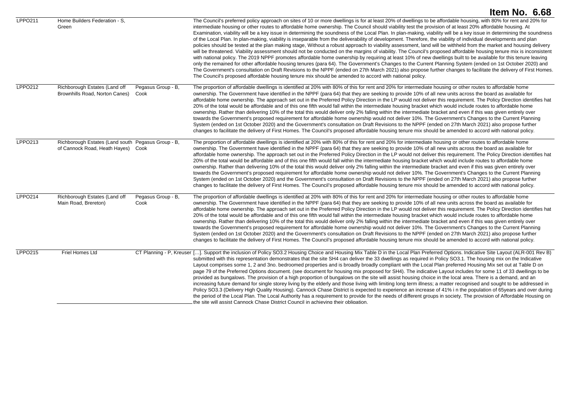|                |                                                                                          |                            | Item No. 6.68                                                                                                                                                                                                                                                                                                                                                                                                                                                                                                                                                                                                                                                                                                                                                                                                                                                                                                                                                                                                                                                                                                                                                                                                                                                                                                                                                                                                                                                                                                                                                                                                                       |
|----------------|------------------------------------------------------------------------------------------|----------------------------|-------------------------------------------------------------------------------------------------------------------------------------------------------------------------------------------------------------------------------------------------------------------------------------------------------------------------------------------------------------------------------------------------------------------------------------------------------------------------------------------------------------------------------------------------------------------------------------------------------------------------------------------------------------------------------------------------------------------------------------------------------------------------------------------------------------------------------------------------------------------------------------------------------------------------------------------------------------------------------------------------------------------------------------------------------------------------------------------------------------------------------------------------------------------------------------------------------------------------------------------------------------------------------------------------------------------------------------------------------------------------------------------------------------------------------------------------------------------------------------------------------------------------------------------------------------------------------------------------------------------------------------|
| <b>LPPO211</b> | Home Builders Federation - S,<br>Green                                                   |                            | The Council's preferred policy approach on sites of 10 or more dwellings is for at least 20% of dwellings to be affordable housing, with 80% for rent and 20% for<br>intermediate housing or other routes to affordable home ownership. The Council should viability test the provision of at least 20% affordable housing. At<br>Examination, viability will be a key issue in determining the soundness of the Local Plan. In plan-making, viability will be a key issue in determining the soundness<br>of the Local Plan. In plan-making, viability is inseparable from the deliverability of development. Therefore, the viability of individual developments and plan<br>policies should be tested at the plan making stage, Without a robust approach to viability assessment, land will be withheld from the market and housing delivery<br>will be threatened. Viability assessment should not be conducted on the margins of viability. The Council's proposed affordable housing tenure mix is inconsistent<br>with national policy. The 2019 NPPF promotes affordable home ownership by requiring at least 10% of new dwellings built to be available for this tenure leaving<br>only the remained for other affordable housing tenures (para 64). The Government's Changes to the Current Planning System (ended on 1st October 2020) and<br>The Government's consultation on Draft Revisions to the NPPF (ended on 27th March 2021) also propose further changes to facilitate the delivery of First Homes.<br>The Council's proposed affordable housing tenure mix should be amended to accord with national policy. |
| <b>LPPO212</b> | Richborough Estates (Land off<br>Brownhills Road, Norton Canes)                          | Pegasus Group - B,<br>Cook | The proportion of affordable dwellings is identified at 20% with 80% of this for rent and 20% for intermediate housing or other routes to affordable home<br>ownership. The Government have identified in the NPPF (para 64) that they are seeking to provide 10% of all new units across the board as available for<br>affordable home ownership. The approach set out in the Preferred Policy Direction in the LP would not deliver this requirement. The Policy Direction identifies hat<br>20% of the total would be affordable and of this one fifth would fall within the intermediate housing bracket which would include routes to affordable home<br>ownership. Rather than delivering 10% of the total this would deliver only 2% falling within the intermediate bracket and even if this was given entirely over<br>towards the Government's proposed requirement for affordable home ownership would not deliver 10%. The Government's Changes to the Current Planning<br>System (ended on 1st October 2020) and the Government's consultation on Draft Revisions to the NPPF (ended on 27th March 2021) also propose further<br>changes to facilitate the delivery of First Homes. The Council's proposed affordable housing tenure mix should be amended to accord with national policy.                                                                                                                                                                                                                                                                                                                             |
| <b>LPPO213</b> | Richborough Estates (Land south Pegasus Group - B,<br>of Cannock Road, Heath Hayes) Cook |                            | The proportion of affordable dwellings is identified at 20% with 80% of this for rent and 20% for intermediate housing or other routes to affordable home<br>ownership. The Government have identified in the NPPF (para 64) that they are seeking to provide 10% of all new units across the board as available for<br>affordable home ownership. The approach set out in the Preferred Policy Direction in the LP would not deliver this requirement. The Policy Direction identifies hat<br>20% of the total would be affordable and of this one fifth would fall within the intermediate housing bracket which would include routes to affordable home<br>ownership. Rather than delivering 10% of the total this would deliver only 2% falling within the intermediate bracket and even if this was given entirely over<br>towards the Government's proposed requirement for affordable home ownership would not deliver 10%. The Government's Changes to the Current Planning<br>System (ended on 1st October 2020) and the Government's consultation on Draft Revisions to the NPPF (ended on 27th March 2021) also propose further<br>changes to facilitate the delivery of First Homes. The Council's proposed affordable housing tenure mix should be amended to accord with national policy.                                                                                                                                                                                                                                                                                                                             |
| <b>LPPO214</b> | Richborough Estates (Land off<br>Main Road, Brereton)                                    | Pegasus Group - B,<br>Cook | The proportion of affordable dwellings is identified at 20% with 80% of this for rent and 20% for intermediate housing or other routes to affordable home<br>ownership. The Government have identified in the NPPF (para 64) that they are seeking to provide 10% of all new units across the board as available for<br>affordable home ownership. The approach set out in the Preferred Policy Direction in the LP would not deliver this requirement. The Policy Direction identifies hat<br>20% of the total would be affordable and of this one fifth would fall within the intermediate housing bracket which would include routes to affordable home<br>ownership. Rather than delivering 10% of the total this would deliver only 2% falling within the intermediate bracket and even if this was given entirely over<br>towards the Government's proposed requirement for affordable home ownership would not deliver 10%. The Government's Changes to the Current Planning<br>System (ended on 1st October 2020) and the Government's consultation on Draft Revisions to the NPPF (ended on 27th March 2021) also propose further<br>changes to facilitate the delivery of First Homes. The Council's proposed affordable housing tenure mix should be amended to accord with national policy.                                                                                                                                                                                                                                                                                                                             |
| <b>LPPO215</b> | <b>Friel Homes Ltd</b>                                                                   |                            | CT Planning - P, Kreuser []. Support the inclusion of Policy SO3.2 Housing Choice and Housing Mix Table D in the Local Plan Preferred Options. Indicative Site Layout (ALR-001 Rev B)<br>submitted with this representation demonstrates that the site SH4 can deliver the 33 dwellings as required in Policy SO3.1. The housing mix on the Indicative<br>Layout comprises some 1, 2 and 3no. bedroomed properties and is broadly broadly compliant with the Local Plan preferred Housing Mix set out at Table D on<br>page 79 of the Preferred Options document. (see document for housing mix proposed for SH4). The indicative Layout includes for some 11 of 33 dwellings to be<br>provided as bungalows. The provision of a high proportion of bungalows on the site will assist housing choice in the local area. There is a demand, and an<br>increasing future demand for single storey living by the elderly and those living with limiting long term illness; a matter recognised and sought to be addressed in<br>Policy SO3.3 (Delivery High Quality Housing). Cannock Chase District is expected to experience an increase of 41% in the population of 65years and over during<br>the period of the Local Plan. The Local Authority has a requirement to provide for the needs of different groups in society. The provision of Affordable Housing on<br>the site will assist Cannock Chase District Council in achieving their obligation.                                                                                                                                                                            |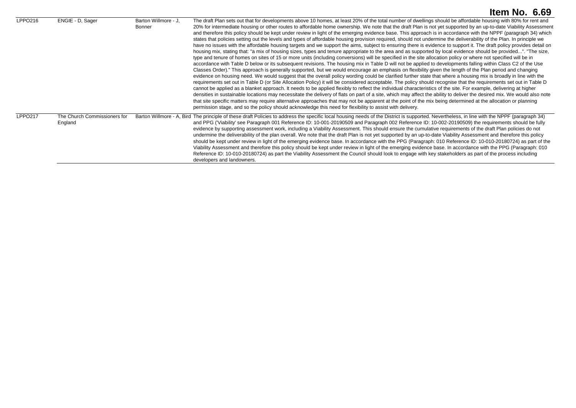|                |                                         |                                | Item No. $6.69$                                                                                                                                                                                                                                                                                                                                                                                                                                                                                                                                                                                                                                                                                                                                                                                                                                                                                                                                                                                                                                                                                                                                                                                                                                                                                                                                                                                                                                                                                                                                                                                                                                                                                                                                                                                                                                                                                                                                                                                                                                                                                                                                                                                                                                                                                                                                                                                                                                                                                   |
|----------------|-----------------------------------------|--------------------------------|---------------------------------------------------------------------------------------------------------------------------------------------------------------------------------------------------------------------------------------------------------------------------------------------------------------------------------------------------------------------------------------------------------------------------------------------------------------------------------------------------------------------------------------------------------------------------------------------------------------------------------------------------------------------------------------------------------------------------------------------------------------------------------------------------------------------------------------------------------------------------------------------------------------------------------------------------------------------------------------------------------------------------------------------------------------------------------------------------------------------------------------------------------------------------------------------------------------------------------------------------------------------------------------------------------------------------------------------------------------------------------------------------------------------------------------------------------------------------------------------------------------------------------------------------------------------------------------------------------------------------------------------------------------------------------------------------------------------------------------------------------------------------------------------------------------------------------------------------------------------------------------------------------------------------------------------------------------------------------------------------------------------------------------------------------------------------------------------------------------------------------------------------------------------------------------------------------------------------------------------------------------------------------------------------------------------------------------------------------------------------------------------------------------------------------------------------------------------------------------------------|
| LPPO216        | ENGIE - D, Sager                        | Barton Willmore - J.<br>Bonner | The draft Plan sets out that for developments above 10 homes, at least 20% of the total number of dwellings should be affordable housing with 80% for rent and<br>20% for intermediate housing or other routes to affordable home ownership. We note that the draft Plan is not yet supported by an up-to-date Viability Assessment<br>and therefore this policy should be kept under review in light of the emerging evidence base. This approach is in accordance with the NPPF (paragraph 34) which<br>states that policies setting out the levels and types of affordable housing provision required, should not undermine the deliverability of the Plan. In principle we<br>have no issues with the affordable housing targets and we support the aims, subject to ensuring there is evidence to support it. The draft policy provides detail on<br>housing mix, stating that: "a mix of housing sizes, types and tenure appropriate to the area and as supported by local evidence should be provided". "The size,<br>type and tenure of homes on sites of 15 or more units (including conversions) will be specified in the site allocation policy or where not specified will be in<br>accordance with Table D below or its subsequent revisions. The housing mix in Table D will not be applied to developments falling within Class C2 of the Use<br>Classes Order)." This approach is generally supported, but we would encourage an emphasis on flexibility given the length of the Plan period and changing<br>evidence on housing need. We would suggest that the overall policy wording could be clarified further state that where a housing mix is broadly in line with the<br>requirements set out in Table D (or Site Allocation Policy) it will be considered acceptable. The policy should recognise that the requirements set out in Table D<br>cannot be applied as a blanket approach. It needs to be applied flexibly to reflect the individual characteristics of the site. For example, delivering at higher<br>densities in sustainable locations may necessitate the delivery of flats on part of a site, which may affect the ability to deliver the desired mix. We would also note<br>that site specific matters may require alternative approaches that may not be apparent at the point of the mix being determined at the allocation or planning<br>permission stage, and so the policy should acknowledge this need for flexibility to assist with delivery. |
| <b>LPPO217</b> | The Church Commissioners for<br>England |                                | Barton Willmore - A, Bird The principle of these draft Policies to address the specific local housing needs of the District is supported. Nevertheless, in line with the NPPF (paragraph 34)<br>and PPG ("Viability' see Paragraph 001 Reference ID: 10-001-20190509 and Paragraph 002 Reference ID: 10-002-20190509) the requirements should be fully<br>evidence by supporting assessment work, including a Viability Assessment. This should ensure the cumulative requirements of the draft Plan policies do not<br>undermine the deliverability of the plan overall. We note that the draft Plan is not yet supported by an up-to-date Viability Assessment and therefore this policy<br>should be kept under review in light of the emerging evidence base. In accordance with the PPG (Paragraph: 010 Reference ID: 10-010-20180724) as part of the<br>Viability Assessment and therefore this policy should be kept under review in light of the emerging evidence base. In accordance with the PPG (Paragraph: 010<br>Reference ID: 10-010-20180724) as part the Viability Assessment the Council should look to engage with key stakeholders as part of the process including<br>developers and landowners.                                                                                                                                                                                                                                                                                                                                                                                                                                                                                                                                                                                                                                                                                                                                                                                                                                                                                                                                                                                                                                                                                                                                                                                                                                                                             |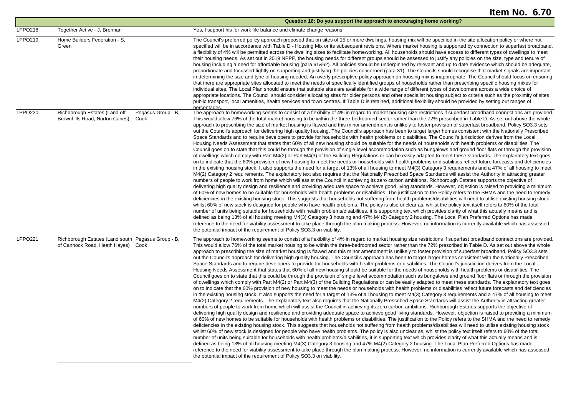|                |                                                                                               | Question 16: Do you support the approach to encouraging home working?                                                                                                                                                                                                                                                                                                                                                                                                                                                                                                                                                                                                                                                                                                                                                                                                                                                                                                                                                                                                                                                                                                                                                                                                                                                                                                                                                                                                                                                                                                                                                                                                                                                                                                                                                                                                                                                                                                                                                                                                                                                                                                                                                                                                                                                                                                                                                                                                                                                                                                                                                                                                                                                                                                                                                                                                                                                                                                                                                                                                                                                                                                                                                                                                                 |
|----------------|-----------------------------------------------------------------------------------------------|---------------------------------------------------------------------------------------------------------------------------------------------------------------------------------------------------------------------------------------------------------------------------------------------------------------------------------------------------------------------------------------------------------------------------------------------------------------------------------------------------------------------------------------------------------------------------------------------------------------------------------------------------------------------------------------------------------------------------------------------------------------------------------------------------------------------------------------------------------------------------------------------------------------------------------------------------------------------------------------------------------------------------------------------------------------------------------------------------------------------------------------------------------------------------------------------------------------------------------------------------------------------------------------------------------------------------------------------------------------------------------------------------------------------------------------------------------------------------------------------------------------------------------------------------------------------------------------------------------------------------------------------------------------------------------------------------------------------------------------------------------------------------------------------------------------------------------------------------------------------------------------------------------------------------------------------------------------------------------------------------------------------------------------------------------------------------------------------------------------------------------------------------------------------------------------------------------------------------------------------------------------------------------------------------------------------------------------------------------------------------------------------------------------------------------------------------------------------------------------------------------------------------------------------------------------------------------------------------------------------------------------------------------------------------------------------------------------------------------------------------------------------------------------------------------------------------------------------------------------------------------------------------------------------------------------------------------------------------------------------------------------------------------------------------------------------------------------------------------------------------------------------------------------------------------------------------------------------------------------------------------------------------------------|
| <b>LPPO218</b> | Together Active - J. Brennan                                                                  | Yes, I support his for work life balance and climate change reasons                                                                                                                                                                                                                                                                                                                                                                                                                                                                                                                                                                                                                                                                                                                                                                                                                                                                                                                                                                                                                                                                                                                                                                                                                                                                                                                                                                                                                                                                                                                                                                                                                                                                                                                                                                                                                                                                                                                                                                                                                                                                                                                                                                                                                                                                                                                                                                                                                                                                                                                                                                                                                                                                                                                                                                                                                                                                                                                                                                                                                                                                                                                                                                                                                   |
| LPPO219        | Home Builders Federation - S.<br>Green                                                        | The Council's preferred policy approach proposed that on sites of 15 or more dwellings, housing mix will be specified in the site allocation policy or where not<br>specified will be in accordance with Table D - Housing Mix or its subsequent revisions. Where market housing is supported by connection to superfast broadband,<br>a flexibility of 4% will be permitted across the dwelling sizes to facilitate homeworking. All households should have access to different types of dwellings to meet<br>their housing needs. As set out in 2019 NPPF, the housing needs for different groups should be assessed to justify any policies on the size, type and tenure of<br>housing including a need for affordable housing (para 61&62). All policies should be underpinned by relevant and up to date evidence which should be adequate,<br>proportionate and focussed tightly on supporting and justifying the policies concerned (para 31). The Councils should recognise that market signals are important<br>in determining the size and type of housing needed. An overly prescriptive policy approach on housing mix is inappropriate. The Council should focus on ensuring<br>that there are appropriate sites allocated to meet the needs of specifically identified groups of households rather than prescribing specific housing mixes for<br>individual sites. The Local Plan should ensure that suitable sites are available for a wide range of different types of development across a wide choice of<br>appropriate locations. The Council should consider allocating sites for older persons and other specialist housing subject to criteria such as the proximity of sites<br>public transport, local amenities, health services and town centres. If Table D is retained, additional flexibility should be provided by setting out ranges of<br>percentages.                                                                                                                                                                                                                                                                                                                                                                                                                                                                                                                                                                                                                                                                                                                                                                                                                                                                                                                                                                                                                                                                                                                                                                                                                                                                                                                                                                                               |
| <b>LPPO220</b> | Richborough Estates (Land off<br>Pegasus Group - B,<br>Brownhills Road, Norton Canes)<br>Cook | The approach to homeworking seems to consist of a flexibility of 4% in regard to market housing size restrictions if superfast broadband connections are provided<br>This would allow 76% of the total market housing to be within the three-bedroomed sector rather than the 72% prescribed in Table D. As set out above the whole<br>approach to prescribing the size of market housing is flawed and this minor amendment is unlikely to foster provision of superfast broadband. Policy SO3.3 sets<br>out the Council's approach for delivering high quality housing. The Council's approach has been to target larger homes consistent with the Nationally Prescribed<br>Space Standards and to require developers to provide for households with health problems or disabilities. The Council's jurisdiction derives from the Local<br>Housing Needs Assessment that states that 60% of all new housing should be suitable for the needs of households with health problems or disabilities. The<br>Council goes on to state that this could be through the provision of single level accommodation such as bungalows and ground floor flats or through the provision<br>of dwellings which comply with Part M4(2) or Part M4(3) of the Building Regulations or can be easily adapted to meet these standards. The explanatory text goes<br>on to indicate that the 60% provision of new housing to meet the needs or households with health problems or disabilities reflect future forecasts and deficiencies<br>in the existing housing stock. It also supports the need for a target of 13% of all housing to meet M4(3) Category 3 requirements and a 47% of all housing to meet<br>M4(2) Category 2 requirements. The explanatory text also requires that the Nationally Prescribed Space Standards will assist the Authority in attracting greater<br>numbers of people to work from home which will assist the Council in achieving its zero carbon ambitions. Richborough Estates supports the objective of<br>delivering high quality design and resilience and providing adequate space to achieve good living standards. However, objection is raised to providing a minimum<br>of 60% of new homes to be suitable for households with health problems or disabilities. The justification to the Policy refers to the SHMA and the need to remedy<br>deficiencies in the existing housing stock. This suggests that households not suffering from health problems/disabilities will need to utilise existing housing stock<br>whilst 60% of new stock is designed for people who have health problems. The policy is also unclear as, whilst the policy text itself refers to 60% of the total<br>number of units being suitable for households with health problems/disabilities, it is supporting text which provides clarity of what this actually means and is<br>defined as being 13% of all housing meeting M4(3) Category 3 housing and 47% M4(2) Category 2 housing. The Local Plan Preferred Options has made<br>reference to the need for viability assessment to take place through the plan making process. However, no information is currently available which has assessed<br>the potential impact of the requirement of Policy SO3.3 on viability.  |
| <b>LPPO221</b> | Richborough Estates (Land south Pegasus Group - B,<br>of Cannock Road, Heath Hayes)<br>Cook   | The approach to homeworking seems to consist of a flexibility of 4% in regard to market housing size restrictions if superfast broadband connections are provided.<br>This would allow 76% of the total market housing to be within the three-bedroomed sector rather than the 72% prescribed in Table D. As set out above the whole<br>approach to prescribing the size of market housing is flawed and this minor amendment is unlikely to foster provision of superfast broadband. Policy SO3.3 sets<br>out the Council's approach for delivering high quality housing. The Council's approach has been to target larger homes consistent with the Nationally Prescribed<br>Space Standards and to require developers to provide for households with health problems or disabilities. The Council's jurisdiction derives from the Local<br>Housing Needs Assessment that states that 60% of all new housing should be suitable for the needs of households with health problems or disabilities. The<br>Council goes on to state that this could be through the provision of single level accommodation such as bungalows and ground floor flats or through the provision<br>of dwellings which comply with Part M4(2) or Part M4(3) of the Building Regulations or can be easily adapted to meet these standards. The explanatory text goes<br>on to indicate that the 60% provision of new housing to meet the needs or households with health problems or disabilities reflect future forecasts and deficiencies<br>in the existing housing stock. It also supports the need for a target of 13% of all housing to meet M4(3) Category 3 requirements and a 47% of all housing to meet<br>M4(2) Category 2 requirements. The explanatory text also requires that the Nationally Prescribed Space Standards will assist the Authority in attracting greater<br>numbers of people to work from home which will assist the Council in achieving its zero carbon ambitions. Richborough Estates supports the objective of<br>delivering high quality design and resilience and providing adequate space to achieve good living standards. However, objection is raised to providing a minimum<br>of 60% of new homes to be suitable for households with health problems or disabilities. The justification to the Policy refers to the SHMA and the need to remedy<br>deficiencies in the existing housing stock. This suggests that households not suffering from health problems/disabilities will need to utilise existing housing stock<br>whilst 60% of new stock is designed for people who have health problems. The policy is also unclear as, whilst the policy text itself refers to 60% of the total<br>number of units being suitable for households with health problems/disabilities, it is supporting text which provides clarity of what this actually means and is<br>defined as being 13% of all housing meeting M4(3) Category 3 housing and 47% M4(2) Category 2 housing. The Local Plan Preferred Options has made<br>reference to the need for viability assessment to take place through the plan making process. However, no information is currently available which has assessed<br>the potential impact of the requirement of Policy SO3.3 on viability. |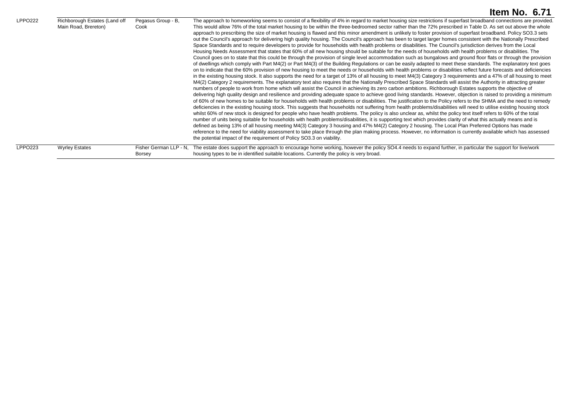|                |                                                       |                                         | Item No. 6.71                                                                                                                                                                                                                                                                                                                                                                                                                                                                                                                                                                                                                                                                                                                                                                                                                                                                                                                                                                                                                                                                                                                                                                                                                                                                                                                                                                                                                                                                                                                                                                                                                                                                                                                                                                                                                                                                                                                                                                                                                                                                                                                                                                                                                                                                                                                                                                                                                                                                                                                                                                                                                                                                                                                                                                                                                                                                                                                                                                                                                                                                                                                                                                                                                                                                         |
|----------------|-------------------------------------------------------|-----------------------------------------|---------------------------------------------------------------------------------------------------------------------------------------------------------------------------------------------------------------------------------------------------------------------------------------------------------------------------------------------------------------------------------------------------------------------------------------------------------------------------------------------------------------------------------------------------------------------------------------------------------------------------------------------------------------------------------------------------------------------------------------------------------------------------------------------------------------------------------------------------------------------------------------------------------------------------------------------------------------------------------------------------------------------------------------------------------------------------------------------------------------------------------------------------------------------------------------------------------------------------------------------------------------------------------------------------------------------------------------------------------------------------------------------------------------------------------------------------------------------------------------------------------------------------------------------------------------------------------------------------------------------------------------------------------------------------------------------------------------------------------------------------------------------------------------------------------------------------------------------------------------------------------------------------------------------------------------------------------------------------------------------------------------------------------------------------------------------------------------------------------------------------------------------------------------------------------------------------------------------------------------------------------------------------------------------------------------------------------------------------------------------------------------------------------------------------------------------------------------------------------------------------------------------------------------------------------------------------------------------------------------------------------------------------------------------------------------------------------------------------------------------------------------------------------------------------------------------------------------------------------------------------------------------------------------------------------------------------------------------------------------------------------------------------------------------------------------------------------------------------------------------------------------------------------------------------------------------------------------------------------------------------------------------------------------|
| <b>LPPO222</b> | Richborough Estates (Land off<br>Main Road, Brereton) | Pegasus Group - B,<br>Cook              | The approach to homeworking seems to consist of a flexibility of 4% in regard to market housing size restrictions if superfast broadband connections are provided.<br>This would allow 76% of the total market housing to be within the three-bedroomed sector rather than the 72% prescribed in Table D. As set out above the whole<br>approach to prescribing the size of market housing is flawed and this minor amendment is unlikely to foster provision of superfast broadband. Policy SO3.3 sets<br>out the Council's approach for delivering high quality housing. The Council's approach has been to target larger homes consistent with the Nationally Prescribed<br>Space Standards and to require developers to provide for households with health problems or disabilities. The Council's jurisdiction derives from the Local<br>Housing Needs Assessment that states that 60% of all new housing should be suitable for the needs of households with health problems or disabilities. The<br>Council goes on to state that this could be through the provision of single level accommodation such as bungalows and ground floor flats or through the provision<br>of dwellings which comply with Part M4(2) or Part M4(3) of the Building Regulations or can be easily adapted to meet these standards. The explanatory text goes<br>on to indicate that the 60% provision of new housing to meet the needs or households with health problems or disabilities reflect future forecasts and deficiencies<br>in the existing housing stock. It also supports the need for a target of 13% of all housing to meet M4(3) Category 3 requirements and a 47% of all housing to meet<br>M4(2) Category 2 requirements. The explanatory text also requires that the Nationally Prescribed Space Standards will assist the Authority in attracting greater<br>numbers of people to work from home which will assist the Council in achieving its zero carbon ambitions. Richborough Estates supports the objective of<br>delivering high quality design and resilience and providing adequate space to achieve good living standards. However, objection is raised to providing a minimum<br>of 60% of new homes to be suitable for households with health problems or disabilities. The justification to the Policy refers to the SHMA and the need to remedy<br>deficiencies in the existing housing stock. This suggests that households not suffering from health problems/disabilities will need to utilise existing housing stock<br>whilst 60% of new stock is designed for people who have health problems. The policy is also unclear as, whilst the policy text itself refers to 60% of the total<br>number of units being suitable for households with health problems/disabilities, it is supporting text which provides clarity of what this actually means and is<br>defined as being 13% of all housing meeting M4(3) Category 3 housing and 47% M4(2) Category 2 housing. The Local Plan Preferred Options has made<br>reference to the need for viability assessment to take place through the plan making process. However, no information is currently available which has assessed<br>the potential impact of the requirement of Policy SO3.3 on viability. |
| <b>LPPO223</b> | <b>Wyrley Estates</b>                                 | Fisher German LLP - N.<br><b>Borsey</b> | The estate does support the approach to encourage home working, however the policy SO4.4 needs to expand further, in particular the support for live/work<br>housing types to be in identified suitable locations. Currently the policy is very broad.                                                                                                                                                                                                                                                                                                                                                                                                                                                                                                                                                                                                                                                                                                                                                                                                                                                                                                                                                                                                                                                                                                                                                                                                                                                                                                                                                                                                                                                                                                                                                                                                                                                                                                                                                                                                                                                                                                                                                                                                                                                                                                                                                                                                                                                                                                                                                                                                                                                                                                                                                                                                                                                                                                                                                                                                                                                                                                                                                                                                                                |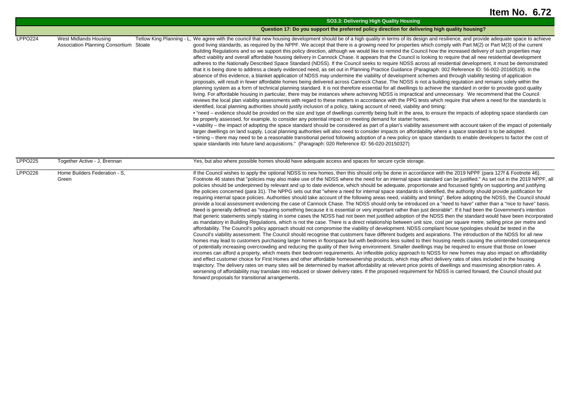|                |                                                                 | SO3.3: Delivering High Quality Housing                                                                                                                                                                                                                                                                                                                                                                                                                                                                                                                                                                                                                                                                                                                                                                                                                                                                                                                                                                                                                                                                                                                                                                                                                                                                                                                                                                                                                                                                                                                                                                                                                                                                                                                                                                                                                                                                                                                                                                                                                                                                                                                                                                                                                                                                                                                                                                                                                                                                                                                                                                                                                                                                                                                                                                                                                                                              |
|----------------|-----------------------------------------------------------------|-----------------------------------------------------------------------------------------------------------------------------------------------------------------------------------------------------------------------------------------------------------------------------------------------------------------------------------------------------------------------------------------------------------------------------------------------------------------------------------------------------------------------------------------------------------------------------------------------------------------------------------------------------------------------------------------------------------------------------------------------------------------------------------------------------------------------------------------------------------------------------------------------------------------------------------------------------------------------------------------------------------------------------------------------------------------------------------------------------------------------------------------------------------------------------------------------------------------------------------------------------------------------------------------------------------------------------------------------------------------------------------------------------------------------------------------------------------------------------------------------------------------------------------------------------------------------------------------------------------------------------------------------------------------------------------------------------------------------------------------------------------------------------------------------------------------------------------------------------------------------------------------------------------------------------------------------------------------------------------------------------------------------------------------------------------------------------------------------------------------------------------------------------------------------------------------------------------------------------------------------------------------------------------------------------------------------------------------------------------------------------------------------------------------------------------------------------------------------------------------------------------------------------------------------------------------------------------------------------------------------------------------------------------------------------------------------------------------------------------------------------------------------------------------------------------------------------------------------------------------------------------------------------|
|                |                                                                 | Question 17: Do you support the preferred policy direction for delivering high quality housing?                                                                                                                                                                                                                                                                                                                                                                                                                                                                                                                                                                                                                                                                                                                                                                                                                                                                                                                                                                                                                                                                                                                                                                                                                                                                                                                                                                                                                                                                                                                                                                                                                                                                                                                                                                                                                                                                                                                                                                                                                                                                                                                                                                                                                                                                                                                                                                                                                                                                                                                                                                                                                                                                                                                                                                                                     |
| <b>LPPO224</b> | West Midlands Housing<br>Association Planning Consortium Stoate | Tetlow King Planning - L, We agree with the council that new housing development should be of a high quality in terms of its design and resilience, and provide adequate space to achieve<br>good living standards, as required by the NPPF. We accept that there is a growing need for properties which comply with Part M(2) or Part M(3) of the current<br>Building Regulations and so we support this policy direction, although we would like to remind the Council how the increased delivery of such properties may<br>affect viability and overall affordable housing delivery in Cannock Chase. It appears that the Council is looking to require that all new residential development<br>adheres to the Nationally Described Space Standard (NDSS). If the Council seeks to require NDSS across all residential development, it must be demonstrated<br>that it is being done to address a clearly evidenced need, as set out in Planning Practice Guidance (Paragraph: 002 Reference ID: 56-002-20160519). In the<br>absence of this evidence, a blanket application of NDSS may undermine the viability of development schemes and through viability testing of application<br>proposals, will result in fewer affordable homes being delivered across Cannock Chase. The NDSS is not a building regulation and remains solely within the<br>planning system as a form of technical planning standard. It is not therefore essential for all dwellings to achieve the standard in order to provide good quality<br>living. For affordable housing in particular, there may be instances where achieving NDSS is impractical and unnecessary. We recommend that the Council<br>reviews the local plan viability assessments with regard to these matters in accordance with the PPG tests which require that where a need for the standards is<br>identified, local planning authorities should justify inclusion of a policy, taking account of need, viability and timing:<br>• "need – evidence should be provided on the size and type of dwellings currently being built in the area, to ensure the impacts of adopting space standards can<br>be properly assessed, for example, to consider any potential impact on meeting demand for starter homes.<br>• viability – the impact of adopting the space standard should be considered as part of a plan's viability assessment with account taken of the impact of potentially<br>larger dwellings on land supply. Local planning authorities will also need to consider impacts on affordability where a space standard is to be adopted.<br>• timing – there may need to be a reasonable transitional period following adoption of a new policy on space standards to enable developers to factor the cost of<br>space standards into future land acquisitions." (Paragraph: 020 Reference ID: 56-020-20150327)                 |
| <b>LPPO225</b> | Together Active - J. Brennan                                    | Yes, but also where possible homes should have adequate access and spaces for secure cycle storage.                                                                                                                                                                                                                                                                                                                                                                                                                                                                                                                                                                                                                                                                                                                                                                                                                                                                                                                                                                                                                                                                                                                                                                                                                                                                                                                                                                                                                                                                                                                                                                                                                                                                                                                                                                                                                                                                                                                                                                                                                                                                                                                                                                                                                                                                                                                                                                                                                                                                                                                                                                                                                                                                                                                                                                                                 |
| LPPO226        | Home Builders Federation - S,<br>Green                          | If the Council wishes to apply the optional NDSS to new homes, then this should only be done in accordance with the 2019 NPPF (para 127f & Footnote 46).<br>Footnote 46 states that "policies may also make use of the NDSS where the need for an internal space standard can be justified." As set out in the 2019 NPPF, all<br>policies should be underpinned by relevant and up to date evidence, which should be adequate, proportionate and focussed tightly on supporting and justifying<br>the policies concerned (para 31). The NPPG sets out that "where a need for internal space standards is identified, the authority should provide justification for<br>requiring internal space policies. Authorities should take account of the following areas need, viability and timing". Before adopting the NDSS, the Council should<br>provide a local assessment evidencing the case of Cannock Chase. The NDSS should only be introduced on a "need to have" rather than a "nice to have" basis.<br>Need is generally defined as "requiring something because it is essential or very important rather than just desirable". If it had been the Government's intention<br>that generic statements simply stating in some cases the NDSS had not been met justified adoption of the NDSS then the standard would have been incorporated<br>as mandatory in Building Regulations, which is not the case. There is a direct relationship between unit size, cost per square metre, selling price per metre and<br>affordability. The Council's policy approach should not compromise the viability of development. NDSS compliant house typologies should be tested in the<br>Council's viability assessment. The Council should recognise that customers have different budgets and aspirations. The introduction of the NDSS for all new<br>homes may lead to customers purchasing larger homes in floorspace but with bedrooms less suited to their housing needs causing the unintended consequence<br>of potentially increasing overcrowding and reducing the quality of their living environment. Smaller dwellings may be required to ensure that those on lower<br>incomes can afford a property, which meets their bedroom requirements. An inflexible policy approach to NDSS for new homes may also impact on affordability<br>and effect customer choice for First Homes and other affordable homeownership products, which may affect delivery rates of sites included in the housing<br>trajectory. The delivery rates on many sites will be determined by market affordability at relevant price points of dwellings and maximising absorption rates. A<br>worsening of affordability may translate into reduced or slower delivery rates. If the proposed requirement for NDSS is carried forward, the Council should put<br>forward proposals for transitional arrangements. |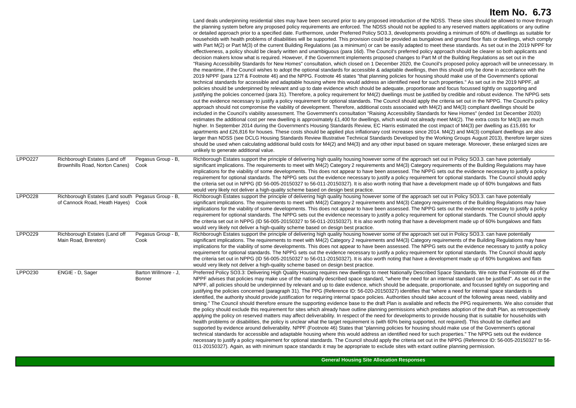|                |                                                                                          |                                | Land deals underpinning residential sites may have been secured prior to any proposed introduction of the NDSS. These sites should be allowed to move through<br>the planning system before any proposed policy requirements are enforced. The NDSS should not be applied to any reserved matters applications or any outline<br>or detailed approach prior to a specified date. Furthermore, under Preferred Policy SO3.3, developments providing a minimum of 60% of dwellings as suitable for<br>households with health problems of disabilities will be supported. This provision could be provided as bungalows and ground floor flats or dwellings, which comply<br>with Part M(2) or Part M(3) of the current Building Regulations (as a minimum) or can be easily adapted to meet these standards. As set out in the 2019 NPPF for<br>effectiveness, a policy should be clearly written and unambiguous (para 16d). The Council's preferred policy approach should be clearer so both applicants and<br>decision makers know what is required. However, if the Government implements proposed changes to Part M of the Building Regulations as set out in the<br>"Raising Accessibility Standards for New Homes" consultation, which closed on 1 December 2020, the Council's proposed policy approach will be unnecessary. In<br>the meantime, if the Council wishes to adopt the optional standards for accessible & adaptable dwellings, then this should only be done in accordance with the<br>2019 NPPF (para 127f & Footnote 46) and the NPPG. Footnote 46 states "that planning policies for housing should make use of the Government's optional<br>technical standards for accessible and adaptable housing where this would address an identified need for such properties." As set out in the 2019 NPPF, all<br>policies should be underpinned by relevant and up to date evidence which should be adequate, proportionate and focus focussed tightly on supporting and<br>justifying the policies concerned (para 31). Therefore, a policy requirement for M4(2) dwellings must be justified by credible and robust evidence. The NPPG sets<br>out the evidence necessary to justify a policy requirement for optional standards. The Council should apply the criteria set out in the NPPG. The Council's policy<br>approach should not compromise the viability of development. Therefore, additional costs associated with M4(2) and M4(3) compliant dwellings should be<br>included in the Council's viability assessment. The Government's consultation "Raising Accessibility Standards for New Homes" (ended 1st December 2020)<br>estimates the additional cost per new dwelling is approximately £1,400 for dwellings, which would not already meet M4(2). The extra costs for M4(3) are much<br>higher. In September 2014 during the Government's Housing Standards Review, EC Harris estimated the cost impact of M4(3) per dwelling as £15,691 for<br>apartments and £26,816 for houses. These costs should be applied plus inflationary cost increases since 2014. M4(2) and M4(3) compliant dwellings are also<br>larger than NDSS (see DCLG Housing Standards Review Illustrative Technical Standards Developed by the Working Groups August 2013), therefore larger sizes<br>should be used when calculating additional build costs for M4(2) and M4(3) and any other input based on square meterage. Moreover, these enlarged sizes are<br>unlikely to generate additional value. |
|----------------|------------------------------------------------------------------------------------------|--------------------------------|-------------------------------------------------------------------------------------------------------------------------------------------------------------------------------------------------------------------------------------------------------------------------------------------------------------------------------------------------------------------------------------------------------------------------------------------------------------------------------------------------------------------------------------------------------------------------------------------------------------------------------------------------------------------------------------------------------------------------------------------------------------------------------------------------------------------------------------------------------------------------------------------------------------------------------------------------------------------------------------------------------------------------------------------------------------------------------------------------------------------------------------------------------------------------------------------------------------------------------------------------------------------------------------------------------------------------------------------------------------------------------------------------------------------------------------------------------------------------------------------------------------------------------------------------------------------------------------------------------------------------------------------------------------------------------------------------------------------------------------------------------------------------------------------------------------------------------------------------------------------------------------------------------------------------------------------------------------------------------------------------------------------------------------------------------------------------------------------------------------------------------------------------------------------------------------------------------------------------------------------------------------------------------------------------------------------------------------------------------------------------------------------------------------------------------------------------------------------------------------------------------------------------------------------------------------------------------------------------------------------------------------------------------------------------------------------------------------------------------------------------------------------------------------------------------------------------------------------------------------------------------------------------------------------------------------------------------------------------------------------------------------------------------------------------------------------------------------------------------------------------------------------------------------------------------------------------------------------------------------------------------------------------------------------------------------------------------------------------------------------------------------------------------------------------------------------------------------------------------------------------------------------------|
| <b>LPPO227</b> | Richborough Estates (Land off<br>Brownhills Road, Norton Canes)                          | Pegasus Group - B,<br>Cook     | Richborough Estates support the principle of delivering high quality housing however some of the approach set out in Policy SO3.3. can have potentially<br>significant implications. The requirements to meet with M4(2) Category 2 requirements and M4(3) Category requirements of the Building Regulations may have<br>implications for the viability of some developments. This does not appear to have been assessed. The NPPG sets out the evidence necessary to justify a policy<br>requirement for optional standards. The NPPG sets out the evidence necessary to justify a policy requirement for optional standards. The Council should apply<br>the criteria set out in NPPG (ID 56-005-20150327 to 56-011-20150327). It is also worth noting that have a development made up of 60% bungalows and flats<br>would very likely not deliver a high-quality scheme based on design best practice.                                                                                                                                                                                                                                                                                                                                                                                                                                                                                                                                                                                                                                                                                                                                                                                                                                                                                                                                                                                                                                                                                                                                                                                                                                                                                                                                                                                                                                                                                                                                                                                                                                                                                                                                                                                                                                                                                                                                                                                                                                                                                                                                                                                                                                                                                                                                                                                                                                                                                                                                                                                                               |
| <b>LPPO228</b> | Richborough Estates (Land south Pegasus Group - B,<br>of Cannock Road, Heath Hayes) Cook |                                | Richborough Estates support the principle of delivering high quality housing however some of the approach set out in Policy SO3.3, can have potentially<br>significant implications. The requirements to meet with M4(2) Category 2 requirements and M4(3) Category requirements of the Building Regulations may have<br>implications for the viability of some developments. This does not appear to have been assessed. The NPPG sets out the evidence necessary to justify a policy<br>requirement for optional standards. The NPPG sets out the evidence necessary to justify a policy requirement for optional standards. The Council should apply<br>the criteria set out in NPPG (ID 56-005-20150327 to 56-011-20150327). It is also worth noting that have a development made up of 60% bungalows and flats<br>would very likely not deliver a high-quality scheme based on design best practice.                                                                                                                                                                                                                                                                                                                                                                                                                                                                                                                                                                                                                                                                                                                                                                                                                                                                                                                                                                                                                                                                                                                                                                                                                                                                                                                                                                                                                                                                                                                                                                                                                                                                                                                                                                                                                                                                                                                                                                                                                                                                                                                                                                                                                                                                                                                                                                                                                                                                                                                                                                                                               |
| <b>LPPO229</b> | Richborough Estates (Land off<br>Main Road, Brereton)                                    | Pegasus Group - B,<br>Cook     | Richborough Estates support the principle of delivering high quality housing however some of the approach set out in Policy SO3.3. can have potentially<br>significant implications. The requirements to meet with M4(2) Category 2 requirements and M4(3) Category requirements of the Building Regulations may have<br>implications for the viability of some developments. This does not appear to have been assessed. The NPPG sets out the evidence necessary to justify a policy<br>requirement for optional standards. The NPPG sets out the evidence necessary to justify a policy requirement for optional standards. The Council should apply<br>the criteria set out in NPPG (ID 56-005-20150327 to 56-011-20150327). It is also worth noting that have a development made up of 60% bungalows and flats<br>would very likely not deliver a high-quality scheme based on design best practice.                                                                                                                                                                                                                                                                                                                                                                                                                                                                                                                                                                                                                                                                                                                                                                                                                                                                                                                                                                                                                                                                                                                                                                                                                                                                                                                                                                                                                                                                                                                                                                                                                                                                                                                                                                                                                                                                                                                                                                                                                                                                                                                                                                                                                                                                                                                                                                                                                                                                                                                                                                                                               |
| LPPO230        | ENGIE - D. Sager                                                                         | Barton Willmore - J.<br>Bonner | Preferred Policy SO3.3: Delivering High Quality Housing requires new dwellings to meet Nationally Described Space Standards. We note that Footnote 46 of the<br>NPPF advises that policies may make use of the nationally described space standard, "where the need for an internal standard can be justified". As set out in the<br>NPPF, all policies should be underpinned by relevant and up to date evidence, which should be adequate, proportionate, and focussed tightly on supporting and<br>justifying the policies concerned (paragraph 31). The PPG (Reference ID: 56-020-20150327) identifies that "where a need for internal space standards is<br>identified, the authority should provide justification for requiring internal space policies. Authorities should take account of the following areas need, viability and<br>timing." The Council should therefore ensure the supporting evidence base to the draft Plan is available and reflects the PPG requirements. We also consider that<br>the policy should exclude this requirement for sites which already have outline planning permissions which predates adoption of the draft Plan, as retrospectively<br>applying the policy on reserved matters may affect deliverability. In respect of the need for developments to provide housing that is suitable for households with<br>health problems or disabilities, the policy is unclear what the target requirement is (with 60% being supported, not required). This should be clarified and<br>supported by evidence around deliverability. NPPF (Footnote 46) States that "planning policies for housing should make use of the Government's optional<br>technical standards for accessible and adaptable housing where this would address an identified need for such properties." The NPPG sets out the evidence<br>necessary to justify a policy requirement for optional standards. The Council should apply the criteria set out in the NPPG (Reference ID: 56-005-20150327 to 56-<br>011-20150327). Again, as with minimum space standards it may be appropriate to exclude sites with extant outline planning permission.                                                                                                                                                                                                                                                                                                                                                                                                                                                                                                                                                                                                                                                                                                                                                                                                                                                                                                                                                                                                                                                                                                                                                                                                                                                                                                                                                        |

**General Housing Site Allocation Responses**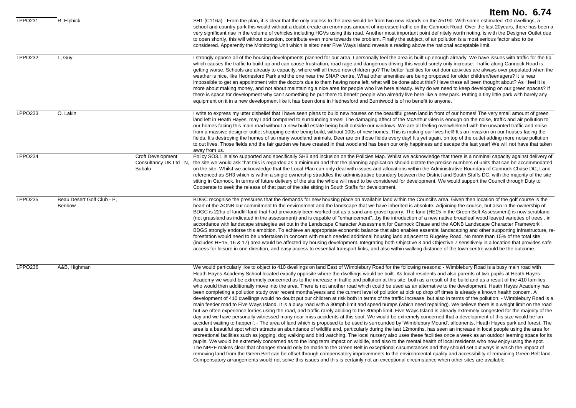|                |                                      |                                                                      | Item No. 6.74                                                                                                                                                                                                                                                                                                                                                                                                                                                                                                                                                                                                                                                                                                                                                                                                                                                                                                                                                                                                                                                                                                                                                                                                                                                                                                                                                                                                                                                                                                                                                                                                                                                                                                                                                                                                                                                                                                                                                                                                                                                                                                                                                                                                                                                                                                                                                                                                                                                                                                                                                                                                                                                                        |
|----------------|--------------------------------------|----------------------------------------------------------------------|--------------------------------------------------------------------------------------------------------------------------------------------------------------------------------------------------------------------------------------------------------------------------------------------------------------------------------------------------------------------------------------------------------------------------------------------------------------------------------------------------------------------------------------------------------------------------------------------------------------------------------------------------------------------------------------------------------------------------------------------------------------------------------------------------------------------------------------------------------------------------------------------------------------------------------------------------------------------------------------------------------------------------------------------------------------------------------------------------------------------------------------------------------------------------------------------------------------------------------------------------------------------------------------------------------------------------------------------------------------------------------------------------------------------------------------------------------------------------------------------------------------------------------------------------------------------------------------------------------------------------------------------------------------------------------------------------------------------------------------------------------------------------------------------------------------------------------------------------------------------------------------------------------------------------------------------------------------------------------------------------------------------------------------------------------------------------------------------------------------------------------------------------------------------------------------------------------------------------------------------------------------------------------------------------------------------------------------------------------------------------------------------------------------------------------------------------------------------------------------------------------------------------------------------------------------------------------------------------------------------------------------------------------------------------------------|
| <b>LPPO231</b> | R. Elphick                           |                                                                      | SH1 (C116a) - From the plan, it is clear that the only access to the area would be from two new islands on the A5190. With some estimated 700 dwellings, a<br>school and country park this would without a doubt create an enormous amount of increased traffic on the Cannock Road. Over the last 20years, there has been a<br>very significant rise in the volume of vehicles including HGVs using this road. Another most important point definitely worth noting, is with the Designer Outlet due<br>to open shortly, this will without question, contribute even more towards the problem. Finally the subject, of air pollution is a most serious factor also to be<br>considered. Apparently the Monitoring Unit which is sited near Five Ways Island reveals a reading above the national acceptable limit.                                                                                                                                                                                                                                                                                                                                                                                                                                                                                                                                                                                                                                                                                                                                                                                                                                                                                                                                                                                                                                                                                                                                                                                                                                                                                                                                                                                                                                                                                                                                                                                                                                                                                                                                                                                                                                                                  |
| <b>LPPO232</b> | L, Guy                               |                                                                      | I strongly oppose all of the housing developments planned for our area. I personally feel the area is built up enough already. We have issues with traffic for the tip,<br>which causes the traffic to build up and can cause frustration, road rage and dangerous driving this would surely only increase. Traffic along Cannock Road is<br>getting worse. Schools are already to capacity, where will all these new children go? The better facilities for out door activities are always over populated when the<br>weather is nice, like Hednesford Park and the one near the SNAP centre. What other amenities are being proposed for older children/teenagers? It is near<br>impossible to get an appointment with the doctors due to them having none left, what will be done about this? Have these all been thought about? As I feel it is<br>more about making money, and not about maintaining a nice area for people who live here already. Why do we need to keep developing on our green spaces? If<br>there is space for development why can't something be put there to benefit people who already live here like a new park. Putting a tiny little park with barely any<br>equipment on it in a new development like it has been done in Hednesford and Burntwood is of no benefit to anyone.                                                                                                                                                                                                                                                                                                                                                                                                                                                                                                                                                                                                                                                                                                                                                                                                                                                                                                                                                                                                                                                                                                                                                                                                                                                                                                                                                                       |
| LPPO233        | O, Lakin                             |                                                                      | I write to express my utter disbelief that I have seen plans to build new houses on the beautiful green land in front of our homes! The very small amount of green<br>land left in Heath Hayes, may I add compared to surrounding areas! The damaging affect of the McArthur Glen is enough on the noise, traffic and air pollution to<br>our homes facing this main road without a new build estate being built outside our windows. We are all feeling overwhelmed with the unwanted traffic and noise<br>from a massive designer outlet shopping centre being build, without 100s of new homes. This is making our lives hell! It's an invasion on our houses facing the<br>fields. It's destroying the homes of so many woodland animals. Deer are on those fields every day! It's yet again, on top of the outlet adding more noise pollution<br>to out lives. Those fields and the fair garden we have created in that woodland has been our only happiness and escape the last year! We will not have that taken<br>away from us.                                                                                                                                                                                                                                                                                                                                                                                                                                                                                                                                                                                                                                                                                                                                                                                                                                                                                                                                                                                                                                                                                                                                                                                                                                                                                                                                                                                                                                                                                                                                                                                                                                             |
| <b>LPPO234</b> |                                      | <b>Croft Development</b><br>Consultancy UK Ltd - N.<br><b>Bubalo</b> | Policy SO3.1 is also supported and specifically SH3 and inclusion on the Policies Map. Whilst we acknowledge that there is a nominal capacity against delivery of<br>the site we would ask that this is regarded as a minimum and that the planning application should dictate the precise numbers of units that can be accommodated<br>on the site. Whilst we acknowledge that the Local Plan can only deal with issues and allocations within the Administrative Boundary of Cannock Chase DC, Land<br>referenced as SH3 which is within a single ownership straddles the administrative boundary between the District and South Staffs DC, with the majority of the site<br>sitting in Cannock. In terms of future delivery of the site the whole will need to be considered for development. We would support the Council through Duty to<br>Cooperate to seek the release of that part of the site sitting in South Staffs for development.                                                                                                                                                                                                                                                                                                                                                                                                                                                                                                                                                                                                                                                                                                                                                                                                                                                                                                                                                                                                                                                                                                                                                                                                                                                                                                                                                                                                                                                                                                                                                                                                                                                                                                                                     |
| LPPO235        | Beau Desert Golf Club - P,<br>Benbow |                                                                      | BDGC recognise the pressures that the demands for new housing place on available land within the Council's area. Given then location of the golf course is the<br>heart of the AONB our commitment to the environment and the landscape that we have inherited is absolute. Adjoining the course, but also in the ownership of<br>BDGC is 22ha of landfill land that had previously been worked out as a sand and gravel quarry. The land (HE15 in the Green Belt Assessment) is now scrubland<br>(not grassland as indicated in the assessment) and is capable of "enhancement"by the introduction of a new native broadleaf wood leaved varieties of trees, in<br>accordance with landscape strategies set out in the Landscape Character Assessment for Cannock Chase and the AONB Landscape Character Framework".<br>BDGS strongly endorse this ambition. To achieve an appropriate economic balance that also enables essential landscaping and other supporting infrastructure, re-<br>forestation would need to be undertaken in concern with much needed additional housing land adjacent to Rugeley Road. No more than 15% of the total site<br>(includes HE15, 16 & 17) area would be affected by housing development. Integrating both Objective 3 and Objective 7 sensitively in a location that provides safe<br>access for leisure in one direction, and easy access to essential transport links, and also within walking distance of the town centre would be the outcome.                                                                                                                                                                                                                                                                                                                                                                                                                                                                                                                                                                                                                                                                                                                                                                                                                                                                                                                                                                                                                                                                                                                                                                                           |
| <b>LPPO236</b> | A&B, Highman                         |                                                                      | We would particularly like to object to 410 dwellings on land East of Wimblebury Road for the following reasons: - Wimblebury Road is a busy main road with<br>Heath Hayes Academy School located exactly opposite where the dwellings would be built. As local residents and also parents of two pupils at Heath Hayes<br>Academy we would be extremely concerned as to the increase in traffic and pollution at this site, both as a result of the build and as a result of the 410 families<br>who would then additionally move into the area. There is not another road which could be used as an alternative to the development. Heath Hayes Academy has<br>been completing a pollution study over recent months/years and the current level of pollution at pick up drop off times is already a known health concern. A<br>development of 410 dwellings would no doubt put our children at risk both in terms of the traffic increase, but also in terms of the pollution. - Wimblebury Road is a<br>main feeder road to Five Ways Island. It is a busy road with a 30mph limit and speed humps (which need repairing). We believe there is a weight limit on the road<br>but we often experience lorries using the road, and traffic rarely abiding to the 30mph limit. Five Ways Island is already extremely congested for the majority of the<br>day and we have personally witnessed many near-miss accidents at this spot. We would be extremely concerned that a development of this size would be 'an<br>accident waiting to happen'. - The area of land which is proposed to be used is surrounded by 'Wimblebury Mound', allotments, Heath Hayes park and forest. The<br>area is a beautiful spot which attracts an abundance of wildlife and, particularly during the last 12months, has seen an increase in local people using the area for<br>recreational facilities such as jogging, dog walking and bird watching. The local nursery also uses these facilities once a week as an outdoor learning space for its<br>pupils. We would be extremely concerned as to the long term impact on wildlife, and also to the mental health of local residents who now enjoy using the spot.<br>The NPPF makes clear that changes should only be made to the Green Belt in exceptional circumstances and they should set out ways in which the impact of<br>removing land from the Green Belt can be offset through compensatory improvements to the environmental quality and accessibility of remaining Green Belt land.<br>Compensatory arrangements would not solve this issues and this is certainly not an exceptional circumstance when other sites are available. |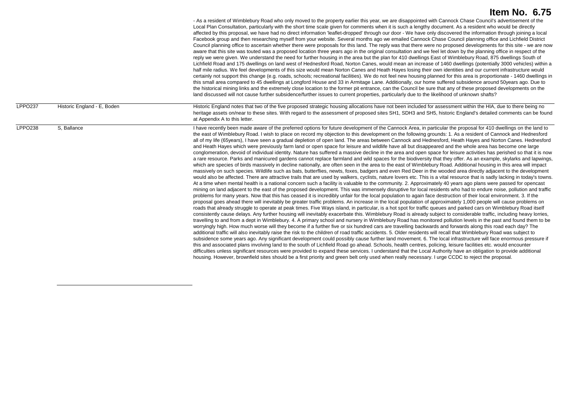|                |                             | - As a resident of Wimblebury Road who only moved to the property earlier this year, we are disappointed with Cannock Chase Council's advertisement of the<br>Local Plan Consultation, particularly with the short time scale given for comments when it is such a lengthy document. As a resident who would be directly<br>affected by this proposal, we have had no direct information 'leaflet-dropped' through our door - We have only discovered the information through joining a local<br>Facebook group and then researching myself from your website. Several months ago we emailed Cannock Chase Council planning office and Lichfield District<br>Council planning office to ascertain whether there were proposals for this land. The reply was that there were no proposed developments for this site - we are now<br>aware that this site was touted was a proposed location three years ago in the original consultation and we feel let down by the planning office in respect of the<br>reply we were given. We understand the need for further housing in the area but the plan for 410 dwellings East of Wimblebury Road, 875 dwellings South of<br>Lichfield Road and 175 dwellings on land west of Hednesford Road, Norton Canes, would mean an increase of 1460 dwellings (potentially 3000 vehicles) within a<br>half mile radius. We feel developments of this size would mean Norton Canes and Heath Hayes losing their own identities and our current infrastructure would<br>certainly not support this change (e.g. roads, schools; recreational facilities). We do not feel new housing planned for this area is proportionate - 1460 dwellings in<br>this small area compared to 45 dwellings at Longford House and 33 in Armitage Lane. Additionally, our home suffered subsidence around 50years ago. Due to<br>the historical mining links and the extremely close location to the former pit entrance, can the Council be sure that any of these proposed developments on the<br>land discussed will not cause further subsidence/further issues to current properties, particularly due to the likelihood of unknown shafts?                                                                                                                                                                                                                                                                                                                                                                                                                                                                                                                                                                                                                                                                                                                                                                                                                                                                                                                                                                                                                                                                                                                                                                                                                                                                                                                                                                                                                                                                                                                                                              |
|----------------|-----------------------------|------------------------------------------------------------------------------------------------------------------------------------------------------------------------------------------------------------------------------------------------------------------------------------------------------------------------------------------------------------------------------------------------------------------------------------------------------------------------------------------------------------------------------------------------------------------------------------------------------------------------------------------------------------------------------------------------------------------------------------------------------------------------------------------------------------------------------------------------------------------------------------------------------------------------------------------------------------------------------------------------------------------------------------------------------------------------------------------------------------------------------------------------------------------------------------------------------------------------------------------------------------------------------------------------------------------------------------------------------------------------------------------------------------------------------------------------------------------------------------------------------------------------------------------------------------------------------------------------------------------------------------------------------------------------------------------------------------------------------------------------------------------------------------------------------------------------------------------------------------------------------------------------------------------------------------------------------------------------------------------------------------------------------------------------------------------------------------------------------------------------------------------------------------------------------------------------------------------------------------------------------------------------------------------------------------------------------------------------------------------------------------------------------------------------------------------------------------------------------------------------------------------------------------------------------------------------------------------------------------------------------------------------------------------------------------------------------------------------------------------------------------------------------------------------------------------------------------------------------------------------------------------------------------------------------------------------------------------------------------------------------------------------------------------------------------------------------------------------------------------------------------------------------------------------------------------------------------------------------------------------------------------------------------------------------------------------------------------------------------------------------------------------------------------------------------------------------------------------------------------------------------------------------------------------------------------------------------------------------------------------------------------------------------------------------------------------------------------------------|
| <b>LPPO237</b> | Historic England - E, Boden | Historic England notes that two of the five proposed strategic housing allocations have not been included for assessment within the HIA, due to there being no<br>heritage assets on/near to these sites. With regard to the assessment of proposed sites SH1, SDH3 and SH5, historic England's detailed comments can be found<br>at Appendix A to this letter.                                                                                                                                                                                                                                                                                                                                                                                                                                                                                                                                                                                                                                                                                                                                                                                                                                                                                                                                                                                                                                                                                                                                                                                                                                                                                                                                                                                                                                                                                                                                                                                                                                                                                                                                                                                                                                                                                                                                                                                                                                                                                                                                                                                                                                                                                                                                                                                                                                                                                                                                                                                                                                                                                                                                                                                                                                                                                                                                                                                                                                                                                                                                                                                                                                                                                                                                                              |
| <b>LPPO238</b> | S. Ballance                 | I have recently been made aware of the preferred options for future development of the Cannock Area, in particular the proposal for 410 dwellings on the land to<br>the east of Wimblebury Road. I wish to place on record my objection to this development on the following grounds: 1. As a resident of Cannock and Hednesford<br>all of my life (65years), I have seen a gradual depletion of open land. The areas between Cannock and Hednesford, Heath Hayes and Norton Canes. Hednesford<br>and Heath Hayes which were previously farm land or open space for leisure and wildlife have all but disappeared and the whole area has become one large<br>conglomeration, devoid of individual identity. Nature has suffered a massive decline in the area and open space for leisure activities has perished so that it is now<br>a rare resource. Parks and manicured gardens cannot replace farmland and wild spaces for the biodiversity that they offer. As an example, skylarks and lapwings,<br>which are species of birds massively in decline nationally, are often seen in the area to the east of Wimblebury Road. Additional housing in this area will impact<br>massively on such species. Wildlife such as bats, butterflies, newts, foxes, badgers and even Red Deer in the wooded area directly adjacent to the development<br>would also be affected. There are attractive trails that are used by walkers, cyclists, nature lovers etc. This is a vital resource that is sadly lacking in today's towns.<br>At a time when mental health is a national concern such a facility is valuable to the community. 2. Approximately 40 years ago plans were passed for opencast<br>mining on land adjacent to the east of the proposed development. This was immensely disruptive for local residents who had to endure noise, pollution and traffic<br>problems for many years. Now that this has ceased it is incredibly unfair for the local population to again face destruction of their local environment. 3. If the<br>proposal goes ahead there will inevitably be greater traffic problems. An increase in the local population of approximately 1,000 people will cause problems on<br>roads that already struggle to operate at peak times. Five Ways island, in particular, is a hot spot for traffic queues and parked cars on Wimblebury Road itself<br>consistently cause delays. Any further housing will inevitably exacerbate this. Wimblebury Road is already subject to considerable traffic, including heavy lorries,<br>travelling to and from a dept in Wimblebury. 4. A primary school and nursery in Wimblebury Road has monitored pollution levels in the past and found them to be<br>worryingly high. How much worse will they become if a further five or six hundred cars are travelling backwards and forwards along this road each day? The<br>additional traffic will also inevitably raise the risk to the children of road traffic accidents. 5. Older residents will recall that Wimblebury Road was subject to<br>subsidence some years ago. Any significant development could possibly cause further land movement. 6. The local infrastructure will face enormous pressure if<br>this and associated plans involving land to the south of Lichfield Road go ahead. Schools, health centres, policing, leisure facilities etc. would encounter<br>difficulties unless significant resources were provided to expand these services. I understand that the Local Authority have an obligation to provide additional<br>housing. However, brownfield sites should be a first priority and green belt only used when really necessary. I urge CCDC to reject the proposal. |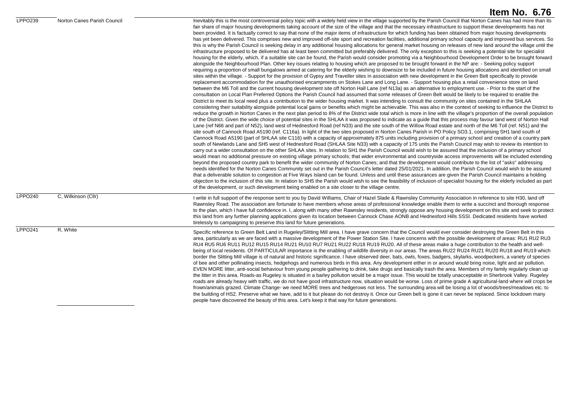| LPPO239        | Norton Canes Parish Council | Inevitably this is the most controversial policy topic with a widely held view in the village supported by the Parish Council that Norton Canes has had more than its<br>fair share of major housing developments taking account of the size of the village and that the necessary infrastructure to support these developments has not<br>been provided. It is factually correct to say that none of the major items of infrastructure for which funding has been obtained from major housing developments<br>has yet been delivered. This comprises new and improved off-site sport and recreation facilities, additional primary school capacity and improved bus services. So<br>this is why the Parish Council is seeking delay in any additional housing allocations for general market housing on releases of new land around the village until the<br>infrastructure proposed to be delivered has at least been committed but preferably delivered. The only exception to this is seeking a potential site for specialist<br>housing for the elderly, which, if a suitable site can be found, the Parish would consider promoting via a Neighbourhood Development Order to be brought forward<br>alongside the Neighbourhood Plan. Other key issues relating to housing which are proposed to be brought forward in the NP are: - Seeking policy support<br>requiring a proportion of small bungalows aimed at catering for the elderly wishing to downsize to be included in future housing allocations and identified on small<br>sites within the village. - Support for the provision of Gypsy and Traveller sites in association with new development in the Green Belt specifically to provide<br>replacement accommodation for the unauthorised encampments on Stokes Lane and Long Lane. - Support housing plus a retail convenience store on land<br>between the M6 Toll and the current housing development site off Norton Hall Lane (ref N13a) as an alternative to employment use. - Prior to the start of the<br>consultation on Local Plan Preferred Options the Parish Council had assumed that some releases of Green Belt would be likely to be required to enable the<br>District to meet its local need plus a contribution to the wider housing market. It was intending to consult the community on sites contained in the SHLAA<br>considering their suitability alongside potential local gains or benefits which might be achievable. This was also in the context of seeking to influence the District to<br>reduce the growth in Norton Canes in the next plan period to 8% of the District wide total which is more in line with the village's proportion of the overall population<br>of the District. Given the wide choice of potential sites in the SHLAA it was proposed to indicate as a guide that this process may favour land west of Norton Hall<br>Lane (ref N66 and part of N52), land west of Hednesford Road (ref N33) and the site south of the Willow Road estate and north of the M6 Toll (ref. N51) and the<br>site south of Cannock Road A5190 (ref. C116a). In light of the two sites proposed in Norton Canes Parish in PO Policy SO3.1, comprising SH1 land south of<br>Cannock Road A5190 (part of SHLAA site C116) with a capacity of approximately 875 units including provision of a primary school and creation of a country park<br>south of Newlands Lane and SH5 west of Hednesford Road (SHLAA Site N33) with a capacity of 175 units the Parish Council may wish to review its intention to<br>carry out a wider consultation on the other SHLAA sites. In relation to SH1 the Parish Council would wish to be assured that the inclusion of a primary school<br>would mean no additional pressure on existing village primary schools; that wider environmental and countryside access improvements will be included extending<br>beyond the proposed country park to benefit the wider community of Norton Canes; and that the development would contribute to the list of "asks" addressing<br>needs identified for the Norton Canes Community set out in the Parish Council's letter dated 25/01/2021. In addition, the Parish Council would wish to be assured<br>that a deliverable solution to congestion at Five Ways Island can be found. Unless and until these assurances are given the Parish Council maintains a holding<br>objection to the inclusion of this site. In relation to SH5 the Parish would wish to see the feasibility of inclusion of specialist housing for the elderly included as part<br>of the development, or such development being enabled on a site closer to the village centre. |
|----------------|-----------------------------|--------------------------------------------------------------------------------------------------------------------------------------------------------------------------------------------------------------------------------------------------------------------------------------------------------------------------------------------------------------------------------------------------------------------------------------------------------------------------------------------------------------------------------------------------------------------------------------------------------------------------------------------------------------------------------------------------------------------------------------------------------------------------------------------------------------------------------------------------------------------------------------------------------------------------------------------------------------------------------------------------------------------------------------------------------------------------------------------------------------------------------------------------------------------------------------------------------------------------------------------------------------------------------------------------------------------------------------------------------------------------------------------------------------------------------------------------------------------------------------------------------------------------------------------------------------------------------------------------------------------------------------------------------------------------------------------------------------------------------------------------------------------------------------------------------------------------------------------------------------------------------------------------------------------------------------------------------------------------------------------------------------------------------------------------------------------------------------------------------------------------------------------------------------------------------------------------------------------------------------------------------------------------------------------------------------------------------------------------------------------------------------------------------------------------------------------------------------------------------------------------------------------------------------------------------------------------------------------------------------------------------------------------------------------------------------------------------------------------------------------------------------------------------------------------------------------------------------------------------------------------------------------------------------------------------------------------------------------------------------------------------------------------------------------------------------------------------------------------------------------------------------------------------------------------------------------------------------------------------------------------------------------------------------------------------------------------------------------------------------------------------------------------------------------------------------------------------------------------------------------------------------------------------------------------------------------------------------------------------------------------------------------------------------------------------------------------------------------------------------------------------------------------------------------------------------------------------------------------------------------------------------------------------------------------------------------------------------------------------------------------------------------------------------------------------------------------------------------------------------------------------------------------------------------------------------------------------------------------------------------------------------------------------------------------------------------------------------------------------------------------------------------------------------------------------------------------------------------------------------------------------------------------------------------------------------------------------------------------------------------------------------------------------------------------------------------|
| <b>LPPO240</b> | C. Wilkinson (Cllr)         | I write in full support of the response sent to you by David Williams, Chair of Hazel Slade & Rawnsley Community Association in reference to site H30, land off<br>Rawnsley Road. The association are fortunate to have members whose areas of professional knowledge enable them to write a succinct and thorough response<br>to the plan, which I have full confidence in. I, along with many other Rawnsley residents, strongly oppose any housing development on this site and seek to protect<br>this land from any further planning applications given its location between Cannock Chase AONB and Hednesford Hills SSSI. Dedicated residents have worked<br>tirelessly to campaigning to preserve this land for future generations.                                                                                                                                                                                                                                                                                                                                                                                                                                                                                                                                                                                                                                                                                                                                                                                                                                                                                                                                                                                                                                                                                                                                                                                                                                                                                                                                                                                                                                                                                                                                                                                                                                                                                                                                                                                                                                                                                                                                                                                                                                                                                                                                                                                                                                                                                                                                                                                                                                                                                                                                                                                                                                                                                                                                                                                                                                                                                                                                                                                                                                                                                                                                                                                                                                                                                                                                                                                                                                                                                                                                                                                                                                                                                                                                                                                                                                                                                                                                                 |
| <b>LPPO241</b> | R, White                    | Specific reference to Green Belt Land in Rugeley/Slitting Mill area. I have grave concern that the Council would ever consider destroying the Green Belt in this<br>area, particularly as we are faced with a massive development of the Power Station Site. I have concerns with the possible development of areas: RU1 RU2 RU3<br>RU4 RU5 RU6 RU11 RU12 RU15 RU14 RU21 RU10 RU7 RU21 RU22 RU18 RU19 RU20. All of these areas make a huge contribution to the health and well-<br>being of local residents. Of PARTICULAR importance is the enabling of wildlife diversity in our areas. The areas RU22 RU24 RU21 RU20 RU18 and RU19 which<br>border the Slitting Mill village is of natural and historic significance. I have observed deer, bats, owls, foxes, badgers, skylarks, woodpeckers, a variety of species<br>of bee and other pollinating insects, hedgehogs and numerous birds in this area. Any development either in or around would bring noise, light and air pollution.<br>EVEN MORE litter, anti-social behaviour from young people gathering to drink, take drugs and basically trash the area. Members of my family regularly clean up<br>the litter in this area. Roads-as Rugeley is situated in a barley pollution would be a major issue. This would be totally unacceptable in Sherbrook Valley. Rugeley<br>roads are already heavy with traffic, we do not have good infrastructure now, situation would be worse. Loss of prime grade A agricultural-land where will crops be<br>frown/animals grazed. Climate Change- we need MORE trees and hedgerows not less. The surrounding area will be losing a lot of woods/trees/meadows etc. to<br>the building of HS2. Preserve what we have, add to it but please do not destroy it. Once our Green belt is gone it can never be replaced. Since lockdown many<br>people have discovered the beauty of this area. Let's keep it that way for future generations.                                                                                                                                                                                                                                                                                                                                                                                                                                                                                                                                                                                                                                                                                                                                                                                                                                                                                                                                                                                                                                                                                                                                                                                                                                                                                                                                                                                                                                                                                                                                                                                                                                                                                                                                                                                                                                                                                                                                                                                                                                                                                                                                                                                                                                                                                                                                                                                                                                                                                                                                                                                                                                                                                                                                                 |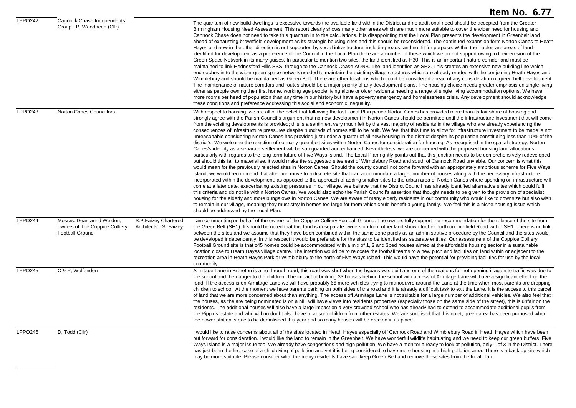|                     |                                                                                                                                         | Item No. 6.77                                                                                                                                                                                                                                                                                                                                                                                                                                                                                                                                                                                                                                                                                                                                                                                                                                                                                                                                                                                                                                                                                                                                                                                                                                                                                                                                                                                                                                                                                                                                                                                                                                                                                                                                                                                                                                                                                                                                                                                                                                                                                                                                                                                                                                                                                                                                                                                                                                                                                                                                                                                                                                                                                                                                      |
|---------------------|-----------------------------------------------------------------------------------------------------------------------------------------|----------------------------------------------------------------------------------------------------------------------------------------------------------------------------------------------------------------------------------------------------------------------------------------------------------------------------------------------------------------------------------------------------------------------------------------------------------------------------------------------------------------------------------------------------------------------------------------------------------------------------------------------------------------------------------------------------------------------------------------------------------------------------------------------------------------------------------------------------------------------------------------------------------------------------------------------------------------------------------------------------------------------------------------------------------------------------------------------------------------------------------------------------------------------------------------------------------------------------------------------------------------------------------------------------------------------------------------------------------------------------------------------------------------------------------------------------------------------------------------------------------------------------------------------------------------------------------------------------------------------------------------------------------------------------------------------------------------------------------------------------------------------------------------------------------------------------------------------------------------------------------------------------------------------------------------------------------------------------------------------------------------------------------------------------------------------------------------------------------------------------------------------------------------------------------------------------------------------------------------------------------------------------------------------------------------------------------------------------------------------------------------------------------------------------------------------------------------------------------------------------------------------------------------------------------------------------------------------------------------------------------------------------------------------------------------------------------------------------------------------------|
| <b>LPPO242</b>      | <b>Cannock Chase Independents</b><br>Group - P, Woodhead (Cllr)                                                                         | The quantum of new build dwellings is excessive towards the available land within the District and no additional need should be accepted from the Greater<br>Birmingham Housing Need Assessment. This report clearly shows many other areas which are much more suitable to cover the wider need for housing and<br>Cannock Chase does not need to take this quantum in to the calculations. It is disappointing that the Local Plan presents the development in Greenbelt land<br>ahead of exhausting brownfield development as its strategic housing sites and this should be reconsidered. The continued expansion form Norton Canes to Heath<br>Hayes and now in the other direction is not supported by social infrastructure, including roads, and not fit for purpose. Within the Tables are areas of land<br>identified for development as a preference of the Council in the Local Plan there are a number of these which we do not support owing to their erosion of the<br>Green Space Network in its many guises. In particular to mention two sites; the land identified as H30. This is an important nature corridor and must be<br>maintained to link Hednesford Hills SSSI through to the Cannock Chase AONB. The land identified as SH2. This creates an extensive new building line which<br>encroaches in to the wider green space network needed to maintain the existing village structures which are already eroded with the conjoining Heath Hayes and<br>Wimblebury and should be maintained as Green Belt. There are other locations which could be considered ahead of any consideration of green belt development.<br>The maintenance of nature corridors and routes should be a major priority of any development plans. The housing choice needs greater emphasis on single living<br>either as people owning their first home, working age people living alone or older residents needing a range of single living accommodation options. We have<br>more rooms per head of population than any time in our history but have a poverty emergency and homelessness crisis. Any development should acknowledge<br>these conditions and preference addressing this social and economic inequality.                                                                                                                                                                                                                                                                                                                                                                                                                                                                                                                      |
| LPPO243             | <b>Norton Canes Councillors</b>                                                                                                         | With respect to housing, we are all of the belief that following the last Local Plan period Norton Canes has provided more than its fair share of housing and<br>strongly agree with the Parish Council's argument that no new development in Norton Canes should be permitted until the infrastructure investment that will come<br>from the existing developments is provided; this is a sentiment very much felt by the vast majority of residents in the village who are already experiencing the<br>consequences of infrastructure pressures despite hundreds of homes still to be built. We feel that this time to allow for infrastructure investment to be made is not<br>unreasonable considering Norton Canes has provided just under a quarter of all new housing in the district despite its population constituting less than 10% of the<br>district's. We welcome the rejection of so many greenbelt sites within Norton Canes for consideration for housing. As recognised in the spatial strategy, Norton<br>Canes's identity as a separate settlement will be safeguarded and enhanced. Nevertheless, we are concerned with the proposed housing land allocations,<br>particularly with regards to the long term future of Five Ways Island. The Local Plan rightly points out that this junction needs to be comprehensively redeveloped<br>but should this fail to materialise, it would make the suggested sites east of Wimblebury Road and south of Cannock Road unviable. Our concern is what this<br>would mean for the previously rejected sites in Norton Canes. Should the county council not come forward with an appropriately ambitious scheme for Five Ways<br>Island, we would recommend that attention move to a discrete site that can accommodate a larger number of houses along with the necessary infrastructure<br>incorporated within the development, as opposed to the approach of adding smaller sites to the urban area of Norton Canes where spending on infrastructure will<br>come at a later date, exacerbating existing pressures in our village. We believe that the District Council has already identified alternative sites which could fulfil<br>this criteria and do not lie within Norton Canes. We would also echo the Parish Council's assertion that thought needs to be given to the provision of specialist<br>housing for the elderly and more bungalows in Norton Canes. We are aware of many elderly residents in our community who would like to downsize but also wish<br>to remain in our village, meaning they must stay in homes too large for them which could benefit a young family. We feel this is a niche housing issue which<br>should be addressed by the Local Plan. |
| LPPO244             | Messrs. Dean annd Weldon,<br>S.P.Faizev Chartered<br>owners of The Coppice Colliery<br>Architects - S, Faizey<br><b>Football Ground</b> | I am commenting on behalf of the owners of the Coppice Colliery Football Ground. The owners fully support the recommendation for the release of the site from<br>the Green Belt (SH1). It should be noted that this land is in separate ownership from other land shown further north on Lichfield Road within SH1. There is no link<br>between the sites and we assume that they have been combined within the same zone purely as an administrative procedure by the Council and the sites would<br>be developed independently. In this respect it would be preferable for the sites to be identified as separate entities. Our assessment of the Coppice Colliery<br>Football Ground site is that c45 homes could be accommodated with a mix of 1, 2 and 3bed houses aimed at the affordable housing sector in a sustainable<br>location close to Heath Hayes village centre. The intention would be to relocate the football teams to a new pitch and facilities on land within or adjacent to the<br>recreation area in Heath Hayes Park or Wimblebury to the north of Five Ways Island. This would have the potential for providing facilities for use by the local<br>community.                                                                                                                                                                                                                                                                                                                                                                                                                                                                                                                                                                                                                                                                                                                                                                                                                                                                                                                                                                                                                                                                                                                                                                                                                                                                                                                                                                                                                                                                                                                                                            |
| LPPO <sub>245</sub> | C & P, Wolfenden                                                                                                                        | Armitage Lane in Brereton is a no through road, this road was shut when the bypass was built and one of the reasons for not opening it again to traffic was due to<br>the school and the danger to the children. The impact of building 33 houses behind the school with access of Armitage Lane will have a significant effect on the<br>road. If the access is on Armitage Lane we will have probably 66 more vehicles trying to manoeuvre around the Lane at the time when most parents are dropping<br>children to school. At the moment we have parents parking on both sides of the road and it is already a difficult task to exit the Lane. It is the access to this parcel<br>of land that we are more concerned about than anything. The access off Armitage Lane is not suitable for a large number of additional vehicles. We also feel that<br>the houses, as the are being nominated is on a hill, will have views into residents properties (especially those on the same side of the street), this is unfair on the<br>residents. The additional houses will also have a large impact on a very crowded school who has already had to extend to accommodate additional pupils from<br>the Pippins estate and who will no doubt also have to absorb children from other estates. We are surprised that this quiet, green area has been proposed when<br>the power station is due to be demolished this year and so many houses will be erected in its place.                                                                                                                                                                                                                                                                                                                                                                                                                                                                                                                                                                                                                                                                                                                                                                                                                                                                                                                                                                                                                                                                                                                                                                                                                                                                        |
| <b>LPPO246</b>      | D, Todd (Cllr)                                                                                                                          | I would like to raise concerns about all of the sites located in Heath Hayes especially off Cannock Road and Wimblebury Road in Heath Hayes which have been<br>put forward for consideration. I would like the land to remain in the Greenbelt. We have wonderful wildlife habituating and we need to keep our green buffers. Five<br>Ways Island is a major issue too. We already have congestions and high pollution. We have a monitor already to look at pollution, only 1 of 3 in the District. There<br>has just been the first case of a child dying of pollution and yet it is being considered to have more housing in a high pollution area. There is a back up site which<br>may be more suitable. Please consider what the many residents have said keep Green Belt and remove these sites from the local plan.                                                                                                                                                                                                                                                                                                                                                                                                                                                                                                                                                                                                                                                                                                                                                                                                                                                                                                                                                                                                                                                                                                                                                                                                                                                                                                                                                                                                                                                                                                                                                                                                                                                                                                                                                                                                                                                                                                                        |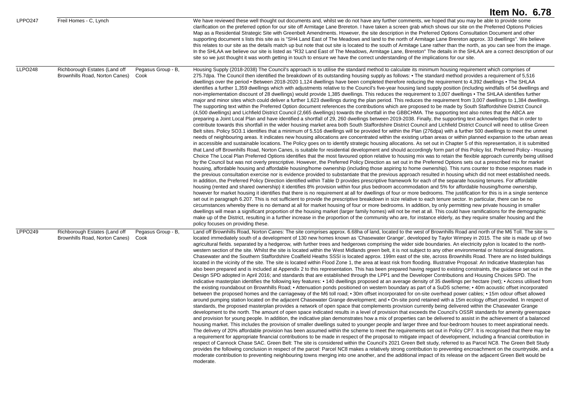|                     |                                                                 |                            | Item No. 6.78                                                                                                                                                                                                                                                                                                                                                                                                                                                                                                                                                                                                                                                                                                                                                                                                                                                                                                                                                                                                                                                                                                                                                                                                                                                                                                                                                                                                                                                                                                                                                                                                                                                                                                                                                                                                                                                                                                                                                                                                                                                                                                                                                                                                                                                                                                                                                                                                                                                                                                                                                                                                                                                                                                                                                                                                                                                                                                                                                                                                                                                                                                                                                                                                                                                                                                                                                                                                                                                                                                                                                                                                                                                                                                                                                                                                                                                                                                                                                                                                                                                                                                                                                                                                                                                       |
|---------------------|-----------------------------------------------------------------|----------------------------|---------------------------------------------------------------------------------------------------------------------------------------------------------------------------------------------------------------------------------------------------------------------------------------------------------------------------------------------------------------------------------------------------------------------------------------------------------------------------------------------------------------------------------------------------------------------------------------------------------------------------------------------------------------------------------------------------------------------------------------------------------------------------------------------------------------------------------------------------------------------------------------------------------------------------------------------------------------------------------------------------------------------------------------------------------------------------------------------------------------------------------------------------------------------------------------------------------------------------------------------------------------------------------------------------------------------------------------------------------------------------------------------------------------------------------------------------------------------------------------------------------------------------------------------------------------------------------------------------------------------------------------------------------------------------------------------------------------------------------------------------------------------------------------------------------------------------------------------------------------------------------------------------------------------------------------------------------------------------------------------------------------------------------------------------------------------------------------------------------------------------------------------------------------------------------------------------------------------------------------------------------------------------------------------------------------------------------------------------------------------------------------------------------------------------------------------------------------------------------------------------------------------------------------------------------------------------------------------------------------------------------------------------------------------------------------------------------------------------------------------------------------------------------------------------------------------------------------------------------------------------------------------------------------------------------------------------------------------------------------------------------------------------------------------------------------------------------------------------------------------------------------------------------------------------------------------------------------------------------------------------------------------------------------------------------------------------------------------------------------------------------------------------------------------------------------------------------------------------------------------------------------------------------------------------------------------------------------------------------------------------------------------------------------------------------------------------------------------------------------------------------------------------------------------------------------------------------------------------------------------------------------------------------------------------------------------------------------------------------------------------------------------------------------------------------------------------------------------------------------------------------------------------------------------------------------------------------------------------------------------------------------------|
| <b>LPPO247</b>      | Freil Homes - C, Lynch                                          |                            | We have reviewed these well thought out documents and, whilst we do not have any further comments, we hoped that you may be able to provide some<br>clarification on the preferred option for our site off Armitage Lane Brereton. I have taken a screen grab which shows our site on the Preferred Options Policies<br>Map as a Residential Strategic Site with Greenbelt Amendments. However, the site description in the Preferred Options Consultation Document and other<br>supporting document s lists this site as is "SH4 Land East of The Meadows and land to the north of Armitage Lane Brereton approx. 33 dwellings". We believe<br>this relates to our site as the details match up but note that out site is located to the south of Armitage Lane rather than the north, as you can see from the image.<br>In the SHLAA we believe our site is listed as "R32 Land East of The Meadows, Armitage Lane, Brereton" The details in the SHLAA are a correct description of our<br>site so we just thought it was worth getting in touch to ensure we have the correct understanding of the implications for our site.                                                                                                                                                                                                                                                                                                                                                                                                                                                                                                                                                                                                                                                                                                                                                                                                                                                                                                                                                                                                                                                                                                                                                                                                                                                                                                                                                                                                                                                                                                                                                                                                                                                                                                                                                                                                                                                                                                                                                                                                                                                                                                                                                                                                                                                                                                                                                                                                                                                                                                                                                                                                                                                                                                                                                                                                                                                                                                                                                                                                                                                                                                                                    |
| LLPO <sub>248</sub> | Richborough Estates (Land off<br>Brownhills Road, Norton Canes) | Pegasus Group - B,<br>Cook | Housing Supply (2018-2038) The Council's approach is to utilise the standard method to calculate its minimum housing requirement which comprises of<br>275.7dpa. The Council then identified the breakdown of its outstanding housing supply as follows: • The standard method provides a requirement of 5,516<br>dwellings over the period • Between 2018-2020 1,124 dwellings have been completed therefore reducing the requirement to 4,392 dwellings • The SHLAA<br>identifies a further 1,359 dwellings which with adjustments relative to the Council's five-year housing land supply position (including windfalls of 54 dwellings and<br>non-implementation discount of 28 dwellings) would provide 1,385 dwellings. This reduces the requirement to 3,007 dwellings . The SHLAA identifies further<br>major and minor sites which could deliver a further 1,623 dwellings during the plan period. This reduces the requirement from 3,007 dwellings to 1,384 dwellings.<br>The supporting text within the Preferred Option document references the contributions which are proposed to be made by South Staffordshire District Council<br>(4,500 dwellings) and Lichfield District Council (2,665 dwellings) towards the shortfall in the GBBCHMA. The supporting text also notes that the ABCA are<br>preparing a Joint Local Plan and have identified a shortfall of 29, 260 dwellings between 2019-2038. Finally, the supporting text acknowledges that in order to<br>contribute towards this shortfall in the wider housing market area both South Staffordshire District Council and Lichfield District Council will need to utilise Green<br>Belt sites. Policy SO3.1 identifies that a minimum of 5,516 dwellings will be provided for within the Plan (276dpa) with a further 500 dwellings to meet the unmet<br>needs of neighbouring areas. It indicates new housing allocations are concentrated within the existing urban areas or within planned expansion to the urban areas<br>in accessible and sustainable locations. The Policy goes on to identify strategic housing allocations. As set out in Chapter 5 of this representation, it is submitted<br>that Land off Brownhills Road, Norton Canes, is suitable for residential development and should accordingly form part of this Policy list. Preferred Policy - Housing<br>Choice The Local Plan Preferred Options identifies that the most favoured option relative to housing mix was to retain the flexible approach currently being utilised<br>by the Council but was not overly prescriptive. However, the Preferred Policy Direction as set out in the Preferred Options sets out a prescribed mix for market<br>housing, affordable housing and affordable housing/home ownership (including those aspiring to home ownership). This runs counter to those responses made in<br>the previous consultation exercise nor is evidence provided to substantiate that the previous approach resulted in housing which did not meet established needs.<br>In addition, the Preferred Policy Direction identified within Table D provides prescriptive framework for each of the separate housing tenures. For affordable<br>housing (rented and shared ownership) it identifies 8% provision within four plus bedroom accommodation and 5% for affordable housing/home ownership,<br>however for market housing it identifies that there is no requirement at all for dwellings of four or more bedrooms. The justification for this is in a single sentence<br>set out in paragraph 6.207. This is not sufficient to provide the prescriptive breakdown in size relative to each tenure sector. In particular, there can be no<br>circumstances whereby there is no demand at all for market housing of four or more bedrooms. In addition, by only permitting new private housing in smaller<br>dwellings will mean a significant proportion of the housing market (larger family homes) will not be met at all. This could have ramifications for the demographic<br>make up of the District, resulting in a further increase in the proportion of the community who are, for instance elderly, as they require smaller housing and the<br>policy focuses on providing these. |
| LPPO249             | Richborough Estates (Land off<br>Brownhills Road, Norton Canes) | Pegasus Group - B,<br>Cook | Land off Brownhills Road, Norton Canes: The site comprises approx. 6.68ha of land, located to the west of Brownhills Road and north of the M6 Toll. The site is<br>located immediately south of a development of 130 new homes known as 'Chasewater Grange', developed by Taylor Wimpey in 2015. The site is made up of two<br>agricultural fields, separated by a hedgerow, with further trees and hedgerows comprising the wider side boundaries. An electricity pylon is located to the north-<br>western section of the site. Whilst the site is located within the West Midlands green belt, it is not subject to any other environmental or historical designations.<br>Chasewater and the Southern Staffordshire Coalfield Heaths SSSI is located approx. 199m east of the site, across Brownhills Road. There are no listed buildings<br>located in the vicinity of the site. The site is located within Flood Zone 1, the area at least risk from flooding. Illustrative Proposal: An Indicative Masterplan has<br>also been prepared and is included at Appendix 2 to this representation. This has been prepared having regard to existing constraints, the guidance set out in the<br>Design SPD adopted in April 2016; and standards that are established through the LPP1 and the Developer Contributions and Housing Choices SPD. The<br>indicative masterplan identifies the following key features: • 140 dwellings proposed at an average density of 35 dwellings per hectare (net); • Access utilised from<br>the existing roundabout on Brownhills Road: • Attenuation ponds positioned on western boundary as part of a SuDS scheme: • 40m acoustic offset incorporated<br>between the proposed homes and the carriageway of the M6 toll road; • 30m offset incorporated for on-site overhead power cables; • 15m odour offset allowed<br>around pumping station located on the adjacent Chasewater Grange development; and • On-site pond retained with a 15m ecology offset provided. In respect of<br>standards, the proposed masterplan provides a network of open space that complements provision currently being delivered within the Chasewater Grange<br>development to the north. The amount of open space indicated results in a level of provision that exceeds the Council's OSSR standards for amenity greenspace<br>and provision for young people. In addition, the indicative plan demonstrates how a mix of properties can be delivered to assist in the achievement of a balanced<br>housing market. This includes the provision of smaller dwellings suited to younger people and larger three and four-bedroom houses to meet aspirational needs.<br>The delivery of 20% affordable provision has been assumed within the scheme to meet the requirements set out in Policy CP7. It is recognised that there may be<br>a requirement for appropriate financial contributions to be made in respect of the proposal to mitigate impact of development, including a financial contribution in<br>respect of Cannock Chase SAC. Green Belt: The site is considered within the Council's 2021 Green Belt study, referred to as Parcel NC8. The Green Belt Study<br>provides the following conclusion in respect of the parcel: Parcel NC8 makes a relatively strong contribution to preventing encroachment on the countryside, and a<br>moderate contribution to preventing neighbouring towns merging into one another, and the additional impact of its release on the adjacent Green Belt would be<br>moderate.                                                                                                                                                                                                                                                                                                                                                                                                                                                                                                                                                                                                                                                                                                           |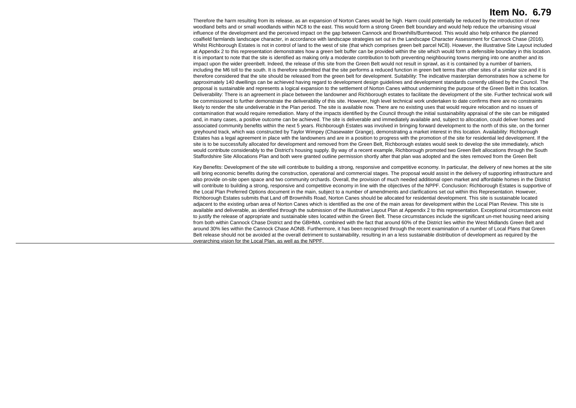Therefore the harm resulting from its release, as an expansion of Norton Canes would be high. Harm could potentially be reduced by the introduction of new woodland belts and or small woodlands within NC8 to the east. This would form a strong Green Belt boundary and would help reduce the urbanising visual influence of the development and the perceived impact on the gap between Cannock and Brownhills/Burntwood. This would also help enhance the planned coalfield farmlands landscape character, in accordance with landscape strategies set out in the Landscape Character Assessment for Cannock Chase (2016). Whilst Richborough Estates is not in control of land to the west of site (that which comprises green belt parcel NC8). However, the illustrative Site Layout included at Appendix 2 to this representation demonstrates how a green belt buffer can be provided within the site which would form a defensible boundary in this location. It is important to note that the site is identified as making only a moderate contribution to both preventing neighbouring towns merging into one another and its impact upon the wider greenbelt. Indeed, the release of this site from the Green Belt would not result in sprawl, as it is contained by a number of barriers, including the M6 toll to the south. It is therefore submitted that the site performs a reduced function in green belt terms than other sites of a similar size and it is therefore considered that the site should be released from the green belt for development. Suitability: The indicative masterplan demonstrates how a scheme for approximately 140 dwellings can be achieved having regard to development design guidelines and development standards currently utilised by the Council. The proposal is sustainable and represents a logical expansion to the settlement of Norton Canes without undermining the purpose of the Green Belt in this location. Deliverability: There is an agreement in place between the landowner and Richborough estates to facilitate the development of the site. Further technical work will be commissioned to further demonstrate the deliverability of this site. However, high level technical work undertaken to date confirms there are no constraints likely to render the site undeliverable in the Plan period. The site is available now. There are no existing uses that would require relocation and no issues of contamination that would require remediation. Many of the impacts identified by the Council through the initial sustainability appraisal of the site can be mitigated and, in many cases, a positive outcome can be achieved. The site is deliverable and immediately available and, subject to allocation, could deliver homes and associated community benefits within the next 5 years. Richborough Estates was involved in bringing forward development to the north of this site, on the former greyhound track, which was constructed by Taylor Wimpey (Chasewater Grange), demonstrating a market interest in this location. Availability: Richborough Estates has a legal agreement in place with the landowners and are in a position to progress with the promotion of the site for residential led development. If the site is to be successfully allocated for development and removed from the Green Belt. Richborough estates would seek to develop the site immediately, which would contribute considerably to the District's housing supply. By way of a recent example, Richborough promoted two Green Belt allocations through the South Staffordshire Site Allocations Plan and both were granted outline permission shortly after that plan was adopted and the sites removed from the Green Belt

Key Benefits: Development of the site will contribute to building a strong, responsive and competitive economy. In particular, the delivery of new homes at the site will bring economic benefits during the construction, operational and commercial stages. The proposal would assist in the delivery of supporting infrastructure and also provide on-site open space and two community orchards. Overall, the provision of much needed additional open market and affordable homes in the District will contribute to building a strong, responsive and competitive economy in line with the objectives of the NPPF. Conclusion: Richborough Estates is supportive of the Local Plan Preferred Options document in the main, subject to a number of amendments and clarifications set out within this Representation. However, Richborough Estates submits that Land off Brownhills Road, Norton Canes should be allocated for residential development. This site is sustainable located adjacent to the existing urban area of Norton Canes which is identified as the one of the main areas for development within the Local Plan Review. This site is available and deliverable, as identified through the submission of the Illustrative Layout Plan at Appendix 2 to this representation. Exceptional circumstances exist to justify the release of appropriate and sustainable sites located within the Green Belt. These circumstances include the significant un-met housing need arising from both within Cannock Chase District and the GBHMA, combined with the fact that around 60% of the District lies within the West Midlands Green Belt and around 30% lies within the Cannock Chase AONB. Furthermore, it has been recognised through the recent examination of a number of Local Plans that Green Belt release should not be avoided at the overall detriment to sustainability, resulting in an a less sustainable distribution of development as required by the overarching vision for the Local Plan, as well as the NPPF.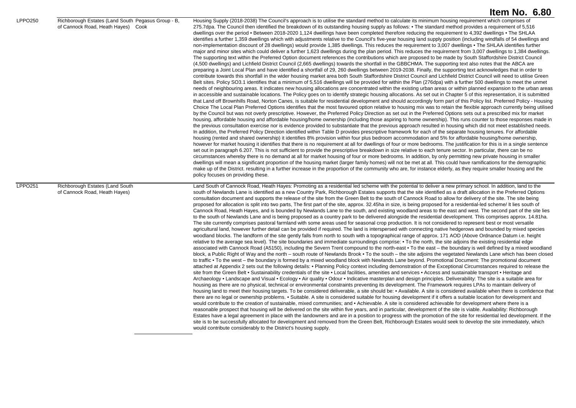|                |                                                                                          | Item No. 6.80                                                                                                                                                                                                                                                                                                                                                                                                                                                                                                                                                                                                                                                                                                                                                                                                                                                                                                                                                                                                                                                                                                                                                                                                                                                                                                                                                                                                                                                                                                                                                                                                                                                                                                                                                                                                                                                                                                                                                                                                                                                                                                                                                                                                                                                                                                                                                                                                                                                                                                                                                                                                                                                                                                                                                                                                                                                                                                                                                                                                                                                                                                                                                                                                                                                                                                                                                                                                                                                                                                                                                                                                                                                                                                                                                                                                                                                                                                                                                                                                                                                                                                                                                                                                                                                       |
|----------------|------------------------------------------------------------------------------------------|---------------------------------------------------------------------------------------------------------------------------------------------------------------------------------------------------------------------------------------------------------------------------------------------------------------------------------------------------------------------------------------------------------------------------------------------------------------------------------------------------------------------------------------------------------------------------------------------------------------------------------------------------------------------------------------------------------------------------------------------------------------------------------------------------------------------------------------------------------------------------------------------------------------------------------------------------------------------------------------------------------------------------------------------------------------------------------------------------------------------------------------------------------------------------------------------------------------------------------------------------------------------------------------------------------------------------------------------------------------------------------------------------------------------------------------------------------------------------------------------------------------------------------------------------------------------------------------------------------------------------------------------------------------------------------------------------------------------------------------------------------------------------------------------------------------------------------------------------------------------------------------------------------------------------------------------------------------------------------------------------------------------------------------------------------------------------------------------------------------------------------------------------------------------------------------------------------------------------------------------------------------------------------------------------------------------------------------------------------------------------------------------------------------------------------------------------------------------------------------------------------------------------------------------------------------------------------------------------------------------------------------------------------------------------------------------------------------------------------------------------------------------------------------------------------------------------------------------------------------------------------------------------------------------------------------------------------------------------------------------------------------------------------------------------------------------------------------------------------------------------------------------------------------------------------------------------------------------------------------------------------------------------------------------------------------------------------------------------------------------------------------------------------------------------------------------------------------------------------------------------------------------------------------------------------------------------------------------------------------------------------------------------------------------------------------------------------------------------------------------------------------------------------------------------------------------------------------------------------------------------------------------------------------------------------------------------------------------------------------------------------------------------------------------------------------------------------------------------------------------------------------------------------------------------------------------------------------------------------------------------------------------|
| <b>LPPO250</b> | Richborough Estates (Land South Pegasus Group - B,<br>of Cannock Road, Heath Hayes) Cook | Housing Supply (2018-2038) The Council's approach is to utilise the standard method to calculate its minimum housing requirement which comprises of<br>275.7dpa. The Council then identified the breakdown of its outstanding housing supply as follows: • The standard method provides a requirement of 5,516<br>dwellings over the period • Between 2018-2020 1,124 dwellings have been completed therefore reducing the requirement to 4,392 dwellings • The SHLAA<br>identifies a further 1,359 dwellings which with adjustments relative to the Council's five-year housing land supply position (including windfalls of 54 dwellings and<br>non-implementation discount of 28 dwellings) would provide 1,385 dwellings. This reduces the requirement to 3,007 dwellings • The SHLAA identifies further<br>major and minor sites which could deliver a further 1,623 dwellings during the plan period. This reduces the requirement from 3,007 dwellings to 1,384 dwellings.<br>The supporting text within the Preferred Option document references the contributions which are proposed to be made by South Staffordshire District Council<br>(4,500 dwellings) and Lichfield District Council (2,665 dwellings) towards the shortfall in the GBBCHMA. The supporting text also notes that the ABCA are<br>preparing a Joint Local Plan and have identified a shortfall of 29, 260 dwellings between 2019-2038. Finally, the supporting text acknowledges that in order to<br>contribute towards this shortfall in the wider housing market area both South Staffordshire District Council and Lichfield District Council will need to utilise Green<br>Belt sites. Policy SO3.1 identifies that a minimum of 5,516 dwellings will be provided for within the Plan (276dpa) with a further 500 dwellings to meet the unmet<br>needs of neighbouring areas. It indicates new housing allocations are concentrated within the existing urban areas or within planned expansion to the urban areas<br>in accessible and sustainable locations. The Policy goes on to identify strategic housing allocations. As set out in Chapter 5 of this representation, it is submitted<br>that Land off Brownhills Road, Norton Canes, is suitable for residential development and should accordingly form part of this Policy list. Preferred Policy - Housing<br>Choice The Local Plan Preferred Options identifies that the most favoured option relative to housing mix was to retain the flexible approach currently being utilised<br>by the Council but was not overly prescriptive. However, the Preferred Policy Direction as set out in the Preferred Options sets out a prescribed mix for market<br>housing, affordable housing and affordable housing/home ownership (including those aspiring to home ownership). This runs counter to those responses made in<br>the previous consultation exercise nor is evidence provided to substantiate that the previous approach resulted in housing which did not meet established needs.<br>In addition, the Preferred Policy Direction identified within Table D provides prescriptive framework for each of the separate housing tenures. For affordable<br>housing (rented and shared ownership) it identifies 8% provision within four plus bedroom accommodation and 5% for affordable housing/home ownership,<br>however for market housing it identifies that there is no requirement at all for dwellings of four or more bedrooms. The justification for this is in a single sentence<br>set out in paragraph 6.207. This is not sufficient to provide the prescriptive breakdown in size relative to each tenure sector. In particular, there can be no<br>circumstances whereby there is no demand at all for market housing of four or more bedrooms. In addition, by only permitting new private housing in smaller<br>dwellings will mean a significant proportion of the housing market (larger family homes) will not be met at all. This could have ramifications for the demographic<br>make up of the District, resulting in a further increase in the proportion of the community who are, for instance elderly, as they require smaller housing and the<br>policy focuses on providing these. |
| <b>LPPO251</b> | Richborough Estates (Land South<br>of Cannock Road, Heath Hayes)                         | Land South of Cannock Road, Heath Hayes: Promoting as a residential led scheme with the potential to deliver a new primary school. In addition, land to the<br>south of Newlands Lane is identified as a new Country Park, Richborough Estates supports that the site identified as a draft allocation in the Preferred Options<br>consultation document and supports the release of the site from the Green Belt to the south of Cannock Road to allow for delivery of the site. The site being<br>proposed for allocation is split into two parts, The first part of the site, approx. 32.45ha in size, is being proposed for a residential-led scheme/ It lies south of<br>Cannock Road, Heath Hayes, and is bounded by Newlands Lane to the south, and existing woodland areas to the east and west. The second part of the site lies<br>to the south of Newlands Lane and is being proposed as a country park to be delivered alongside the residential development. This comprises approx. 14.81ha.<br>The site currently comprises pastoral farmland with some areas used for seasonal crop production. It is not considered to represent best or most versatile<br>agricultural land, however further detail can be provided if required. The land is interspersed with connecting native hedgerows and bounded by mixed species<br>woodland blocks. The landform of the site gently falls from north to south with a topographical range of approx. 171 AOD (Above Ordnance Datum i.e. height<br>relative to the average sea level). The site boundaries and immediate surroundings comprise: • To the north, the site adjoins the existing residential edge<br>associated with Cannock Road (A5150), including the Severn Trent compound to the north-east • To the east – the boundary is well defined by a mixed woodland<br>block, a Public Right of Way and the north – south route of Newlands Brook • To the south – the site adjoins the vegetated Newlands Lane which has been closed<br>to traffic • To the west – the boundary is formed by a mixed woodland block with Newlands Lane beyond. Promotional Document: The promotional document<br>attached at Appendix 2 sets out the following details: • Planning Policy context including demonstration of the Exceptional Circumstances required to release the<br>site from the Green Belt • Sustainability credentials of the site • Local facilities, amenities and services • Access and sustainable transport • Heritage and<br>Archaeology • Landscape and Visual • Ecology • Air quality • Odour • Indicative masterplan and design principles. Deliverability: The site is a suitable area for<br>housing as there are no physical, technical or environmental constraints preventing its development. The Framework requires LPAs to maintain delivery of<br>housing land to meet their housing targets. To be considered deliverable, a site should be: • Available. A site is considered available when there is confidence that<br>there are no legal or ownership problems. • Suitable. A site is considered suitable for housing development if it offers a suitable location for development and<br>would contribute to the creation of sustainable, mixed communities; and • Achievable. A site is considered achievable for development where there is a<br>reasonable prospect that housing will be delivered on the site within five years, and in particular, development of the site is viable. Availability: Richborough<br>Estates have a legal agreement in place with the landowners and are in a position to progress with the promotion of the site for residential led development. If the<br>site is to be successfully allocated for development and removed from the Green Belt, Richborough Estates would seek to develop the site immediately, which<br>would contribute considerably to the District's housing supply.                                                                                                                                                                                                                                                                                                                                      |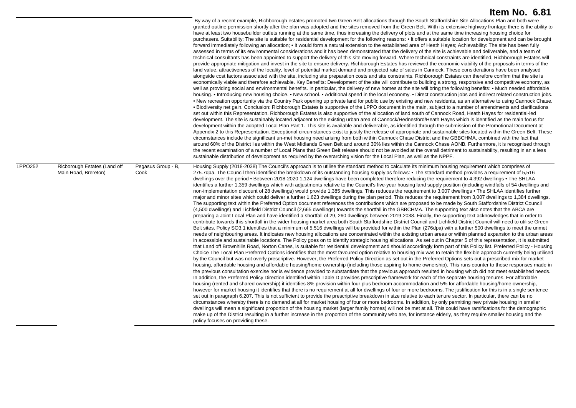|                |                                                      |                            | By way of a recent example, Richborough estates promoted two Green Belt allocations through the South Staffordshire Site Allocations Plan and both were<br>granted outline permission shortly after the plan was adopted and the sites removed from the Green Belt. With its extensive highway frontage there is the ability to<br>have at least two housebuilder outlets running at the same time, thus increasing the delivery of plots and at the same time increasing housing choice for<br>purchasers. Suitability: The site is suitable for residential development for the following reasons: • It offers a suitable location for development and can be brought<br>forward immediately following an allocation; • It would form a natural extension to the established area of Heath Hayes; Achievability: The site has been fully<br>assessed in terms of its environmental considerations and it has been demonstrated that the delivery of the site is achievable and deliverable, and a team of<br>technical consultants has been appointed to support the delivery of this site moving forward. Where technical constraints are identified, Richborough Estates will<br>provide appropriate mitigation and invest in the site to ensure delivery. Richborough Estates has reviewed the economic viability of the proposals in terms of the<br>land value, attractiveness of the locality, level of potential market demand and projected rate of sales in Cannock. These considerations have been analysed<br>alongside cost factors associated with the site, including site preparation costs and site constraints. Richborough Estates can therefore confirm that the site is<br>economically viable and therefore achievable. Key Benefits: Development of the site will contribute to building a strong, responsive and competitive economy, as<br>well as providing social and environmental benefits. In particular, the delivery of new homes at the site will bring the following benefits: • Much needed affordable<br>housing. • Introducing new housing choice. • New school. • Additional spend in the local economy. • Direct construction jobs and indirect related construction jobs.<br>. New recreation opportunity via the Country Park opening up private land for public use by existing and new residents, as an alternative to using Cannock Chase.<br>• Biodiversity net gain. Conclusion: Richborough Estates is supportive of the LPPO document in the main, subject to a number of amendments and clarifications<br>set out within this Representation. Richborough Estates is also supportive of the allocation of land south of Cannock Road, Heath Hayes for residential-led<br>development. The site is sustainably located adjacent to the existing urban area of Cannock/Hednesford/Heath Hayes which is identified as the main focus for<br>development within the adopted Local Plan Part 1. This site is available and deliverable, as identified through the submission of the Promotional Document at<br>Appendix 2 to this Representation. Exceptional circumstances exist to justify the release of appropriate and sustainable sites located within the Green Belt. These<br>circumstances include the significant un-met housing need arising from both within Cannock Chase District and the GBBCHMA, combined with the fact that<br>around 60% of the District lies within the West Midlands Green Belt and around 30% lies within the Cannock Chase AONB. Furthermore, it is recognised through<br>the recent examination of a number of Local Plans that Green Belt release should not be avoided at the overall detriment to sustainability, resulting in an a less<br>sustainable distribution of development as required by the overarching vision for the Local Plan, as well as the NPPF.                                                                                                                                                                                                                                                                                                                                                                                                          |
|----------------|------------------------------------------------------|----------------------------|--------------------------------------------------------------------------------------------------------------------------------------------------------------------------------------------------------------------------------------------------------------------------------------------------------------------------------------------------------------------------------------------------------------------------------------------------------------------------------------------------------------------------------------------------------------------------------------------------------------------------------------------------------------------------------------------------------------------------------------------------------------------------------------------------------------------------------------------------------------------------------------------------------------------------------------------------------------------------------------------------------------------------------------------------------------------------------------------------------------------------------------------------------------------------------------------------------------------------------------------------------------------------------------------------------------------------------------------------------------------------------------------------------------------------------------------------------------------------------------------------------------------------------------------------------------------------------------------------------------------------------------------------------------------------------------------------------------------------------------------------------------------------------------------------------------------------------------------------------------------------------------------------------------------------------------------------------------------------------------------------------------------------------------------------------------------------------------------------------------------------------------------------------------------------------------------------------------------------------------------------------------------------------------------------------------------------------------------------------------------------------------------------------------------------------------------------------------------------------------------------------------------------------------------------------------------------------------------------------------------------------------------------------------------------------------------------------------------------------------------------------------------------------------------------------------------------------------------------------------------------------------------------------------------------------------------------------------------------------------------------------------------------------------------------------------------------------------------------------------------------------------------------------------------------------------------------------------------------------------------------------------------------------------------------------------------------------------------------------------------------------------------------------------------------------------------------------------------------------------------------------------------------------------------------------------------------------------------------------------------------------------------------------------------------------------------------------------------------------------------------------------------------------------------------------------------------------------------------------------------------------------------------------------------------------------------------------------------------------------------------------------------------------------------------------------------------------------------------------------------------------------------------------------------------------------------------------------------------------------------------------------------|
| <b>LPPO252</b> | Ricborough Estates (Land off<br>Main Road, Brereton) | Pegasus Group - B,<br>Cook | Housing Supply (2018-2038) The Council's approach is to utilise the standard method to calculate its minimum housing requirement which comprises of<br>275.7dpa. The Council then identified the breakdown of its outstanding housing supply as follows: • The standard method provides a requirement of 5,516<br>dwellings over the period • Between 2018-2020 1,124 dwellings have been completed therefore reducing the requirement to 4,392 dwellings • The SHLAA<br>identifies a further 1,359 dwellings which with adjustments relative to the Council's five-year housing land supply position (including windfalls of 54 dwellings and<br>non-implementation discount of 28 dwellings) would provide 1,385 dwellings. This reduces the requirement to 3,007 dwellings • The SHLAA identifies further<br>major and minor sites which could deliver a further 1,623 dwellings during the plan period. This reduces the requirement from 3,007 dwellings to 1,384 dwellings.<br>The supporting text within the Preferred Option document references the contributions which are proposed to be made by South Staffordshire District Council<br>(4,500 dwellings) and Lichfield District Council (2,665 dwellings) towards the shortfall in the GBBCHMA. The supporting text also notes that the ABCA are<br>preparing a Joint Local Plan and have identified a shortfall of 29, 260 dwellings between 2019-2038. Finally, the supporting text acknowledges that in order to<br>contribute towards this shortfall in the wider housing market area both South Staffordshire District Council and Lichfield District Council will need to utilise Green<br>Belt sites. Policy SO3.1 identifies that a minimum of 5,516 dwellings will be provided for within the Plan (276dpa) with a further 500 dwellings to meet the unmet<br>needs of neighbouring areas. It indicates new housing allocations are concentrated within the existing urban areas or within planned expansion to the urban areas<br>in accessible and sustainable locations. The Policy goes on to identify strategic housing allocations. As set out in Chapter 5 of this representation, it is submitted<br>that Land off Brownhills Road, Norton Canes, is suitable for residential development and should accordingly form part of this Policy list. Preferred Policy - Housing<br>Choice The Local Plan Preferred Options identifies that the most favoured option relative to housing mix was to retain the flexible approach currently being utilised<br>by the Council but was not overly prescriptive. However, the Preferred Policy Direction as set out in the Preferred Options sets out a prescribed mix for market<br>housing, affordable housing and affordable housing/home ownership (including those aspiring to home ownership). This runs counter to those responses made in<br>the previous consultation exercise nor is evidence provided to substantiate that the previous approach resulted in housing which did not meet established needs.<br>In addition, the Preferred Policy Direction identified within Table D provides prescriptive framework for each of the separate housing tenures. For affordable<br>housing (rented and shared ownership) it identifies 8% provision within four plus bedroom accommodation and 5% for affordable housing/home ownership,<br>however for market housing it identifies that there is no requirement at all for dwellings of four or more bedrooms. The justification for this is in a single sentence<br>set out in paragraph 6.207. This is not sufficient to provide the prescriptive breakdown in size relative to each tenure sector. In particular, there can be no<br>circumstances whereby there is no demand at all for market housing of four or more bedrooms. In addition, by only permitting new private housing in smaller<br>dwellings will mean a significant proportion of the housing market (larger family homes) will not be met at all. This could have ramifications for the demographic<br>make up of the District resulting in a further increase in the proportion of the community who are, for instance elderly, as they require smaller housing and the<br>policy focuses on providing these. |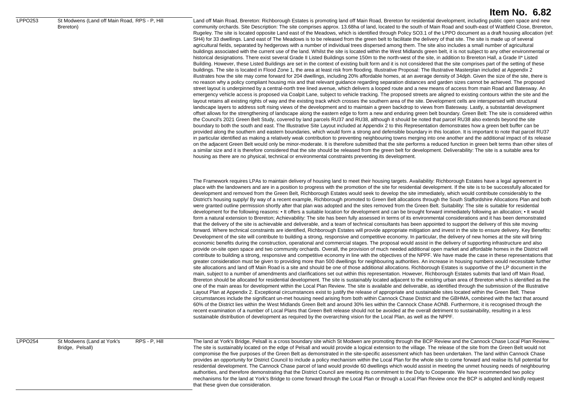#### LPPO253 St Modwens (Land off Main Road, RPS - P. Hill Brereton)

## **Item No. 6.82**

Land off Main Road, Brereton: Richborough Estates is promoting land off Main Road, Brereton for residential development, including public open space and new community orchards. Site Description: The site comprises approx. 13.68ha of land, located to the south of Main Road and south-east of Wattfield Close, Brereton, Rugeley. The site is located opposite Land east of the Meadows, which is identified through Policy SO3.1 of the LPPO document as a draft housing allocation (ref: SH4) for 33 dwellings. Land east of The Meadows is to be released from the green belt to facilitate the delivery of that site. The site is made up of several agricultural fields, separated by hedgerows with a number of individual trees dispersed among them. The site also includes a small number of agricultural buildings associated with the current use of the land. Whilst the site is located within the West Midlands green belt, it is not subject to any other environmental or historical designations. There exist several Grade II Listed Buildings some 150m to the north-west of the site, in addition to Brereton Hall, a Grade II\* Listed Building. However, these Listed Buildings are set in the context of existing built form and it is not considered that the site comprises part of the setting of these buildings. The site is located in Flood Zone 1, the area at least risk from flooding. Illustrative Proposal: The Illustrative Masterplan included at Appendix 2 illustrates how the site may come forward for 204 dwellings, including 20% affordable homes, at an average density of 34dph. Given the size of the site, there is no reason why a policy compliant housing mix and that relevant guidance regarding separation distances and garden sizes cannot be achieved. The proposed street layout is underpinned by a central-north tree lined avenue, which delivers a looped route and a new means of access from main Road and Batesway. An emergency vehicle access is proposed via Coalpit Lane, subject to vehicle tracking. The proposed streets are aligned to existing contours within the site and the layout retains all existing rights of way and the existing track which crosses the southern area of the site. Development cells are interspersed with structural landscape layers to address soft rising views of the development and to maintain a green backdrop to views from Batesway. Lastly, a substantial development offset allows for the strengthening of landscape along the eastern edge to form a new and enduring green belt boundary. Green Belt: The site is considered within the Council's 2021 Green Belt Study, covered by land parcels RU37 and RU38, although it should be noted that parcel RU38 also extends beyond the site boundary to both the south and east. The Illustrative Site Layout included at Appendix 2 to this Representation demonstrates how a green belt buffer can be provided along the southern and eastern boundaries, which would form a strong and defensible boundary in this location. It is important to note that parcel RU37 in particular identified as making a relatively weak contribution to preventing neighbouring towns merging into one another and the additional impact of its release on the adjacent Green Belt would only be minor-moderate. It is therefore submitted that the site performs a reduced function in green belt terms than other sites of a similar size and it is therefore considered that the site should be released from the green belt for development. Deliverability: The site is a suitable area for housing as there are no physical, technical or environmental constraints preventing its development.

The Framework requires LPAs to maintain delivery of housing land to meet their housing targets. Availability: Richborough Estates have a legal agreement in place with the landowners and are in a position to progress with the promotion of the site for residential development. If the site is to be successfully allocated for development and removed from the Green Belt, Richborough Estates would seek to develop the site immediately, which would contribute considerably to the District's housing supply/ By way of a recent example, Richborough promoted to Green Belt allocations through the South Staffordshire Allocations Plan and both were granted outline permission shortly after that plan was adopted and the sites removed from the Green Belt. Suitability: The site is suitable for residential development for the following reasons: • It offers a suitable location for development and can be brought forward immediately following an allocation; • It would form a natural extension to Brereton; Achievability: The site has been fully assessed in terms of its environmental considerations and it has been demonstrated that the delivery of the site is achievable and deliverable, and a team of technical consultants has been appointed to support the delivery of this site moving forward. Where technical constraints are identified, Richborough Estates will provide appropriate mitigation and invest in the site to ensure delivery. Key Benefits: Development of the site will contribute to building a strong, responsive and competitive economy. In particular, the delivery of new homes at the site will bring economic benefits during the construction, operational and commercial stages. The proposal would assist in the delivery of supporting infrastructure and also provide on-site open space and two community orchards. Overall, the provision of much needed additional open market and affordable homes in the District will contribute to building a strong, responsive and competitive economy in line with the objectives of the NPPF. We have made the case in these representations that greater consideration must be given to providing more than 500 dwellings for neighbouring authorities. An increase in housing numbers would necessitate further site allocations and land off Main Road is a site and should be one of those additional allocations. Richborough Estates is supportive of the LP document in the main, subject to a number of amendments and clarifications set out within this representation. However, Richborough Estates submits that land off Main Road, Brereton should be allocated for residential development. The site is sustainably located adjacent to the existing urban area of Brereton which is identified as the one of the main areas for development within the Local Plan Review. The site is available and deliverable, as identified through the submission of the Illustrative Layout Plan at Appendix 2. Exceptional circumstances exist to justify the release of appropriate and sustainable sites located within the Green Belt. These circumstances include the significant un-met housing need arising from both within Cannock Chase District and the GBHMA, combined with the fact that around 60% of the District lies within the West Midlands Green Belt and around 30% lies within the Cannock Chase AONB. Furthermore, it is recognised through the recent examination of a number of Local Plans that Green Belt release should not be avoided at the overall detriment to sustainability, resulting in a less sustainable distribution of development as required by the overarching vision for the Local Plan, as well as the NPPF.

LPPO254 St Modwens (Land at York's

Bridge, Pelsall)

RPS - P. Hill The land at York's Bridge, Pelsall is a cross boundary site which St Modwen are promoting through the BCP Review and the Cannock Chase Local Plan Review The site is sustainably located on the edge of Pelsall and would provide a logical extension to the village. The release of the site from the Green Belt would not compromise the five purposes of the Green Belt as demonstrated in the site-specific assessment which has been undertaken. The land within Cannock Chase provides an opportunity for District Council to include a policy mechanism within the Local Plan for the whole site to come forward and realise its full potential for residential development. The Cannock Chase parcel of land would provide 60 dwellings which would assist in meeting the unmet housing needs of neighbouring authorities, and therefore demonstrating that the District Council are meeting its commitment to the Duty to Cooperate. We have recommended two policy mechanisms for the land at York's Bridge to come forward through the Local Plan or through a Local Plan Review once the BCP is adopted and kindly request that these given due consideration.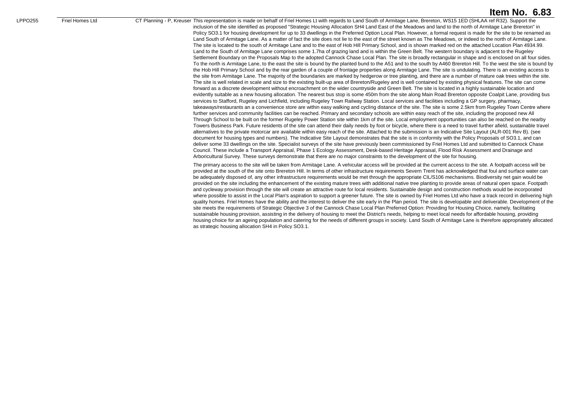LPPO255 Friel Homes Ltd CT Planning - P, Kreuser This representation is made on behalf of Friel Homes Lt with regards to Land South of Armitage Lane, Brereton, WS15 1ED (SHLAA ref R32). Support the inclusion of the site identified as proposed "Strategic Housing Allocation SH4 Land East of the Meadows and land to the north of Armitage Lane Brereton" in Policy SO3.1 for housing development for up to 33 dwellings in the Preferred Option Local Plan. However, a formal request is made for the site to be renamed as Land South of Armitage Lane. As a matter of fact the site does not lie to the east of the street known as The Meadows, or indeed to the north of Armitage Lane. The site is located to the south of Armitage Lane and to the east of Hob Hill Primary School, and is shown marked red on the attached Location Plan 4934.99. Land to the South of Armitage Lane comprises some 1.7ha of grazing land and is within the Green Belt. The western boundary is adjacent to the Rugeley Settlement Boundary on the Proposals Map to the adopted Cannock Chase Local Plan. The site is broadly rectangular in shape and is enclosed on all four sides. To the north is Armitage Lane, to the east the site is bound by the planted bund to the A51 and to the south by A460 Brereton Hill. To the west the site is bound by the Hob Hill Primary School and by the rear garden of a couple of frontage properties along Armitage Lane. The site is undulating. There is an existing access to the site from Armitage Lane. The majority of the boundaries are marked by hedgerow or tree planting, and there are a number of mature oak trees within the site. The site is well related in scale and size to the existing built-up area of Brereton/Rugeley and is well contained by existing physical features. The site can come forward as a discrete development without encroachment on the wider countryside and Green Belt. The site is located in a highly sustainable location and evidently suitable as a new housing allocation. The nearest bus stop is some 450m from the site along Main Road Brereton opposite Coalpit Lane, providing bus services to Stafford, Rugeley and Lichfield, including Rugeley Town Railway Station. Local services and facilities including a GP surgery, pharmacy, takeaways/restaurants an a convenience store are within easy walking and cycling distance of the site. The site is some 2.5km from Rugeley Town Centre where further services and community facilities can be reached. Primary and secondary schools are within easy reach of the site, including the proposed new All Through School to be built on the former Rugeley Power Station site within 1km of the site. Local employment opportunities can also be reached on the nearby Towers Business Park. Future residents of the site can attend their daily needs by foot or bicycle, where there is a need to travel further afield, sustainable travel alternatives to the private motorcar are available within easy reach of the site. Attached to the submission is an Indicative Site Layout (ALR-001 Rev B). (see document for housing types and numbers). The Indicative Site Layout demonstrates that the site is in conformity with the Policy Proposals of SO3.1, and can deliver some 33 dwellings on the site. Specialist surveys of the site have previously been commissioned by Friel Homes Ltd and submitted to Cannock Chase Council. These include a Transport Appraisal, Phase 1 Ecology Assessment, Desk-based Heritage Appraisal, Flood Risk Assessment and Drainage and Arboricultural Survey. These surveys demonstrate that there are no major constraints to the development of the site for housing.

> The primary access to the site will be taken from Armitage Lane. A vehicular access will be provided at the current access to the site. A footpath access will be provided at the south of the site onto Brereton Hill. In terms of other infrastructure requirements Severn Trent has acknowledged that foul and surface water can be adequately disposed of, any other infrastructure requirements would be met through the appropriate CIL/S106 mechanisms. Biodiversity net gain would be provided on the site including the enhancement of the existing mature trees with additional native tree planting to provide areas of natural open space. Footpath and cycleway provision through the site will create an attractive route for local residents. Sustainable design and construction methods would be incorporated where possible to assist in the Local Plan's aspiration to support a greener future. The site is owned by Friel Homes Ltd who have a track record in delivering high quality homes. Friel Homes have the ability and the interest to deliver the site early in the Plan period. The site is developable and deliverable. Development of the site meets the requirements of Strategic Objective 3 of the Cannock Chase Local Plan Preferred Option: Providing for Housing Choice, namely, facilitating sustainable housing provision, assisting in the delivery of housing to meet the District's needs, helping to meet local needs for affordable housing, providing housing choice for an ageing population and catering for the needs of different groups in society. Land South of Armitage Lane is therefore appropriately allocated as strategic housing allocation SH4 in Policy SO3.1.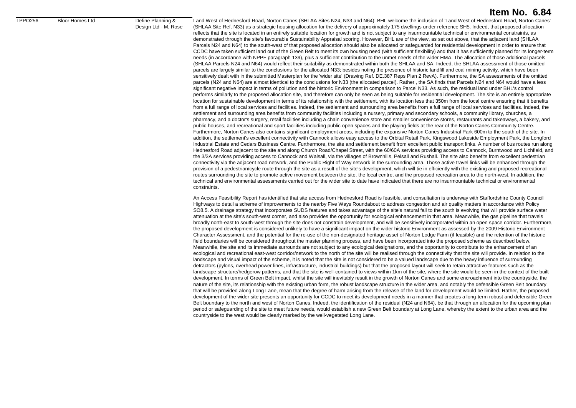#### LPPO256 Bloor Homes Ltd Define Planning &

Design Ltd - M, Rose

### **Item No. 6.84**

Land West of Hednesford Road, Norton Canes (SHLAA Sites N24, N33 and N64): BHL welcome the inclusion of 'Land West of Hednesford Road, Norton Canes' (SHLAA Site Ref. N33) as a strategic housing allocation for the delivery of approximately 175 dwellings under reference SH5. Indeed, that proposed allocation reflects that the site is located in an entirely suitable location for growth and is not subject to any insurmountable technical or environmental constraints, as demonstrated through the site's favourable Sustainability Appraisal scoring. However, BHL are of the view, as set out above, that the adjacent land (SHLAA Parcels N24 and N64) to the south-west of that proposed allocation should also be allocated or safeguarded for residential development in order to ensure that CCDC have taken sufficient land out of the Green Belt to meet its own housing need (with sufficient flexibility) and that it has sufficiently planned for its longer-term needs (in accordance with NPPF paragraph 139), plus a sufficient contribution to the unmet needs of the wider HMA. The allocation of those additional parcels (SHLAA Parcels N24 and N64) would reflect their suitability as demonstrated within both the SHLAA and SA. Indeed, the SHLAA assessment of those omitted parcels are largely similar to the conclusions for the allocated N33; besides noting the presence of historic landfill and coal mining activity, which have been sensitively dealt with in the submitted Masterplan for the 'wider site' (Drawing Ref. DE.387 Reps Plan 2 RevA). Furthermore, the SA assessments of the omitted parcels (N24 and N64) are almost identical to the conclusions for N33 (the allocated parcel). Rather, the SA finds that Parcels N24 and N64 would have a less significant negative impact in terms of pollution and the historic Environment in comparison to Parcel N33. As such, the residual land under BHL's control performs similarly to the proposed allocation site, and therefore can only be seen as being suitable for residential development. The site is an entirely appropriate location for sustainable development in terms of its relationship with the settlement, with its location less that 350m from the local centre ensuring that it benefits from a full range of local services and facilities. Indeed, the settlement and surrounding area benefits from a full range of local services and facilities. Indeed, the settlement and surrounding area benefits from community facilities including a nursery, primary and secondary schools, a community library, churches, a pharmacy, and a doctor's surgery, retail facilities including a chain convenience store and smaller convenience stores, restaurants and takeaways, a bakery, and public houses, and recreational and sport facilities including public open spaces and the playing fields at the rear of the Norton Canes Community Centre. Furthermore, Norton Canes also contains significant employment areas, including the expansive Norton Canes Industrial Park 600m to the south of the site. In addition, the settlement's excellent connectivity with Cannock allows easy access to the Orbital Retail Park, Kingswood Lakeside Employment Park, the Longford Industrial Estate and Cedars Business Centre. Furthermore, the site and settlement benefit from excellent public transport links. A number of bus routes run along Hednesford Road adjacent to the site and along Church Road/Chapel Street, with the 60/60A services providing access to Cannock, Burntwood and Lichfield, and the 3/3A services providing access to Cannock and Walsall, via the villages of Brownhills, Pelsall and Rushall. The site also benefits from excellent pedestrian connectivity via the adjacent road network, and the Public Right of Way network in the surrounding area. Those active travel links will be enhanced through the provision of a pedestrian/cycle route through the site as a result of the site's development, which will tie in efficiently with the existing and proposed recreational routes surrounding the site to promote active movement between the site, the local centre, and the proposed recreation area to the north-west. In addition, the technical and environmental assessments carried out for the wider site to date have indicated that there are no insurmountable technical or environmental constraints.

An Access Feasibility Report has identified that site access from Hednesford Road is feasible, and consultation is underway with Staffordshire County Council Highways to detail a scheme of improvements to the nearby Five Ways Roundabout to address congestion and air quality matters in accordance with Policy SO8.5. A drainage strategy that incorporates SUDS features and takes advantage of the site's natural fall to the south is evolving that will provide surface water attenuation at the site's south-west corner, and also provides the opportunity for ecological enhancement in that area. Meanwhile, the gas pipeline that travels broadly north-east to south-west through the site does not constrain development, and will be sensitively incorporated within an open space corridor. Furthermore, the proposed development is considered unlikely to have a significant impact on the wider historic Environment as assessed by the 2009 Historic Environment Character Assessment, and the potential for the re-use of the non-designated heritage asset of Norton Lodge Farm (if feasible) and the retention of the historic field boundaries will be considered throughout the master planning process, and have been incorporated into the proposed scheme as described below. Meanwhile, the site and its immediate surrounds are not subject to any ecological designations, and the opportunity to contribute to the enhancement of an ecological and recreational east-west corridor/network to the north of the site will be realised through the connectivity that the site will provide. In relation to the landscape and visual impact of the scheme, it is noted that the site is not considered to be a valued landscape due to the heavy influence of surrounding detractors (pylons, overhead power lines, infrastructure, industrial buildings) but that the proposed layout will seek to retain attractive features such as the landscape structure/hedgerow patterns, and that the site is well-contained to views within 1km of the site, where the site would be seen in the context of the built development. In terms of Green Belt impact, whilst the site will inevitably result in the growth of Norton Canes and some encroachment into the countryside, the nature of the site, its relationship with the existing urban form, the robust landscape structure in the wider area, and notably the defensible Green Belt boundary that will be provided along Long Lane, mean that the degree of harm arising from the release of the land for development would be limited. Rather, the proposed development of the wider site presents an opportunity for CCDC to meet its development needs in a manner that creates a long-term robust and defensible Green Belt boundary to the north and west of Norton Canes. Indeed, the identification of the residual (N24 and N64), be that through an allocation for the upcoming plan period or safeguarding of the site to meet future needs, would establish a new Green Belt boundary at Long Lane, whereby the extent to the urban area and the countryside to the west would be clearly marked by the well-vegetated Long Lane.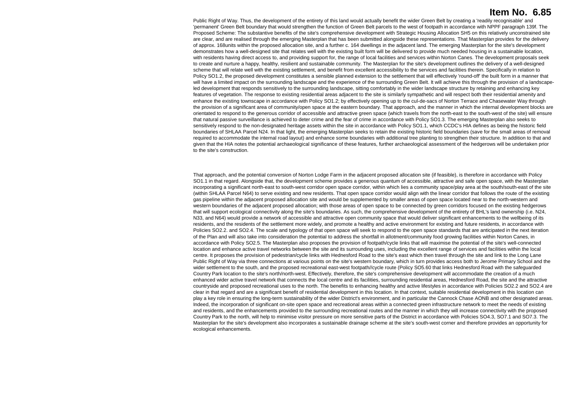Public Right of Way. Thus, the development of the entirety of this land would actually benefit the wider Green Belt by creating a 'readily recognisable' and 'permanent' Green Belt boundary that would strengthen the function of Green Belt parcels to the west of footpath in accordance with NPPF paragraph 139f. The Proposed Scheme: The substantive benefits of the site's comprehensive development with Strategic Housing Allocation SH5 on this relatively unconstrained site are clear, and are realised through the emerging Masterplan that has been submitted alongside these representations. That Masterplan provides for the delivery of approx. 168units within the proposed allocation site, and a further c. 164 dwellings in the adjacent land. The emerging Masterplan for the site's development demonstrates how a well-designed site that relates well with the existing built form will be delivered to provide much needed housing in a sustainable location, with residents having direct access to, and providing support for, the range of local facilities and services within Norton Canes. The development proposals seek to create and nurture a happy, healthy, resilient and sustainable community. The Masterplan for the site's development outlines the delivery of a well-designed scheme that will relate well with the existing settlement, and benefit from excellent accessibility to the services and facilities therein. Specifically in relation to Policy SO1.2, the proposed development constitutes a sensible planned extension to the settlement that will effectively 'round-off' the built form in a manner that will have a limited impact on the surrounding landscape and the experience of the surrounding Green Belt. It will achieve this through the provision of a landscapeled development that responds sensitively to the surrounding landscape, sitting comfortably in the wider landscape structure by retaining and enhancing key features of vegetation. The response to existing residential areas adjacent to the site is similarly sympathetic and will respect both their residential amenity and enhance the existing townscape in accordance with Policy SO1.2; by effectively opening up to the cul-de-sacs of Norton Terrace and Chasewater Way through the provision of a significant area of community/open space at the eastern boundary. That approach, and the manner in which the internal development blocks are orientated to respond to the generous corridor of accessible and attractive green space (which travels from the north-east to the south-west of the site) will ensure that natural passive surveillance is achieved to deter crime and the fear of crime in accordance with Policy SO1.3. The emerging Masterplan also seeks to sensitively respond to the non-designated heritage assets within the site in accordance with Policy SO1.1, which CCDC's HIA defines as being the historic field boundaries of SHLAA Parcel N24. In that light, the emerging Masterplan seeks to retain the existing historic field boundaries (save for the small areas of removal required to accommodate the internal road layout) and enhance some boundaries with additional tree planting to strengthen their structure. In addition to that and given that the HIA notes the potential archaeological significance of these features, further archaeological assessment of the hedgerows will be undertaken prior to the site's construction.

That approach, and the potential conversion of Norton Lodge Farm in the adjacent proposed allocation site (if feasible), is therefore in accordance with Policy SO1.1 in that regard. Alongside that, the development scheme provides a generous quantum of accessible, attractive and safe open space, with the Masterplan incorporating a significant north-east to south-west corridor open space corridor, within which lies a community space/play area at the south/south-east of the site (within SHLAA Parcel N64) to serve existing and new residents. That open space corridor would align with the linear corridor that follows the route of the existing gas pipeline within the adjacent proposed allocation site and would be supplemented by smaller areas of open space located near to the north-western and western boundaries of the adjacent proposed allocation; with those areas of open space to be connected by green corridors focused on the existing hedgerows that will support ecological connectivity along the site's boundaries. As such, the comprehensive development of the entirety of BHL's land ownership (i.e. N24, N33, and N64) would provide a network of accessible and attractive open community space that would deliver significant enhancements to the wellbeing of its residents, and the residents of the settlement more widely, and promote a healthy and active environment for existing and future residents, in accordance with Policies SO2.2. and SO2.4. The scale and typology of that open space will seek to respond to the open space standards that are anticipated in the next iteration of the Plan and will also take into consideration the potential to address the shortfall in allotment/community food growing facilities within Norton Canes, in accordance with Policy SO2.5. The Masterplan also proposes the provision of footpath/cycle links that will maximise the potential of the site's well-connected location and enhance active travel networks between the site and its surrounding uses, including the excellent range of services and facilities within the local centre. It proposes the provision of pedestrian/cycle links with Hednesford Road to the site's east which then travel through the site and link to the Long Lane Public Right of Way via three connections at various points on the site's western boundary, which in turn provides access both to Jerome Primary School and the wider settlement to the south, and the proposed recreational east-west footpath//cycle route (Policy SO5.60 that links Hednesford Road with the safeguarded Country Park location to the site's north/north-west. Effectively, therefore, the site's comprehensive development will accommodate the creation of a much enhanced wider active travel network that connects the local centre and its facilities, surrounding residential areas, Hednesford Road, the site and the attractive countryside and proposed recreational uses to the north. The benefits to enhancing healthy and active lifestyles in accordance with Policies SO2.2 and SO2.4 are clear in that regard and are a significant benefit of residential development in this location. In that context, suitable residential development in this location can play a key role in ensuring the long-term sustainability of the wider District's environment, and in particular the Cannock Chase AONB and other designated areas. Indeed, the incorporation of significant on-site open space and recreational areas within a connected green infrastructure network to meet the needs of existing and residents, and the enhancements provided to the surrounding recreational routes and the manner in which they will increase connectivity with the proposed Country Park to the north, will help to minimise visitor pressure on more sensitive parts of the District in accordance with Policies SO4.3, SO7.1 and SO7.3. The Masterplan for the site's development also incorporates a sustainable drainage scheme at the site's south-west corner and therefore provides an opportunity for ecological enhancements.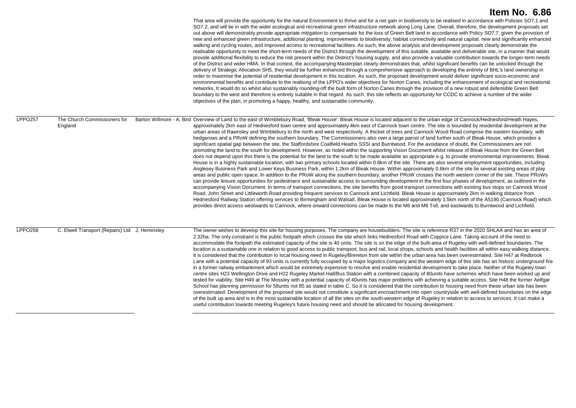|                     |                                                | That area will provide the opportunity for the natural Environment to thrive and for a net gain in biodiversity to be realised in accordance with Policies SO7.1 and<br>SO7.2, and will tie in with the wider ecological and recreational green infrastructure network along Long Lane. Overall, therefore, the development proposals set<br>out above will demonstrably provide appropriate mitigation to compensate for the loss of Green Belt land in accordance with Policy SO7.7, given the provision of<br>new and enhanced green infrastructure, additional planting, improvements to biodiversity, habitat connectivity and natural capital, new and significantly enhanced<br>walking and cycling routes, and improved access to recreational facilities. As such, the above analysis and development proposals clearly demonstrate the<br>realisable opportunity to meet the short-term needs of the District through the development of this suitable, available and deliverable site, in a manner that would<br>provide additional flexibility to reduce the risk present within the District's housing supply, and also provide a valuable contribution towards the longer-term needs<br>of the District and wider HMA. In that context, the accompanying Masterplan clearly demonstrates that, whilst significant benefits can be unlocked through the<br>delivery of Strategic Allocation SH5, they would be further enhanced through a comprehensive approach to developing the entirety of BHL's land ownership in<br>order to maximise the potential of residential development in this location. As such, the proposed development would deliver significant socio-economic and<br>environmental benefits and contribute to the realising of the LPPO's wider objectives for Norton Canes, including the enhancement of ecological and recreational<br>networks. It would do so whilst also sustainably rounding-off the built form of Norton Canes through the provision of a new robust and defensible Green Belt<br>boundary to the west and therefore is entirely suitable in that regard. As such, this site reflects an opportunity for CCDC to achieve a number of the wider<br>objectives of the plan, in promoting a happy, healthy, and sustainable community.                                                                                                                                                                               |
|---------------------|------------------------------------------------|---------------------------------------------------------------------------------------------------------------------------------------------------------------------------------------------------------------------------------------------------------------------------------------------------------------------------------------------------------------------------------------------------------------------------------------------------------------------------------------------------------------------------------------------------------------------------------------------------------------------------------------------------------------------------------------------------------------------------------------------------------------------------------------------------------------------------------------------------------------------------------------------------------------------------------------------------------------------------------------------------------------------------------------------------------------------------------------------------------------------------------------------------------------------------------------------------------------------------------------------------------------------------------------------------------------------------------------------------------------------------------------------------------------------------------------------------------------------------------------------------------------------------------------------------------------------------------------------------------------------------------------------------------------------------------------------------------------------------------------------------------------------------------------------------------------------------------------------------------------------------------------------------------------------------------------------------------------------------------------------------------------------------------------------------------------------------------------------------------------------------------------------------------------------------------------------------------------------------------------------------------------------------------------------------------------------------------------------------------------------------------------------------------------------------------------------------------------------------|
| LPPO <sub>257</sub> | The Church Commissioners for<br>England        | Barton Willmore - A, Bird Overview of Land to the east of Wimblebury Road, 'Bleak House': Bleak House is located adjacent to the urban edge of Cannock/Hednesford/Heath Hayes,<br>approximately 2km east of Hednesford town centre and approximately 4km east of Cannock town centre. The site is bounded by residential development at the<br>urban areas of Rawnsley and Wimblebury to the north and west respectively. A thicket of trees and Cannock Wood Road comprise the eastern boundary, with<br>hedgerows and a PRoW defining the southern boundary. The Commissioners also own a large parcel of land further south of Bleak House, which provides a<br>significant spatial gap between the site, the Staffordshire Coalfield Heaths SSSI and Burntwood. For the avoidance of doubt, the Commissioners are not<br>promoting the land to the south for development. However, as noted within the supporting Vision Document whilst release of Bleak House from the Green Belt<br>does not depend upon this there is the potential for the land to the south to be made available as appropriate e.g. to provide environmental improvements. Bleak<br>House is in a highly sustainable location, with two primary schools located within 0.8km of the site. There are also several employment opportunities, including<br>Anglesey Business Park and Lower Keys Business Park, within 1.2km of Bleak House. Within approximately 0.6km of the site lie several existing areas of play<br>areas and public open space. In addition to the PRoW along the southern boundary, another PRoW crosses the north western corner of the site. These PRoWs<br>can provide leisure opportunities for pedestrians and sustainable access to surrounding development in the first four phases of development, as outlined in the<br>accompanying Vision Document. In terms of transport connections, the site benefits from good transport connections with existing bus stops on Cannock Wood<br>Road, John Street and Littleworth Road providing frequent services to Cannock and Lichfield. Bleak House is approximately 2km in walking distance from<br>Hednesford Railway Station offering services to Birmingham and Walsall. Bleak House is located approximately 1.5km north of the A5190 (Cannock Road) which<br>provides direct access westwards to Cannock, where onward connections can be made to the M6 and M6 Toll, and eastwards to Burntwood and Lichfield. |
| <b>LPPO258</b>      | C. Elwell Transport (Repairs) Ltd J, Heminsley | The owner wishes to develop this site for housing purposes. The company are housebuilders. The site is reference R37 in the 2020 SHLAA and has an area of<br>2.32ha. The only constraint is the public footpath which crosses the site which links Hednesford Road with Coppice Lane. Taking account of the need to<br>accommodate the footpath the estimated capacity of the site is 40 units. The site is on the edge of the built-area of Rugeley with well-defined boundaries. The<br>location is a sustainable one in relation to good access to public transport, bus and rail, local shops, schools and health facilities all within easy walking distance.<br>It is considered that the contribution to local housing need in Rugeley/Brereton from site within the urban area has been overestimated. Site H47 at Redbrook<br>Lane with a potential capacity of 93 units is currently fully occupied by a major logistics company and the western edge of this site has an historic underground fire<br>in a former railway embankment which would be extremely expensive to resolve and enable residential development to take place. Neither of the Rugeley town<br>centre sites H23 Wellington Drive and H22 Rugeley Market Hall/Bus Station with a combined capacity of 80units have schemes which have been worked up and<br>tested for viability. Site H49 at The Mossley with a potential capacity of 40units has major problems with achieving a suitable access. Site H48 the former Aelfgar<br>School has planning permission for 58units not 85 as stated in table C. So it is considered that the contribution to housing need from these urban site has been<br>overestimated. Development of the proposed site would not constitute a significant encroachment into open countryside with well-defined boundaries on the edge<br>of the built up area and is in the most sustainable location of all the sites on the south-western edge of Rugeley in relation to access to services. It can make a<br>useful contribution towards meeting Rugeley's future housing need and should be allocated for housing development.                                                                                                                                                                                                                                                                                                                         |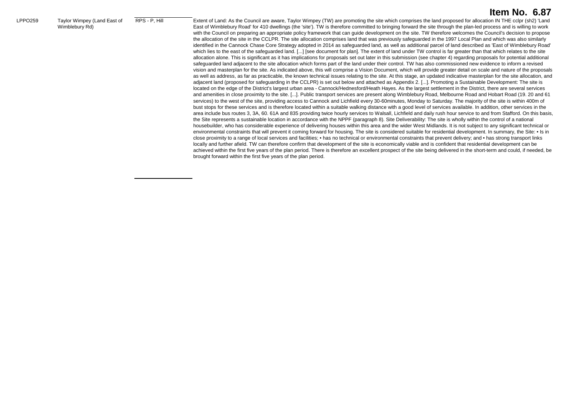|                |                                               |               | Item No. 6.87                                                                                                                                                                                                                                                                                                                                                                                                                                                                                                                                                                                                                                                                                                                                                                                                                                                                                                                                                                                                                                                                                                                                                                                                                                                                                                                                                                                                                                                                                                                                                                                                                                                                                                                                                                                                                                                                                                                                                                                                                                                                                                                                                                                                                                                                                                                                                                                                                                                                                                                                                                                                                                                                                                                                                                                                                                                                                                                                                                                                                                                                                                                                                                                                                                                                                                                                                                                                                                                                                                                                                                                                                                                                                                                                                                                                                                  |
|----------------|-----------------------------------------------|---------------|------------------------------------------------------------------------------------------------------------------------------------------------------------------------------------------------------------------------------------------------------------------------------------------------------------------------------------------------------------------------------------------------------------------------------------------------------------------------------------------------------------------------------------------------------------------------------------------------------------------------------------------------------------------------------------------------------------------------------------------------------------------------------------------------------------------------------------------------------------------------------------------------------------------------------------------------------------------------------------------------------------------------------------------------------------------------------------------------------------------------------------------------------------------------------------------------------------------------------------------------------------------------------------------------------------------------------------------------------------------------------------------------------------------------------------------------------------------------------------------------------------------------------------------------------------------------------------------------------------------------------------------------------------------------------------------------------------------------------------------------------------------------------------------------------------------------------------------------------------------------------------------------------------------------------------------------------------------------------------------------------------------------------------------------------------------------------------------------------------------------------------------------------------------------------------------------------------------------------------------------------------------------------------------------------------------------------------------------------------------------------------------------------------------------------------------------------------------------------------------------------------------------------------------------------------------------------------------------------------------------------------------------------------------------------------------------------------------------------------------------------------------------------------------------------------------------------------------------------------------------------------------------------------------------------------------------------------------------------------------------------------------------------------------------------------------------------------------------------------------------------------------------------------------------------------------------------------------------------------------------------------------------------------------------------------------------------------------------------------------------------------------------------------------------------------------------------------------------------------------------------------------------------------------------------------------------------------------------------------------------------------------------------------------------------------------------------------------------------------------------------------------------------------------------------------------------------------------------|
| <b>LPPO259</b> | Taylor Wimpey (Land East of<br>Wimblebury Rd) | RPS - P. Hill | Extent of Land: As the Council are aware, Taylor Wimpey (TW) are promoting the site which comprises the land proposed for allocation IN THE cclpr (sh2) 'Land<br>East of Wimblebury Road' for 410 dwellings (the 'site'). TW is therefore committed to bringing forward the site through the plan-led process and is willing to work<br>with the Council on preparing an appropriate policy framework that can guide development on the site. TW therefore welcomes the Council's decision to propose<br>the allocation of the site in the CCLPR. The site allocation comprises land that was previously safeguarded in the 1997 Local Plan and which was also similarly<br>identified in the Cannock Chase Core Strategy adopted in 2014 as safeguarded land, as well as additional parcel of land described as 'East of Wimblebury Road'<br>which lies to the east of the safeguarded land. [] [see document for plan]. The extent of land under TW control is far greater than that which relates to the site<br>allocation alone. This is significant as it has implications for proposals set out later in this submission (see chapter 4) regarding proposals for potential additional<br>safequarded land adjacent to the site allocation which forms part of the land under their control. TW has also commissioned new evidence to inform a revised<br>vision and masterplan for the site. As indicated above, this will comprise a Vision Document, which will provide greater detail on scale and nature of the proposals<br>as well as address, as far as practicable, the known technical issues relating to the site. At this stage, an updated indicative masterplan for the site allocation, and<br>adjacent land (proposed for safequarding in the CCLPR) is set out below and attached as Appendix 2. []. Promoting a Sustainable Development: The site is<br>located on the edge of the District's largest urban area - Cannock/Hednesford/Heath Hayes. As the largest settlement in the District, there are several services<br>and amenities in close proximity to the site. []. Public transport services are present along Wimblebury Road, Melbourne Road and Hobart Road (19. 20 and 61<br>services) to the west of the site, providing access to Cannock and Lichfield every 30-60minutes, Monday to Saturday. The majority of the site is within 400m of<br>bust stops for these services and is therefore located within a suitable walking distance with a good level of services available. In addition, other services in the<br>area include bus routes 3, 3A, 60. 61A and 835 providing twice hourly services to Walsall, Lichfield and daily rush hour service to and from Stafford. On this basis,<br>the Site represents a sustainable location in accordance with the NPPF (paragraph 8). Site Deliverability: The site is wholly within the control of a national<br>housebuilder, who has considerable experience of delivering houses within this area and the wider West Midlands. It is not subject to any significant technical or<br>environmental constraints that will prevent it coming forward for housing. The site is considered suitable for residential development. In summary, the Site: • Is in<br>close proximity to a range of local services and facilities: • has no technical or environmental constraints that prevent delivery; and • has strong transport links<br>locally and further afield. TW can therefore confirm that development of the site is economically viable and is confident that residential development can be<br>achieved within the first five years of the plan period. There is therefore an excellent prospect of the site being delivered in the short-term and could, if needed, be<br>brought forward within the first five years of the plan period. |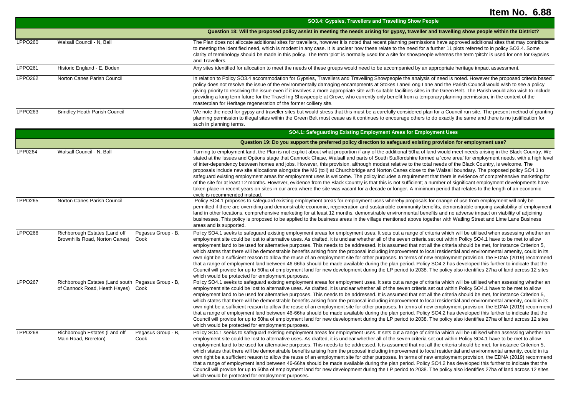|                |                                                                                          |                            | SO3.4: Gypsies, Travellers and Travelling Show People                                                                                                                                                                                                                                                                                                                                                                                                                                                                                                                                                                                                                                                                                                                                                                                                                                                                                                                                                                                                                                                                                                                                                                                       |
|----------------|------------------------------------------------------------------------------------------|----------------------------|---------------------------------------------------------------------------------------------------------------------------------------------------------------------------------------------------------------------------------------------------------------------------------------------------------------------------------------------------------------------------------------------------------------------------------------------------------------------------------------------------------------------------------------------------------------------------------------------------------------------------------------------------------------------------------------------------------------------------------------------------------------------------------------------------------------------------------------------------------------------------------------------------------------------------------------------------------------------------------------------------------------------------------------------------------------------------------------------------------------------------------------------------------------------------------------------------------------------------------------------|
|                |                                                                                          |                            | Question 18: Will the proposed policy assist in meeting the needs arising for gypsy, traveller and travelling show people within the District?                                                                                                                                                                                                                                                                                                                                                                                                                                                                                                                                                                                                                                                                                                                                                                                                                                                                                                                                                                                                                                                                                              |
| <b>LPPO260</b> | Walsall Council - N, Ball                                                                |                            | The Plan does not allocate additional sites for travellers, however it is noted that recent planning permissions have approved additional sites that may contribute<br>to meeting the identified need, which is modest in any case. It is unclear how these relate to the need for a further 11 plots referred to in policy SO3.4. Some<br>clarity of terminology should be made in this policy. The term 'plot' is normally used for a site for showpeople whereas the term 'pitch' is used for one for Gypsies<br>and Travellers.                                                                                                                                                                                                                                                                                                                                                                                                                                                                                                                                                                                                                                                                                                         |
| <b>LPPO261</b> | Historic England - E, Boden                                                              |                            | Any sites identified for allocation to meet the needs of these groups would need to be accompanied by an appropriate heritage impact assessment.                                                                                                                                                                                                                                                                                                                                                                                                                                                                                                                                                                                                                                                                                                                                                                                                                                                                                                                                                                                                                                                                                            |
| <b>LPPO262</b> | Norton Canes Parish Council                                                              |                            | In relation to Policy SO3.4 accommodation for Gypsies, Travellers and Travelling Showpeople the analysis of need is noted. However the proposed criteria based<br>policy does not resolve the issue of the environmentally damaging encampments at Stokes Lane/Long Lane and the Parish Council would wish to see a policy<br>giving priority to resolving the issue even if it involves a more appropriate site with suitable facilities sites in the Green Belt. The Parish would also wish to include<br>providing a long term future for the Travelling Showpeople at Grove, who currently only benefit from a temporary planning permission, in the context of the<br>masterplan for Heritage regeneration of the former colliery site.                                                                                                                                                                                                                                                                                                                                                                                                                                                                                                |
| LPPO263        | <b>Brindley Heath Parish Council</b>                                                     |                            | We note the need for gypsy and traveller sites but would stress that this must be a carefully considered plan for a Council run site. The present method of granting<br>planning permission to illegal sites within the Green Belt must cease as it continues to encourage others to do exactly the same and there is no justification for<br>such in planning terms.                                                                                                                                                                                                                                                                                                                                                                                                                                                                                                                                                                                                                                                                                                                                                                                                                                                                       |
|                |                                                                                          |                            | SO4.1: Safeguarding Existing Employment Areas for Employment Uses                                                                                                                                                                                                                                                                                                                                                                                                                                                                                                                                                                                                                                                                                                                                                                                                                                                                                                                                                                                                                                                                                                                                                                           |
|                |                                                                                          |                            | Question 19: Do you support the preferred policy direction to safeguard existing provision for employment use?                                                                                                                                                                                                                                                                                                                                                                                                                                                                                                                                                                                                                                                                                                                                                                                                                                                                                                                                                                                                                                                                                                                              |
| LPP0264        | Walsall Council - N, Ball                                                                |                            | Turning to employment land, the Plan is not explicit about what proportion if any of the additional 50ha of land would meet needs arising in the Black Country. We<br>stated at the Issues and Options stage that Cannock Chase, Walsall and parts of South Staffordshire formed a 'core area' for employment needs, with a high level<br>of inter-dependency between homes and jobs. However, this provision, although modest relative to the total needs of the Black Country, is welcome. The<br>proposals include new site allocations alongside the M6 (toll) at Churchbridge and Norton Canes close to the Walsall boundary. The proposed policy SO4.1 to<br>safeguard existing employment areas for employment uses is welcome. The policy includes a requirement that there is evidence of comprehensive marketing for<br>of the site for at least 12 months. However, evidence from the Black Country is that this is not sufficient; a number of significant employment developments have<br>taken place in recent years on sites in our area where the site was vacant for a decade or longer. A minimum period that relates to the length of an economic<br>cycle is recommended instead.                                       |
| <b>LPPO265</b> | Norton Canes Parish Council                                                              |                            | Policy SO4.1 proposes to safeguard existing employment areas for employment uses whereby proposals for change of use from employment will only be<br>permitted if there are overriding and demonstrable economic, regeneration and sustainable community benefits, demonstrable ongoing availability of employment<br>land in other locations, comprehensive marketing for at least 12 months, demonstrable environmental benefits and no adverse impact on viability of adjoining<br>businesses. This policy is proposed to be applied to the business areas in the village mentioned above together with Watling Street and Lime Lane Business<br>areas and is supported.                                                                                                                                                                                                                                                                                                                                                                                                                                                                                                                                                                 |
| <b>LPPO266</b> | Richborough Estates (Land off<br>Brownhills Road, Norton Canes)                          | Pegasus Group - B,<br>Cook | Policy SO4.1 seeks to safeguard existing employment areas for employment uses. It sets out a range of criteria which will be utilised when assessing whether an<br>employment site could be lost to alternative uses. As drafted, it is unclear whether all of the seven criteria set out within Policy SO4.1 have to be met to allow<br>employment land to be used for alternative purposes. This needs to be addressed. It is assumed that not all the criteria should be met, for instance Criterion 5,<br>which states that there will be demonstrable benefits arising from the proposal including improvement to local residential and environmental amenity, could in its<br>own right be a sufficient reason to allow the reuse of an employment site for other purposes. In terms of new employment provision, the EDNA (2019) recommend<br>that a range of employment land between 46-66ha should be made available during the plan period. Policy SO4.2 has developed this further to indicate that the<br>Council will provide for up to 50ha of employment land for new development during the LP period to 2038. The policy also identifies 27ha of land across 12 sites<br>which would be protected for employment purposes. |
| <b>LPPO267</b> | Richborough Estates (Land south Pegasus Group - B,<br>of Cannock Road, Heath Hayes) Cook |                            | Policy SO4.1 seeks to safeguard existing employment areas for employment uses. It sets out a range of criteria which will be utilised when assessing whether an<br>employment site could be lost to alternative uses. As drafted, it is unclear whether all of the seven criteria set out within Policy SO4.1 have to be met to allow<br>employment land to be used for alternative purposes. This needs to be addressed. It is assumed that not all the criteria should be met, for instance Criterion 5,<br>which states that there will be demonstrable benefits arising from the proposal including improvement to local residential and environmental amenity, could in its<br>own right be a sufficient reason to allow the reuse of an employment site for other purposes. In terms of new employment provision, the EDNA (2019) recommend<br>that a range of employment land between 46-66ha should be made available during the plan period. Policy SO4.2 has developed this further to indicate that the<br>Council will provide for up to 50ha of employment land for new development during the LP period to 2038. The policy also identifies 27ha of land across 12 sites<br>which would be protected for employment purposes. |
| <b>LPPO268</b> | Richborough Estates (Land off<br>Main Road, Brereton)                                    | Pegasus Group - B,<br>Cook | Policy SO4.1 seeks to safeguard existing employment areas for employment uses. It sets out a range of criteria which will be utilised when assessing whether an<br>employment site could be lost to alternative uses. As drafted, it is unclear whether all of the seven criteria set out within Policy SO4.1 have to be met to allow<br>employment land to be used for alternative purposes. This needs to be addressed. It is assumed that not all the criteria should be met, for instance Criterion 5,<br>which states that there will be demonstrable benefits arising from the proposal including improvement to local residential and environmental amenity, could in its<br>own right be a sufficient reason to allow the reuse of an employment site for other purposes. In terms of new employment provision, the EDNA (2019) recommend<br>that a range of employment land between 46-66ha should be made available during the plan period. Policy SO4.2 has developed this further to indicate that the<br>Council will provide for up to 50ha of employment land for new development during the LP period to 2038. The policy also identifies 27ha of land across 12 sites<br>which would be protected for employment purposes. |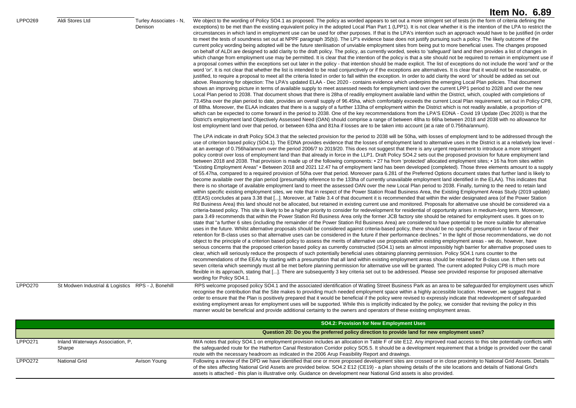|                |                                                    |                                   | Item No. 6.89                                                                                                                                                                                                                                                                                                                                                                                                                                                                                                                                                                                                                                                                                                                                                                                                                                                                                                                                                                                                                                                                                                                                                                                                                                                                                                                                                                                                                                                                                                                                                                                                                                                                                                                                                                                                                                                                                                                                                                                                                                                                                                                                                                                                                                                                                                                                                                                                                                                                                                                                                                                                                                                                                                                                                                                                                                                                                                                                                                                                                                                                                                                                                                                                                                                                                                                                                                                                                                                                                                                                                                                                                                                                                                                                                                                                                                                                                                      |
|----------------|----------------------------------------------------|-----------------------------------|--------------------------------------------------------------------------------------------------------------------------------------------------------------------------------------------------------------------------------------------------------------------------------------------------------------------------------------------------------------------------------------------------------------------------------------------------------------------------------------------------------------------------------------------------------------------------------------------------------------------------------------------------------------------------------------------------------------------------------------------------------------------------------------------------------------------------------------------------------------------------------------------------------------------------------------------------------------------------------------------------------------------------------------------------------------------------------------------------------------------------------------------------------------------------------------------------------------------------------------------------------------------------------------------------------------------------------------------------------------------------------------------------------------------------------------------------------------------------------------------------------------------------------------------------------------------------------------------------------------------------------------------------------------------------------------------------------------------------------------------------------------------------------------------------------------------------------------------------------------------------------------------------------------------------------------------------------------------------------------------------------------------------------------------------------------------------------------------------------------------------------------------------------------------------------------------------------------------------------------------------------------------------------------------------------------------------------------------------------------------------------------------------------------------------------------------------------------------------------------------------------------------------------------------------------------------------------------------------------------------------------------------------------------------------------------------------------------------------------------------------------------------------------------------------------------------------------------------------------------------------------------------------------------------------------------------------------------------------------------------------------------------------------------------------------------------------------------------------------------------------------------------------------------------------------------------------------------------------------------------------------------------------------------------------------------------------------------------------------------------------------------------------------------------------------------------------------------------------------------------------------------------------------------------------------------------------------------------------------------------------------------------------------------------------------------------------------------------------------------------------------------------------------------------------------------------------------------------------------------------------------------------------------------------|
| <b>LPPO269</b> | Aldi Stores Ltd                                    | Turley Associates - N.<br>Denison | We object to the wording of Policy SO4.1 as proposed. The policy as worded appears to set out a more stringent set of tests (in the form of criteria defining the<br>exceptions) to be met than the existing equivalent policy in the adopted Local Plan Part 1 (LPP1). It is not clear whether it is the intention of the LPA to restrict the<br>circumstances in which land in employment use can be used for other purposes. If that is the LPA's intention such an approach would have to be justified (in order<br>to meet the tests of soundness set out at NPPF paragraph 35(b)). The LP's evidence base does not justify pursuing such a policy. The likely outcome of the<br>current policy wording being adopted will be the future sterilisation of unviable employment sites from being put to more beneficial uses. The changes proposed<br>on behalf of ALDI are designed to add clarity to the draft policy. The policy, as currently worded, seeks to 'safeguard' land and then provides a list of changes in<br>which change from employment use may be permitted. It is clear that the intention of the policy is that a site should not be required to remain in employment use if<br>a proposal comes within the exceptions set out later in the policy - that intention should be made explicit. The list of exceptions do not include the word 'and' or the<br>word 'or'. It is not clear that whether the list is intended to be read conjunctively or if the exceptions are alternatives. It is clear that it would not be reasonable, or<br>justified, to require a proposal to meet all the criteria listed in order to fall within the exception. In order to add clarity the word 'or' should be added as set out<br>above. Reasoning for objection: The LPA's updated ELAA - Dec 2020 - contains evidence which underpins the emerging Local Plan policies. That document<br>shows an improving picture in terms of available supply to meet assessed needs for employment land over the current LPP1 period to 2028 and over the new<br>Local Plan period to 2038. That document shows that there is 28ha of readily employment available land within the District, which, coupled with completions of<br>73.45ha over the plan period to date, provides an overall supply of 96.45ha, which comfortably exceeds the current Local Plan requirement, set out in Policy CP8,<br>of 88ha. Moreover, the ELAA indicates that there is a supply of a further 133ha of employment within the District which is not readily available, a proportion of<br>which can be expected to come forward in the period to 2038. One of the key recommendations from the LPA'S EDNA - Covid 19 Update (Dec 2020) is that the<br>District's employment land Objectively Assessed Need (OAN) should comprise a range of between 48ha to 66ha between 2018 and 2038 with no allowance for<br>lost employment land over that period, or between 63ha and 81ha if losses are to be taken into account (at a rate of 0.756ha/annum).                                                                                                                                                                                                                                                                                                                                                                                                                                                                                                                                                                                                                                                                                                                                                                                                                                                                       |
|                |                                                    |                                   | The LPA indicate in draft Policy SO4.3 that the selected provision for the period to 2038 will be 50ha, with losses of employment land to be addressed through the<br>use of criterion based policy (SO4.1). The EDNA provides evidence that the losses of employment land to alternative uses in the District is at a relatively low level -<br>at an average of 0.756ha/annum over the period 2006/7 to 2019/20. This does not suggest that there is any urgent requirement to introduce a more stringent<br>policy control over loss of employment land than that already in force in the LLP1. Draft Policy SO4.2 sets out the proposed provision for future employment land<br>between 2018 and 2038. That provision is made up of the following components: • 27 ha from 'protected' allocated employment sites; • 16 ha from sites within<br>"Existing Employment Areas" • Between 2018 and 2021 12.47 ha of employment land has been developed (completed). Those three elements amount to a supply<br>of 55.47ha, compared to a required provision of 50ha over that period. Moreover para 6.281 of the Preferred Options document states that further land is likely to<br>become available over the plan period (presumably reference to the 133ha of currently unavailable employment land identified in the ELAA). This indicates that<br>there is no shortage of available employment land to meet the assessed OAN over the new Local Plan period to 2038. Finally, turning to the need to retain land<br>within specific existing employment sites, we note that in respect of the Power Station Road Business Area, the Existing Employment Areas Study (2019 update)<br>(EEAS) concludes at para 3.38 that []. Moreover, at Table 3.4 of that document it is recommended that within the wider designated area (of the Power Station<br>Rd Business Area) this land should not be allocated, but retained in existing current use and monitored. Proposals for alternative use should be considered via a<br>criteria-based policy. This site is likely to be a higher priority to consider for redevelopment for residential of opportunity arises in medium-long term. Moreover,<br>para 3.49 recommends that within the Power Station Rd Business Area only the former JCB factory site should be retained for employment uses. It goes on to<br>state that "a further 6 sites (including the remainder of the Power Station Rd Business Area) are considered to have potential to be more suitable for alternative<br>uses in the future. Whilst alternative proposals should be considered against criteria-based policy, there should be no specific presumption in favour of their<br>retention for B-class uses so that alternative uses can be considered in the future if their performance declines." In the light of those recommendations, we do not<br>object to the principle of a criterion based policy to assess the merits of alternative use proposals within existing employment areas - we do, however, have<br>serious concerns that the proposed criterion based policy as currently constructed (SO4.1) sets an almost impossibly high barrier for alternative proposed uses to<br>clear, which will seriously reduce the prospects of such potentially beneficial uses obtaining planning permission. Policy SO4.1 runs counter to the<br>recommendations of the EEAs by starting with a presumption that all land within existing employment areas should be retained for B-class use. It then sets out<br>seven criteria which seemingly must all be met before planning permission for alternative use will be granted. The current adopted Policy CP8 is much more<br>flexible in its approach, stating that []. There are subsequently 3 key criteria set out to be addressed. Please see provided response for proposed alternative<br>wording for Policy SO4.1. |
| LPPO270        | St Modwen Industrial & Logistics RPS - J, Bonehill |                                   | RPS welcome proposed policy SO4.1 and the associated identification of Watling Street Business Park as an area to be safeguarded for employment uses which<br>recognise the contribution that the Site makes to providing much needed employment space within a highly accessible location. However, we suggest that in<br>order to ensure that the Plan is positively prepared that it would be beneficial if the policy were revised to expressly indicate that redevelopment of safequarded<br>existing employment areas for employment uses will be supported. While this is implicitly indicated by the policy, we consider that revising the policy in this<br>manner would be beneficial and provide additional certainty to the owners and operators of these existing employment areas.                                                                                                                                                                                                                                                                                                                                                                                                                                                                                                                                                                                                                                                                                                                                                                                                                                                                                                                                                                                                                                                                                                                                                                                                                                                                                                                                                                                                                                                                                                                                                                                                                                                                                                                                                                                                                                                                                                                                                                                                                                                                                                                                                                                                                                                                                                                                                                                                                                                                                                                                                                                                                                                                                                                                                                                                                                                                                                                                                                                                                                                                                                                   |

|                |                                            |              | <b>SO4.2: Provision for New Employment Uses</b>                                                                                                                                                                                                                                                                                                                                                                                                               |
|----------------|--------------------------------------------|--------------|---------------------------------------------------------------------------------------------------------------------------------------------------------------------------------------------------------------------------------------------------------------------------------------------------------------------------------------------------------------------------------------------------------------------------------------------------------------|
|                |                                            |              | Question 20: Do you the preferred policy direction to provide land for new employment uses?                                                                                                                                                                                                                                                                                                                                                                   |
| <b>LPPO271</b> | Inland Waterways Association, P.<br>Sharpe |              | IWA notes that policy SO4.1 on employment provision includes an allocation in Table F of site E12. Any improved road access to this site potentially conflicts with<br>the safeguarded route for the Hatherton Canal Restoration Corridor policy SO5.5. It should be a development requirement that a bridge is provided over the canal<br>route with the necessary headroom as indicated in the 2006 Arup Feasibility Report and drawings.                   |
| <b>LPPO272</b> | National Grid                              | Avison Young | Following a review of the DPD we have identified that one or more proposed development sites are crossed or in close proximity to National Grid Assets. Details<br>of the sites affecting National Grid Assets are provided below. SO4.2 E12 (CE19) - a plan showing details of the site locations and details of National Grid's<br>assets is attached - this plan is illustrative only. Guidance on development near National Grid assets is also provided. |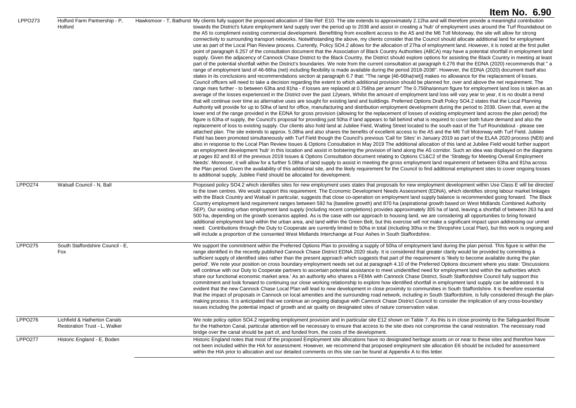|                |                                                               | Item No. 6.90                                                                                                                                                                                                                                                                                                                                                                                                                                                                                                                                                                                                                                                                                                                                                                                                                                                                                                                                                                                                                                                                                                                                                                                                                                                                                                                                                                                                                                                                                                                                                                                                                                                                                                                                                                                                                                                                                                                                                                                                                                                                                                                                                                                                                                                                                                                                                                                                                                                                                                                                                                                                                                                                                                                                                                                                                                                                                                                                                                                                                                                                                                                                                                                                                                                                                                                                                                                                                                                                                                                                                                                                                                                                                                                                                                                                                                                                                                                                                                                                                                                                                                                                                                                                                                                                                                                                           |
|----------------|---------------------------------------------------------------|---------------------------------------------------------------------------------------------------------------------------------------------------------------------------------------------------------------------------------------------------------------------------------------------------------------------------------------------------------------------------------------------------------------------------------------------------------------------------------------------------------------------------------------------------------------------------------------------------------------------------------------------------------------------------------------------------------------------------------------------------------------------------------------------------------------------------------------------------------------------------------------------------------------------------------------------------------------------------------------------------------------------------------------------------------------------------------------------------------------------------------------------------------------------------------------------------------------------------------------------------------------------------------------------------------------------------------------------------------------------------------------------------------------------------------------------------------------------------------------------------------------------------------------------------------------------------------------------------------------------------------------------------------------------------------------------------------------------------------------------------------------------------------------------------------------------------------------------------------------------------------------------------------------------------------------------------------------------------------------------------------------------------------------------------------------------------------------------------------------------------------------------------------------------------------------------------------------------------------------------------------------------------------------------------------------------------------------------------------------------------------------------------------------------------------------------------------------------------------------------------------------------------------------------------------------------------------------------------------------------------------------------------------------------------------------------------------------------------------------------------------------------------------------------------------------------------------------------------------------------------------------------------------------------------------------------------------------------------------------------------------------------------------------------------------------------------------------------------------------------------------------------------------------------------------------------------------------------------------------------------------------------------------------------------------------------------------------------------------------------------------------------------------------------------------------------------------------------------------------------------------------------------------------------------------------------------------------------------------------------------------------------------------------------------------------------------------------------------------------------------------------------------------------------------------------------------------------------------------------------------------------------------------------------------------------------------------------------------------------------------------------------------------------------------------------------------------------------------------------------------------------------------------------------------------------------------------------------------------------------------------------------------------------------------------------------------------------------------------|
| <b>LPPO273</b> | Holford Farm Partnership - P,<br>Holford                      | Hawksmoor - T, Bathurst My clients fully support the proposed allocation of Site Ref: E10. The site extends to approximately 2.12ha and will therefore provide a meaningful contribution<br>towards the District's future employment land supply over the period up to 2038 and assist in creating a 'hub' of employment uses around the Turf Roundabout on<br>the A5 to compliment existing commercial development. Benefitting from excellent access to the A5 and the M6 Toll Motorway, the site will allow for strong<br>connectivity to surrounding transport networks. Notwithstanding the above, my clients consider that the Council should allocate additional land for employment<br>use as part of the Local Plan Review process. Currently, Policy SO4.2 allows for the allocation of 27ha of employment land. However, it is noted at the first pullet<br>point of paragraph 6.257 of the consultation document that the Association of Black Country Authorities (ABCA) may have a potential shortfall in employment land<br>supply. Given the adjacency of Cannock Chase District to the Black Country, the District should explore options for assisting the Black Country in meeting at least<br>part of the potential shortfall within the District's boundaries. We note from the current consultation at paragraph 6.276 that the EDNA (2020) recommends that "a<br>range of employment land of 46-66ha (net) including flexibility is made available during the period 2018-2038". However, the EDNA (2020) document itself also<br>states in its conclusions and recommendations section at paragraph 6.7 that: "The range [46-66ha(net)] makes no allowance for the replacement of losses.<br>Council officers will need to take a decision regarding the extent to which additional provision should be planned for, over and above the net requirement. The<br>range rises further - to between 63ha and 81ha - if losses are replaced at 0.756ha per annum" The 0.756ha/annum figure for employment land loss is taken as an<br>average of the losses experienced in the District over the past 12years, Whilst the amount of employment land loss will vary year to year, it is no doubt a trend<br>that will continue over time as alternative uses are sought for existing land and buildings. Preferred Options Draft Policy SO4.2 states that the Local Planning<br>Authority will provide for up to 50ha of land for office, manufacturing and distribution employment development during the period to 2038. Given that, even at the<br>lower end of the range provided in the EDNA for gross provision (allowing for the replacement of losses of existing employment land across the plan period) the<br>figure is 63ha of supply, the Council's proposal for providing just 50ha if land appears to fall behind what is required to cover both future demand and also the<br>replacement of loss to existing supply. Our clients also hold land at Jubilee Field, Watling Street located to the south east of the Turf Roundabout - please see<br>attached plan. The site extends to approx. 5.08ha and also shares the benefits of excellent access to the A5 and the M6 Toll Motorway with Turf Field. Jubilee<br>Field has been promoted simultaneously with Turf Field though the Council's previous 'Call for Sites' in January 2019 as part of the ELAA 2020 process (NE6) and<br>also in response to the Local Plan Review Issues & Options Consultation in May 2019 The additional allocation of this land at Jubilee Field would further support<br>an employment development 'hub' in this location and assist in bolstering the provision of land along the A5 corridor. Such an idea was displayed on the diagrams<br>at pages 82 and 83 of the previous 2019 Issues & Options Consultation document relating to Options C1&C2 of the 'Strategy for Meeting Overall Employment<br>Needs'. Moreover, it will allow for a further 5.08ha of land supply to assist in meeting the gross employment land requirement of between 63ha and 81ha across<br>the Plan period. Given the availability of this additional site, and the likely requirement for the Council to find additional employment sites to cover ongoing losses<br>to additional supply, Jubilee Field should be allocated for development. |
| <b>LPPO274</b> | Walsall Council - N, Ball                                     | Proposed policy SO4.2 which identifies sites for new employment uses states that proposals for new employment development within Use Class E will be directed<br>to the town centres. We would support this requirement. The Economic Development Needs Assessment (EDNA), which identifies strong labour market linkages<br>with the Black Country and Walsall in particular, suggests that close co-operation on employment land supply balance is recommended going forward. The Black<br>Country employment land requirement ranges between 592 ha (baseline growth) and 870 ha (aspirational growth based on West Midlands Combined Authority<br>SEP). Our existing urban employment land supply (including recent completions) provides approximately 305 ha of land, leaving a shortfall of between 263 ha and<br>500 ha, depending on the growth scenarios applied. As is the case with our approach to housing land, we are considering all opportunities to bring forward<br>additional employment land within the urban area, and land within the Green Belt, but this exercise will not make a significant impact upon addressing our unmet<br>need. Contributions through the Duty to Cooperate are currently limited to 50ha in total (including 30ha in the Shropshire Local Plan), but this work is ongoing and<br>will include a proportion of the consented West Midlands Interchange at Four Ashes in South Staffordshire.                                                                                                                                                                                                                                                                                                                                                                                                                                                                                                                                                                                                                                                                                                                                                                                                                                                                                                                                                                                                                                                                                                                                                                                                                                                                                                                                                                                                                                                                                                                                                                                                                                                                                                                                                                                                                                                                                                                                                                                                                                                                                                                                                                                                                                                                                                                                                                                                                                                                                                                                                                                                                                                                                                                                                                                                                                                                                                           |
| <b>LPPO275</b> | South Staffordshire Council - E,<br>Fox                       | We support the commitment within the Preferred Options Plan to providing a supply of 50ha of employment land during the plan period. This figure is within the<br>range identified in the recently published Cannock Chase District EDNA 2020 study. It is considered that greater clarity would be provided by committing a<br>sufficient supply of identified sites rather than the present approach which suggests that part of the requirement is 'likely to become available during the plan<br>period'. We note your position on cross boundary employment needs set out at paragraph 4.10 of the Preferred Options document where you state: 'Discussions<br>will continue with our Duty to Cooperate partners to ascertain potential assistance to meet unidentified need for employment land within the authorities which<br>share our functional economic market area.' As an authority who shares a FEMA with Cannock Chase District, South Staffordshire Council fully support this<br>commitment and look forward to continuing our close working relationship to explore how identified shortfall in employment land supply can be addressed. It is<br>evident that the new Cannock Chase Local Plan will lead to new development in close proximity to communities in South Staffordshire. It is therefore essential<br>that the impact of proposals in Cannock on local amenities and the surrounding road network, including in South Staffordshire, is fully considered through the plan-<br>making process. It is anticipated that we continue an ongoing dialogue with Cannock Chase District Council to consider the implication of any cross-boundary<br>issues including the potential impact of growth and air quality on designated sites of nature conservation value.                                                                                                                                                                                                                                                                                                                                                                                                                                                                                                                                                                                                                                                                                                                                                                                                                                                                                                                                                                                                                                                                                                                                                                                                                                                                                                                                                                                                                                                                                                                                                                                                                                                                                                                                                                                                                                                                                                                                                                                                                                                                                                                                                                                                                                                                                                                                                                                                                                                                                                                                                        |
| <b>LPPO276</b> | Lichfield & Hatherton Canals<br>Restoration Trust - L, Walker | We note policy option SO4.2 regarding employment provision and in particular site E12 shown on Table 7. As this is in close proximity to the Safeguarded Route<br>for the Hatherton Canal, particular attention will be necessary to ensure that access to the site does not compromise the canal restoration. The necessary road<br>bridge over the canal should be part of, and funded from, the costs of the development.                                                                                                                                                                                                                                                                                                                                                                                                                                                                                                                                                                                                                                                                                                                                                                                                                                                                                                                                                                                                                                                                                                                                                                                                                                                                                                                                                                                                                                                                                                                                                                                                                                                                                                                                                                                                                                                                                                                                                                                                                                                                                                                                                                                                                                                                                                                                                                                                                                                                                                                                                                                                                                                                                                                                                                                                                                                                                                                                                                                                                                                                                                                                                                                                                                                                                                                                                                                                                                                                                                                                                                                                                                                                                                                                                                                                                                                                                                                            |
| <b>LPPO277</b> | Historic England - E, Boden                                   | Historic England notes that most of the proposed Employment site allocations have no designated heritage assets on or near to these sites and therefore have<br>not been included within the HIA for assessment. However, we recommend that proposed employment site allocation E6 should be included for assessment<br>within the HIA prior to allocation and our detailed comments on this site can be found at Appendix A to this letter.                                                                                                                                                                                                                                                                                                                                                                                                                                                                                                                                                                                                                                                                                                                                                                                                                                                                                                                                                                                                                                                                                                                                                                                                                                                                                                                                                                                                                                                                                                                                                                                                                                                                                                                                                                                                                                                                                                                                                                                                                                                                                                                                                                                                                                                                                                                                                                                                                                                                                                                                                                                                                                                                                                                                                                                                                                                                                                                                                                                                                                                                                                                                                                                                                                                                                                                                                                                                                                                                                                                                                                                                                                                                                                                                                                                                                                                                                                            |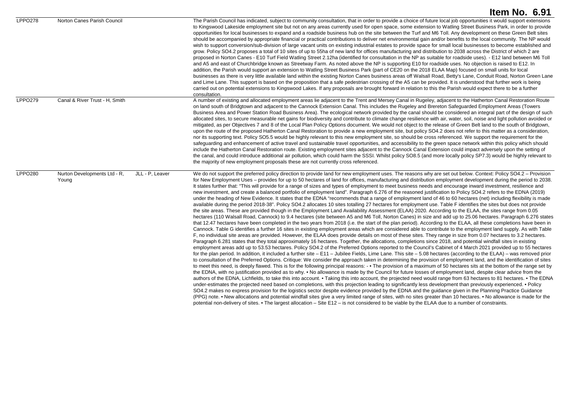|                |                                                          | Item No. 6.91                                                                                                                                                                                                                                                                                                                                                                                                                                                                                                                                                                                                                                                                                                                                                                                                                                                                                                                                                                                                                                                                                                                                                                                                                                                                                                                                                                                                                                                                                                                                                                                                                                                                                                                                                                                                                                                                                                                                                                                                                                                                                                                                                                                                                                                                                                                                                                                                                                                                                                                                                                                                                                                                                                                                                                                                                                                                                                                                                                                                                                                                                                                                                                                                                                                                                                                                                                                                                                                                                                                                                                                                                                                                                                           |
|----------------|----------------------------------------------------------|-------------------------------------------------------------------------------------------------------------------------------------------------------------------------------------------------------------------------------------------------------------------------------------------------------------------------------------------------------------------------------------------------------------------------------------------------------------------------------------------------------------------------------------------------------------------------------------------------------------------------------------------------------------------------------------------------------------------------------------------------------------------------------------------------------------------------------------------------------------------------------------------------------------------------------------------------------------------------------------------------------------------------------------------------------------------------------------------------------------------------------------------------------------------------------------------------------------------------------------------------------------------------------------------------------------------------------------------------------------------------------------------------------------------------------------------------------------------------------------------------------------------------------------------------------------------------------------------------------------------------------------------------------------------------------------------------------------------------------------------------------------------------------------------------------------------------------------------------------------------------------------------------------------------------------------------------------------------------------------------------------------------------------------------------------------------------------------------------------------------------------------------------------------------------------------------------------------------------------------------------------------------------------------------------------------------------------------------------------------------------------------------------------------------------------------------------------------------------------------------------------------------------------------------------------------------------------------------------------------------------------------------------------------------------------------------------------------------------------------------------------------------------------------------------------------------------------------------------------------------------------------------------------------------------------------------------------------------------------------------------------------------------------------------------------------------------------------------------------------------------------------------------------------------------------------------------------------------------------------------------------------------------------------------------------------------------------------------------------------------------------------------------------------------------------------------------------------------------------------------------------------------------------------------------------------------------------------------------------------------------------------------------------------------------------------------------------------------------|
| <b>LPPO278</b> | Norton Canes Parish Council                              | The Parish Council has indicated, subject to community consultation, that in order to provide a choice of future local job opportunities it would support extensions<br>to Kingswood Lakeside employment site but not on any areas currently used for open space, some extension to Watling Street Business Park, in order to provide<br>opportunities for local businesses to expand and a roadside business hub on the site between the Turf and M6 Toll. Any development on these Green Belt sites<br>should be accompanied by appropriate financial or practical contributions to deliver net environmental gain and/or benefits to the local community. The NP would<br>wish to support conversion/sub-division of large vacant units on existing industrial estates to provide space for small local businesses to become established and<br>grow. Policy SO4.2 proposes a total of 10 sites of up to 55ha of new land for offices manufacturing and distribution to 2038 across the District of which 2 are<br>proposed in Norton Canes - E10 Turf Field Watling Street 2.12ha (identified for consultation in the NP as suitable for roadside uses). - E12 land between M6 Toll<br>and A5 and east of Churchbridge known as Streetway Farm. As noted above the NP is supporting E10 for roadside uses. No objection is raised to E12. In<br>addition, the Parish would support an extension to Watling Street Business Park (part of CE20 on the 2018 ELAA Map) focused on small units for local<br>businesses as there is very little available land within the existing Norton Canes business areas off Walsall Road, Betty's Lane, Conduit Road, Norton Green Lane<br>and Lime Lane. This support is based on the proposition that a safe pedestrian crossing of the A5 can be provided. It is understood that further work is being<br>carried out on potential extensions to Kingswood Lakes. If any proposals are brought forward in relation to this the Parish would expect there to be a further<br>consultation.                                                                                                                                                                                                                                                                                                                                                                                                                                                                                                                                                                                                                                                                                                                                                                                                                                                                                                                                                                                                                                                                                                                                                                                                                                                                                                                                                                                                                                                                                                                                                                                                                                                                                      |
| <b>LPPO279</b> | Canal & River Trust - H, Smith                           | A number of existing and allocated employment areas lie adjacent to the Trent and Mersey Canal in Rugeley, adjacent to the Hatherton Canal Restoration Route<br>on land south of Bridgtown and adjacent to the Cannock Extension Canal. This includes the Rugeley and Brereton Safeguarded Employment Areas (Towers<br>Business Area and Power Station Road Business Area). The ecological network provided by the canal should be considered an integral part of the design of such<br>allocated sites, to secure measurable net gains for biodiversity and contribute to climate change resilience with air, water, soil, noise and light pollution avoided or<br>mitigated, as per Objectives 7 and 8 of the Local Plan Policy Options document. We would not object to the release of Green Belt land to the south of Bridgtown,<br>upon the route of the proposed Hatherton Canal Restoration to provide a new employment site, but policy SO4.2 does not refer to this matter as a consideration,<br>nor its supporting text. Policy SO5.5 would be highly relevant to this new employment site, so should be cross referenced. We support the requirement for the<br>safeguarding and enhancement of active travel and sustainable travel opportunities, and accessibility to the green space network within this policy which should<br>include the Hatherton Canal Restoration route. Existing employment sites adjacent to the Cannock Canal Extension could impact adversely upon the setting of<br>the canal, and could introduce additional air pollution, which could harm the SSSI. Whilst policy SO8.5 (and more locally policy SP7.3) would be highly relevant to<br>the majority of new employment proposals these are not currently cross referenced.                                                                                                                                                                                                                                                                                                                                                                                                                                                                                                                                                                                                                                                                                                                                                                                                                                                                                                                                                                                                                                                                                                                                                                                                                                                                                                                                                                                                                                                                                                                                                                                                                                                                                                                                                                                                                                                                                                                                                |
| <b>LPPO280</b> | Nurton Developments Ltd - R,<br>JLL - P. Leaver<br>Young | We do not support the preferred policy direction to provide land for new employment uses. The reasons why are set out below. Context: Policy SO4.2 - Provision<br>for New Employment Uses – provides for up to 50 hectares of land for offices, manufacturing and distribution employment development during the period to 2038.<br>It states further that: "This will provide for a range of sizes and types of employment to meet business needs and encourage inward investment, resilience and<br>new investment, and create a balanced portfolio of employment land". Paragraph 6.276 of the reasoned justification to Policy SO4.2 refers to the EDNA (2019)<br>under the heading of New Evidence. It states that the EDNA "recommends that a range of employment land of 46 to 60 hectares (net) including flexibility is made<br>available during the period 2018-38". Policy SO4.2 allocates 10 sites totalling 27 hectares for employment use. Table F identifies the sites but does not provide<br>the site areas. These are provided though in the Employment Land Availability Assessment (ELAA) 2020. According to the ELAA, the sites range from 0.05<br>hectares (110 Walsall Road, Cannock) to 9.4 hectares (site between A5 and M6 Toll, Norton Canes) in size and add up to 25.06 hectares. Paragraph 6.276 states<br>that 12.47 hectares have been completed in the two years from 2018 (i.e. the start of the plan period). According to the ELAA, all these completions have been in<br>Cannock. Table G identifies a further 16 sites in existing employment areas which are considered able to contribute to the employment land supply. As with Table<br>F, no individual site areas are provided. However, the ELAA does provide details on most of these sites. They range in size from 0.07 hectares to 3.2 hectares.<br>Paragraph 6.281 states that they total approximately 16 hectares. Together, the allocations, completions since 2018, and potential windfall sites in existing<br>employment areas add up to 53.53 hectares. Policy SO4.2 of the Preferred Options reported to the Council's Cabinet of 4 March 2021 provided up to 55 hectares<br>for the plan period. In addition, it included a further site $-$ E11 $-$ Jubilee Fields, Lime Lane. This site $-$ 5.08 hectares (according to the ELAA) $-$ was removed prior<br>to consultation of the Preferred Options. Critique: We consider the approach taken in determining the provision of employment land, and the identification of sites<br>to meet this need, is deeply flawed. This is for the following principal reasons: - • The provision of a maximum of 50 hectares sits at the bottom of the range set by<br>the EDNA, with no justification provided as to why. • No allowance is made by the Council for future losses of employment land, despite clear advice from the<br>authors of the EDNA, Lichfields, to take this into account. • Taking this into account, the projected need would range from 63 hectares to 81 hectares. • The EDNA<br>under-estimates the projected need based on completions, with this projection leading to significantly less development than previously experienced. • Policy<br>SO4.2 makes no express provision for the logistics sector despite evidence provided by the EDNA and the guidance given in the Planning Practice Guidance<br>(PPG) note. • New allocations and potential windfall sites give a very limited range of sites, with no sites greater than 10 hectares. • No allowance is made for the<br>potential non-delivery of sites. • The largest allocation – Site E12 – is not considered to be viable by the ELAA due to a number of constraints. |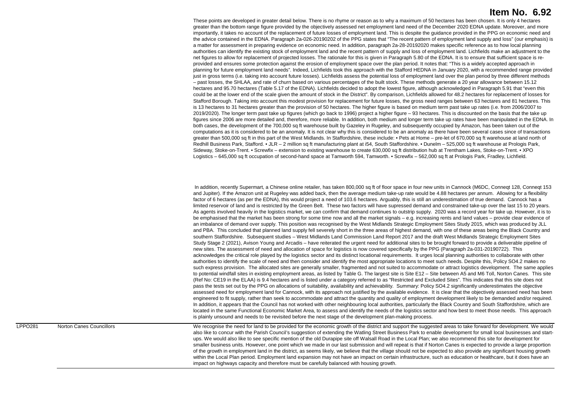These points are developed in greater detail below. There is no rhyme or reason as to why a maximum of 50 hectares has been chosen. It is only 4 hectares greater than the bottom range figure provided by the objectively assessed net employment land need of the December 2020 EDNA update. Moreover, and more importantly, it takes no account of the replacement of future losses of employment land. This is despite the guidance provided in the PPG on economic need and the advice contained in the EDNA. Paragraph 2a-026-20190202 of the PPG states that "The recent pattern of employment land supply and loss" (our emphasis) is a matter for assessment in preparing evidence on economic need. In addition, paragraph 2a-28-20192020 makes specific reference as to how local planning authorities can identify the existing stock of employment land and the recent pattern of supply and loss of employment land. Lichfields make an adjustment to the net figures to allow for replacement of projected losses. The rationale for this is given in Paragraph 5.80 of the EDNA. It is to ensure that sufficient space is reprovided and ensures some protection against the erosion of employment space over the plan period. It notes that: "This is a widely accepted approach in planning for future employment land needs". Indeed, Lichfields took this approach with the Stafford HEDNA in January 2020, with a recommended range provided just in gross terms (i.e. taking into account future losses). Lichfields assess the potential loss of employment land over the plan period by three different methods – past losses, the SHLAA, and rate of churn based on various percentages of the built stock. These methods generate a 20 year allowance between 15.12 hectares and 95.70 hectares (Table 5.17 of the EDNA). Lichfields decided to adopt the lowest figure, although acknowledged in Paragraph 5.91 that "even this could be at the lower end of the scale given the amount of stock in the District". By comparison, Lichfields allowed for 48.2 hectares for replacement of losses for Stafford Borough. Taking into account this modest provision for replacement for future losses, the gross need ranges between 63 hectares and 81 hectares. This is 13 hectares to 31 hectares greater than the provision of 50 hectares. The higher figure is based on medium term past take up rates (i.e. from 2006/2007 to 2019/2020). The longer term past take up figures (which go back to 1996) project a higher figure – 93 hectares. This is discounted on the basis that the take up figures since 2006 are more detailed and, therefore, more reliable. In addition, both medium and longer term take up rates have been manipulated in the EDNA. In both cases, the development of the 700,000 sq ft warehouse built by Gazeley in Rugeley, and subsequently occupied by Amazon, has been taken out of the computations as it is considered to be an anomaly. It is not clear why this is considered to be an anomaly as there have been several cases since of transactions greater than 500,000 sq ft in this part of the West Midlands. In Staffordshire, these include: • Pets at Home – pre-let of 670,000 sq ft warehouse at land north of Redhill Business Park, Stafford. • JLR - 2 million sq ft manufacturing plant at i54, South Staffordshire. • Dunelm - 525,000 sq ft warehouse at Prologis Park, Sideway, Stoke-on-Trent. • Screwfix – extension to existing warehouse to create 630,000 sq ft distribution hub at Trentham Lakes, Stoke-on-Trent. • XPO Logistics – 645,000 sq ft occupation of second-hand space at Tamworth 594, Tamworth. • Screwfix – 562,000 sq ft at Prologis Park, Fradley, Lichfield.

 In addition, recently Supermart, a Chinese online retailer, has taken 800,000 sq ft of floor space in four new units in Cannock (M6DC, Conneqt 128, Conneqt 153 and Jupiter). If the Amazon unit at Rugeley was added back, then the average medium take-up rate would be 4.88 hectares per annum. Allowing for a flexibility factor of 6 hectares (as per the EDNA), this would project a need of 103.6 hectares. Arguably, this is still an underestimation of true demand. Cannock has a limited reservoir of land and is restricted by the Green Belt. These two factors will have supressed demand and constrained take-up over the last 15 to 20 years. As agents involved heavily in the logistics market, we can confirm that demand continues to outstrip supply. 2020 was a record year for take up. However, it is to be emphasised that the market has been strong for some time now and all the market signals – e.g. increasing rents and land values – provide clear evidence of an imbalance of demand over supply. This position was recognised by the West Midlands Strategic Employment Sites Study 2015, which was produced by JLL and PBA. This concluded that planned land supply fell severely short in the three areas of highest demand, with one of these areas being the Black Country and southern Staffordshire. Subsequent studies – West Midlands Land Commission Land Report 2017 and the draft West Midlands Strategic Employment Sites Study Stage 2 (2021), Avison Young and Arcadis – have reiterated the urgent need for additional sites to be brought forward to provide a deliverable pipeline of new sites. The assessment of need and allocation of space for logistics is now covered specifically by the PPG (Paragraph 2a-031-20190722). This acknowledges the critical role played by the logistics sector and its distinct locational requirements. It urges local planning authorities to collaborate with other authorities to identify the scale of need and then consider and identify the most appropriate locations to meet such needs. Despite this, Policy SO4.2 makes no such express provision. The allocated sites are generally smaller, fragmented and not suited to accommodate or attract logistics development. The same applies to potential windfall sites in existing employment areas, as listed by Table G. The largest site is Site E12 – Site between A5 and M6 Toll, Norton Canes. This site (Ref No: CE19 in the ELAA) is 9.4 hectares and is listed under a category referred to as "Restricted and Excluded Sites". This indicates that this site does not pass the tests set out by the PPG on allocations of suitability, availability and achievability. Summary: Policy SO4.2 significantly underestimates the objective assessed need for employment land for Cannock, with its approach not justified by the available evidence. It is clear that the objectively assessed need has been engineered to fit supply, rather than seek to accommodate and attract the quantity and quality of employment development likely to be demanded and/or required. In addition, it appears that the Council has not worked with other neighbouring local authorities, particularly the Black Country and South Staffordshire, which are located in the same Functional Economic Market Area, to assess and identify the needs of the logistics sector and how best to meet those needs. This approach is plainly unsound and needs to be revisited before the next stage of the development plan-making process.

LPPO281 Norton Canes Councillors We recognise the need for land to be provided for the economic growth of the district and support the suggested areas to take forward for development. We would also like to concur with the Parish Council's suggestion of extending the Watling Street Business Park to enable development for small local businesses and startups. We would also like to see specific mention of the old Durapipe site off Walsall Road in the Local Plan; we also recommend this site for development for smaller business units. However, one point which we made in our last submission and will repeat is that if Norton Canes is expected to provide a large proportion of the growth in employment land in the district, as seems likely, we believe that the village should not be expected to also provide any significant housing growth within the Local Plan period. Employment land expansion may not have an impact on certain infrastructure, such as education or healthcare, but it does have an impact on highways capacity and therefore must be carefully balanced with housing growth.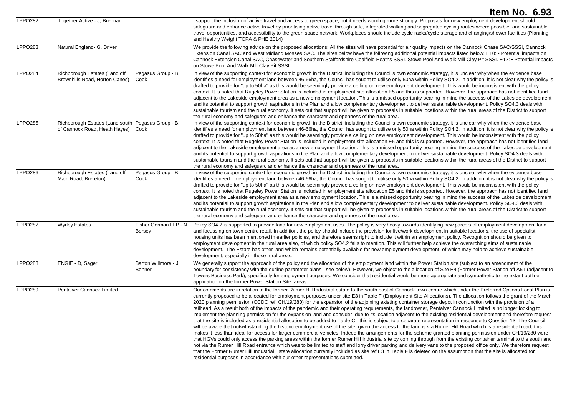|                |                                                                                          |                                         | Item No. 6.93                                                                                                                                                                                                                                                                                                                                                                                                                                                                                                                                                                                                                                                                                                                                                                                                                                                                                                                                                                                                                                                                                                                                                                                                                                                                                                                                                                                                                                                                                                                                                                                                                                                                                                                                                                                                                                                                                                                                     |
|----------------|------------------------------------------------------------------------------------------|-----------------------------------------|---------------------------------------------------------------------------------------------------------------------------------------------------------------------------------------------------------------------------------------------------------------------------------------------------------------------------------------------------------------------------------------------------------------------------------------------------------------------------------------------------------------------------------------------------------------------------------------------------------------------------------------------------------------------------------------------------------------------------------------------------------------------------------------------------------------------------------------------------------------------------------------------------------------------------------------------------------------------------------------------------------------------------------------------------------------------------------------------------------------------------------------------------------------------------------------------------------------------------------------------------------------------------------------------------------------------------------------------------------------------------------------------------------------------------------------------------------------------------------------------------------------------------------------------------------------------------------------------------------------------------------------------------------------------------------------------------------------------------------------------------------------------------------------------------------------------------------------------------------------------------------------------------------------------------------------------------|
| <b>LPPO282</b> | Together Active - J, Brennan                                                             |                                         | I support the inclusion of active travel and access to green space, but it needs wording more strongly. Proposals for new employment development should<br>safeguard and enhance active travel by prioritising active travel through safe, integrated walking and segregated cycling routes where possible and sustainable<br>travel opportunities, and accessibility to the green space network. Workplaces should include cycle racks/cycle storage and changing/shower facilities (Planning<br>and Healthy Weight TCPA & PHE 2014)                                                                                                                                                                                                                                                                                                                                                                                                                                                                                                                                                                                                                                                                                                                                                                                                                                                                                                                                                                                                                                                                                                                                                                                                                                                                                                                                                                                                             |
| LPPO283        | Natural England- G, Driver                                                               |                                         | We provide the following advice on the proposed allocations: All the sites will have potential for air quality impacts on the Cannock Chase SAC/SSSI, Cannock<br>Extension Canal SAC and West Midland Mosses SAC. The sites below have the following additional potential impacts listed below: E10: • Potential impacts on<br>Cannock Extension Canal SAC, Chasewater and Southern Staffordshire Coalfield Heaths SSSI, Stowe Pool And Walk Mill Clay Pit SSSI. E12: . Potential impacts<br>on Stowe Pool And Walk Mill Clay Pit SSSI                                                                                                                                                                                                                                                                                                                                                                                                                                                                                                                                                                                                                                                                                                                                                                                                                                                                                                                                                                                                                                                                                                                                                                                                                                                                                                                                                                                                            |
| <b>LPPO284</b> | Richborough Estates (Land off<br>Brownhills Road, Norton Canes)                          | Pegasus Group - B,<br>Cook              | In view of the supporting context for economic growth in the District, including the Council's own economic strategy, it is unclear why when the evidence base<br>identifies a need for employment land between 46-66ha, the Council has sought to utilise only 50ha within Policy SO4.2. In addition, it is not clear why the policy is<br>drafted to provide for "up to 50ha" as this would be seemingly provide a ceiling on new employment development. This would be inconsistent with the policy<br>context. It is noted that Rugeley Power Station is included in employment site allocation E5 and this is supported. However, the approach has not identified land<br>adjacent to the Lakeside employment area as a new employment location. This is a missed opportunity bearing in mind the success of the Lakeside development<br>and its potential to support growth aspirations in the Plan and allow complementary development to deliver sustainable development. Policy SO4.3 deals with<br>sustainable tourism and the rural economy. It sets out that support will be given to proposals in suitable locations within the rural areas of the District to support<br>the rural economy and safeguard and enhance the character and openness of the rural area.                                                                                                                                                                                                                                                                                                                                                                                                                                                                                                                                                                                                                                                                  |
| <b>LPPO285</b> | Richborough Estates (Land south Pegasus Group - B,<br>of Cannock Road, Heath Hayes) Cook |                                         | In view of the supporting context for economic growth in the District, including the Council's own economic strategy, it is unclear why when the evidence base<br>identifies a need for employment land between 46-66ha, the Council has sought to utilise only 50ha within Policy SO4.2. In addition, it is not clear why the policy is<br>drafted to provide for "up to 50ha" as this would be seemingly provide a ceiling on new employment development. This would be inconsistent with the policy<br>context. It is noted that Rugeley Power Station is included in employment site allocation E5 and this is supported. However, the approach has not identified land<br>adjacent to the Lakeside employment area as a new employment location. This is a missed opportunity bearing in mind the success of the Lakeside development<br>and its potential to support growth aspirations in the Plan and allow complementary development to deliver sustainable development. Policy SO4.3 deals with<br>sustainable tourism and the rural economy. It sets out that support will be given to proposals in suitable locations within the rural areas of the District to support<br>the rural economy and safeguard and enhance the character and openness of the rural area.                                                                                                                                                                                                                                                                                                                                                                                                                                                                                                                                                                                                                                                                  |
| <b>LPPO286</b> | Richborough Estates (Land off<br>Main Road, Brereton)                                    | Pegasus Group - B,<br>Cook              | In view of the supporting context for economic growth in the District, including the Council's own economic strategy, it is unclear why when the evidence base<br>identifies a need for employment land between 46-66ha, the Council has sought to utilise only 50ha within Policy SO4.2. In addition, it is not clear why the policy is<br>drafted to provide for "up to 50ha" as this would be seemingly provide a ceiling on new employment development. This would be inconsistent with the policy<br>context. It is noted that Rugeley Power Station is included in employment site allocation E5 and this is supported. However, the approach has not identified land<br>adjacent to the Lakeside employment area as a new employment location. This is a missed opportunity bearing in mind the success of the Lakeside development<br>and its potential to support growth aspirations in the Plan and allow complementary development to deliver sustainable development. Policy SO4.3 deals with<br>sustainable tourism and the rural economy. It sets out that support will be given to proposals in suitable locations within the rural areas of the District to support<br>the rural economy and safeguard and enhance the character and openness of the rural area.                                                                                                                                                                                                                                                                                                                                                                                                                                                                                                                                                                                                                                                                  |
| <b>LPPO287</b> | <b>Wyrley Estates</b>                                                                    | Fisher German LLP - N.<br><b>Borsey</b> | Policy SO4.2 is supported to provide land for new employment uses. The policy is very heavy towards identifying new parcels of employment development land<br>and focussing on town centre retail. In addition, the policy should include the provision for live/work development in suitable locations, the use of specialist<br>housing units has been mentioned in earlier policies, and therefore seems right to include it within an employment policy. Recognition should be given to<br>employment development in the rural area also, of which policy SO4.2 fails to mention. This will further help achieve the overarching aims of sustainable<br>development. The Estate has other land which remains potentially available for new employment development, of which may help to achieve sustainable<br>development, especially in those rural areas.                                                                                                                                                                                                                                                                                                                                                                                                                                                                                                                                                                                                                                                                                                                                                                                                                                                                                                                                                                                                                                                                                  |
| <b>LPPO288</b> | ENGIE - D, Sager                                                                         | Barton Willmore - J,<br><b>Bonner</b>   | We generally support the approach of the policy and the allocation of the employment land within the Power Station site (subject to an amendment of the<br>boundary for consistency with the outline parameter plans - see below). However, we object to the allocation of Site E4 (Former Power Station off A51 (adjacent to<br>Towers Business Park), specifically for employment purposes. We consider that residential would be more appropriate and sympathetic to the extant outline<br>application on the former Power Station Site. areas.                                                                                                                                                                                                                                                                                                                                                                                                                                                                                                                                                                                                                                                                                                                                                                                                                                                                                                                                                                                                                                                                                                                                                                                                                                                                                                                                                                                                |
| <b>LPPO289</b> | Pentalver Cannock Limited                                                                |                                         | Our comments are in relation to the former Rumer Hill Industrial estate to the south east of Cannock town centre which under the Preferred Options Local Plan is<br>currently proposed to be allocated for employment purposes under site E3 in Table F (Employment Site Allocations). The allocation follows the grant of the March<br>2020 planning permission (CCDC ref: CH/19/280) for the expansion of the adjoining existing container storage depot in conjunction with the provision of a<br>railhead. As a result both of the impacts of the pandemic and their operating requirements, the landowner, Pentalver Cannock Limited is no longer looking to<br>implement the planning permission for the expansion land and consider, due to its location adjacent to the existing residential development and therefore request<br>that the site is included as a residential allocation to be added to Table C - this is subject to a separate representation in response to Question 13. The Council<br>will be aware that notwithstanding the historic employment use of the site, given the access to the land is via Rumer Hill Road which is a residential road, this<br>makes it less than ideal for access for larger commercial vehicles. Indeed the arrangements for the scheme granted planning permission under CH/19/280 were<br>that HGVs could only access the parking areas within the former Rumer Hill Industrial site by coming through from the existing container terminal to the south and<br>not via the Rumer Hill Road entrance which was to be limited to staff and lorry driver parking and delivery vans to the proposed office only. We therefore request<br>that the Former Rumer Hill Industrial Estate allocation currently included as site ref E3 in Table F is deleted on the assumption that the site is allocated for<br>residential purposes in accordance with our other representations submitted. |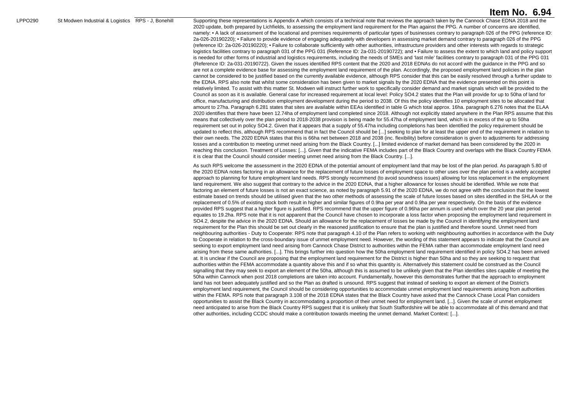LPPO290 St Modwen Industrial & Logistics RPS - J, Bonehill Supporting these representations is Appendix A which consists of a technical note that reviews the approach taken by the Cannock Chase EDNA 2018 and the 2020 update, both prepared by Lichfields, to assessing the employment land requirement for the Plan against the PPG. A number of concerns are identified, namely: • A lack of assessment of the locational and premises requirements of particular types of businesses contrary to paragraph 026 of the PPG (reference ID: 2a-026-20190220); • Failure to provide evidence of engaging adequately with developers in assessing market demand contrary to paragraph 026 of the PPG (reference ID: 2a-026-20190220); • Failure to collaborate sufficiently with other authorities, infrastructure providers and other interests with regards to strategic logistics facilities contrary to paragraph 031 of the PPG 031 (Reference ID: 2a-031-20190722); and • Failure to assess the extent to which land and policy support is needed for other forms of industrial and logistics requirements, including the needs of SMEs and 'last mile' facilities contrary to paragraph 031 of the PPG 031 (Reference ID: 2a-031-20190722). Given the issues identified RPS content that the 2020 and 2018 EDNAs do not accord with the guidance in the PPG and so are not a complete evidence base for assessing the employment land requirement of the plan. Accordingly, the proposed employment land policies in the plan cannot be considered to be justified based on the currently available evidence, although RPS consider that this can be easily resolved through a further update to the EDNA. RPS also note that whilst some consideration has been given to market signals by the 2020 EDNA that the evidence presented on this point is relatively limited. To assist with this matter St. Modwen will instruct further work to specifically consider demand and market signals which will be provided to the Council as soon as it is available. General case for increased requirement at local level: Policy SO4.2 states that the Plan will provide for up to 50ha of land for office, manufacturing and distribution employment development during the period to 2038. Of this the policy identifies 10 employment sites to be allocated that amount to 27ha. Paragraph 6.281 states that sites are available within EEAs identified in table G which total approx. 16ha. paragraph 6.276 notes that the ELAA 2020 identifies that there have been 12.74ha of employment land completed since 2018. Although not explicitly stated anywhere in the Plan RPS assume that this means that collectively over the plan period to 2018-2038 provision is being made for 55.47ha of employment land, which is in excess of the up to 50ha requirement set out in policy SO4.2. Given that it appears that a supply of 55.47ha including completions has been identified the policy requirement should be updated to reflect this, although RPS recommend that in fact the Council should be [...] seeking to plan for at least the upper end of the requirement in relation to their own needs. The 2020 EDNA states that this is 66ha net between 2018 and 2038 (inc. flexibility) before consideration is given to adjustments for addressing losses and a contribution to meeting unmet need arising from the Black Country. [...] limited evidence of market demand has been considered by the 2020 in reaching this conclusion. Treatment of Losses: [...]. Given that the indicative FEMA includes part of the Black Country and overlaps with the Black Country FEMA it is clear that the Council should consider meeting unmet need arising from the Black Country. [...].

> As such RPS welcome the assessment in the 2020 EDNA of the potential amount of employment land that may be lost of the plan period. As paragraph 5.80 of the 2020 EDNA notes factoring in an allowance for the replacement of future losses of employment space to other uses over the plan period is a widely accepted approach to planning for future employment land needs. RPS strongly recommend (to avoid soundness issues) allowing for loss replacement in the employment land requirement. We also suggest that contrary to the advice in the 2020 EDNA, that a higher allowance for losses should be identified. While we note that factoring an element of future losses is not an exact science, as noted by paragraph 5.91 of the 2020 EDNA, we do not agree with the conclusion that the lowest estimate based on trends should be utilised given that the two other methods of assessing the scale of future losses based on sites identified in the SHLAA or the replacement of 0.5% of existing stock both result in higher and similar figures of 0.9ha per year and 0.9ha per year respectively. On the basis of the evidence provided RPS suggest that a higher figure is justified. RPS recommend that the upper figure of 0.96ha per annum is used which over the 20 year plan period equates to 19.2ha. RPS note that it is not apparent that the Council have chosen to incorporate a loss factor when proposing the employment land requirement in SO4.2, despite the advice in the 2020 EDNA. Should an allowance for the replacement of losses be made by the Council in identifying the employment land requirement for the Plan this should be set out clearly in the reasoned justification to ensure that the plan is justified and therefore sound. Unmet need from neighbouring authorities - Duty to Cooperate: RPS note that paragraph 4.10 of the Plan refers to working with neighbouring authorities in accordance with the Duty to Cooperate in relation to the cross-boundary issue of unmet employment need. However, the wording of this statement appears to indicate that the Council are seeking to export employment land need arising from Cannock Chase District to authorities within the FEMA rather than accommodate employment land need arising from these same authorities. [...]. This brings further into question how the 50ha employment land requirement identified in policy SO4.2 has been arrived at. It is unclear if the Council are proposing that the employment land requirement for the District is higher than 50ha and so they are seeking to request that authorities within the FEMA accommodate a quantity above this and if so what this quantity is. Alternatively this statement could be construed as the Council signalling that they may seek to export an element of the 50ha, although this is assumed to be unlikely given that the Plan identifies sites capable of meeting the 50ha within Cannock when post 2018 completions are taken into account. Fundamentally, however this demonstrates further that the approach to employment land has not been adequately justified and so the Plan as drafted is unsound. RPS suggest that instead of seeking to export an element of the District's employment land requirement, the Council should be considering opportunities to accommodate unmet employment land requirements arising from authorities within the FEMA. RPS note that paragraph 3.108 of the 2018 EDNA states that the Black Country have asked that the Cannock Chase Local Plan considers opportunities to assist the Black Country in accommodating a proportion of their unmet need for employment land. [...]. Given the scale of unmet employment need anticipated to arise from the Black Country RPS suggest that it is unlikely that South Staffordshire will be able to accommodate all of this demand and that other authorities, including CCDC should make a contribution towards meeting the unmet demand. Market Context: [...].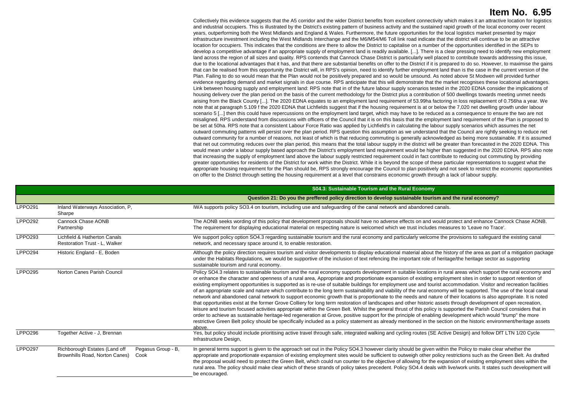Collectively this evidence suggests that the A5 corridor and the wider District benefits from excellent connectivity which makes it an attractive location for logistics and industrial occupiers. This is illustrated by the District's existing pattern of business activity and the sustained rapid growth of the local economy over recent years, outperforming both the West Midlands and England & Wales. Furthermore, the future opportunities for the local logistics market presented by major infrastructure investment including the West Midlands Interchange and the M6/M54/M6 Toll link road indicate that the district will continue to be an attractive location for occupiers. This indicates that the conditions are there to allow the District to capitalise on a number of the opportunities identified in the SEPs to develop a competitive advantage if an appropriate supply of employment land is readily available. [...]. There is a clear pressing need to identify new employment land across the region of all sizes and quality. RPS contends that Cannock Chase District is particularly well placed to contribute towards addressing this issue, due to the locational advantages that it has, and that there are substantial benefits on offer to the District if it is prepared to do so. However, to maximise the gains that can be realised from this opportunity the District will, in RPS's opinion, need to identify further employment land than is the case in the current version of the Plan. Failing to do so would mean that the Plan would not be positively prepared and so would be unsound. As noted above St Modwen will provided further evidence regarding demand and market signals in due course. RPS anticipate that this will demonstrate that the market recognises these locational advantages. Link between housing supply and employment land: RPS note that in of the future labour supply scenarios tested in the 2020 EDNA consider the implications of housing delivery over the plan period on the basis of the current methodology for the District plus a contribution of 500 dwellings towards meeting unmet needs arising from the Black County [...]. The 2020 EDNA equates to an employment land requirement of 53.99ha factoring in loss replacement of 0.756ha a year. We note that at paragraph 5.109 f the 2020 EDNA that Lichfields suggest that if the housing requirement is at or below the 7,020 net dwelling growth under labour scenario 5 [...] then this could have repercussions on the employment land target, which may have to be reduced as a consequence to ensure the two are not misaligned. RPS understand from discussions with officers of the Council that it is on this basis that the employment land requirement of the Plan is proposed to be set at 50ha. RPS note that a consistent Labour Force Ratio was applied by Lichfield's in calculating the labour supply scenarios which assumes the net outward commuting patterns will persist over the plan period. RPS question this assumption as we understand that the Council are rightly seeking to reduce net outward community for a number of reasons, not least of which is that reducing commuting is generally acknowledged as being more sustainable. If it is assumed that net out commuting reduces over the plan period, this means that the total labour supply in the district will be greater than forecasted in the 2020 EDNA. This would mean under a labour supply based approach the District's employment land requirement would be higher than suggested in the 2020 EDNA. RPS also note that increasing the supply of employment land above the labour supply restricted requirement could in fact contribute to reducing out commuting by providing greater opportunities for residents of the District for work within the District. While it is beyond the scope of these particular representations to suggest what the appropriate housing requirement for the Plan should be. RPS strongly encourage the Council to plan positively and not seek to restrict the economic opportunities on offer to the District through setting the housing requirement at a level that constrains economic growth through a lack of labour supply.

|                |                                                                                               | S04.3: Sustainable Tourism and the Rural Economy                                                                                                                                                                                                                                                                                                                                                                                                                                                                                                                                                                                                                                                                                                                                                                                                                                                                                                                                                                                                                                                                                                                                                                                                                                                                                                                                                                                                                                                                                            |
|----------------|-----------------------------------------------------------------------------------------------|---------------------------------------------------------------------------------------------------------------------------------------------------------------------------------------------------------------------------------------------------------------------------------------------------------------------------------------------------------------------------------------------------------------------------------------------------------------------------------------------------------------------------------------------------------------------------------------------------------------------------------------------------------------------------------------------------------------------------------------------------------------------------------------------------------------------------------------------------------------------------------------------------------------------------------------------------------------------------------------------------------------------------------------------------------------------------------------------------------------------------------------------------------------------------------------------------------------------------------------------------------------------------------------------------------------------------------------------------------------------------------------------------------------------------------------------------------------------------------------------------------------------------------------------|
|                |                                                                                               | Question 21: Do you the preffered policy direction to develop sustainable tourism and the rural economy?                                                                                                                                                                                                                                                                                                                                                                                                                                                                                                                                                                                                                                                                                                                                                                                                                                                                                                                                                                                                                                                                                                                                                                                                                                                                                                                                                                                                                                    |
| <b>LPPO291</b> | Inland Waterways Association, P,<br>Sharpe                                                    | IWA supports policy SO3.4 on tourism, including use and safeguarding of the canal network and abandoned canals.                                                                                                                                                                                                                                                                                                                                                                                                                                                                                                                                                                                                                                                                                                                                                                                                                                                                                                                                                                                                                                                                                                                                                                                                                                                                                                                                                                                                                             |
| <b>LPPO292</b> | Cannock Chase AONB<br>Partnership                                                             | The AONB seeks wording of this policy that development proposals should have no adverse effects on and would protect and enhance Cannock Chase AONB.<br>The requirement for displaying educational material on respecting nature is welcomed which we trust includes measures to 'Leave no Trace'.                                                                                                                                                                                                                                                                                                                                                                                                                                                                                                                                                                                                                                                                                                                                                                                                                                                                                                                                                                                                                                                                                                                                                                                                                                          |
| LPPO293        | Lichfield & Hatherton Canals<br><b>Restoration Trust - L. Walker</b>                          | We support policy option SO4.3 regarding sustainable tourism and the rural economy and particularly welcome the provisions to safeguard the existing canal<br>network, and necessary space around it, to enable restoration.                                                                                                                                                                                                                                                                                                                                                                                                                                                                                                                                                                                                                                                                                                                                                                                                                                                                                                                                                                                                                                                                                                                                                                                                                                                                                                                |
| LPPO294        | Historic England - E, Boden                                                                   | Although the policy direction requires tourism and visitor developments to display educational material about the history of the area as part of a mitigation package<br>under the Habitats Requlations, we would be supportive of the inclusion of text refencing the important role of heritage/the heritage sector as supporting<br>sustainable tourism and rural economy.                                                                                                                                                                                                                                                                                                                                                                                                                                                                                                                                                                                                                                                                                                                                                                                                                                                                                                                                                                                                                                                                                                                                                               |
| <b>LPPO295</b> | Norton Canes Parish Council                                                                   | Policy SO4.3 relates to sustainable tourism and the rural economy supports development in suitable locations in rural areas which support the rural economy and<br>or enhance the character and openness of a rural area, Appropriate and proportionate expansion of existing employment sites in order to support retention of<br>existing employment opportunities is supported as is re-use of suitable buildings for employment use and tourist accommodation. Visitor and recreation facilities<br>of an appropriate scale and nature which contribute to the long term sustainability and viability of the rural economy will be supported. The use of the local canal<br>network and abandoned canal network to support economic growth that is proportionate to the needs and nature of their locations is also appropriate. It is noted<br>that opportunities exist at the former Grove Colliery for long term restoration of landscapes and other historic assets through development of open recreation,<br>leisure and tourism focused activities appropriate within the Green Belt. Whilst the general thrust of this policy is supported the Parish Council considers that in<br>order to achieve as sustainable heritage-led regeneration at Grove, positive support for the principle of enabling development which would "trump" the more<br>restrictive Green Belt policy should be specifically included as a policy statement as already mentioned in the section on the historic environment/heritage assets<br>above. |
| <b>LPPO296</b> | Together Active - J. Brennan                                                                  | Yes, but policy should include prioritising active travel through safe, integrated walking and cycling routes (SE Active Design) and follow DfT LTN 1/20 Cycle<br>Infrastructure Design,                                                                                                                                                                                                                                                                                                                                                                                                                                                                                                                                                                                                                                                                                                                                                                                                                                                                                                                                                                                                                                                                                                                                                                                                                                                                                                                                                    |
| <b>LPPO297</b> | Richborough Estates (Land off<br>Pegasus Group - B.<br>Brownhills Road, Norton Canes)<br>Cook | In general terms support is given to the approach set out in the Policy SO4.3 however clarity should be given within the Policy to make clear whether the<br>appropriate and proportionate expansion of existing employment sites would be sufficient to outweigh other policy restrictions such as the Green Belt. As drafted<br>the proposal would need to protect the Green Belt, which could run counter to the objective of allowing for the expansion of existing employment sites within the<br>rural area. The policy should make clear which of these strands of policy takes precedent. Policy SO4.4 deals with live/work units. It states such development will<br>be encouraged.                                                                                                                                                                                                                                                                                                                                                                                                                                                                                                                                                                                                                                                                                                                                                                                                                                                |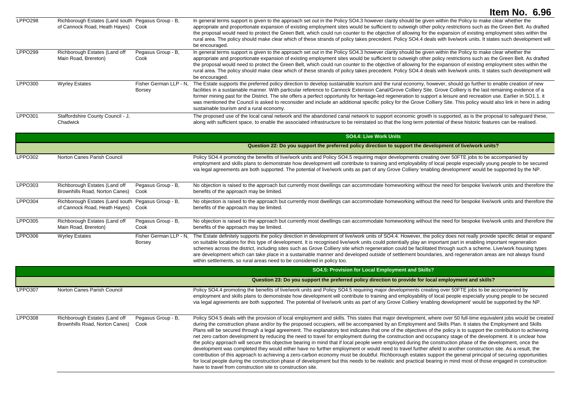| LPPO298        | Richborough Estates (Land south Pegasus Group - B.<br>of Cannock Road, Heath Hayes) | Cook                             | In general terms support is given to the approach set out in the Policy SO4.3 however clarity should be given within the Policy to make clear whether the<br>appropriate and proportionate expansion of existing employment sites would be sufficient to outweigh other policy restrictions such as the Green Belt. As drafted<br>the proposal would need to protect the Green Belt, which could run counter to the objective of allowing for the expansion of existing employment sites within the<br>rural area. The policy should make clear which of these strands of policy takes precedent. Policy SO4.4 deals with live/work units. It states such development will<br>be encouraged.                                     |
|----------------|-------------------------------------------------------------------------------------|----------------------------------|----------------------------------------------------------------------------------------------------------------------------------------------------------------------------------------------------------------------------------------------------------------------------------------------------------------------------------------------------------------------------------------------------------------------------------------------------------------------------------------------------------------------------------------------------------------------------------------------------------------------------------------------------------------------------------------------------------------------------------|
| <b>LPPO299</b> | Richborough Estates (Land off<br>Main Road, Brereton)                               | Pegasus Group - B,<br>Cook       | In general terms support is given to the approach set out in the Policy SO4.3 however clarity should be given within the Policy to make clear whether the<br>appropriate and proportionate expansion of existing employment sites would be sufficient to outweigh other policy restrictions such as the Green Belt. As drafted<br>the proposal would need to protect the Green Belt, which could run counter to the objective of allowing for the expansion of existing employment sites within the<br>rural area. The policy should make clear which of these strands of policy takes precedent. Policy SO4.4 deals with live/work units. It states such development will<br>be encouraged.                                     |
| LPPO300        | <b>Wyrley Estates</b>                                                               | Fisher German LLP - N.<br>Borsey | The Estate supports the preferred policy direction to develop sustainable tourism and the rural economy, however, should go further to enable creation of new<br>facilities in a sustainable manner. With particular reference to Cannock Extension Canal/Grove Colliery Site. Grove Colliery is the last remaining evidence of a<br>former mining past for the District. The site offers a perfect opportunity for heritage-led regeneration to support a leisure and recreation use. Earlier in SO1.1. it<br>was mentioned the Council is asked to reconsider and include an additional specific policy for the Grove Colliery Site. This policy would also link in here in aiding<br>sustainable tourism and a rural economy. |
| LPPO301        | Staffordshire County Council - J.<br>Chadwick                                       |                                  | The proposed use of the local canal network and the abandoned canal network to support economic growth is supported, as is the proposal to safeguard these,<br>along with sufficient space, to enable the associated infrastructure to be reinstated so that the long term potential of these historic features can be realised.                                                                                                                                                                                                                                                                                                                                                                                                 |

|         |                             | <b>SO4.4: Live Work Units</b>                                                                                                                                                                                                                                                                                                                                                                                                                                                        |
|---------|-----------------------------|--------------------------------------------------------------------------------------------------------------------------------------------------------------------------------------------------------------------------------------------------------------------------------------------------------------------------------------------------------------------------------------------------------------------------------------------------------------------------------------|
|         |                             | Question 22: Do you support the preferred policy direction to support the development of live/work units?                                                                                                                                                                                                                                                                                                                                                                            |
| LPPO302 | Norton Canes Parish Council | Policy SO4.4 promoting the benefits of live/work units and Policy SO4.5 requiring major developments creating over 50FTE jobs to be accompanied by<br>employment and skills plans to demonstrate how development will contribute to training and employability of local people especially young people to be secured<br>via legal agreements are both supported. The potential of live/work units as part of any Grove Colliery 'enabling development' would be supported by the NP. |

| LPPO303        | Richborough Estates (Land off                                                            | Pegasus Group - B,               | No objection is raised to the approach but currently most dwellings can accommodate homeworking without the need for bespoke live/work units and therefore the                                                                                                                                                                                                                                                                                                                                                                                                                                                                                                           |
|----------------|------------------------------------------------------------------------------------------|----------------------------------|--------------------------------------------------------------------------------------------------------------------------------------------------------------------------------------------------------------------------------------------------------------------------------------------------------------------------------------------------------------------------------------------------------------------------------------------------------------------------------------------------------------------------------------------------------------------------------------------------------------------------------------------------------------------------|
|                | Brownhills Road, Norton Canes)                                                           | Cook                             | benefits of the approach may be limited.                                                                                                                                                                                                                                                                                                                                                                                                                                                                                                                                                                                                                                 |
| LPPO304        | Richborough Estates (Land south Pegasus Group - B.<br>of Cannock Road, Heath Hayes) Cook |                                  | No objection is raised to the approach but currently most dwellings can accommodate homeworking without the need for bespoke live/work units and therefore the<br>benefits of the approach may be limited.                                                                                                                                                                                                                                                                                                                                                                                                                                                               |
| <b>LPPO305</b> | Richborough Estates (Land off                                                            | Pegasus Group - B,               | No objection is raised to the approach but currently most dwellings can accommodate homeworking without the need for bespoke live/work units and therefore the                                                                                                                                                                                                                                                                                                                                                                                                                                                                                                           |
|                | Main Road, Brereton)                                                                     | Cook                             | benefits of the approach may be limited.                                                                                                                                                                                                                                                                                                                                                                                                                                                                                                                                                                                                                                 |
| <b>LPPO306</b> | <b>Wyrley Estates</b>                                                                    | Fisher German LLP - N.<br>Borsey | The Estate definitely supports the policy direction in development of live/work units of SO4.4. However, the policy does not really provide specific detail or expand<br>on suitable locations for this type of development. It is recognised live/work units could potentially play an important part in enabling important regeneration<br>schemes across the district, including sites such as Grove Colliery site which regeneration could be facilitated through such a scheme. Live/work housing types<br>are development which can take place in a sustainable manner and developed outside of settlement boundaries, and regeneration areas are not always found |

within settlements, so rural areas need to be considered in policy too.

|                |                                                                         |                    | SO4.5: Provision for Local Employment and Skills?                                                                                                                                                                                                                                                                                                                                                                                                                                                                                                                                                                                                                                                                                                                                                                                                                                                                                                                                                                                                                                                                                                                                                                                                                                                                                                                                                           |
|----------------|-------------------------------------------------------------------------|--------------------|-------------------------------------------------------------------------------------------------------------------------------------------------------------------------------------------------------------------------------------------------------------------------------------------------------------------------------------------------------------------------------------------------------------------------------------------------------------------------------------------------------------------------------------------------------------------------------------------------------------------------------------------------------------------------------------------------------------------------------------------------------------------------------------------------------------------------------------------------------------------------------------------------------------------------------------------------------------------------------------------------------------------------------------------------------------------------------------------------------------------------------------------------------------------------------------------------------------------------------------------------------------------------------------------------------------------------------------------------------------------------------------------------------------|
|                |                                                                         |                    | Question 23: Do you support the preferred policy direction to provide for local employment and skills?                                                                                                                                                                                                                                                                                                                                                                                                                                                                                                                                                                                                                                                                                                                                                                                                                                                                                                                                                                                                                                                                                                                                                                                                                                                                                                      |
| <b>LPPO307</b> | Norton Canes Parish Council                                             |                    | Policy SO4.4 promoting the benefits of live/work units and Policy SO4.5 requiring major developments creating over 50FTE jobs to be accompanied by<br>employment and skills plans to demonstrate how development will contribute to training and employability of local people especially young people to be secured<br>via legal agreements are both supported. The potential of live/work units as part of any Grove Colliery 'enabling development' would be supported by the NP.                                                                                                                                                                                                                                                                                                                                                                                                                                                                                                                                                                                                                                                                                                                                                                                                                                                                                                                        |
| <b>LPPO308</b> | Richborough Estates (Land off<br>Brownhills Road, Norton Canes)<br>Cook | Pegasus Group - B. | Policy SO4.5 deals with the provision of local employment and skills. This states that major development, where over 50 full-time equivalent jobs would be created<br>during the construction phase and/or by the proposed occupiers, will be accompanied by an Employment and Skills Plan. It states the Employment and Skills<br>Plans will be secured through a legal agreement. The explanatory text indicates that one of the objectives of the policy is to support the contribution to achieving<br>net zero carbon development by reducing the need to travel for employment during the construction and occupancy stage of the development. It is unclear how<br>the policy approach will secure this objective bearing in mind that if local people were employed during the construction phase of the development, once the<br>development was completed they would either have no further employment or would need to travel further afield to another construction site. As a result, the<br>contribution of this approach to achieving a zero-carbon economy must be doubtful. Richborough estates support the general principal of securing opportunities<br>for local people during the construction phase of development but this needs to be realistic and practical bearing in mind most of those engaged in construction<br>have to travel from construction site to construction site. |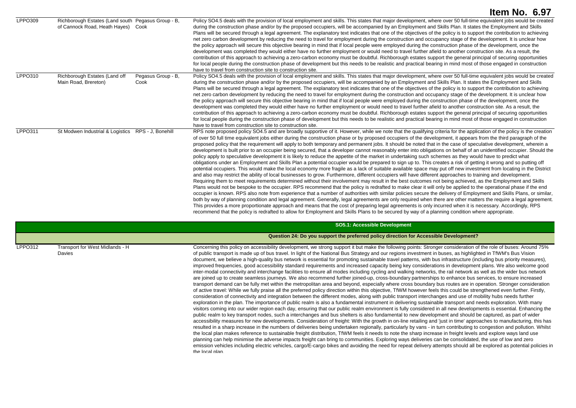| LPPO309 | Richborough Estates (Land south Pegasus Group - B,<br>of Cannock Road, Heath Hayes) Cook |                            | Policy SO4.5 deals with the provision of local employment and skills. This states that major development, where over 50 full-time equivalent jobs would be created<br>during the construction phase and/or by the proposed occupiers, will be accompanied by an Employment and Skills Plan. It states the Employment and Skills<br>Plans will be secured through a legal agreement. The explanatory text indicates that one of the objectives of the policy is to support the contribution to achieving<br>net zero carbon development by reducing the need to travel for employment during the construction and occupancy stage of the development. It is unclear how<br>the policy approach will secure this objective bearing in mind that if local people were employed during the construction phase of the development, once the<br>development was completed they would either have no further employment or would need to travel further afield to another construction site. As a result, the<br>contribution of this approach to achieving a zero-carbon economy must be doubtful. Richborough estates support the general principal of securing opportunities<br>for local people during the construction phase of development but this needs to be realistic and practical bearing in mind most of those engaged in construction<br>have to travel from construction site to construction site.                                                                                                                                                                                                                                                                                                                                                                                                                                                                                                                                                                                                                                                                                                                                                                                                                                                                                                                                             |
|---------|------------------------------------------------------------------------------------------|----------------------------|---------------------------------------------------------------------------------------------------------------------------------------------------------------------------------------------------------------------------------------------------------------------------------------------------------------------------------------------------------------------------------------------------------------------------------------------------------------------------------------------------------------------------------------------------------------------------------------------------------------------------------------------------------------------------------------------------------------------------------------------------------------------------------------------------------------------------------------------------------------------------------------------------------------------------------------------------------------------------------------------------------------------------------------------------------------------------------------------------------------------------------------------------------------------------------------------------------------------------------------------------------------------------------------------------------------------------------------------------------------------------------------------------------------------------------------------------------------------------------------------------------------------------------------------------------------------------------------------------------------------------------------------------------------------------------------------------------------------------------------------------------------------------------------------------------------------------------------------------------------------------------------------------------------------------------------------------------------------------------------------------------------------------------------------------------------------------------------------------------------------------------------------------------------------------------------------------------------------------------------------------------------------------------------------------------------------------------------------------------|
| LPPO310 | Richborough Estates (Land off<br>Main Road, Brereton)                                    | Pegasus Group - B,<br>Cook | Policy SO4.5 deals with the provision of local employment and skills. This states that major development, where over 50 full-time equivalent jobs would be created<br>during the construction phase and/or by the proposed occupiers, will be accompanied by an Employment and Skills Plan. It states the Employment and Skills<br>Plans will be secured through a legal agreement. The explanatory text indicates that one of the objectives of the policy is to support the contribution to achieving<br>net zero carbon development by reducing the need to travel for employment during the construction and occupancy stage of the development. It is unclear how<br>the policy approach will secure this objective bearing in mind that if local people were employed during the construction phase of the development, once the<br>development was completed they would either have no further employment or would need to travel further afield to another construction site. As a result, the<br>contribution of this approach to achieving a zero-carbon economy must be doubtful. Richborough estates support the general principal of securing opportunities<br>for local people during the construction phase of development but this needs to be realistic and practical bearing in mind most of those engaged in construction<br>have to travel from construction site to construction site.                                                                                                                                                                                                                                                                                                                                                                                                                                                                                                                                                                                                                                                                                                                                                                                                                                                                                                                                             |
| LPPO311 | St Modwen Industrial & Logistics RPS - J, Bonehill                                       |                            | RPS note proposed policy SO4.5 and are broadly supportive of it. However, while we note that the qualifying criteria for the application of the policy is the creation<br>of over 50 full time equivalent jobs either during the construction phase or by proposed occupiers of the development, it appears from the third paragraph of the<br>proposed policy that the requirement will apply to both temporary and permanent jobs. It should be noted that in the case of speculative development, wherein a<br>development is built prior to an occupier being secured, that a developer cannot reasonably enter into obligations on behalf of an unidentified occupier. Should the<br>policy apply to speculative development it is likely to reduce the appetite of the market in undertaking such schemes as they would have to predict what<br>obligations under an Employment and Skills Plan a potential occupier would be prepared to sign up to. This creates a risk of getting it wrong and so putting off<br>potential occupiers. This would make the local economy more fragile as a lack of suitable available space may put off new investment from locating in the District<br>and also may restrict the ability of local businesses to grow. Furthermore, different occupiers will have different approaches to training and development.<br>Requiring them to meet requirements determined without their involvement may result in the best outcomes not being achieved, as the Employment and Skills<br>Plans would not be bespoke to the occupier. RPS recommend that the policy is redrafted to make clear it will only be applied to the operational phase if the end<br>occupier is known. RPS also note from experience that a number of authorities with similar policies secure the delivery of Employment and Skills Plans, or similar,<br>both by way of planning condition and legal agreement. Generally, legal agreements are only required when there are other matters the require a legal agreement.<br>This provides a more proportionate approach and means that the cost of preparing legal agreements is only incurred when it is necessary. Accordingly, RPS<br>recommend that the policy is redrafted to allow for Employment and Skills Plans to be secured by way of a planning condition where appropriate. |

**SO5.1: Accessible Development Question 24: Do you support the preferred policy direction for Accessible Development?** LPPO312 Transport for West Midlands - H Davies Concerning this policy on accessibility development, we strong support it but make the following points: Stronger consideration of the role of buses: Around 75% of public transport is made up of bus travel. In light of the National Bus Strategy and our regions investment in buses, as highlighted in TfWM's Bus Vision document, we believe a high-quality bus network is essential for promoting sustainable travel patterns, with bus infrastructure (including bus priority measures), improved frequencies, good accessibility standard requirements and increased capacity being key considerations in development plans. We also welcome good inter-modal connectivity and interchange facilities to ensure all modes including cycling and walking networks, the rail network as well as the wider bus network are joined up to create seamless journeys. We also recommend further joined-up, cross-boundary partnerships to enhance bus services, to ensure increased transport demand can be fully met within the metropolitan area and beyond, especially where cross boundary bus routes are in operation. Stronger consideration of active travel: While we fully praise all the preferred policy direction within this objective, TfWM however feels this could be strengthened even further. Firstly, consideration of connectivity and integration between the different modes, along with public transport interchanges and use of mobility hubs needs further exploration in the plan. The importance of public realm is also a fundamental instrument in delivering sustainable transport and needs exploration. With many visitors coming into our wider region each day, ensuring that our public realm environment is fully considered in all new developments is essential. Enhancing the public realm to key transport nodes, such a interchanges and bus shelters is also fundamental to new development and should be captured, as part of wider accessibility measures for new developments. Consideration of freight: With the growth in on-line retailing and 'just in time' approaches to manufacturing, this has resulted in a sharp increase in the numbers of deliveries being undertaken regionally, particularly by vans - in turn contributing to congestion and pollution. Whilst the local plan makes reference to sustainable freight distribution, TfWM feels it needs to note the sharp increase in freight levels and explore ways land use planning can help minimise the adverse impacts freight can bring to communities. Exploring ways deliveries can be consolidated, the use of low and zero emission vehicles including electric vehicles, cargo/E-cargo bikes and avoiding the need for repeat delivery attempts should all be explored as potential policies in the local plan.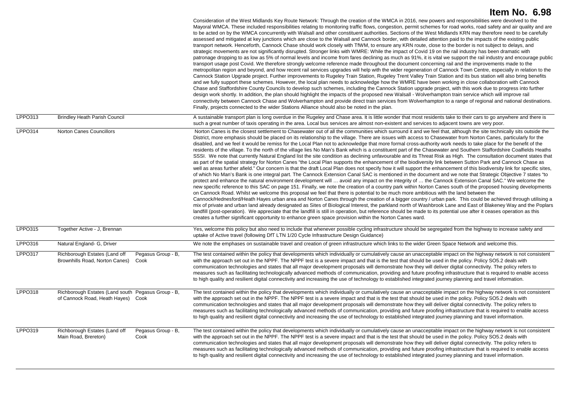|                |                                                                                               | Consideration of the West Midlands Key Route Network: Through the creation of the WMCA in 2016, new powers and responsibilities were devolved to the<br>Mayoral WMCA. These included responsibilities relating to monitoring traffic flows, congestion, permit schemes for road works, road safety and air quality and are<br>to be acted on by the WMCA concurrently with Walsall and other constituent authorities. Sections of the West Midlands KRN may therefore need to be carefully<br>assessed and mitigated at key junctions which are close to the Walsall and Cannock border, with detailed attention paid to the impacts of the existing public<br>transport network. Henceforth, Cannock Chase should work closely with TfWM, to ensure any KRN route, close to the border is not subject to delays, and<br>strategic movements are not significantly disrupted. Stronger links with WMRE: While the impact of Covid 19 on the rail industry has been dramatic with<br>patronage dropping to as low as 5% of normal levels and income from fares declining as much as 91%, it is vital we support the rail industry and encourage public<br>transport usage post Covid. We therefore strongly welcome reference made throughout the document concerning rail and the improvements made to the<br>metropolitan region and beyond, and how recent rail services upgrades will help with the wider regeneration of Cannock Town Centre, especially in relation to the<br>Cannock Station Upgrade project. Further improvements to Rugeley Train Station, Rugeley Trent Valley Train Station and its bus station will also bring benefits<br>and we fully support these schemes. However, the local plan needs to acknowledge how the WMRE have been working in close collaboration with Cannock<br>Chase and Staffordshire County Councils to develop such schemes, including the Cannock Station upgrade project, with this work due to progress into further<br>design work shortly. In addition, the plan should highlight the impacts of the proposed new Walsall - Wolverhampton train service which will improve rail<br>connectivity between Cannock Chase and Wolverhampton and provide direct train services from Wolverhampton to a range of regional and national destinations.<br>Finally, projects connected to the wider Stations Alliance should also be noted in the plan.                                                       |
|----------------|-----------------------------------------------------------------------------------------------|------------------------------------------------------------------------------------------------------------------------------------------------------------------------------------------------------------------------------------------------------------------------------------------------------------------------------------------------------------------------------------------------------------------------------------------------------------------------------------------------------------------------------------------------------------------------------------------------------------------------------------------------------------------------------------------------------------------------------------------------------------------------------------------------------------------------------------------------------------------------------------------------------------------------------------------------------------------------------------------------------------------------------------------------------------------------------------------------------------------------------------------------------------------------------------------------------------------------------------------------------------------------------------------------------------------------------------------------------------------------------------------------------------------------------------------------------------------------------------------------------------------------------------------------------------------------------------------------------------------------------------------------------------------------------------------------------------------------------------------------------------------------------------------------------------------------------------------------------------------------------------------------------------------------------------------------------------------------------------------------------------------------------------------------------------------------------------------------------------------------------------------------------------------------------------------------------------------------------------------------------------------------------------------------------------------------------------------------------------------------------------------------------------------------------------------------------------|
| LPPO313        | <b>Brindley Heath Parish Council</b>                                                          | A sustainable transport plan is long overdue in the Rugeley and Chase area. It is little wonder that most residents take to their cars to go anywhere and there is<br>such a great number of taxis operating in the area. Local bus services are almost non-existent and services to adjacent towns are very poor.                                                                                                                                                                                                                                                                                                                                                                                                                                                                                                                                                                                                                                                                                                                                                                                                                                                                                                                                                                                                                                                                                                                                                                                                                                                                                                                                                                                                                                                                                                                                                                                                                                                                                                                                                                                                                                                                                                                                                                                                                                                                                                                                         |
| LPPO314        | Norton Canes Councillors                                                                      | Norton Canes is the closest settlement to Chasewater out of all the communities which surround it and we feel that, although the site technically sits outside the<br>District, more emphasis should be placed on its relationship to the village. There are issues with access to Chasewater from Norton Canes, particularly for the<br>disabled, and we feel it would be remiss for the Local Plan not to acknowledge that more formal cross-authority work needs to take place for the benefit of the<br>residents of the village. To the north of the village lies No Man's Bank which is a constituent part of the Chasewater and Southern Staffordshire Coalfields Heaths<br>SSSI. We note that currently Natural England list the site condition as declining unfavourable and its Threat Risk as High. The consultation document states that<br>as part of the spatial strategy for Norton Canes "the Local Plan supports the enhancement of the biodiversity link between Sutton Park and Cannock Chase as<br>well as areas further afield." Our concern is that the draft Local Plan does not specify how it will support the enhancement of this biodiversity link for specific sites,<br>of which No Man's Bank is one integral part. The Cannock Extension Canal SAC is mentioned in the document and we note that Strategic Objective 7 states "to<br>protect and enhance the natural environment development will  avoid any impact on the integrity of  the Cannock Extension Canal SAC." We welcome the<br>new specific reference to this SAC on page 151. Finally, we note the creation of a country park within Norton Canes south of the proposed housing developments<br>on Cannock Road. Whilst we welcome this proposal we feel that there is potential to be much more ambitious with the land between the<br>Cannock/Hednesford/Heath Hayes urban area and Norton Canes through the creation of a bigger country / urban park. This could be achieved through utilising a<br>mix of private and urban land already designated as Sites of Biological Interest, the parkland north of Washbrook Lane and East of Blakeney Way and the Poplars<br>landfill (post-operation). We appreciate that the landfill is still in operation, but reference should be made to its potential use after it ceases operation as this<br>creates a further significant opportunity to enhance green space provision within the Norton Canes ward. |
| <b>LPPO315</b> | Together Active - J. Brennan                                                                  | Yes, welcome this policy but also need to include that whenever possible cycling infrastructure should be segregated from the highway to increase safety and<br>uptake of Active travel (following DfT LTN 1/20 Cycle Infrastructure Design Guidance)                                                                                                                                                                                                                                                                                                                                                                                                                                                                                                                                                                                                                                                                                                                                                                                                                                                                                                                                                                                                                                                                                                                                                                                                                                                                                                                                                                                                                                                                                                                                                                                                                                                                                                                                                                                                                                                                                                                                                                                                                                                                                                                                                                                                      |
| LPPO316        | Natural England- G, Driver                                                                    | We note the emphases on sustainable travel and creation of green infrastructure which links to the wider Green Space Network and welcome this.                                                                                                                                                                                                                                                                                                                                                                                                                                                                                                                                                                                                                                                                                                                                                                                                                                                                                                                                                                                                                                                                                                                                                                                                                                                                                                                                                                                                                                                                                                                                                                                                                                                                                                                                                                                                                                                                                                                                                                                                                                                                                                                                                                                                                                                                                                             |
| <b>LPPO317</b> | Richborough Estates (Land off<br>Pegasus Group - B,<br>Brownhills Road, Norton Canes)<br>Cook | The test contained within the policy that developments which individually or cumulatively cause an unacceptable impact on the highway network is not consistent<br>with the approach set out in the NPPF. The NPPF test is a severe impact and that is the test that should be used in the policy. Policy SO5.2 deals with<br>communication technologies and states that all major development proposals will demonstrate how they will deliver digital connectivity. The policy refers to<br>measures such as facilitating technologically advanced methods of communication, providing and future proofing infrastructure that is required to enable access<br>to high quality and resilient digital connectivity and increasing the use of technology to established integrated journey planning and travel information.                                                                                                                                                                                                                                                                                                                                                                                                                                                                                                                                                                                                                                                                                                                                                                                                                                                                                                                                                                                                                                                                                                                                                                                                                                                                                                                                                                                                                                                                                                                                                                                                                                |
| <b>LPPO318</b> | Richborough Estates (Land south Pegasus Group - B,<br>of Cannock Road, Heath Hayes) Cook      | The test contained within the policy that developments which individually or cumulatively cause an unacceptable impact on the highway network is not consistent<br>with the approach set out in the NPPF. The NPPF test is a severe impact and that is the test that should be used in the policy. Policy SO5.2 deals with<br>communication technologies and states that all major development proposals will demonstrate how they will deliver digital connectivity. The policy refers to<br>measures such as facilitating technologically advanced methods of communication, providing and future proofing infrastructure that is required to enable access<br>to high quality and resilient digital connectivity and increasing the use of technology to established integrated journey planning and travel information.                                                                                                                                                                                                                                                                                                                                                                                                                                                                                                                                                                                                                                                                                                                                                                                                                                                                                                                                                                                                                                                                                                                                                                                                                                                                                                                                                                                                                                                                                                                                                                                                                                |
| <b>LPPO319</b> | Richborough Estates (Land off<br>Pegasus Group - B,<br>Main Road, Brereton)<br>Cook           | The test contained within the policy that developments which individually or cumulatively cause an unacceptable impact on the highway network is not consistent<br>with the approach set out in the NPPF. The NPPF test is a severe impact and that is the test that should be used in the policy. Policy SO5.2 deals with<br>communication technologies and states that all major development proposals will demonstrate how they will deliver digital connectivity. The policy refers to<br>measures such as facilitating technologically advanced methods of communication, providing and future proofing infrastructure that is required to enable access<br>to high quality and resilient digital connectivity and increasing the use of technology to established integrated journey planning and travel information.                                                                                                                                                                                                                                                                                                                                                                                                                                                                                                                                                                                                                                                                                                                                                                                                                                                                                                                                                                                                                                                                                                                                                                                                                                                                                                                                                                                                                                                                                                                                                                                                                                |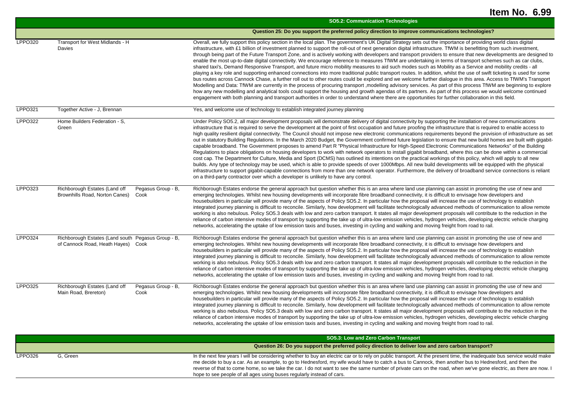|                |                                                                                          |                            | <b>SO5.2: Communication Technologies</b>                                                                                                                                                                                                                                                                                                                                                                                                                                                                                                                                                                                                                                                                                                                                                                                                                                                                                                                                                                                                                                                                                                                                                                                                                                                                                                                                                                                                                                                                                                                                                                                                                                  |
|----------------|------------------------------------------------------------------------------------------|----------------------------|---------------------------------------------------------------------------------------------------------------------------------------------------------------------------------------------------------------------------------------------------------------------------------------------------------------------------------------------------------------------------------------------------------------------------------------------------------------------------------------------------------------------------------------------------------------------------------------------------------------------------------------------------------------------------------------------------------------------------------------------------------------------------------------------------------------------------------------------------------------------------------------------------------------------------------------------------------------------------------------------------------------------------------------------------------------------------------------------------------------------------------------------------------------------------------------------------------------------------------------------------------------------------------------------------------------------------------------------------------------------------------------------------------------------------------------------------------------------------------------------------------------------------------------------------------------------------------------------------------------------------------------------------------------------------|
|                |                                                                                          |                            | Question 25: Do you support the preferred policy direction to improve communications technologies?                                                                                                                                                                                                                                                                                                                                                                                                                                                                                                                                                                                                                                                                                                                                                                                                                                                                                                                                                                                                                                                                                                                                                                                                                                                                                                                                                                                                                                                                                                                                                                        |
| <b>LPPO320</b> | Transport for West Midlands - H<br>Davies                                                |                            | Overall, we fully support this policy section in the local plan. The government's UK Digital Strategy sets out the importance of providing world class digital<br>infrastructure, with £1 billion of investment planned to support the roll-out of next generation digital infrastructure. TfWM is benefitting from such investment,<br>through being part of the Future Transport Zone, and is actively working with developers and transport providers to ensure that new developments are designed to<br>enable the most up-to-date digital connectivity. We encourage reference to measures TfWM are undertaking in terms of transport schemes such as car clubs,<br>shared taxi's, Demand Responsive Transport, and future micro mobility measures to aid such modes such as Mobility as a Service and mobility credits - all<br>playing a key role and supporting enhanced connections into more traditional public transport routes. In addition, whilst the use of swift ticketing is used for some<br>bus routes across Cannock Chase, a further roll out to other routes could be explored and we welcome further dialogue in this area. Access to TfWM's Transport<br>Modelling and Data: TfWM are currently in the process of procuring transport, modelling advisory services. As part of this process TfWM are beginning to explore<br>how any new modelling and analytical tools could support the housing and growth agendas of its partners. As part of this process we would welcome continued<br>engagement with both planning and transport authorities in order to understand where there are opportunities for further collaboration in this field. |
| LPPO321        | Together Active - J, Brennan                                                             |                            | Yes, and welcome use of technology to establish integrated journey planning                                                                                                                                                                                                                                                                                                                                                                                                                                                                                                                                                                                                                                                                                                                                                                                                                                                                                                                                                                                                                                                                                                                                                                                                                                                                                                                                                                                                                                                                                                                                                                                               |
| <b>LPPO322</b> | Home Builders Federation - S.<br>Green                                                   |                            | Under Policy SO5.2, all major development proposals will demonstrate delivery of digital connectivity by supporting the installation of new communications<br>infrastructure that is required to serve the development at the point of first occupation and future proofing the infrastructure that is required to enable access to<br>high quality resilient digital connectivity. The Council should not impose new electronic communications requirements beyond the provision of infrastructure as set<br>out in statutory Building Regulations. In the March 2020 Budget, the Government confirmed future legislation to ensure that new build homes are built with gigabit-<br>capable broadband. The Government proposes to amend Part R "Physical Infrastructure for High-Speed Electronic Communications Networks" of the Building<br>Regulations to place obligations on housing developers to work with network operators to install gigabit broadband, where this can be done within a commercial<br>cost cap. The Department for Culture, Media and Sport (DCMS) has outlined its intentions on the practical workings of this policy, which will apply to all new<br>builds. Any type of technology may be used, which is able to provide speeds of over 1000Mbps. All new build developments will be equipped with the physical<br>infrastructure to support gigabit-capable connections from more than one network operator. Furthermore, the delivery of broadband service connections is reliant<br>on a third-party contractor over which a developer is unlikely to have any control.                                                                 |
| LPPO323        | Richborough Estates (Land off<br>Brownhills Road, Norton Canes)                          | Pegasus Group - B.<br>Cook | Richborough Estates endorse the general approach but question whether this is an area where land use planning can assist in promoting the use of new and<br>emerging technologies. Whilst new housing developments will incorporate fibre broadband connectivity, it is difficult to envisage how developers and<br>housebuilders in particular will provide many of the aspects of Policy SO5.2. In particular how the proposal will increase the use of technology to establish<br>integrated journey planning is difficult to reconcile. Similarly, how development will facilitate technologically advanced methods of communication to allow remote<br>working is also nebulous. Policy SO5.3 deals with low and zero carbon transport. It states all major development proposals will contribute to the reduction in the<br>reliance of carbon intensive modes of transport by supporting the take up of ultra-low emission vehicles, hydrogen vehicles, developing electric vehicle charging<br>networks, accelerating the uptake of low emission taxis and buses, investing in cycling and walking and moving freight from road to rail.                                                                                                                                                                                                                                                                                                                                                                                                                                                                                                                          |
| <b>LPPO324</b> | Richborough Estates (Land south Pegasus Group - B,<br>of Cannock Road, Heath Hayes) Cook |                            | Richborough Estates endorse the general approach but question whether this is an area where land use planning can assist in promoting the use of new and<br>emerging technologies. Whilst new housing developments will incorporate fibre broadband connectivity, it is difficult to envisage how developers and<br>housebuilders in particular will provide many of the aspects of Policy SO5.2. In particular how the proposal will increase the use of technology to establish<br>integrated journey planning is difficult to reconcile. Similarly, how development will facilitate technologically advanced methods of communication to allow remote<br>working is also nebulous. Policy SO5.3 deals with low and zero carbon transport. It states all major development proposals will contribute to the reduction in the<br>reliance of carbon intensive modes of transport by supporting the take up of ultra-low emission vehicles, hydrogen vehicles, developing electric vehicle charging<br>networks, accelerating the uptake of low emission taxis and buses, investing in cycling and walking and moving freight from road to rail.                                                                                                                                                                                                                                                                                                                                                                                                                                                                                                                          |
| <b>LPPO325</b> | Richborough Estates (Land off<br>Main Road, Brereton)                                    | Pegasus Group - B,<br>Cook | Richborough Estates endorse the general approach but question whether this is an area where land use planning can assist in promoting the use of new and<br>emerging technologies. Whilst new housing developments will incorporate fibre broadband connectivity, it is difficult to envisage how developers and<br>housebuilders in particular will provide many of the aspects of Policy SO5.2. In particular how the proposal will increase the use of technology to establish<br>integrated journey planning is difficult to reconcile. Similarly, how development will facilitate technologically advanced methods of communication to allow remote<br>working is also nebulous. Policy SO5.3 deals with low and zero carbon transport. It states all major development proposals will contribute to the reduction in the<br>reliance of carbon intensive modes of transport by supporting the take up of ultra-low emission vehicles, hydrogen vehicles, developing electric vehicle charging<br>networks, accelerating the uptake of low emission taxis and buses, investing in cycling and walking and moving freight from road to rail.                                                                                                                                                                                                                                                                                                                                                                                                                                                                                                                          |

|         |          | SO5.3: Low and Zero Carbon Transport                                                                                                                                                                                                                                                                                                                                                                                                                                                                                                                                          |
|---------|----------|-------------------------------------------------------------------------------------------------------------------------------------------------------------------------------------------------------------------------------------------------------------------------------------------------------------------------------------------------------------------------------------------------------------------------------------------------------------------------------------------------------------------------------------------------------------------------------|
|         |          | Question 26: Do you support the preferred policy direction to deliver low and zero carbon transport?                                                                                                                                                                                                                                                                                                                                                                                                                                                                          |
| LPPO326 | G. Green | In the next few years I will be considering whether to buy an electric car or to rely on public transport. At the present time, the inadequate bus service would make<br>me decide to buy a car. As an example, to go to Hednesford, my wife would have to catch a bus to Cannock, then another bus to Hednesford, and then the<br>reverse of that to come home, so we take the car. I do not want to see the same number of private cars on the road, when we've gone electric, as there are now. I<br>hope to see people of all ages using buses regularly instead of cars. |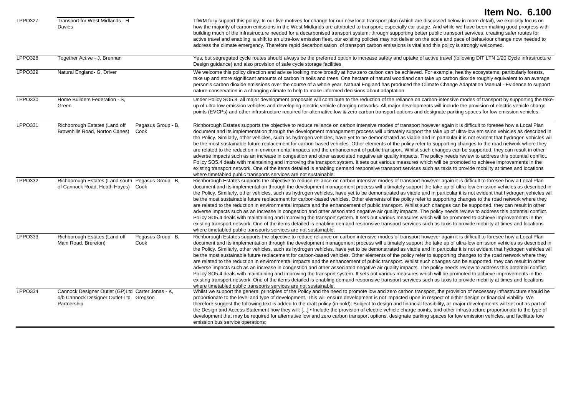| <b>LPPO327</b> | Transport for West Midlands - H<br>Davies                                                                   | <b>Item No. 6.100</b><br>TfWM fully support this policy. In our five motives for change for our new local transport plan (which are discussed below in more detail), we explicitly focus on<br>how the majority of carbon emissions in the West Midlands are attributed to transport; especially car usage. And while we have been making good progress with<br>building much of the infrastructure needed for a decarbonised transport system; through supporting better public transport services, creating safer routes for<br>active travel and enabling a shift to an ultra-low emission fleet, our existing policies may not deliver on the scale and pace of behaviour change now needed to<br>address the climate emergency. Therefore rapid decarbonisation of transport carbon emissions is vital and this policy is strongly welcomed.                                                                                                                                                                                                                                                                                                                                                                                                                                                                                                                                                                     |
|----------------|-------------------------------------------------------------------------------------------------------------|-----------------------------------------------------------------------------------------------------------------------------------------------------------------------------------------------------------------------------------------------------------------------------------------------------------------------------------------------------------------------------------------------------------------------------------------------------------------------------------------------------------------------------------------------------------------------------------------------------------------------------------------------------------------------------------------------------------------------------------------------------------------------------------------------------------------------------------------------------------------------------------------------------------------------------------------------------------------------------------------------------------------------------------------------------------------------------------------------------------------------------------------------------------------------------------------------------------------------------------------------------------------------------------------------------------------------------------------------------------------------------------------------------------------------|
| LPPO328        | Together Active - J. Brennan                                                                                | Yes, but segregated cycle routes should always be the preferred option to increase safety and uptake of active travel (following DfT LTN 1/20 Cycle infrastructure<br>Design quidance) and also provision of safe cycle storage facilities.                                                                                                                                                                                                                                                                                                                                                                                                                                                                                                                                                                                                                                                                                                                                                                                                                                                                                                                                                                                                                                                                                                                                                                           |
| LPPO329        | Natural England- G, Driver                                                                                  | We welcome this policy direction and advise looking more broadly at how zero carbon can be achieved. For example, healthy ecosystems, particularly forests,<br>take up and store significant amounts of carbon in soils and trees. One hectare of natural woodland can take up carbon dioxide roughly equivalent to an average<br>person's carbon dioxide emissions over the course of a whole year. Natural England has produced the Climate Change Adaptation Manual - Evidence to support<br>nature conservation in a changing climate to help to make informed decisions about adaptation.                                                                                                                                                                                                                                                                                                                                                                                                                                                                                                                                                                                                                                                                                                                                                                                                                        |
| LPPO330        | Home Builders Federation - S.<br>Green                                                                      | Under Policy SO5.3, all major development proposals will contribute to the reduction of the reliance on carbon-intensive modes of transport by supporting the take-<br>up of ultra-low emission vehicles and developing electric vehicle charging networks. All major developments will include the provision of electric vehicle charge<br>points (EVCPs) and other infrastructure required for alternative low & zero carbon transport options and designate parking spaces for low emission vehicles.                                                                                                                                                                                                                                                                                                                                                                                                                                                                                                                                                                                                                                                                                                                                                                                                                                                                                                              |
| LPPO331        | Richborough Estates (Land off<br>Pegasus Group - B,<br>Brownhills Road, Norton Canes)<br>Cook               | Richborough Estates supports the objective to reduce reliance on carbon intensive modes of transport however again it is difficult to foresee how a Local Plan<br>document and its implementation through the development management process will ultimately support the take up of ultra-low emission vehicles as described in<br>the Policy. Similarly, other vehicles, such as hydrogen vehicles, have yet to be demonstrated as viable and in particular it is not evident that hydrogen vehicles will<br>be the most sustainable future replacement for carbon-based vehicles. Other elements of the policy refer to supporting changes to the road network where they<br>are related to the reduction in environmental impacts and the enhancement of public transport. Whilst such changes can be supported, they can result in other<br>adverse impacts such as an increase in congestion and other associated negative air quality impacts. The policy needs review to address this potential conflict.<br>Policy SO5.4 deals with maintaining and improving the transport system. It sets out various measures which will be promoted to achieve improvements in the<br>existing transport network. One of the items detailed is enabling demand responsive transport services such as taxis to provide mobility at times and locations<br>where timetabled public transports services are not sustainable. |
| LPPO332        | Richborough Estates (Land south Pegasus Group - B.<br>of Cannock Road, Heath Hayes) Cook                    | Richborough Estates supports the objective to reduce reliance on carbon intensive modes of transport however again it is difficult to foresee how a Local Plan<br>document and its implementation through the development management process will ultimately support the take up of ultra-low emission vehicles as described in<br>the Policy. Similarly, other vehicles, such as hydrogen vehicles, have yet to be demonstrated as viable and in particular it is not evident that hydrogen vehicles will<br>be the most sustainable future replacement for carbon-based vehicles. Other elements of the policy refer to supporting changes to the road network where they<br>are related to the reduction in environmental impacts and the enhancement of public transport. Whilst such changes can be supported, they can result in other<br>adverse impacts such as an increase in congestion and other associated negative air quality impacts. The policy needs review to address this potential conflict.<br>Policy SO5.4 deals with maintaining and improving the transport system. It sets out various measures which will be promoted to achieve improvements in the<br>existing transport network. One of the items detailed is enabling demand responsive transport services such as taxis to provide mobility at times and locations<br>where timetabled public transports services are not sustainable. |
| LPPO333        | Richborough Estates (Land off<br>Pegasus Group - B,<br>Main Road, Brereton)<br>Cook                         | Richborough Estates supports the objective to reduce reliance on carbon intensive modes of transport however again it is difficult to foresee how a Local Plan<br>document and its implementation through the development management process will ultimately support the take up of ultra-low emission vehicles as described in<br>the Policy. Similarly, other vehicles, such as hydrogen vehicles, have yet to be demonstrated as viable and in particular it is not evident that hydrogen vehicles will<br>be the most sustainable future replacement for carbon-based vehicles. Other elements of the policy refer to supporting changes to the road network where they<br>are related to the reduction in environmental impacts and the enhancement of public transport. Whilst such changes can be supported, they can result in other<br>adverse impacts such as an increase in congestion and other associated negative air quality impacts. The policy needs review to address this potential conflict.<br>Policy SO5.4 deals with maintaining and improving the transport system. It sets out various measures which will be promoted to achieve improvements in the<br>existing transport network. One of the items detailed is enabling demand responsive transport services such as taxis to provide mobility at times and locations<br>where timetabled public transports services are not sustainable. |
| <b>LPPO334</b> | Cannock Designer Outlet (GP)Ltd Carter Jonas - K,<br>o/b Cannock Designer Outlet Ltd Gregson<br>Partnership | Whilst we support the general principles of the Policy and the need to promote low and zero carbon transport, the provision of necessary infrastructure should be<br>proportionate to the level and type of development. This will ensure development is not impacted upon in respect of either design or financial viability. We<br>therefore suggest the following text is added to the draft policy (in bold): Subject to design and financial feasibility, all major developments will set out as part of<br>the Design and Access Statement how they will: [] • Include the provision of electric vehicle charge points, and other infrastructure proportionate to the type of<br>development that may be required for alternative low and zero carbon transport options, designate parking spaces for low emission vehicles, and facilitate low<br>emission bus service operations;                                                                                                                                                                                                                                                                                                                                                                                                                                                                                                                             |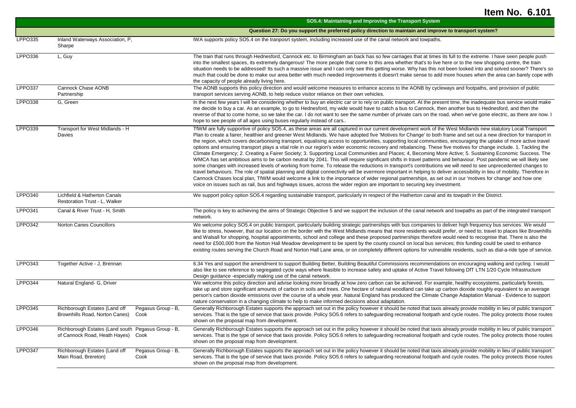|                |                                                                                               | SO5.4: Maintaining and Improving the Transport System                                                                                                                                                                                                                                                                                                                                                                                                                                                                                                                                                                                                                                                                                                                                                                                                                                                                                                                                                                                                                                                                                                                                                                                                                                                                                                                                                                                                                                                                                                                                                                                                |
|----------------|-----------------------------------------------------------------------------------------------|------------------------------------------------------------------------------------------------------------------------------------------------------------------------------------------------------------------------------------------------------------------------------------------------------------------------------------------------------------------------------------------------------------------------------------------------------------------------------------------------------------------------------------------------------------------------------------------------------------------------------------------------------------------------------------------------------------------------------------------------------------------------------------------------------------------------------------------------------------------------------------------------------------------------------------------------------------------------------------------------------------------------------------------------------------------------------------------------------------------------------------------------------------------------------------------------------------------------------------------------------------------------------------------------------------------------------------------------------------------------------------------------------------------------------------------------------------------------------------------------------------------------------------------------------------------------------------------------------------------------------------------------------|
|                |                                                                                               | Question 27: Do you support the preferred policy direction to maintain and improve to transport system?                                                                                                                                                                                                                                                                                                                                                                                                                                                                                                                                                                                                                                                                                                                                                                                                                                                                                                                                                                                                                                                                                                                                                                                                                                                                                                                                                                                                                                                                                                                                              |
| <b>LPPO335</b> | Inland Waterways Association, P.<br>Sharpe                                                    | IWA supports policy SO5.4 on the tranposrt system, including increased use of the canal network and towpaths.                                                                                                                                                                                                                                                                                                                                                                                                                                                                                                                                                                                                                                                                                                                                                                                                                                                                                                                                                                                                                                                                                                                                                                                                                                                                                                                                                                                                                                                                                                                                        |
| <b>LPPO336</b> | L, Guy                                                                                        | The train that runs through Hednesford, Cannock etc. to Birmingham an back has so few carriages that at times its full to the extreme. I have seen people push<br>into the smallest spaces, its extremely dangerous! The more people that come to this area whether that's to live here or to the new shopping centre, the train<br>situation needs to be addressed! Its such a massive issue and I can only see this getting worse. Why has this not been looked into and solved sooner? There's so<br>much that could be done to make our area better with much needed improvements it doesn't make sense to add more houses when the area can barely cope with<br>the capacity of people already living here.                                                                                                                                                                                                                                                                                                                                                                                                                                                                                                                                                                                                                                                                                                                                                                                                                                                                                                                                     |
| <b>LPPO337</b> | Cannock Chase AONB<br>Partnership                                                             | The AONB supports this policy direction and would welcome measures to enhance access to the AONB by cycleways and footpaths, and provision of public<br>transport services serving AONB, to help reduce visitor reliance on their own vehicles.                                                                                                                                                                                                                                                                                                                                                                                                                                                                                                                                                                                                                                                                                                                                                                                                                                                                                                                                                                                                                                                                                                                                                                                                                                                                                                                                                                                                      |
| LPPO338        | G, Green                                                                                      | In the next few years I will be considering whether to buy an electric car or to rely on public transport. At the present time, the inadequate bus service would make<br>me decide to buy a car. As an example, to go to Hednesford, my wide would have to catch a bus to Cannock, then another bus to Hednesford, and then the<br>reverse of that to come home, so we take the car. I do not want to see the same number of private cars on the road, when we've gone electric, as there are now. I<br>hope to see people of all ages using buses regularly instead of cars                                                                                                                                                                                                                                                                                                                                                                                                                                                                                                                                                                                                                                                                                                                                                                                                                                                                                                                                                                                                                                                                         |
| LPPO339        | Transport for West Midlands - H<br>Davies                                                     | TfWM are fully supportive of policy SO5.4, as these areas are all captured in our current development work of the West Midlands new statutory Local Transport<br>Plan to create a fairer, healthier and greener West Midlands. We have adopted five 'Motives for Change' to both frame and set out a new direction for transport in<br>the region, which covers decarbonising transport, equalising access to opportunities, supporting local communities, encouraging the uptake of more active travel<br>options and ensuring transport plays a vital role in our region's wider economic recovery and rebalancing. These five motives for change include. 1. Tackling the<br>Climate Emergency; 2. Creating a Fairer Society; 3. Supporting Local Communities and Places; 4, Becoming More Active; 5. Sustaining Economic Success. The<br>WMCA has set ambitious aims to be carbon neutral by 2041. This will require significant shifts in travel patterns and behaviour. Post pandemic we will likely see<br>some changes with increased levels of working from home. To release the reductions in transport's contributions we will need to see unprecedented changes to<br>travel behaviours. The role of spatial planning and digital connectivity will be evermore important in helping to deliver accessibility in lieu of mobility. Therefore in<br>Cannock Chases local plan, TfWM would welcome a link to the importance of wider regional partnerships, as set out in our 'motives for change' and how one<br>voice on issues such as rail, bus and highways issues, across the wider region are important to securing key investment. |
| <b>LPPO340</b> | Lichfield & Hatherton Canals<br>Restoration Trust - L, Walker                                 | We support policy option SO5.4 regarding sustainable transport, particularly in respect of the Hatherton canal and its towpath in the District.                                                                                                                                                                                                                                                                                                                                                                                                                                                                                                                                                                                                                                                                                                                                                                                                                                                                                                                                                                                                                                                                                                                                                                                                                                                                                                                                                                                                                                                                                                      |
| <b>LPPO341</b> | Canal & River Trust - H, Smith                                                                | The policy is key to achieving the aims of Strategic Objective 5 and we support the inclusion of the canal network and towpaths as part of the integrated transport<br>network.                                                                                                                                                                                                                                                                                                                                                                                                                                                                                                                                                                                                                                                                                                                                                                                                                                                                                                                                                                                                                                                                                                                                                                                                                                                                                                                                                                                                                                                                      |
| <b>LPPO342</b> | Norton Canes Councillors                                                                      | We welcome policy SO5.4 on public transport, particularly building strategic partnerships with bus companies to deliver high frequency bus services. We would<br>like to stress, however, that our location on the border with the West Midlands means that more residents would prefer, or need to, travel to places like Brownhills<br>and Walsall for shopping, hospital appointments, school and college and these proposed partnerships therefore would need to recognise that. There is also the<br>need for £500,000 from the Norton Hall Meadow development to be spent by the county council on local bus services; this funding could be used to enhance<br>existing routes serving the Church Road and Norton Hall Lane area, or on completely different options for vulnerable residents, such as dial-a-ride type of service.                                                                                                                                                                                                                                                                                                                                                                                                                                                                                                                                                                                                                                                                                                                                                                                                           |
| LPPO343        | Together Active - J, Brennan                                                                  | 6.34 Yes and support the amendment to support Building Better, Building Beautiful Commissions recommendations on encouraging walking and cycling. I would<br>also like to see reference to segregated cycle ways where feasible to increase safety and uptake of Active Travel following DfT LTN 1/20 Cycle Infrastructure<br>Design guidance -especially making use of the canal network.                                                                                                                                                                                                                                                                                                                                                                                                                                                                                                                                                                                                                                                                                                                                                                                                                                                                                                                                                                                                                                                                                                                                                                                                                                                           |
| LPPO344        | Natural England- G, Driver                                                                    | We welcome this policy direction and advise looking more broadly at how zero carbon can be achieved. For example, healthy ecosystems, particularly forests,<br>take up and store significant amounts of carbon in soils and trees. One hectare of natural woodland can take up carbon dioxide roughly equivalent to an average<br>person's carbon dioxide emissions over the course of a whole year. Natural England has produced the Climate Change Adaptation Manual - Evidence to support<br>nature conservation in a changing climate to help to make informed decisions about adaptation.                                                                                                                                                                                                                                                                                                                                                                                                                                                                                                                                                                                                                                                                                                                                                                                                                                                                                                                                                                                                                                                       |
| LPPO345        | Richborough Estates (Land off<br>Pegasus Group - B,<br>Brownhills Road, Norton Canes)<br>Cook | Generally Richborough Estates supports the approach set out in the policy however it should be noted that taxis already provide mobility in lieu of public transport<br>services. That is the type of service that taxis provide. Policy SO5.6 refers to safeguarding recreational footpath and cycle routes. The policy protects those routes<br>shown on the proposal map from development.                                                                                                                                                                                                                                                                                                                                                                                                                                                                                                                                                                                                                                                                                                                                                                                                                                                                                                                                                                                                                                                                                                                                                                                                                                                        |
| LPPO346        | Richborough Estates (Land south Pegasus Group - B,<br>of Cannock Road, Heath Hayes)<br>Cook   | Generally Richborough Estates supports the approach set out in the policy however it should be noted that taxis already provide mobility in lieu of public transport<br>services. That is the type of service that taxis provide. Policy SO5.6 refers to safeguarding recreational footpath and cycle routes. The policy protects those routes<br>shown on the proposal map from development.                                                                                                                                                                                                                                                                                                                                                                                                                                                                                                                                                                                                                                                                                                                                                                                                                                                                                                                                                                                                                                                                                                                                                                                                                                                        |
| <b>LPPO347</b> | Richborough Estates (Land off<br>Pegasus Group - B,<br>Main Road, Brereton)<br>Cook           | Generally Richborough Estates supports the approach set out in the policy however it should be noted that taxis already provide mobility in lieu of public transport<br>services. That is the type of service that taxis provide. Policy SO5.6 refers to safeguarding recreational footpath and cycle routes. The policy protects those routes<br>shown on the proposal map from development.                                                                                                                                                                                                                                                                                                                                                                                                                                                                                                                                                                                                                                                                                                                                                                                                                                                                                                                                                                                                                                                                                                                                                                                                                                                        |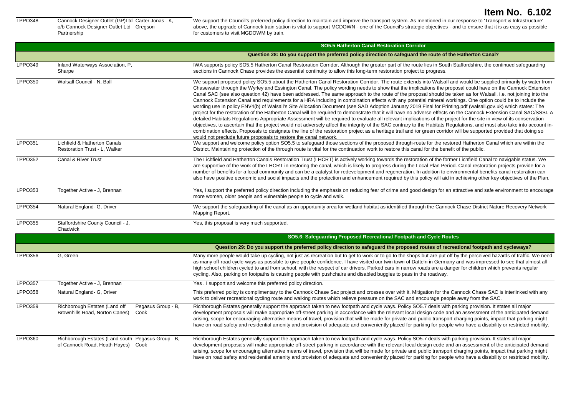LPPO348 Cannock Designer Outlet (GP)Ltd Carter Jonas - K, o/b Cannock Designer Outlet Ltd Gregson Partnership

We support the Council's preferred policy direction to maintain and improve the transport system. As mentioned in our response to 'Transport & Infrastructure' above, the upgrade of Cannock train station is vital to support MCDOWN - one of the Council's strategic objectives - and to ensure that it is as easy as possible for customers to visit MGDOWM by train.

|                |                                                                                               | <b>SO5.5 Hatherton Canal Restoration Corridor</b>                                                                                                                                                                                                                                                                                                                                                                                                                                                                                                                                                                                                                                                                                                                                                                                                                                                                                                                                                                                                                                                                                                                                                                                                                                                                                                                                                                                                                                                                                                                                                |
|----------------|-----------------------------------------------------------------------------------------------|--------------------------------------------------------------------------------------------------------------------------------------------------------------------------------------------------------------------------------------------------------------------------------------------------------------------------------------------------------------------------------------------------------------------------------------------------------------------------------------------------------------------------------------------------------------------------------------------------------------------------------------------------------------------------------------------------------------------------------------------------------------------------------------------------------------------------------------------------------------------------------------------------------------------------------------------------------------------------------------------------------------------------------------------------------------------------------------------------------------------------------------------------------------------------------------------------------------------------------------------------------------------------------------------------------------------------------------------------------------------------------------------------------------------------------------------------------------------------------------------------------------------------------------------------------------------------------------------------|
|                |                                                                                               | Question 28: Do you support the preferred policy direction to safeguard the route of the Hatherton Canal?                                                                                                                                                                                                                                                                                                                                                                                                                                                                                                                                                                                                                                                                                                                                                                                                                                                                                                                                                                                                                                                                                                                                                                                                                                                                                                                                                                                                                                                                                        |
| LPPO349        | Inland Waterways Association, P,<br>Sharpe                                                    | IWA supports policy SO5.5 Hatherton Canal Restoration Corridor. Although the greater part of the route lies in South Staffordshire, the continued safeguarding<br>sections in Cannock Chase provides the essential continuity to allow this long-term restoration project to progress.                                                                                                                                                                                                                                                                                                                                                                                                                                                                                                                                                                                                                                                                                                                                                                                                                                                                                                                                                                                                                                                                                                                                                                                                                                                                                                           |
| LPPO350        | Walsall Council - N, Ball                                                                     | We support proposed policy SO5.5 about the Hatherton Canal Restoration Corridor. The route extends into Walsall and would be supplied primarily by water from<br>Chasewater through the Wyrley and Essington Canal. The policy wording needs to show that the implications the proposal could have on the Cannock Extension<br>Canal SAC (see also question 42) have been addressed. The same approach to the route of the proposal should be taken as for Walsall, i.e. not joining into the<br>Cannock Extension Canal and requirements for a HRA including in combination effects with any potential mineral workings. One option could be to include the<br>wording use in policy ENV4(b) of Walsall's Site Allocation Document (see SAD Adoption January 2019 Final for Printing.pdf (walsall.gov.uk) which states: The<br>project for the restoration of the Hatherton Canal will be required to demonstrate that it will have no adverse effects on the Cannock Extension Canal SAC/SSSI. A<br>detailed Habitats Regulations Appropriate Assessment will be required to evaluate all relevant implications of the project for the site in view of its conservation<br>objectives, to ascertain that the project would not adversely affect the integrity of the SAC contrary to the Habitats Regulations, and must also take into account in-<br>combination effects. Proposals to designate the line of the restoration project as a heritage trail and /or green corridor will be supported provided that doing so<br>would not preclude future proposals to restore the canal network. |
| <b>LPPO351</b> | Lichfield & Hatherton Canals<br>Restoration Trust - L, Walker                                 | We support and welcome policy option SO5.5 to safeguard those sections of the proposed through-route for the restored Hatherton Canal which are within the<br>District. Maintaining protection of the through route is vital for the continuation work to restore this canal for the benefit of the public.                                                                                                                                                                                                                                                                                                                                                                                                                                                                                                                                                                                                                                                                                                                                                                                                                                                                                                                                                                                                                                                                                                                                                                                                                                                                                      |
| <b>LPPO352</b> | Canal & River Trust                                                                           | The Lichfield and Hatherton Canals Restoration Trust (LHCRT) is actively working towards the restoration of the former Lichfield Canal to navigable status. We<br>are supportive of the work of the LHCRT in restoring the canal, which is likely to progress during the Local Plan Period. Canal restoration projects provide for a<br>number of benefits for a local community and can be a catalyst for redevelopment and regeneration. In addition to environmental benefits canal restoration can<br>also have positive economic and social impacts and the protection and enhancement required by this policy will aid in achieving other key objectives of the Plan.                                                                                                                                                                                                                                                                                                                                                                                                                                                                                                                                                                                                                                                                                                                                                                                                                                                                                                                      |
| <b>LPPO353</b> | Together Active - J. Brennan                                                                  | Yes, I support the preferred policy direction including the emphasis on reducing fear of crime and good design for an attractive and safe environment to encourage<br>more women, older people and vulnerable people to cycle and walk.                                                                                                                                                                                                                                                                                                                                                                                                                                                                                                                                                                                                                                                                                                                                                                                                                                                                                                                                                                                                                                                                                                                                                                                                                                                                                                                                                          |
| <b>LPPO354</b> | Natural England- G, Driver                                                                    | We support the safeguarding of the canal as an opportunity area for wetland habitat as identified through the Cannock Chase District Nature Recovery Network<br>Mapping Report.                                                                                                                                                                                                                                                                                                                                                                                                                                                                                                                                                                                                                                                                                                                                                                                                                                                                                                                                                                                                                                                                                                                                                                                                                                                                                                                                                                                                                  |
| <b>LPPO355</b> | Staffordshire County Council - J.<br>Chadwick                                                 | Yes, this proposal is very much supported.                                                                                                                                                                                                                                                                                                                                                                                                                                                                                                                                                                                                                                                                                                                                                                                                                                                                                                                                                                                                                                                                                                                                                                                                                                                                                                                                                                                                                                                                                                                                                       |
|                |                                                                                               | SO5.6: Safeguarding Proposed Recreational Footpath and Cycle Routes                                                                                                                                                                                                                                                                                                                                                                                                                                                                                                                                                                                                                                                                                                                                                                                                                                                                                                                                                                                                                                                                                                                                                                                                                                                                                                                                                                                                                                                                                                                              |
|                |                                                                                               | Question 29: Do you support the preferred policy direction to safeguard the proposed routes of recreational footpath and cycleways?                                                                                                                                                                                                                                                                                                                                                                                                                                                                                                                                                                                                                                                                                                                                                                                                                                                                                                                                                                                                                                                                                                                                                                                                                                                                                                                                                                                                                                                              |
| LPPO356        | G, Green                                                                                      | Many more people would take up cycling, not just as recreation but to get to work or to go to the shops but are put off by the perceived hazards of traffic. We need<br>as many off-road cycle-ways as possible to give people confidence. I have visited our twin town of Datteln in Germany and was impressed to see that almost all<br>high school children cycled to and from school, with the respect of car drivers. Parked cars in narrow roads are a danger for children which prevents regular<br>cycling. Also, parking on footpaths is causing people with pushchairs and disabled buggies to pass in the roadway.                                                                                                                                                                                                                                                                                                                                                                                                                                                                                                                                                                                                                                                                                                                                                                                                                                                                                                                                                                    |
| <b>LPPO357</b> | Together Active - J. Brennan                                                                  | Yes. I support and welcome this preferred policy direction.                                                                                                                                                                                                                                                                                                                                                                                                                                                                                                                                                                                                                                                                                                                                                                                                                                                                                                                                                                                                                                                                                                                                                                                                                                                                                                                                                                                                                                                                                                                                      |
| LPPO358        | Natural England- G, Driver                                                                    | This preferred policy is complimentary to the Cannock Chase Sac project and crosses over with it. Mitigation for the Cannock Chase SAC is interlinked with any<br>work to deliver recreational cycling route and walking routes which relieve pressure on the SAC and encourage people away from the SAC.                                                                                                                                                                                                                                                                                                                                                                                                                                                                                                                                                                                                                                                                                                                                                                                                                                                                                                                                                                                                                                                                                                                                                                                                                                                                                        |
| <b>LPPO359</b> | Richborough Estates (Land off<br>Pegasus Group - B,<br>Brownhills Road, Norton Canes)<br>Cook | Richborough Estates generally support the approach taken to new footpath and cycle ways. Policy SO5.7 deals with parking provision. It states all major<br>development proposals will make appropriate off-street parking in accordance with the relevant local design code and an assessment of the anticipated demand<br>arising, scope for encouraging alternative means of travel, provision that will be made for private and public transport charging points, impact that parking might<br>have on road safety and residential amenity and provision of adequate and conveniently placed for parking for people who have a disability or restricted mobility.                                                                                                                                                                                                                                                                                                                                                                                                                                                                                                                                                                                                                                                                                                                                                                                                                                                                                                                             |
| LPPO360        | Richborough Estates (Land south Pegasus Group - B,<br>of Cannock Road, Heath Hayes) Cook      | Richborough Estates generally support the approach taken to new footpath and cycle ways. Policy SO5.7 deals with parking provision. It states all major<br>development proposals will make appropriate off-street parking in accordance with the relevant local design code and an assessment of the anticipated demand<br>arising, scope for encouraging alternative means of travel, provision that will be made for private and public transport charging points, impact that parking might<br>have on road safety and residential amenity and provision of adequate and conveniently placed for parking for people who have a disability or restricted mobility.                                                                                                                                                                                                                                                                                                                                                                                                                                                                                                                                                                                                                                                                                                                                                                                                                                                                                                                             |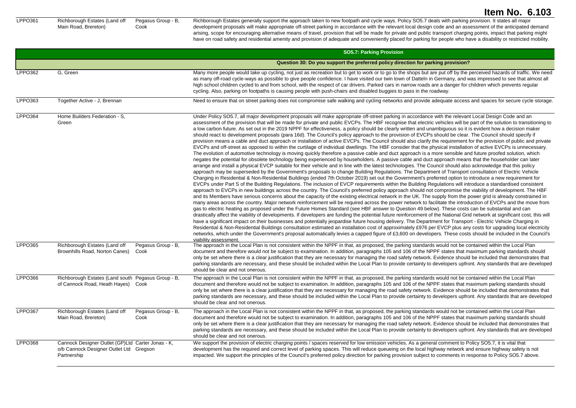LPPO361 Richborough Estates (Land off Main Road, Brereton)

Pegasus Group - B, Cook

Richborough Estates generally support the approach taken to new footpath and cycle ways. Policy SO5.7 deals with parking provision. It states all major development proposals will make appropriate off-street parking in accordance with the relevant local design code and an assessment of the anticipated demand arising, scope for encouraging alternative means of travel, provision that will be made for private and public transport charging points, impact that parking might have on road safety and residential amenity and provision of adequate and conveniently placed for parking for people who have a disability or restricted mobility.

|                |                                                                                                             | <b>SO5.7: Parking Provision</b>                                                                                                                                                                                                                                                                                                                                                                                                                                                                                                                                                                                                                                                                                                                                                                                                                                                                                                                                                                                                                                                                                                                                                                                                                                                                                                                                                                                                                                                                                                                                                                                                                                                                                                                                                                                                                                                                                                                                                                                                                                                                                                                                                                                                                                                                                                                                                                                                                                                                                                                                                                                                                                                                                                                                                                                                                                                                                                                                                                                                                                                                                                                                                                                                                                                                                                                           |
|----------------|-------------------------------------------------------------------------------------------------------------|-----------------------------------------------------------------------------------------------------------------------------------------------------------------------------------------------------------------------------------------------------------------------------------------------------------------------------------------------------------------------------------------------------------------------------------------------------------------------------------------------------------------------------------------------------------------------------------------------------------------------------------------------------------------------------------------------------------------------------------------------------------------------------------------------------------------------------------------------------------------------------------------------------------------------------------------------------------------------------------------------------------------------------------------------------------------------------------------------------------------------------------------------------------------------------------------------------------------------------------------------------------------------------------------------------------------------------------------------------------------------------------------------------------------------------------------------------------------------------------------------------------------------------------------------------------------------------------------------------------------------------------------------------------------------------------------------------------------------------------------------------------------------------------------------------------------------------------------------------------------------------------------------------------------------------------------------------------------------------------------------------------------------------------------------------------------------------------------------------------------------------------------------------------------------------------------------------------------------------------------------------------------------------------------------------------------------------------------------------------------------------------------------------------------------------------------------------------------------------------------------------------------------------------------------------------------------------------------------------------------------------------------------------------------------------------------------------------------------------------------------------------------------------------------------------------------------------------------------------------------------------------------------------------------------------------------------------------------------------------------------------------------------------------------------------------------------------------------------------------------------------------------------------------------------------------------------------------------------------------------------------------------------------------------------------------------------------------------------------------|
|                |                                                                                                             | Question 30: Do you support the preferred policy direction for parking provision?                                                                                                                                                                                                                                                                                                                                                                                                                                                                                                                                                                                                                                                                                                                                                                                                                                                                                                                                                                                                                                                                                                                                                                                                                                                                                                                                                                                                                                                                                                                                                                                                                                                                                                                                                                                                                                                                                                                                                                                                                                                                                                                                                                                                                                                                                                                                                                                                                                                                                                                                                                                                                                                                                                                                                                                                                                                                                                                                                                                                                                                                                                                                                                                                                                                                         |
| LPPO362        | G. Green                                                                                                    | Many more people would take up cycling, not just as recreation but to get to work or to go to the shops but are put off by the perceived hazards of traffic. We need<br>as many off-road cycle-ways as possible to give people confidence. I have visited our twin town of Datteln in Germany, and was impressed to see that almost all<br>high school children cycled to and from school, with the respect of car drivers. Parked cars in narrow roads are a danger for children which prevents regular<br>cycling. Also, parking on footpaths is causing people with push-chairs and disabled buggies to pass in the roadway.                                                                                                                                                                                                                                                                                                                                                                                                                                                                                                                                                                                                                                                                                                                                                                                                                                                                                                                                                                                                                                                                                                                                                                                                                                                                                                                                                                                                                                                                                                                                                                                                                                                                                                                                                                                                                                                                                                                                                                                                                                                                                                                                                                                                                                                                                                                                                                                                                                                                                                                                                                                                                                                                                                                           |
| LPPO363        | Together Active - J, Brennan                                                                                | Need to ensure that on street parking does not compromise safe walking and cycling networks and provide adequate access and spaces for secure cycle storage.                                                                                                                                                                                                                                                                                                                                                                                                                                                                                                                                                                                                                                                                                                                                                                                                                                                                                                                                                                                                                                                                                                                                                                                                                                                                                                                                                                                                                                                                                                                                                                                                                                                                                                                                                                                                                                                                                                                                                                                                                                                                                                                                                                                                                                                                                                                                                                                                                                                                                                                                                                                                                                                                                                                                                                                                                                                                                                                                                                                                                                                                                                                                                                                              |
| <b>LPPO364</b> | Home Builders Federation - S.<br>Green                                                                      | Under Policy SO5.7, all major development proposals will make appropriate off-street parking in accordance with the relevant Local Design Code and an<br>assessment of the provision that will be made for private and public EVCPs. The HBF recognise that electric vehicles will be part of the solution to transitioning to<br>a low carbon future. As set out in the 2019 NPPF for effectiveness, a policy should be clearly written and unambiguous so it is evident how a decision maker<br>should react to development proposals (para 16d). The Council's policy approach to the provision of EVCPs should be clear. The Council should specify if<br>provision means a cable and duct approach or installation of active EVCPs. The Council should also clarify the requirement for the provision of public and private<br>EVCPs and off-street as opposed to within the curtilage of individual dwellings. The HBF consider that the physical installation of active EVCPs is unnecessary.<br>The evolution of automotive technology is moving quickly therefore a passive cable and duct approach is a more sensible and future proofed solution, which<br>negates the potential for obsolete technology being experienced by householders. A passive cable and duct approach means that the householder can later<br>arrange and install a physical EVCP suitable for their vehicle and in line with the latest technologies. The Council should also acknowledge that this policy<br>approach may be superseded by the Government's proposals to change Building Regulations. The Department of Transport consultation of Electric Vehicle<br>Charging in Residential & Non-Residential Buildings (ended 7th October 2019) set out the Government's preferred option to introduce a new requirement for<br>EVCPs under Part S of the Building Regulations. The inclusion of EVCP requirements within the Building Regulations will introduce a standardised consistent<br>approach to EVCPs in new buildings across the country. The Council's preferred policy approach should not compromise the viability of development. The HBF<br>and its Members have serious concerns about the capacity of the existing electrical network in the UK. The supply from the power grid is already constrained in<br>many areas across the country. Major network reinforcement will be required across the power network to facilitate the introduction of EVCPs and the move from<br>gas to electric heating as proposed under the Future Homes Standard (see HBF answer to Question 49 below). These costs can be substantial and can<br>drastically affect the viability of developments. If developers are funding the potential future reinforcement of the National Grid network at significant cost, this will<br>have a significant impact on their businesses and potentially jeopardise future housing delivery. The Department for Transport - Electric Vehicle Charging in<br>Residential & Non-Residential Buildings consultation estimated an installation cost of approximately £976 per EVCP plus any costs for upgrading local electricity<br>networks, which under the Government's proposal automatically levies a capped figure of £3,600 on developers. These costs should be included in the Council's<br>viability assessment. |
| LPPO365        | Richborough Estates (Land off<br>Pegasus Group - B,<br>Brownhills Road, Norton Canes)<br>Cook               | The approach in the Local Plan is not consistent within the NPPF in that, as proposed, the parking standards would not be contained within the Local Plan<br>document and therefore would not be subject to examination. In addition, paragraphs 105 and 106 of the NPPF states that maximum parking standards should<br>only be set where there is a clear justification that they are necessary for managing the road safety network. Evidence should be included that demonstrates that<br>parking standards are necessary, and these should be included within the Local Plan to provide certainty to developers upfront. Any standards that are developed<br>should be clear and not onerous.                                                                                                                                                                                                                                                                                                                                                                                                                                                                                                                                                                                                                                                                                                                                                                                                                                                                                                                                                                                                                                                                                                                                                                                                                                                                                                                                                                                                                                                                                                                                                                                                                                                                                                                                                                                                                                                                                                                                                                                                                                                                                                                                                                                                                                                                                                                                                                                                                                                                                                                                                                                                                                                        |
| <b>LPPO366</b> | Richborough Estates (Land south Pegasus Group - B,<br>of Cannock Road, Heath Hayes)<br>Cook                 | The approach in the Local Plan is not consistent within the NPPF in that, as proposed, the parking standards would not be contained within the Local Plan<br>document and therefore would not be subject to examination. In addition, paragraphs 105 and 106 of the NPPF states that maximum parking standards should<br>only be set where there is a clear justification that they are necessary for managing the road safety network. Evidence should be included that demonstrates that<br>parking standards are necessary, and these should be included within the Local Plan to provide certainty to developers upfront. Any standards that are developed<br>should be clear and not onerous.                                                                                                                                                                                                                                                                                                                                                                                                                                                                                                                                                                                                                                                                                                                                                                                                                                                                                                                                                                                                                                                                                                                                                                                                                                                                                                                                                                                                                                                                                                                                                                                                                                                                                                                                                                                                                                                                                                                                                                                                                                                                                                                                                                                                                                                                                                                                                                                                                                                                                                                                                                                                                                                        |
| <b>LPPO367</b> | Richborough Estates (Land off<br>Pegasus Group - B,<br>Main Road, Brereton)<br>Cook                         | The approach in the Local Plan is not consistent within the NPPF in that, as proposed, the parking standards would not be contained within the Local Plan<br>document and therefore would not be subject to examination. In addition, paragraphs 105 and 106 of the NPPF states that maximum parking standards should<br>only be set where there is a clear justification that they are necessary for managing the road safety network. Evidence should be included that demonstrates that<br>parking standards are necessary, and these should be included within the Local Plan to provide certainty to developers upfront. Any standards that are developed<br>should be clear and not onerous.                                                                                                                                                                                                                                                                                                                                                                                                                                                                                                                                                                                                                                                                                                                                                                                                                                                                                                                                                                                                                                                                                                                                                                                                                                                                                                                                                                                                                                                                                                                                                                                                                                                                                                                                                                                                                                                                                                                                                                                                                                                                                                                                                                                                                                                                                                                                                                                                                                                                                                                                                                                                                                                        |
| <b>LPPO368</b> | Cannock Designer Outlet (GP)Ltd Carter Jonas - K,<br>o/b Cannock Designer Outlet Ltd Gregson<br>Partnership | We support the provision of electric charging points / spaces reserved for low emission vehicles. As a general comment to Policy SO5.7, it is vital that<br>development has the required and correct level of parking spaces. This will reduce queueing on the local highway network and ensure highway safety is not<br>impacted. We support the principles of the Council's preferred policy direction for parking provision subject to comments in response to Policy SO5.7 above.                                                                                                                                                                                                                                                                                                                                                                                                                                                                                                                                                                                                                                                                                                                                                                                                                                                                                                                                                                                                                                                                                                                                                                                                                                                                                                                                                                                                                                                                                                                                                                                                                                                                                                                                                                                                                                                                                                                                                                                                                                                                                                                                                                                                                                                                                                                                                                                                                                                                                                                                                                                                                                                                                                                                                                                                                                                                     |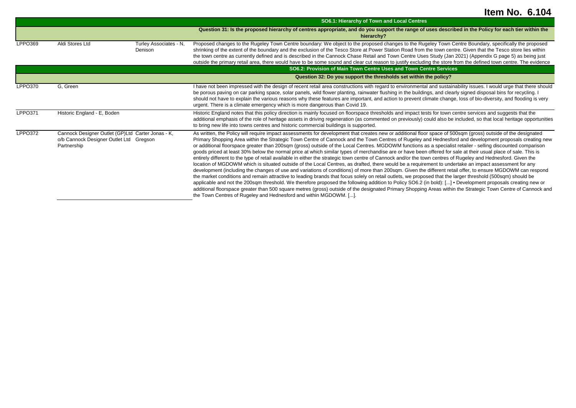|                |                                                                                                             |                                   | SO6.1: Hierarchy of Town and Local Centres                                                                                                                                                                                                                                                                                                                                                                                                                                                                                                                                                                                                                                                                                                                                                                                                                                                                                                                                                                                                                                                                                                                                                                                                                                                                                                                                                                                                                                                                                                                                                                                                                                                                               |  |
|----------------|-------------------------------------------------------------------------------------------------------------|-----------------------------------|--------------------------------------------------------------------------------------------------------------------------------------------------------------------------------------------------------------------------------------------------------------------------------------------------------------------------------------------------------------------------------------------------------------------------------------------------------------------------------------------------------------------------------------------------------------------------------------------------------------------------------------------------------------------------------------------------------------------------------------------------------------------------------------------------------------------------------------------------------------------------------------------------------------------------------------------------------------------------------------------------------------------------------------------------------------------------------------------------------------------------------------------------------------------------------------------------------------------------------------------------------------------------------------------------------------------------------------------------------------------------------------------------------------------------------------------------------------------------------------------------------------------------------------------------------------------------------------------------------------------------------------------------------------------------------------------------------------------------|--|
|                |                                                                                                             |                                   | Question 31: Is the proposed hierarchy of centres appropriate, and do you support the range of uses described in the Policy for each tier within the<br>hierarchy?                                                                                                                                                                                                                                                                                                                                                                                                                                                                                                                                                                                                                                                                                                                                                                                                                                                                                                                                                                                                                                                                                                                                                                                                                                                                                                                                                                                                                                                                                                                                                       |  |
| LPPO369        | Aldi Stores Ltd                                                                                             | Turley Associates - N,<br>Denison | Proposed changes to the Rugeley Town Centre boundary: We object to the proposed changes to the Rugeley Town Centre Boundary, specifically the proposed<br>shrinking of the extent of the boundary and the exclusion of the Tesco Store at Power Station Road from the town centre. Given that the Tesco store lies within<br>the town centre as currently defined and is described in the Cannock Chase Retail and Town Centre Uses Study (Jan 2021) (Appendix G page 5) as being just<br>outside the primary retail area, there would have to be some sound and clear cut reason to justify excluding the store from the defined town centre. The evidence                                                                                                                                                                                                                                                                                                                                                                                                                                                                                                                                                                                                                                                                                                                                                                                                                                                                                                                                                                                                                                                              |  |
|                |                                                                                                             |                                   | SO6.2: Provision of Main Town Centre Uses and Town Centre Services                                                                                                                                                                                                                                                                                                                                                                                                                                                                                                                                                                                                                                                                                                                                                                                                                                                                                                                                                                                                                                                                                                                                                                                                                                                                                                                                                                                                                                                                                                                                                                                                                                                       |  |
|                |                                                                                                             |                                   | Question 32: Do you support the thresholds set within the policy?                                                                                                                                                                                                                                                                                                                                                                                                                                                                                                                                                                                                                                                                                                                                                                                                                                                                                                                                                                                                                                                                                                                                                                                                                                                                                                                                                                                                                                                                                                                                                                                                                                                        |  |
| LPPO370        | G, Green                                                                                                    |                                   | I have not been impressed with the design of recent retail area constructions with regard to environmental and sustainability issues. I would urge that there should<br>be porous paving on car parking space, solar panels, wild flower planting, rainwater flushing in the buildings, and clearly signed disposal bins for recycling. I<br>should not have to explain the various reasons why these features are important, and action to prevent climate change, loss of bio-diversity, and flooding is very<br>urgent. There is a climate emergency which is more dangerous than Covid 19.                                                                                                                                                                                                                                                                                                                                                                                                                                                                                                                                                                                                                                                                                                                                                                                                                                                                                                                                                                                                                                                                                                                           |  |
| <b>LPPO371</b> | Historic England - E, Boden                                                                                 |                                   | Historic England notes that this policy direction is mainly focused on floorspace thresholds and impact tests for town centre services and suggests that the<br>additional emphasis of the role of heritage assets in driving regeneration (as commented on previously) could also be included, so that local heritage opportunities<br>to bring new life into towns centres and historic commercial buildings is supported.                                                                                                                                                                                                                                                                                                                                                                                                                                                                                                                                                                                                                                                                                                                                                                                                                                                                                                                                                                                                                                                                                                                                                                                                                                                                                             |  |
| <b>LPPO372</b> | Cannock Designer Outlet (GP)Ltd Carter Jonas - K,<br>o/b Cannock Designer Outlet Ltd Gregson<br>Partnership |                                   | As written, the Policy will require impact assessments for development that creates new or additional floor space of 500sqm (gross) outside of the designated<br>Primary Shopping Area within the Strategic Town Centre of Cannock and the Town Centres of Rugeley and Hednesford and development proposals creating new<br>or additional floorspace greater than 200sqm (gross) outside of the Local Centres. MGDOWM functions as a specialist retailer - selling discounted comparison<br>goods priced at least 30% below the normal price at which similar types of merchandise are or have been offered for sale at their usual place of sale. This is<br>entirely different to the type of retail available in either the strategic town centre of Cannock and/or the town centres of Rugeley and Hednesford. Given the<br>location of MGDOWM which is situated outside of the Local Centres, as drafted, there would be a requirement to undertake an impact assessment for any<br>development (including the changes of use and variations of conditions) of more than 200sqm. Given the different retail offer, to ensure MGDOWM can respond<br>the market conditions and remain attractive to leading brands that focus solely on retail outlets, we proposed that the larger threshold (500sqm) should be<br>applicable and not the 200sqm threshold. We therefore proposed the following addition to Policy SO6.2 (in bold): [] • Development proposals creating new or<br>additional floorspace greater than 500 square metres (gross) outside of the designated Primary Shopping Areas within the Strategic Town Centre of Cannock and<br>the Town Centres of Rugeley and Hednesford and within MGDOWM. []. |  |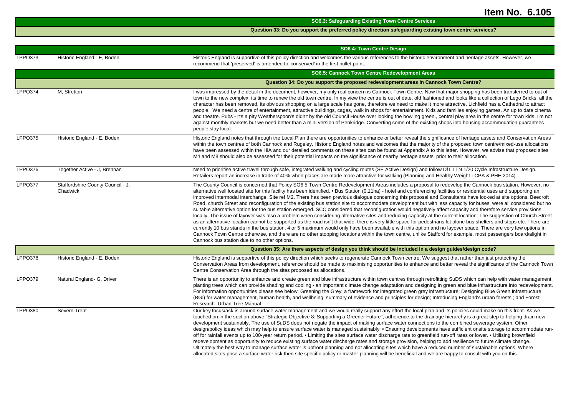|                |                                               | <b>SO6.3: Safeguarding Existing Town Centre Services</b>                                                                                                                                                                                                                                                                                                                                                                                                                                                                                                                                                                                                                                                                                                                                                                                                                                                                                                                                                                                                                                                                                                                                                                                                                                                                                                                                                                                                                                                                                                                   |
|----------------|-----------------------------------------------|----------------------------------------------------------------------------------------------------------------------------------------------------------------------------------------------------------------------------------------------------------------------------------------------------------------------------------------------------------------------------------------------------------------------------------------------------------------------------------------------------------------------------------------------------------------------------------------------------------------------------------------------------------------------------------------------------------------------------------------------------------------------------------------------------------------------------------------------------------------------------------------------------------------------------------------------------------------------------------------------------------------------------------------------------------------------------------------------------------------------------------------------------------------------------------------------------------------------------------------------------------------------------------------------------------------------------------------------------------------------------------------------------------------------------------------------------------------------------------------------------------------------------------------------------------------------------|
|                |                                               | Question 33: Do you support the preferred policy direction safeguarding existing town centre services?                                                                                                                                                                                                                                                                                                                                                                                                                                                                                                                                                                                                                                                                                                                                                                                                                                                                                                                                                                                                                                                                                                                                                                                                                                                                                                                                                                                                                                                                     |
|                |                                               |                                                                                                                                                                                                                                                                                                                                                                                                                                                                                                                                                                                                                                                                                                                                                                                                                                                                                                                                                                                                                                                                                                                                                                                                                                                                                                                                                                                                                                                                                                                                                                            |
|                |                                               | SO6.4: Town Centre Design                                                                                                                                                                                                                                                                                                                                                                                                                                                                                                                                                                                                                                                                                                                                                                                                                                                                                                                                                                                                                                                                                                                                                                                                                                                                                                                                                                                                                                                                                                                                                  |
| <b>LPPO373</b> | Historic England - E, Boden                   | Historic England is supportive of this policy direction and welcomes the various references to the historic environment and heritage assets. However, we<br>recommend that 'preserved' is amended to 'conserved' in the first bullet point.                                                                                                                                                                                                                                                                                                                                                                                                                                                                                                                                                                                                                                                                                                                                                                                                                                                                                                                                                                                                                                                                                                                                                                                                                                                                                                                                |
|                |                                               | SO6.5: Cannock Town Centre Redevelopment Areas                                                                                                                                                                                                                                                                                                                                                                                                                                                                                                                                                                                                                                                                                                                                                                                                                                                                                                                                                                                                                                                                                                                                                                                                                                                                                                                                                                                                                                                                                                                             |
|                |                                               | Question 34: Do you support the proposed redevelopment areas in Cannock Town Centre?                                                                                                                                                                                                                                                                                                                                                                                                                                                                                                                                                                                                                                                                                                                                                                                                                                                                                                                                                                                                                                                                                                                                                                                                                                                                                                                                                                                                                                                                                       |
| <b>LPPO374</b> | M, Stretton                                   | I was impressed by the detail in the document, however, my only real concern is Cannock Town Centre. Now that major shopping has been transferred to out of<br>town to the new complex, its time to renew the old town centre. In my view the centre is out of date, old fashioned and looks like a collection of Lego Bricks. all the<br>character has been removed, its obvious shopping on a large scale has gone, therefore we need to make it more attractive. Lichfield has a Cathedral to attract<br>people. We need a centre of entertainment, attractive buildings, cages, walk in shops for entertainment. Kids and families enjoying games. An up to date cinema<br>and theatre. Pubs - it's a pity Weatherspoon's didn't by the old Council House over looking the bowling green., central play area in the centre for town kids. I'm not<br>against monthly markets but we need better than a mini version of Penkridge. Converting some of the existing shops into housing accommodation guarantees<br>people stay local.                                                                                                                                                                                                                                                                                                                                                                                                                                                                                                                                    |
| <b>LPPO375</b> | Historic England - E, Boden                   | Historic England notes that through the Local Plan there are opportunities to enhance or better reveal the significance of heritage assets and Conservation Areas<br>within the town centres of both Cannock and Rugeley. Historic England notes and welcomes that the majority of the proposed town centre/mixed-use allocations<br>have been assessed within the HIA and our detailed comments on these sites can be found at Appendix A to this letter. However, we advise that proposed sites<br>M4 and M8 should also be assessed for their potential impacts on the significance of nearby heritage assets, prior to their allocation.                                                                                                                                                                                                                                                                                                                                                                                                                                                                                                                                                                                                                                                                                                                                                                                                                                                                                                                               |
| <b>LPPO376</b> | Together Active - J. Brennan                  | Need to prioritise active travel through safe, integrated walking and cycling routes (SE Active Design) and follow DfT LTN 1/20 Cycle Infrastructure Design.<br>Retailers report an increase in trade of 40% when places are made more attractive for walking (Planning and Healthy Weight TCPA & PHE 2014)                                                                                                                                                                                                                                                                                                                                                                                                                                                                                                                                                                                                                                                                                                                                                                                                                                                                                                                                                                                                                                                                                                                                                                                                                                                                |
| <b>LPPO377</b> | Staffordshire County Council - J,<br>Chadwick | The County Council is concerned that Policy SO6.5 Town Centre Redevelopment Areas includes a proposal to redevelop the Cannock bus station. However, no<br>alternative well located site for this facility has been identified. • Bus Station (0.11ha) - hotel and conferencing facilities or residential uses and supporting an<br>improved intermodal interchange. Site ref M2. There has been previous dialogue concerning this proposal and Consultants have looked at site options. Beecroft<br>Road, church Street and reconfiguration of the existing bus station site to accommodate development but with less capacity for buses, were all considered but no<br>suitable alternative option for the bus station emerged. SCC considered that reconfiguration would negatively affect capacity and therefore service provisions<br>locally. The issue of layover was also a problem when considering alternative sites and reducing capacity at the current location. The suggestion of Church Street<br>as an alternative location cannot be supported as the road isn't that wide; there is very little space for pedestrians let alone bus shelters and stops etc. There are<br>currently 10 bus stands in the bus station, 4 or 5 maximum would only have been available with this option and no layover space. There are very few options in<br>Cannock Town Centre otherwise, and there are no other stopping locations within the town centre, unlike Stafford for example, most passengers board/alight in<br>Cannock bus station due to no other options. |
|                |                                               | Question 35: Are there aspects of design you think should be included in a design guides/design code?                                                                                                                                                                                                                                                                                                                                                                                                                                                                                                                                                                                                                                                                                                                                                                                                                                                                                                                                                                                                                                                                                                                                                                                                                                                                                                                                                                                                                                                                      |
| <b>LPPO378</b> | Historic England - E, Boden                   | Historic England is supportive of this policy direction which seeks to regenerate Cannock Town centre. We suggest that rather than just protecting the<br>Conservation Areas from development, reference should be made to maximising opportunities to enhance and better reveal the significance of the Cannock Town<br>Centre Conservation Area through the sites proposed as allocations.                                                                                                                                                                                                                                                                                                                                                                                                                                                                                                                                                                                                                                                                                                                                                                                                                                                                                                                                                                                                                                                                                                                                                                               |
| <b>LPPO379</b> | Natural England- G, Driver                    | There is an opportunity to enhance and create green and blue infrastructure within town centres through retrofitting SuDS which can help with water management,<br>planting trees which can provide shading and cooling - an important climate change adaptation and designing in green and blue infrastructure into redevelopment.<br>For information opportunities please see below: Greening the Grey: a framework for integrated green grey infrastructure; Designing Blue Green Infrastructure<br>(BGI) for water management, human health, and wellbeing: summary of evidence and principles for design; Introducing England's urban forests; and Forest<br>Research- Urban Tree Manual                                                                                                                                                                                                                                                                                                                                                                                                                                                                                                                                                                                                                                                                                                                                                                                                                                                                              |
| LPPO380        | Severn Trent                                  | Our key focus/ask is around surface water management and we would really support any effort the local plan and its policies could make on this front. As we<br>touched on in the section above "Strategic Objective 8: Supporting a Greener Future", adherence to the drainage hierarchy is a great step to helping drain new<br>development sustainably. The use of SuDS does not negate the impact of making surface water connections to the combined sewerage system. Other<br>design/policy ideas which may help to ensure surface water is managed sustainably: . Ensuring developments have sufficient onsite storage to accommodate run-<br>off for rainfall events up to 100-year return period. • Limiting the sites surface water discharge rate to greenfield run-off rates or lower. • Utilising brownfield<br>redevelopment as opportunity to reduce existing surface water discharge rates and storage provision, helping to add resilience to future climate change.<br>Ultimately the best way to manage surface water is upfront planning and not allocating sites which have a reduced number of sustainable options. Where<br>allocated sites pose a surface water risk then site specific policy or master-planning will be beneficial and we are happy to consult with you on this.                                                                                                                                                                                                                                                                  |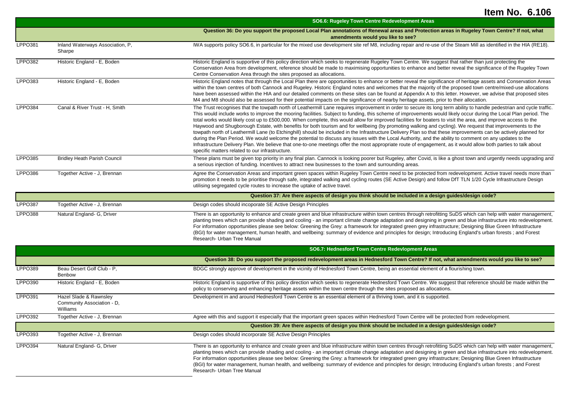|                |                                                                  | SO6.6: Rugeley Town Centre Redevelopment Areas                                                                                                                                                                                                                                                                                                                                                                                                                                                                                                                                                                                                                                                                                                                                                                                                                                                                                                                                                                                                                                                                                                                                                                              |
|----------------|------------------------------------------------------------------|-----------------------------------------------------------------------------------------------------------------------------------------------------------------------------------------------------------------------------------------------------------------------------------------------------------------------------------------------------------------------------------------------------------------------------------------------------------------------------------------------------------------------------------------------------------------------------------------------------------------------------------------------------------------------------------------------------------------------------------------------------------------------------------------------------------------------------------------------------------------------------------------------------------------------------------------------------------------------------------------------------------------------------------------------------------------------------------------------------------------------------------------------------------------------------------------------------------------------------|
|                |                                                                  | Question 36: Do you support the proposed Local Plan annotations of Renewal areas and Protection areas in Rugeley Town Centre? If not, what<br>amendments would you like to see?                                                                                                                                                                                                                                                                                                                                                                                                                                                                                                                                                                                                                                                                                                                                                                                                                                                                                                                                                                                                                                             |
| <b>LPPO381</b> | Inland Waterways Association, P,<br>Sharpe                       | IWA supports policy SO6.6, in particular for the mixed use development site ref M8, including repair and re-use of the Steam Mill as identified in the HIA (RE18).                                                                                                                                                                                                                                                                                                                                                                                                                                                                                                                                                                                                                                                                                                                                                                                                                                                                                                                                                                                                                                                          |
| <b>LPPO382</b> | Historic England - E, Boden                                      | Historic England is supportive of this policy direction which seeks to regenerate Rugeley Town Centre. We suggest that rather than just protecting the<br>Conservation Area from development, reference should be made to maximising opportunities to enhance and better reveal the significance of the Rugeley Town<br>Centre Conservation Area through the sites proposed as allocations.                                                                                                                                                                                                                                                                                                                                                                                                                                                                                                                                                                                                                                                                                                                                                                                                                                 |
| LPPO383        | Historic England - E, Boden                                      | Historic England notes that through the Local Plan there are opportunities to enhance or better reveal the significance of heritage assets and Conservation Areas<br>within the town centres of both Cannock and Rugeley. Historic England notes and welcomes that the majority of the proposed town centre/mixed-use allocations<br>have been assessed within the HIA and our detailed comments on these sites can be found at Appendix A to this letter. However, we advise that proposed sites<br>M4 and M8 should also be assessed for their potential impacts on the significance of nearby heritage assets, prior to their allocation.                                                                                                                                                                                                                                                                                                                                                                                                                                                                                                                                                                                |
| <b>LPPO384</b> | Canal & River Trust - H, Smith                                   | The Trust recognises that the towpath north of Leathermill Lane requires improvement in order to secure its long term ability to handle pedestrian and cycle traffic.<br>This would include works to improve the mooring facilities. Subject to funding, this scheme of improvements would likely occur during the Local Plan period. The<br>total works would likely cost up to £500,000. When complete, this would allow for improved facilities for boaters to visit the area, and improve access to the<br>Haywood and Shugborough Estate, with benefits for both tourism and for wellbeing (by promoting walking and cycling). We request that improvements to the<br>towpath north of Leathermill Lane (to Etchinghill) should be included in the Infrastructure Delivery Plan so that these improvements can be actively planned for<br>during the Plan Period. We would welcome the potential to discuss any issues with the Local Authority, and the ability to comment on any updates to the<br>Infrastructure Delivery Plan. We believe that one-to-one meetings offer the most appropriate route of engagement, as it would allow both parties to talk about<br>specific matters related to our infrastructure. |
| <b>LPPO385</b> | <b>Bridley Heath Parish Council</b>                              | These plans must be given top priority in any final plan. Cannock is looking poorer but Rugeley, after Covid, is like a ghost town and urgently needs upgrading and<br>a serious injection of funding. Incentives to attract new businesses to the town and surrounding areas.                                                                                                                                                                                                                                                                                                                                                                                                                                                                                                                                                                                                                                                                                                                                                                                                                                                                                                                                              |
| LPPO386        | Together Active - J. Brennan                                     | Agree the Conservation Areas and important green spaces within Rugeley Town Centre need to be protected from redevelopment. Active travel needs more than<br>promotion it needs to be prioritise through safe, integrated walking and cycling routes (SE Active Design) and follow DfT TLN 1/20 Cycle Infrastructure Design<br>utilising segregated cycle routes to increase the uptake of active travel.                                                                                                                                                                                                                                                                                                                                                                                                                                                                                                                                                                                                                                                                                                                                                                                                                   |
|                |                                                                  | Question 37: Are there aspects of design you think should be included in a design guides/design code?                                                                                                                                                                                                                                                                                                                                                                                                                                                                                                                                                                                                                                                                                                                                                                                                                                                                                                                                                                                                                                                                                                                       |
| <b>LPPO387</b> | Together Active - J, Brennan                                     | Design codes should incoporate SE Active Design Principles                                                                                                                                                                                                                                                                                                                                                                                                                                                                                                                                                                                                                                                                                                                                                                                                                                                                                                                                                                                                                                                                                                                                                                  |
| <b>LPPO388</b> | Natural England- G, Driver                                       | There is an opportunity to enhance and create green and blue infrastructure within town centres through retrofitting SuDS which can help with water management,<br>planting trees which can provide shading and cooling - an important climate change adaptation and designing in green and blue infrastructure into redevelopment.<br>For information opportunities please see below: Greening the Grey: a framework for integrated green grey infrastructure; Designing Blue Green Infrastructure<br>(BGI) for water management, human health, and wellbeing: summary of evidence and principles for design; Introducing England's urban forests; and Forest<br>Research- Urban Tree Manual                                                                                                                                                                                                                                                                                                                                                                                                                                                                                                                               |
|                |                                                                  | SO6.7: Hednesford Town Centre Redevlopment Areas                                                                                                                                                                                                                                                                                                                                                                                                                                                                                                                                                                                                                                                                                                                                                                                                                                                                                                                                                                                                                                                                                                                                                                            |
|                |                                                                  | Question 38: Do you support the proposed redevelopment areas in Hednesford Town Centre? If not, what amendments would you like to see?                                                                                                                                                                                                                                                                                                                                                                                                                                                                                                                                                                                                                                                                                                                                                                                                                                                                                                                                                                                                                                                                                      |
| LPPO389        | Beau Desert Golf Club - P,<br>Benbow                             | BDGC strongly approve of development in the vicinity of Hednesford Town Centre, being an essential element of a flourishing town.                                                                                                                                                                                                                                                                                                                                                                                                                                                                                                                                                                                                                                                                                                                                                                                                                                                                                                                                                                                                                                                                                           |
| LPPO390        | Historic England - E, Boden                                      | Historic England is supportive of this policy direction which seeks to regenerate Hednesford Town Centre. We suggest that reference should be made within the<br>policy to conserving and enhancing heritage assets within the town centre through the sites proposed as allocations.                                                                                                                                                                                                                                                                                                                                                                                                                                                                                                                                                                                                                                                                                                                                                                                                                                                                                                                                       |
| <b>LPPO391</b> | Hazel Slade & Rawnsley<br>Community Association - D,<br>Williams | Development in and around Hednesford Town Centre is an essential element of a thriving town, and it is supported.                                                                                                                                                                                                                                                                                                                                                                                                                                                                                                                                                                                                                                                                                                                                                                                                                                                                                                                                                                                                                                                                                                           |
| LPPO392        | Together Active - J. Brennan                                     | Agree with this and support it especially that the important green spaces within Hednesford Town Centre will be protected from redevelopment.                                                                                                                                                                                                                                                                                                                                                                                                                                                                                                                                                                                                                                                                                                                                                                                                                                                                                                                                                                                                                                                                               |
|                |                                                                  | Question 39: Are there aspects of design you think should be included in a design guides/design code?                                                                                                                                                                                                                                                                                                                                                                                                                                                                                                                                                                                                                                                                                                                                                                                                                                                                                                                                                                                                                                                                                                                       |
| LPPO393        | Together Active - J, Brennan                                     | Design codes should incorporate SE Active Design Principles                                                                                                                                                                                                                                                                                                                                                                                                                                                                                                                                                                                                                                                                                                                                                                                                                                                                                                                                                                                                                                                                                                                                                                 |
| <b>LPPO394</b> | Natural England- G, Driver                                       | There is an opportunity to enhance and create green and blue infrastructure within town centres through retrofitting SuDS which can help with water management,<br>planting trees which can provide shading and cooling - an important climate change adaptation and designing in green and blue infrastructure into redevelopment.<br>For information opportunities please see below: Greening the Grey: a framework for integrated green grey infrastructure; Designing Blue Green Infrastructure<br>(BGI) for water management, human health, and wellbeing: summary of evidence and principles for design; Introducing England's urban forests; and Forest<br>Research- Urban Tree Manual                                                                                                                                                                                                                                                                                                                                                                                                                                                                                                                               |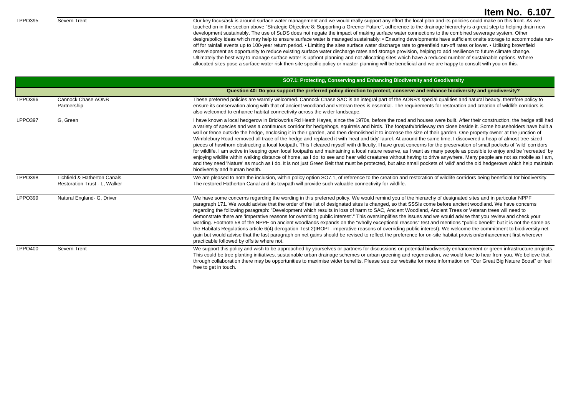LPPO395 Severn Trent Severn Trent Cours Assess around surface water management and we would really support any effort the local plan and its policies could make on this front. As we touched on in the section above "Strategic Objective 8: Supporting a Greener Future", adherence to the drainage hierarchy is a great step to helping drain new development sustainably. The use of SuDS does not negate the impact of making surface water connections to the combined sewerage system. Other design/policy ideas which may help to ensure surface water is managed sustainably: ▪ Ensuring developments have sufficient onsite storage to accommodate runoff for rainfall events up to 100-year return period. ▪ Limiting the sites surface water discharge rate to greenfield run-off rates or lower. ▪ Utilising brownfield redevelopment as opportunity to reduce existing surface water discharge rates and storage provision, helping to add resilience to future climate change. Ultimately the best way to manage surface water is upfront planning and not allocating sites which have a reduced number of sustainable options. Where allocated sites pose a surface water risk then site specific policy or master-planning will be beneficial and we are happy to consult with you on this.

|                |                                                               | SO7.1: Protecting, Conserving and Enhancing Biodiversity and Geodiversity                                                                                                                                                                                                                                                                                                                                                                                                                                                                                                                                                                                                                                                                                                                                                                                                                                                                                                                                                                                                                                                                                                                                                                                                                                                                                                                                         |
|----------------|---------------------------------------------------------------|-------------------------------------------------------------------------------------------------------------------------------------------------------------------------------------------------------------------------------------------------------------------------------------------------------------------------------------------------------------------------------------------------------------------------------------------------------------------------------------------------------------------------------------------------------------------------------------------------------------------------------------------------------------------------------------------------------------------------------------------------------------------------------------------------------------------------------------------------------------------------------------------------------------------------------------------------------------------------------------------------------------------------------------------------------------------------------------------------------------------------------------------------------------------------------------------------------------------------------------------------------------------------------------------------------------------------------------------------------------------------------------------------------------------|
|                |                                                               | Question 40: Do you support the preferred policy direction to protect, conserve and enhance biodiversity and geodiversity?                                                                                                                                                                                                                                                                                                                                                                                                                                                                                                                                                                                                                                                                                                                                                                                                                                                                                                                                                                                                                                                                                                                                                                                                                                                                                        |
| LPPO396        | Cannock Chase AONB<br>Partnership                             | These preferred policies are warmly welcomed. Cannock Chase SAC is an integral part of the AONB's special qualities and natural beauty, therefore policy to<br>ensure its conservation along with that of ancient woodland and veteran trees is essential. The requirements for restoration and creation of wildlife corridors is<br>also welcomed to enhance habitat connectivity across the wider landscape.                                                                                                                                                                                                                                                                                                                                                                                                                                                                                                                                                                                                                                                                                                                                                                                                                                                                                                                                                                                                    |
| <b>LPPO397</b> | G. Green                                                      | I have known a local hedgerow in Brickworks Rd Heath Hayes, since the 1970s, before the road and houses were built. After their construction, the hedge still had<br>a variety of species and was a continuous corridor for hedgehogs, squirrels and birds. The footpath/bridleway ran close beside it. Some householders have built a<br>wall or fence outside the hedge, enclosing it in their garden, and then demolished it to increase the size of their garden. One property owner at the junction of<br>Wimblebury Road removed all trace of the hedge and replaced it with 'neat and tidy' laurel. At around the same time, I discovered a heap of almost tree-sized<br>pieces of hawthorn obstructing a local footpath. This I cleared myself with difficulty. I have great concerns for the preservation of small pockets of 'wild' corridors<br>for wildlife. I am active in keeping open local footpaths and maintaining a local nature reserve, as I want as many people as possible to enjoy and be 'recreated' by<br>enjoying wildlife within walking distance of home, as I do; to see and hear wild creatures without having to drive anywhere. Many people are not as mobile as I am,<br>and they need 'Nature' as much as I do. It is not just Green Belt that must be protected, but also small pockets of 'wild' and the old hedgerows which help maintain<br>biodiversity and human health. |
| LPPO398        | Lichfield & Hatherton Canals<br>Restoration Trust - L, Walker | We are pleased to note the inclusion, within policy option SO7.1, of reference to the creation and restoration of wildlife corridors being beneficial for biodiversity.<br>The restored Hatherton Canal and its towpath will provide such valuable connectivity for wildlife.                                                                                                                                                                                                                                                                                                                                                                                                                                                                                                                                                                                                                                                                                                                                                                                                                                                                                                                                                                                                                                                                                                                                     |
| <b>LPPO399</b> | Natural England- G, Driver                                    | We have some concerns regarding the wording in this preferred policy. We would remind you of the hierarchy of designated sites and in particular NPPF<br>paragraph 171. We would advise that the order of the list of designated sites is changed, so that SSSIs come before ancient woodland. We have concerns<br>regarding the following paragraph: "Development which results in loss of harm to SAC, Ancient Woodland, Ancient Trees or Veteran trees will need to<br>demonstrate there are 'imperative reasons for overriding public interest'." This oversimplifies the issues and we would advise that you review and check your<br>wording. Footnote 58 of the NPPF on ancient woodlands expands on the "wholly exceptional reasons" test and mentions "public benefit" but it is not the same as<br>the Habitats Regulations article 6(4) derogation Test 2(IROPI - imperative reasons of overriding public interest). We welcome the commitment to biodiversity net<br>gain but would advise that the last paragraph on net gains should be revised to reflect the preference for on-site habitat provision/enhancement first wherever<br>practicable followed by offsite where not.                                                                                                                                                                                                                    |
| <b>LPPO400</b> | Severn Trent                                                  | We support this policy and wish to be approached by yourselves or partners for discussions on potential biodiversity enhancement or green infrastructure projects.<br>This could be tree planting initiatives, sustainable urban drainage schemes or urban greening and regeneration, we would love to hear from you. We believe that<br>through collaboration there may be opportunities to maximise wider benefits. Please see our website for more information on "Our Great Big Nature Boost" or feel<br>free to get in touch.                                                                                                                                                                                                                                                                                                                                                                                                                                                                                                                                                                                                                                                                                                                                                                                                                                                                                |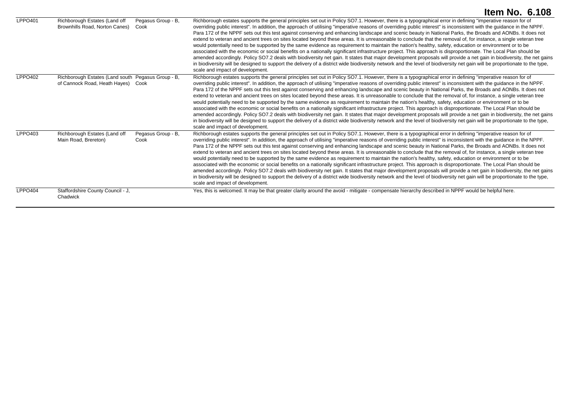|                |                                                                                          |                            | <b>Item No. 6.108</b>                                                                                                                                                                                                                                                                                                                                                                                                                                                                                                                                                                                                                                                                                                                                                                                                                                                                                                                                                                                                                                                                                                                                                                                                                                                                                                                                                                        |
|----------------|------------------------------------------------------------------------------------------|----------------------------|----------------------------------------------------------------------------------------------------------------------------------------------------------------------------------------------------------------------------------------------------------------------------------------------------------------------------------------------------------------------------------------------------------------------------------------------------------------------------------------------------------------------------------------------------------------------------------------------------------------------------------------------------------------------------------------------------------------------------------------------------------------------------------------------------------------------------------------------------------------------------------------------------------------------------------------------------------------------------------------------------------------------------------------------------------------------------------------------------------------------------------------------------------------------------------------------------------------------------------------------------------------------------------------------------------------------------------------------------------------------------------------------|
| <b>LPPO401</b> | Richborough Estates (Land off<br>Brownhills Road, Norton Canes)                          | Pegasus Group - B,<br>Cook | Richborough estates supports the general principles set out in Policy SO7.1. However, there is a typographical error in defining "imperative reason for of<br>overriding public interest". In addition, the approach of utilising "imperative reasons of overriding public interest" is inconsistent with the guidance in the NPPF.<br>Para 172 of the NPPF sets out this test against conserving and enhancing landscape and scenic beauty in National Parks, the Broads and AONBs. It does not<br>extend to veteran and ancient trees on sites located beyond these areas. It is unreasonable to conclude that the removal of, for instance, a single veteran tree<br>would potentially need to be supported by the same evidence as requirement to maintain the nation's healthy, safety, education or environment or to be<br>associated with the economic or social benefits on a nationally significant infrastructure project. This approach is disproportionate. The Local Plan should be<br>amended accordingly. Policy SO7.2 deals with biodiversity net gain. It states that major development proposals will provide a net gain in biodiversity, the net gains<br>in biodiversity will be designed to support the delivery of a district wide biodiversity network and the level of biodiversity net gain will be proportionate to the type,<br>scale and impact of development. |
| LPPO402        | Richborough Estates (Land south Pegasus Group - B,<br>of Cannock Road, Heath Hayes) Cook |                            | Richborough estates supports the general principles set out in Policy SO7.1. However, there is a typographical error in defining "imperative reason for of<br>overriding public interest". In addition, the approach of utilising "imperative reasons of overriding public interest" is inconsistent with the guidance in the NPPF.<br>Para 172 of the NPPF sets out this test against conserving and enhancing landscape and scenic beauty in National Parks, the Broads and AONBs. It does not<br>extend to veteran and ancient trees on sites located beyond these areas. It is unreasonable to conclude that the removal of, for instance, a single veteran tree<br>would potentially need to be supported by the same evidence as requirement to maintain the nation's healthy, safety, education or environment or to be<br>associated with the economic or social benefits on a nationally significant infrastructure project. This approach is disproportionate. The Local Plan should be<br>amended accordingly. Policy SO7.2 deals with biodiversity net gain. It states that major development proposals will provide a net gain in biodiversity, the net gains<br>in biodiversity will be designed to support the delivery of a district wide biodiversity network and the level of biodiversity net gain will be proportionate to the type,<br>scale and impact of development. |
| LPPO403        | Richborough Estates (Land off<br>Main Road, Brereton)                                    | Pegasus Group - B.<br>Cook | Richborough estates supports the general principles set out in Policy SO7.1. However, there is a typographical error in defining "imperative reason for of<br>overriding public interest". In addition, the approach of utilising "imperative reasons of overriding public interest" is inconsistent with the guidance in the NPPF.<br>Para 172 of the NPPF sets out this test against conserving and enhancing landscape and scenic beauty in National Parks, the Broads and AONBs. It does not<br>extend to veteran and ancient trees on sites located beyond these areas. It is unreasonable to conclude that the removal of, for instance, a single veteran tree<br>would potentially need to be supported by the same evidence as requirement to maintain the nation's healthy, safety, education or environment or to be<br>associated with the economic or social benefits on a nationally significant infrastructure project. This approach is disproportionate. The Local Plan should be<br>amended accordingly. Policy SO7.2 deals with biodiversity net gain. It states that major development proposals will provide a net gain in biodiversity, the net gains<br>in biodiversity will be designed to support the delivery of a district wide biodiversity network and the level of biodiversity net gain will be proportionate to the type,<br>scale and impact of development. |
| LPPO404        | Staffordshire County Council - J,<br>Chadwick                                            |                            | Yes, this is welcomed. It may be that greater clarity around the avoid - mitigate - compensate hierarchy described in NPPF would be helpful here.                                                                                                                                                                                                                                                                                                                                                                                                                                                                                                                                                                                                                                                                                                                                                                                                                                                                                                                                                                                                                                                                                                                                                                                                                                            |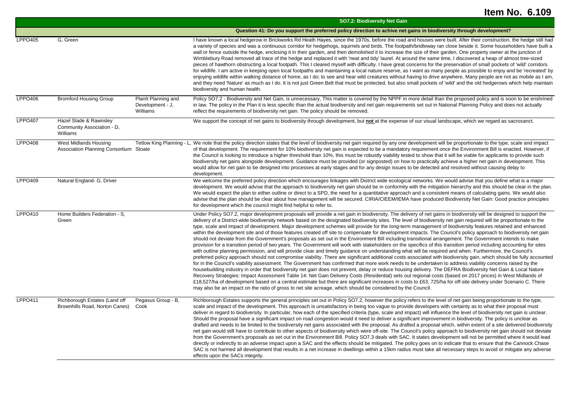|                |                                                                  |                                                     | SO7.2: Biodiversity Net Gain                                                                                                                                                                                                                                                                                                                                                                                                                                                                                                                                                                                                                                                                                                                                                                                                                                                                                                                                                                                                                                                                                                                                                                                                                                                                                                                                                                                                                                                                                                                                                                                                                                                                                                                                                                                                                                                                                                                                                                                                                                                                                                      |
|----------------|------------------------------------------------------------------|-----------------------------------------------------|-----------------------------------------------------------------------------------------------------------------------------------------------------------------------------------------------------------------------------------------------------------------------------------------------------------------------------------------------------------------------------------------------------------------------------------------------------------------------------------------------------------------------------------------------------------------------------------------------------------------------------------------------------------------------------------------------------------------------------------------------------------------------------------------------------------------------------------------------------------------------------------------------------------------------------------------------------------------------------------------------------------------------------------------------------------------------------------------------------------------------------------------------------------------------------------------------------------------------------------------------------------------------------------------------------------------------------------------------------------------------------------------------------------------------------------------------------------------------------------------------------------------------------------------------------------------------------------------------------------------------------------------------------------------------------------------------------------------------------------------------------------------------------------------------------------------------------------------------------------------------------------------------------------------------------------------------------------------------------------------------------------------------------------------------------------------------------------------------------------------------------------|
|                |                                                                  |                                                     | Question 41: Do you support the preferred policy direction to achive net gains in biodiversity through development?                                                                                                                                                                                                                                                                                                                                                                                                                                                                                                                                                                                                                                                                                                                                                                                                                                                                                                                                                                                                                                                                                                                                                                                                                                                                                                                                                                                                                                                                                                                                                                                                                                                                                                                                                                                                                                                                                                                                                                                                               |
| <b>LPPO405</b> | G, Green                                                         |                                                     | I have known a local hedgerow in Brickworks Rd Heath Hayes, since the 1970s, before the road and houses were built. After their construction, the hedge still had<br>a variety of species and was a continuous corridor for hedgehogs, squirrels and birds. The footpath/bridleway ran close beside it. Some householders have built a<br>wall or fence outside the hedge, enclosing it in their garden, and then demolished it to increase the size of their garden. One property owner at the junction of<br>Wimblebury Road removed all trace of the hedge and replaced it with 'neat and tidy' laurel. At around the same time, I discovered a heap of almost tree-sized<br>pieces of hawthorn obstructing a local footpath. This I cleared myself with difficulty. I have great concerns for the preservation of small pockets of 'wild' corridors<br>for wildlife. I am active in keeping open local footpaths and maintaining a local nature reserve, as I want as many people as possible to enjoy and be 'recreated' by<br>enjoying wildlife within walking distance of home, as I do; to see and hear wild creatures without having to drive anywhere. Many people are not as mobile as I am,<br>and they need 'Nature' as much as I do. It is not just Green Belt that must be protected, but also small pockets of 'wild' and the old hedgerows which help maintain<br>biodiversity and human health.                                                                                                                                                                                                                                                                                                                                                                                                                                                                                                                                                                                                                                                                                                                 |
| LPPO406        | <b>Bromford Housing Group</b>                                    | Planit Planning and<br>Development - J,<br>Williams | Policy SO7.2 - Biodiversity and Net Gain, is unnecessary, This matter is covered by the NPPF in more detail than the proposed policy and is soon to be enshrined<br>in law. The policy in the Plan it is less specific than the actual biodiversity and net gain requirements set out in National Planning Policy and does not actually<br>reflect the requirements of biodiversity net gain. The policy should be removed.                                                                                                                                                                                                                                                                                                                                                                                                                                                                                                                                                                                                                                                                                                                                                                                                                                                                                                                                                                                                                                                                                                                                                                                                                                                                                                                                                                                                                                                                                                                                                                                                                                                                                                       |
| <b>LPPO407</b> | Hazel Slade & Rawnsley<br>Community Association - D,<br>Williams |                                                     | We support the concept of net gains to biodiversity through development, but not at the expense of our visual landscape, which we regard as sacrosanct.                                                                                                                                                                                                                                                                                                                                                                                                                                                                                                                                                                                                                                                                                                                                                                                                                                                                                                                                                                                                                                                                                                                                                                                                                                                                                                                                                                                                                                                                                                                                                                                                                                                                                                                                                                                                                                                                                                                                                                           |
| <b>LPPO408</b> | West Midlands Housing<br>Association Planning Consortium Stoate  |                                                     | Tetlow King Planning - L, We note that the policy direction states that the level of biodiversity net gain required by any one development will be proportionate to the type, scale and impact<br>of that development. The requirement for 10% biodiversity net gain is expected to be a mandatory requirement once the Environment Bill is enacted. However, if<br>the Council is looking to introduce a higher threshold than 10%, this must be robustly viability tested to show that it will be viable for applicants to provide such<br>biodiversity net gains alongside development. Guidance must be provided (or signposted) on how to practically achieve a higher net gain in development. This<br>would allow for net gain to be designed into processes at early stages and for any design issues to be detected and resolved without causing delay to<br>development.                                                                                                                                                                                                                                                                                                                                                                                                                                                                                                                                                                                                                                                                                                                                                                                                                                                                                                                                                                                                                                                                                                                                                                                                                                                |
| <b>LPPO409</b> | Natural England- G, Driver                                       |                                                     | We welcome the preferred policy direction which encourages linkages with District wide ecological networks. We would advise that you define what is a major<br>development. We would advise that the approach to biodiversity net gain should be in conformity with the mitigation hierarchy and this should be clear in the plan.<br>We would expect the plan to either outline or direct to a SPD, the need for a quantitative approach and a consistent means of calculating gains. We would also<br>advise that the plan should be clear about how management will be secured. CIRIA/CIEEM/IEMA have produced Biodiversity Net Gain: Good practice principles<br>for development which the council might find helpful to refer to.                                                                                                                                                                                                                                                                                                                                                                                                                                                                                                                                                                                                                                                                                                                                                                                                                                                                                                                                                                                                                                                                                                                                                                                                                                                                                                                                                                                            |
| LPPO410        | Home Builders Federation - S.<br>Green                           |                                                     | Under Policy SO7.2, major development proposals will provide a net gain in biodiversity, The delivery of net gains in biodiversity will be designed to support the<br>delivery of a District-wide biodiversity network based on the designated biodiversity sites. The level of biodiversity net gain required will be proportionate to the<br>type, scale and impact of development. Major development schemes will provide for the long-term management of biodiversity features retained and enhanced<br>within the development site and of those features created off site to compensate for development impacts. The Council's policy approach to biodiversity net gain<br>should not deviate from the Government's proposals as set out in the Environment Bill including transitional arrangement. The Government intends to make<br>provision for a transition period of two years. The Government will work with stakeholders on the specifics of this transition period including accounting for sites<br>with outline planning permission, and will provide clear and timely guidance on understanding what will be required and when. Furthermore, the Council's<br>preferred policy approach should not compromise viability. There are significant additional costs associated with biodiversity gain, which should be fully accounted<br>for in the Council's viability assessment. The Government has confirmed that more work needs to be undertaken to address viability concerns raised by the<br>housebuilding industry in order that biodiversity net gain does not prevent, delay or reduce housing delivery. The DEFRA Biodiversity Net Gain & Local Nature<br>Recovery Strategies: Impact Assessment Table 14: Net Gain Delivery Costs (Residential) sets out regional costs (based on 2017 prices) in West Midlands of<br>£18,527/ha of development based on a central estimate but there are significant increases in costs to £63, 725/ha for off-site delivery under Scenario C. There<br>may also be an impact on the ratio of gross to net site acreage, which should be considered by the Council. |
| <b>LPPO411</b> | Richborough Estates (Land off<br>Brownhills Road, Norton Canes)  | Pegasus Group - B,<br>Cook                          | Richborough Estates supports the general principles set out in Policy SO7.2, however the policy refers to the level of net gain being proportionate to the type,<br>scale and impact of the development. This approach is unsatisfactory in being too vague to provide developers with certainty as to what their proposal must<br>deliver in regard to biodiversity. In particular, how each of the specified criteria (type, scale and impact) will influence the level of biodiversity net gain is unclear.<br>Should the proposal have a significant impact on road congestion would it need to deliver a significant improvement in biodiversity. The policy is unclear as<br>drafted and needs to be limited to the biodiversity net gains associated with the proposal. As drafted a proposal which, within extent of a site delivered biodiversity<br>net gain would still have to contribute to other aspects of biodiversity which were off-site. The Council's policy approach to biodiversity net gain should not deviate<br>from the Government's proposals as set out in the Environment Bill. Policy SO7.3 deals with SAC. It states development will not be permitted where it would lead<br>directly or indirectly to an adverse impact upon a SAC and the effects should be mitigated. The policy goes on to indicate that to ensure that the Cannock Chase<br>SAC is not harmed all development that results in a net increase in dwellings within a 15km radius must take all necessary steps to avoid or mitigate any adverse<br>effects upon the SACs integrity.                                                                                                                                                                                                                                                                                                                                                                                                                                                                                                                                            |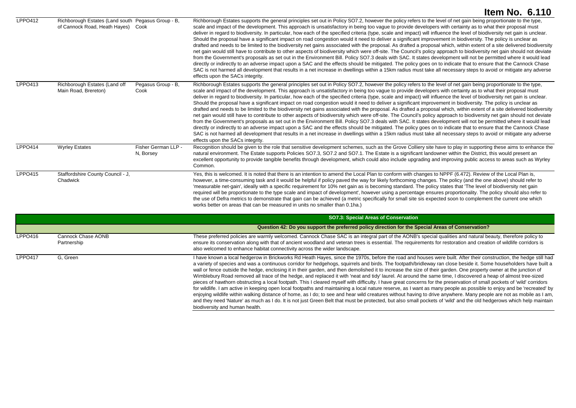|                |                                                                                     |                                  | Item No. 6.110                                                                                                                                                                                                                                                                                                                                                                                                                                                                                                                                                                                                                                                                                                                                                                                                                                                                                                                                                                                                                                                                                                                                                                                                                                                                                                                                                                                                                                                                                                                                                                         |
|----------------|-------------------------------------------------------------------------------------|----------------------------------|----------------------------------------------------------------------------------------------------------------------------------------------------------------------------------------------------------------------------------------------------------------------------------------------------------------------------------------------------------------------------------------------------------------------------------------------------------------------------------------------------------------------------------------------------------------------------------------------------------------------------------------------------------------------------------------------------------------------------------------------------------------------------------------------------------------------------------------------------------------------------------------------------------------------------------------------------------------------------------------------------------------------------------------------------------------------------------------------------------------------------------------------------------------------------------------------------------------------------------------------------------------------------------------------------------------------------------------------------------------------------------------------------------------------------------------------------------------------------------------------------------------------------------------------------------------------------------------|
| LPPO412        | Richborough Estates (Land south Pegasus Group - B,<br>of Cannock Road, Heath Hayes) | Cook                             | Richborough Estates supports the general principles set out in Policy SO7.2, however the policy refers to the level of net gain being proportionate to the type,<br>scale and impact of the development. This approach is unsatisfactory in being too vague to provide developers with certainty as to what their proposal must<br>deliver in regard to biodiversity. In particular, how each of the specified criteria (type, scale and impact) will influence the level of biodiversity net gain is unclear.<br>Should the proposal have a significant impact on road congestion would it need to deliver a significant improvement in biodiversity. The policy is unclear as<br>drafted and needs to be limited to the biodiversity net gains associated with the proposal. As drafted a proposal which, within extent of a site delivered biodiversity<br>net gain would still have to contribute to other aspects of biodiversity which were off-site. The Council's policy approach to biodiversity net gain should not deviate<br>from the Government's proposals as set out in the Environment Bill. Policy SO7.3 deals with SAC. It states development will not be permitted where it would lead<br>directly or indirectly to an adverse impact upon a SAC and the effects should be mitigated. The policy goes on to indicate that to ensure that the Cannock Chase<br>SAC is not harmed all development that results in a net increase in dwellings within a 15km radius must take all necessary steps to avoid or mitigate any adverse<br>effects upon the SACs integrity. |
| LPPO413        | Richborough Estates (Land off<br>Main Road, Brereton)                               | Pegasus Group - B,<br>Cook       | Richborough Estates supports the general principles set out in Policy SO7.2, however the policy refers to the level of net gain being proportionate to the type,<br>scale and impact of the development. This approach is unsatisfactory in being too vague to provide developers with certainty as to what their proposal must<br>deliver in regard to biodiversity. In particular, how each of the specified criteria (type, scale and impact) will influence the level of biodiversity net gain is unclear.<br>Should the proposal have a significant impact on road congestion would it need to deliver a significant improvement in biodiversity. The policy is unclear as<br>drafted and needs to be limited to the biodiversity net gains associated with the proposal. As drafted a proposal which, within extent of a site delivered biodiversity<br>net gain would still have to contribute to other aspects of biodiversity which were off-site. The Council's policy approach to biodiversity net gain should not deviate<br>from the Government's proposals as set out in the Environment Bill. Policy SO7.3 deals with SAC. It states development will not be permitted where it would lead<br>directly or indirectly to an adverse impact upon a SAC and the effects should be mitigated. The policy goes on to indicate that to ensure that the Cannock Chase<br>SAC is not harmed all development that results in a net increase in dwellings within a 15km radius must take all necessary steps to avoid or mitigate any adverse<br>effects upon the SACs integrity. |
| LPPO414        | <b>Wyrley Estates</b>                                                               | Fisher German LLP -<br>N, Borsey | Recognition should be given to the role that sensitive development schemes, such as the Grove Colliery site have to play in supporting these aims to enhance the<br>natural environment. The Estate supports Policies SO7.3, SO7.2 and SO7.1. The Estate is a significant landowner within the District, this would present an<br>excellent opportunity to provide tangible benefits through development, which could also include upgrading and improving public access to areas such as Wyrley<br>Common.                                                                                                                                                                                                                                                                                                                                                                                                                                                                                                                                                                                                                                                                                                                                                                                                                                                                                                                                                                                                                                                                            |
| <b>LPPO415</b> | Staffordshire County Council - J,<br>Chadwick                                       |                                  | Yes, this is welcomed. It is noted that there is an intention to amend the Local Plan to conform with changes to NPPF (6.472). Review of the Local Plan is,<br>however, a time-consuming task and it would be helpful if policy paved the way for likely forthcoming changes. The policy (and the one above) should refer to<br>'measurable net-gain', ideally with a specific requirement for 10% net gain as is becoming standard. The policy states that 'The level of biodiversity net gain<br>required will be proportionate to the type scale and impact of development', however using a percentage ensures proportionality. The policy should also refer to<br>the use of Defra metrics to demonstrate that gain can be achieved (a metric specifically for small site sis expected soon to complement the current one which<br>works better on areas that can be measured in units no smaller than 0.1ha.)                                                                                                                                                                                                                                                                                                                                                                                                                                                                                                                                                                                                                                                                    |

|                |                                   | SO7.3: Special Areas of Conservation                                                                                                                                                                                                                                                                                                                                                                                                                                                                                                                                                                                                                                                                                                                                                                                                                                                                                                                                                                                                                                                                                                                                                                                                                                                                                                                                                                               |
|----------------|-----------------------------------|--------------------------------------------------------------------------------------------------------------------------------------------------------------------------------------------------------------------------------------------------------------------------------------------------------------------------------------------------------------------------------------------------------------------------------------------------------------------------------------------------------------------------------------------------------------------------------------------------------------------------------------------------------------------------------------------------------------------------------------------------------------------------------------------------------------------------------------------------------------------------------------------------------------------------------------------------------------------------------------------------------------------------------------------------------------------------------------------------------------------------------------------------------------------------------------------------------------------------------------------------------------------------------------------------------------------------------------------------------------------------------------------------------------------|
|                |                                   | Question 42: Do you support the preferred policy direction for the Special Areas of Conservation?                                                                                                                                                                                                                                                                                                                                                                                                                                                                                                                                                                                                                                                                                                                                                                                                                                                                                                                                                                                                                                                                                                                                                                                                                                                                                                                  |
| LPPO416        | Cannock Chase AONB<br>Partnership | These preferred policies are warmly welcomed. Cannock Chase SAC is an integral part of the AONB's special qualities and natural beauty, therefore policy to<br>ensure its conservation along with that of ancient woodland and veteran trees is essential. The requirements for restoration and creation of wildlife corridors is<br>also welcomed to enhance habitat connectivity across the wider landscape.                                                                                                                                                                                                                                                                                                                                                                                                                                                                                                                                                                                                                                                                                                                                                                                                                                                                                                                                                                                                     |
| <b>LPPO417</b> | G. Green                          | I have known a local hedgerow in Brickworks Rd Heath Hayes, since the 1970s, before the road and houses were built. After their construction, the hedge still had<br>a variety of species and was a continuous corridor for hedgehogs, squirrels and birds. The footpath/bridleway ran close beside it. Some householders have built a<br>wall or fence outside the hedge, enclosing it in their garden, and then demolished it to increase the size of their garden. One property owner at the junction of<br>Wimblebury Road removed all trace of the hedge, and replaced it with 'neat and tidy' laurel. At around the same time, I discovered a heap of almost tree-sized<br>pieces of hawthorn obstructing a local footpath. This I cleared myself with difficulty. I have great concerns for the preservation of small pockets of 'wild' corridors<br>for wildlife. I am active in keeping open local footpaths and maintaining a local nature reserve, as I want as many people as possible to enjoy and be 'recreated' by<br>enjoying wildlife within walking distance of home, as I do; to see and hear wild creatures without having to drive anywhere. Many people are not as mobile as I am,<br>and they need 'Nature' as much as I do. It is not just Green Belt that must be protected, but also small pockets of 'wild' and the old hedgerows which help maintain<br>biodiversity and human health. |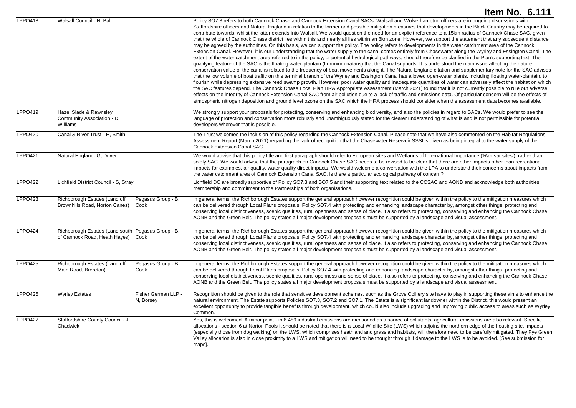|                |                                                                                          |                                  | Item No. 6.111                                                                                                                                                                                                                                                                                                                                                                                                                                                                                                                                                                                                                                                                                                                                                                                                                                                                                                                                                                                                                                                                                                                                                                                                                                                                                                                                                                                                                                                                                                                                                                                                                                                                                                                                                                                                                                                                                                                                                                                                                                                                                                                                                                                                                                                                                                                    |
|----------------|------------------------------------------------------------------------------------------|----------------------------------|-----------------------------------------------------------------------------------------------------------------------------------------------------------------------------------------------------------------------------------------------------------------------------------------------------------------------------------------------------------------------------------------------------------------------------------------------------------------------------------------------------------------------------------------------------------------------------------------------------------------------------------------------------------------------------------------------------------------------------------------------------------------------------------------------------------------------------------------------------------------------------------------------------------------------------------------------------------------------------------------------------------------------------------------------------------------------------------------------------------------------------------------------------------------------------------------------------------------------------------------------------------------------------------------------------------------------------------------------------------------------------------------------------------------------------------------------------------------------------------------------------------------------------------------------------------------------------------------------------------------------------------------------------------------------------------------------------------------------------------------------------------------------------------------------------------------------------------------------------------------------------------------------------------------------------------------------------------------------------------------------------------------------------------------------------------------------------------------------------------------------------------------------------------------------------------------------------------------------------------------------------------------------------------------------------------------------------------|
| <b>LPPO418</b> | Walsall Council - N, Ball                                                                |                                  | Policy SO7.3 refers to both Cannock Chase and Cannock Extension Canal SACs. Walsall and Wolverhampton officers are in ongoing discussions with<br>Staffordshire officers and Natural England in relation to the former and possible mitigation measures that developments in the Black Country may be required to<br>contribute towards, whilst the latter extends into Walsall. We would question the need for an explicit reference to a 15km radius of Cannock Chase SAC, given<br>that the whole of Cannock Chase district lies within this and nearly all lies within an 8km zone. However, we support the statement that any subsequent distance<br>may be agreed by the authorities. On this basis, we can support the policy. The policy refers to developments in the water catchment area of the Cannock<br>Extension Canal. However, it is our understanding that the water supply to the canal comes entirely from Chasewater along the Wyrley and Essington Canal. The<br>extent of the water catchment area referred to in the policy, or potential hydrological pathways, should therefore be clarified in the Plan's supporting text. The<br>qualifying feature of the SAC is the floating water-plantain (Luronium natans) that the Canal supports. It is understood the main issue affecting the nature<br>conservation value of the canal is related to the frequency of boat movements along it. The Natural England citation and supplementary note for the SAC advises<br>that the low volume of boat traffic on this terminal branch of the Wyrley and Essington Canal has allowed open-water plants, including floating water-plantain, to<br>flourish while depressing extensive reed swamp growth. However, poor water quality and inadequate quantities of water can adversely affect the habitat on which<br>the SAC features depend. The Cannock Chase Local Plan HRA Appropriate Assessment (March 2021) found that it is not currently possible to rule out adverse<br>effects on the integrity of Cannock Extension Canal SAC from air pollution due to a lack of traffic and emissions data. Of particular concern will be the effects of<br>atmospheric nitrogen deposition and ground level ozone on the SAC which the HRA process should consider when the assessment data becomes available. |
| LPPO419        | Hazel Slade & Rawnsley<br>Community Association - D,<br>Williams                         |                                  | We strongly support your proposals for protecting, conserving and enhancing biodiversity, and also the policies in regard to SACs. We would prefer to see the<br>language of protection and conservation more robustly and unambiguously stated for the clearer understanding of what is and is not permissible for potential<br>developers wherever that is possible.                                                                                                                                                                                                                                                                                                                                                                                                                                                                                                                                                                                                                                                                                                                                                                                                                                                                                                                                                                                                                                                                                                                                                                                                                                                                                                                                                                                                                                                                                                                                                                                                                                                                                                                                                                                                                                                                                                                                                            |
| <b>LPPO420</b> | Canal & River Trust - H, Smith                                                           |                                  | The Trust welcomes the inclusion of this policy regarding the Cannock Extension Canal. Please note that we have also commented on the Habitat Regulations<br>Assessment Report (March 2021) regarding the lack of recognition that the Chasewater Reservoir SSSI is given as being integral to the water supply of the<br>Cannock Extension Canal SAC.                                                                                                                                                                                                                                                                                                                                                                                                                                                                                                                                                                                                                                                                                                                                                                                                                                                                                                                                                                                                                                                                                                                                                                                                                                                                                                                                                                                                                                                                                                                                                                                                                                                                                                                                                                                                                                                                                                                                                                            |
| <b>LPPO421</b> | Natural England- G, Driver                                                               |                                  | We would advise that this policy title and first paragraph should refer to European sites and Wetlands of International Importance ('Ramsar sites'), rather than<br>solely SAC. We would advise that the paragraph on Cannock Chase SAC needs to be revised to be clear that there are other impacts other than recreational<br>impacts for examples, air quality, water quality direct impacts. We would welcome a conversation with the LPA to understand their concerns about impacts from<br>the water catchment area of Cannock Extension Canal SAC. Is there a particular ecological pathway of concern?                                                                                                                                                                                                                                                                                                                                                                                                                                                                                                                                                                                                                                                                                                                                                                                                                                                                                                                                                                                                                                                                                                                                                                                                                                                                                                                                                                                                                                                                                                                                                                                                                                                                                                                    |
| <b>LPPO422</b> | Lichfield District Council - S, Stray                                                    |                                  | Lichfield DC are broadly supportive of Policy SO7.3 and SO7.5 and their supporting text related to the CCSAC and AONB and acknowledge both authorities<br>membership and commitment to the Partnerships of both organisations.                                                                                                                                                                                                                                                                                                                                                                                                                                                                                                                                                                                                                                                                                                                                                                                                                                                                                                                                                                                                                                                                                                                                                                                                                                                                                                                                                                                                                                                                                                                                                                                                                                                                                                                                                                                                                                                                                                                                                                                                                                                                                                    |
| LPPO423        | Richborough Estates (Land off<br>Brownhills Road, Norton Canes)                          | Pegasus Group - B,<br>Cook       | In general terms, the Richborough Estates support the general approach however recognition could be given within the policy to the mitigation measures which<br>can be delivered through Local Plans proposals. Policy SO7.4 with protecting and enhancing landscape character by, amongst other things, protecting and<br>conserving local distinctiveness, scenic qualities, rural openness and sense of place. It also refers to protecting, conserving and enhancing the Cannock Chase<br>AONB and the Green Belt. The policy states all major development proposals must be supported by a landscape and visual assessment.                                                                                                                                                                                                                                                                                                                                                                                                                                                                                                                                                                                                                                                                                                                                                                                                                                                                                                                                                                                                                                                                                                                                                                                                                                                                                                                                                                                                                                                                                                                                                                                                                                                                                                  |
| <b>LPPO424</b> | Richborough Estates (Land south Pegasus Group - B,<br>of Cannock Road, Heath Hayes) Cook |                                  | In general terms, the Richborough Estates support the general approach however recognition could be given within the policy to the mitigation measures which<br>can be delivered through Local Plans proposals. Policy SO7.4 with protecting and enhancing landscape character by, amongst other things, protecting and<br>conserving local distinctiveness, scenic qualities, rural openness and sense of place. It also refers to protecting, conserving and enhancing the Cannock Chase<br>AONB and the Green Belt. The policy states all major development proposals must be supported by a landscape and visual assessment.                                                                                                                                                                                                                                                                                                                                                                                                                                                                                                                                                                                                                                                                                                                                                                                                                                                                                                                                                                                                                                                                                                                                                                                                                                                                                                                                                                                                                                                                                                                                                                                                                                                                                                  |
| <b>LPPO425</b> | Richborough Estates (Land off<br>Main Road, Brereton)                                    | Pegasus Group - B,<br>Cook       | In general terms, the Richborough Estates support the general approach however recognition could be given within the policy to the mitigation measures which<br>can be delivered through Local Plans proposals. Policy SO7.4 with protecting and enhancing landscape character by, amongst other things, protecting and<br>conserving local distinctiveness, scenic qualities, rural openness and sense of place. It also refers to protecting, conserving and enhancing the Cannock Chase<br>AONB and the Green Belt. The policy states all major development proposals must be supported by a landscape and visual assessment.                                                                                                                                                                                                                                                                                                                                                                                                                                                                                                                                                                                                                                                                                                                                                                                                                                                                                                                                                                                                                                                                                                                                                                                                                                                                                                                                                                                                                                                                                                                                                                                                                                                                                                  |
| <b>LPPO426</b> | <b>Wyrley Estates</b>                                                                    | Fisher German LLP -<br>N, Borsey | Recognition should be given to the role that sensitive development schemes, such as the Grove Colliery site have to play in supporting these aims to enhance the<br>natural environment. The Estate supports Policies SO7.3, SO7.2 and SO7.1. The Estate is a significant landowner within the District, this would present an<br>excellent opportunity to provide tangible benefits through development, which could also include upgrading and improving public access to areas such as Wyrley<br>Common.                                                                                                                                                                                                                                                                                                                                                                                                                                                                                                                                                                                                                                                                                                                                                                                                                                                                                                                                                                                                                                                                                                                                                                                                                                                                                                                                                                                                                                                                                                                                                                                                                                                                                                                                                                                                                       |
| <b>LPPO427</b> | Staffordshire County Council - J,<br>Chadwick                                            |                                  | Yes, this is welcomed. A minor point - in 6.489 industrial emissions are mentioned as a source of pollutants; agricultural emissions are also relevant. Specific<br>allocations - section 6 at Norton Pools it should be noted that there is a Local Wildlife Site (LWS) which adjoins the northern edge of the housing site. Impacts<br>(especially those from dog walking) on the LWS, which comprises heathland and grassland habitats, will therefore need to be carefully mitigated. They Pye Green<br>Valley allocation is also in close proximity to a LWS and mitigation will need to be thought through if damage to the LWS is to be avoided. [See submission for<br>maps].                                                                                                                                                                                                                                                                                                                                                                                                                                                                                                                                                                                                                                                                                                                                                                                                                                                                                                                                                                                                                                                                                                                                                                                                                                                                                                                                                                                                                                                                                                                                                                                                                                             |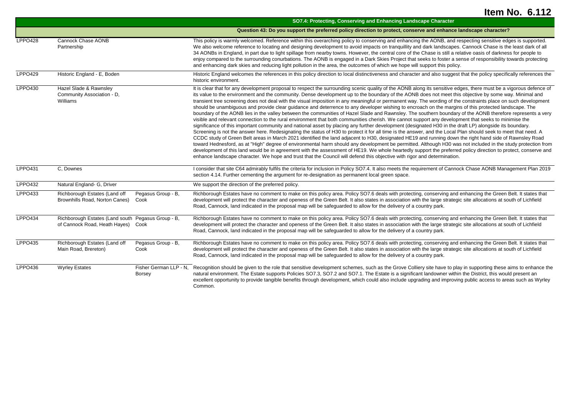|                |                                                                                     |                                         | SO7.4: Protecting, Conserving and Enhancing Landscape Character                                                                                                                                                                                                                                                                                                                                                                                                                                                                                                                                                                                                                                                                                                                                                                                                                                                                                                                                                                                                                                                                                                                                                                                                                                                                                                                                                                                                                                                                                                                                                                                                                                                                                                                                                                                                                                                                     |
|----------------|-------------------------------------------------------------------------------------|-----------------------------------------|-------------------------------------------------------------------------------------------------------------------------------------------------------------------------------------------------------------------------------------------------------------------------------------------------------------------------------------------------------------------------------------------------------------------------------------------------------------------------------------------------------------------------------------------------------------------------------------------------------------------------------------------------------------------------------------------------------------------------------------------------------------------------------------------------------------------------------------------------------------------------------------------------------------------------------------------------------------------------------------------------------------------------------------------------------------------------------------------------------------------------------------------------------------------------------------------------------------------------------------------------------------------------------------------------------------------------------------------------------------------------------------------------------------------------------------------------------------------------------------------------------------------------------------------------------------------------------------------------------------------------------------------------------------------------------------------------------------------------------------------------------------------------------------------------------------------------------------------------------------------------------------------------------------------------------------|
|                |                                                                                     |                                         | Question 43: Do you support the preferred policy direction to protect, conserve and enhance landscape character?                                                                                                                                                                                                                                                                                                                                                                                                                                                                                                                                                                                                                                                                                                                                                                                                                                                                                                                                                                                                                                                                                                                                                                                                                                                                                                                                                                                                                                                                                                                                                                                                                                                                                                                                                                                                                    |
| <b>LPPO428</b> | <b>Cannock Chase AONB</b><br>Partnership                                            |                                         | This policy is warmly welcomed. Reference within this overarching policy to conserving and enhancing the AONB, and respecting sensitive edges is supported.<br>We also welcome reference to locating and designing development to avoid impacts on tranquillity and dark landscapes. Cannock Chase is the least dark of all<br>34 AONBs in England, in part due to light spillage from nearby towns. However, the central core of the Chase is still a relative oasis of darkness for people to<br>enjoy compared to the surrounding conurbations. The AONB is engaged in a Dark Skies Project that seeks to foster a sense of responsibility towards protecting<br>and enhancing dark skies and reducing light pollution in the area, the outcomes of which we hope will support this policy.                                                                                                                                                                                                                                                                                                                                                                                                                                                                                                                                                                                                                                                                                                                                                                                                                                                                                                                                                                                                                                                                                                                                      |
| <b>LPPO429</b> | Historic England - E, Boden                                                         |                                         | Historic England welcomes the references in this policy direction to local distinctiveness and character and also suggest that the policy specifically references the<br>historic environment.                                                                                                                                                                                                                                                                                                                                                                                                                                                                                                                                                                                                                                                                                                                                                                                                                                                                                                                                                                                                                                                                                                                                                                                                                                                                                                                                                                                                                                                                                                                                                                                                                                                                                                                                      |
| LPPO430        | Hazel Slade & Rawnsley<br>Community Association - D.<br>Williams                    |                                         | It is clear that for any development proposal to respect the surrounding scenic quality of the AONB along its sensitive edges, there must be a vigorous defence of<br>its value to the environment and the community. Dense development up to the boundary of the AONB does not meet this objective by some way. Minimal and<br>transient tree screening does not deal with the visual imposition in any meaningful or permanent way. The wording of the constraints place on such development<br>should be unambiguous and provide clear guidance and deterrence to any developer wishing to encroach on the margins of this protected landscape. The<br>boundary of the AONB lies in the valley between the communities of Hazel Slade and Rawnsley. The southern boundary of the AONB therefore represents a very<br>visible and relevant connection to the rural environment that both communities cherish. We cannot support any development that seeks to minimise the<br>significance of this important community and national asset by placing any further development (designated H30 in the draft LP) alongside its boundary.<br>Screening is not the answer here. Redesignating the status of H30 to protect it for all time is the answer, and the Local Plan should seek to meet that need. A<br>CCDC study of Green Belt areas in March 2021 identified the land adjacent to H30, designated HE19 and running down the right hand side of Rawnsley Road<br>toward Hednesford, as at "High" degree of environmental harm should any development be permitted. Although H30 was not included in the study protection from<br>development of this land would be in agreement with the assessment of HE19. We whole heartedly support the preferred policy direction to protect, conserve and<br>enhance landscape character. We hope and trust that the Council will defend this objective with rigor and determination. |
| <b>LPPO431</b> | C, Downes                                                                           |                                         | I consider that site C64 admirably fulfils the criteria for inclusion in Policy SO7.4. It also meets the requirement of Cannock Chase AONB Management Plan 2019<br>section 4.14. Further cementing the argument for re-designation as permanent local green space.                                                                                                                                                                                                                                                                                                                                                                                                                                                                                                                                                                                                                                                                                                                                                                                                                                                                                                                                                                                                                                                                                                                                                                                                                                                                                                                                                                                                                                                                                                                                                                                                                                                                  |
| <b>LPPO432</b> | Natural England- G, Driver                                                          |                                         | We support the direction of the preferred policy.                                                                                                                                                                                                                                                                                                                                                                                                                                                                                                                                                                                                                                                                                                                                                                                                                                                                                                                                                                                                                                                                                                                                                                                                                                                                                                                                                                                                                                                                                                                                                                                                                                                                                                                                                                                                                                                                                   |
| LPPO433        | Richborough Estates (Land off<br>Brownhills Road, Norton Canes)                     | Pegasus Group - B,<br>Cook              | Richborough Estates have no comment to make on this policy area. Policy SO7.6 deals with protecting, conserving and enhancing the Green Belt. It states that<br>development will protect the character and openess of the Green Belt. It also states in association with the large strategic site allocations at south of Lichfield<br>Road, Cannock, land indicated in the proposal map will be safeguarded to allow for the delivery of a country park.                                                                                                                                                                                                                                                                                                                                                                                                                                                                                                                                                                                                                                                                                                                                                                                                                                                                                                                                                                                                                                                                                                                                                                                                                                                                                                                                                                                                                                                                           |
| <b>LPPO434</b> | Richborough Estates (Land south Pegasus Group - B,<br>of Cannock Road, Heath Hayes) | Cook                                    | Richborough Estates have no comment to make on this policy area. Policy SO7.6 deals with protecting, conserving and enhancing the Green Belt. It states that<br>development will protect the character and openess of the Green Belt. It also states in association with the large strategic site allocations at south of Lichfield<br>Road, Cannock, land indicated in the proposal map will be safeguarded to allow for the delivery of a country park.                                                                                                                                                                                                                                                                                                                                                                                                                                                                                                                                                                                                                                                                                                                                                                                                                                                                                                                                                                                                                                                                                                                                                                                                                                                                                                                                                                                                                                                                           |
| LPPO435        | Richborough Estates (Land off<br>Main Road, Brereton)                               | Pegasus Group - B,<br>Cook              | Richborough Estates have no comment to make on this policy area. Policy SO7.6 deals with protecting, conserving and enhancing the Green Belt. It states that<br>development will protect the character and openess of the Green Belt. It also states in association with the large strategic site allocations at south of Lichfield<br>Road, Cannock, land indicated in the proposal map will be safeguarded to allow for the delivery of a country park.                                                                                                                                                                                                                                                                                                                                                                                                                                                                                                                                                                                                                                                                                                                                                                                                                                                                                                                                                                                                                                                                                                                                                                                                                                                                                                                                                                                                                                                                           |
| <b>LPPO436</b> | <b>Wyrley Estates</b>                                                               | Fisher German LLP - N.<br><b>Borsey</b> | Recognition should be given to the role that sensitive development schemes, such as the Grove Colliery site have to play in supporting these aims to enhance the<br>natural environment. The Estate supports Policies SO7.3, SO7.2 and SO7.1. The Estate is a significant landowner within the District, this would present an<br>excellent opportunity to provide tangible benefits through development, which could also include upgrading and improving public access to areas such as Wyrley<br>Common.                                                                                                                                                                                                                                                                                                                                                                                                                                                                                                                                                                                                                                                                                                                                                                                                                                                                                                                                                                                                                                                                                                                                                                                                                                                                                                                                                                                                                         |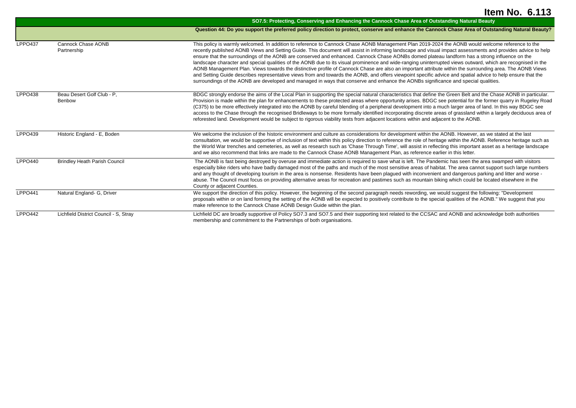|                |                                       | SO7.5: Protecting, Conserving and Enhancing the Cannock Chase Area of Outstanding Natural Beauty                                                                                                                                                                                                                                                                                                                                                                                                                                                                                                                                                                                                                                                                                                                                                                                                                                                                                                                                                                                                  |
|----------------|---------------------------------------|---------------------------------------------------------------------------------------------------------------------------------------------------------------------------------------------------------------------------------------------------------------------------------------------------------------------------------------------------------------------------------------------------------------------------------------------------------------------------------------------------------------------------------------------------------------------------------------------------------------------------------------------------------------------------------------------------------------------------------------------------------------------------------------------------------------------------------------------------------------------------------------------------------------------------------------------------------------------------------------------------------------------------------------------------------------------------------------------------|
|                |                                       | Question 44: Do you support the preferred policy direction to protect, conserve and enhance the Cannock Chase Area of Outstanding Natural Beauty?                                                                                                                                                                                                                                                                                                                                                                                                                                                                                                                                                                                                                                                                                                                                                                                                                                                                                                                                                 |
| LPPO437        | Cannock Chase AONB<br>Partnership     | This policy is warmly welcomed. In addition to reference to Cannock Chase AONB Management Plan 2019-2024 the AONB would welcome reference to the<br>recently published AONB Views and Setting Guide. This document will assist in informing landscape and visual impact assessments and provides advice to help<br>ensure that the surroundings of the AONB are conserved and enhanced. Cannock Chase AONBs domed plateau landform has a strong influence on the<br>landscape character and special qualities of the AONB due to its visual prominence and wide-ranging uninterrupted views outward, which are recognised in the<br>AONB Management Plan. Views towards the distinctive profile of Cannock Chase are also an important attribute within the surrounding area. The AONB Views<br>and Setting Guide describes representative views from and towards the AONB, and offers viewpoint specific advice and spatial advice to help ensure that the<br>surroundings of the AONB are developed and managed in ways that conserve and enhance the AONBs significance and special qualities. |
| LPPO438        | Beau Desert Golf Club - P.<br>Benbow  | BDGC strongly endorse the aims of the Local Plan in supporting the special natural characteristics that define the Green Belt and the Chase AONB in particular.<br>Provision is made within the plan for enhancements to these protected areas where opportunity arises. BDGC see potential for the former quarry in Rugeley Road<br>(C375) to be more effectively integrated into the AONB by careful blending of a peripheral development into a much larger area of land. In this way BDGC see<br>access to the Chase through the recognised Bridleways to be more formally identified incorporating discrete areas of grassland within a largely deciduous area of<br>reforested land. Development would be subject to rigorous viability tests from adjacent locations within and adjacent to the AONB.                                                                                                                                                                                                                                                                                      |
| LPPO439        | Historic England - E, Boden           | We welcome the inclusion of the historic environment and culture as considerations for development within the AONB. However, as we stated at the last<br>consultation, we would be supportive of inclusion of text within this policy direction to reference the role of heritage within the AONB. Reference heritage such as<br>the World War trenches and cemeteries, as well as research such as 'Chase Through Time', will assist in reflecting this important asset as a heritage landscape<br>and we also recommend that links are made to the Cannock Chase AONB Management Plan, as reference earlier in this letter.                                                                                                                                                                                                                                                                                                                                                                                                                                                                     |
| <b>LPPO440</b> | <b>Brindley Heath Parish Council</b>  | The AONB is fast being destroyed by overuse and immediate action is required to save what is left. The Pandemic has seen the area swamped with visitors<br>especially bike riders who have badly damaged most of the paths and much of the most sensitive areas of habitat. The area cannot support such large numbers<br>and any thought of developing tourism in the area is nonsense. Residents have been plaqued with inconvenient and dangerous parking and litter and worse -<br>abuse. The Council must focus on providing alternative areas for recreation and pastimes such as mountain biking which could be located elsewhere in the<br>County or adjacent Counties.                                                                                                                                                                                                                                                                                                                                                                                                                   |
| <b>LPPO441</b> | Natural England- G, Driver            | We support the direction of this policy. However, the beginning of the second paragraph needs rewording, we would suggest the following: "Development<br>proposals within or on land forming the setting of the AONB will be expected to positively contribute to the special qualities of the AONB." We suggest that you<br>make reference to the Cannock Chase AONB Design Guide within the plan.                                                                                                                                                                                                                                                                                                                                                                                                                                                                                                                                                                                                                                                                                               |
| LPPO442        | Lichfield District Council - S. Stray | Lichfield DC are broadly supportive of Policy SO7.3 and SO7.5 and their supporting text related to the CCSAC and AONB and acknowledge both authorities<br>membership and commitment to the Partnerships of both organisations.                                                                                                                                                                                                                                                                                                                                                                                                                                                                                                                                                                                                                                                                                                                                                                                                                                                                    |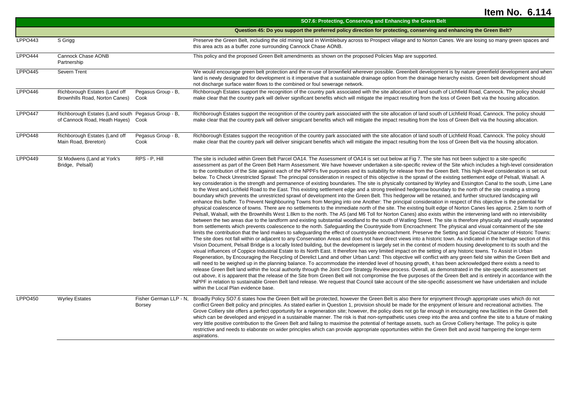|                |                                                                                     |                                         | SO7.6: Protecting, Conserving and Enhancing the Green Belt                                                                                                                                                                                                                                                                                                                                                                                                                                                                                                                                                                                                                                                                                                                                                                                                                                                                                                                                                                                                                                                                                                                                                                                                                                                                                                                                                                                                                                                                                                                                                                                                                                                                                                                                                                                                                                                                                                                                                                                                                                                                                                                                                                                                                                                                                                                                                                                                                                                                                                                                                                                                                                                                                                                                                                                                                                                                                                                                                                                                                                                                                                                                                                                                                                                                                                                                                                                                                                                                                                                                                  |
|----------------|-------------------------------------------------------------------------------------|-----------------------------------------|-------------------------------------------------------------------------------------------------------------------------------------------------------------------------------------------------------------------------------------------------------------------------------------------------------------------------------------------------------------------------------------------------------------------------------------------------------------------------------------------------------------------------------------------------------------------------------------------------------------------------------------------------------------------------------------------------------------------------------------------------------------------------------------------------------------------------------------------------------------------------------------------------------------------------------------------------------------------------------------------------------------------------------------------------------------------------------------------------------------------------------------------------------------------------------------------------------------------------------------------------------------------------------------------------------------------------------------------------------------------------------------------------------------------------------------------------------------------------------------------------------------------------------------------------------------------------------------------------------------------------------------------------------------------------------------------------------------------------------------------------------------------------------------------------------------------------------------------------------------------------------------------------------------------------------------------------------------------------------------------------------------------------------------------------------------------------------------------------------------------------------------------------------------------------------------------------------------------------------------------------------------------------------------------------------------------------------------------------------------------------------------------------------------------------------------------------------------------------------------------------------------------------------------------------------------------------------------------------------------------------------------------------------------------------------------------------------------------------------------------------------------------------------------------------------------------------------------------------------------------------------------------------------------------------------------------------------------------------------------------------------------------------------------------------------------------------------------------------------------------------------------------------------------------------------------------------------------------------------------------------------------------------------------------------------------------------------------------------------------------------------------------------------------------------------------------------------------------------------------------------------------------------------------------------------------------------------------------------------------|
|                |                                                                                     |                                         | Question 45: Do you support the preferred policy direction for protecting, conserving and enhancing the Green Belt?                                                                                                                                                                                                                                                                                                                                                                                                                                                                                                                                                                                                                                                                                                                                                                                                                                                                                                                                                                                                                                                                                                                                                                                                                                                                                                                                                                                                                                                                                                                                                                                                                                                                                                                                                                                                                                                                                                                                                                                                                                                                                                                                                                                                                                                                                                                                                                                                                                                                                                                                                                                                                                                                                                                                                                                                                                                                                                                                                                                                                                                                                                                                                                                                                                                                                                                                                                                                                                                                                         |
| <b>LPPO443</b> | S Grigg                                                                             |                                         | Preserve the Green Belt, including the old mining land in Wimblebury across to Prospect village and to Norton Canes. We are losing so many green spaces and<br>this area acts as a buffer zone surrounding Cannock Chase AONB.                                                                                                                                                                                                                                                                                                                                                                                                                                                                                                                                                                                                                                                                                                                                                                                                                                                                                                                                                                                                                                                                                                                                                                                                                                                                                                                                                                                                                                                                                                                                                                                                                                                                                                                                                                                                                                                                                                                                                                                                                                                                                                                                                                                                                                                                                                                                                                                                                                                                                                                                                                                                                                                                                                                                                                                                                                                                                                                                                                                                                                                                                                                                                                                                                                                                                                                                                                              |
| LPPO444        | Cannock Chase AONB<br>Partnership                                                   |                                         | This policy and the proposed Green Belt amendments as shown on the proposed Policies Map are supported.                                                                                                                                                                                                                                                                                                                                                                                                                                                                                                                                                                                                                                                                                                                                                                                                                                                                                                                                                                                                                                                                                                                                                                                                                                                                                                                                                                                                                                                                                                                                                                                                                                                                                                                                                                                                                                                                                                                                                                                                                                                                                                                                                                                                                                                                                                                                                                                                                                                                                                                                                                                                                                                                                                                                                                                                                                                                                                                                                                                                                                                                                                                                                                                                                                                                                                                                                                                                                                                                                                     |
| LPPO445        | Severn Trent                                                                        |                                         | We would encourage green belt protection and the re-use of brownfield wherever possible. Greenbelt development is by nature greenfield development and when<br>land is newly designated for development is it imperative that a sustainable drainage option from the drainage hierarchy exists. Green belt development should<br>not discharge surface water flows to the combined or foul sewerage network.                                                                                                                                                                                                                                                                                                                                                                                                                                                                                                                                                                                                                                                                                                                                                                                                                                                                                                                                                                                                                                                                                                                                                                                                                                                                                                                                                                                                                                                                                                                                                                                                                                                                                                                                                                                                                                                                                                                                                                                                                                                                                                                                                                                                                                                                                                                                                                                                                                                                                                                                                                                                                                                                                                                                                                                                                                                                                                                                                                                                                                                                                                                                                                                                |
| LPPO446        | Richborough Estates (Land off<br>Brownhills Road, Norton Canes)                     | Pegasus Group - B,<br>Cook              | Richborough Estates support the recognition of the country park associated with the site allocation of land south of Lichfield Road, Cannock. The policy should<br>make clear that the country park will deliver significant benefits which will mitigate the impact resulting from the loss of Green Belt via the housing allocation.                                                                                                                                                                                                                                                                                                                                                                                                                                                                                                                                                                                                                                                                                                                                                                                                                                                                                                                                                                                                                                                                                                                                                                                                                                                                                                                                                                                                                                                                                                                                                                                                                                                                                                                                                                                                                                                                                                                                                                                                                                                                                                                                                                                                                                                                                                                                                                                                                                                                                                                                                                                                                                                                                                                                                                                                                                                                                                                                                                                                                                                                                                                                                                                                                                                                      |
| <b>LPPO447</b> | Richborough Estates (Land south Pegasus Group - B,<br>of Cannock Road, Heath Hayes) | Cook                                    | Richborough Estates support the recognition of the country park associated with the site allocation of land south of Lichfield Road, Cannock. The policy should<br>make clear that the country park will deliver sinigicant benefits which will mitigate the impact resulting from the loss of Green Belt via the housing allocation.                                                                                                                                                                                                                                                                                                                                                                                                                                                                                                                                                                                                                                                                                                                                                                                                                                                                                                                                                                                                                                                                                                                                                                                                                                                                                                                                                                                                                                                                                                                                                                                                                                                                                                                                                                                                                                                                                                                                                                                                                                                                                                                                                                                                                                                                                                                                                                                                                                                                                                                                                                                                                                                                                                                                                                                                                                                                                                                                                                                                                                                                                                                                                                                                                                                                       |
| LPPO448        | Richborough Estates (Land off<br>Main Road, Brereton)                               | Pegasus Group - B,<br>Cook              | Richborough Estates support the recognition of the country park associated with the site allocation of land south of Lichfield Road, Cannock. The policy should<br>make clear that the country park will deliver sinigicant benefits which will mitigate the impact resulting from the loss of Green Belt via the housing allocation.                                                                                                                                                                                                                                                                                                                                                                                                                                                                                                                                                                                                                                                                                                                                                                                                                                                                                                                                                                                                                                                                                                                                                                                                                                                                                                                                                                                                                                                                                                                                                                                                                                                                                                                                                                                                                                                                                                                                                                                                                                                                                                                                                                                                                                                                                                                                                                                                                                                                                                                                                                                                                                                                                                                                                                                                                                                                                                                                                                                                                                                                                                                                                                                                                                                                       |
| LPPO449        | St Modwens (Land at York's<br>Bridge, Pelsall)                                      | RPS - P, Hill                           | The site is included within Green Belt Parcel OA14. The Assessment of OA14 is set out below at Fig 7. The site has not been subject to a site-specific<br>assessment as part of the Green Belt Harm Assessment. We have however undertaken a site-specific review of the Site which includes a high-level consideration<br>to the contribution of the Site against each of the NPPFs five purposes and its suitability for release from the Green Belt. This high-level consideration is set out<br>below. To Check Unrestricted Sprawl: The principal consideration in respect of this objective is the sprawl of the existing settlement edge of Pelsall, Walsall. A<br>key consideration is the strength and permanence of existing boundaries. The site is physically contained by Wyrley and Essington Canal to the south, Lime Lane<br>to the West and Lichfield Road to the East. This existing settlement edge and a strong treelined hedgerow boundary to the north of the site creating a strong<br>boundary which prevents the unrestricted sprawl of development into the Green Belt. This hedgerow will be retained, and further structured landscaping will<br>enhance this buffer. To Prevent Neighbouring Towns from Merging into one Another: The principal consideration in respect of this objective is the potential for<br>physical coalescence of towns. There are no settlements to the immediate north of the site. The existing built edge of Norton Canes lies approx. 2.5km to north of<br>Pelsall, Walsall, with the Brownhills West 1.8km to the north. The A5 (and M6 Toll for Norton Canes) also exists within the intervening land with no intervisibility<br>between the two areas due to the landform and existing substantial woodland to the south of Watling Street. The site is therefore physically and visually separated<br>from settlements which prevents coalescence to the north. Safeguarding the Countryside from Encroachment: The physical and visual containment of the site<br>limits the contribution that the land makes to safeguarding the effect of countryside encroachment. Preserve the Setting and Special Character of Historic Towns:<br>The site does not fall within or adjacent to any Conservation Areas and does not have direct views into a historic town. As indicated in the heritage section of this<br>Vision Document, Pelsall Bridge is a locally listed building, but the development is largely set in the context of modern housing development to its south and the<br>visual influences of Coppice Industrial Estate to its North East. It therefore has very limited impact on the setting of any historic towns. To Assist in Urban<br>Regeneration, by Encouraging the Recycling of Derelict Land and other Urban Land: This objective will conflict with any green field site within the Green Belt and<br>will need to be weighed up in the planning balance. To accommodate the intended level of housing growth, it has been acknowledged there exists a need to<br>release Green Belt land within the local authority through the Joint Core Strategy Review process. Overall, as demonstrated in the site-specific assessment set<br>out above, it is apparent that the release of the Site from Green Belt will not compromise the five purposes of the Green Belt and is entirely in accordance with the<br>NPPF in relation to sustainable Green Belt land release. We request that Council take account of the site-specific assessment we have undertaken and include<br>within the Local Plan evidence base. |
| <b>LPPO450</b> | <b>Wyrley Estates</b>                                                               | Fisher German LLP - N,<br><b>Borsey</b> | Broadly Policy SO7.6 states how the Green Belt will be protected, however the Green Belt is also there for enjoyment through appropriate uses which do not<br>conflict Green Belt policy and principles. As stated earlier in Question 1, provision should be made for the enjoyment of leisure and recreational activities. The<br>Grove Colliery site offers a perfect opportunity for a regeneration site; however, the policy does not go far enough in encouraging new facilities in the Green Belt<br>which can be developed and enjoyed in a sustainable manner. The risk is that non-sympathetic uses creep into the area and confine the site to a future of making<br>very little positive contribution to the Green Belt and failing to maximise the potential of heritage assets, such as Grove Colliery heritage. The policy is quite<br>restrictive and needs to elaborate on wider principles which can provide appropriate opportunities within the Green Belt and avoid hampering the longer-term<br>aspirations.                                                                                                                                                                                                                                                                                                                                                                                                                                                                                                                                                                                                                                                                                                                                                                                                                                                                                                                                                                                                                                                                                                                                                                                                                                                                                                                                                                                                                                                                                                                                                                                                                                                                                                                                                                                                                                                                                                                                                                                                                                                                                                                                                                                                                                                                                                                                                                                                                                                                                                                                                                          |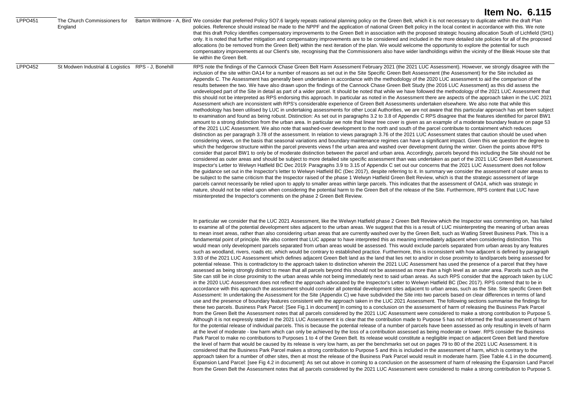| <b>LPPO451</b> | England                                            | The Church Commissioners for Barton Willmore - A, Bird We consider that preferred Policy SO7.6 largely repeats national planning policy on the Green Belt, which it is not necessary to duplicate within the draft Plan<br>policies. Reference should instead be made to the NPPF and the application of national Green Belt policy in the local context in accordance with this. We note<br>that this draft Policy identifies compensatory improvements to the Green Belt in association with the proposed strategic housing allocation South of Lichfield (SH1)<br>only. It is noted that further mitigation and compensatory improvements are to be considered and included in the more detailed site policies for all of the proposed<br>allocations (to be removed from the Green Belt) within the next iteration of the plan. We would welcome the opportunity to explore the potential for such<br>compensatory improvements at our Client's site, recognising that the Commissioners also have wider landholdings within the vicinity of the Bleak House site that<br>lie within the Green Belt.                                                                                                                                                                                                                                                                                                                                                                                                                                                                                                                                                                                                                                                                                                                                                                                                                                                                                                                                                                                                                                                                                                                                                                                                                                                                                                                                                                                                                                                                                                                                                                                                                                                                                                                                                                                                                                                                                                                                                                                                                                                                                                                                                                                                                                                                                                                                                                                                                                                                                                                                                                                                                                                                                                                                                                                                                                                                                                                                                                                                                                                                                    |
|----------------|----------------------------------------------------|---------------------------------------------------------------------------------------------------------------------------------------------------------------------------------------------------------------------------------------------------------------------------------------------------------------------------------------------------------------------------------------------------------------------------------------------------------------------------------------------------------------------------------------------------------------------------------------------------------------------------------------------------------------------------------------------------------------------------------------------------------------------------------------------------------------------------------------------------------------------------------------------------------------------------------------------------------------------------------------------------------------------------------------------------------------------------------------------------------------------------------------------------------------------------------------------------------------------------------------------------------------------------------------------------------------------------------------------------------------------------------------------------------------------------------------------------------------------------------------------------------------------------------------------------------------------------------------------------------------------------------------------------------------------------------------------------------------------------------------------------------------------------------------------------------------------------------------------------------------------------------------------------------------------------------------------------------------------------------------------------------------------------------------------------------------------------------------------------------------------------------------------------------------------------------------------------------------------------------------------------------------------------------------------------------------------------------------------------------------------------------------------------------------------------------------------------------------------------------------------------------------------------------------------------------------------------------------------------------------------------------------------------------------------------------------------------------------------------------------------------------------------------------------------------------------------------------------------------------------------------------------------------------------------------------------------------------------------------------------------------------------------------------------------------------------------------------------------------------------------------------------------------------------------------------------------------------------------------------------------------------------------------------------------------------------------------------------------------------------------------------------------------------------------------------------------------------------------------------------------------------------------------------------------------------------------------------------------------------------------------------------------------------------------------------------------------------------------------------------------------------------------------------------------------------------------------------------------------------------------------------------------------------------------------------------------------------------------------------------------------------------------------------------------------------------------------------------------------------------------------------------------------------------------------------------------|
| <b>LPPO452</b> | St Modwen Industrial & Logistics RPS - J, Bonehill | RPS note the findings of the Cannock Chase Green Belt Harm Assessment February 2021 (the 2021 LUC Assessment). However, we strongly disagree with the<br>inclusion of the site within OA14 for a number of reasons as set out in the Site Specific Green Belt Assessment (the Assessment) for the Site included as<br>Appendix C. The Assessment has generally been undertaken in accordance with the methodology of the 2020 LUC assessment to aid the comparison of the<br>results between the two. We have also drawn upon the findings of the Cannock Chase Green Belt Study (the 2016 LUC Assessment) as this did assess the<br>undeveloped part of the Site in detail as part of a wider parcel. It should be noted that while we have followed the methodology of the 2021 LUC Assessment that<br>this should not be interpreted as RPS endorsing this approach. In particular as noted in the Assessment there are aspects of the approach taken in the LUC 2021<br>Assessment which are inconsistent with RPS's considerable experience of Green Belt Assessments undertaken elsewhere. We also note that while this<br>methodology has been utilised by LUC in undertaking assessments for other Local Authorities, we are not aware that this particular approach has yet been subject<br>to examination and found as being robust. Distinction: As set out in paragraphs 3.2 to 3.8 of Appendix C RPS disagree that the features identified for parcel BW1<br>amount to a strong distinction from the urban area. In particular we note that linear tree cover is given as an example of a moderate boundary feature on page 53<br>of the 2021 LUC Assessment. We also note that washed-over development to the north and south of the parcel contribute to containment which reduces<br>distinction as per paragraph 3.78 of the assessment. In relation to views paragraph 3.76 of the 2021 LUC Assessment states that caution should be used when<br>considering views, on the basis that seasonal variations and boundary maintenance regimes can have a significant impact. Given this we question the degree to<br>which the hedgerow structure within the parcel prevents views f the urban area and washed over development during the winter. Given the points above RPS<br>consider that parcel BW1 to only be of moderate distinction between the parcel and urban area. Accordingly, parcels beyond this including the Site should not be<br>considered as outer areas and should be subject to more detailed site specific assessment than was undertaken as part of the 2021 LUC Green Belt Assessment.<br>Inspector's Letter to Welwyn Hatfield BC Dec 2019: Paragraphs 3.9 to 3.15 of Appendix C set out our concerns that the 2021 LUC Assessment does not follow<br>the guidance set out in the Inspector's letter to Welwyn Hatfield BC (Dec 2017), despite referring to it. In summary we consider the assessment of outer areas to<br>be subject to the same criticism that the Inspector raised of the phase 1 Welwyn Hatfield Green Belt Review, which is that the strategic assessment of large<br>parcels cannot necessarily be relied upon to apply to smaller areas within large parcels. This indicates that the assessment of OA14, which was strategic in<br>nature, should not be relied upon when considering the potential harm to the Green Belt of the release of the Site. Furthermore, RPS content that LUC have<br>misinterpreted the Inspector's comments on the phase 2 Green Belt Review.                                                                                                                                                                                                                                                                                                                                                                                                                                                                                                                                                                                                                                              |
|                |                                                    | In particular we consider that the LUC 2021 Assessment, like the Welwyn Hatfield phase 2 Green Belt Review which the Inspector was commenting on, has failed<br>to examine all of the potential development sites adjacent to the urban areas. We suggest that this is a result of LUC misinterpreting the meaning of urban areas<br>to mean inset areas, rather than also considering urban areas that are currently washed over by the Green Belt, such as Watling Street Business Park. This is a<br>fundamental point of principle. We also content that LUC appear to have interpreted this as meaning immediately adjacent when considering distinction. This<br>would mean only development parcels separated from urban areas would be assessed. This would exclude parcels separated from urban areas by any features<br>such as woodland, rivers, roads etc. which would be contrary to established practice. Furthermore, this is inconsistent with how adjacent is defined by paragraph<br>3.93 of the 2021 LUC Assessment which defines adjacent Green Belt land as the land that lies net to and/or in close proximity to land/parcels being assessed for<br>potential release. This is contradictory to the approach taken to distinction wherein the 2021 LUC Assessment has used the presence of a parcel that they have<br>assessed as being strongly distinct to mean that all parcels beyond this should not be assessed as more than a high level as an outer area. Parcels such as the<br>Site can still be in close proximity to the urban areas while not being immediately next to said urban areas. As such RPS consider that the approach taken by LUC<br>in the 2020 LUC Assessment does not reflect the approach advocated by the Inspector's Letter to Welwyn Hatfield BC (Dec 2017). RPS contend that to be in<br>accordance with this approach the assessment should consider all potential development sites adjacent to urban areas, such as the Site. Site specific Green Belt<br>Assessment: In undertaking the Assessment for the Site (Appendix C) we have subdivided the Site into two parcels based on clear differences in terms of land<br>use and the presence of boundary features consistent with the approach taken in the LUC 2021 Assessment. The following sections summarise the findings for<br>these two parcels. Business Park Parcel: [See Fig.1 in document] In coming to a conclusion on the assessment of harm of releasing the Business Park Parcel<br>from the Green Belt the Assessment notes that all parcels considered by the 2021 LUC Assessment were considered to make a strong contribution to Purpose 5.<br>Although it is not expressly stated in the 2021 LUC Assessment it is clear that the contribution made to Purpose 5 has not informed the final assessment of harm<br>for the potential release of individual parcels. This is because the potential release of a number of parcels have been assessed as only resulting in levels of harm<br>at the level of moderate - low harm which can only be achieved by the loss of a contribution assessed as being moderate or lower. RPS consider the Business<br>Park Parcel to make no contributions to Purposes 1 to 4 of the Green Belt. Its release would constitute a negligible impact on adjacent Green Belt land therefore<br>the level of harm that would be caused by its release is very low harm, as per the benchmarks set out on pages 79 to 80 of the 2021 LUC Assessment. It is<br>considered that the Business Park Parcel makes a strong contribution to Purpose 5 and this is included in the assessment of harm, which is contrary to the<br>approach taken for a number of other sites, then at most the release of the Business Park Parcel would result in moderate harm. [See Table 4.1 in the document].<br>Expansion Land Parcel: [see Fig 4.2 in document]: As set out above in coming to a conclusion on the assessment of harm of releasing the Expansion Land Parcel<br>from the Green Belt the Assessment notes that all parcels considered by the 2021 LUC Assessment were considered to make a strong contribution to Purpose 5. |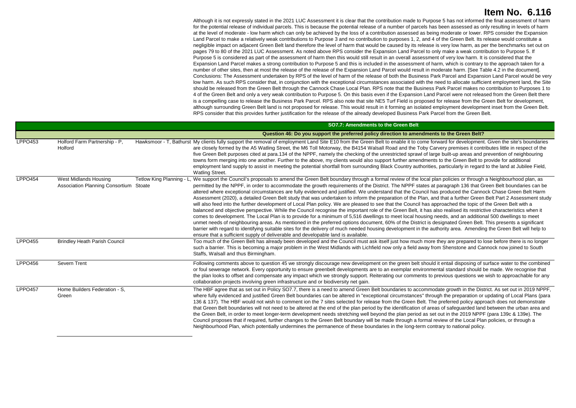Although it is not expressly stated in the 2021 LUC Assessment it is clear that the contribution made to Purpose 5 has not informed the final assessment of harm for the potential release of individual parcels. This is because the potential release of a number of parcels has been assessed as only resulting in levels of harm at the level of moderate - low harm which can only be achieved by the loss of a contribution assessed as being moderate or lower. RPS consider the Expansion Land Parcel to make a relatively weak contributions to Purpose 3 and no contribution to purposes 1, 2, and 4 of the Green Belt. Its release would constitute a negligible impact on adjacent Green Belt land therefore the level of harm that would be caused by its release is very low harm, as per the benchmarks set out on pages 79 to 80 of the 2021 LUC Assessment. As noted above RPS consider the Expansion Land Parcel to only make a weak contribution to Purpose 5. If Purpose 5 is considered as part of the assessment of harm then this would still result in an overall assessment of very low harm. It is considered that the Expansion Land Parcel makes a strong contribution to Purpose 5 and this is included in the assessment of harm, which is contrary to the approach taken for a number of other sites, then at most the release of the release of the Expansion Land Parcel would result in moderate harm. [See Table 4.2 in the document]. Conclusions: The Assessment undertaken by RPS of the level of harm of the release of both the Business Park Parcel and Expansion Land Parcel would be very low harm. As such RPS consider that, in conjunction with the exceptional circumstances associated with the need to allocate sufficient employment land, the Site should be released from the Green Belt through the Cannock Chase Local Plan. RPS note that the Business Park Parcel makes no contribution to Purposes 1 to 4 of the Green Belt and only a very weak contribution to Purpose 5. On this basis even if the Expansion Land Parcel were not released from the Green Belt there is a compelling case to release the Business Park Parcel. RPS also note that site NE5 Turf Field is proposed for release from the Green Belt for development, although surrounding Green Belt land is not proposed for release. This would result in it forming an isolated employment development inset from the Green Belt. RPS consider that this provides further justification for the release of the already developed Business Park Parcel from the Green Belt.

|                |                                                                 | SO7.7: Amendments to the Green Belt                                                                                                                                                                                                                                                                                                                                                                                                                                                                                                                                                                                                                                                                                                                                                                                                                                                                                                                                                                                                                                                                                                                                                                                                                                                                                                                                                                                                                                                                                                                                                                           |
|----------------|-----------------------------------------------------------------|---------------------------------------------------------------------------------------------------------------------------------------------------------------------------------------------------------------------------------------------------------------------------------------------------------------------------------------------------------------------------------------------------------------------------------------------------------------------------------------------------------------------------------------------------------------------------------------------------------------------------------------------------------------------------------------------------------------------------------------------------------------------------------------------------------------------------------------------------------------------------------------------------------------------------------------------------------------------------------------------------------------------------------------------------------------------------------------------------------------------------------------------------------------------------------------------------------------------------------------------------------------------------------------------------------------------------------------------------------------------------------------------------------------------------------------------------------------------------------------------------------------------------------------------------------------------------------------------------------------|
|                |                                                                 | Question 46: Do you support the preferred policy direction to amendments to the Green Belt?                                                                                                                                                                                                                                                                                                                                                                                                                                                                                                                                                                                                                                                                                                                                                                                                                                                                                                                                                                                                                                                                                                                                                                                                                                                                                                                                                                                                                                                                                                                   |
| LPPO453        | Holford Farm Partnership - P.<br>Holford                        | Hawksmoor - T, Bathurst My clients fully support the removal of employment Land Site E10 from the Green Belt to enable it to come forward for development. Given the site's boundaries<br>are closely formed by the A5 Watling Street, the M6 Toll Motorway, the B4154 Walsall Road and the Toby Carvery premises it contributes little in respect of the<br>five Green Belt purposes cited at para.134 of the NPPF, namely the checking of the unrestricted sprawl of large built-up areas and prevention of neighbouring<br>towns form merging into one another. Further to the above, my clients would also support further amendments to the Green Belt to provide for additional<br>employment land supply to assist in meeting the potential shortfall from surrounding Black Country authorities, particularly in regard to the land at Jubilee Field,<br><b>Watling Street.</b>                                                                                                                                                                                                                                                                                                                                                                                                                                                                                                                                                                                                                                                                                                                       |
| LPPO454        | West Midlands Housing<br>Association Planning Consortium Stoate | We support the Council's proposals to amend the Green Belt boundary through a formal review of the local plan policies or through a Neighbourhood plan, as<br>Tetlow King Planning - L<br>permitted by the NPPF, in order to accommodate the growth requirements of the District. The NPPF states at paragraph 136 that Green Belt boundaries can be<br>altered where exceptional circumstances are fully evidenced and justified. We understand that the Council has produced the Cannock Chase Green Belt Harm<br>Assessment (2020), a detailed Green Belt study that was undertaken to inform the preparation of the Plan, and that a further Green Belt Part 2 Assessment study<br>will also feed into the further development of Local Plan policy. We are pleased to see that the Council has approached the topic of the Green Belt with a<br>balanced and objective perspective. While the Council recognise the important role of the Green Belt, it has also realised its restrictive characteristics when it<br>comes to development. The Local Plan is to provide for a minimum of 5,516 dwellings to meet local housing needs, and an additional 500 dwellings to meet<br>unmet needs of neighbouring areas. As mentioned in the preferred options document, 60% of the District is designated Green Belt. This presents a significant<br>barrier with regard to identifying suitable sites for the delivery of much needed housing development in the authority area. Amending the Green Belt will help to<br>ensure that a sufficient supply of deliverable and developable land is available. |
| <b>LPPO455</b> | <b>Brindley Heath Parish Council</b>                            | Too much of the Green Belt has already been developed and the Council must ask itself just how much more they are prepared to lose before there is no longer<br>such a barrier. This is becoming a major problem in the West Midlands with Lichfield now only a field away from Shenstone and Cannock now joined to South<br>Staffs, Walsall and thus Birmingham.                                                                                                                                                                                                                                                                                                                                                                                                                                                                                                                                                                                                                                                                                                                                                                                                                                                                                                                                                                                                                                                                                                                                                                                                                                             |
| <b>LPPO456</b> | Severn Trent                                                    | Following comments above to question 45 we strongly discourage new development on the green belt should it entail disposing of surface water to the combined<br>or foul sewerage network. Every opportunity to ensure greenbelt developments are to an exemplar environmental standard should be made. We recognise that<br>the plan looks to offset and compensate any impact which we strongly support. Reiterating our comments to previous questions we wish to approachable for any<br>collaboration projects involving green infrastructure and or biodiversity net gain.                                                                                                                                                                                                                                                                                                                                                                                                                                                                                                                                                                                                                                                                                                                                                                                                                                                                                                                                                                                                                               |
| <b>LPPO457</b> | Home Builders Federation - S.<br>Green                          | The HBF agree that as set out in Policy SO7.7, there is a need to amend Green Belt boundaries to accommodate growth in the District. As set out in 2019 NPPF,<br>where fully evidenced and justified Green Belt boundaries can be altered in "exceptional circumstances" through the preparation or updating of Local Plans (para<br>136 & 137). The HBF would not wish to comment ion the 7 sites selected for release from the Green Belt. The preferred policy approach does not demonstrate<br>that Green Belt boundaries will not need to be altered at the end of the plan period by the identification of areas of safeguarded land between the urban area and<br>the Green Belt, in order to meet longer-term development needs stretching well beyond the plan period as set out in the 2019 NPPF (para 139c & 139e). The<br>Council proposes that if required, further changes to the Green Belt boundary will be made through a formal review of the Local Plan policies, or through a<br>Neighbourhood Plan, which potentially undermines the permanence of these boundaries in the long-term contrary to national policy.                                                                                                                                                                                                                                                                                                                                                                                                                                                                        |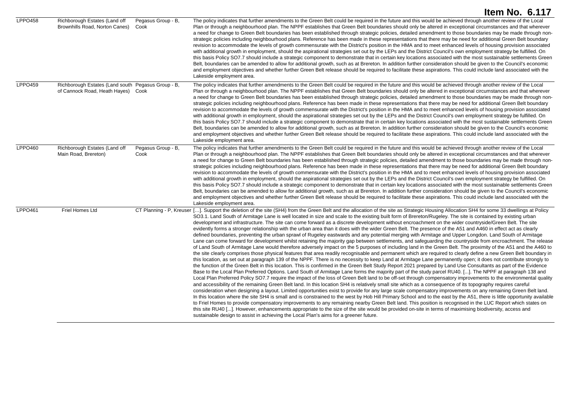|                     |                                                                                          |                            | <b>Item No. 6.117</b>                                                                                                                                                                                                                                                                                                                                                                                                                                                                                                                                                                                                                                                                                                                                                                                                                                                                                                                                                                                                                                                                                                                                                                                                                                                                                                                                                                                                                                                                                                                                                                                                                                                                                                                                                                                                                                                                                                                                                                                                                                                                                                                                                                                                                                                                                                                                                                                                                                                                                                                                                                                                                                                                                                                                                                                                                                                                                                                                        |
|---------------------|------------------------------------------------------------------------------------------|----------------------------|--------------------------------------------------------------------------------------------------------------------------------------------------------------------------------------------------------------------------------------------------------------------------------------------------------------------------------------------------------------------------------------------------------------------------------------------------------------------------------------------------------------------------------------------------------------------------------------------------------------------------------------------------------------------------------------------------------------------------------------------------------------------------------------------------------------------------------------------------------------------------------------------------------------------------------------------------------------------------------------------------------------------------------------------------------------------------------------------------------------------------------------------------------------------------------------------------------------------------------------------------------------------------------------------------------------------------------------------------------------------------------------------------------------------------------------------------------------------------------------------------------------------------------------------------------------------------------------------------------------------------------------------------------------------------------------------------------------------------------------------------------------------------------------------------------------------------------------------------------------------------------------------------------------------------------------------------------------------------------------------------------------------------------------------------------------------------------------------------------------------------------------------------------------------------------------------------------------------------------------------------------------------------------------------------------------------------------------------------------------------------------------------------------------------------------------------------------------------------------------------------------------------------------------------------------------------------------------------------------------------------------------------------------------------------------------------------------------------------------------------------------------------------------------------------------------------------------------------------------------------------------------------------------------------------------------------------------------|
| <b>LPPO458</b>      | Richborough Estates (Land off<br>Brownhills Road, Norton Canes)                          | Pegasus Group - B,<br>Cook | The policy indicates that further amendments to the Green Belt could be required in the future and this would be achieved through another review of the Local<br>Plan or through a neighbourhood plan. The NPPF establishes that Green Belt boundaries should only be altered in exceptional circumstances and that wherever<br>a need for change to Green Belt boundaries has been established through strategic policies, detailed amendment to those boundaries may be made through non-<br>strategic policies including neighbourhood plans. Reference has been made in these representations that there may be need for additional Green Belt boundary<br>revision to accommodate the levels of growth commensurate with the District's position in the HMA and to meet enhanced levels of housing provision associated<br>with additional growth in employment, should the aspirational strategies set out by the LEPs and the District Council's own employment strategy be fulfilled. On<br>this basis Policy SO7.7 should include a strategic component to demonstrate that in certain key locations associated with the most sustainable settlements Green<br>Belt, boundaries can be amended to allow for additional growth, such as at Brereton. In addition further consideration should be given to the Council's economic<br>and employment objectives and whether further Green Belt release should be required to facilitate these aspirations. This could include land associated with the<br>Lakeside employment area.                                                                                                                                                                                                                                                                                                                                                                                                                                                                                                                                                                                                                                                                                                                                                                                                                                                                                                                                                                                                                                                                                                                                                                                                                                                                                                                                                                                                                    |
| <b>LPPO459</b>      | Richborough Estates (Land south Pegasus Group - B,<br>of Cannock Road, Heath Hayes) Cook |                            | The policy indicates that further amendments to the Green Belt could be required in the future and this would be achieved through another review of the Local<br>Plan or through a neighbourhood plan. The NPPF establishes that Green Belt boundaries should only be altered in exceptional circumstances and that wherever<br>a need for change to Green Belt boundaries has been established through strategic policies, detailed amendment to those boundaries may be made through non-<br>strategic policies including neighbourhood plans. Reference has been made in these representations that there may be need for additional Green Belt boundary<br>revision to accommodate the levels of growth commensurate with the District's position in the HMA and to meet enhanced levels of housing provision associated<br>with additional growth in employment, should the aspirational strategies set out by the LEPs and the District Council's own employment strategy be fulfilled. On<br>this basis Policy SO7.7 should include a strategic component to demonstrate that in certain key locations associated with the most sustainable settlements Green<br>Belt, boundaries can be amended to allow for additional growth, such as at Brereton. In addition further consideration should be given to the Council's economic<br>and employment objectives and whether further Green Belt release should be required to facilitate these aspirations. This could include land associated with the<br>Lakeside employment area.                                                                                                                                                                                                                                                                                                                                                                                                                                                                                                                                                                                                                                                                                                                                                                                                                                                                                                                                                                                                                                                                                                                                                                                                                                                                                                                                                                                                                    |
| LPPO460             | Richborough Estates (Land off<br>Main Road, Brereton)                                    | Pegasus Group - B,<br>Cook | The policy indicates that further amendments to the Green Belt could be required in the future and this would be achieved through another review of the Local<br>Plan or through a neighbourhood plan. The NPPF establishes that Green Belt boundaries should only be altered in exceptional circumstances and that wherever<br>a need for change to Green Belt boundaries has been established through strategic policies, detailed amendment to those boundaries may be made through non-<br>strategic policies including neighbourhood plans. Reference has been made in these representations that there may be need for additional Green Belt boundary<br>revision to accommodate the levels of growth commensurate with the District's position in the HMA and to meet enhanced levels of housing provision associated<br>with additional growth in employment, should the aspirational strategies set out by the LEPs and the District Council's own employment strategy be fulfilled. On<br>this basis Policy SO7.7 should include a strategic component to demonstrate that in certain key locations associated with the most sustainable settlements Green<br>Belt, boundaries can be amended to allow for additional growth, such as at Brereton. In addition further consideration should be given to the Council's economic<br>and employment objectives and whether further Green Belt release should be required to facilitate these aspirations. This could include land associated with the<br>Lakeside employment area.                                                                                                                                                                                                                                                                                                                                                                                                                                                                                                                                                                                                                                                                                                                                                                                                                                                                                                                                                                                                                                                                                                                                                                                                                                                                                                                                                                                                                    |
| LPPO <sub>461</sub> | Friel Homes Ltd                                                                          |                            | CT Planning - P, Kreuser []. Support the deletion of the site (SH4) from the Green Belt and the allocation of the site as Strategic Housing Allocation SH4 for some 33 dwellings at Policy<br>SO3.1. Land South of Armitage Lane is well located in size and scale to the existing built form of Brereton/Rugeley. The site is contained by existing urban<br>development and infrastructure. The site can come forward as a discrete development without encroachment on the wider countryside/Green Belt. The site<br>evidently forms a stronger relationship with the urban area than it does with the wider Green Belt. The presence of the A51 and A460 in effect act as clearly<br>defined boundaries, preventing the urban sprawl of Rugeley eastwards and any potential merging with Armitage and Upper Longdon. Land South of Armitage<br>Lane can come forward for development whilst retaining the majority gap between settlements, and safeguarding the countryside from encroachment. The release<br>of Land South of Armitage Lane would therefore adversely impact on the 5 purposes of including land in the Green Belt. The proximity of the A51 and the A460 to<br>the site clearly comprises those physical features that area readily recognisable and permanent which are required to clearly define a new Green Belt boundary in<br>this location, as set out at paragraph 139 of the NPPF. There is no necessity to keep Land at Armitage Lane permanently open; it does not contribute strongly to<br>the function of the Green Belt in this location. This is confirmed in the Green Belt Study Report 2021 prepared by Land Use Consultants as part of the Evidence<br>Base to the Local Plan Preferred Options. Land South of Armitage Lane forms the majority part of the study parcel RU40. []. The NPPF at paragraph 138 and<br>Local Plan Preferred Policy SO7.7 require the impact of the loss of Green Belt land to be off-set through compensatory improvements to the environmental quality<br>and accessibility of the remaining Green Belt land. In this location SH4 is relatively small site which as a consequence of its topography requires careful<br>consideration when designing a layout. Limited opportunities exist to provide for any large scale compensatory improvements on any remaining Green Belt land.<br>In this location where the site SH4 is small and is constrained to the west by Hob Hill Primary School and to the east by the A51, there is little opportunity available<br>to Friel Homes to provide compensatory improvements to any remaining nearby Green Belt land. This position is recognised in the LUC Report which states on<br>this site RU40 []. However, enhancements appropriate to the size of the site would be provided on-site in terms of maximising biodiversity, access and<br>sustainable design to assist in achieving the Local Plan's aims for a greener future. |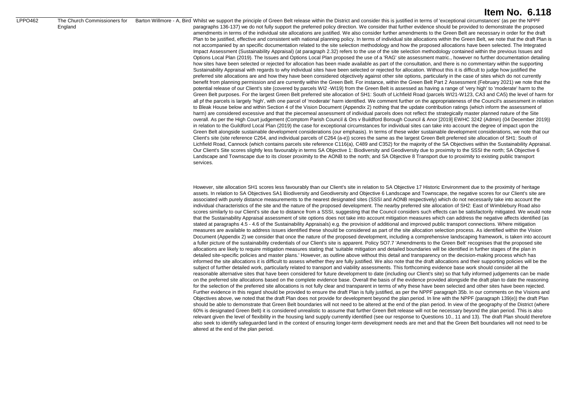#### LPPO462 The Church Commissioners for

England

### **Item No. 6.118**

Barton Willmore - A, Bird Whilst we support the principle of Green Belt release within the District and consider this is justified in terms of 'exceptional circumstances' (as per the NPPF paragraphs 136-137) we do not fully support the preferred policy direction. We consider that further evidence should be provided to demonstrate the proposed amendments in terms of the individual site allocations are justified. We also consider further amendments to the Green Belt are necessary in order for the draft Plan to be justified, effective and consistent with national planning policy. In terms of individual site allocations within the Green Belt, we note that the draft Plan is not accompanied by an specific documentation related to the site selection methodology and how the proposed allocations have been selected. The Integrated Impact Assessment (Sustainability Appraisal) (at paragraph 2.32) refers to the use of the site selection methodology contained within the previous Issues and Options Local Plan (2019). The Issues and Options Local Plan proposed the use of a 'RAG' site assessment matric., however no further documentation detailing how sites have been selected or rejected for allocation has been made available as part of the consultation, and there is no commentary within the supporting Sustainability Appraisal with regards to why individual sites have been selected or rejected for allocation. Without this it is difficult to judge how justified the preferred site allocations are and how they have been considered objectively against other site options, particularly in the case of sites which do not currently benefit from planning permission and are currently within the Green Belt. For instance, within the Green Belt Part 2 Assessment (February 2021) we note that the potential release of our Client's site (covered by parcels WI2 -WI19) from the Green Belt is assessed as having a range of 'very high' to 'moderate' harm to the Green Belt purposes. For the largest Green Belt preferred site allocation of SH1: South of Lichfield Road (parcels WI21-W123, CA3 and CA5) the level of harm for all pf the parcels is largely 'high', with one parcel of 'moderate' harm identified. We comment further on the appropriateness of the Council's assessment in relation to Bleak House below and within Section 4 of the Vision Document (Appendix 2) nothing that the update contribution ratings (which inform the assessment of harm) are considered excessive and that the piecemeal assessment of individual parcels does not reflect the strategically master planned nature of the Site overall. As per the High Court judgement (Comptom Parish Council & Ors v Buildford Borough Council & Anor [2019] EWHC 3242 (Admin) (04 December 2019)) in relation to the Guildford Local Plan (2019) the case for exceptional circumstances for individual sites can take into account the degree of impact upon the Green Belt alongside sustainable development considerations (our emphasis). In terms of these wider sustainable development considerations, we note that our Client's site (site reference C264, and individual parcels of C264 (a-e)) scores the same as the largest Green Belt preferred site allocation of SH1: South of Lichfield Road, Cannock (which contains parcels site reference C116(a), C489 and C352) for the majority of the SA Objectives within the Sustainability Appraisal. Our Client's Site scores slightly less favourably in terms SA Objective 1: Biodiversity and Geodiversity due to proximity to the SSSI the north; SA Objective 6 Landscape and Townscape due to its closer proximity to the AONB to the north; and SA Objective 8 Transport due to proximity to existing public transport services.

> However, site allocation SH1 scores less favourably than our Client's site in relation to SA Objective 17 Historic Environment due to the proximity of heritage assets. In relation to SA Objectives SA1 Biodiversity and Geodiversity and Objective 6 Landscape and Townscape, the negative scores for our Client's site are associated with purely distance measurements to the nearest designated sites (SSSI and AONB respectively) which do not necessarily take into account the individual characteristics of the site and the nature of the proposed development. The nearby preferred site allocation of SH2: East of Wimblebury Road also scores similarly to our Client's site due to distance from a SSSI, suggesting that the Council considers such effects can be satisfactorily mitigated. We would note that the Sustainability Appraisal assessment of site options does not take into account mitigation measures which can address the negative affects identified (as stated at paragraphs 4.5 - 4.6 of the Sustainability Appraisals) e.g. the provision of additional and improved public transport connections. Where mitigation measures are available to address issues identified these should be considered as part of the site allocation selection process. As identified within the Vision Document (Appendix 2) we consider that once the nature of the proposed development, including a comprehensive landscaping framework, is taken into account a fuller picture of the sustainability credentials of our Client's site is apparent. Policy SO7.7 'Amendments to the Green Belt' recognises that the proposed site allocations are likely to require mitigation measures stating that 'suitable mitigation and detailed boundaries will be identified in further stages of the plan in detailed site-specific policies and master plans.' However, as outline above without this detail and transparency on the decision-making process which has informed the site allocations it is difficult to assess whether they are fully justified. We also note that the draft allocations and their supporting policies will be the subject of further detailed work, particularly related to transport and viability assessments. This forthcoming evidence base work should consider all the reasonable alternative sites that have been considered for future development to date (including our Client's site) so that fully informed judgements can be made on the preferred site allocations based on the complete evidence base. Overall the basis of the evidence provided alongside the draft plan to date the reasoning for the selection of the preferred site allocations is not fully clear and transparent in terms of why these have been selected and other sites have been rejected. Further evidence in this regard should be provided to ensure the draft Plan is fully justified, as per the NPPF paragraph 35b. In our comments on the Visions and Objectives above, we noted that the draft Plan does not provide for development beyond the plan period. In line with the NPPF (paragraph 139(e)) the draft Plan should be able to demonstrate that Green Belt boundaries will not need to be altered at the end of the plan period. In view of the geography of the District (where 60% is designated Green Belt) it is considered unrealistic to assume that further Green Belt release will not be necessary beyond the plan period. This is also relevant given the level of flexibility in the housing land supply currently identified (see our response to Questions 10., 11 and 13). The draft Plan should therefore also seek to identify safeguarded land in the context of ensuring longer-term development needs are met and that the Green Belt boundaries will not need to be altered at the end of the plan period.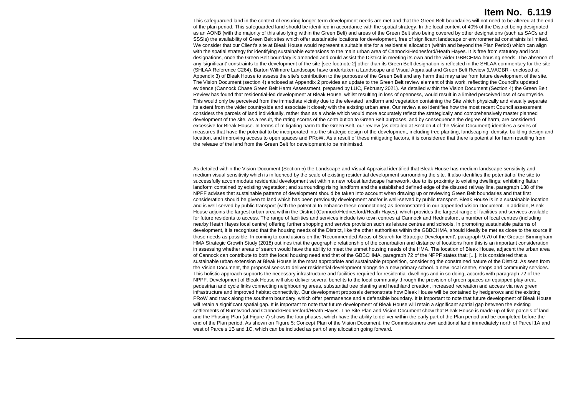This safeguarded land in the context of ensuring longer-term development needs are met and that the Green Belt boundaries will not need to be altered at the end of the plan period. This safeguarded land should be identified in accordance with the spatial strategy. In the local context of 40% of the District being designated as an AONB (with the majority of this also lying within the Green Belt) and areas of the Green Belt also being covered by other designations (such as SACs and SSSIs) the availability of Green Belt sites which offer sustainable locations for development, free of significant landscape or environmental constraints is limited. We consider that our Client's site at Bleak House would represent a suitable site for a residential allocation (within and beyond the Plan Period) which can align with the spatial strategy for identifying sustainable extensions to the main urban area of Cannock/Hednesford/Heath Hayes. It is free from statutory and local designations, once the Green Belt boundary is amended and could assist the District in meeting its own and the wider GBBCHMA housing needs. The absence of any 'significant' constraints to the development of the site [see footnote 2] other than its Green Belt designation is reflected in the SHLAA commentary for the site (SHLAA Reference C264). Barton Willmore Landscape have undertaken a Landscape and Visual Appraisal and Green Belt Review (LVAGBR - enclosed at Appendix 3) of Bleak House to assess the site's contribution to the purposes of the Green Belt and any harm that may arise from future development of the site. The Vision Document (section 4) enclosed at Appendix 2 provides an update to the Green Belt review element of this work, reflecting the Council's updated evidence (Cannock Chase Green Belt Harm Assessment, prepared by LUC, February 2021). As detailed within the Vision Document (Section 4) the Green Belt Review has found that residential-led development at Bleak House, whilst resulting in loss of openness, would result in a limited perceived loss of countryside. This would only be perceived from the immediate vicinity due to the elevated landform and vegetation containing the Site which physically and visually separate its extent from the wider countryside and associate it closely with the existing urban area. Our review also identifies how the most recent Council assessment considers the parcels of land individually, rather than as a whole which would more accurately reflect the strategically and comprehensively master planned development of the site. As a result, the rating scores of the contribution to Green Belt purposes, and by consequence the degree of harm, are considered excessive for Bleak House. In terms of mitigating harm to the Green Belt, our review (as detailed at Section 4 of the Vision Document) identifies a series of measures that have the potential to be incorporated into the strategic design of the development, including tree planting, landscaping, density, building design and location, and improving access to open spaces and PRoW. As a result of these mitigating factors, it is considered that there is potential for harm resulting from the release of the land from the Green Belt for development to be minimised.

As detailed within the Vision Document (Section 5) the Landscape and Visual Appraisal identified that Bleak House has medium landscape sensitivity and medium visual sensitivity which is influenced by the scale of existing residential development surrounding the site. It also identifies the potential of the site to successfully accommodate residential development set within a new robust landscape framework, due to its proximity to existing dwellings; exhibiting flatter landform contained by existing vegetation; and surrounding rising landform and the established defined edge of the disused railway line. paragraph 138 of the NPPF advises that sustainable patterns of development should be taken into account when drawing up or reviewing Green Belt boundaries and that first consideration should be given to land which has been previously development and/or is well-served by public transport. Bleak House is in a sustainable location and is well-served by public transport (with the potential to enhance these connections) as demonstrated in our appended Vision Document. In addition, Bleak House adjoins the largest urban area within the District (Cannock/Hednesford/Heath Hayes), which provides the largest range of facilities and services available for future residents to access. The range of facilities and services include two town centres at Cannock and Hednesford, a number of local centres (including nearby Heath Hayes local centre) offering further shopping and service provision such as leisure centres and schools. In promoting sustainable patterns of development, it is recognised that the housing needs of the District, like the other authorities within the GBBCHMA, should ideally be met as close to the source if those needs as possible. In coming to conclusions on the 'Recommended Areas of Search for Strategic Development', paragraph 9.70 of the Greater Birmingham HMA Strategic Growth Study (2018) outlines that the geographic relationship of the conurbation and distance of locations from this is an important consideration in assessing whether areas of search would have the ability to meet the unmet housing needs of the HMA. The location of Bleak House, adjacent the urban area of Cannock can contribute to both the local housing need and that of the GBBCHMA. paragraph 72 of the NPPF states that: [...]. It is considered that a sustainable urban extension at Bleak House is the most appropriate and sustainable proposition, considering the constrained nature of the District. As seen from the Vision Document, the proposal seeks to deliver residential development alongside a new primary school. a new local centre, shops and community services. This holistic approach supports the necessary infrastructure and facilities required for residential dwellings and in so doing, accords with paragraph 72 of the NPPF. Development of Bleak House will also deliver several benefits to the local community through the provision of green spaces an equipped play area, pedestrian and cycle links connecting neighbouring areas, substantial tree planting and heathland creation, increased recreation and access via new green infrastructure and improved habitat connectivity. Our development proposals demonstrate how Bleak House will be contained by hedgerows and the existing PRoW and track along the southern boundary, which offer permanence and a defensible boundary. It is important to note that future development of Bleak House will retain a significant spatial gap. It is important to note that future development of Bleak House will retain a significant spatial gap between the existing settlements of Burntwood and Cannock/Hednesford/Heath Hayes. The Site Plan and Vision Document show that Bleak House is made up of five parcels of land and the Phasing Plan (at Figure 7) shows the four phases, which have the ability to deliver within the early part of the Plan period and be completed before the end of the Plan period. As shown on Figure 5: Concept Plan of the Vision Document, the Commissioners own additional land immediately north of Parcel 1A and west of Parcels 1B and 1C, which can be included as part of any allocation going forward.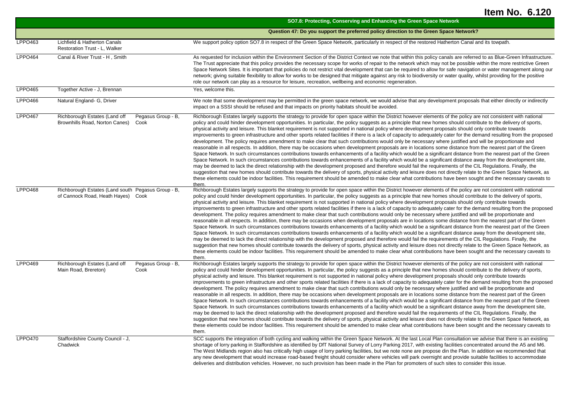|                |                                                                                               | SO7.8: Protecting, Conserving and Enhancing the Green Space Network                                                                                                                                                                                                                                                                                                                                                                                                                                                                                                                                                                                                                                                                                                                                                                                                                                                                                                                                                                                                                                                                                                                                                                                                                                                                                                                                                                                                                                                                                                                                                                                                                                                                                                                                                                            |
|----------------|-----------------------------------------------------------------------------------------------|------------------------------------------------------------------------------------------------------------------------------------------------------------------------------------------------------------------------------------------------------------------------------------------------------------------------------------------------------------------------------------------------------------------------------------------------------------------------------------------------------------------------------------------------------------------------------------------------------------------------------------------------------------------------------------------------------------------------------------------------------------------------------------------------------------------------------------------------------------------------------------------------------------------------------------------------------------------------------------------------------------------------------------------------------------------------------------------------------------------------------------------------------------------------------------------------------------------------------------------------------------------------------------------------------------------------------------------------------------------------------------------------------------------------------------------------------------------------------------------------------------------------------------------------------------------------------------------------------------------------------------------------------------------------------------------------------------------------------------------------------------------------------------------------------------------------------------------------|
|                |                                                                                               | Question 47: Do you support the preferred policy direction to the Green Space Network?                                                                                                                                                                                                                                                                                                                                                                                                                                                                                                                                                                                                                                                                                                                                                                                                                                                                                                                                                                                                                                                                                                                                                                                                                                                                                                                                                                                                                                                                                                                                                                                                                                                                                                                                                         |
| LPPO463        | Lichfield & Hatherton Canals<br>Restoration Trust - L, Walker                                 | We support policy option SO7.8 in respect of the Green Space Network, particularly in respect of the restored Hatherton Canal and its towpath.                                                                                                                                                                                                                                                                                                                                                                                                                                                                                                                                                                                                                                                                                                                                                                                                                                                                                                                                                                                                                                                                                                                                                                                                                                                                                                                                                                                                                                                                                                                                                                                                                                                                                                 |
| <b>LPPO464</b> | Canal & River Trust - H, Smith                                                                | As requested for inclusion within the Environment Section of the District Context we note that within this policy canals are referred to as Blue-Green Infrastructure.<br>The Trust appreciate that this policy provides the necessary scope for works of repair to the network which may not be possible within the more restrictive Green<br>Space Network Sites. It is important that policies do not restrict vital development that can be required to allow for safe navigation or water management along our<br>network; giving suitable flexibility to allow for works to be designed that mitigate against any risk to biodiversity or water quality, whilst providing for the positive<br>role our network can play as a resource for leisure, recreation, wellbeing and economic regeneration.                                                                                                                                                                                                                                                                                                                                                                                                                                                                                                                                                                                                                                                                                                                                                                                                                                                                                                                                                                                                                                      |
| LPPO465        | Together Active - J. Brennan                                                                  | Yes, welcome this.                                                                                                                                                                                                                                                                                                                                                                                                                                                                                                                                                                                                                                                                                                                                                                                                                                                                                                                                                                                                                                                                                                                                                                                                                                                                                                                                                                                                                                                                                                                                                                                                                                                                                                                                                                                                                             |
| LPPO466        | Natural England- G, Driver                                                                    | We note that some development may be permitted in the green space network, we would advise that any development proposals that either directly or indirectly<br>impact on a SSSI should be refused and that impacts on priority habitats should be avoided.                                                                                                                                                                                                                                                                                                                                                                                                                                                                                                                                                                                                                                                                                                                                                                                                                                                                                                                                                                                                                                                                                                                                                                                                                                                                                                                                                                                                                                                                                                                                                                                    |
| <b>LPPO467</b> | Richborough Estates (Land off<br>Pegasus Group - B,<br>Brownhills Road, Norton Canes)<br>Cook | Richborough Estates largely supports the strategy to provide for open space within the District however elements of the policy are not consistent with national<br>policy and could hinder development opportunities. In particular, the policy suggests as a principle that new homes should contribute to the delivery of sports,<br>physical activity and leisure. This blanket requirement is not supported in national policy where development proposals should only contribute towards<br>improvements to green infrastructure and other sports related facilities if there is a lack of capacity to adequately cater for the demand resulting from the proposed<br>development. The policy requires amendment to make clear that such contributions would only be necessary where justified and will be proportionate and<br>reasonable in all respects. In addition, there may be occasions when development proposals are in locations some distance from the nearest part of the Green<br>Space Network. In such circumstances contributions towards enhancements of a facility which would be a significant distance from the nearest part of the Green<br>Space Network. In such circumstances contributions towards enhancements of a facility which would be a significant distance away from the development site,<br>may be deemed to lack the direct relationship with the development proposed and therefore would fail the requirements of the CIL Regulations. Finally, the<br>suggestion that new homes should contribute towards the delivery of sports, physical activity and leisure does not directly relate to the Green Space Network, as<br>these elements could be indoor facilities. This requirement should be amended to make clear what contributions have been sought and the necessary caveats to<br>them. |
| <b>LPPO468</b> | Richborough Estates (Land south Pegasus Group - B,<br>of Cannock Road, Heath Hayes) Cook      | Richborough Estates largely supports the strategy to provide for open space within the District however elements of the policy are not consistent with national<br>policy and could hinder development opportunities. In particular, the policy suggests as a principle that new homes should contribute to the delivery of sports,<br>physical activity and leisure. This blanket requirement is not supported in national policy where development proposals should only contribute towards<br>improvements to green infrastructure and other sports related facilities if there is a lack of capacity to adequately cater for the demand resulting from the proposed<br>development. The policy requires amendment to make clear that such contributions would only be necessary where justified and will be proportionate and<br>reasonable in all respects. In addition, there may be occasions when development proposals are in locations some distance from the nearest part of the Green<br>Space Network. In such circumstances contributions towards enhancements of a facility which would be a significant distance from the nearest part of the Green<br>Space Network. In such circumstances contributions towards enhancements of a facility which would be a significant distance away from the development site,<br>may be deemed to lack the direct relationship with the development proposed and therefore would fail the requirements of the CIL Regulations. Finally, the<br>suggestion that new homes should contribute towards the delivery of sports, physical activity and leisure does not directly relate to the Green Space Network, as<br>these elements could be indoor facilities. This requirement should be amended to make clear what contributions have been sought and the necessary caveats to<br>them. |
| <b>LPPO469</b> | Richborough Estates (Land off<br>Pegasus Group - B,<br>Main Road, Brereton)<br>Cook           | Richborough Estates largely supports the strategy to provide for open space within the District however elements of the policy are not consistent with national<br>policy and could hinder development opportunities. In particular, the policy suggests as a principle that new homes should contribute to the delivery of sports,<br>physical activity and leisure. This blanket requirement is not supported in national policy where development proposals should only contribute towards<br>improvements to green infrastructure and other sports related facilities if there is a lack of capacity to adequately cater for the demand resulting from the proposed<br>development. The policy requires amendment to make clear that such contributions would only be necessary where justified and will be proportionate and<br>reasonable in all respects. In addition, there may be occasions when development proposals are in locations some distance from the nearest part of the Green<br>Space Network. In such circumstances contributions towards enhancements of a facility which would be a significant distance from the nearest part of the Green<br>Space Network. In such circumstances contributions towards enhancements of a facility which would be a significant distance away from the development site,<br>may be deemed to lack the direct relationship with the development proposed and therefore would fail the requirements of the CIL Regulations. Finally, the<br>suggestion that new homes should contribute towards the delivery of sports, physical activity and leisure does not directly relate to the Green Space Network, as<br>these elements could be indoor facilities. This requirement should be amended to make clear what contributions have been sought and the necessary caveats to<br>them. |
| <b>LPPO470</b> | Staffordshire County Council - J,<br>Chadwick                                                 | SCC supports the integration of both cycling and walking within the Green Space Network. At the last Local Plan consultation we advise that there is an existing<br>shortage of lorry parking in Staffordshire as identified by DfT National Survey of Lorry Parking 2017, with existing facilities concentrated around the A5 and M6.<br>The West Midlands region also has critically high usage of lorry parking facilities, but we note none are propose din the Plan. In addition we recommended that<br>any new development that would increase road-based freight should consider where vehicles will park overnight and provide suitable facilities to accommodate<br>deliveries and distribution vehicles. However, no such provision has been made in the Plan for promoters of such sites to consider this issue.                                                                                                                                                                                                                                                                                                                                                                                                                                                                                                                                                                                                                                                                                                                                                                                                                                                                                                                                                                                                                    |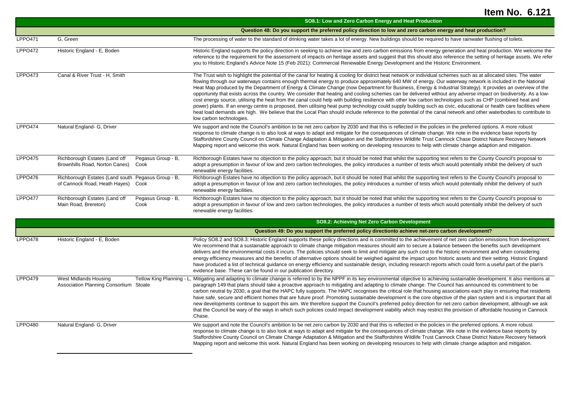|                |                                                                                          |                            | SO8.1: Low and Zero Carbon Energy and Heat Production                                                                                                                                                                                                                                                                                                                                                                                                                                                                                                                                                                                                                                                                                                                                                                                                                                                                                                                                                                                                                                                                                                                                                  |
|----------------|------------------------------------------------------------------------------------------|----------------------------|--------------------------------------------------------------------------------------------------------------------------------------------------------------------------------------------------------------------------------------------------------------------------------------------------------------------------------------------------------------------------------------------------------------------------------------------------------------------------------------------------------------------------------------------------------------------------------------------------------------------------------------------------------------------------------------------------------------------------------------------------------------------------------------------------------------------------------------------------------------------------------------------------------------------------------------------------------------------------------------------------------------------------------------------------------------------------------------------------------------------------------------------------------------------------------------------------------|
|                |                                                                                          |                            | Question 48: Do you support the preferred policy direction to low and zero carbon energy and heat production?                                                                                                                                                                                                                                                                                                                                                                                                                                                                                                                                                                                                                                                                                                                                                                                                                                                                                                                                                                                                                                                                                          |
| <b>LPPO471</b> | G, Green                                                                                 |                            | The processing of water to the standard of drinking water takes a lot of energy. New buildings should be required to have rainwater flushing of toilets.                                                                                                                                                                                                                                                                                                                                                                                                                                                                                                                                                                                                                                                                                                                                                                                                                                                                                                                                                                                                                                               |
| <b>LPPO472</b> | Historic England - E, Boden                                                              |                            | Historic England supports the policy direction in seeking to achieve low and zero carbon emissions from energy generation and heat production. We welcome the<br>reference to the requirement for the assessment of impacts on heritage assets and suggest that this should also reference the setting of heritage assets. We refer<br>you to Historic England's Advice Note 15 (Feb 2021): Commercial Renewable Energy Development and the Historic Environment.                                                                                                                                                                                                                                                                                                                                                                                                                                                                                                                                                                                                                                                                                                                                      |
| <b>LPPO473</b> | Canal & River Trust - H. Smith                                                           |                            | The Trust wish to highlight the potential of the canal for heating & cooling for district heat network or individual schemes such as at allocated sites. The water<br>flowing through our waterways contains enough thermal energy to produce approximately 640 MW of energy. Our waterway network is included in the National<br>Heat Map produced by the Department of Energy & Climate Change (now Department for Business, Energy & Industrial Strategy). It provides an overview of the<br>opportunity that exists across the country. We consider that heating and cooling schemes can be delivered without any adverse impact on biodiversity. As a low-<br>cost energy source, utilising the heat from the canal could help with building resilience with other low carbon technologies such as CHP (combined heat and<br>power) plants. If an energy centre is proposed, then utilising heat pump technology could supply building such as civic, educational or health care facilities where<br>heat load demands are high. We believe that the Local Plan should include reference to the potential of the canal network and other waterbodies to contribute to<br>low carbon technologies. |
| <b>LPPO474</b> | Natural England- G, Driver                                                               |                            | We support and note the Council's ambition to be net zero carbon by 2030 and that this is reflected in the policies in the preferred options. A more robust<br>response to climate change is to also look at ways to adapt and mitigate for the consequences of climate change. We note in the evidence base reports by<br>Staffordshire County Council on Climate Change Adaptation & Mitigation and the Staffordshire Wildlife Trust Cannock Chase District Nature Recovery Network<br>Mapping report and welcome this work. Natural England has been working on developing resources to help with climate change adaption and mitigation.                                                                                                                                                                                                                                                                                                                                                                                                                                                                                                                                                           |
| <b>LPPO475</b> | Richborough Estates (Land off<br>Brownhills Road, Norton Canes)                          | Pegasus Group - B,<br>Cook | Richborough Estates have no objection to the policy approach, but it should be noted that whilst the supporting text refers to the County Council's proposal to<br>adopt a presumption in favour of low and zero carbon technologies, the policy introduces a number of tests which would potentially inhibit the delivery of such<br>renewable energy facilities.                                                                                                                                                                                                                                                                                                                                                                                                                                                                                                                                                                                                                                                                                                                                                                                                                                     |
| <b>LPPO476</b> | Richborough Estates (Land south Pegasus Group - B,<br>of Cannock Road, Heath Hayes) Cook |                            | Richborough Estates have no objection to the policy approach, but it should be noted that whilst the supporting text refers to the County Council's proposal to<br>adopt a presumption in favour of low and zero carbon technologies, the policy introduces a number of tests which would potentially inhibit the delivery of such<br>renewable energy facilities.                                                                                                                                                                                                                                                                                                                                                                                                                                                                                                                                                                                                                                                                                                                                                                                                                                     |
| <b>LPPO477</b> | Richborough Estates (Land off<br>Main Road, Brereton)                                    | Pegasus Group - B,<br>Cook | Richborough Estates have no objection to the policy approach, but it should be noted that whilst the supporting text refers to the County Council's proposal to<br>adopt a presumption in favour of low and zero carbon technologies, the policy introduces a number of tests which would potentially inhibit the delivery of such<br>renewable energy facilities.                                                                                                                                                                                                                                                                                                                                                                                                                                                                                                                                                                                                                                                                                                                                                                                                                                     |
|                |                                                                                          |                            | SO8.2: Achieving Net Zero Carbon Development                                                                                                                                                                                                                                                                                                                                                                                                                                                                                                                                                                                                                                                                                                                                                                                                                                                                                                                                                                                                                                                                                                                                                           |
|                |                                                                                          |                            | Question 49: Do you support the preferred policy directionto achieve net-zero carbon development?                                                                                                                                                                                                                                                                                                                                                                                                                                                                                                                                                                                                                                                                                                                                                                                                                                                                                                                                                                                                                                                                                                      |
| <b>LPPO478</b> | Historic England - E, Boden                                                              |                            | Policy SO8.2 and SO8.3: Historic England supports these policy directions and is committed to the achievement of net zero carbon emissions from development.<br>We recommend that a sustainable approach to climate change mitigation measures should aim to secure a balance between the benefits such development<br>delivers and the environmental costs it incurs. The policies should seek to limit and mitigate any such cost to the historic environment and when considering<br>energy efficiency measures and the benefits of alternative options should be weighed against the impact upon historic assets and their setting. Historic England<br>have produced a list of technical guidance on energy efficiency and sustainable design, including research reports which could form a useful part of the plan's<br>evidence base. These can be found in our publication directory.                                                                                                                                                                                                                                                                                                         |
| <b>LPPO479</b> | <b>West Midlands Housing</b><br>Association Planning Consortium Stoate                   | Tetlow King Planning - L   | Mitigating and adapting to climate change is referred to by the NPPF in its key environmental objective to achieving sustainable development. It also mentions at<br>paragraph 149 that plans should take a proactive approach to mitigating and adapting to climate change. The Council has announced its commitment to be<br>carbon neutral by 2030, a goal that the HAPC fully supports. The HAPC recognises the critical role that housing associations each play in ensuring that residents<br>have safe, secure and efficient homes that are future proof. Promoting sustainable development is the core objective of the plan system and it is important that all<br>new developments continue to support this aim. We therefore support the Council's preferred policy direction for net-zero carbon development, although we ask<br>that the Council be wary of the ways in which such policies could impact development viability which may restrict the provision of affordable housing in Cannock<br>Chase.                                                                                                                                                                                |
| LPPO480        | Natural England- G, Driver                                                               |                            | We support and note the Council's ambition to be net zero carbon by 2030 and that this is reflected in the policies in the preferred options. A more robust<br>response to climate change is to also look at ways to adapt and mitigate for the consequences of climate change. We note in the evidence base reports by<br>Staffordshire County Council on Climate Change Adaptation & Mitigation and the Staffordshire Wildlife Trust Cannock Chase District Nature Recovery Network<br>Mapping report and welcome this work. Natural England has been working on developing resources to help with climate change adaption and mitigation.                                                                                                                                                                                                                                                                                                                                                                                                                                                                                                                                                           |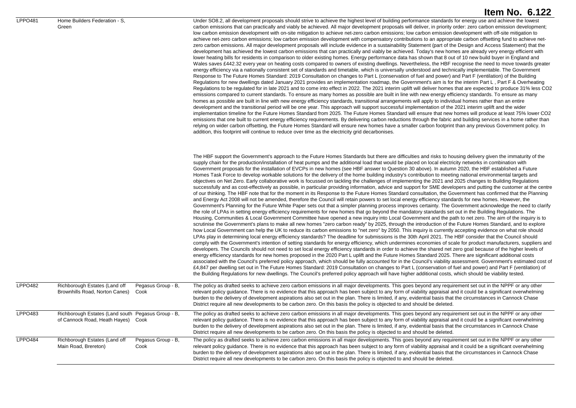| LPPO481        | Home Builders Federation - S,<br>Green                                                   |                            | Under SO8.2, all development proposals should strive to achieve the highest level of building performance standards for energy use and achieve the lowest<br>carbon emissions that can practically and viably be achieved. All major development proposals will deliver, in priority order: zero carbon emission development;<br>low carbon emission development with on-site mitigation to achieve net-zero carbon emissions; low carbon emission development with off-site mitigation to<br>achieve net-zero carbon emissions; low carbon emission development with compensatory contributions to an appropriate carbon offsetting fund to achieve net-<br>zero carbon emissions. All major development proposals will include evidence in a sustainability Statement (part of the Design and Access Statement) that the<br>development has achieved the lowest carbon emissions that can practically and viably be achieved. Today's new homes are already very energy efficient with<br>lower heating bills for residents in comparison to older existing homes. Energy performance data has shown that 8 out of 10 new build buyer in England and<br>Wales saves £442.32 every year on heating costs compared to owners of existing dwellings. Nevertheless, the HBF recognise the need to move towards greater<br>energy efficiency via a nationally consistent set of standards and timetable, which is universally understood and technically implementable. The Government<br>Response to The Future Homes Standard: 2019 Consultation on changes to Part L (conservation of fuel and power) and Part F (ventilation) of the Building<br>Regulations for new dwellings dated January 2021 provides an implementation roadmap, the Government's aim is for the interim Part L, Part F & Overheating<br>Regulations to be regulated for in late 2021 and to come into effect in 2022. The 2021 interim uplift will deliver homes that are expected to produce 31% less CO2<br>emissions compared to current standards. To ensure as many homes as possible are built in line with new energy efficiency standards. To ensure as many<br>homes as possible are built in line with new energy efficiency standards, transitional arrangements will apply to individual homes rather than an entire<br>development and the transitional period will be one year. This approach will support successful implementation of the 2021 interim uplift and the wider<br>implementation timeline for the Future Homes Standard from 2025. The Future Homes Standard will ensure that new homes will produce at least 75% lower CO2<br>emissions that one built to current energy efficiency requirements. By delivering carbon reductions through the fabric and building services in a home rather than<br>relying on wider carbon offsetting, the Future Homes Standard will ensure new homes have a smaller carbon footprint than any previous Government policy. In<br>addition, this footprint will continue to reduce over time as the electricity grid decarbonises.                                                                                                                                                                                                                         |
|----------------|------------------------------------------------------------------------------------------|----------------------------|--------------------------------------------------------------------------------------------------------------------------------------------------------------------------------------------------------------------------------------------------------------------------------------------------------------------------------------------------------------------------------------------------------------------------------------------------------------------------------------------------------------------------------------------------------------------------------------------------------------------------------------------------------------------------------------------------------------------------------------------------------------------------------------------------------------------------------------------------------------------------------------------------------------------------------------------------------------------------------------------------------------------------------------------------------------------------------------------------------------------------------------------------------------------------------------------------------------------------------------------------------------------------------------------------------------------------------------------------------------------------------------------------------------------------------------------------------------------------------------------------------------------------------------------------------------------------------------------------------------------------------------------------------------------------------------------------------------------------------------------------------------------------------------------------------------------------------------------------------------------------------------------------------------------------------------------------------------------------------------------------------------------------------------------------------------------------------------------------------------------------------------------------------------------------------------------------------------------------------------------------------------------------------------------------------------------------------------------------------------------------------------------------------------------------------------------------------------------------------------------------------------------------------------------------------------------------------------------------------------------------------------------------------------------------------------------------------------------------------------------------------------------------------------------------------------------------------------------------------------------------------------------------------------------------------------------------------------------------------------------------------------------------------------------------------------------------------------------------------------------------------------------------------------------------------------------------------------------------------------------------------------------------------------------------|
|                |                                                                                          |                            | The HBF support the Government's approach to the Future Homes Standards but there are difficulties and risks to housing delivery given the immaturity of the<br>supply chain for the production/installation of heat pumps and the additional load that would be placed on local electricity networks in combination with<br>Government proposals for the installation of EVCPs in new homes (see HBF answer to Question 30 above). In autumn 2020, the HBF established a Future<br>Homes Task Force to develop workable solutions for the delivery of the home building industry's contribution to meeting national environmental targets and<br>objectives on Net Zero. Early collaborative work is focussed on tackling the challenges of implementing the 2021 and 2025 changes to Building Regulations<br>successfully and as cost-effectively as possible, in particular providing information, advice and support for SME developers and putting the customer at the centre<br>of our thinking. The HBF note that for the moment in its Response to the Future Homes Standard consultation, the Government has confirmed that the Planning<br>and Energy Act 2008 will not be amended, therefore the Council will retain powers to set local energy efficiency standards for new homes. However, the<br>Government's Planning for the Future White Paper sets out that a simpler planning process improves certainty. The Government acknowledge the need to clarify<br>the role of LPAs in setting energy efficiency requirements for new homes that go beyond the mandatory standards set out in the Building Regulations. The<br>Housing, Communities & Local Government Committee have opened a new inquiry into Local Government and the path to net zero. The aim of the inquiry is to<br>scrutinise the Government's plans to make all new homes "zero carbon ready" by 2025, through the introduction of the Future Homes Standard, and to explore<br>how Local Government can help the UK to reduce its carbon emissions to "net zero" by 2050. This inquiry is currently accepting evidence on what role should<br>LPAs play in determining local energy efficiency standards? The deadline for submissions is the 30th April 2021. The HBF consider that the Council should<br>comply with the Government's intention of setting standards for energy efficiency, which undermines economies of scale for product manufacturers, suppliers and<br>developers. The Councils should not need to set local energy efficiency standards in order to achieve the shared net zero goal because of the higher levels of<br>energy efficiency standards for new homes proposed in the 2020 Part L uplift and the Future Homes Standard 2025. There are significant additional costs<br>associated with the Council's preferred policy approach, which should be fully accounted for in the Council's viability assessment. Government's estimated cost of<br>£4,847 per dwelling set out in The Future Homes Standard: 2019 Consultation on changes to Part L (conservation of fuel and power) and Part F (ventilation) of<br>the Building Regulations for new dwellings. The Council's preferred policy approach will have higher additional costs, which should be viability tested. |
| <b>LPPO482</b> | Richborough Estates (Land off<br>Brownhills Road, Norton Canes)                          | Pegasus Group - B,<br>Cook | The policy as drafted seeks to achieve zero carbon emissions in all major developments. This goes beyond any requirement set out in the NPPF or any other<br>relevant policy guidance. There is no evidence that this approach has been subject to any form of viability appraisal and it could be a significant overwhelming<br>burden to the delivery of development aspirations also set out in the plan. There is limited, if any, evidential basis that the circumstances in Cannock Chase<br>District require all new developments to be carbon zero. On this basis the policy is objected to and should be deleted.                                                                                                                                                                                                                                                                                                                                                                                                                                                                                                                                                                                                                                                                                                                                                                                                                                                                                                                                                                                                                                                                                                                                                                                                                                                                                                                                                                                                                                                                                                                                                                                                                                                                                                                                                                                                                                                                                                                                                                                                                                                                                                                                                                                                                                                                                                                                                                                                                                                                                                                                                                                                                                                                       |
| LPPO483        | Richborough Estates (Land south Pegasus Group - B,<br>of Cannock Road, Heath Hayes) Cook |                            | The policy as drafted seeks to achieve zero carbon emissions in all major developments. This goes beyond any requirement set out in the NPPF or any other<br>relevant policy guidance. There is no evidence that this approach has been subject to any form of viability appraisal and it could be a significant overwhelming<br>burden to the delivery of development aspirations also set out in the plan. There is limited, if any, evidential basis that the circumstances in Cannock Chase<br>District require all new developments to be carbon zero. On this basis the policy is objected to and should be deleted.                                                                                                                                                                                                                                                                                                                                                                                                                                                                                                                                                                                                                                                                                                                                                                                                                                                                                                                                                                                                                                                                                                                                                                                                                                                                                                                                                                                                                                                                                                                                                                                                                                                                                                                                                                                                                                                                                                                                                                                                                                                                                                                                                                                                                                                                                                                                                                                                                                                                                                                                                                                                                                                                       |
| <b>LPPO484</b> | Richborough Estates (Land off<br>Main Road, Brereton)                                    | Pegasus Group - B,<br>Cook | The policy as drafted seeks to achieve zero carbon emissions in all major developments. This goes beyond any requirement set out in the NPPF or any other<br>relevant policy guidance. There is no evidence that this approach has been subject to any form of viability appraisal and it could be a significant overwhelming<br>burden to the delivery of development aspirations also set out in the plan. There is limited, if any, evidential basis that the circumstances in Cannock Chase<br>District require all new developments to be carbon zero. On this basis the policy is objected to and should be deleted.                                                                                                                                                                                                                                                                                                                                                                                                                                                                                                                                                                                                                                                                                                                                                                                                                                                                                                                                                                                                                                                                                                                                                                                                                                                                                                                                                                                                                                                                                                                                                                                                                                                                                                                                                                                                                                                                                                                                                                                                                                                                                                                                                                                                                                                                                                                                                                                                                                                                                                                                                                                                                                                                       |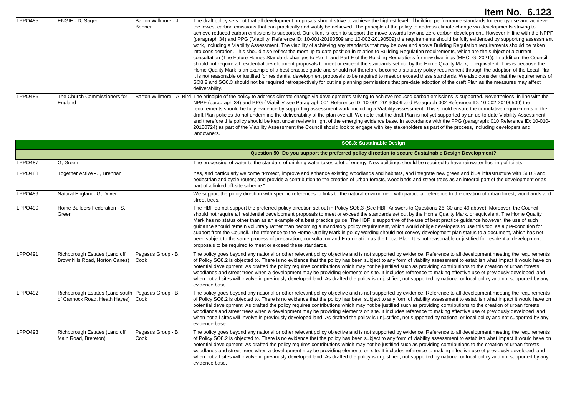|                     |                                                                                          |                                       | <b>Item No. 6.123</b>                                                                                                                                                                                                                                                                                                                                                                                                                                                                                                                                                                                                                                                                                                                                                                                                                                                                                                                                                                                                                                                                                                                                                                                                                                                                                                                                                                                                                                                                                                                                                                                                                                                                                                                                                                                                                                       |
|---------------------|------------------------------------------------------------------------------------------|---------------------------------------|-------------------------------------------------------------------------------------------------------------------------------------------------------------------------------------------------------------------------------------------------------------------------------------------------------------------------------------------------------------------------------------------------------------------------------------------------------------------------------------------------------------------------------------------------------------------------------------------------------------------------------------------------------------------------------------------------------------------------------------------------------------------------------------------------------------------------------------------------------------------------------------------------------------------------------------------------------------------------------------------------------------------------------------------------------------------------------------------------------------------------------------------------------------------------------------------------------------------------------------------------------------------------------------------------------------------------------------------------------------------------------------------------------------------------------------------------------------------------------------------------------------------------------------------------------------------------------------------------------------------------------------------------------------------------------------------------------------------------------------------------------------------------------------------------------------------------------------------------------------|
| <b>LPPO485</b>      | ENGIE - D, Sager                                                                         | Barton Willmore - J,<br><b>Bonner</b> | The draft policy sets out that all development proposals should strive to achieve the highest level of building performance standards for energy use and achieve<br>the lowest carbon emissions that can practically and viably be achieved. The principle of the policy to address climate change via developments striving to<br>achieve reduced carbon emissions is supported. Our client is keen to support the move towards low and zero carbon development. However in line with the NPPF<br>(paragraph 34) and PPG ('Viability' Reference ID: 10-001-20190509 and 10-002-20190509) the requirements should be fully evidenced by supporting assessment<br>work, including a Viability Assessment. The viability of achieving any standards that may be over and above Building Regulation requirements should be taken<br>into consideration. This should also reflect the most up to date position in relation to Building Regulation requirements, which are the subject of a current<br>consultation (The Future Homes Standard: changes to Part L and Part F of the Building Regulations for new dwellings (MHCLG, 2021)). In addition, the Council<br>should not require all residential development proposals to meet or exceed the standards set out by the Home Quality Mark, or equivalent. This is because the<br>Home Quality Mark is an example of a best practice guide and should not therefore become a statutory policy requirement through the adoption of the Local Plan.<br>It is not reasonable or justified for residential development proposals to be required to meet or exceed these standards. We also consider that the requirements of<br>SO8.2 and SO8.3 should not be required retrospectively for outline planning permissions that pre-date adoption of the draft Plan as the measures may affect<br>deliverability. |
| <b>LPPO486</b>      | The Church Commissioners for<br>England                                                  |                                       | Barton Willmore - A, Bird The principle of the policy to address climate change via developments striving to achieve reduced carbon emissions is supported. Nevertheless, in line with the<br>NPPF (paragraph 34) and PPG ('Viability' see Paragraph 001 Reference ID: 10-001-20190509 and Paragraph 002 Reference ID: 10-002-20190509) the<br>requirements should be fully evidence by supporting assessment work, including a Viability assessment. This should ensure the cumulative requirements of the<br>draft Plan policies do not undermine the deliverability of the plan overall. We note that the draft Plan is not yet supported by an up-to-date Viability Assessment<br>and therefore this policy should be kept under review in light of the emerging evidence base. In accordance with the PPG (paragraph: 010 Reference ID: 10-010-<br>20180724) as part of the Viability Assessment the Council should look to engage with key stakeholders as part of the process, including developers and<br>landowners.                                                                                                                                                                                                                                                                                                                                                                                                                                                                                                                                                                                                                                                                                                                                                                                                                               |
|                     |                                                                                          |                                       | SO8.3: Sustainable Design                                                                                                                                                                                                                                                                                                                                                                                                                                                                                                                                                                                                                                                                                                                                                                                                                                                                                                                                                                                                                                                                                                                                                                                                                                                                                                                                                                                                                                                                                                                                                                                                                                                                                                                                                                                                                                   |
|                     |                                                                                          |                                       | Question 50: Do you support the preferred policy direction to secure Sustainable Design Development?                                                                                                                                                                                                                                                                                                                                                                                                                                                                                                                                                                                                                                                                                                                                                                                                                                                                                                                                                                                                                                                                                                                                                                                                                                                                                                                                                                                                                                                                                                                                                                                                                                                                                                                                                        |
| LPPO <sub>487</sub> | G, Green                                                                                 |                                       | The processing of water to the standard of drinking water takes a lot of energy. New buildings should be required to have rainwater flushing of toilets.                                                                                                                                                                                                                                                                                                                                                                                                                                                                                                                                                                                                                                                                                                                                                                                                                                                                                                                                                                                                                                                                                                                                                                                                                                                                                                                                                                                                                                                                                                                                                                                                                                                                                                    |
| <b>LPPO488</b>      | Together Active - J, Brennan                                                             |                                       | Yes, and particularly welcome "Protect, improve and enhance existing woodlands and habitats, and integrate new green and blue infrastructure with SuDS and<br>pedestrian and cycle routes; and provide a contribution to the creation of urban forests, woodlands and street trees as an integral part of the development or as<br>part of a linked off-site scheme."                                                                                                                                                                                                                                                                                                                                                                                                                                                                                                                                                                                                                                                                                                                                                                                                                                                                                                                                                                                                                                                                                                                                                                                                                                                                                                                                                                                                                                                                                       |
| LPPO489             | Natural England- G, Driver                                                               |                                       | We support the policy direction with specific references to links to the natural environment with particular reference to the creation of urban forest, woodlands and<br>street trees.                                                                                                                                                                                                                                                                                                                                                                                                                                                                                                                                                                                                                                                                                                                                                                                                                                                                                                                                                                                                                                                                                                                                                                                                                                                                                                                                                                                                                                                                                                                                                                                                                                                                      |
| LPPO490             | Home Builders Federation - S,<br>Green                                                   |                                       | The HBF do not support the preferred policy direction set out in Policy SO8.3 (See HBF Answers to Questions 26, 30 and 49 above). Moreover, the Council<br>should not require all residential development proposals to meet or exceed the standards set out by the Home Quality Mark, or equivalent. The Home Quality<br>Mark has no status other than as an example of a best practice guide. The HBF is supportive of the use of best practice guidance however, the use of such<br>guidance should remain voluntary rather than becoming a mandatory policy requirement, which would oblige developers to use this tool as a pre-condition for<br>support from the Council. The reference to the Home Quality Mark in policy wording should not convey development plan status to a document, which has not<br>been subject to the same process of preparation, consultation and Examination as the Local Plan. It is not reasonable or justified for residential development<br>proposals to be required to meet or exceed these standards.                                                                                                                                                                                                                                                                                                                                                                                                                                                                                                                                                                                                                                                                                                                                                                                                             |
| <b>LPPO491</b>      | Richborough Estates (Land off<br>Brownhills Road, Norton Canes)                          | Pegasus Group - B,<br>Cook            | The policy goes beyond any national or other relevant policy objective and is not supported by evidence. Reference to all development meeting the requirements<br>of Policy SO8.2 is objected to. There is no evidence that the policy has been subject to any form of viability assessment to establish what impact it would have on<br>potential development. As drafted the policy requires contributions which may not be justified such as providing contributions to the creation of urban forests,<br>woodlands and street trees when a development may be providing elements on site. It includes reference to making effective use of previously developed land<br>when not all sites will involve in previously developed land. As drafted the policy is unjustified, not supported by national or local policy and not supported by any<br>evidence base.                                                                                                                                                                                                                                                                                                                                                                                                                                                                                                                                                                                                                                                                                                                                                                                                                                                                                                                                                                                        |
| <b>LPPO492</b>      | Richborough Estates (Land south Pegasus Group - B,<br>of Cannock Road, Heath Hayes) Cook |                                       | The policy goes beyond any national or other relevant policy objective and is not supported by evidence. Reference to all development meeting the requirements<br>of Policy SO8.2 is objected to. There is no evidence that the policy has been subject to any form of viability assessment to establish what impact it would have on<br>potential development. As drafted the policy requires contributions which may not be justified such as providing contributions to the creation of urban forests,<br>woodlands and street trees when a development may be providing elements on site. It includes reference to making effective use of previously developed land<br>when not all sites will involve in previously developed land. As drafted the policy is unjustified, not supported by national or local policy and not supported by any<br>evidence base.                                                                                                                                                                                                                                                                                                                                                                                                                                                                                                                                                                                                                                                                                                                                                                                                                                                                                                                                                                                        |
| LPPO493             | Richborough Estates (Land off<br>Main Road, Brereton)                                    | Pegasus Group - B,<br>Cook            | The policy goes beyond any national or other relevant policy objective and is not supported by evidence. Reference to all development meeting the requirements<br>of Policy SO8.2 is objected to. There is no evidence that the policy has been subject to any form of viability assessment to establish what impact it would have on<br>potential development. As drafted the policy requires contributions which may not be justified such as providing contributions to the creation of urban forests,<br>woodlands and street trees when a development may be providing elements on site. It includes reference to making effective use of previously developed land<br>when not all sites will involve in previously developed land. As drafted the policy is unjustified, not supported by national or local policy and not supported by any<br>evidence base.                                                                                                                                                                                                                                                                                                                                                                                                                                                                                                                                                                                                                                                                                                                                                                                                                                                                                                                                                                                        |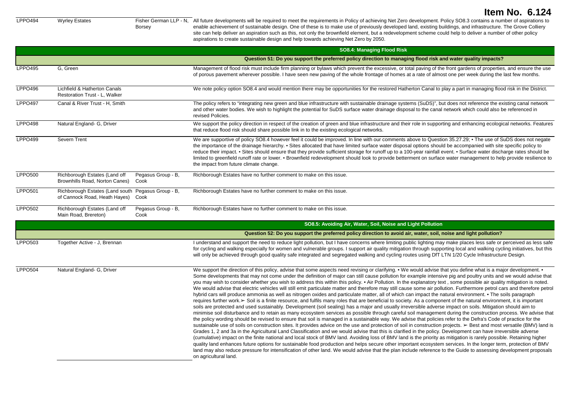```
Borsey
```
LPPO494 Wyrley Estates Fisher German LLP - N, All future developments will be required to meet the requirements in Policy of achieving Net Zero development. Policy SO8.3 contains a number of aspirations to enable achievement of sustainable design. One of these is to make use of previously developed land, existing buildings, and infrastructure. The Grove Colliery site can help deliver an aspiration such as this, not only the brownfield element, but a redevelopment scheme could help to deliver a number of other policy aspirations to create sustainable design and help towards achieving Net Zero by 2050.

|                |                                                                                     |                            | SO8.4: Managing Flood Risk                                                                                                                                                                                                                                                                                                                                                                                                                                                                                                                                                                                                                                                                                                                                                                                                                                                                                                                                                                                                                                                                                                                                                                                                                                                                                                                                                                                                                                                                                                                                                                                                                                                                                                                                                                                                                                                                                                                                                                                                                                                                                                                                                                                                                                                                                                                                                                                               |
|----------------|-------------------------------------------------------------------------------------|----------------------------|--------------------------------------------------------------------------------------------------------------------------------------------------------------------------------------------------------------------------------------------------------------------------------------------------------------------------------------------------------------------------------------------------------------------------------------------------------------------------------------------------------------------------------------------------------------------------------------------------------------------------------------------------------------------------------------------------------------------------------------------------------------------------------------------------------------------------------------------------------------------------------------------------------------------------------------------------------------------------------------------------------------------------------------------------------------------------------------------------------------------------------------------------------------------------------------------------------------------------------------------------------------------------------------------------------------------------------------------------------------------------------------------------------------------------------------------------------------------------------------------------------------------------------------------------------------------------------------------------------------------------------------------------------------------------------------------------------------------------------------------------------------------------------------------------------------------------------------------------------------------------------------------------------------------------------------------------------------------------------------------------------------------------------------------------------------------------------------------------------------------------------------------------------------------------------------------------------------------------------------------------------------------------------------------------------------------------------------------------------------------------------------------------------------------------|
|                |                                                                                     |                            | Question 51: Do you support the preferred policy direction to managing flood risk and water quality impacts?                                                                                                                                                                                                                                                                                                                                                                                                                                                                                                                                                                                                                                                                                                                                                                                                                                                                                                                                                                                                                                                                                                                                                                                                                                                                                                                                                                                                                                                                                                                                                                                                                                                                                                                                                                                                                                                                                                                                                                                                                                                                                                                                                                                                                                                                                                             |
| <b>LPPO495</b> | G. Green                                                                            |                            | Management of flood risk must include firm planning or bylaws which prevent the excessive, or total paving of the front gardens of properties, and ensure the use<br>of porous pavement wherever possible. I have seen new paving of the whole frontage of homes at a rate of almost one per week during the last few months.                                                                                                                                                                                                                                                                                                                                                                                                                                                                                                                                                                                                                                                                                                                                                                                                                                                                                                                                                                                                                                                                                                                                                                                                                                                                                                                                                                                                                                                                                                                                                                                                                                                                                                                                                                                                                                                                                                                                                                                                                                                                                            |
| <b>LPPO496</b> | Lichfield & Hatherton Canals<br>Restoration Trust - L, Walker                       |                            | We note policy option SO8.4 and would mention there may be opportunities for the restored Hatherton Canal to play a part in managing flood risk in the District.                                                                                                                                                                                                                                                                                                                                                                                                                                                                                                                                                                                                                                                                                                                                                                                                                                                                                                                                                                                                                                                                                                                                                                                                                                                                                                                                                                                                                                                                                                                                                                                                                                                                                                                                                                                                                                                                                                                                                                                                                                                                                                                                                                                                                                                         |
| LPPO497        | Canal & River Trust - H. Smith                                                      |                            | The policy refers to "integrating new green and blue infrastructure with sustainable drainage systems (SuDS)", but does not reference the existing canal network<br>and other water bodies. We wish to highlight the potential for SuDS surface water drainage disposal to the canal network which could also be referenced in<br>revised Policies.                                                                                                                                                                                                                                                                                                                                                                                                                                                                                                                                                                                                                                                                                                                                                                                                                                                                                                                                                                                                                                                                                                                                                                                                                                                                                                                                                                                                                                                                                                                                                                                                                                                                                                                                                                                                                                                                                                                                                                                                                                                                      |
| <b>LPPO498</b> | Natural England- G, Driver                                                          |                            | We support the policy direction in respect of the creation of green and blue infrastructure and their role in supporting and enhancing ecological networks. Features<br>that reduce flood risk should share possible link in to the existing ecological networks.                                                                                                                                                                                                                                                                                                                                                                                                                                                                                                                                                                                                                                                                                                                                                                                                                                                                                                                                                                                                                                                                                                                                                                                                                                                                                                                                                                                                                                                                                                                                                                                                                                                                                                                                                                                                                                                                                                                                                                                                                                                                                                                                                        |
| <b>LPPO499</b> | Severn Trent                                                                        |                            | We are supportive of policy SO8.4 however feel it could be improved. In line with our comments above to Question 35.27.29; • The use of SuDS does not negate<br>the importance of the drainage hierarchy. • Sites allocated that have limited surface water disposal options should be accompanied with site specific policy to<br>reduce their impact. • Sites should ensure that they provide sufficient storage for runoff up to a 100-year rainfall event. • Surface water discharge rates should be<br>limited to greenfield runoff rate or lower. • Brownfield redevelopment should look to provide betterment on surface water management to help provide resilience to<br>the impact from future climate change.                                                                                                                                                                                                                                                                                                                                                                                                                                                                                                                                                                                                                                                                                                                                                                                                                                                                                                                                                                                                                                                                                                                                                                                                                                                                                                                                                                                                                                                                                                                                                                                                                                                                                                 |
| <b>LPPO500</b> | Richborough Estates (Land off<br>Brownhills Road, Norton Canes)                     | Pegasus Group - B,<br>Cook | Richborough Estates have no further comment to make on this issue.                                                                                                                                                                                                                                                                                                                                                                                                                                                                                                                                                                                                                                                                                                                                                                                                                                                                                                                                                                                                                                                                                                                                                                                                                                                                                                                                                                                                                                                                                                                                                                                                                                                                                                                                                                                                                                                                                                                                                                                                                                                                                                                                                                                                                                                                                                                                                       |
| <b>LPPO501</b> | Richborough Estates (Land south Pegasus Group - B,<br>of Cannock Road, Heath Hayes) | Cook                       | Richborough Estates have no further comment to make on this issue.                                                                                                                                                                                                                                                                                                                                                                                                                                                                                                                                                                                                                                                                                                                                                                                                                                                                                                                                                                                                                                                                                                                                                                                                                                                                                                                                                                                                                                                                                                                                                                                                                                                                                                                                                                                                                                                                                                                                                                                                                                                                                                                                                                                                                                                                                                                                                       |
| <b>LPPO502</b> | Richborough Estates (Land off<br>Main Road, Brereton)                               | Pegasus Group - B,<br>Cook | Richborough Estates have no further comment to make on this issue.                                                                                                                                                                                                                                                                                                                                                                                                                                                                                                                                                                                                                                                                                                                                                                                                                                                                                                                                                                                                                                                                                                                                                                                                                                                                                                                                                                                                                                                                                                                                                                                                                                                                                                                                                                                                                                                                                                                                                                                                                                                                                                                                                                                                                                                                                                                                                       |
|                |                                                                                     |                            | SO8.5: Avoiding Air, Water, Soil, Noise and Light Pollution                                                                                                                                                                                                                                                                                                                                                                                                                                                                                                                                                                                                                                                                                                                                                                                                                                                                                                                                                                                                                                                                                                                                                                                                                                                                                                                                                                                                                                                                                                                                                                                                                                                                                                                                                                                                                                                                                                                                                                                                                                                                                                                                                                                                                                                                                                                                                              |
|                |                                                                                     |                            | Question 52: Do you support the preferred policy direction to avoid air, water, soil, noise and light pollution?                                                                                                                                                                                                                                                                                                                                                                                                                                                                                                                                                                                                                                                                                                                                                                                                                                                                                                                                                                                                                                                                                                                                                                                                                                                                                                                                                                                                                                                                                                                                                                                                                                                                                                                                                                                                                                                                                                                                                                                                                                                                                                                                                                                                                                                                                                         |
| <b>LPPO503</b> | Together Active - J. Brennan                                                        |                            | I understand and support the need to reduce light pollution, but I have concerns where limiting public lighting may make places less safe or perceived as less safe<br>for cycling and walking especially for women and vulnerable groups. I support air quality mitigation through supporting local and walking cycling initiatives, but this<br>will only be achieved through good quality safe integrated and segregated walking and cycling routes using DfT LTN 1/20 Cycle Infrastructure Design.                                                                                                                                                                                                                                                                                                                                                                                                                                                                                                                                                                                                                                                                                                                                                                                                                                                                                                                                                                                                                                                                                                                                                                                                                                                                                                                                                                                                                                                                                                                                                                                                                                                                                                                                                                                                                                                                                                                   |
| <b>LPPO504</b> | Natural England- G, Driver                                                          |                            | We support the direction of this policy, advise that some aspects need revising or clarifying. • We would advise that you define what is a major development. •<br>Some developments that may not come under the definition of major can still cause pollution for example intensive pig and poultry units and we would advise that<br>you may wish to consider whether you wish to address this within this policy. • Air Pollution. In the explanatory text, some possible air quality mitigation is noted.<br>We would advise that electric vehicles will still emit particulate matter and therefore may still cause some air pollution. Furthermore petrol cars and therefore petrol<br>hybrid cars will produce ammonia as well as nitrogen oxides and particulate matter, all of which can impact the natural environment. • The soils paragraph<br>requires further work. > Soil is a finite resource, and fulfils many roles that are beneficial to society. As a component of the natural environment, it is important<br>soils are protected and used sustainably. Development (soil sealing) has a major and usually irreversible adverse impact on soils. Mitigation should aim to<br>minimise soil disturbance and to retain as many ecosystem services as possible through careful soil management during the construction process. We advise that<br>the policy wording should be revised to ensure that soil is managed in a sustainable way. We advise that policies refer to the Defra's Code of practice for the<br>sustainable use of soils on construction sites. It provides advice on the use and protection of soil in construction projects. ≻ Best and most versatile (BMV) land is<br>Grades 1, 2 and 3a in the Agricultural Land Classification and we would advise that this is clarified in the policy. Development can have irreversible adverse<br>(cumulative) impact on the finite national and local stock of BMV land. Avoiding loss of BMV land is the priority as mitigation is rarely possible. Retaining higher<br>quality land enhances future options for sustainable food production and helps secure other important ecosystem services. In the longer term, protection of BMV<br>land may also reduce pressure for intensification of other land. We would advise that the plan include reference to the Guide to assessing development proposals<br>on agricultural land. |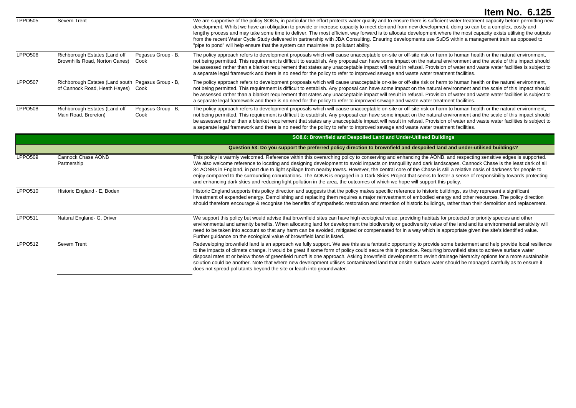|  |  | Item No. 6.125 |
|--|--|----------------|
|--|--|----------------|

| LPPO505        | Severn Trent                                                                             |                            | We are supportive of the policy SO8.5, in particular the effort protects water quality and to ensure there is sufficient water treatment capacity before permitting new<br>development. Whilst we have an obligation to provide or increase capacity to meet demand from new development, doing so can be a complex, costly and<br>lengthy process and may take some time to deliver. The most efficient way forward is to allocate development where the most capacity exists utilising the outputs<br>from the recent Water Cycle Study delivered in partnership with JBA Consulting. Ensuring developments use SuDS within a management train as opposed to<br>"pipe to pond" will help ensure that the system can maximise its pollutant ability. |
|----------------|------------------------------------------------------------------------------------------|----------------------------|-------------------------------------------------------------------------------------------------------------------------------------------------------------------------------------------------------------------------------------------------------------------------------------------------------------------------------------------------------------------------------------------------------------------------------------------------------------------------------------------------------------------------------------------------------------------------------------------------------------------------------------------------------------------------------------------------------------------------------------------------------|
| <b>LPPO506</b> | Richborough Estates (Land off<br>Brownhills Road, Norton Canes)                          | Pegasus Group - B.<br>Cook | The policy approach refers to development proposals which will cause unacceptable on-site or off-site risk or harm to human health or the natural environment,<br>not being permitted. This requirement is difficult to establish. Any proposal can have some impact on the natural environment and the scale of this impact should<br>be assessed rather than a blanket requirement that states any unacceptable impact will result in refusal. Provision of water and waste water facilities is subject to<br>a separate legal framework and there is no need for the policy to refer to improved sewage and waste water treatment facilities.                                                                                                      |
| <b>LPPO507</b> | Richborough Estates (Land south Pegasus Group - B.<br>of Cannock Road, Heath Hayes) Cook |                            | The policy approach refers to development proposals which will cause unacceptable on-site or off-site risk or harm to human health or the natural environment,<br>not being permitted. This requirement is difficult to establish. Any proposal can have some impact on the natural environment and the scale of this impact should<br>be assessed rather than a blanket requirement that states any unacceptable impact will result in refusal. Provision of water and waste water facilities is subject to<br>a separate legal framework and there is no need for the policy to refer to improved sewage and waste water treatment facilities.                                                                                                      |
| <b>LPPO508</b> | Richborough Estates (Land off<br>Main Road, Brereton)                                    | Pegasus Group - B,<br>Cook | The policy approach refers to development proposals which will cause unacceptable on-site or off-site risk or harm to human health or the natural environment,<br>not being permitted. This requirement is difficult to establish. Any proposal can have some impact on the natural environment and the scale of this impact should<br>be assessed rather than a blanket requirement that states any unacceptable impact will result in refusal. Provision of water and waste water facilities is subject to                                                                                                                                                                                                                                          |

a separate legal framework and there is no need for the policy to refer to improved sewage and waste water treatment facilities.

|                |                                   | SO8.6: Brownfield and Despoiled Land and Under-Utilised Buildings                                                                                                                                                                                                                                                                                                                                                                                                                                                                                                                                                                                                                                                                                                                              |
|----------------|-----------------------------------|------------------------------------------------------------------------------------------------------------------------------------------------------------------------------------------------------------------------------------------------------------------------------------------------------------------------------------------------------------------------------------------------------------------------------------------------------------------------------------------------------------------------------------------------------------------------------------------------------------------------------------------------------------------------------------------------------------------------------------------------------------------------------------------------|
|                |                                   | Question 53: Do you support the preferred policy direction to brownfield and despoiled land and under-utilised buildings?                                                                                                                                                                                                                                                                                                                                                                                                                                                                                                                                                                                                                                                                      |
| <b>LPPO509</b> | Cannock Chase AONB<br>Partnership | This policy is warmly welcomed. Reference within this overarching policy to conserving and enhancing the AONB, and respecting sensitive edges is supported.<br>We also welcome reference to locating and designing development to avoid impacts on tranquillity and dark landscapes. Cannock Chase is the least dark of all<br>34 AONBs in England, in part due to light spillage from nearby towns. However, the central core of the Chase is still a relative oasis of darkness for people to<br>enjoy compared to the surrounding conurbations. The AONB is engaged in a Dark Skies Project that seeks to foster a sense of responsibility towards protecting<br>and enhancing dark skies and reducing light pollution in the area, the outcomes of which we hope will support this policy. |
| LPPO510        | Historic England - E, Boden       | Historic England supports this policy direction and suggests that the policy makes specific reference to historic buildings, as they represent a significant<br>investment of expended energy. Demolishing and replacing them requires a major reinvestment of embodied energy and other resources. The policy direction<br>should therefore encourage & recognise the benefits of sympathetic restoration and retention of historic buildings, rather than their demolition and replacement.                                                                                                                                                                                                                                                                                                  |
| <b>LPPO511</b> | Natural England- G, Driver        | We support this policy but would advise that brownfield sites can have high ecological value, providing habitats for protected or priority species and other<br>environmental and amenity benefits. When allocating land for development the biodiversity or geodiversity value of the land and its environmental sensitivity will<br>need to be taken into account so that any harm can be avoided, mitigated or compensated for in a way which is appropriate given the site's identified value.<br>Further guidance on the ecological value of brownfield land is listed.                                                                                                                                                                                                                   |
| <b>LPPO512</b> | Severn Trent                      | Redeveloping brownfield land is an approach we fully support. We see this as a fantastic opportunity to provide some betterment and help provide local resilience<br>to the impacts of climate change. It would be great if some form of policy could secure this in practice. Requiring brownfield sites to achieve surface water<br>disposal rates at or below those of greenfield runoff is one approach. Asking brownfield development to revisit drainage hierarchy options for a more sustainable<br>solution could be another. Note that where new development utilises contaminated land that onsite surface water should be managed carefully as to ensure it<br>does not spread pollutants beyond the site or leach into groundwater.                                                |